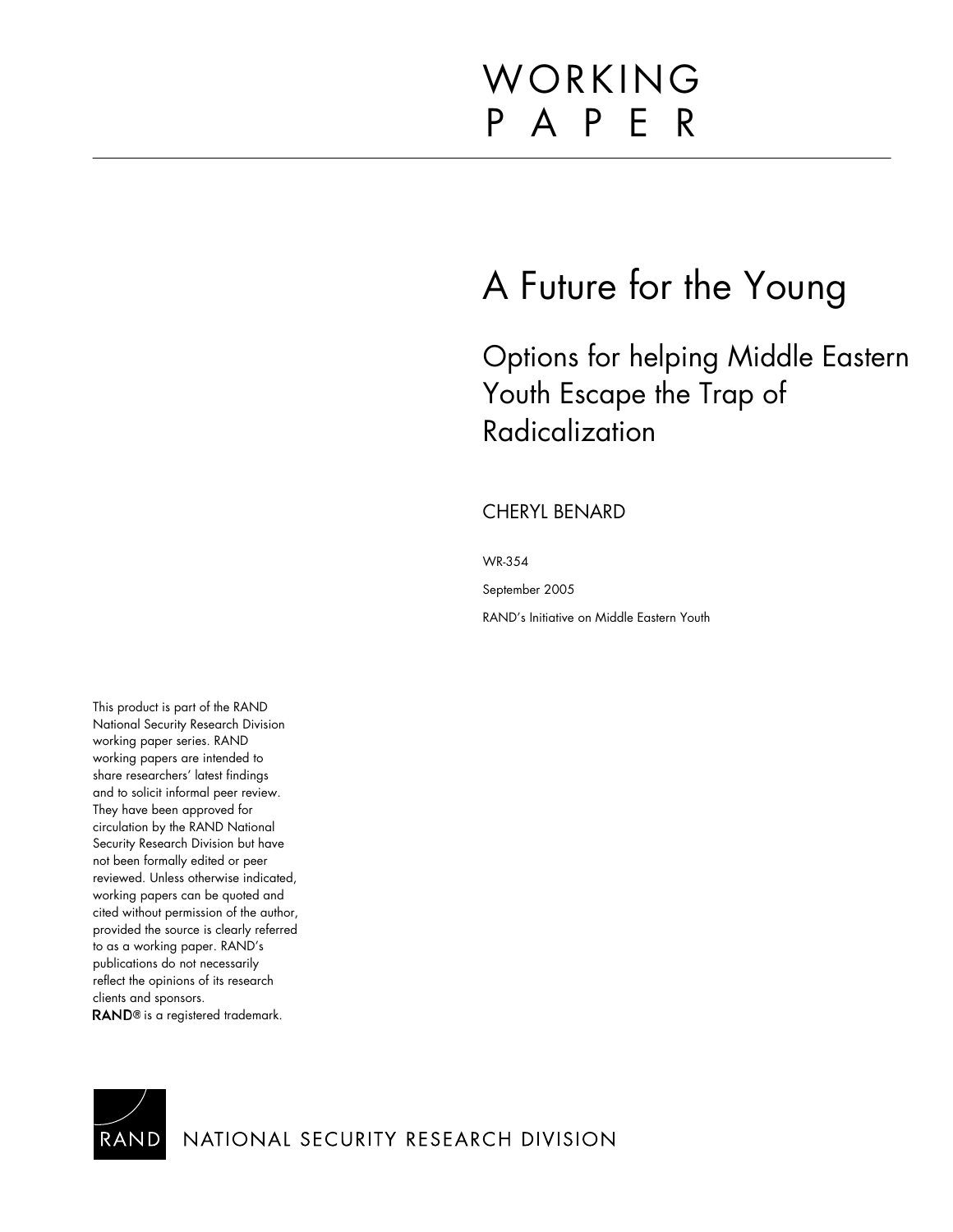# WORKING P A P E R

# A Future for the Young

Options for helping Middle Eastern Youth Escape the Trap of Radicalization

## CHERYL BENARD

WR-354

September 2005

RAND's Initiative on Middle Eastern Youth

This product is part of the RAND National Security Research Division working paper series. RAND working papers are intended to share researchers' latest findings and to solicit informal peer review. They have been approved for circulation by the RAND National Security Research Division but have not been formally edited or peer reviewed. Unless otherwise indicated, working papers can be quoted and cited without permission of the author, provided the source is clearly referred to as a working paper. RAND's publications do not necessarily reflect the opinions of its research clients and sponsors. RAND<sup>®</sup> is a registered trademark.

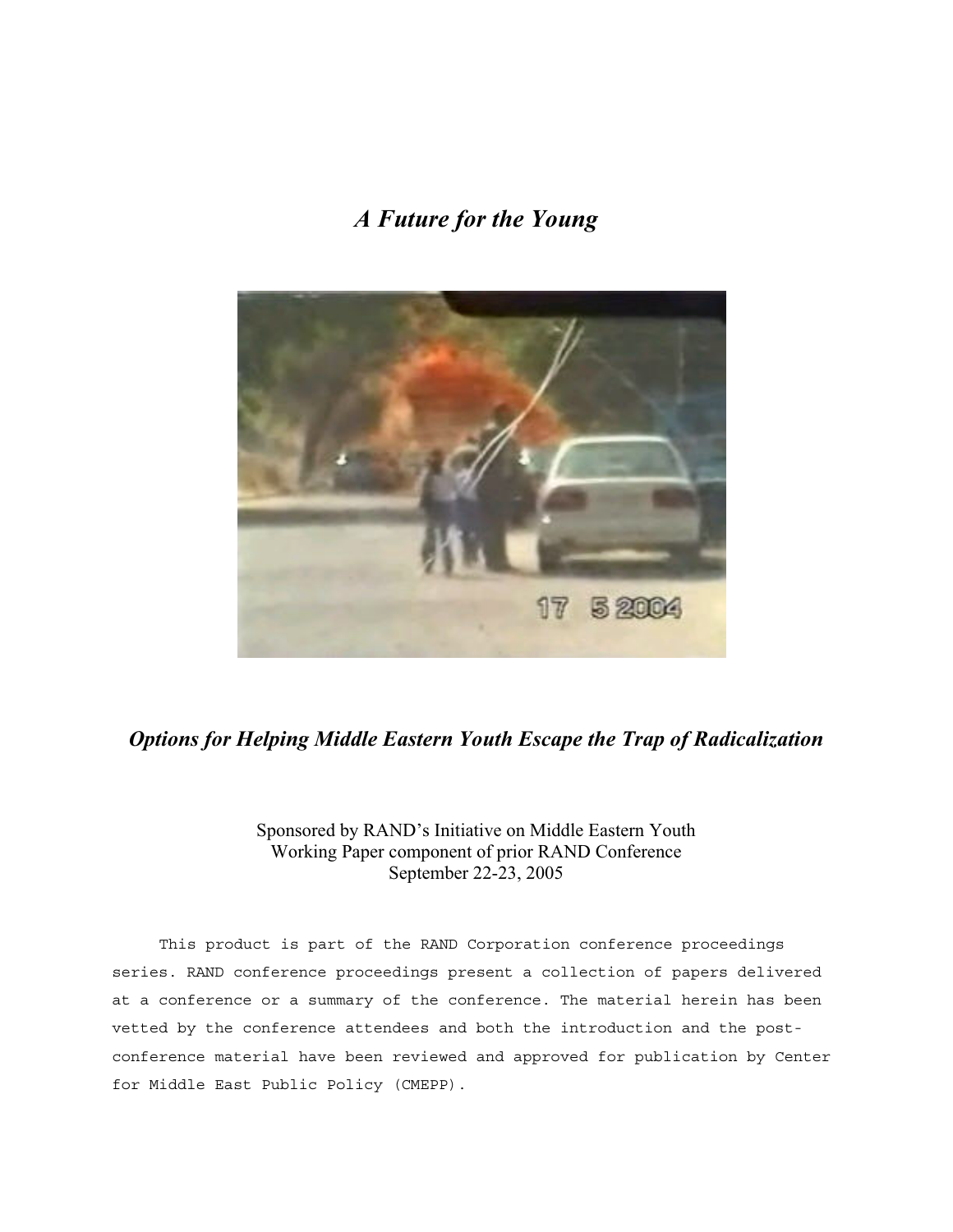# *A Future for the Young*



## *Options for Helping Middle Eastern Youth Escape the Trap of Radicalization*

Sponsored by RAND's Initiative on Middle Eastern Youth Working Paper component of prior RAND Conference September 22-23, 2005

This product is part of the RAND Corporation conference proceedings series. RAND conference proceedings present a collection of papers delivered at a conference or a summary of the conference. The material herein has been vetted by the conference attendees and both the introduction and the postconference material have been reviewed and approved for publication by Center for Middle East Public Policy (CMEPP).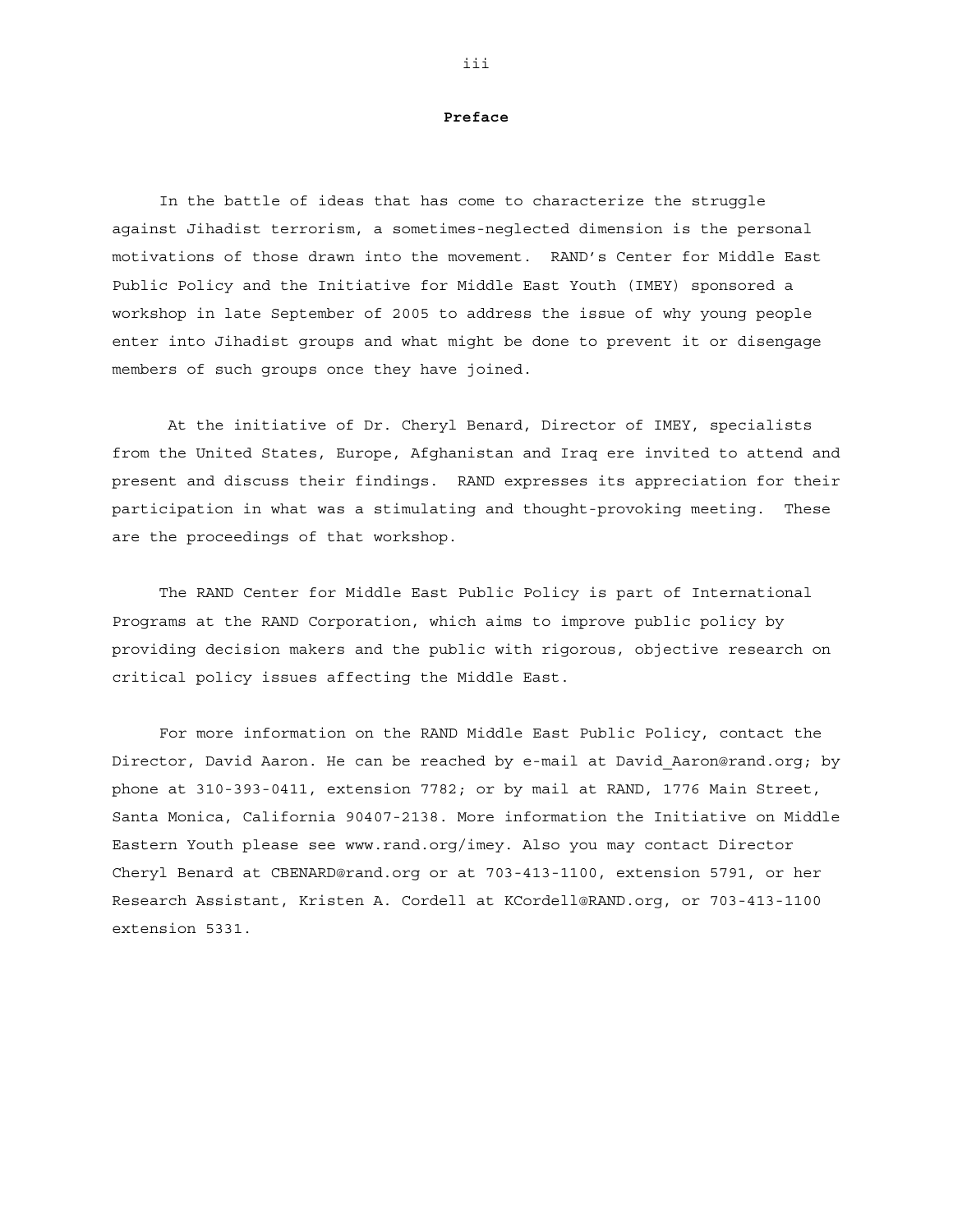#### **Preface**

In the battle of ideas that has come to characterize the struggle against Jihadist terrorism, a sometimes-neglected dimension is the personal motivations of those drawn into the movement. RAND's Center for Middle East Public Policy and the Initiative for Middle East Youth (IMEY) sponsored a workshop in late September of 2005 to address the issue of why young people enter into Jihadist groups and what might be done to prevent it or disengage members of such groups once they have joined.

 At the initiative of Dr. Cheryl Benard, Director of IMEY, specialists from the United States, Europe, Afghanistan and Iraq ere invited to attend and present and discuss their findings. RAND expresses its appreciation for their participation in what was a stimulating and thought-provoking meeting. These are the proceedings of that workshop.

The RAND Center for Middle East Public Policy is part of International Programs at the RAND Corporation, which aims to improve public policy by providing decision makers and the public with rigorous, objective research on critical policy issues affecting the Middle East.

For more information on the RAND Middle East Public Policy, contact the Director, David Aaron. He can be reached by e-mail at David\_Aaron@rand.org; by phone at 310-393-0411, extension 7782; or by mail at RAND, 1776 Main Street, Santa Monica, California 90407-2138. More information the Initiative on Middle Eastern Youth please see www.rand.org/imey. Also you may contact Director Cheryl Benard at CBENARD@rand.org or at 703-413-1100, extension 5791, or her Research Assistant, Kristen A. Cordell at KCordell@RAND.org, or 703-413-1100 extension 5331.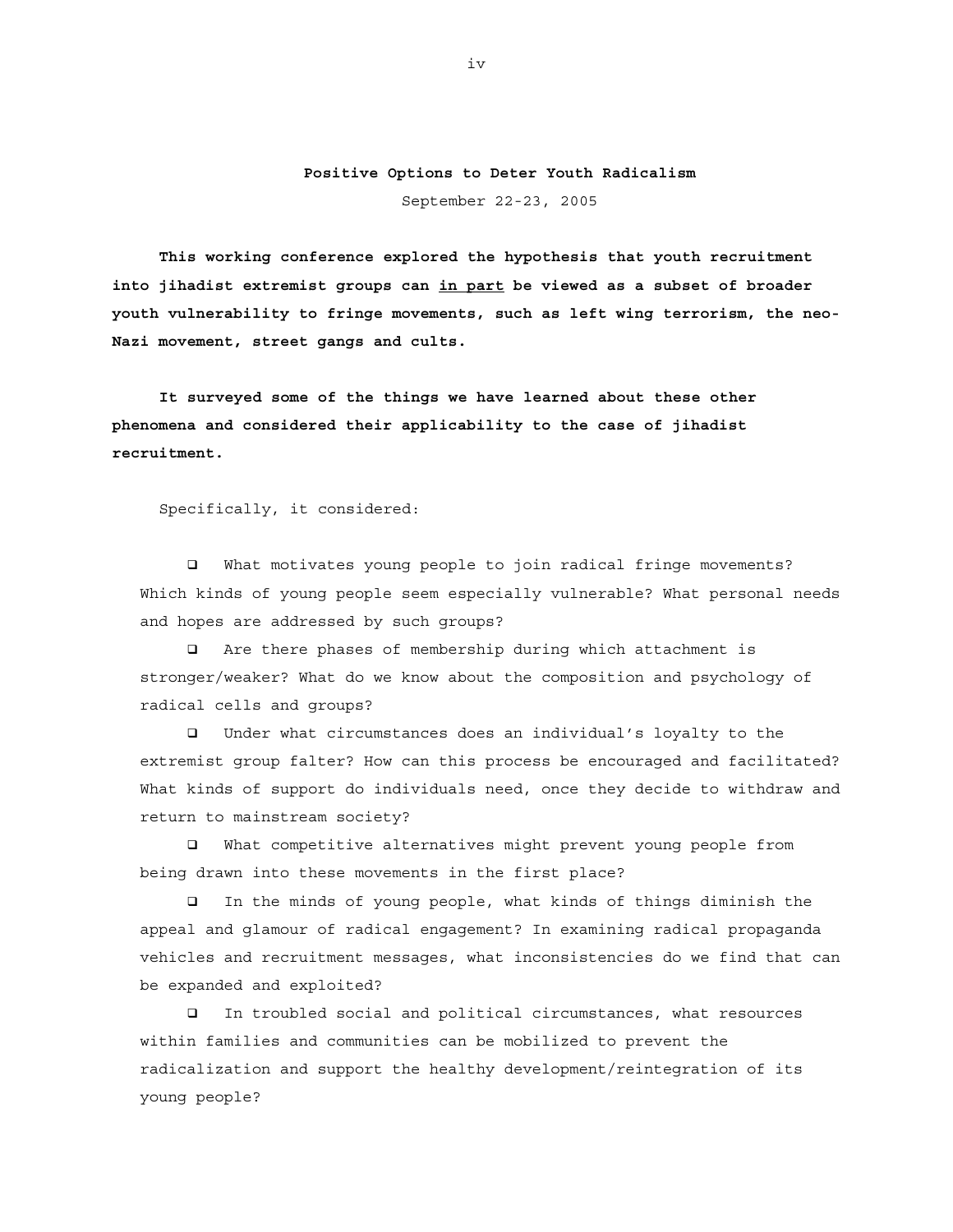### **Positive Options to Deter Youth Radicalism**  September 22-23, 2005

**This working conference explored the hypothesis that youth recruitment into jihadist extremist groups can in part be viewed as a subset of broader youth vulnerability to fringe movements, such as left wing terrorism, the neo-Nazi movement, street gangs and cults.** 

**It surveyed some of the things we have learned about these other phenomena and considered their applicability to the case of jihadist recruitment.**

Specifically, it considered:

 What motivates young people to join radical fringe movements? Which kinds of young people seem especially vulnerable? What personal needs and hopes are addressed by such groups?

 Are there phases of membership during which attachment is stronger/weaker? What do we know about the composition and psychology of radical cells and groups?

 Under what circumstances does an individual's loyalty to the extremist group falter? How can this process be encouraged and facilitated? What kinds of support do individuals need, once they decide to withdraw and return to mainstream society?

 What competitive alternatives might prevent young people from being drawn into these movements in the first place?

 In the minds of young people, what kinds of things diminish the appeal and glamour of radical engagement? In examining radical propaganda vehicles and recruitment messages, what inconsistencies do we find that can be expanded and exploited?

 In troubled social and political circumstances, what resources within families and communities can be mobilized to prevent the radicalization and support the healthy development/reintegration of its young people?

iv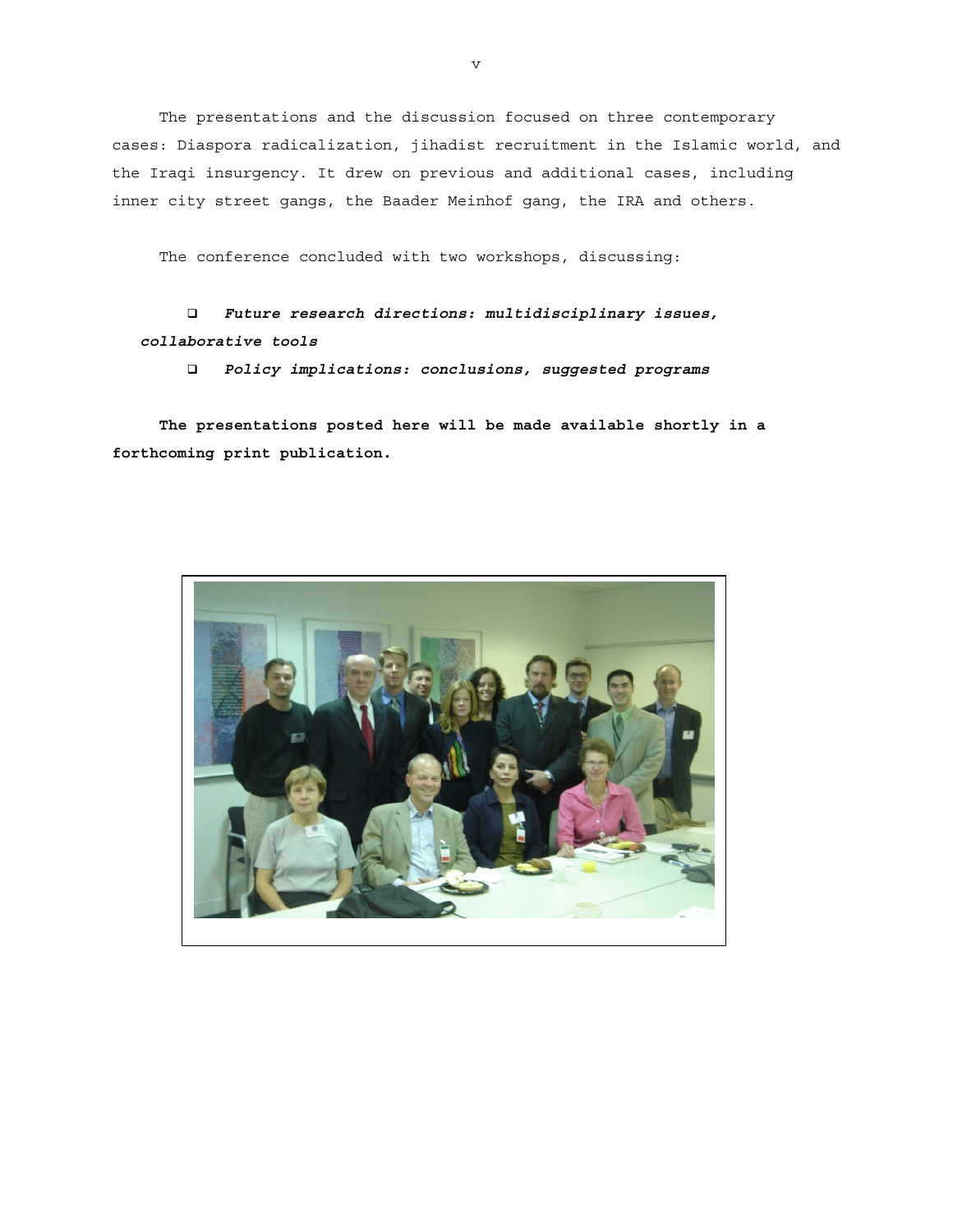The presentations and the discussion focused on three contemporary cases: Diaspora radicalization, jihadist recruitment in the Islamic world, and the Iraqi insurgency. It drew on previous and additional cases, including inner city street gangs, the Baader Meinhof gang, the IRA and others.

The conference concluded with two workshops, discussing:

 *Future research directions: multidisciplinary issues, collaborative tools* 

*Policy implications: conclusions, suggested programs* 

**The presentations posted here will be made available shortly in a forthcoming print publication.**

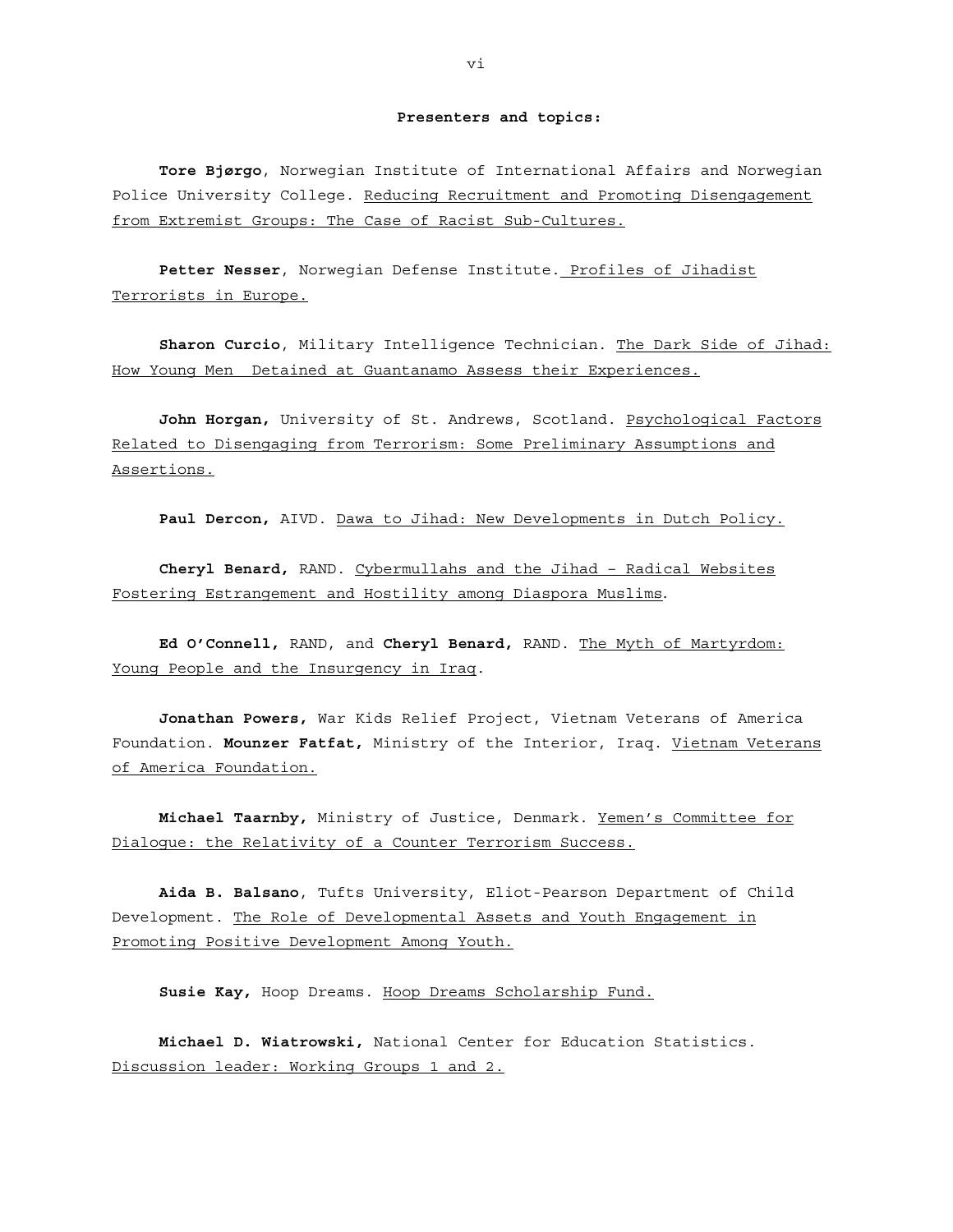#### **Presenters and topics:**

**Tore Bjørgo**, Norwegian Institute of International Affairs and Norwegian Police University College. Reducing Recruitment and Promoting Disengagement from Extremist Groups: The Case of Racist Sub-Cultures.

**Petter Nesser**, Norwegian Defense Institute. Profiles of Jihadist Terrorists in Europe.

**Sharon Curcio**, Military Intelligence Technician. The Dark Side of Jihad: How Young Men Detained at Guantanamo Assess their Experiences.

John Horgan, University of St. Andrews, Scotland. Psychological Factors Related to Disengaging from Terrorism: Some Preliminary Assumptions and Assertions.

**Paul Dercon,** AIVD. Dawa to Jihad: New Developments in Dutch Policy.

**Cheryl Benard,** RAND. Cybermullahs and the Jihad – Radical Websites Fostering Estrangement and Hostility among Diaspora Muslims.

**Ed O'Connell,** RAND, and **Cheryl Benard,** RAND. The Myth of Martyrdom: Young People and the Insurgency in Iraq.

**Jonathan Powers,** War Kids Relief Project, Vietnam Veterans of America Foundation. Mounzer Fatfat, Ministry of the Interior, Iraq. Vietnam Veterans of America Foundation.

**Michael Taarnby,** Ministry of Justice, Denmark. Yemen's Committee for Dialogue: the Relativity of a Counter Terrorism Success.

**Aida B. Balsano**, Tufts University, Eliot-Pearson Department of Child Development. The Role of Developmental Assets and Youth Engagement in Promoting Positive Development Among Youth.

**Susie Kay,** Hoop Dreams. Hoop Dreams Scholarship Fund.

**Michael D. Wiatrowski,** National Center for Education Statistics. Discussion leader: Working Groups 1 and 2.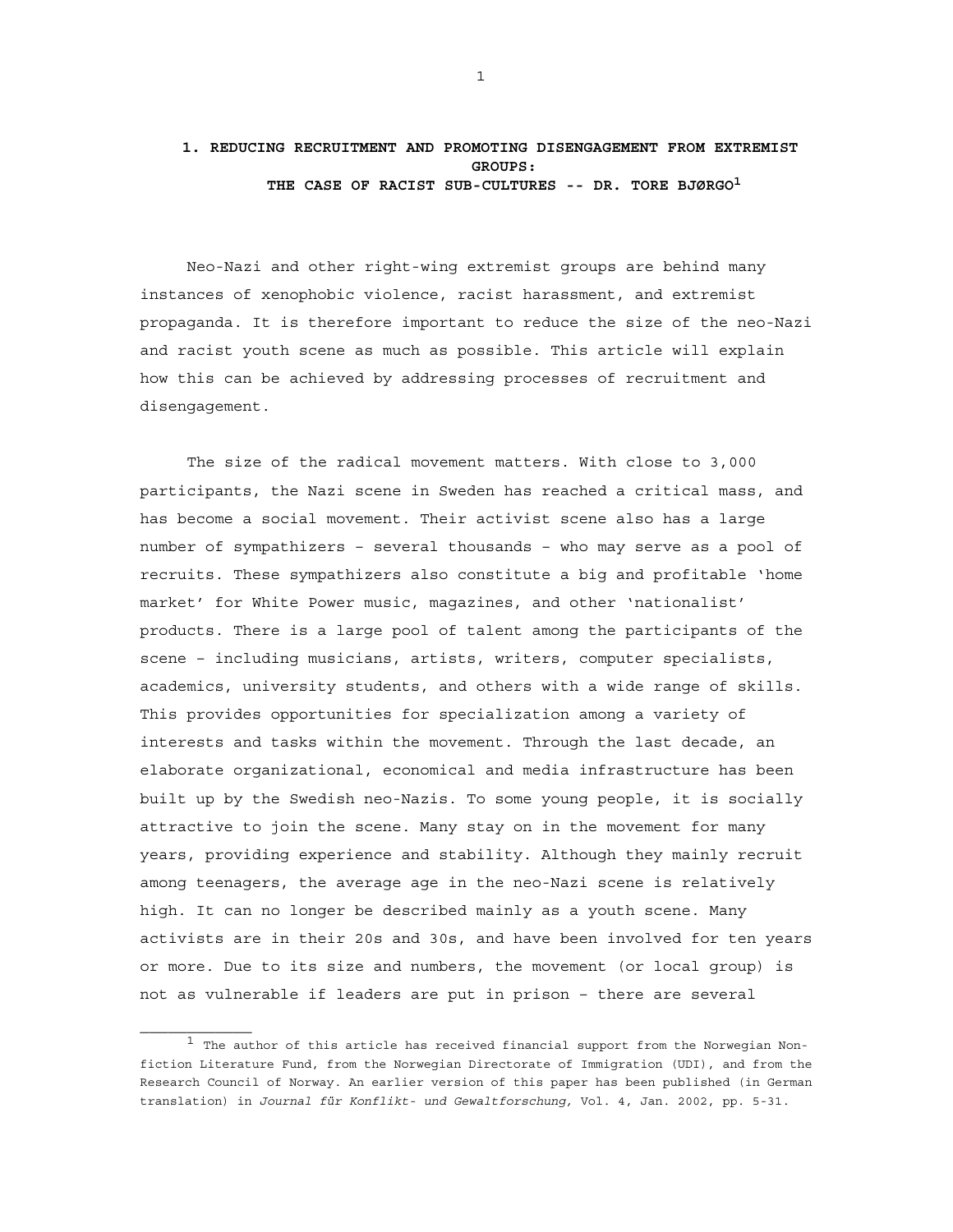#### **1. REDUCING RECRUITMENT AND PROMOTING DISENGAGEMENT FROM EXTREMIST GROUPS: THE CASE OF RACIST SUB-CULTURES -- DR. TORE BJØRGO1**

Neo-Nazi and other right-wing extremist groups are behind many instances of xenophobic violence, racist harassment, and extremist propaganda. It is therefore important to reduce the size of the neo-Nazi and racist youth scene as much as possible. This article will explain how this can be achieved by addressing processes of recruitment and disengagement.

The size of the radical movement matters. With close to 3,000 participants, the Nazi scene in Sweden has reached a critical mass, and has become a social movement. Their activist scene also has a large number of sympathizers – several thousands – who may serve as a pool of recruits. These sympathizers also constitute a big and profitable 'home market' for White Power music, magazines, and other 'nationalist' products. There is a large pool of talent among the participants of the scene – including musicians, artists, writers, computer specialists, academics, university students, and others with a wide range of skills. This provides opportunities for specialization among a variety of interests and tasks within the movement. Through the last decade, an elaborate organizational, economical and media infrastructure has been built up by the Swedish neo-Nazis. To some young people, it is socially attractive to join the scene. Many stay on in the movement for many years, providing experience and stability. Although they mainly recruit among teenagers, the average age in the neo-Nazi scene is relatively high. It can no longer be described mainly as a youth scene. Many activists are in their 20s and 30s, and have been involved for ten years or more. Due to its size and numbers, the movement (or local group) is not as vulnerable if leaders are put in prison – there are several

<sup>1</sup> The author of this article has received financial support from the Norwegian Nonfiction Literature Fund, from the Norwegian Directorate of Immigration (UDI), and from the Research Council of Norway. An earlier version of this paper has been published (in German translation) in *Journal für Konflikt- und Gewaltforschung,* Vol. 4, Jan. 2002, pp. 5-31.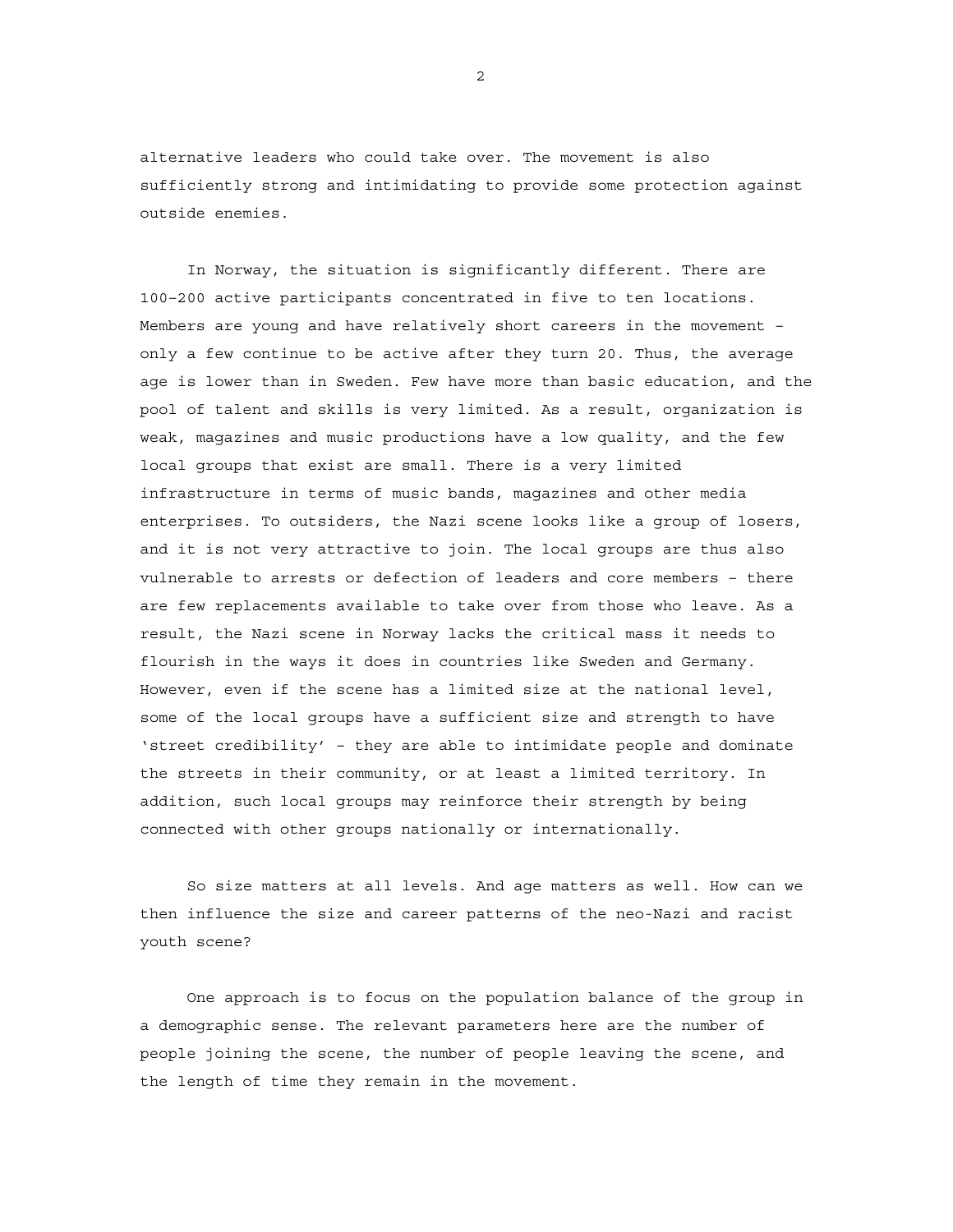alternative leaders who could take over. The movement is also sufficiently strong and intimidating to provide some protection against outside enemies.

In Norway, the situation is significantly different. There are 100–200 active participants concentrated in five to ten locations. Members are young and have relatively short careers in the movement – only a few continue to be active after they turn 20. Thus, the average age is lower than in Sweden. Few have more than basic education, and the pool of talent and skills is very limited. As a result, organization is weak, magazines and music productions have a low quality, and the few local groups that exist are small. There is a very limited infrastructure in terms of music bands, magazines and other media enterprises. To outsiders, the Nazi scene looks like a group of losers, and it is not very attractive to join. The local groups are thus also vulnerable to arrests or defection of leaders and core members – there are few replacements available to take over from those who leave. As a result, the Nazi scene in Norway lacks the critical mass it needs to flourish in the ways it does in countries like Sweden and Germany. However, even if the scene has a limited size at the national level, some of the local groups have a sufficient size and strength to have 'street credibility' – they are able to intimidate people and dominate the streets in their community, or at least a limited territory. In addition, such local groups may reinforce their strength by being connected with other groups nationally or internationally.

So size matters at all levels. And age matters as well. How can we then influence the size and career patterns of the neo-Nazi and racist youth scene?

One approach is to focus on the population balance of the group in a demographic sense. The relevant parameters here are the number of people joining the scene, the number of people leaving the scene, and the length of time they remain in the movement.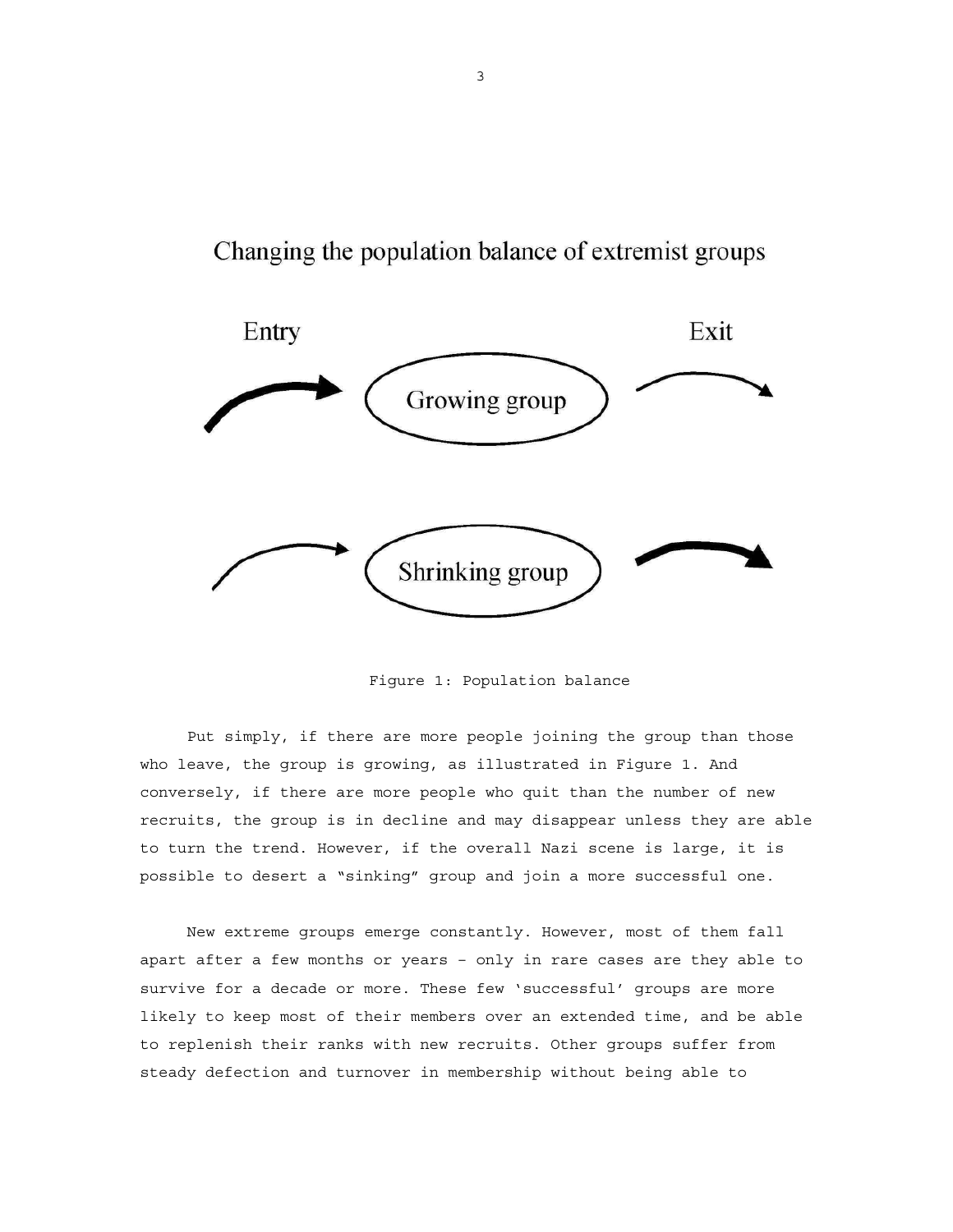## Changing the population balance of extremist groups



Figure 1: Population balance

Put simply, if there are more people joining the group than those who leave, the group is growing, as illustrated in Figure 1. And conversely, if there are more people who quit than the number of new recruits, the group is in decline and may disappear unless they are able to turn the trend. However, if the overall Nazi scene is large, it is possible to desert a "sinking" group and join a more successful one.

New extreme groups emerge constantly. However, most of them fall apart after a few months or years – only in rare cases are they able to survive for a decade or more. These few 'successful' groups are more likely to keep most of their members over an extended time, and be able to replenish their ranks with new recruits. Other groups suffer from steady defection and turnover in membership without being able to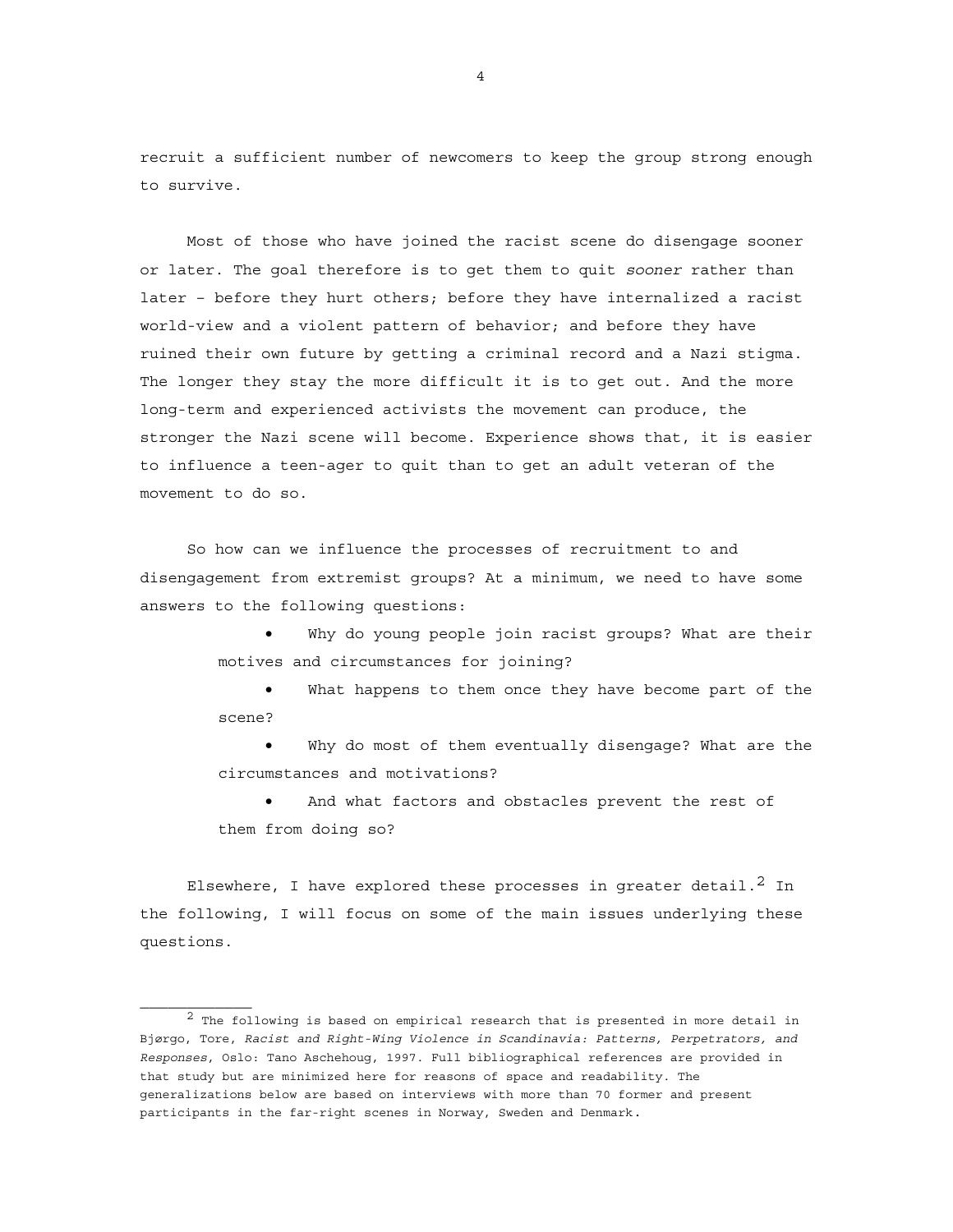recruit a sufficient number of newcomers to keep the group strong enough to survive.

Most of those who have joined the racist scene do disengage sooner or later. The goal therefore is to get them to quit *sooner* rather than later – before they hurt others; before they have internalized a racist world-view and a violent pattern of behavior; and before they have ruined their own future by getting a criminal record and a Nazi stigma. The longer they stay the more difficult it is to get out. And the more long-term and experienced activists the movement can produce, the stronger the Nazi scene will become. Experience shows that, it is easier to influence a teen-ager to quit than to get an adult veteran of the movement to do so.

So how can we influence the processes of recruitment to and disengagement from extremist groups? At a minimum, we need to have some answers to the following questions:

> Why do young people join racist groups? What are their motives and circumstances for joining?

> What happens to them once they have become part of the scene?

> Why do most of them eventually disengage? What are the circumstances and motivations?

And what factors and obstacles prevent the rest of them from doing so?

Elsewhere, I have explored these processes in greater detail.<sup>2</sup> In the following, I will focus on some of the main issues underlying these questions.

 $\mathcal{L}_\text{max}$ 

 $2$  The following is based on empirical research that is presented in more detail in Bjørgo, Tore, *Racist and Right-Wing Violence in Scandinavia: Patterns, Perpetrators, and Responses*, Oslo: Tano Aschehoug, 1997. Full bibliographical references are provided in that study but are minimized here for reasons of space and readability. The generalizations below are based on interviews with more than 70 former and present participants in the far-right scenes in Norway, Sweden and Denmark.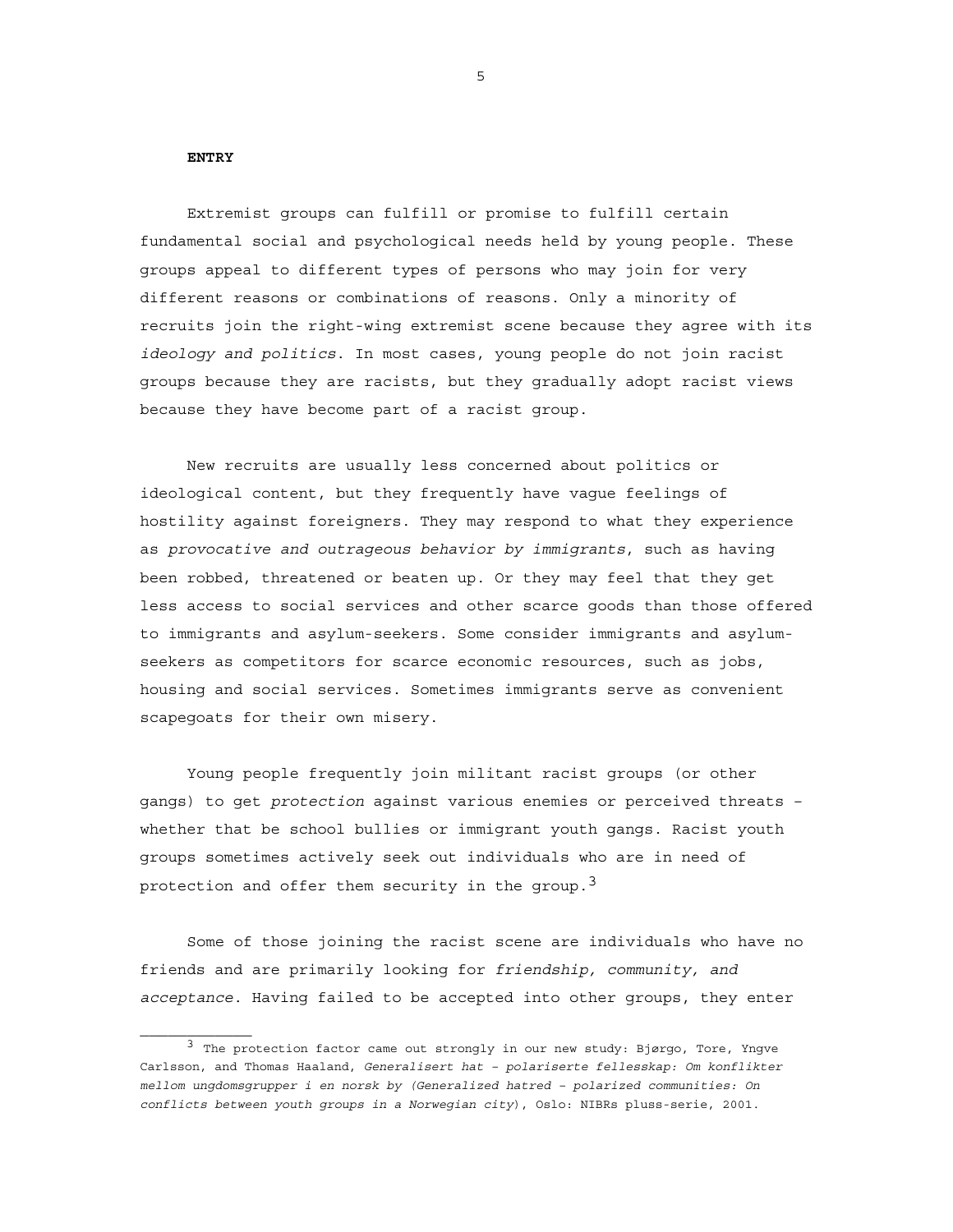#### **ENTRY**

 $\mathcal{L}_\text{max}$ 

Extremist groups can fulfill or promise to fulfill certain fundamental social and psychological needs held by young people. These groups appeal to different types of persons who may join for very different reasons or combinations of reasons. Only a minority of recruits join the right-wing extremist scene because they agree with its *ideology and politics*. In most cases, young people do not join racist groups because they are racists, but they gradually adopt racist views because they have become part of a racist group.

New recruits are usually less concerned about politics or ideological content, but they frequently have vague feelings of hostility against foreigners. They may respond to what they experience as *provocative and outrageous behavior by immigrants*, such as having been robbed, threatened or beaten up. Or they may feel that they get less access to social services and other scarce goods than those offered to immigrants and asylum-seekers. Some consider immigrants and asylumseekers as competitors for scarce economic resources, such as jobs, housing and social services. Sometimes immigrants serve as convenient scapegoats for their own misery.

Young people frequently join militant racist groups (or other gangs) to get *protection* against various enemies or perceived threats – whether that be school bullies or immigrant youth gangs. Racist youth groups sometimes actively seek out individuals who are in need of protection and offer them security in the group.<sup>3</sup>

Some of those joining the racist scene are individuals who have no friends and are primarily looking for *friendship, community, and acceptance*. Having failed to be accepted into other groups, they enter

 $\sim$  5  $\sim$  5  $\sim$  5  $\sim$  5  $\sim$  5  $\sim$  5  $\sim$  5  $\sim$  5  $\sim$  5  $\sim$  5  $\sim$  5  $\sim$  5  $\sim$  5  $\sim$  5  $\sim$  5  $\sim$  5  $\sim$  5  $\sim$  5  $\sim$  5  $\sim$  5  $\sim$  5  $\sim$  5  $\sim$  5  $\sim$  5  $\sim$  5  $\sim$  5  $\sim$  5  $\sim$  5  $\sim$  5  $\sim$  5  $\sim$  5  $\sim$ 

<sup>3</sup> The protection factor came out strongly in our new study: Bjørgo, Tore, Yngve Carlsson, and Thomas Haaland, *Generalisert hat – polariserte fellesskap: Om konflikter mellom ungdomsgrupper i en norsk by (Generalized hatred – polarized communities: On conflicts between youth groups in a Norwegian city*), Oslo: NIBRs pluss-serie, 2001.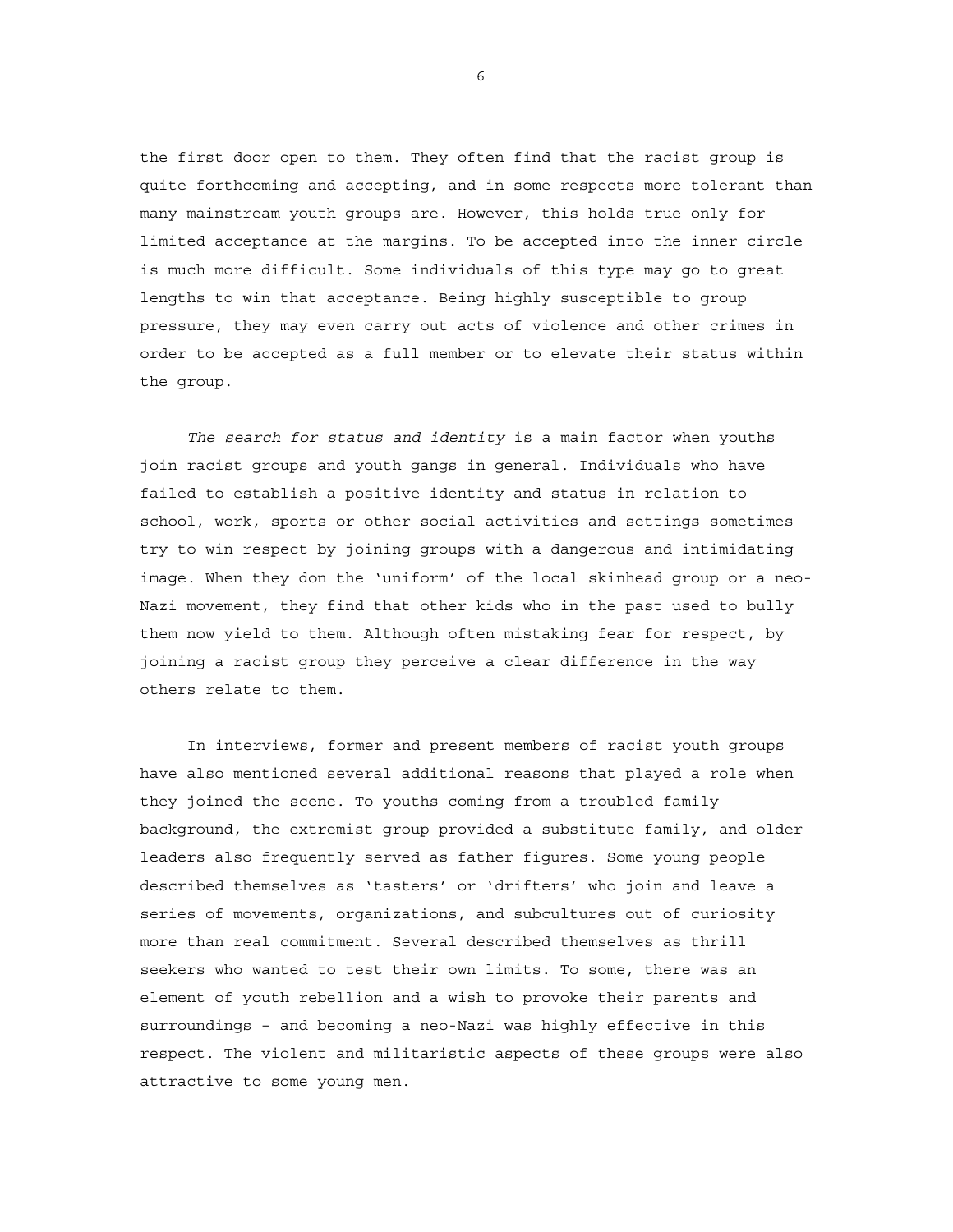the first door open to them. They often find that the racist group is quite forthcoming and accepting, and in some respects more tolerant than many mainstream youth groups are. However, this holds true only for limited acceptance at the margins. To be accepted into the inner circle is much more difficult. Some individuals of this type may go to great lengths to win that acceptance. Being highly susceptible to group pressure, they may even carry out acts of violence and other crimes in order to be accepted as a full member or to elevate their status within the group.

*The search for status and identity* is a main factor when youths join racist groups and youth gangs in general. Individuals who have failed to establish a positive identity and status in relation to school, work, sports or other social activities and settings sometimes try to win respect by joining groups with a dangerous and intimidating image. When they don the 'uniform' of the local skinhead group or a neo-Nazi movement, they find that other kids who in the past used to bully them now yield to them. Although often mistaking fear for respect, by joining a racist group they perceive a clear difference in the way others relate to them.

In interviews, former and present members of racist youth groups have also mentioned several additional reasons that played a role when they joined the scene. To youths coming from a troubled family background, the extremist group provided a substitute family, and older leaders also frequently served as father figures. Some young people described themselves as 'tasters' or 'drifters' who join and leave a series of movements, organizations, and subcultures out of curiosity more than real commitment. Several described themselves as thrill seekers who wanted to test their own limits. To some, there was an element of youth rebellion and a wish to provoke their parents and surroundings – and becoming a neo-Nazi was highly effective in this respect. The violent and militaristic aspects of these groups were also attractive to some young men.

 $\sim$  6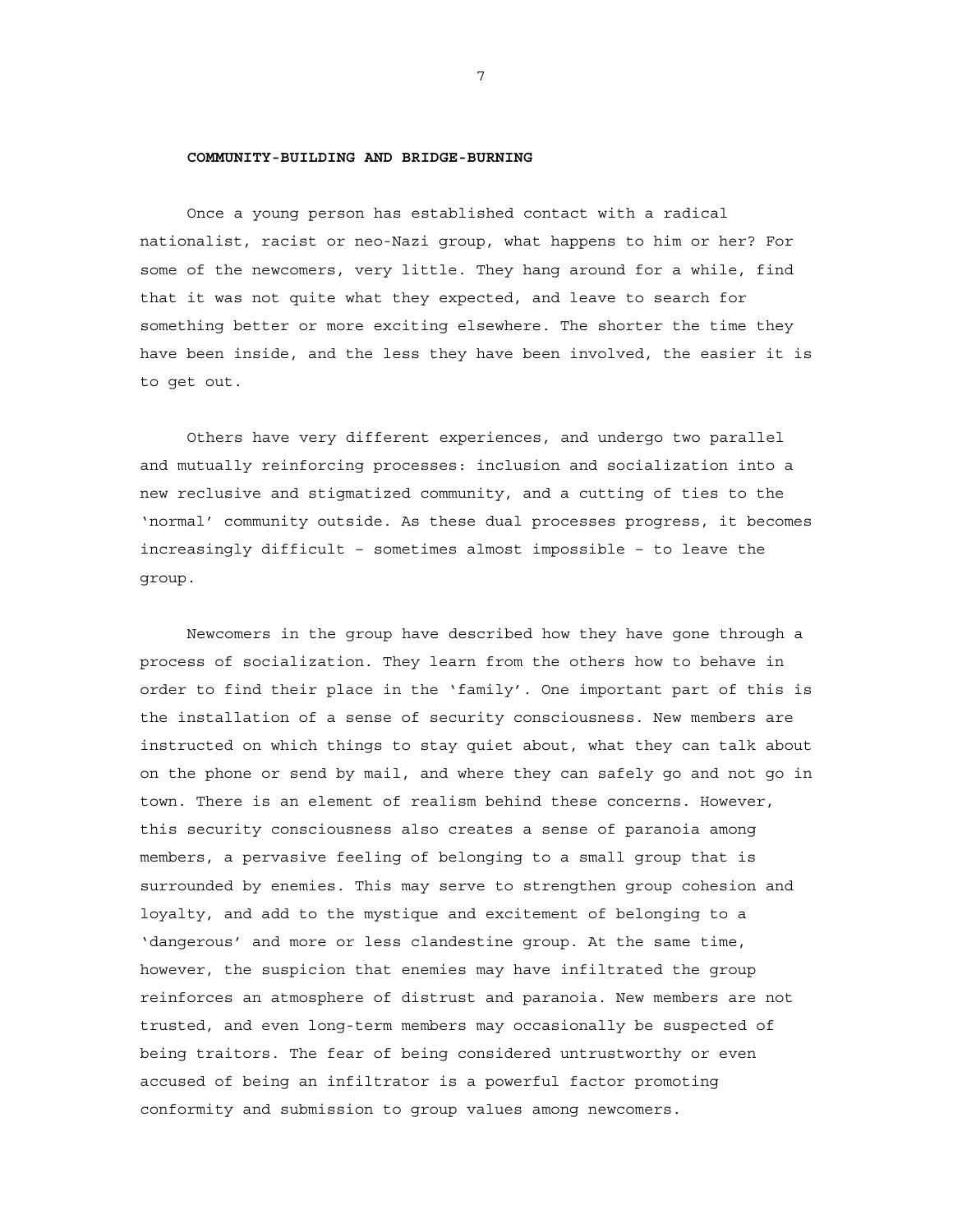#### **COMMUNITY-BUILDING AND BRIDGE-BURNING**

Once a young person has established contact with a radical nationalist, racist or neo-Nazi group, what happens to him or her? For some of the newcomers, very little. They hang around for a while, find that it was not quite what they expected, and leave to search for something better or more exciting elsewhere. The shorter the time they have been inside, and the less they have been involved, the easier it is to get out.

Others have very different experiences, and undergo two parallel and mutually reinforcing processes: inclusion and socialization into a new reclusive and stigmatized community, and a cutting of ties to the 'normal' community outside. As these dual processes progress, it becomes increasingly difficult – sometimes almost impossible – to leave the group.

Newcomers in the group have described how they have gone through a process of socialization. They learn from the others how to behave in order to find their place in the 'family'. One important part of this is the installation of a sense of security consciousness. New members are instructed on which things to stay quiet about, what they can talk about on the phone or send by mail, and where they can safely go and not go in town. There is an element of realism behind these concerns. However, this security consciousness also creates a sense of paranoia among members, a pervasive feeling of belonging to a small group that is surrounded by enemies. This may serve to strengthen group cohesion and loyalty, and add to the mystique and excitement of belonging to a 'dangerous' and more or less clandestine group. At the same time, however, the suspicion that enemies may have infiltrated the group reinforces an atmosphere of distrust and paranoia. New members are not trusted, and even long-term members may occasionally be suspected of being traitors. The fear of being considered untrustworthy or even accused of being an infiltrator is a powerful factor promoting conformity and submission to group values among newcomers.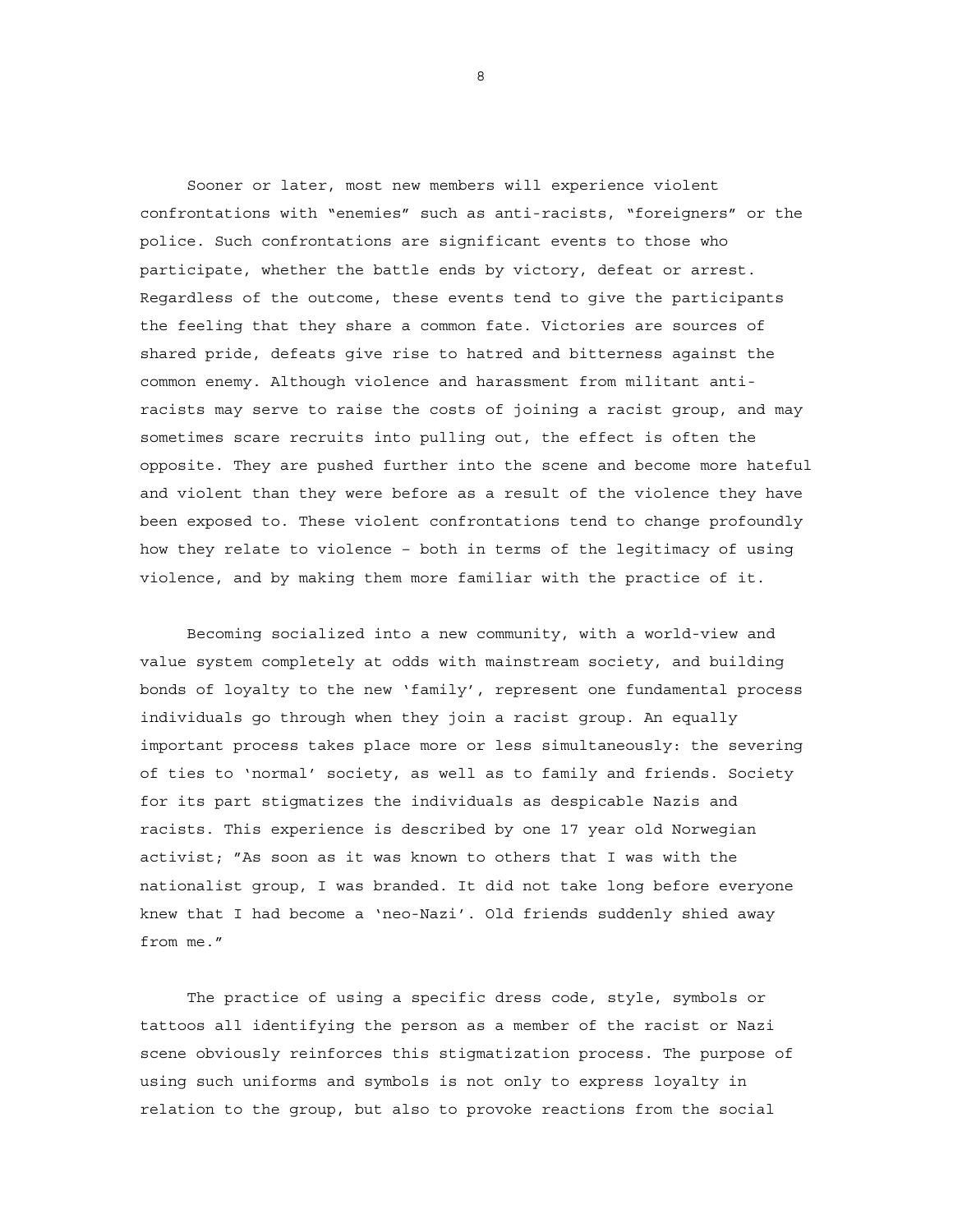Sooner or later, most new members will experience violent confrontations with "enemies" such as anti-racists, "foreigners" or the police. Such confrontations are significant events to those who participate, whether the battle ends by victory, defeat or arrest. Regardless of the outcome, these events tend to give the participants the feeling that they share a common fate. Victories are sources of shared pride, defeats give rise to hatred and bitterness against the common enemy. Although violence and harassment from militant antiracists may serve to raise the costs of joining a racist group, and may sometimes scare recruits into pulling out, the effect is often the opposite. They are pushed further into the scene and become more hateful and violent than they were before as a result of the violence they have been exposed to. These violent confrontations tend to change profoundly how they relate to violence – both in terms of the legitimacy of using violence, and by making them more familiar with the practice of it.

Becoming socialized into a new community, with a world-view and value system completely at odds with mainstream society, and building bonds of loyalty to the new 'family', represent one fundamental process individuals go through when they join a racist group. An equally important process takes place more or less simultaneously: the severing of ties to 'normal' society, as well as to family and friends. Society for its part stigmatizes the individuals as despicable Nazis and racists. This experience is described by one 17 year old Norwegian activist; "As soon as it was known to others that I was with the nationalist group, I was branded. It did not take long before everyone knew that I had become a 'neo-Nazi'. Old friends suddenly shied away from me."

The practice of using a specific dress code, style, symbols or tattoos all identifying the person as a member of the racist or Nazi scene obviously reinforces this stigmatization process. The purpose of using such uniforms and symbols is not only to express loyalty in relation to the group, but also to provoke reactions from the social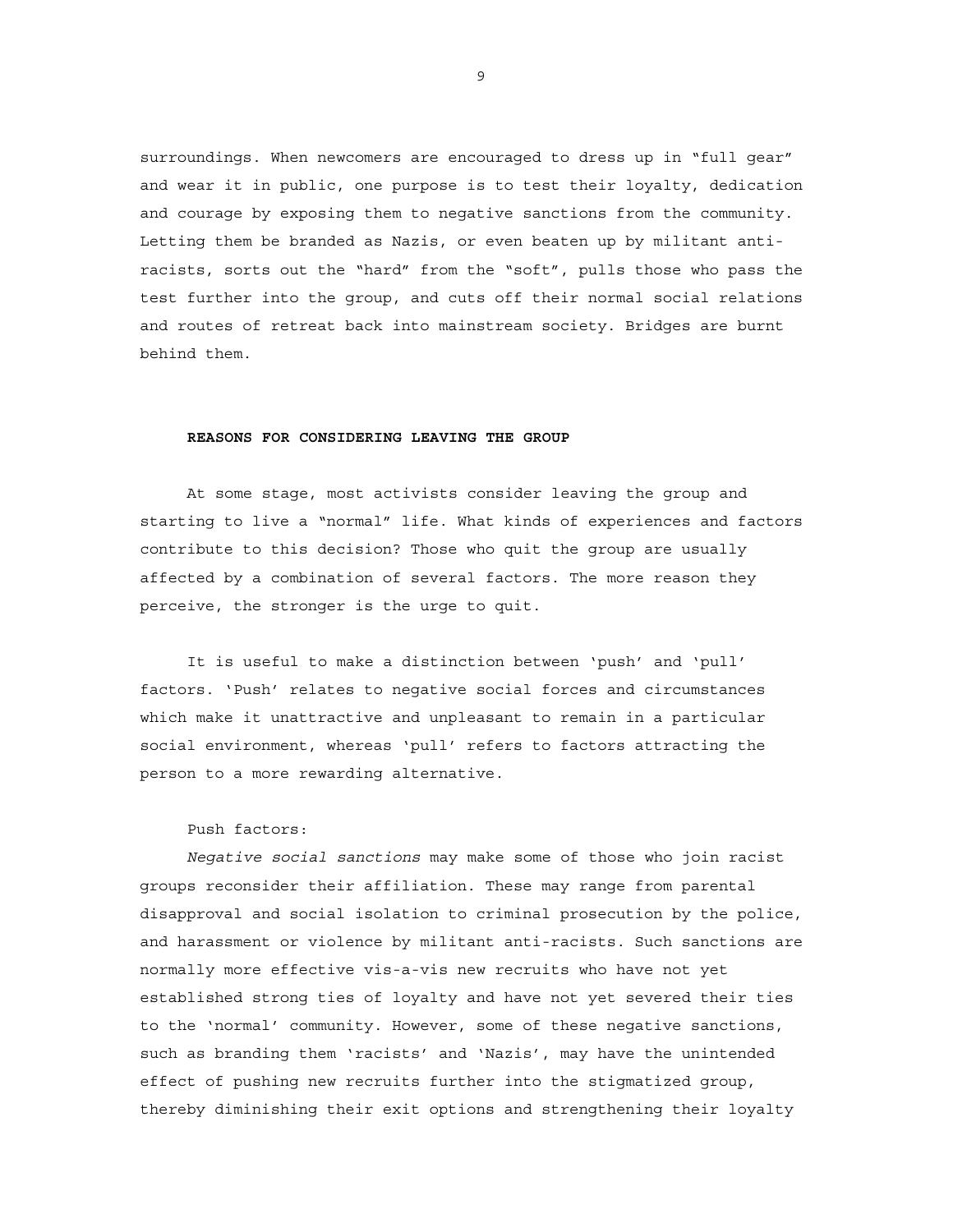surroundings. When newcomers are encouraged to dress up in "full gear" and wear it in public, one purpose is to test their loyalty, dedication and courage by exposing them to negative sanctions from the community. Letting them be branded as Nazis, or even beaten up by militant antiracists, sorts out the "hard" from the "soft", pulls those who pass the test further into the group, and cuts off their normal social relations and routes of retreat back into mainstream society. Bridges are burnt behind them.

#### **REASONS FOR CONSIDERING LEAVING THE GROUP**

At some stage, most activists consider leaving the group and starting to live a "normal" life. What kinds of experiences and factors contribute to this decision? Those who quit the group are usually affected by a combination of several factors. The more reason they perceive, the stronger is the urge to quit.

It is useful to make a distinction between 'push' and 'pull' factors. 'Push' relates to negative social forces and circumstances which make it unattractive and unpleasant to remain in a particular social environment, whereas 'pull' refers to factors attracting the person to a more rewarding alternative.

#### Push factors:

*Negative social sanctions* may make some of those who join racist groups reconsider their affiliation. These may range from parental disapproval and social isolation to criminal prosecution by the police, and harassment or violence by militant anti-racists. Such sanctions are normally more effective vis-a-vis new recruits who have not yet established strong ties of loyalty and have not yet severed their ties to the 'normal' community. However, some of these negative sanctions, such as branding them 'racists' and 'Nazis', may have the unintended effect of pushing new recruits further into the stigmatized group, thereby diminishing their exit options and strengthening their loyalty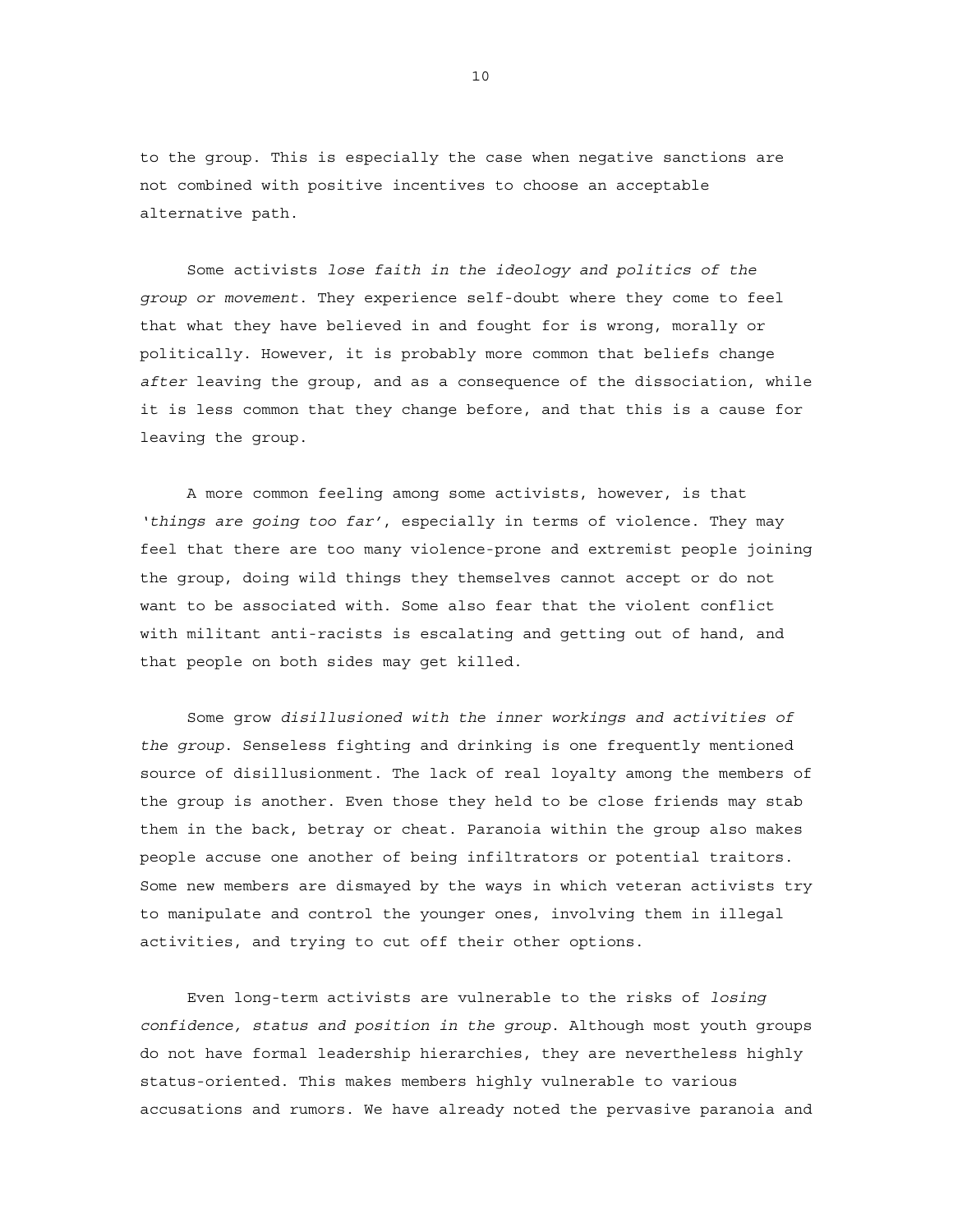to the group. This is especially the case when negative sanctions are not combined with positive incentives to choose an acceptable alternative path.

Some activists *lose faith in the ideology and politics of the group or movement*. They experience self-doubt where they come to feel that what they have believed in and fought for is wrong, morally or politically. However, it is probably more common that beliefs change *after* leaving the group, and as a consequence of the dissociation, while it is less common that they change before, and that this is a cause for leaving the group.

A more common feeling among some activists, however, is that *'things are going too far'*, especially in terms of violence. They may feel that there are too many violence-prone and extremist people joining the group, doing wild things they themselves cannot accept or do not want to be associated with. Some also fear that the violent conflict with militant anti-racists is escalating and getting out of hand, and that people on both sides may get killed.

Some grow *disillusioned with the inner workings and activities of the group*. Senseless fighting and drinking is one frequently mentioned source of disillusionment. The lack of real loyalty among the members of the group is another. Even those they held to be close friends may stab them in the back, betray or cheat. Paranoia within the group also makes people accuse one another of being infiltrators or potential traitors. Some new members are dismayed by the ways in which veteran activists try to manipulate and control the younger ones, involving them in illegal activities, and trying to cut off their other options.

Even long-term activists are vulnerable to the risks of *losing confidence, status and position in the group*. Although most youth groups do not have formal leadership hierarchies, they are nevertheless highly status-oriented. This makes members highly vulnerable to various accusations and rumors. We have already noted the pervasive paranoia and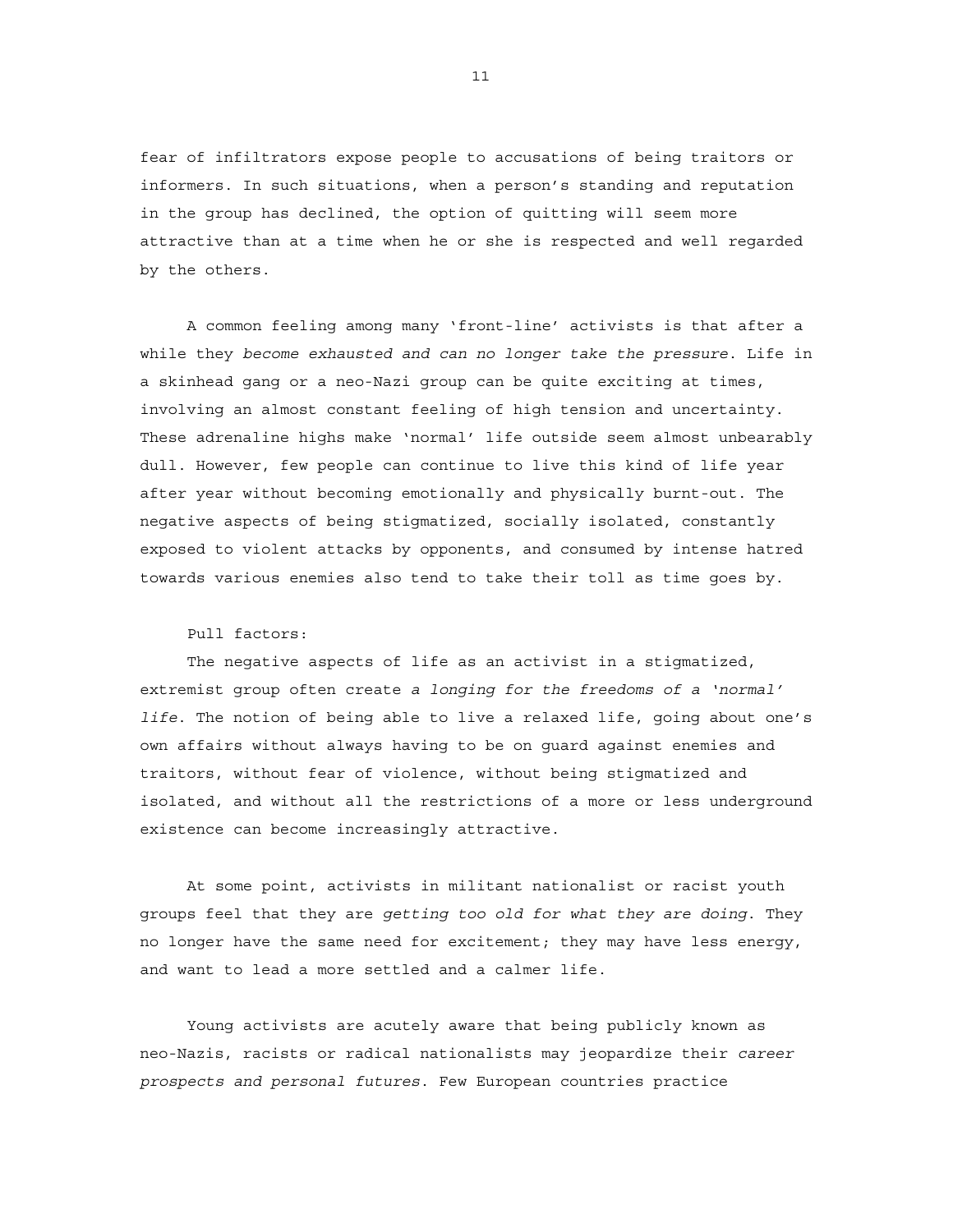fear of infiltrators expose people to accusations of being traitors or informers. In such situations, when a person's standing and reputation in the group has declined, the option of quitting will seem more attractive than at a time when he or she is respected and well regarded by the others.

A common feeling among many 'front-line' activists is that after a while they *become exhausted and can no longer take the pressure*. Life in a skinhead gang or a neo-Nazi group can be quite exciting at times, involving an almost constant feeling of high tension and uncertainty. These adrenaline highs make 'normal' life outside seem almost unbearably dull. However, few people can continue to live this kind of life year after year without becoming emotionally and physically burnt-out. The negative aspects of being stigmatized, socially isolated, constantly exposed to violent attacks by opponents, and consumed by intense hatred towards various enemies also tend to take their toll as time goes by.

#### Pull factors:

The negative aspects of life as an activist in a stigmatized, extremist group often create *a longing for the freedoms of a 'normal' life*. The notion of being able to live a relaxed life, going about one's own affairs without always having to be on guard against enemies and traitors, without fear of violence, without being stigmatized and isolated, and without all the restrictions of a more or less underground existence can become increasingly attractive.

At some point, activists in militant nationalist or racist youth groups feel that they are *getting too old for what they are doing*. They no longer have the same need for excitement; they may have less energy, and want to lead a more settled and a calmer life.

Young activists are acutely aware that being publicly known as neo-Nazis, racists or radical nationalists may jeopardize their *career prospects and personal futures*. Few European countries practice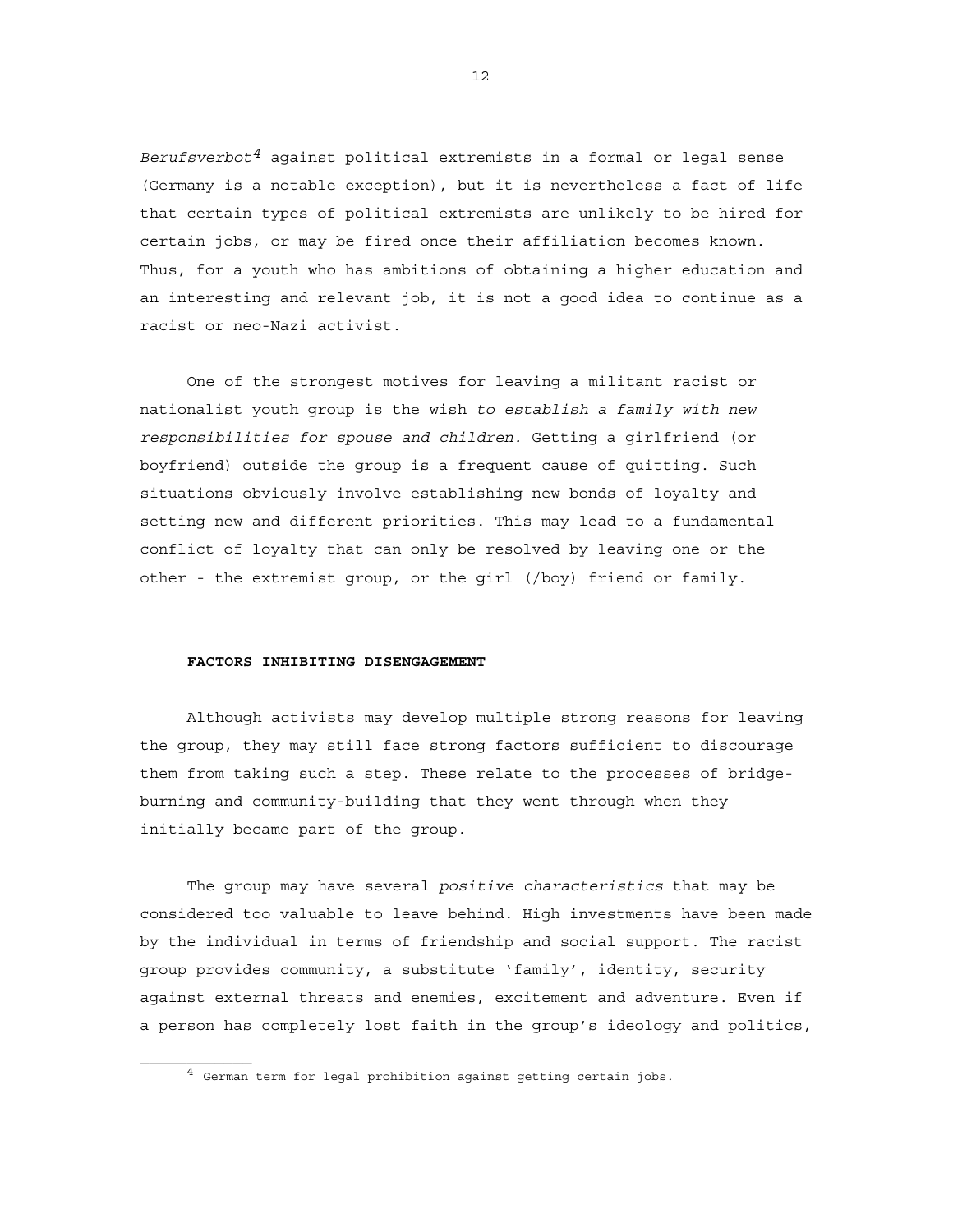*Berufsverbot4* against political extremists in a formal or legal sense (Germany is a notable exception), but it is nevertheless a fact of life that certain types of political extremists are unlikely to be hired for certain jobs, or may be fired once their affiliation becomes known. Thus, for a youth who has ambitions of obtaining a higher education and an interesting and relevant job, it is not a good idea to continue as a racist or neo-Nazi activist.

One of the strongest motives for leaving a militant racist or nationalist youth group is the wish *to establish a family with new responsibilities for spouse and children.* Getting a girlfriend (or boyfriend) outside the group is a frequent cause of quitting. Such situations obviously involve establishing new bonds of loyalty and setting new and different priorities. This may lead to a fundamental conflict of loyalty that can only be resolved by leaving one or the other - the extremist group, or the girl (/boy) friend or family.

#### **FACTORS INHIBITING DISENGAGEMENT**

 $\mathcal{L}_\text{max}$ 

Although activists may develop multiple strong reasons for leaving the group, they may still face strong factors sufficient to discourage them from taking such a step. These relate to the processes of bridgeburning and community-building that they went through when they initially became part of the group.

The group may have several *positive characteristics* that may be considered too valuable to leave behind. High investments have been made by the individual in terms of friendship and social support. The racist group provides community, a substitute 'family', identity, security against external threats and enemies, excitement and adventure. Even if a person has completely lost faith in the group's ideology and politics,

<sup>4</sup> German term for legal prohibition against getting certain jobs.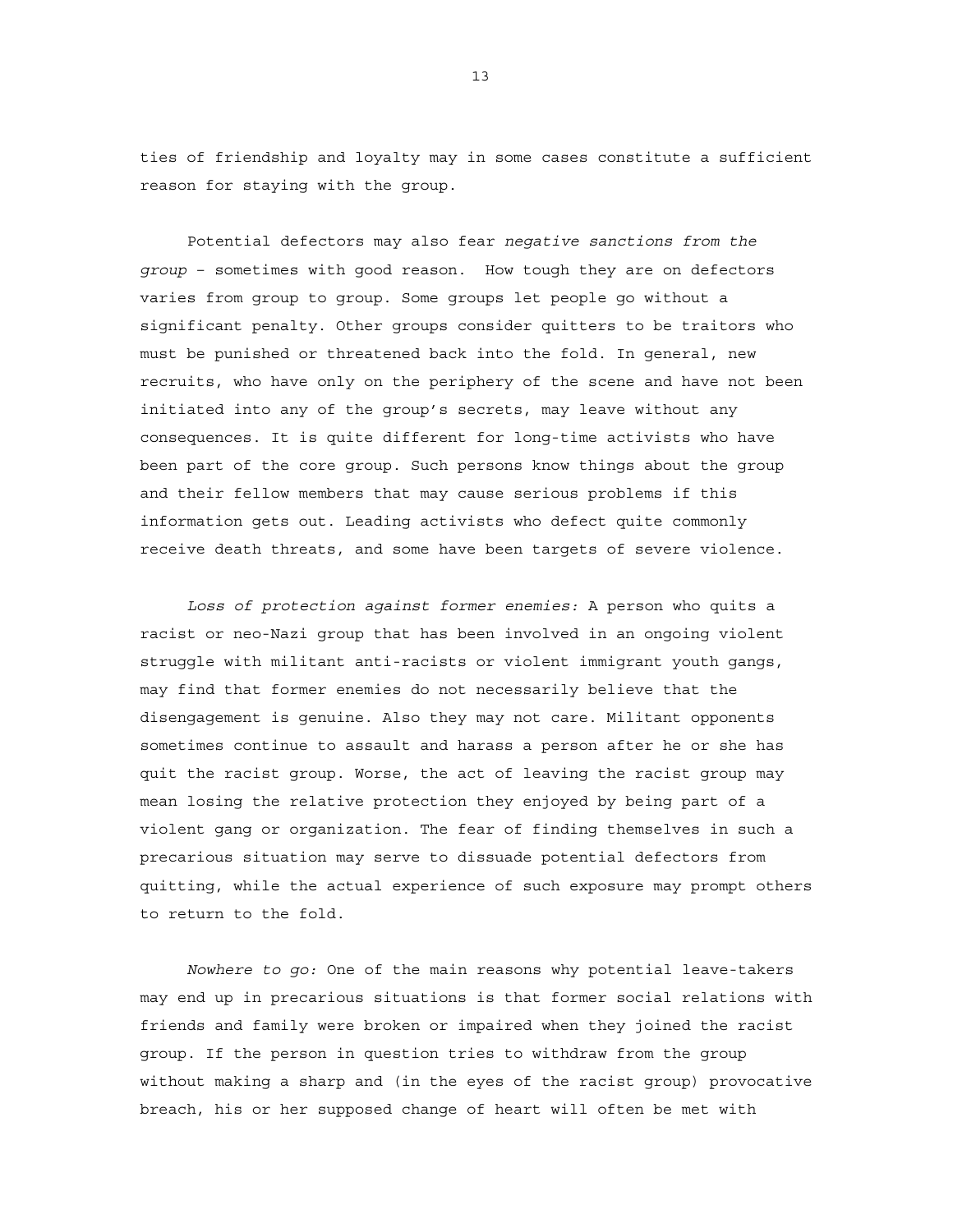ties of friendship and loyalty may in some cases constitute a sufficient reason for staying with the group.

Potential defectors may also fear *negative sanctions from the group* – sometimes with good reason. How tough they are on defectors varies from group to group. Some groups let people go without a significant penalty. Other groups consider quitters to be traitors who must be punished or threatened back into the fold. In general, new recruits, who have only on the periphery of the scene and have not been initiated into any of the group's secrets, may leave without any consequences. It is quite different for long-time activists who have been part of the core group. Such persons know things about the group and their fellow members that may cause serious problems if this information gets out. Leading activists who defect quite commonly receive death threats, and some have been targets of severe violence.

*Loss of protection against former enemies:* A person who quits a racist or neo-Nazi group that has been involved in an ongoing violent struggle with militant anti-racists or violent immigrant youth gangs, may find that former enemies do not necessarily believe that the disengagement is genuine. Also they may not care. Militant opponents sometimes continue to assault and harass a person after he or she has quit the racist group. Worse, the act of leaving the racist group may mean losing the relative protection they enjoyed by being part of a violent gang or organization. The fear of finding themselves in such a precarious situation may serve to dissuade potential defectors from quitting, while the actual experience of such exposure may prompt others to return to the fold.

*Nowhere to go:* One of the main reasons why potential leave-takers may end up in precarious situations is that former social relations with friends and family were broken or impaired when they joined the racist group. If the person in question tries to withdraw from the group without making a sharp and (in the eyes of the racist group) provocative breach, his or her supposed change of heart will often be met with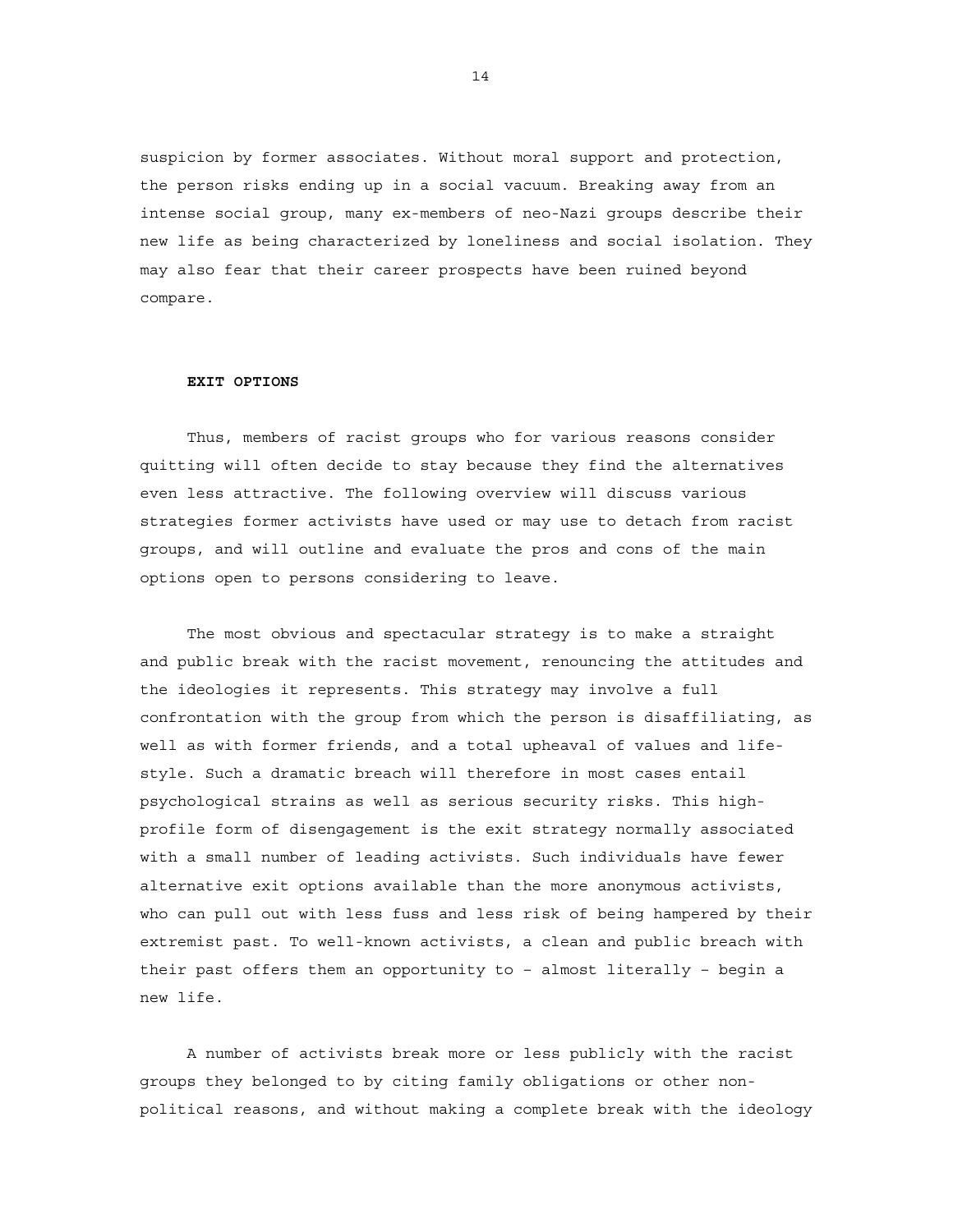suspicion by former associates. Without moral support and protection, the person risks ending up in a social vacuum. Breaking away from an intense social group, many ex-members of neo-Nazi groups describe their new life as being characterized by loneliness and social isolation. They may also fear that their career prospects have been ruined beyond compare.

#### **EXIT OPTIONS**

Thus, members of racist groups who for various reasons consider quitting will often decide to stay because they find the alternatives even less attractive. The following overview will discuss various strategies former activists have used or may use to detach from racist groups, and will outline and evaluate the pros and cons of the main options open to persons considering to leave.

The most obvious and spectacular strategy is to make a straight and public break with the racist movement, renouncing the attitudes and the ideologies it represents. This strategy may involve a full confrontation with the group from which the person is disaffiliating, as well as with former friends, and a total upheaval of values and lifestyle. Such a dramatic breach will therefore in most cases entail psychological strains as well as serious security risks. This highprofile form of disengagement is the exit strategy normally associated with a small number of leading activists. Such individuals have fewer alternative exit options available than the more anonymous activists, who can pull out with less fuss and less risk of being hampered by their extremist past. To well-known activists, a clean and public breach with their past offers them an opportunity to – almost literally – begin a new life.

A number of activists break more or less publicly with the racist groups they belonged to by citing family obligations or other nonpolitical reasons, and without making a complete break with the ideology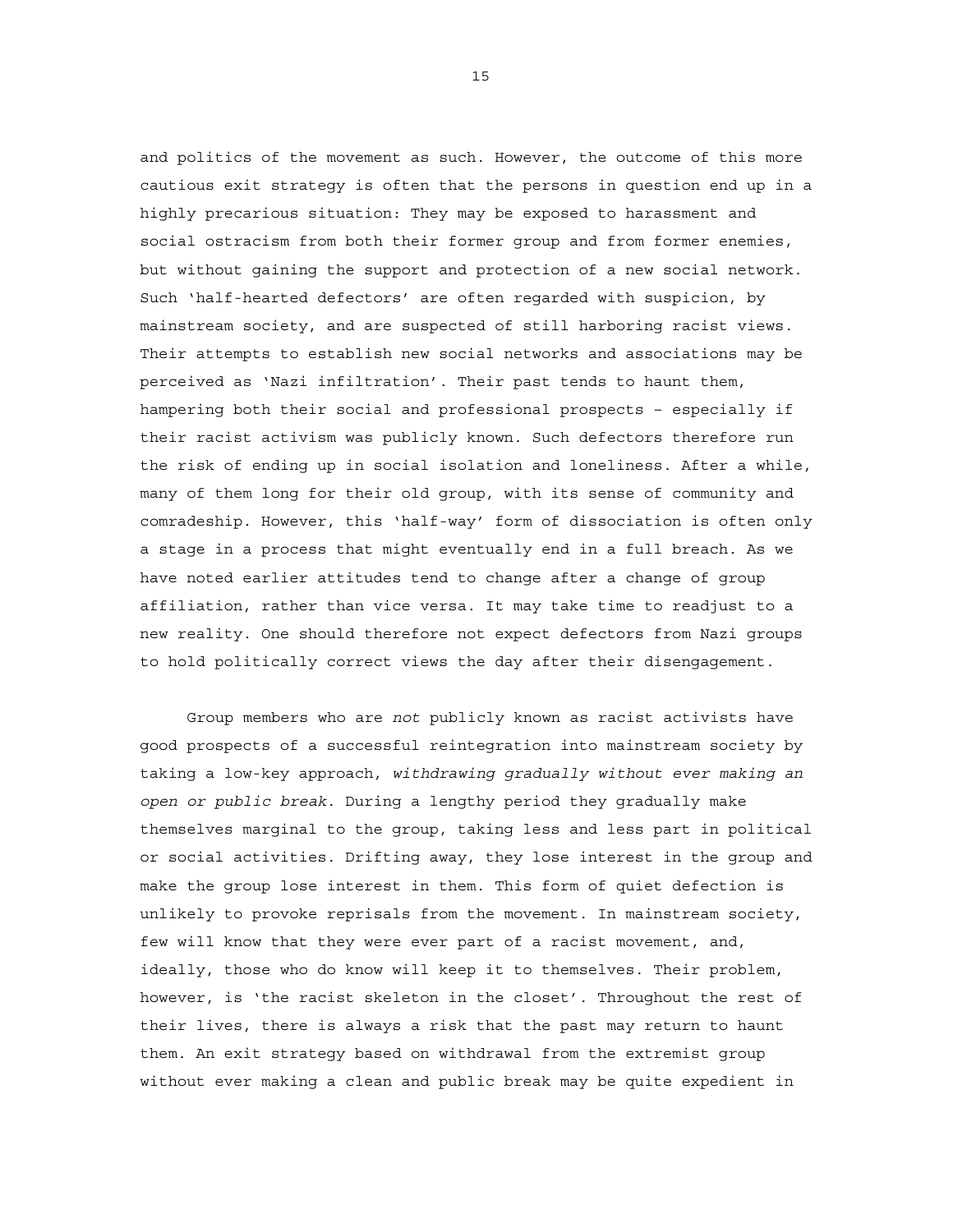and politics of the movement as such. However, the outcome of this more cautious exit strategy is often that the persons in question end up in a highly precarious situation: They may be exposed to harassment and social ostracism from both their former group and from former enemies, but without gaining the support and protection of a new social network. Such 'half-hearted defectors' are often regarded with suspicion, by mainstream society, and are suspected of still harboring racist views. Their attempts to establish new social networks and associations may be perceived as 'Nazi infiltration'. Their past tends to haunt them, hampering both their social and professional prospects – especially if their racist activism was publicly known. Such defectors therefore run the risk of ending up in social isolation and loneliness. After a while, many of them long for their old group, with its sense of community and comradeship. However, this 'half-way' form of dissociation is often only a stage in a process that might eventually end in a full breach. As we have noted earlier attitudes tend to change after a change of group affiliation, rather than vice versa. It may take time to readjust to a new reality. One should therefore not expect defectors from Nazi groups to hold politically correct views the day after their disengagement.

Group members who are *not* publicly known as racist activists have good prospects of a successful reintegration into mainstream society by taking a low-key approach, *withdrawing gradually without ever making an open or public break*. During a lengthy period they gradually make themselves marginal to the group, taking less and less part in political or social activities. Drifting away, they lose interest in the group and make the group lose interest in them. This form of quiet defection is unlikely to provoke reprisals from the movement. In mainstream society, few will know that they were ever part of a racist movement, and, ideally, those who do know will keep it to themselves. Their problem, however, is 'the racist skeleton in the closet'. Throughout the rest of their lives, there is always a risk that the past may return to haunt them. An exit strategy based on withdrawal from the extremist group without ever making a clean and public break may be quite expedient in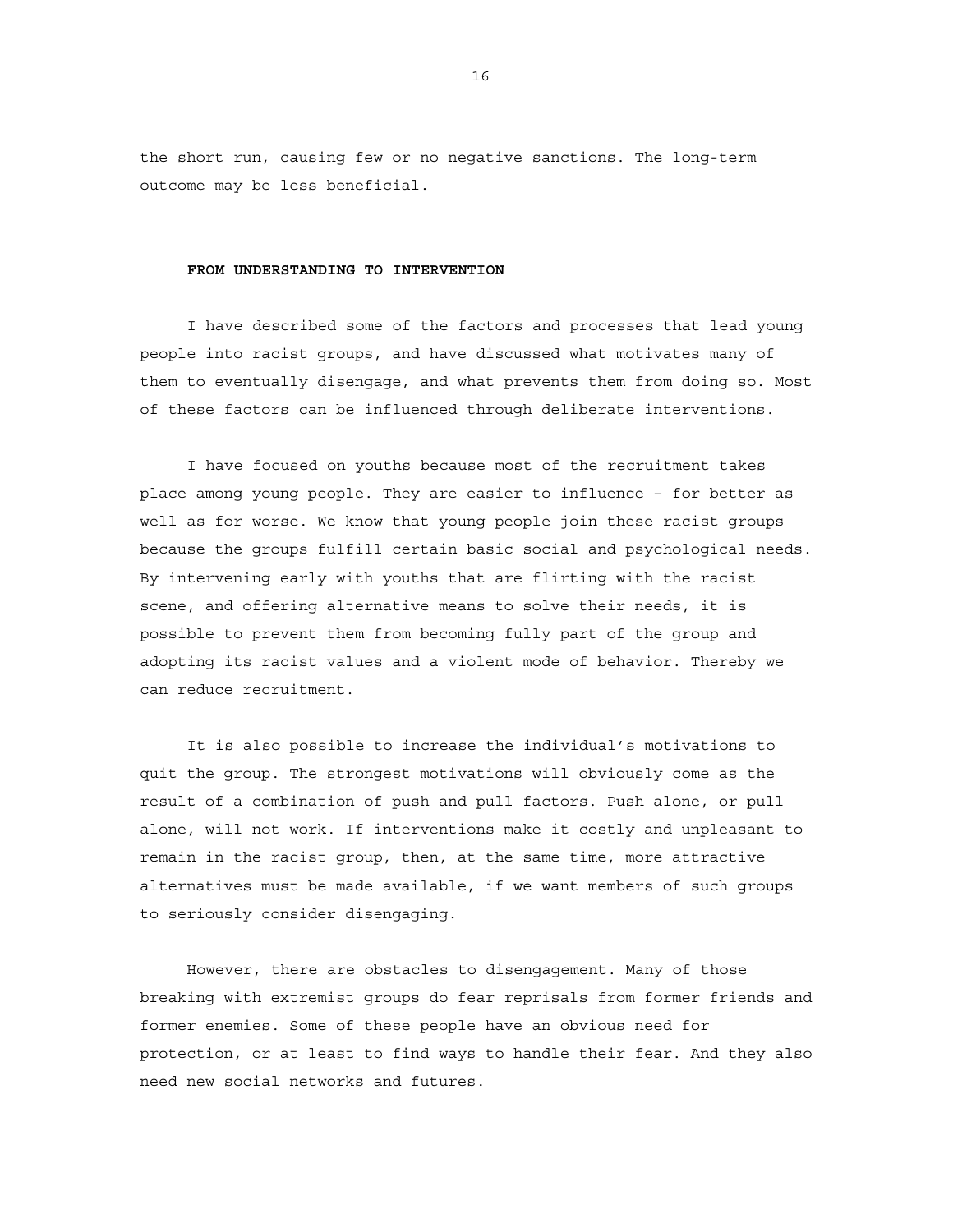the short run, causing few or no negative sanctions. The long-term outcome may be less beneficial.

#### **FROM UNDERSTANDING TO INTERVENTION**

I have described some of the factors and processes that lead young people into racist groups, and have discussed what motivates many of them to eventually disengage, and what prevents them from doing so. Most of these factors can be influenced through deliberate interventions.

I have focused on youths because most of the recruitment takes place among young people. They are easier to influence – for better as well as for worse. We know that young people join these racist groups because the groups fulfill certain basic social and psychological needs. By intervening early with youths that are flirting with the racist scene, and offering alternative means to solve their needs, it is possible to prevent them from becoming fully part of the group and adopting its racist values and a violent mode of behavior. Thereby we can reduce recruitment.

It is also possible to increase the individual's motivations to quit the group. The strongest motivations will obviously come as the result of a combination of push and pull factors. Push alone, or pull alone, will not work. If interventions make it costly and unpleasant to remain in the racist group, then, at the same time, more attractive alternatives must be made available, if we want members of such groups to seriously consider disengaging.

However, there are obstacles to disengagement. Many of those breaking with extremist groups do fear reprisals from former friends and former enemies. Some of these people have an obvious need for protection, or at least to find ways to handle their fear. And they also need new social networks and futures.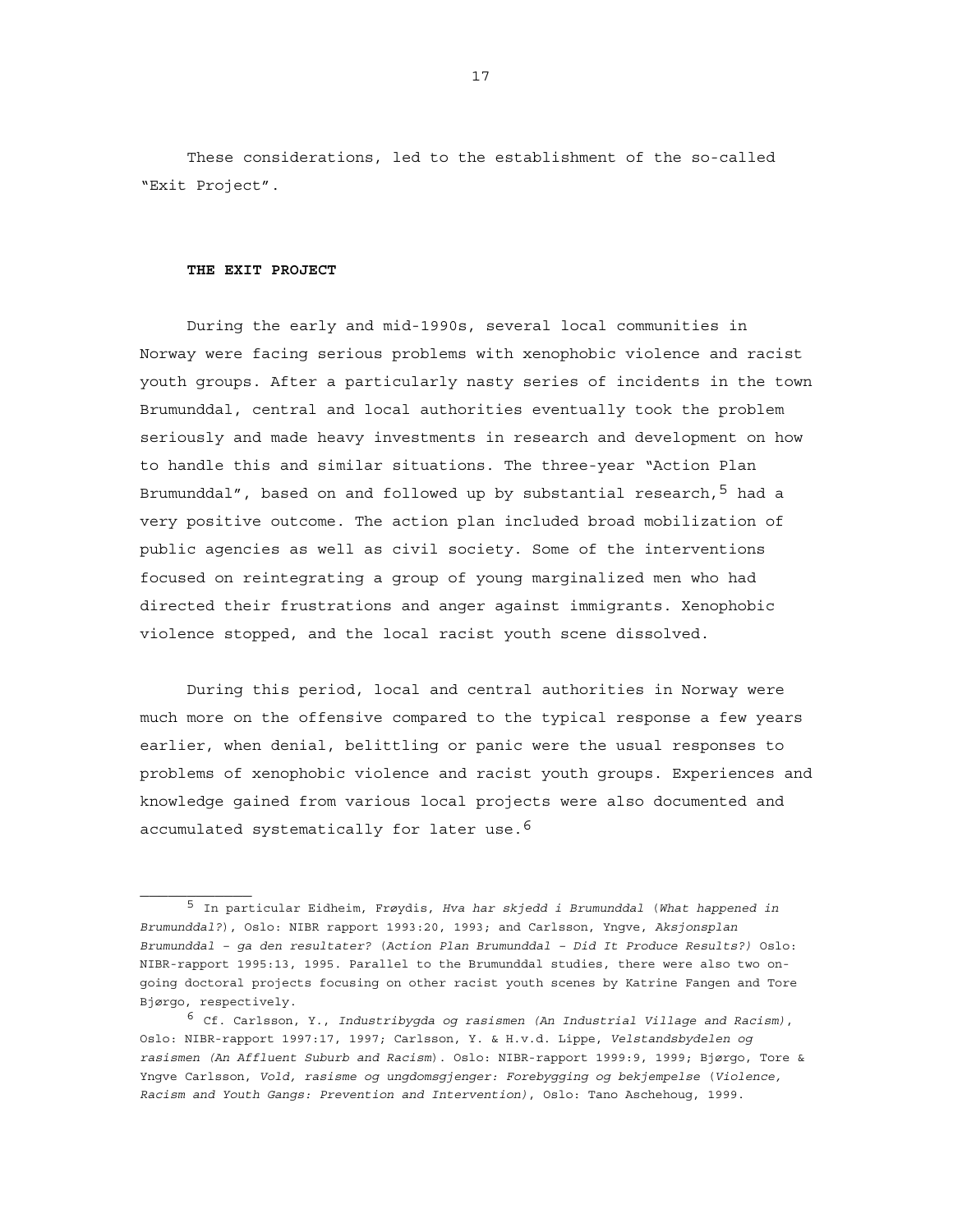These considerations, led to the establishment of the so-called "Exit Project".

#### **THE EXIT PROJECT**

 $\mathcal{L}_\text{max}$ 

During the early and mid-1990s, several local communities in Norway were facing serious problems with xenophobic violence and racist youth groups. After a particularly nasty series of incidents in the town Brumunddal, central and local authorities eventually took the problem seriously and made heavy investments in research and development on how to handle this and similar situations. The three-year "Action Plan Brumunddal", based on and followed up by substantial research,  $5$  had a very positive outcome. The action plan included broad mobilization of public agencies as well as civil society. Some of the interventions focused on reintegrating a group of young marginalized men who had directed their frustrations and anger against immigrants. Xenophobic violence stopped, and the local racist youth scene dissolved.

During this period, local and central authorities in Norway were much more on the offensive compared to the typical response a few years earlier, when denial, belittling or panic were the usual responses to problems of xenophobic violence and racist youth groups. Experiences and knowledge gained from various local projects were also documented and accumulated systematically for later use.<sup>6</sup>

<sup>5</sup> In particular Eidheim, Frøydis, *Hva har skjedd i Brumunddal* (*What happened in Brumunddal?*), Oslo: NIBR rapport 1993:20, 1993; and Carlsson, Yngve, *Aksjonsplan Brumunddal – ga den resultater?* (*Action Plan Brumunddal – Did It Produce Results?)* Oslo: NIBR-rapport 1995:13, 1995. Parallel to the Brumunddal studies, there were also two ongoing doctoral projects focusing on other racist youth scenes by Katrine Fangen and Tore Bjørgo, respectively.

<sup>6</sup> Cf. Carlsson, Y., *Industribygda og rasismen (An Industrial Village and Racism)*, Oslo: NIBR-rapport 1997:17, 1997; Carlsson, Y. & H.v.d. Lippe, *Velstandsbydelen og rasismen (An Affluent Suburb and Racism*). Oslo: NIBR-rapport 1999:9, 1999; Bjørgo, Tore & Yngve Carlsson, *Vold, rasisme og ungdomsgjenger: Forebygging og bekjempelse* (*Violence, Racism and Youth Gangs: Prevention and Intervention)*, Oslo: Tano Aschehoug, 1999.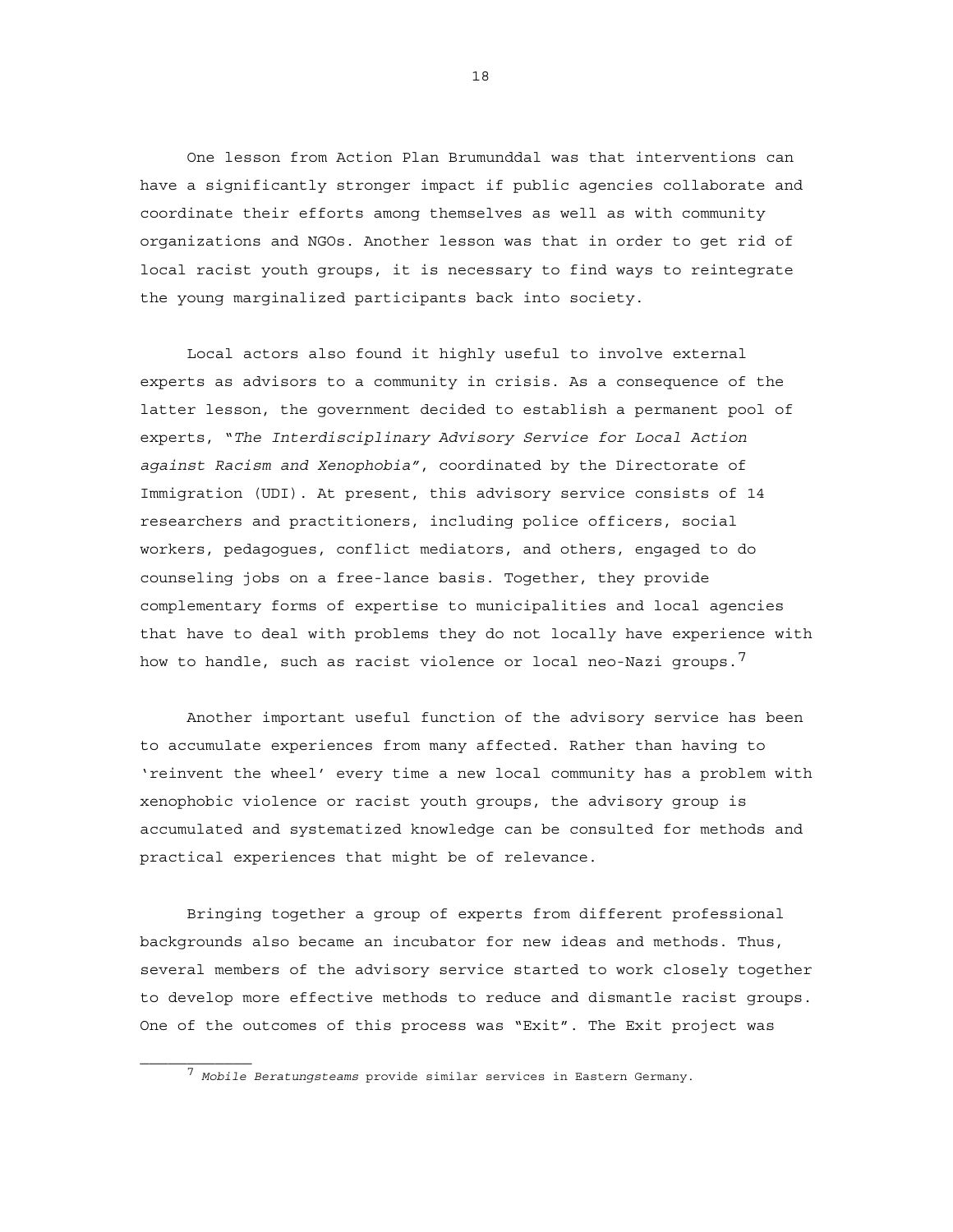One lesson from Action Plan Brumunddal was that interventions can have a significantly stronger impact if public agencies collaborate and coordinate their efforts among themselves as well as with community organizations and NGOs. Another lesson was that in order to get rid of local racist youth groups, it is necessary to find ways to reintegrate the young marginalized participants back into society.

Local actors also found it highly useful to involve external experts as advisors to a community in crisis. As a consequence of the latter lesson, the government decided to establish a permanent pool of experts, "*The Interdisciplinary Advisory Service for Local Action against Racism and Xenophobia"*, coordinated by the Directorate of Immigration (UDI). At present, this advisory service consists of 14 researchers and practitioners, including police officers, social workers, pedagogues, conflict mediators, and others, engaged to do counseling jobs on a free-lance basis. Together, they provide complementary forms of expertise to municipalities and local agencies that have to deal with problems they do not locally have experience with how to handle, such as racist violence or local neo-Nazi groups.<sup>7</sup>

Another important useful function of the advisory service has been to accumulate experiences from many affected. Rather than having to 'reinvent the wheel' every time a new local community has a problem with xenophobic violence or racist youth groups, the advisory group is accumulated and systematized knowledge can be consulted for methods and practical experiences that might be of relevance.

Bringing together a group of experts from different professional backgrounds also became an incubator for new ideas and methods. Thus, several members of the advisory service started to work closely together to develop more effective methods to reduce and dismantle racist groups. One of the outcomes of this process was "Exit". The Exit project was

 $\mathcal{L}_\text{max}$ 

<sup>7</sup> *Mobile Beratungsteams* provide similar services in Eastern Germany.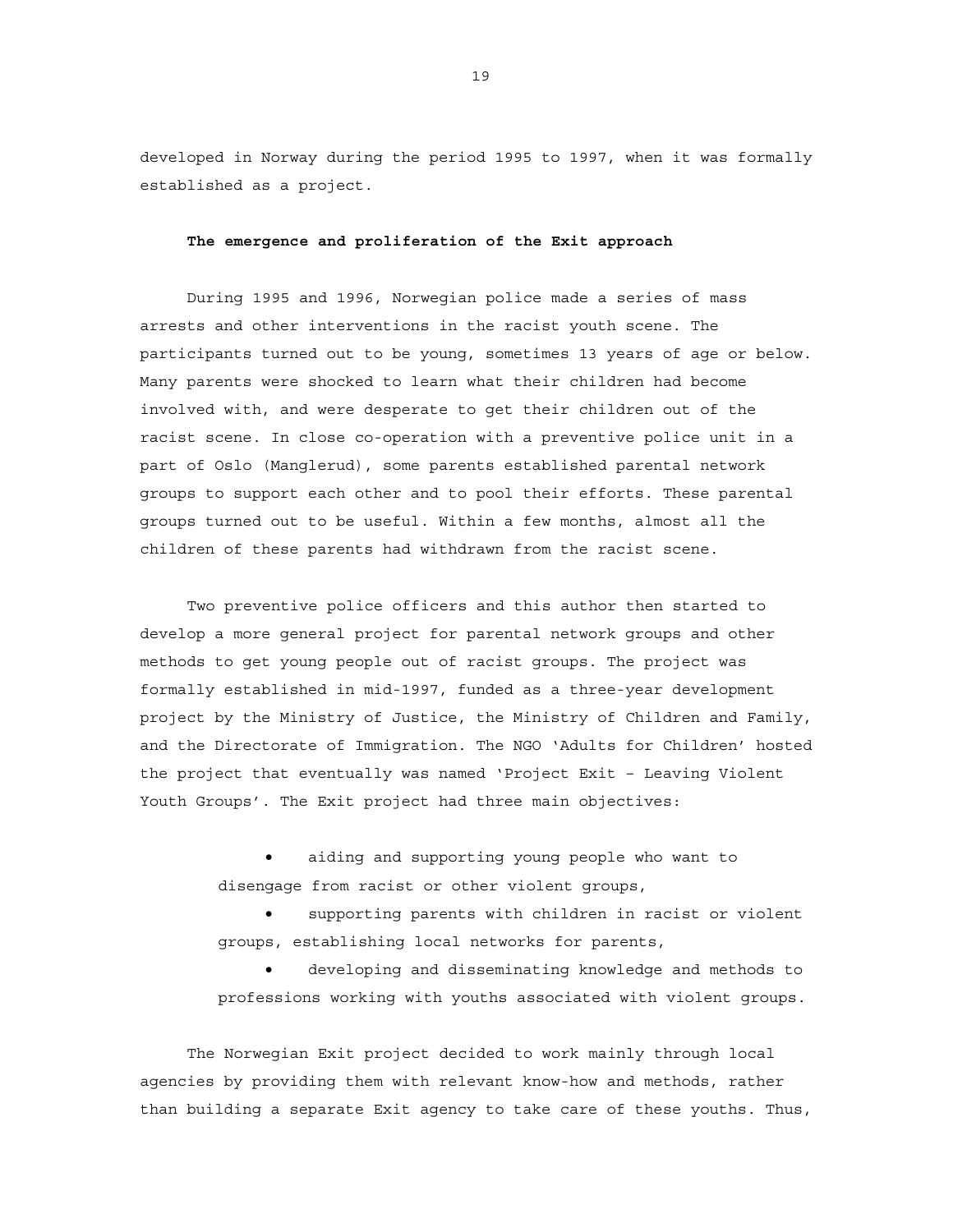developed in Norway during the period 1995 to 1997, when it was formally established as a project.

#### **The emergence and proliferation of the Exit approach**

During 1995 and 1996, Norwegian police made a series of mass arrests and other interventions in the racist youth scene. The participants turned out to be young, sometimes 13 years of age or below. Many parents were shocked to learn what their children had become involved with, and were desperate to get their children out of the racist scene. In close co-operation with a preventive police unit in a part of Oslo (Manglerud), some parents established parental network groups to support each other and to pool their efforts. These parental groups turned out to be useful. Within a few months, almost all the children of these parents had withdrawn from the racist scene.

Two preventive police officers and this author then started to develop a more general project for parental network groups and other methods to get young people out of racist groups. The project was formally established in mid-1997, funded as a three-year development project by the Ministry of Justice, the Ministry of Children and Family, and the Directorate of Immigration. The NGO 'Adults for Children' hosted the project that eventually was named 'Project Exit – Leaving Violent Youth Groups'. The Exit project had three main objectives:

> aiding and supporting young people who want to disengage from racist or other violent groups,

supporting parents with children in racist or violent groups, establishing local networks for parents,

developing and disseminating knowledge and methods to professions working with youths associated with violent groups.

The Norwegian Exit project decided to work mainly through local agencies by providing them with relevant know-how and methods, rather than building a separate Exit agency to take care of these youths. Thus,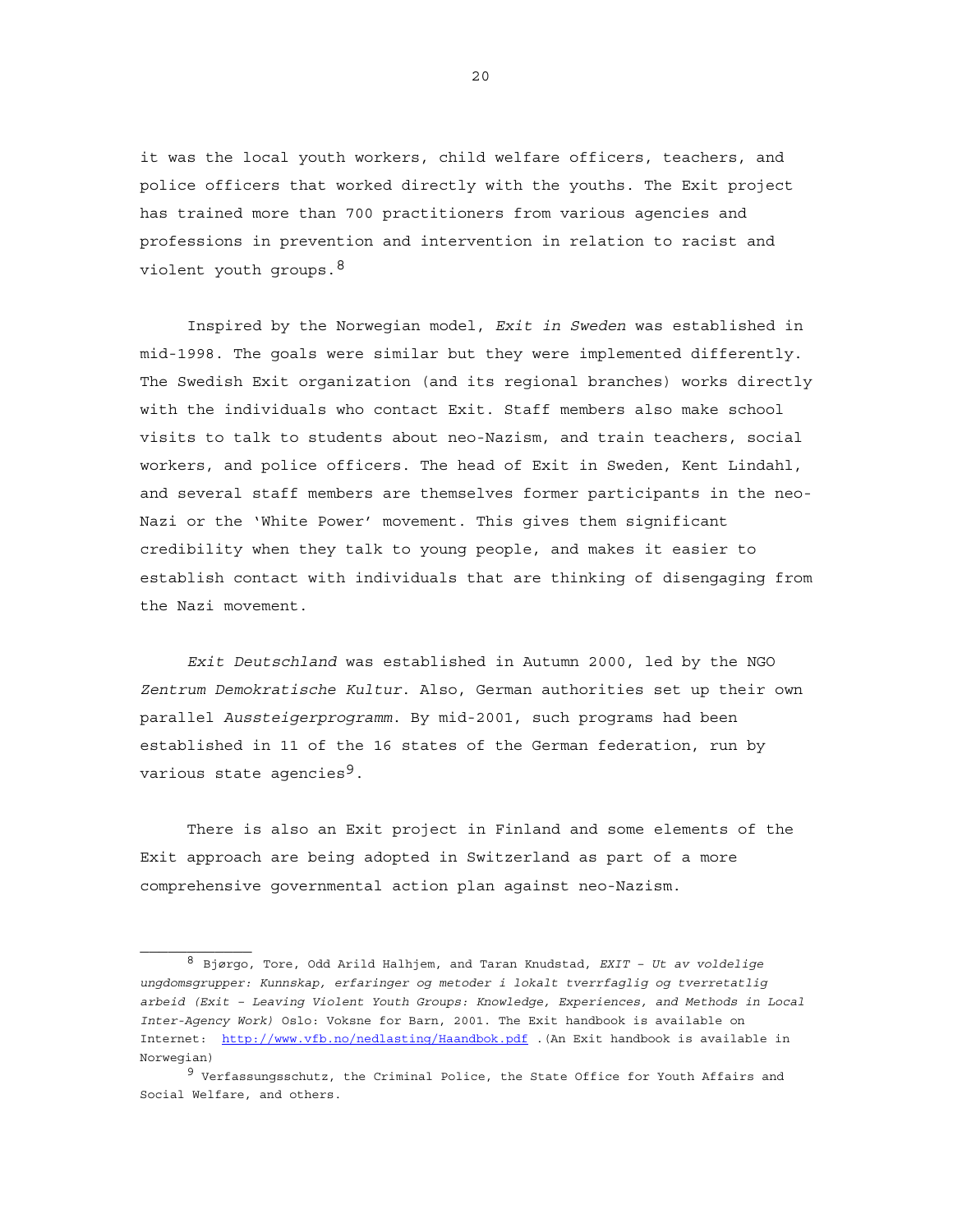it was the local youth workers, child welfare officers, teachers, and police officers that worked directly with the youths. The Exit project has trained more than 700 practitioners from various agencies and professions in prevention and intervention in relation to racist and violent youth groups. 8

Inspired by the Norwegian model, *Exit in Sweden* was established in mid-1998. The goals were similar but they were implemented differently. The Swedish Exit organization (and its regional branches) works directly with the individuals who contact Exit. Staff members also make school visits to talk to students about neo-Nazism, and train teachers, social workers, and police officers. The head of Exit in Sweden, Kent Lindahl, and several staff members are themselves former participants in the neo-Nazi or the 'White Power' movement. This gives them significant credibility when they talk to young people, and makes it easier to establish contact with individuals that are thinking of disengaging from the Nazi movement.

*Exit Deutschland* was established in Autumn 2000, led by the NGO *Zentrum Demokratische Kultur*. Also, German authorities set up their own parallel *Aussteigerprogramm*. By mid-2001, such programs had been established in 11 of the 16 states of the German federation, run by various state agencies<sup>9</sup>.

There is also an Exit project in Finland and some elements of the Exit approach are being adopted in Switzerland as part of a more comprehensive governmental action plan against neo-Nazism.

 $\mathcal{L}_\text{max}$ 

<sup>8</sup> Bjørgo, Tore, Odd Arild Halhjem, and Taran Knudstad, *EXIT – Ut av voldelige ungdomsgrupper: Kunnskap, erfaringer og metoder i lokalt tverrfaglig og tverretatlig arbeid (Exit – Leaving Violent Youth Groups: Knowledge, Experiences, and Methods in Local Inter-Agency Work)* Oslo: Voksne for Barn, 2001. The Exit handbook is available on Internet: http://www.vfb.no/nedlasting/Haandbok.pdf .(An Exit handbook is available in Norwegian)

<sup>&</sup>lt;sup>9</sup> Verfassungsschutz, the Criminal Police, the State Office for Youth Affairs and Social Welfare, and others.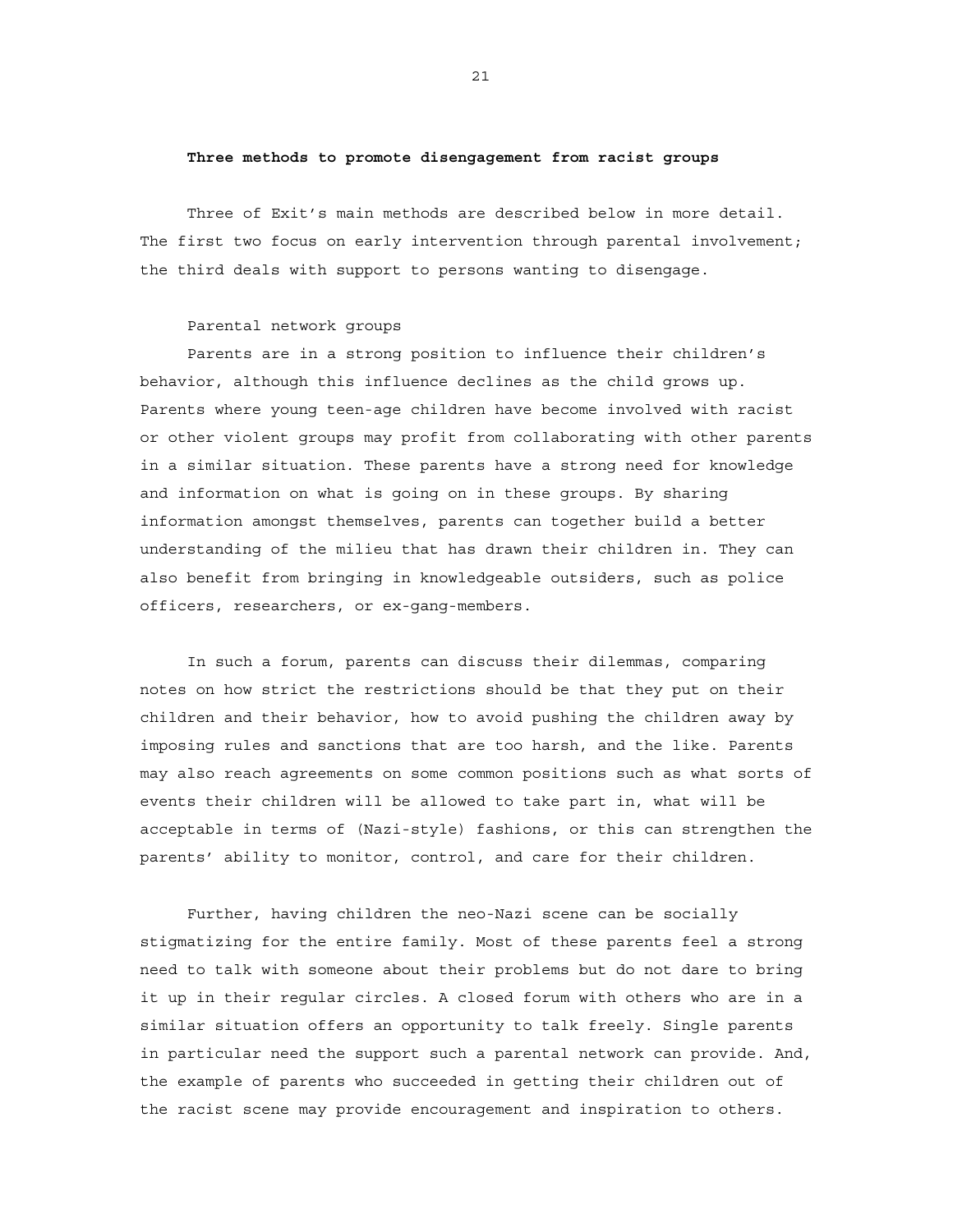#### **Three methods to promote disengagement from racist groups**

Three of Exit's main methods are described below in more detail. The first two focus on early intervention through parental involvement; the third deals with support to persons wanting to disengage.

#### Parental network groups

Parents are in a strong position to influence their children's behavior, although this influence declines as the child grows up. Parents where young teen-age children have become involved with racist or other violent groups may profit from collaborating with other parents in a similar situation. These parents have a strong need for knowledge and information on what is going on in these groups. By sharing information amongst themselves, parents can together build a better understanding of the milieu that has drawn their children in. They can also benefit from bringing in knowledgeable outsiders, such as police officers, researchers, or ex-gang-members.

In such a forum, parents can discuss their dilemmas, comparing notes on how strict the restrictions should be that they put on their children and their behavior, how to avoid pushing the children away by imposing rules and sanctions that are too harsh, and the like. Parents may also reach agreements on some common positions such as what sorts of events their children will be allowed to take part in, what will be acceptable in terms of (Nazi-style) fashions, or this can strengthen the parents' ability to monitor, control, and care for their children.

Further, having children the neo-Nazi scene can be socially stigmatizing for the entire family. Most of these parents feel a strong need to talk with someone about their problems but do not dare to bring it up in their regular circles. A closed forum with others who are in a similar situation offers an opportunity to talk freely. Single parents in particular need the support such a parental network can provide. And, the example of parents who succeeded in getting their children out of the racist scene may provide encouragement and inspiration to others.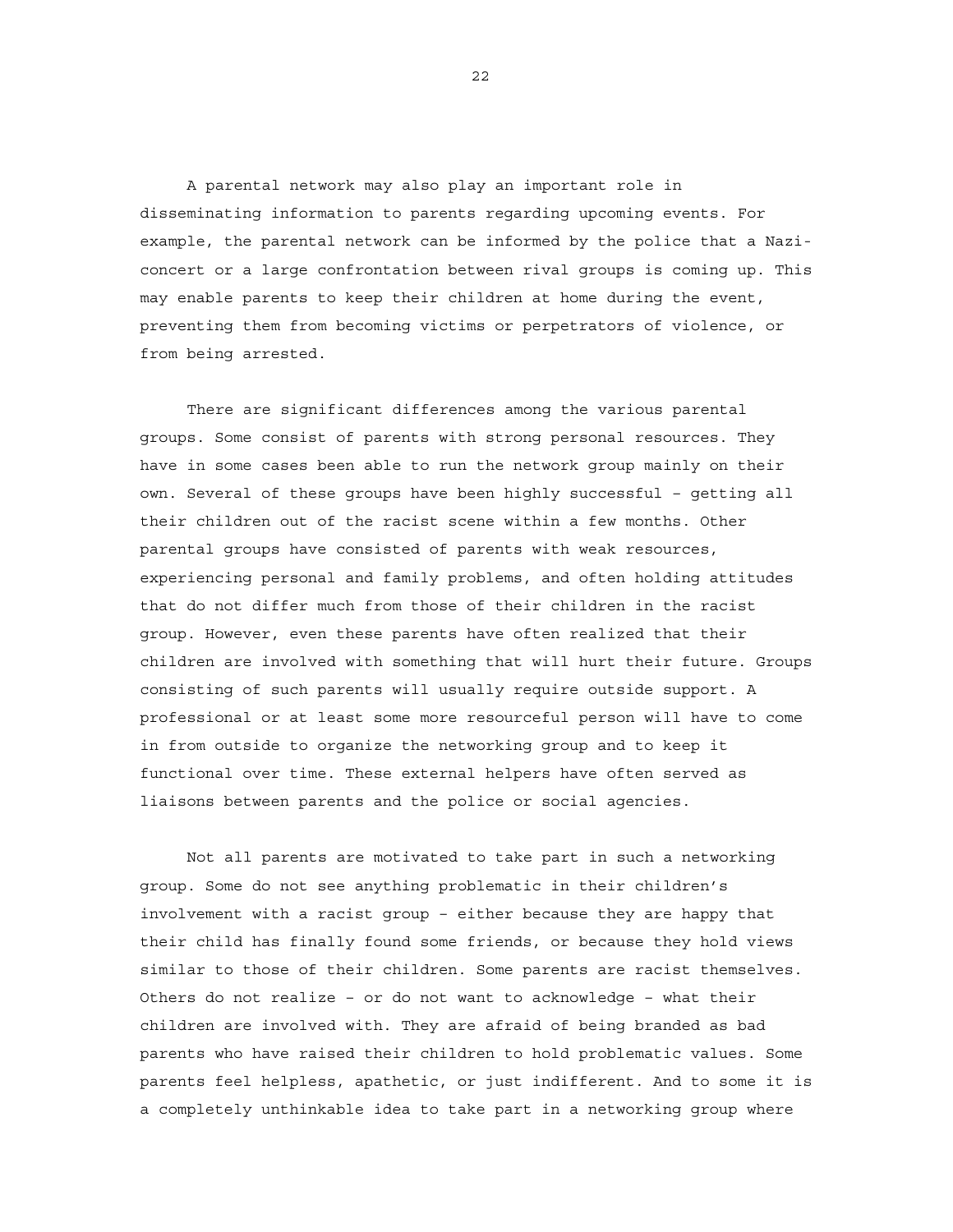A parental network may also play an important role in disseminating information to parents regarding upcoming events. For example, the parental network can be informed by the police that a Naziconcert or a large confrontation between rival groups is coming up. This may enable parents to keep their children at home during the event, preventing them from becoming victims or perpetrators of violence, or from being arrested.

There are significant differences among the various parental groups. Some consist of parents with strong personal resources. They have in some cases been able to run the network group mainly on their own. Several of these groups have been highly successful – getting all their children out of the racist scene within a few months. Other parental groups have consisted of parents with weak resources, experiencing personal and family problems, and often holding attitudes that do not differ much from those of their children in the racist group. However, even these parents have often realized that their children are involved with something that will hurt their future. Groups consisting of such parents will usually require outside support. A professional or at least some more resourceful person will have to come in from outside to organize the networking group and to keep it functional over time. These external helpers have often served as liaisons between parents and the police or social agencies.

Not all parents are motivated to take part in such a networking group. Some do not see anything problematic in their children's involvement with a racist group – either because they are happy that their child has finally found some friends, or because they hold views similar to those of their children. Some parents are racist themselves. Others do not realize – or do not want to acknowledge – what their children are involved with. They are afraid of being branded as bad parents who have raised their children to hold problematic values. Some parents feel helpless, apathetic, or just indifferent. And to some it is a completely unthinkable idea to take part in a networking group where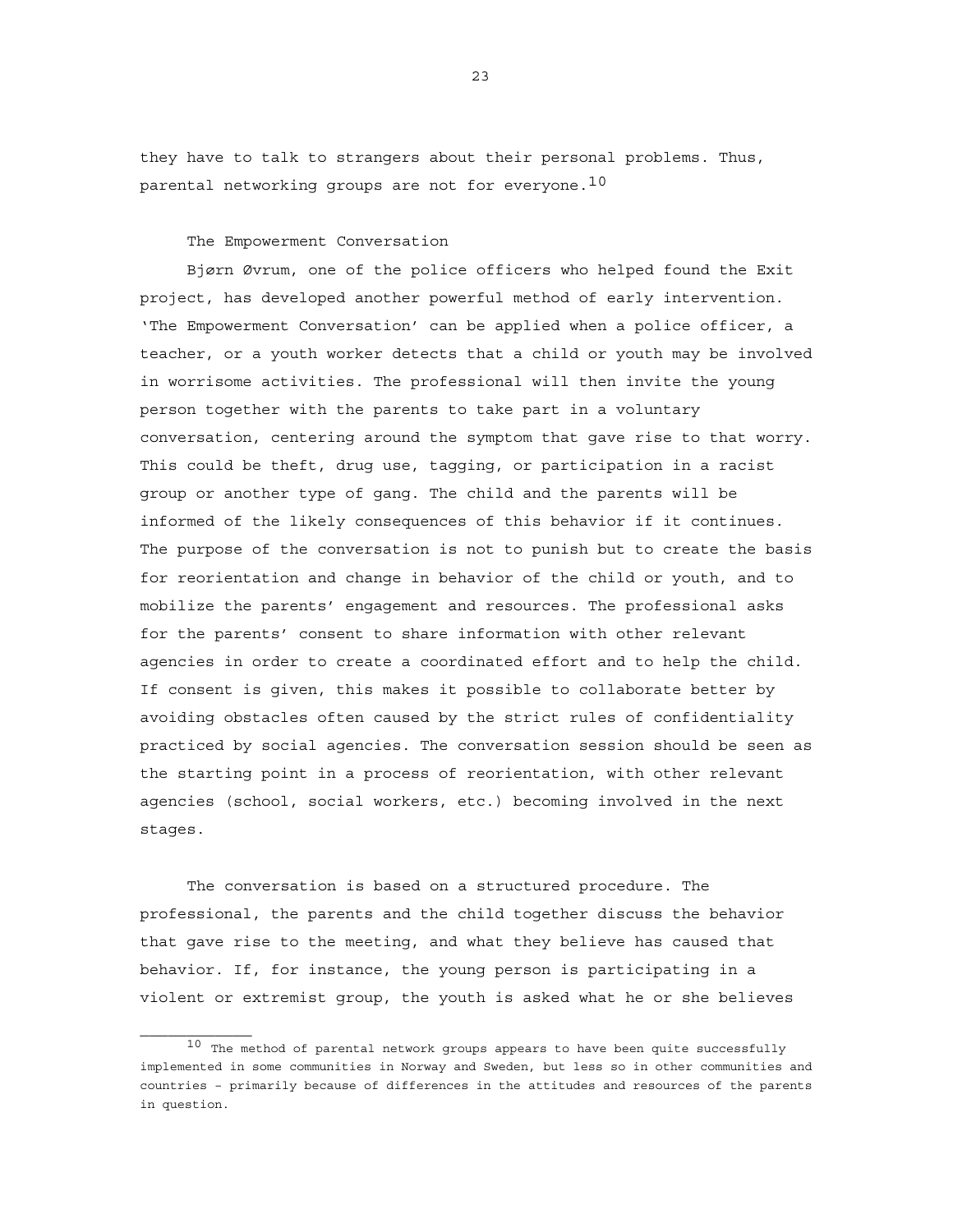they have to talk to strangers about their personal problems. Thus, parental networking groups are not for everyone.<sup>10</sup>

#### The Empowerment Conversation

 $\mathcal{L}_\text{max}$ 

Bjørn Øvrum, one of the police officers who helped found the Exit project, has developed another powerful method of early intervention. 'The Empowerment Conversation' can be applied when a police officer, a teacher, or a youth worker detects that a child or youth may be involved in worrisome activities. The professional will then invite the young person together with the parents to take part in a voluntary conversation, centering around the symptom that gave rise to that worry. This could be theft, drug use, tagging, or participation in a racist group or another type of gang. The child and the parents will be informed of the likely consequences of this behavior if it continues. The purpose of the conversation is not to punish but to create the basis for reorientation and change in behavior of the child or youth, and to mobilize the parents' engagement and resources. The professional asks for the parents' consent to share information with other relevant agencies in order to create a coordinated effort and to help the child. If consent is given, this makes it possible to collaborate better by avoiding obstacles often caused by the strict rules of confidentiality practiced by social agencies. The conversation session should be seen as the starting point in a process of reorientation, with other relevant agencies (school, social workers, etc.) becoming involved in the next stages.

The conversation is based on a structured procedure. The professional, the parents and the child together discuss the behavior that gave rise to the meeting, and what they believe has caused that behavior. If, for instance, the young person is participating in a violent or extremist group, the youth is asked what he or she believes

 $10$  The method of parental network groups appears to have been quite successfully implemented in some communities in Norway and Sweden, but less so in other communities and countries – primarily because of differences in the attitudes and resources of the parents in question.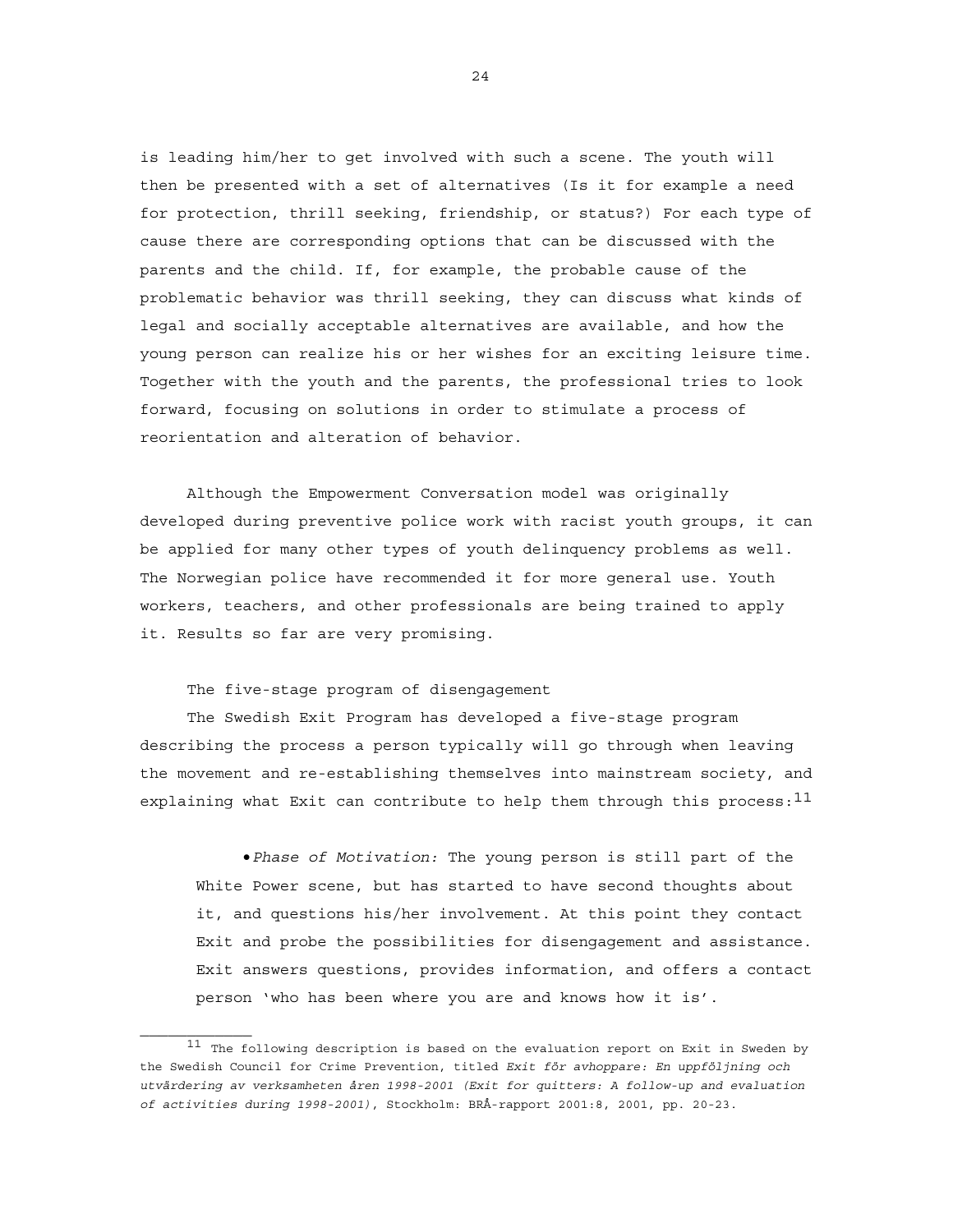is leading him/her to get involved with such a scene. The youth will then be presented with a set of alternatives (Is it for example a need for protection, thrill seeking, friendship, or status?) For each type of cause there are corresponding options that can be discussed with the parents and the child. If, for example, the probable cause of the problematic behavior was thrill seeking, they can discuss what kinds of legal and socially acceptable alternatives are available, and how the young person can realize his or her wishes for an exciting leisure time. Together with the youth and the parents, the professional tries to look forward, focusing on solutions in order to stimulate a process of reorientation and alteration of behavior.

Although the Empowerment Conversation model was originally developed during preventive police work with racist youth groups, it can be applied for many other types of youth delinquency problems as well. The Norwegian police have recommended it for more general use. Youth workers, teachers, and other professionals are being trained to apply it. Results so far are very promising.

The five-stage program of disengagement

 $\mathcal{L}_\text{max}$ 

The Swedish Exit Program has developed a five-stage program describing the process a person typically will go through when leaving the movement and re-establishing themselves into mainstream society, and explaining what Exit can contribute to help them through this process:  $^{11}$ 

x*Phase of Motivation:* The young person is still part of the White Power scene, but has started to have second thoughts about it, and questions his/her involvement. At this point they contact Exit and probe the possibilities for disengagement and assistance. Exit answers questions, provides information, and offers a contact person 'who has been where you are and knows how it is'.

 $11$  The following description is based on the evaluation report on Exit in Sweden by the Swedish Council for Crime Prevention, titled *Exit för avhoppare: En uppföljning och utvärdering av verksamheten åren 1998-2001 (Exit for quitters: A follow-up and evaluation of activities during 1998-2001)*, Stockholm: BRÅ-rapport 2001:8, 2001, pp. 20-23.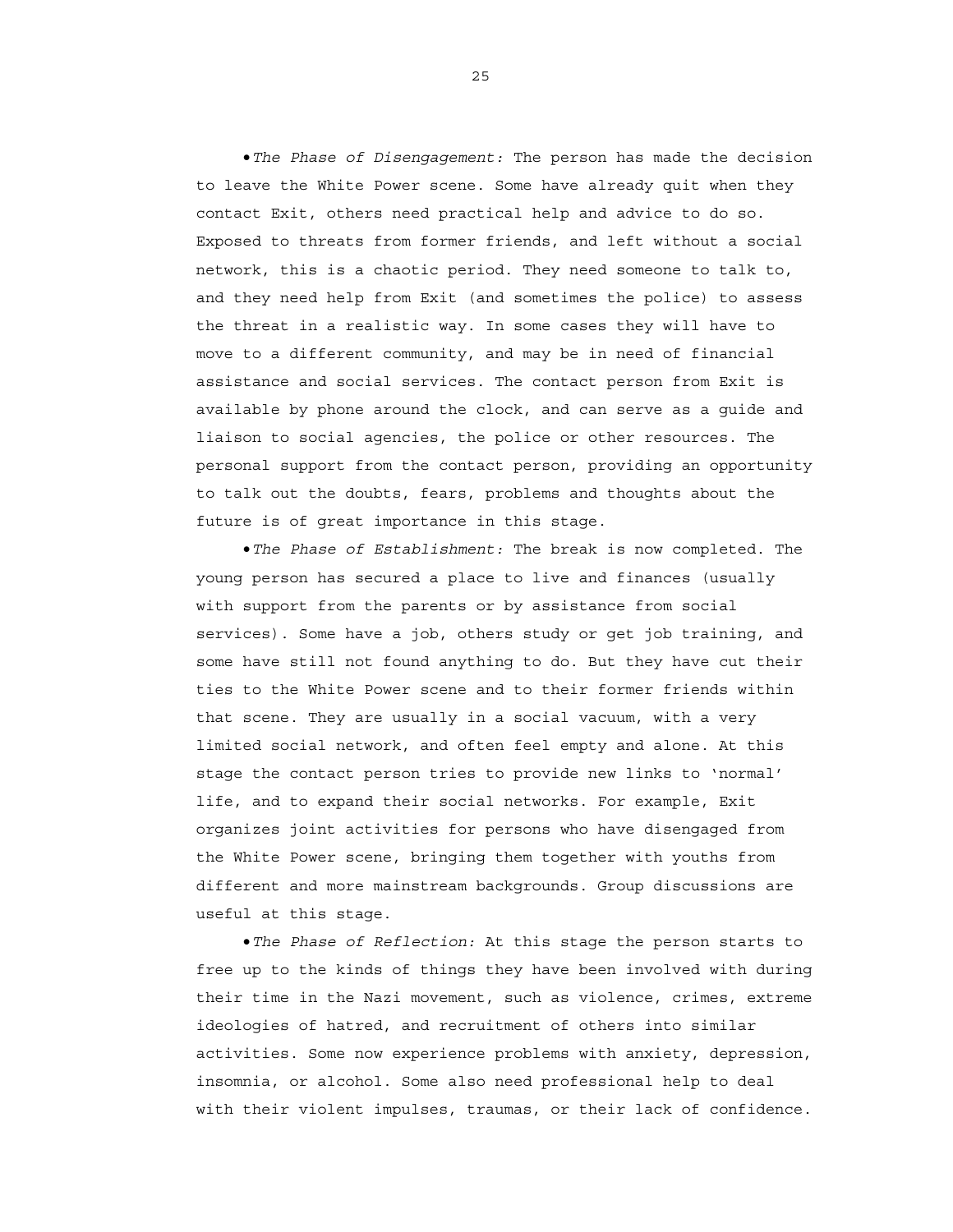x*The Phase of Disengagement:* The person has made the decision to leave the White Power scene. Some have already quit when they contact Exit, others need practical help and advice to do so. Exposed to threats from former friends, and left without a social network, this is a chaotic period. They need someone to talk to, and they need help from Exit (and sometimes the police) to assess the threat in a realistic way. In some cases they will have to move to a different community, and may be in need of financial assistance and social services. The contact person from Exit is available by phone around the clock, and can serve as a guide and liaison to social agencies, the police or other resources. The personal support from the contact person, providing an opportunity to talk out the doubts, fears, problems and thoughts about the future is of great importance in this stage.

x*The Phase of Establishment:* The break is now completed. The young person has secured a place to live and finances (usually with support from the parents or by assistance from social services). Some have a job, others study or get job training, and some have still not found anything to do. But they have cut their ties to the White Power scene and to their former friends within that scene. They are usually in a social vacuum, with a very limited social network, and often feel empty and alone. At this stage the contact person tries to provide new links to 'normal' life, and to expand their social networks. For example, Exit organizes joint activities for persons who have disengaged from the White Power scene, bringing them together with youths from different and more mainstream backgrounds. Group discussions are useful at this stage.

x*The Phase of Reflection:* At this stage the person starts to free up to the kinds of things they have been involved with during their time in the Nazi movement, such as violence, crimes, extreme ideologies of hatred, and recruitment of others into similar activities. Some now experience problems with anxiety, depression, insomnia, or alcohol. Some also need professional help to deal with their violent impulses, traumas, or their lack of confidence.

<u>25</u>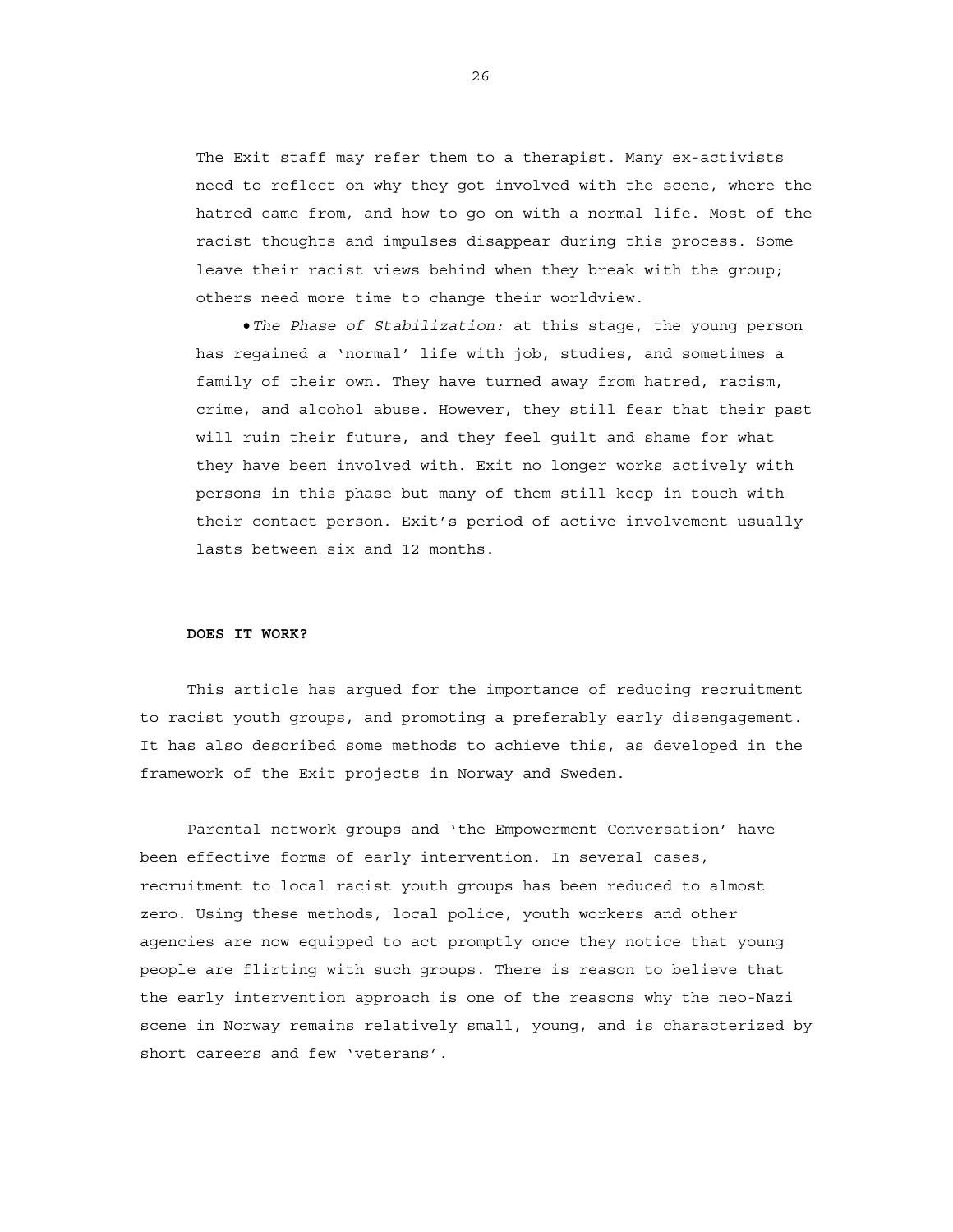The Exit staff may refer them to a therapist. Many ex-activists need to reflect on why they got involved with the scene, where the hatred came from, and how to go on with a normal life. Most of the racist thoughts and impulses disappear during this process. Some leave their racist views behind when they break with the group; others need more time to change their worldview.

x*The Phase of Stabilization:* at this stage, the young person has regained a 'normal' life with job, studies, and sometimes a family of their own. They have turned away from hatred, racism, crime, and alcohol abuse. However, they still fear that their past will ruin their future, and they feel guilt and shame for what they have been involved with. Exit no longer works actively with persons in this phase but many of them still keep in touch with their contact person. Exit's period of active involvement usually lasts between six and 12 months.

#### **DOES IT WORK?**

This article has argued for the importance of reducing recruitment to racist youth groups, and promoting a preferably early disengagement. It has also described some methods to achieve this, as developed in the framework of the Exit projects in Norway and Sweden.

Parental network groups and 'the Empowerment Conversation' have been effective forms of early intervention. In several cases, recruitment to local racist youth groups has been reduced to almost zero. Using these methods, local police, youth workers and other agencies are now equipped to act promptly once they notice that young people are flirting with such groups. There is reason to believe that the early intervention approach is one of the reasons why the neo-Nazi scene in Norway remains relatively small, young, and is characterized by short careers and few 'veterans'.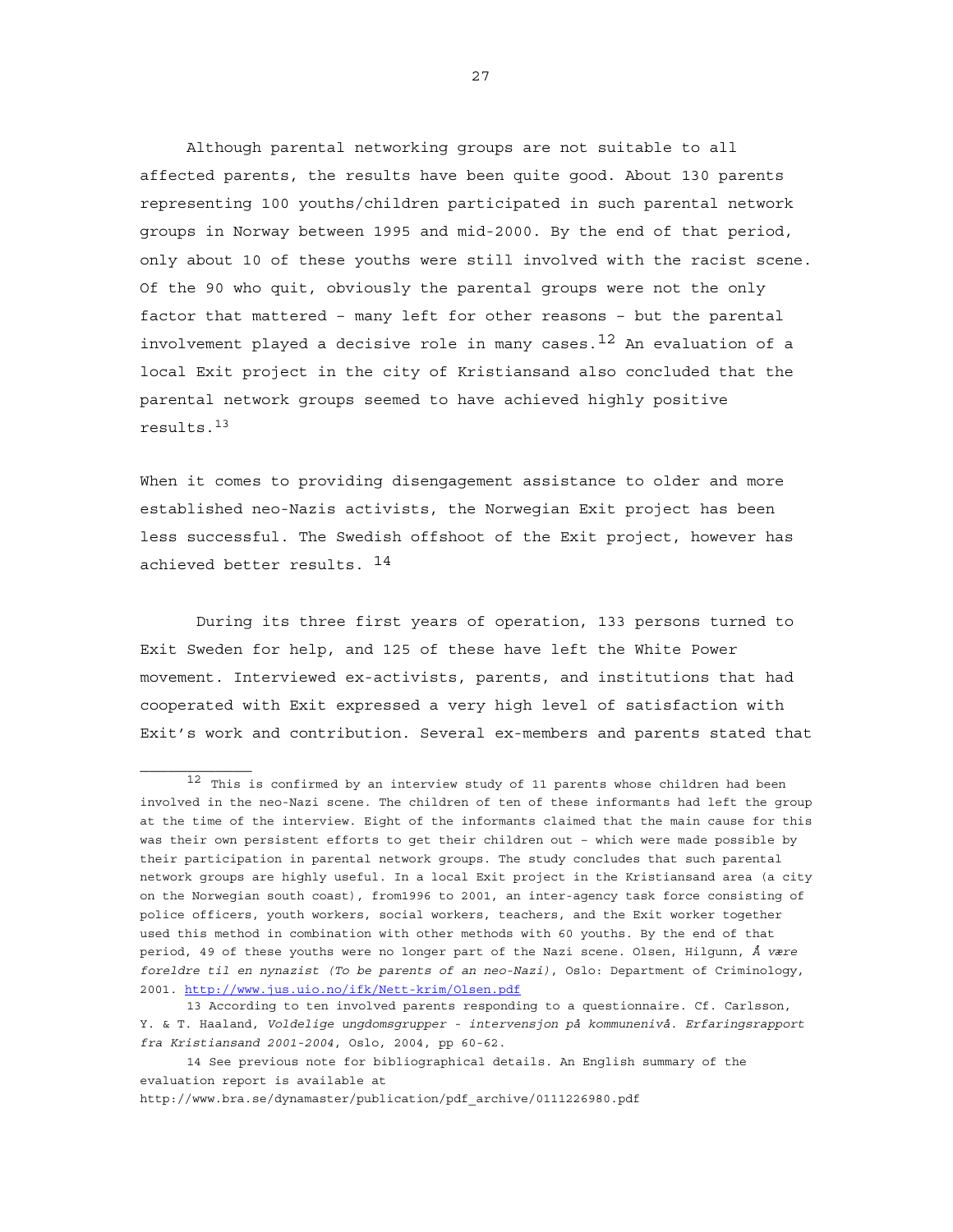Although parental networking groups are not suitable to all affected parents, the results have been quite good. About 130 parents representing 100 youths/children participated in such parental network groups in Norway between 1995 and mid-2000. By the end of that period, only about 10 of these youths were still involved with the racist scene. Of the 90 who quit, obviously the parental groups were not the only factor that mattered – many left for other reasons – but the parental involvement played a decisive role in many cases. $^{12}$  An evaluation of a local Exit project in the city of Kristiansand also concluded that the parental network groups seemed to have achieved highly positive results.13

When it comes to providing disengagement assistance to older and more established neo-Nazis activists, the Norwegian Exit project has been less successful. The Swedish offshoot of the Exit project, however has achieved better results. 14

 During its three first years of operation, 133 persons turned to Exit Sweden for help, and 125 of these have left the White Power movement. Interviewed ex-activists, parents, and institutions that had cooperated with Exit expressed a very high level of satisfaction with Exit's work and contribution. Several ex-members and parents stated that

http://www.bra.se/dynamaster/publication/pdf\_archive/0111226980.pdf

 $^{12}$  This is confirmed by an interview study of 11 parents whose children had been involved in the neo-Nazi scene. The children of ten of these informants had left the group at the time of the interview. Eight of the informants claimed that the main cause for this was their own persistent efforts to get their children out – which were made possible by their participation in parental network groups. The study concludes that such parental network groups are highly useful. In a local Exit project in the Kristiansand area (a city on the Norwegian south coast), from1996 to 2001, an inter-agency task force consisting of police officers, youth workers, social workers, teachers, and the Exit worker together used this method in combination with other methods with 60 youths. By the end of that period, 49 of these youths were no longer part of the Nazi scene. Olsen, Hilgunn, *Å være foreldre til en nynazist (To be parents of an neo-Nazi)*, Oslo: Department of Criminology, 2001. http://www.jus.uio.no/ifk/Nett-krim/Olsen.pdf

<sup>13</sup> According to ten involved parents responding to a questionnaire. Cf. Carlsson, Y. & T. Haaland, *Voldelige ungdomsgrupper - intervensjon på kommunenivå. Erfaringsrapport fra Kristiansand 2001-2004*, Oslo, 2004, pp 60-62.

<sup>14</sup> See previous note for bibliographical details. An English summary of the evaluation report is available at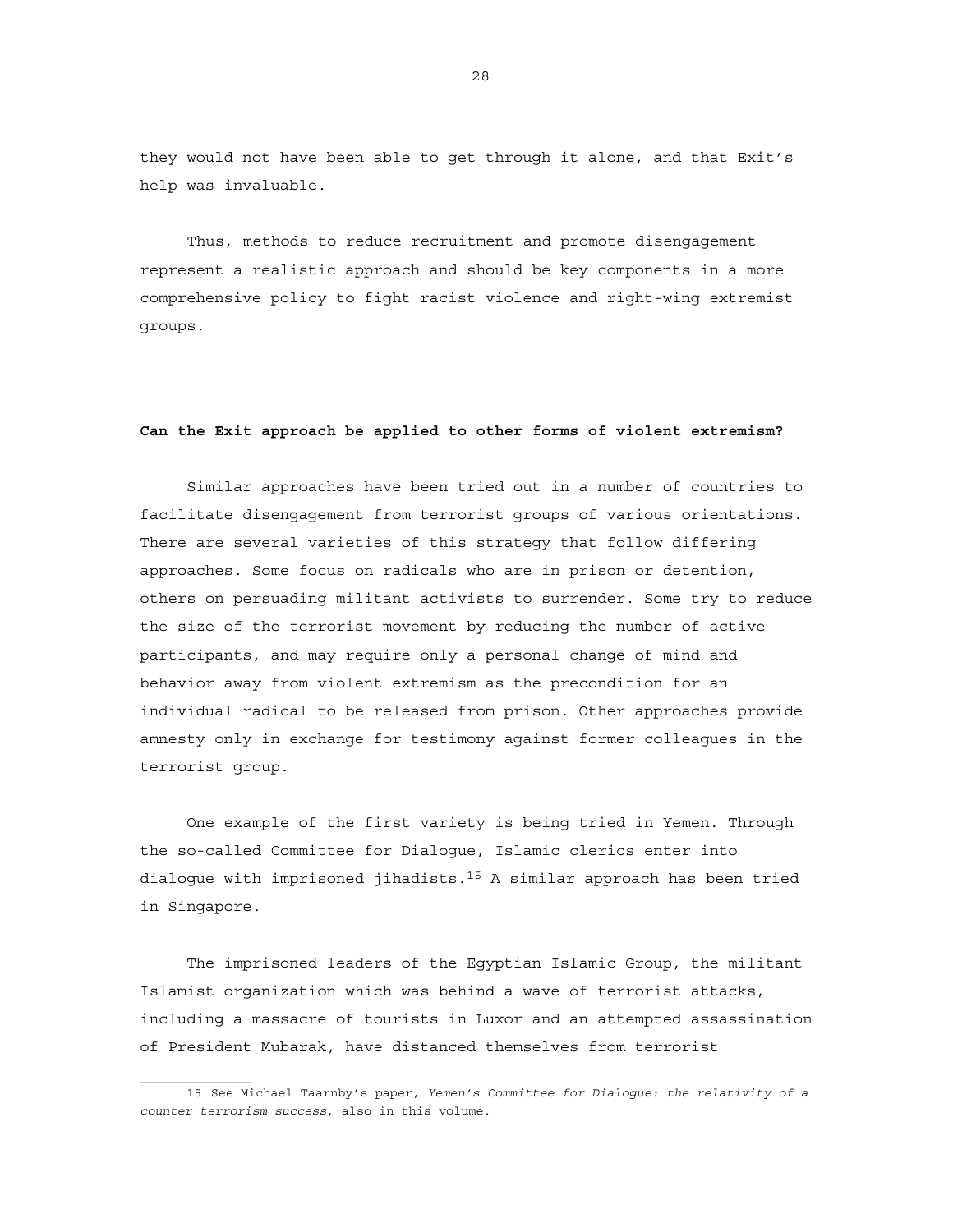they would not have been able to get through it alone, and that Exit's help was invaluable.

Thus, methods to reduce recruitment and promote disengagement represent a realistic approach and should be key components in a more comprehensive policy to fight racist violence and right-wing extremist groups.

#### **Can the Exit approach be applied to other forms of violent extremism?**

Similar approaches have been tried out in a number of countries to facilitate disengagement from terrorist groups of various orientations. There are several varieties of this strategy that follow differing approaches. Some focus on radicals who are in prison or detention, others on persuading militant activists to surrender. Some try to reduce the size of the terrorist movement by reducing the number of active participants, and may require only a personal change of mind and behavior away from violent extremism as the precondition for an individual radical to be released from prison. Other approaches provide amnesty only in exchange for testimony against former colleagues in the terrorist group.

One example of the first variety is being tried in Yemen. Through the so-called Committee for Dialogue, Islamic clerics enter into dialogue with imprisoned jihadists.<sup>15</sup> A similar approach has been tried in Singapore.

The imprisoned leaders of the Egyptian Islamic Group, the militant Islamist organization which was behind a wave of terrorist attacks, including a massacre of tourists in Luxor and an attempted assassination of President Mubarak, have distanced themselves from terrorist

 $\mathcal{L}_\text{max}$ 

<sup>15</sup> See Michael Taarnby's paper, *Yemen's Committee for Dialogue: the relativity of a counter terrorism success*, also in this volume.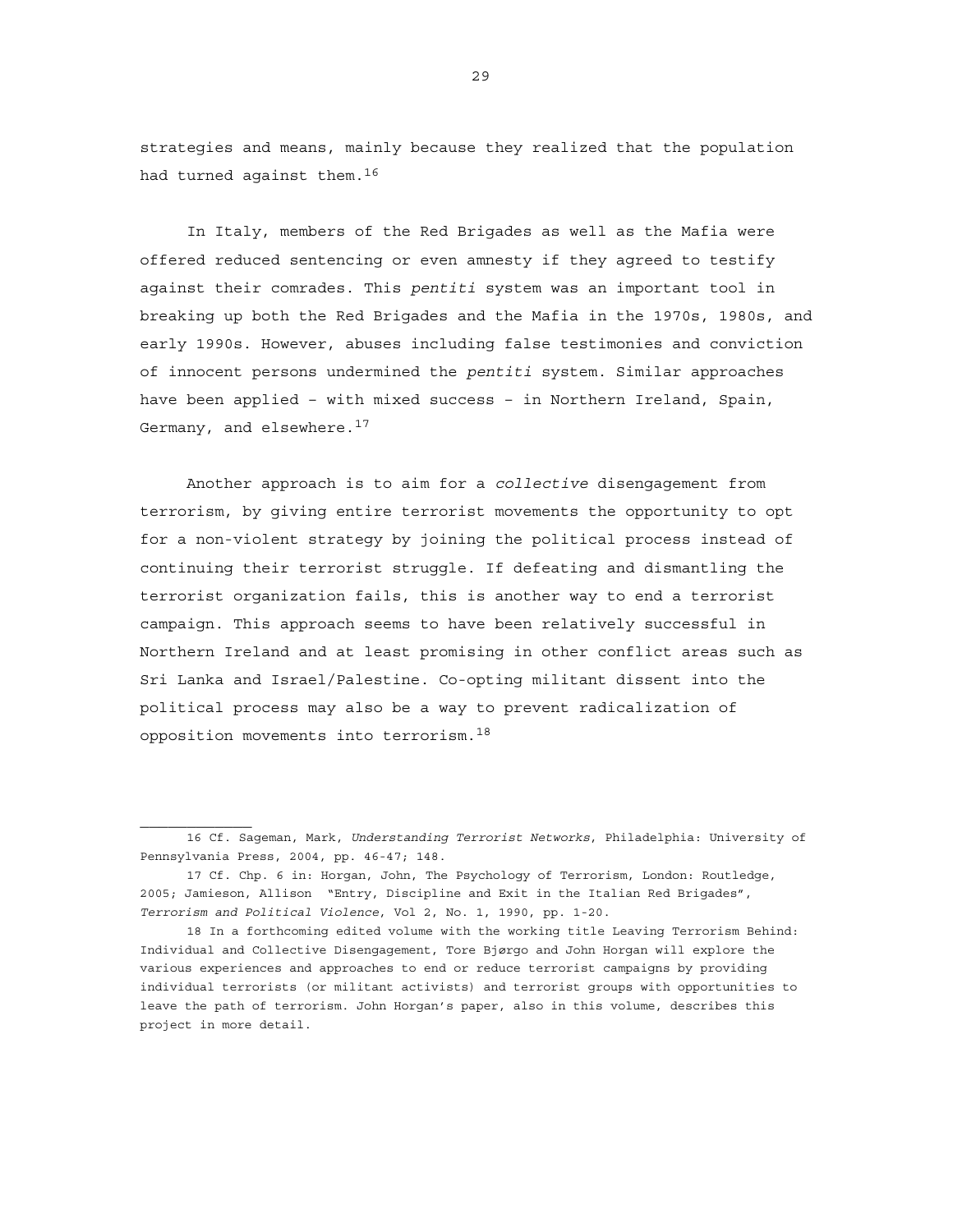strategies and means, mainly because they realized that the population had turned against them.16

In Italy, members of the Red Brigades as well as the Mafia were offered reduced sentencing or even amnesty if they agreed to testify against their comrades. This *pentiti* system was an important tool in breaking up both the Red Brigades and the Mafia in the 1970s, 1980s, and early 1990s. However, abuses including false testimonies and conviction of innocent persons undermined the *pentiti* system. Similar approaches have been applied – with mixed success – in Northern Ireland, Spain, Germany, and elsewhere.<sup>17</sup>

Another approach is to aim for a *collective* disengagement from terrorism, by giving entire terrorist movements the opportunity to opt for a non-violent strategy by joining the political process instead of continuing their terrorist struggle. If defeating and dismantling the terrorist organization fails, this is another way to end a terrorist campaign. This approach seems to have been relatively successful in Northern Ireland and at least promising in other conflict areas such as Sri Lanka and Israel/Palestine. Co-opting militant dissent into the political process may also be a way to prevent radicalization of opposition movements into terrorism.18

<sup>16</sup> Cf. Sageman, Mark, *Understanding Terrorist Networks*, Philadelphia: University of Pennsylvania Press, 2004, pp. 46-47; 148.

<sup>17</sup> Cf. Chp. 6 in: Horgan, John, The Psychology of Terrorism, London: Routledge, 2005; Jamieson, Allison "Entry, Discipline and Exit in the Italian Red Brigades", *Terrorism and Political Violence*, Vol 2, No. 1, 1990, pp. 1-20.

<sup>18</sup> In a forthcoming edited volume with the working title Leaving Terrorism Behind: Individual and Collective Disengagement, Tore Bjørgo and John Horgan will explore the various experiences and approaches to end or reduce terrorist campaigns by providing individual terrorists (or militant activists) and terrorist groups with opportunities to leave the path of terrorism. John Horgan's paper, also in this volume, describes this project in more detail.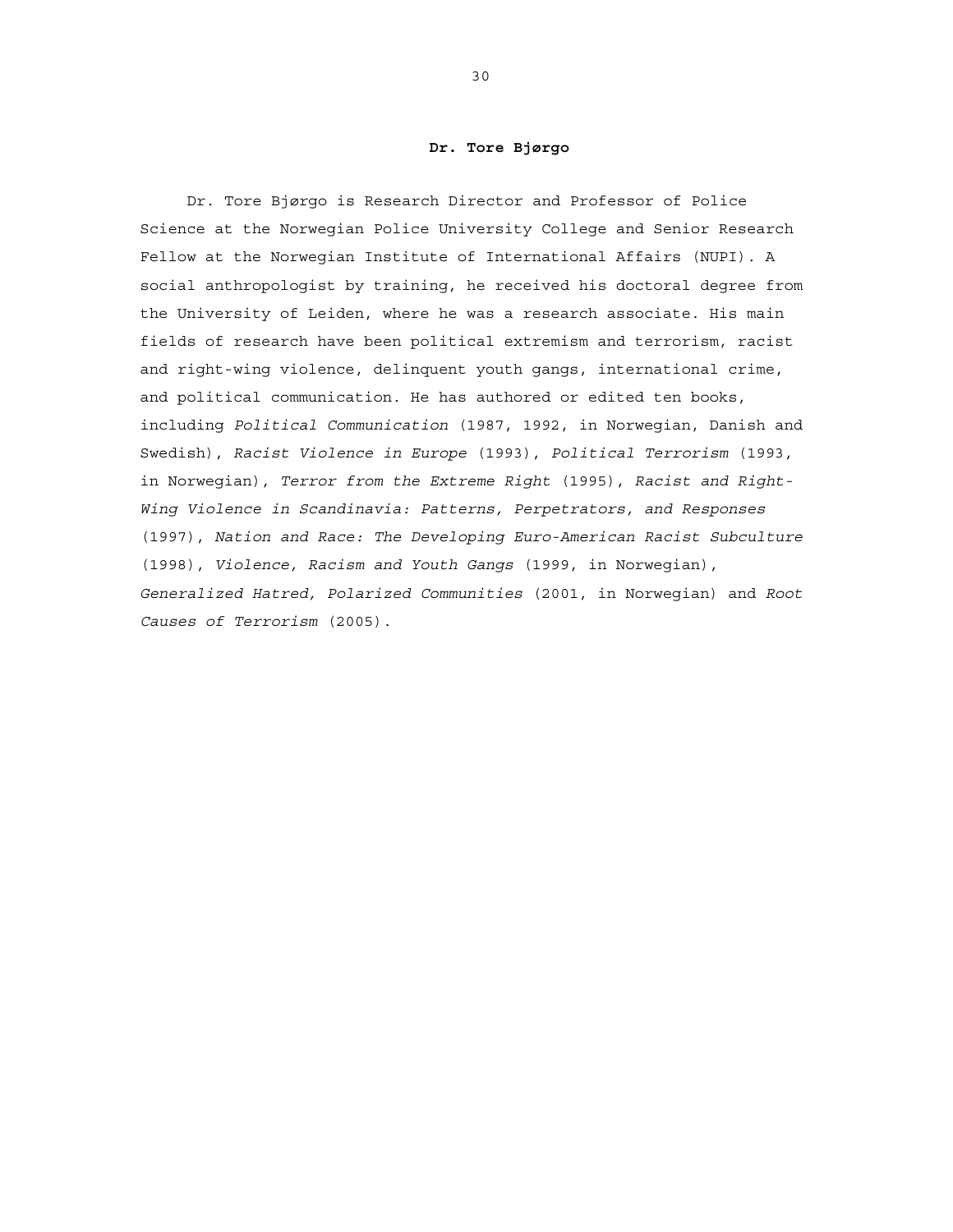#### **Dr. Tore Bjørgo**

Dr. Tore Bjørgo is Research Director and Professor of Police Science at the Norwegian Police University College and Senior Research Fellow at the Norwegian Institute of International Affairs (NUPI). A social anthropologist by training, he received his doctoral degree from the University of Leiden, where he was a research associate. His main fields of research have been political extremism and terrorism, racist and right-wing violence, delinquent youth gangs, international crime, and political communication. He has authored or edited ten books, including *Political Communication* (1987, 1992, in Norwegian, Danish and Swedish), *Racist Violence in Europe* (1993), *Political Terrorism* (1993, in Norwegian), *Terror from the Extreme Right* (1995), *Racist and Right-Wing Violence in Scandinavia: Patterns, Perpetrators, and Responses* (1997), *Nation and Race: The Developing Euro-American Racist Subculture* (1998), *Violence, Racism and Youth Gangs* (1999, in Norwegian), *Generalized Hatred, Polarized Communities* (2001, in Norwegian) and *Root Causes of Terrorism* (2005).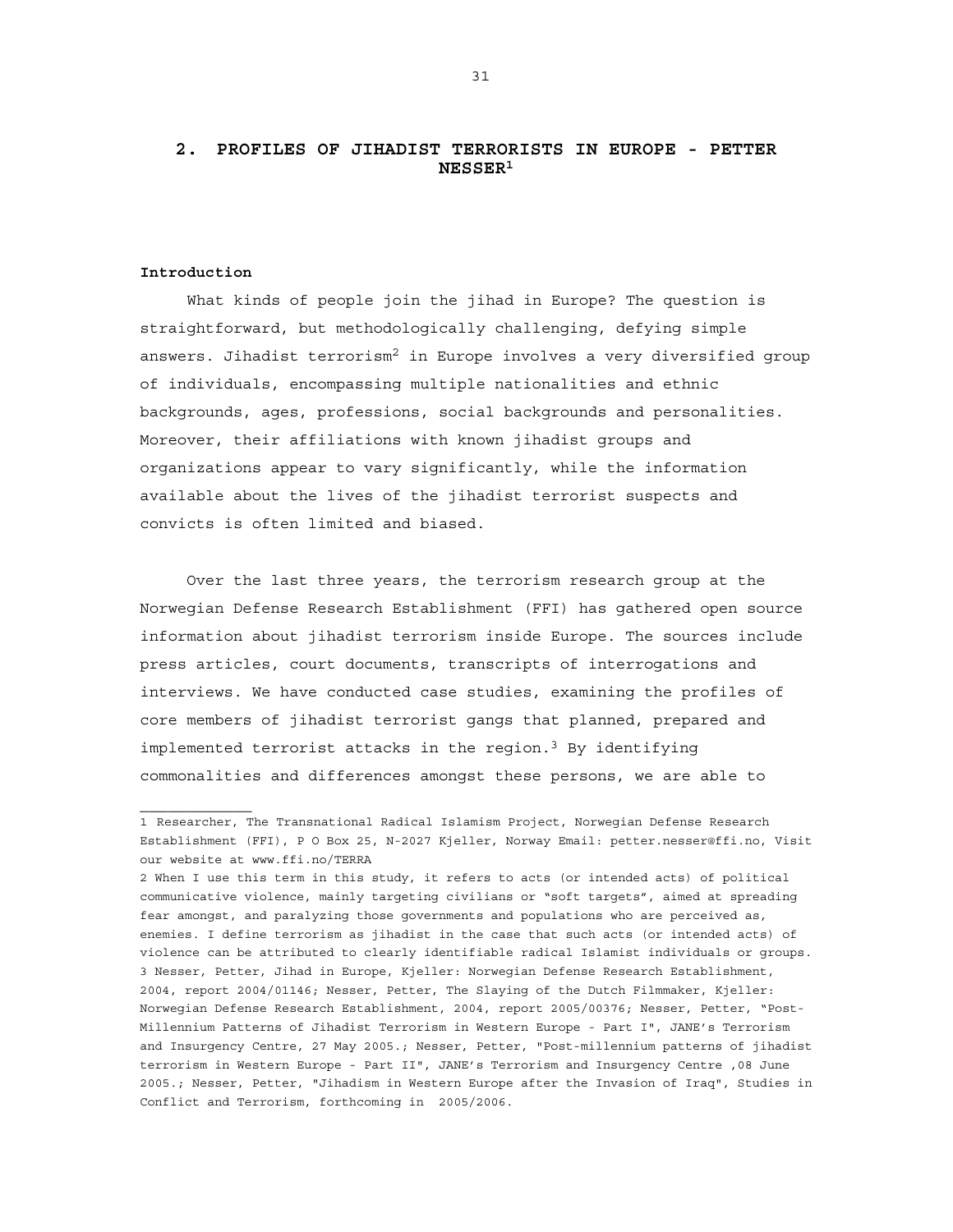# **2. PROFILES OF JIHADIST TERRORISTS IN EUROPE - PETTER NESSER1**

#### **Introduction**

 $\mathcal{L}_\text{max}$ 

What kinds of people join the jihad in Europe? The question is straightforward, but methodologically challenging, defying simple answers. Jihadist terrorism<sup>2</sup> in Europe involves a very diversified group of individuals, encompassing multiple nationalities and ethnic backgrounds, ages, professions, social backgrounds and personalities. Moreover, their affiliations with known jihadist groups and organizations appear to vary significantly, while the information available about the lives of the jihadist terrorist suspects and convicts is often limited and biased.

Over the last three years, the terrorism research group at the Norwegian Defense Research Establishment (FFI) has gathered open source information about jihadist terrorism inside Europe. The sources include press articles, court documents, transcripts of interrogations and interviews. We have conducted case studies, examining the profiles of core members of jihadist terrorist gangs that planned, prepared and implemented terrorist attacks in the region.<sup>3</sup> By identifying commonalities and differences amongst these persons, we are able to

<sup>1</sup> Researcher, The Transnational Radical Islamism Project, Norwegian Defense Research Establishment (FFI), P O Box 25, N-2027 Kjeller, Norway Email: petter.nesser@ffi.no, Visit our website at www.ffi.no/TERRA

<sup>2</sup> When I use this term in this study, it refers to acts (or intended acts) of political communicative violence, mainly targeting civilians or "soft targets", aimed at spreading fear amongst, and paralyzing those governments and populations who are perceived as, enemies. I define terrorism as jihadist in the case that such acts (or intended acts) of violence can be attributed to clearly identifiable radical Islamist individuals or groups. 3 Nesser, Petter, Jihad in Europe, Kjeller: Norwegian Defense Research Establishment, 2004, report 2004/01146; Nesser, Petter, The Slaying of the Dutch Filmmaker, Kjeller: Norwegian Defense Research Establishment, 2004, report 2005/00376; Nesser, Petter, "Post-Millennium Patterns of Jihadist Terrorism in Western Europe - Part I", JANE's Terrorism and Insurgency Centre, 27 May 2005.; Nesser, Petter, "Post-millennium patterns of jihadist terrorism in Western Europe - Part II", JANE's Terrorism and Insurgency Centre ,08 June 2005.; Nesser, Petter, "Jihadism in Western Europe after the Invasion of Iraq", Studies in Conflict and Terrorism, forthcoming in 2005/2006.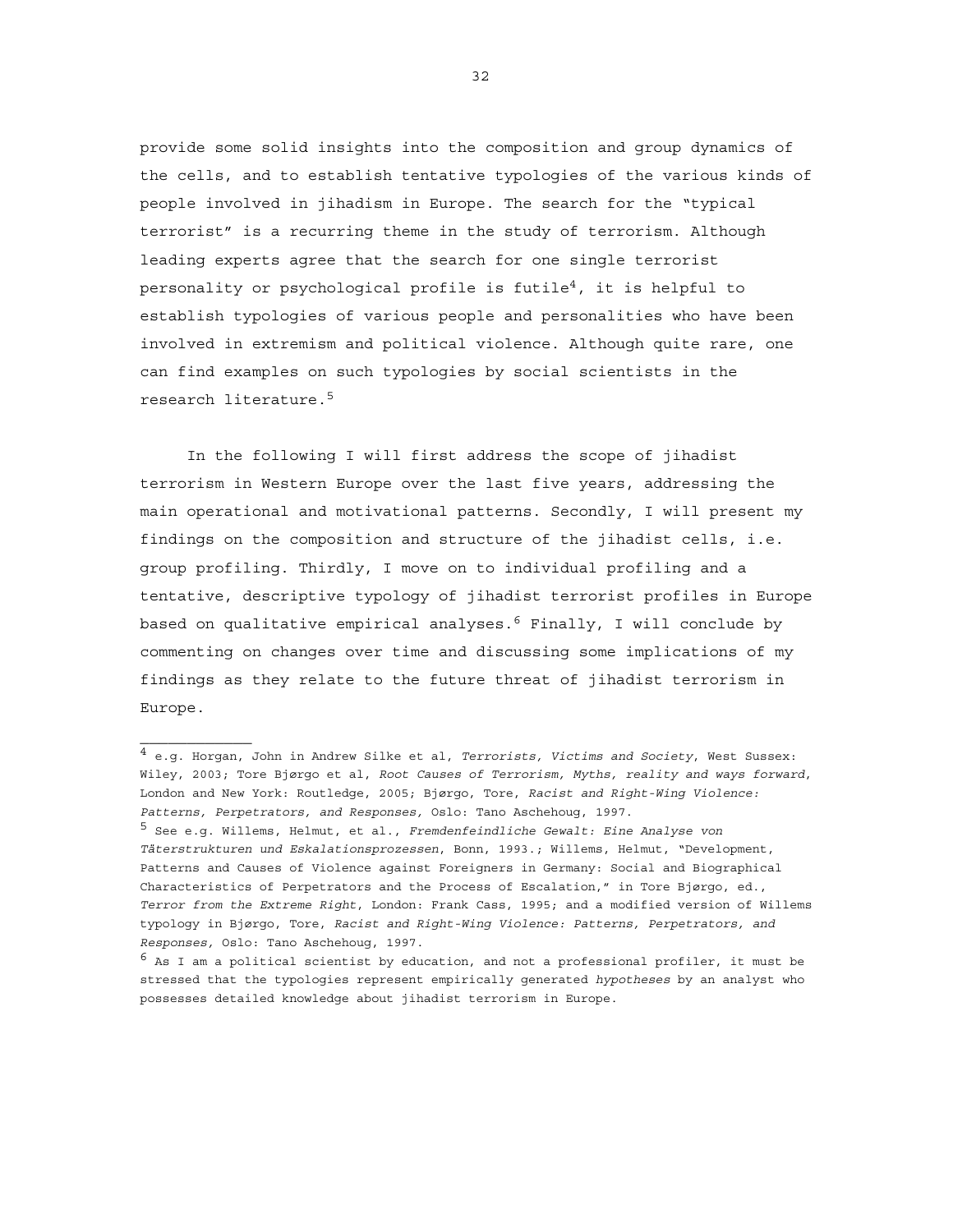provide some solid insights into the composition and group dynamics of the cells, and to establish tentative typologies of the various kinds of people involved in jihadism in Europe. The search for the "typical terrorist" is a recurring theme in the study of terrorism. Although leading experts agree that the search for one single terrorist personality or psychological profile is futile4, it is helpful to establish typologies of various people and personalities who have been involved in extremism and political violence. Although quite rare, one can find examples on such typologies by social scientists in the research literature.5

In the following I will first address the scope of jihadist terrorism in Western Europe over the last five years, addressing the main operational and motivational patterns. Secondly, I will present my findings on the composition and structure of the jihadist cells, i.e. group profiling. Thirdly, I move on to individual profiling and a tentative, descriptive typology of jihadist terrorist profiles in Europe based on qualitative empirical analyses.6 Finally, I will conclude by commenting on changes over time and discussing some implications of my findings as they relate to the future threat of jihadist terrorism in Europe.

<sup>4</sup> e.g. Horgan, John in Andrew Silke et al, *Terrorists, Victims and Society*, West Sussex: Wiley, 2003; Tore Bjørgo et al, *Root Causes of Terrorism, Myths, reality and ways forward*, London and New York: Routledge, 2005; Bjørgo, Tore, *Racist and Right-Wing Violence: Patterns, Perpetrators, and Responses,* Oslo: Tano Aschehoug, 1997.

<sup>5</sup> See e.g. Willems, Helmut, et al., *Fremdenfeindliche Gewalt: Eine Analyse von Täterstrukturen und Eskalationsprozessen*, Bonn, 1993.; Willems, Helmut, "Development, Patterns and Causes of Violence against Foreigners in Germany: Social and Biographical Characteristics of Perpetrators and the Process of Escalation," in Tore Bjørgo, ed., *Terror from the Extreme Right*, London: Frank Cass, 1995; and a modified version of Willems typology in Bjørgo, Tore, *Racist and Right-Wing Violence: Patterns, Perpetrators, and Responses,* Oslo: Tano Aschehoug, 1997.

 $^6$  As I am a political scientist by education, and not a professional profiler, it must be stressed that the typologies represent empirically generated *hypotheses* by an analyst who possesses detailed knowledge about jihadist terrorism in Europe.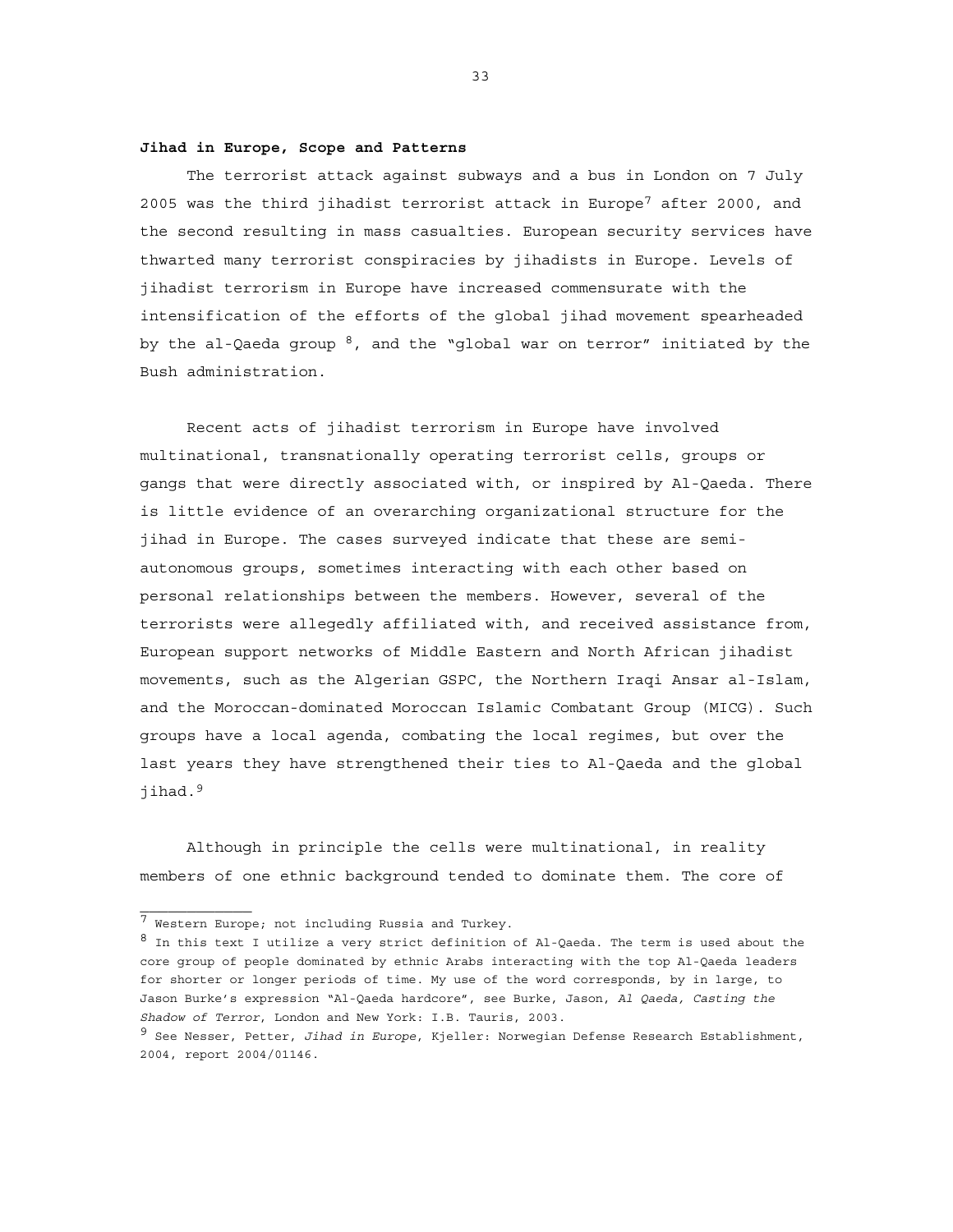#### **Jihad in Europe, Scope and Patterns**

The terrorist attack against subways and a bus in London on 7 July 2005 was the third jihadist terrorist attack in Europe<sup>7</sup> after 2000, and the second resulting in mass casualties. European security services have thwarted many terrorist conspiracies by jihadists in Europe. Levels of jihadist terrorism in Europe have increased commensurate with the intensification of the efforts of the global jihad movement spearheaded by the al-Qaeda group  $8$ , and the "global war on terror" initiated by the Bush administration.

Recent acts of jihadist terrorism in Europe have involved multinational, transnationally operating terrorist cells, groups or gangs that were directly associated with, or inspired by Al-Qaeda. There is little evidence of an overarching organizational structure for the jihad in Europe. The cases surveyed indicate that these are semiautonomous groups, sometimes interacting with each other based on personal relationships between the members. However, several of the terrorists were allegedly affiliated with, and received assistance from, European support networks of Middle Eastern and North African jihadist movements, such as the Algerian GSPC, the Northern Iraqi Ansar al-Islam, and the Moroccan-dominated Moroccan Islamic Combatant Group (MICG). Such groups have a local agenda, combating the local regimes, but over the last years they have strengthened their ties to Al-Qaeda and the global jihad.<sup>9</sup>

Although in principle the cells were multinational, in reality members of one ethnic background tended to dominate them. The core of

<sup>7</sup> Western Europe; not including Russia and Turkey.

 $8$  In this text I utilize a very strict definition of Al-Qaeda. The term is used about the core group of people dominated by ethnic Arabs interacting with the top Al-Qaeda leaders for shorter or longer periods of time. My use of the word corresponds, by in large, to Jason Burke's expression "Al-Qaeda hardcore", see Burke, Jason, *Al Qaeda, Casting the Shadow of Terror*, London and New York: I.B. Tauris, 2003.

<sup>9</sup> See Nesser, Petter, *Jihad in Europe*, Kjeller: Norwegian Defense Research Establishment, 2004, report 2004/01146.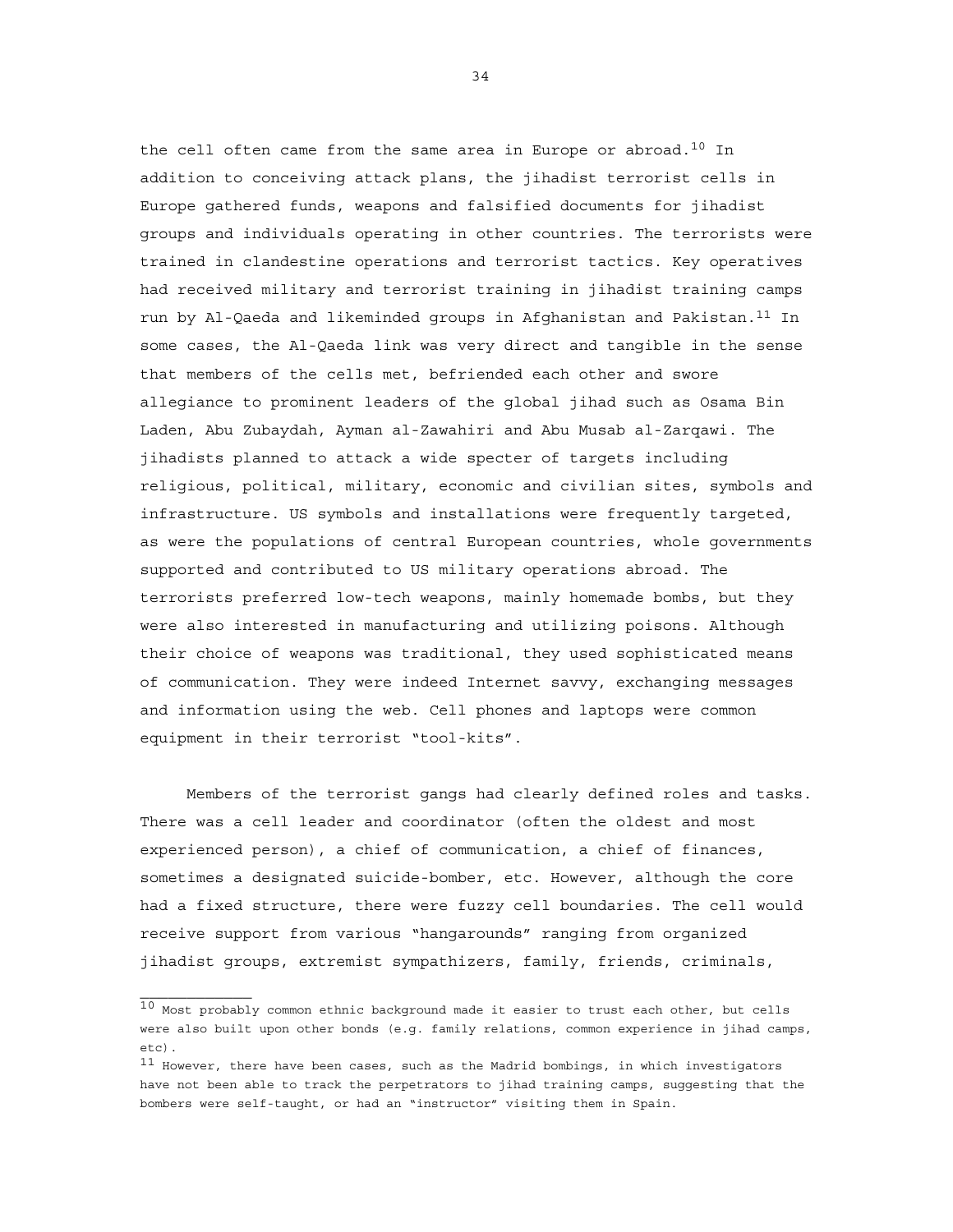the cell often came from the same area in Europe or abroad.<sup>10</sup> In addition to conceiving attack plans, the jihadist terrorist cells in Europe gathered funds, weapons and falsified documents for jihadist groups and individuals operating in other countries. The terrorists were trained in clandestine operations and terrorist tactics. Key operatives had received military and terrorist training in jihadist training camps run by Al-Qaeda and likeminded groups in Afghanistan and Pakistan.<sup>11</sup> In some cases, the Al-Qaeda link was very direct and tangible in the sense that members of the cells met, befriended each other and swore allegiance to prominent leaders of the global jihad such as Osama Bin Laden, Abu Zubaydah, Ayman al-Zawahiri and Abu Musab al-Zarqawi. The jihadists planned to attack a wide specter of targets including religious, political, military, economic and civilian sites, symbols and infrastructure. US symbols and installations were frequently targeted, as were the populations of central European countries, whole governments supported and contributed to US military operations abroad. The terrorists preferred low-tech weapons, mainly homemade bombs, but they were also interested in manufacturing and utilizing poisons. Although their choice of weapons was traditional, they used sophisticated means of communication. They were indeed Internet savvy, exchanging messages and information using the web. Cell phones and laptops were common equipment in their terrorist "tool-kits".

Members of the terrorist gangs had clearly defined roles and tasks. There was a cell leader and coordinator (often the oldest and most experienced person), a chief of communication, a chief of finances, sometimes a designated suicide-bomber, etc. However, although the core had a fixed structure, there were fuzzy cell boundaries. The cell would receive support from various "hangarounds" ranging from organized jihadist groups, extremist sympathizers, family, friends, criminals,

 $10$  Most probably common ethnic background made it easier to trust each other, but cells were also built upon other bonds (e.g. family relations, common experience in jihad camps, etc).

<sup>11</sup> However, there have been cases, such as the Madrid bombings, in which investigators have not been able to track the perpetrators to jihad training camps, suggesting that the bombers were self-taught, or had an "instructor" visiting them in Spain.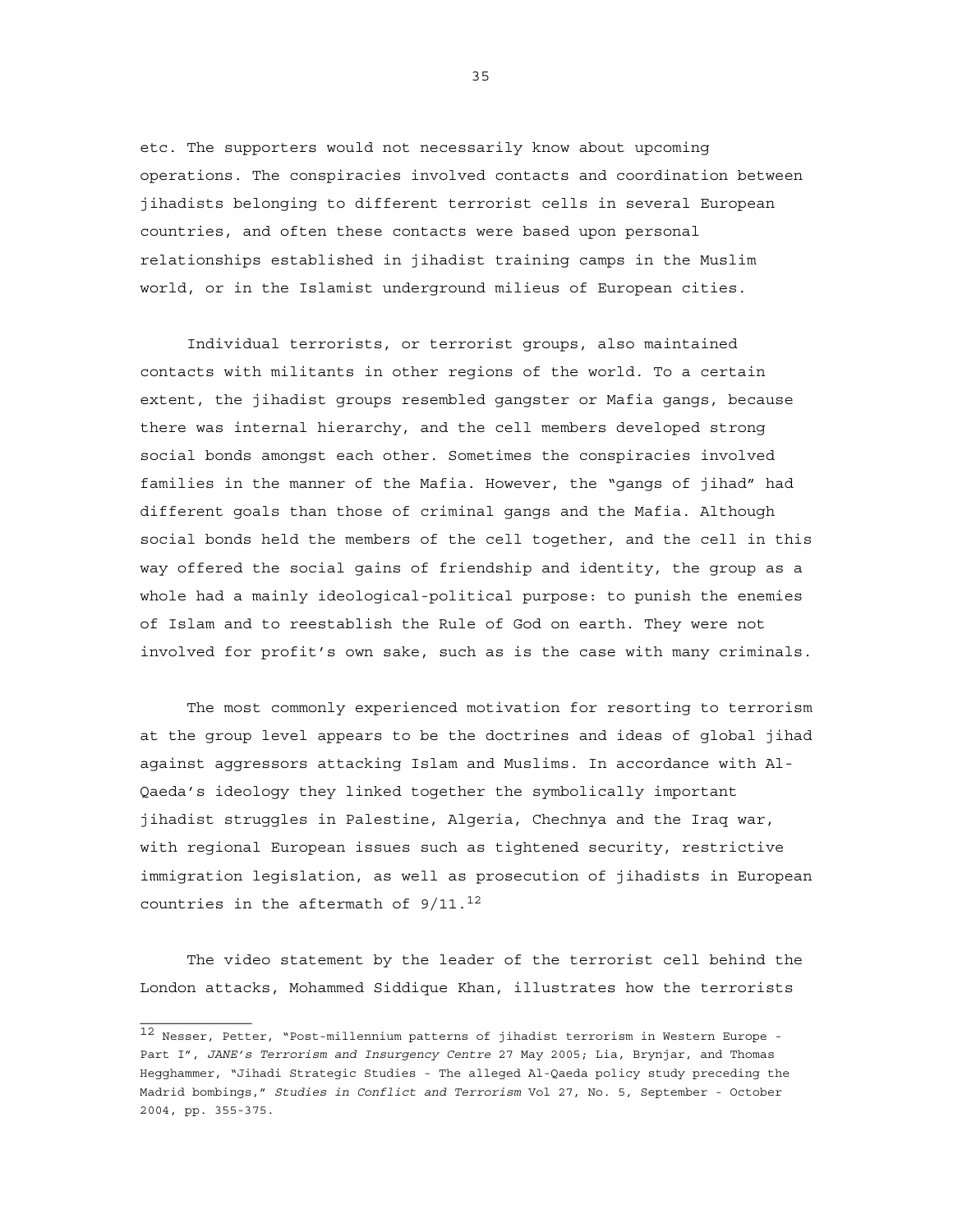etc. The supporters would not necessarily know about upcoming operations. The conspiracies involved contacts and coordination between jihadists belonging to different terrorist cells in several European countries, and often these contacts were based upon personal relationships established in jihadist training camps in the Muslim world, or in the Islamist underground milieus of European cities.

Individual terrorists, or terrorist groups, also maintained contacts with militants in other regions of the world. To a certain extent, the jihadist groups resembled gangster or Mafia gangs, because there was internal hierarchy, and the cell members developed strong social bonds amongst each other. Sometimes the conspiracies involved families in the manner of the Mafia. However, the "gangs of jihad" had different goals than those of criminal gangs and the Mafia. Although social bonds held the members of the cell together, and the cell in this way offered the social gains of friendship and identity, the group as a whole had a mainly ideological-political purpose: to punish the enemies of Islam and to reestablish the Rule of God on earth. They were not involved for profit's own sake, such as is the case with many criminals.

The most commonly experienced motivation for resorting to terrorism at the group level appears to be the doctrines and ideas of global jihad against aggressors attacking Islam and Muslims. In accordance with Al-Qaeda's ideology they linked together the symbolically important jihadist struggles in Palestine, Algeria, Chechnya and the Iraq war, with regional European issues such as tightened security, restrictive immigration legislation, as well as prosecution of jihadists in European countries in the aftermath of  $9/11.^{12}$ 

The video statement by the leader of the terrorist cell behind the London attacks, Mohammed Siddique Khan, illustrates how the terrorists

<u>35</u>

<sup>12</sup> Nesser, Petter, "Post-millennium patterns of jihadist terrorism in Western Europe - Part I", *JANE's Terrorism and Insurgency Centre* 27 May 2005; Lia, Brynjar, and Thomas Hegghammer, "Jihadi Strategic Studies - The alleged Al-Qaeda policy study preceding the Madrid bombings," *Studies in Conflict and Terrorism* Vol 27, No. 5, September - October 2004, pp. 355-375.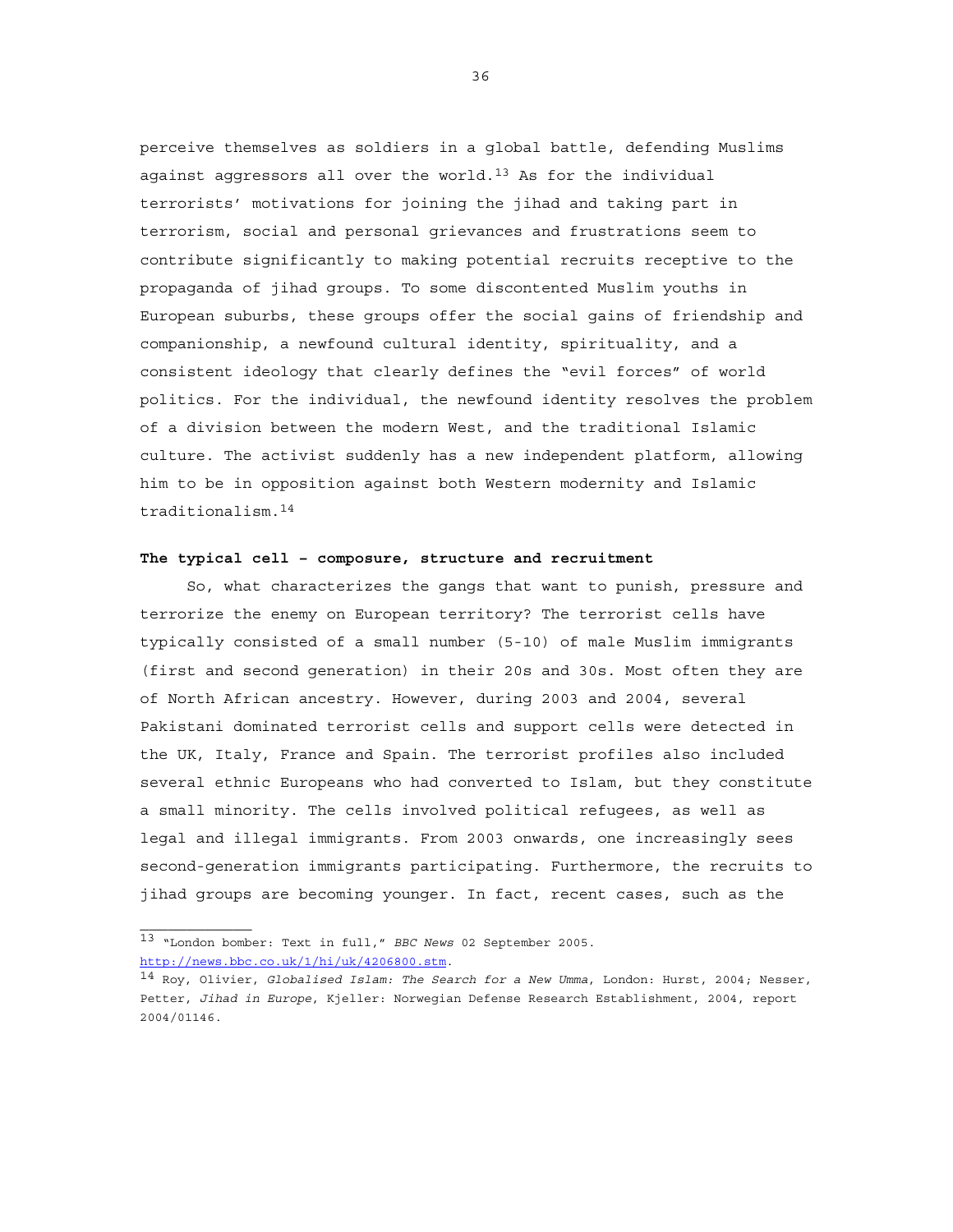perceive themselves as soldiers in a global battle, defending Muslims against aggressors all over the world. $13$  As for the individual terrorists' motivations for joining the jihad and taking part in terrorism, social and personal grievances and frustrations seem to contribute significantly to making potential recruits receptive to the propaganda of jihad groups. To some discontented Muslim youths in European suburbs, these groups offer the social gains of friendship and companionship, a newfound cultural identity, spirituality, and a consistent ideology that clearly defines the "evil forces" of world politics. For the individual, the newfound identity resolves the problem of a division between the modern West, and the traditional Islamic culture. The activist suddenly has a new independent platform, allowing him to be in opposition against both Western modernity and Islamic traditionalism.14

### **The typical cell – composure, structure and recruitment**

So, what characterizes the gangs that want to punish, pressure and terrorize the enemy on European territory? The terrorist cells have typically consisted of a small number (5-10) of male Muslim immigrants (first and second generation) in their 20s and 30s. Most often they are of North African ancestry. However, during 2003 and 2004, several Pakistani dominated terrorist cells and support cells were detected in the UK, Italy, France and Spain. The terrorist profiles also included several ethnic Europeans who had converted to Islam, but they constitute a small minority. The cells involved political refugees, as well as legal and illegal immigrants. From 2003 onwards, one increasingly sees second-generation immigrants participating. Furthermore, the recruits to jihad groups are becoming younger. In fact, recent cases, such as the

<sup>13 &</sup>quot;London bomber: Text in full," *BBC News* 02 September 2005. http://news.bbc.co.uk/1/hi/uk/4206800.stm.

<sup>14</sup> Roy, Olivier, *Globalised Islam: The Search for a New Umma*, London: Hurst, 2004; Nesser, Petter, *Jihad in Europe*, Kjeller: Norwegian Defense Research Establishment, 2004, report 2004/01146.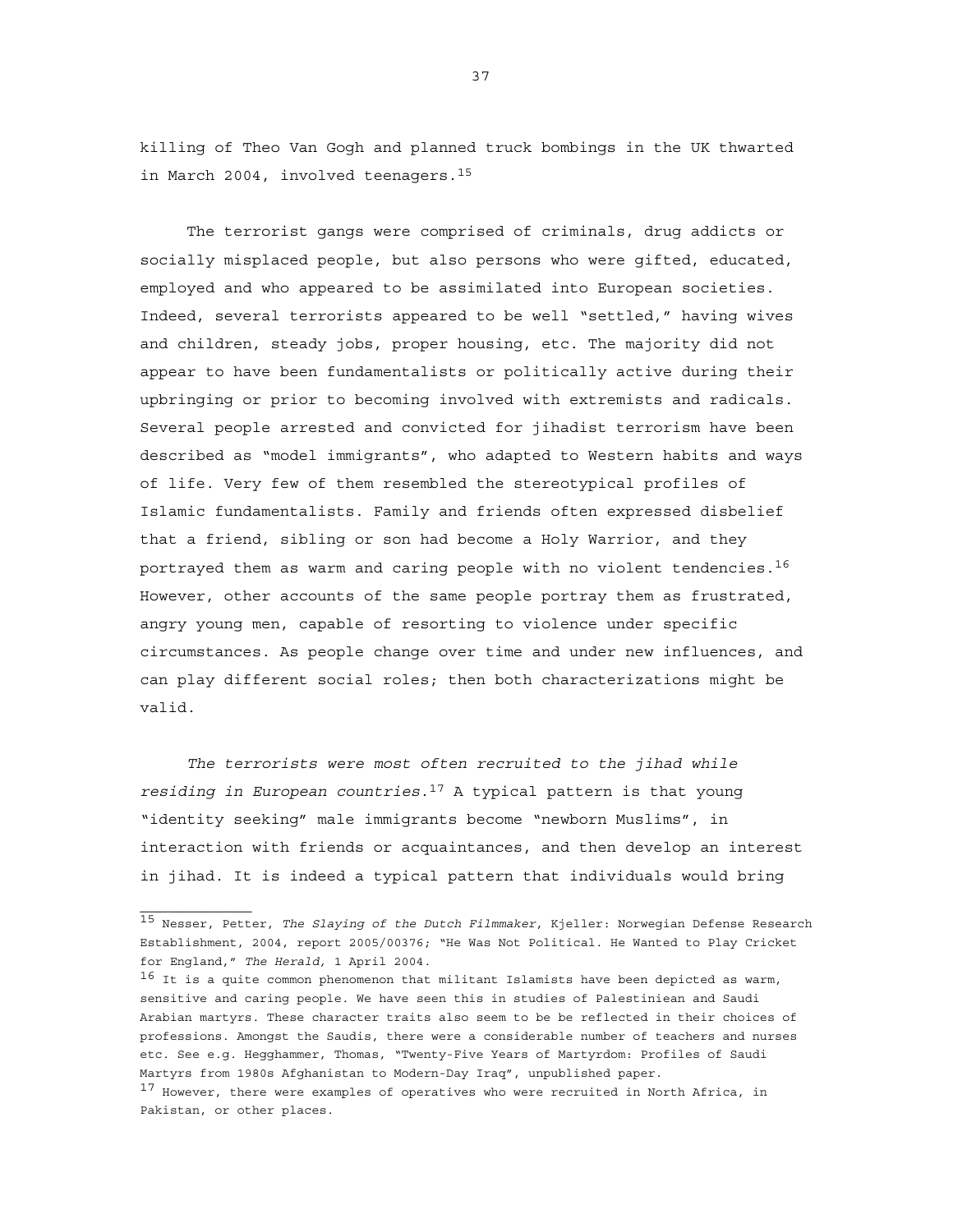killing of Theo Van Gogh and planned truck bombings in the UK thwarted in March 2004, involved teenagers.15

The terrorist gangs were comprised of criminals, drug addicts or socially misplaced people, but also persons who were gifted, educated, employed and who appeared to be assimilated into European societies. Indeed, several terrorists appeared to be well "settled," having wives and children, steady jobs, proper housing, etc. The majority did not appear to have been fundamentalists or politically active during their upbringing or prior to becoming involved with extremists and radicals. Several people arrested and convicted for jihadist terrorism have been described as "model immigrants", who adapted to Western habits and ways of life. Very few of them resembled the stereotypical profiles of Islamic fundamentalists. Family and friends often expressed disbelief that a friend, sibling or son had become a Holy Warrior, and they portrayed them as warm and caring people with no violent tendencies. $1^6$ However, other accounts of the same people portray them as frustrated, angry young men, capable of resorting to violence under specific circumstances. As people change over time and under new influences, and can play different social roles; then both characterizations might be valid.

*The terrorists were most often recruited to the jihad while residing in European countries*.17 A typical pattern is that young "identity seeking" male immigrants become "newborn Muslims", in interaction with friends or acquaintances, and then develop an interest in jihad. It is indeed a typical pattern that individuals would bring

<sup>15</sup> Nesser, Petter, *The Slaying of the Dutch Filmmaker*, Kjeller: Norwegian Defense Research Establishment, 2004, report 2005/00376; "He Was Not Political. He Wanted to Play Cricket for England," *The Herald,* 1 April 2004.

<sup>&</sup>lt;sup>16</sup> It is a quite common phenomenon that militant Islamists have been depicted as warm, sensitive and caring people. We have seen this in studies of Palestiniean and Saudi Arabian martyrs. These character traits also seem to be be reflected in their choices of professions. Amongst the Saudis, there were a considerable number of teachers and nurses etc. See e.g. Hegghammer, Thomas, "Twenty-Five Years of Martyrdom: Profiles of Saudi Martyrs from 1980s Afghanistan to Modern-Day Iraq", unpublished paper.

<sup>&</sup>lt;sup>17</sup> However, there were examples of operatives who were recruited in North Africa, in Pakistan, or other places.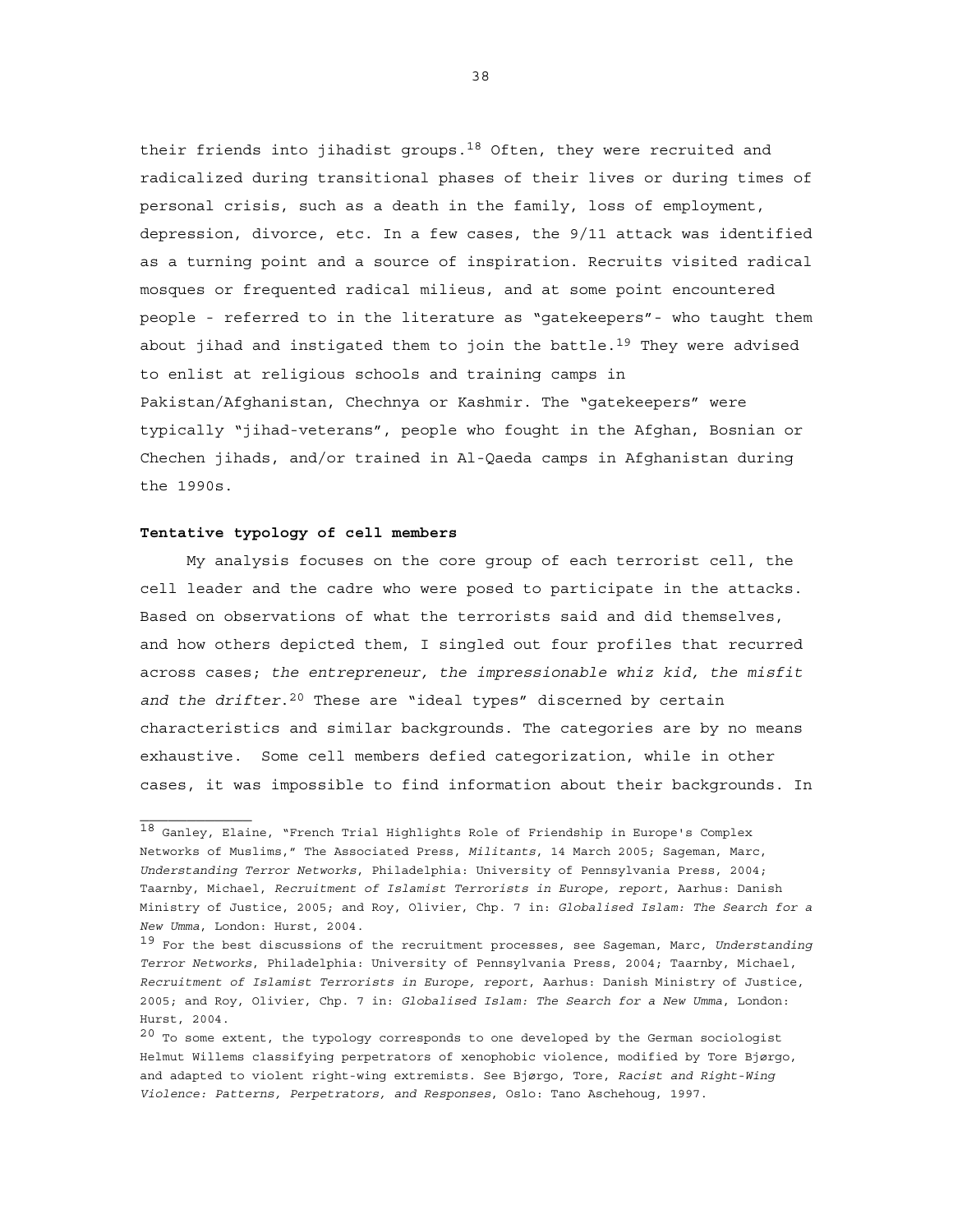their friends into jihadist groups.<sup>18</sup> Often, they were recruited and radicalized during transitional phases of their lives or during times of personal crisis, such as a death in the family, loss of employment, depression, divorce, etc. In a few cases, the 9/11 attack was identified as a turning point and a source of inspiration. Recruits visited radical mosques or frequented radical milieus, and at some point encountered people - referred to in the literature as "gatekeepers"- who taught them about jihad and instigated them to join the battle.<sup>19</sup> They were advised to enlist at religious schools and training camps in Pakistan/Afghanistan, Chechnya or Kashmir. The "gatekeepers" were typically "jihad-veterans", people who fought in the Afghan, Bosnian or Chechen jihads, and/or trained in Al-Qaeda camps in Afghanistan during the 1990s.

### **Tentative typology of cell members**

My analysis focuses on the core group of each terrorist cell, the cell leader and the cadre who were posed to participate in the attacks. Based on observations of what the terrorists said and did themselves, and how others depicted them, I singled out four profiles that recurred across cases; *the entrepreneur, the impressionable whiz kid, the misfit and the drifter*.20 These are "ideal types" discerned by certain characteristics and similar backgrounds. The categories are by no means exhaustive. Some cell members defied categorization, while in other cases, it was impossible to find information about their backgrounds. In

 $^{18}$  Ganley, Elaine, "French Trial Highlights Role of Friendship in Europe's Complex Networks of Muslims," The Associated Press, *Militants*, 14 March 2005; Sageman, Marc, *Understanding Terror Networks*, Philadelphia: University of Pennsylvania Press, 2004; Taarnby, Michael, *Recruitment of Islamist Terrorists in Europe, report*, Aarhus: Danish Ministry of Justice, 2005; and Roy, Olivier, Chp. 7 in: *Globalised Islam: The Search for a New Umma*, London: Hurst, 2004.

<sup>19</sup> For the best discussions of the recruitment processes, see Sageman, Marc, *Understanding Terror Networks*, Philadelphia: University of Pennsylvania Press, 2004; Taarnby, Michael, *Recruitment of Islamist Terrorists in Europe, report*, Aarhus: Danish Ministry of Justice, 2005; and Roy, Olivier, Chp. 7 in: *Globalised Islam: The Search for a New Umma*, London: Hurst, 2004.

 $20$  To some extent, the typology corresponds to one developed by the German sociologist Helmut Willems classifying perpetrators of xenophobic violence, modified by Tore Bjørgo, and adapted to violent right-wing extremists. See Bjørgo, Tore, *Racist and Right-Wing Violence: Patterns, Perpetrators, and Responses*, Oslo: Tano Aschehoug, 1997.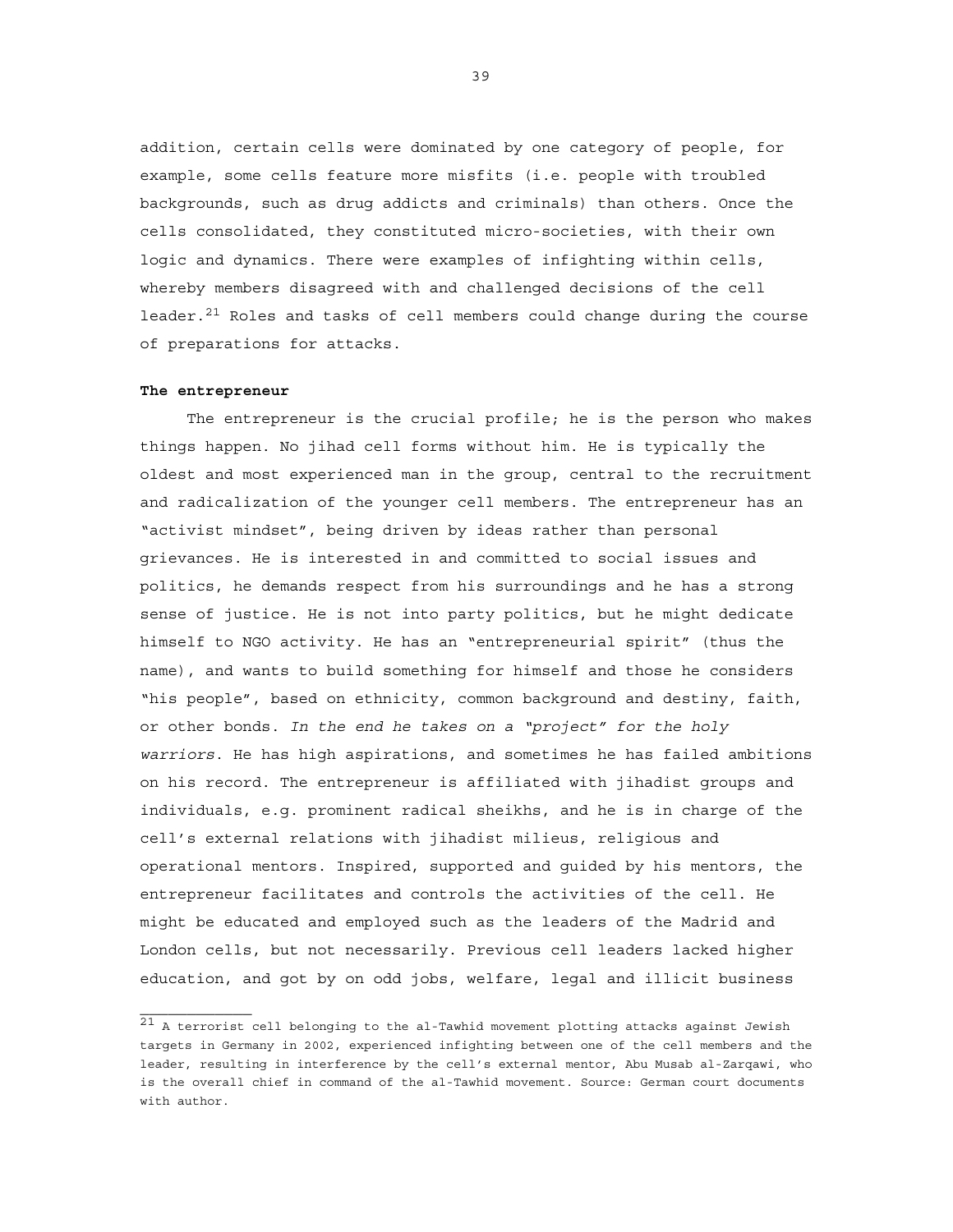addition, certain cells were dominated by one category of people, for example, some cells feature more misfits (i.e. people with troubled backgrounds, such as drug addicts and criminals) than others. Once the cells consolidated, they constituted micro-societies, with their own logic and dynamics. There were examples of infighting within cells, whereby members disagreed with and challenged decisions of the cell leader.<sup>21</sup> Roles and tasks of cell members could change during the course of preparations for attacks.

### **The entrepreneur**

The entrepreneur is the crucial profile; he is the person who makes things happen. No jihad cell forms without him. He is typically the oldest and most experienced man in the group, central to the recruitment and radicalization of the younger cell members. The entrepreneur has an "activist mindset", being driven by ideas rather than personal grievances. He is interested in and committed to social issues and politics, he demands respect from his surroundings and he has a strong sense of justice. He is not into party politics, but he might dedicate himself to NGO activity. He has an "entrepreneurial spirit" (thus the name), and wants to build something for himself and those he considers "his people", based on ethnicity, common background and destiny, faith, or other bonds. *In the end he takes on a "project" for the holy warriors*. He has high aspirations, and sometimes he has failed ambitions on his record. The entrepreneur is affiliated with jihadist groups and individuals, e.g. prominent radical sheikhs, and he is in charge of the cell's external relations with jihadist milieus, religious and operational mentors. Inspired, supported and guided by his mentors, the entrepreneur facilitates and controls the activities of the cell. He might be educated and employed such as the leaders of the Madrid and London cells, but not necessarily. Previous cell leaders lacked higher education, and got by on odd jobs, welfare, legal and illicit business

 $^{21}$  A terrorist cell belonging to the al-Tawhid movement plotting attacks against Jewish targets in Germany in 2002, experienced infighting between one of the cell members and the leader, resulting in interference by the cell's external mentor, Abu Musab al-Zarqawi, who is the overall chief in command of the al-Tawhid movement. Source: German court documents with author.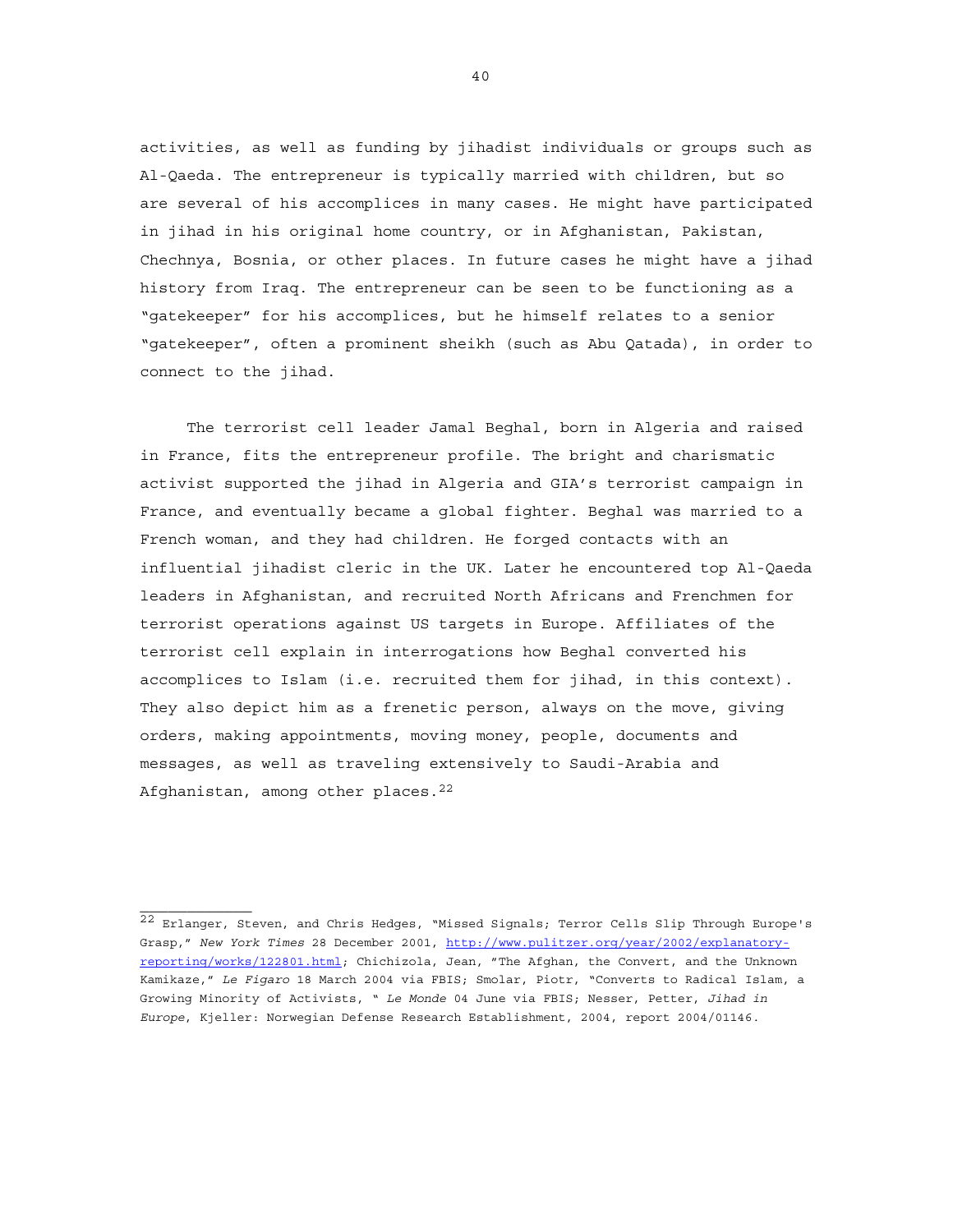activities, as well as funding by jihadist individuals or groups such as Al-Qaeda. The entrepreneur is typically married with children, but so are several of his accomplices in many cases. He might have participated in jihad in his original home country, or in Afghanistan, Pakistan, Chechnya, Bosnia, or other places. In future cases he might have a jihad history from Iraq. The entrepreneur can be seen to be functioning as a "gatekeeper" for his accomplices, but he himself relates to a senior "gatekeeper", often a prominent sheikh (such as Abu Qatada), in order to connect to the jihad.

The terrorist cell leader Jamal Beghal, born in Algeria and raised in France, fits the entrepreneur profile. The bright and charismatic activist supported the jihad in Algeria and GIA's terrorist campaign in France, and eventually became a global fighter. Beghal was married to a French woman, and they had children. He forged contacts with an influential jihadist cleric in the UK. Later he encountered top Al-Qaeda leaders in Afghanistan, and recruited North Africans and Frenchmen for terrorist operations against US targets in Europe. Affiliates of the terrorist cell explain in interrogations how Beghal converted his accomplices to Islam (i.e. recruited them for jihad, in this context). They also depict him as a frenetic person, always on the move, giving orders, making appointments, moving money, people, documents and messages, as well as traveling extensively to Saudi-Arabia and Afghanistan, among other places.  $22$ 

22 Erlanger, Steven, and Chris Hedges, "Missed Signals; Terror Cells Slip Through Europe's Grasp," *New York Times* 28 December 2001, http://www.pulitzer.org/year/2002/explanatoryreporting/works/122801.html; Chichizola, Jean, "The Afghan, the Convert, and the Unknown Kamikaze," *Le Figaro* 18 March 2004 via FBIS; Smolar, Piotr, "Converts to Radical Islam, a Growing Minority of Activists, " *Le Monde* 04 June via FBIS; Nesser, Petter, *Jihad in Europe*, Kjeller: Norwegian Defense Research Establishment, 2004, report 2004/01146.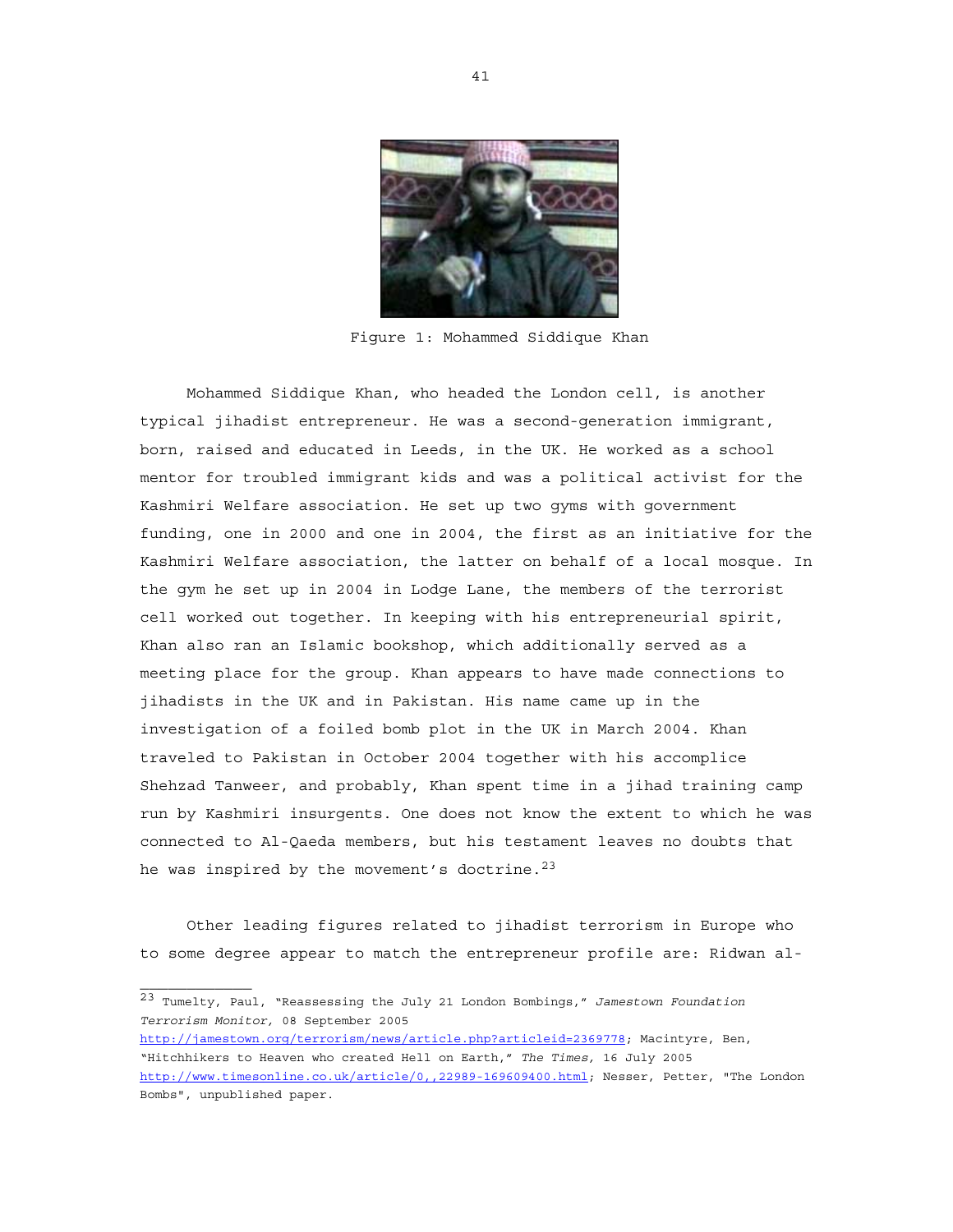

Figure 1: Mohammed Siddique Khan

Mohammed Siddique Khan, who headed the London cell, is another typical jihadist entrepreneur. He was a second-generation immigrant, born, raised and educated in Leeds, in the UK. He worked as a school mentor for troubled immigrant kids and was a political activist for the Kashmiri Welfare association. He set up two gyms with government funding, one in 2000 and one in 2004, the first as an initiative for the Kashmiri Welfare association, the latter on behalf of a local mosque. In the gym he set up in 2004 in Lodge Lane, the members of the terrorist cell worked out together. In keeping with his entrepreneurial spirit, Khan also ran an Islamic bookshop, which additionally served as a meeting place for the group. Khan appears to have made connections to jihadists in the UK and in Pakistan. His name came up in the investigation of a foiled bomb plot in the UK in March 2004. Khan traveled to Pakistan in October 2004 together with his accomplice Shehzad Tanweer, and probably, Khan spent time in a jihad training camp run by Kashmiri insurgents. One does not know the extent to which he was connected to Al-Qaeda members, but his testament leaves no doubts that he was inspired by the movement's doctrine.  $23$ 

Other leading figures related to jihadist terrorism in Europe who to some degree appear to match the entrepreneur profile are: Ridwan al-

 $\mathcal{L}_\text{max}$ 

<sup>23</sup> Tumelty, Paul, "Reassessing the July 21 London Bombings," *Jamestown Foundation Terrorism Monitor,* 08 September 2005

http://jamestown.org/terrorism/news/article.php?articleid=2369778; Macintyre, Ben, "Hitchhikers to Heaven who created Hell on Earth," *The Times,* 16 July 2005 http://www.timesonline.co.uk/article/0,,22989-169609400.html; Nesser, Petter, "The London Bombs", unpublished paper.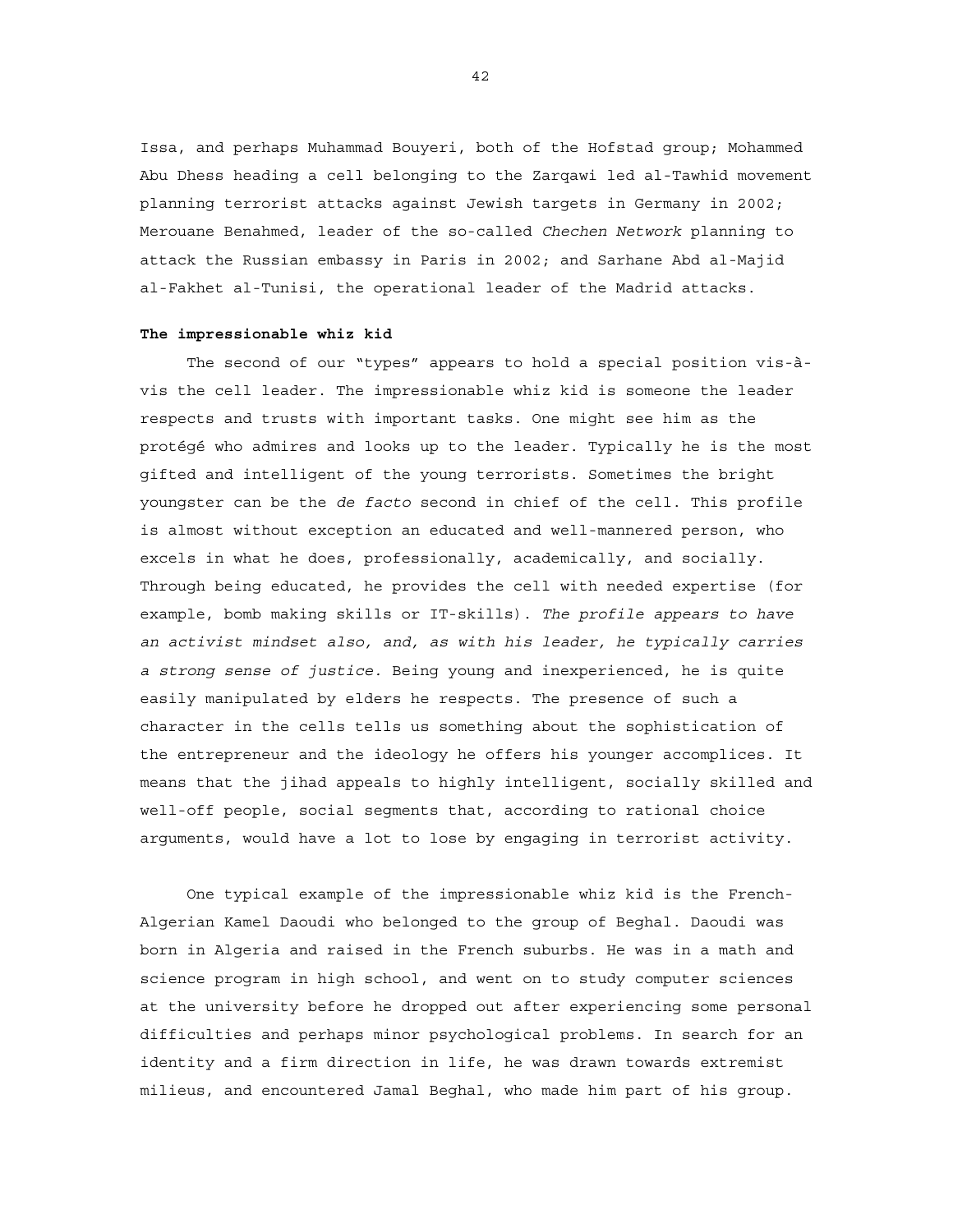Issa, and perhaps Muhammad Bouyeri, both of the Hofstad group; Mohammed Abu Dhess heading a cell belonging to the Zarqawi led al-Tawhid movement planning terrorist attacks against Jewish targets in Germany in 2002; Merouane Benahmed, leader of the so-called *Chechen Network* planning to attack the Russian embassy in Paris in 2002; and Sarhane Abd al-Majid al-Fakhet al-Tunisi, the operational leader of the Madrid attacks.

#### **The impressionable whiz kid**

The second of our "types" appears to hold a special position vis-àvis the cell leader. The impressionable whiz kid is someone the leader respects and trusts with important tasks. One might see him as the protégé who admires and looks up to the leader. Typically he is the most gifted and intelligent of the young terrorists. Sometimes the bright youngster can be the *de facto* second in chief of the cell. This profile is almost without exception an educated and well-mannered person, who excels in what he does, professionally, academically, and socially. Through being educated, he provides the cell with needed expertise (for example, bomb making skills or IT-skills). *The profile appears to have an activist mindset also, and, as with his leader, he typically carries a strong sense of justice.* Being young and inexperienced, he is quite easily manipulated by elders he respects. The presence of such a character in the cells tells us something about the sophistication of the entrepreneur and the ideology he offers his younger accomplices. It means that the jihad appeals to highly intelligent, socially skilled and well-off people, social segments that, according to rational choice arguments, would have a lot to lose by engaging in terrorist activity.

One typical example of the impressionable whiz kid is the French-Algerian Kamel Daoudi who belonged to the group of Beghal. Daoudi was born in Algeria and raised in the French suburbs. He was in a math and science program in high school, and went on to study computer sciences at the university before he dropped out after experiencing some personal difficulties and perhaps minor psychological problems. In search for an identity and a firm direction in life, he was drawn towards extremist milieus, and encountered Jamal Beghal, who made him part of his group.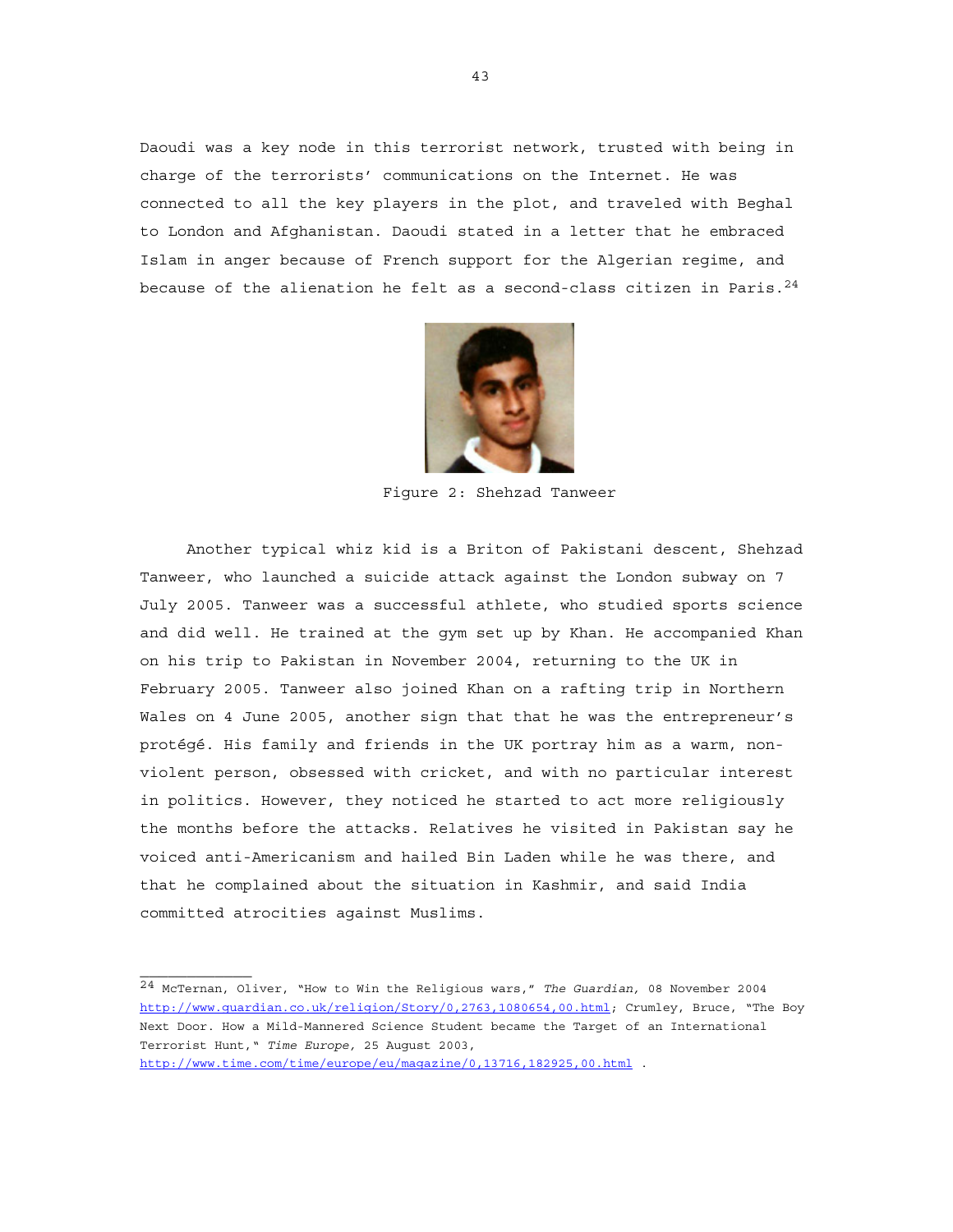Daoudi was a key node in this terrorist network, trusted with being in charge of the terrorists' communications on the Internet. He was connected to all the key players in the plot, and traveled with Beghal to London and Afghanistan. Daoudi stated in a letter that he embraced Islam in anger because of French support for the Algerian regime, and because of the alienation he felt as a second-class citizen in Paris. $^{24}$ 



Figure 2: Shehzad Tanweer

Another typical whiz kid is a Briton of Pakistani descent, Shehzad Tanweer, who launched a suicide attack against the London subway on 7 July 2005. Tanweer was a successful athlete, who studied sports science and did well. He trained at the gym set up by Khan. He accompanied Khan on his trip to Pakistan in November 2004, returning to the UK in February 2005. Tanweer also joined Khan on a rafting trip in Northern Wales on 4 June 2005, another sign that that he was the entrepreneur's protégé. His family and friends in the UK portray him as a warm, nonviolent person, obsessed with cricket, and with no particular interest in politics. However, they noticed he started to act more religiously the months before the attacks. Relatives he visited in Pakistan say he voiced anti-Americanism and hailed Bin Laden while he was there, and that he complained about the situation in Kashmir, and said India committed atrocities against Muslims.

<sup>24</sup> McTernan, Oliver, "How to Win the Religious wars," *The Guardian,* 08 November 2004 http://www.guardian.co.uk/religion/Story/0,2763,1080654,00.html; Crumley, Bruce, "The Boy Next Door. How a Mild-Mannered Science Student became the Target of an International Terrorist Hunt," *Time Europe,* 25 August 2003, http://www.time.com/time/europe/eu/magazine/0,13716,182925,00.html .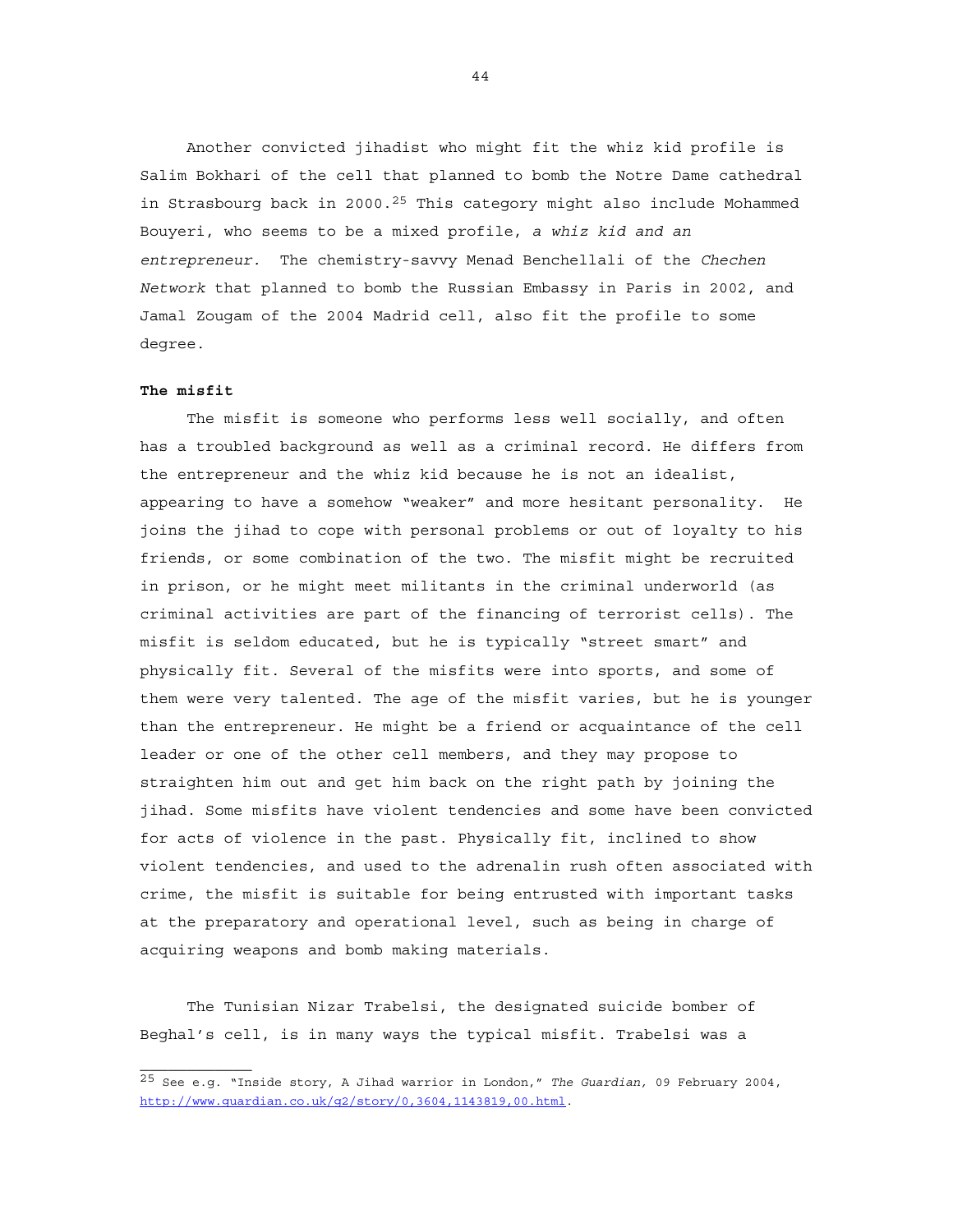Another convicted jihadist who might fit the whiz kid profile is Salim Bokhari of the cell that planned to bomb the Notre Dame cathedral in Strasbourg back in 2000.<sup>25</sup> This category might also include Mohammed Bouyeri, who seems to be a mixed profile, *a whiz kid and an entrepreneur.* The chemistry-savvy Menad Benchellali of the *Chechen Network* that planned to bomb the Russian Embassy in Paris in 2002, and Jamal Zougam of the 2004 Madrid cell, also fit the profile to some degree.

### **The misfit**

The misfit is someone who performs less well socially, and often has a troubled background as well as a criminal record. He differs from the entrepreneur and the whiz kid because he is not an idealist, appearing to have a somehow "weaker" and more hesitant personality. He joins the jihad to cope with personal problems or out of loyalty to his friends, or some combination of the two. The misfit might be recruited in prison, or he might meet militants in the criminal underworld (as criminal activities are part of the financing of terrorist cells). The misfit is seldom educated, but he is typically "street smart" and physically fit. Several of the misfits were into sports, and some of them were very talented. The age of the misfit varies, but he is younger than the entrepreneur. He might be a friend or acquaintance of the cell leader or one of the other cell members, and they may propose to straighten him out and get him back on the right path by joining the jihad. Some misfits have violent tendencies and some have been convicted for acts of violence in the past. Physically fit, inclined to show violent tendencies, and used to the adrenalin rush often associated with crime, the misfit is suitable for being entrusted with important tasks at the preparatory and operational level, such as being in charge of acquiring weapons and bomb making materials.

The Tunisian Nizar Trabelsi, the designated suicide bomber of Beghal's cell, is in many ways the typical misfit. Trabelsi was a

<sup>25</sup> See e.g. "Inside story, A Jihad warrior in London," *The Guardian,* 09 February 2004, http://www.guardian.co.uk/g2/story/0,3604,1143819,00.html.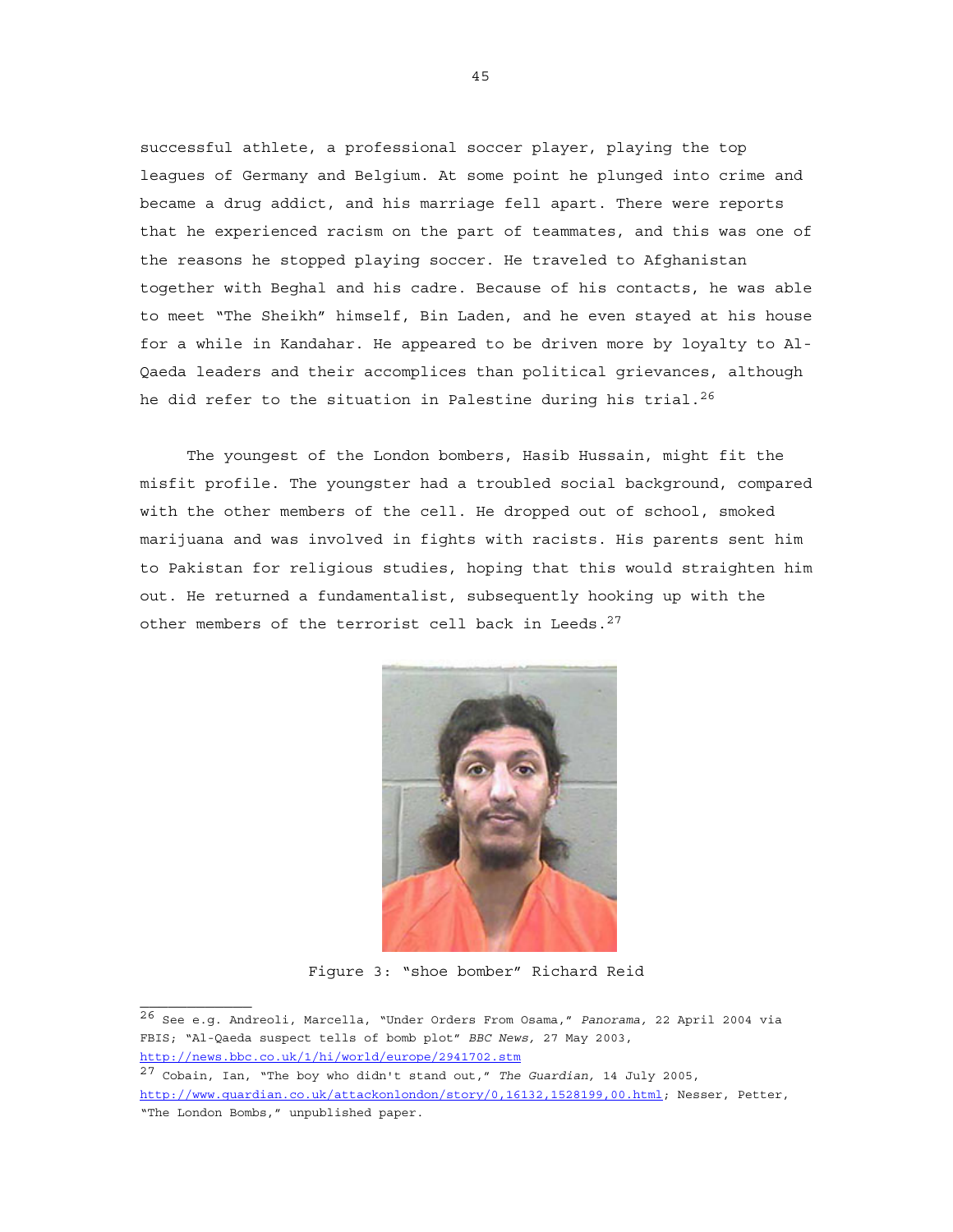successful athlete, a professional soccer player, playing the top leagues of Germany and Belgium. At some point he plunged into crime and became a drug addict, and his marriage fell apart. There were reports that he experienced racism on the part of teammates, and this was one of the reasons he stopped playing soccer. He traveled to Afghanistan together with Beghal and his cadre. Because of his contacts, he was able to meet "The Sheikh" himself, Bin Laden, and he even stayed at his house for a while in Kandahar. He appeared to be driven more by loyalty to Al-Qaeda leaders and their accomplices than political grievances, although he did refer to the situation in Palestine during his trial.<sup>26</sup>

The youngest of the London bombers, Hasib Hussain, might fit the misfit profile. The youngster had a troubled social background, compared with the other members of the cell. He dropped out of school, smoked marijuana and was involved in fights with racists. His parents sent him to Pakistan for religious studies, hoping that this would straighten him out. He returned a fundamentalist, subsequently hooking up with the other members of the terrorist cell back in Leeds. $27$ 



Figure 3: "shoe bomber" Richard Reid

26 See e.g. Andreoli, Marcella, "Under Orders From Osama," *Panorama,* 22 April 2004 via FBIS; "Al-Qaeda suspect tells of bomb plot" *BBC News,* 27 May 2003, http://news.bbc.co.uk/1/hi/world/europe/2941702.stm 27 Cobain, Ian, "The boy who didn't stand out," *The Guardian,* 14 July 2005,

http://www.guardian.co.uk/attackonlondon/story/0,16132,1528199,00.html; Nesser, Petter, "The London Bombs," unpublished paper.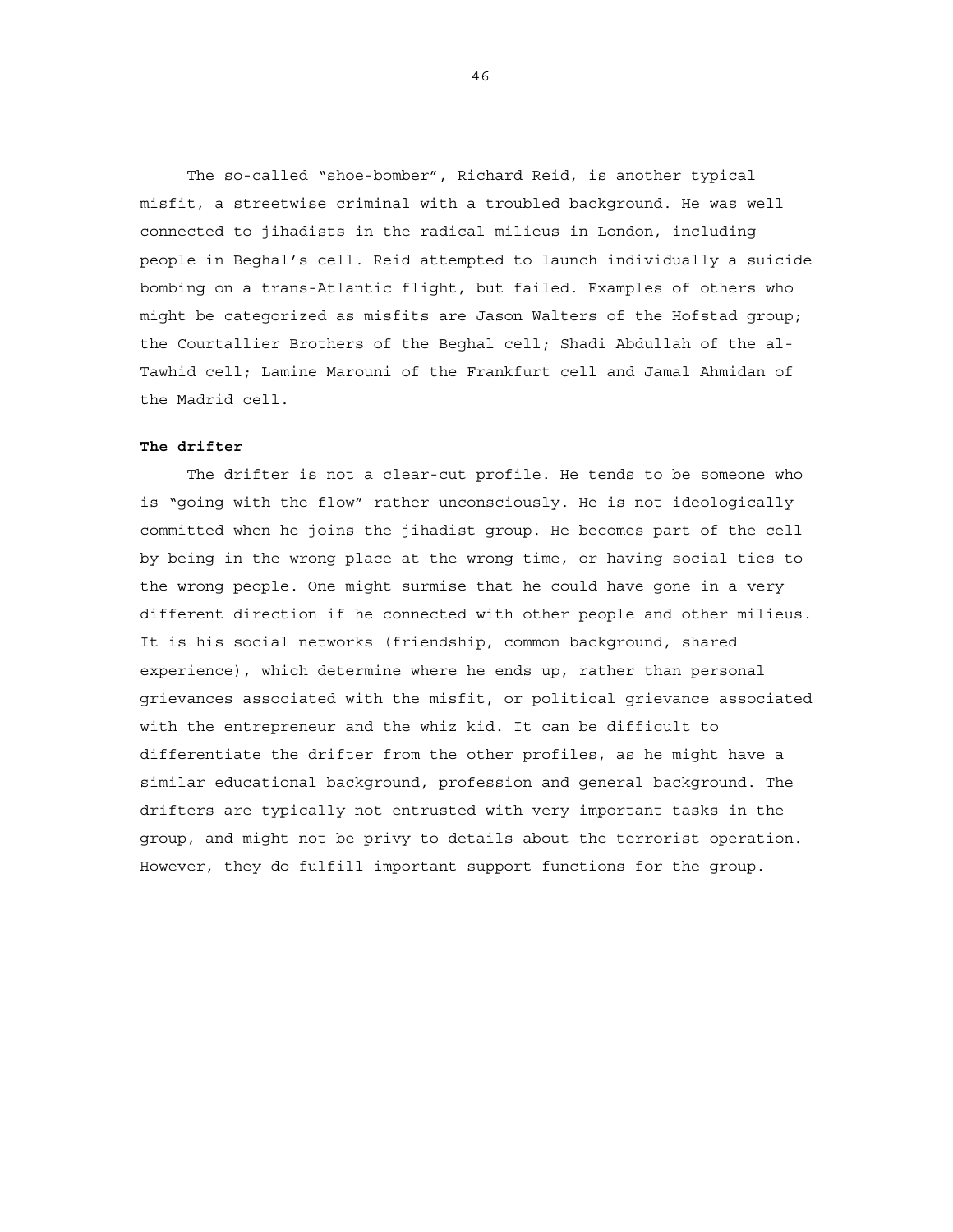The so-called "shoe-bomber", Richard Reid, is another typical misfit, a streetwise criminal with a troubled background. He was well connected to jihadists in the radical milieus in London, including people in Beghal's cell. Reid attempted to launch individually a suicide bombing on a trans-Atlantic flight, but failed. Examples of others who might be categorized as misfits are Jason Walters of the Hofstad group; the Courtallier Brothers of the Beghal cell; Shadi Abdullah of the al-Tawhid cell; Lamine Marouni of the Frankfurt cell and Jamal Ahmidan of the Madrid cell.

## **The drifter**

The drifter is not a clear-cut profile. He tends to be someone who is "going with the flow" rather unconsciously. He is not ideologically committed when he joins the jihadist group. He becomes part of the cell by being in the wrong place at the wrong time, or having social ties to the wrong people. One might surmise that he could have gone in a very different direction if he connected with other people and other milieus. It is his social networks (friendship, common background, shared experience), which determine where he ends up, rather than personal grievances associated with the misfit, or political grievance associated with the entrepreneur and the whiz kid. It can be difficult to differentiate the drifter from the other profiles, as he might have a similar educational background, profession and general background. The drifters are typically not entrusted with very important tasks in the group, and might not be privy to details about the terrorist operation. However, they do fulfill important support functions for the group.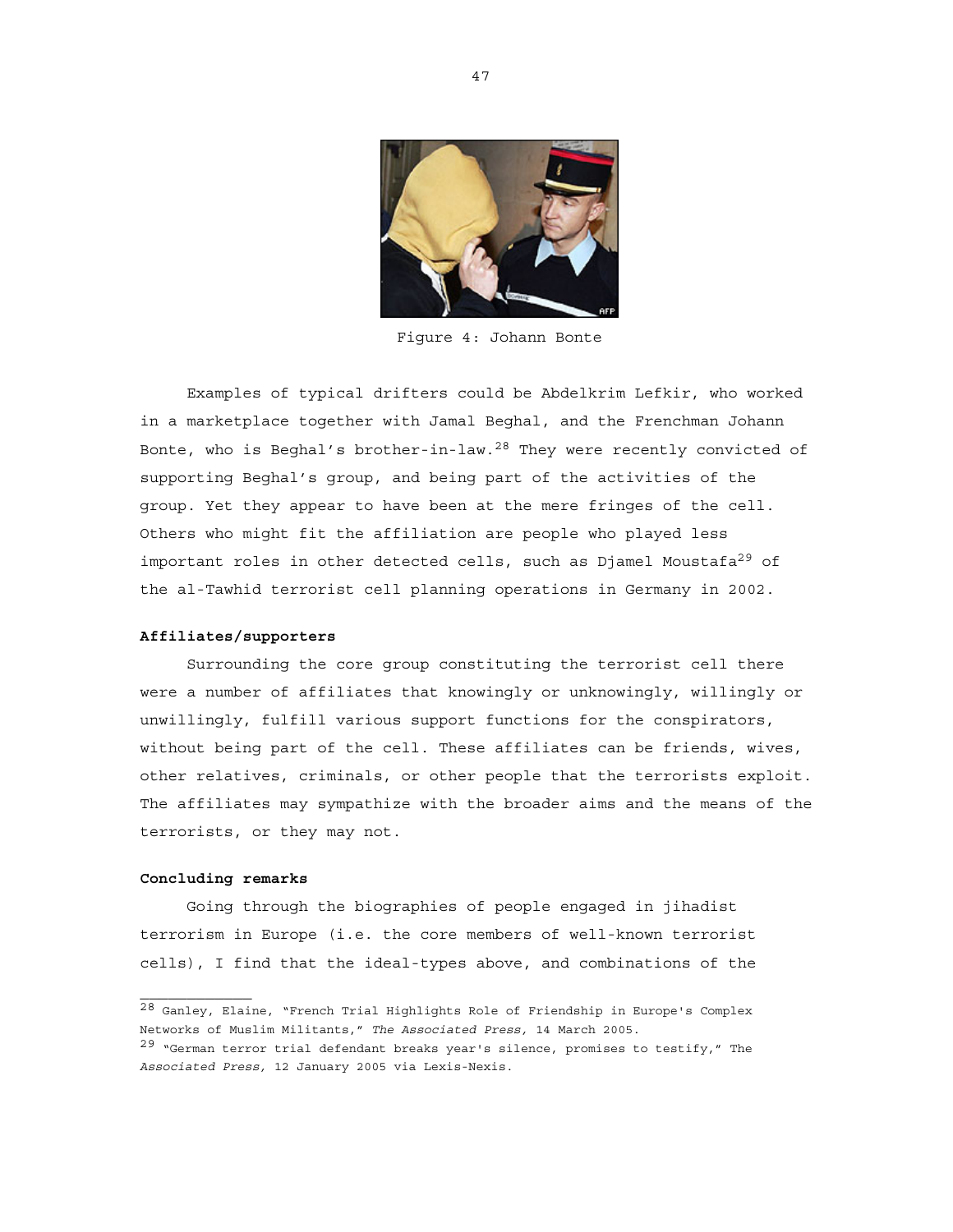

Figure 4: Johann Bonte

Examples of typical drifters could be Abdelkrim Lefkir, who worked in a marketplace together with Jamal Beghal, and the Frenchman Johann Bonte, who is Beghal's brother-in-law.28 They were recently convicted of supporting Beghal's group, and being part of the activities of the group. Yet they appear to have been at the mere fringes of the cell. Others who might fit the affiliation are people who played less important roles in other detected cells, such as Djamel Moustafa<sup>29</sup> of the al-Tawhid terrorist cell planning operations in Germany in 2002.

### **Affiliates/supporters**

Surrounding the core group constituting the terrorist cell there were a number of affiliates that knowingly or unknowingly, willingly or unwillingly, fulfill various support functions for the conspirators, without being part of the cell. These affiliates can be friends, wives, other relatives, criminals, or other people that the terrorists exploit. The affiliates may sympathize with the broader aims and the means of the terrorists, or they may not.

#### **Concluding remarks**

 $\mathcal{L}_\text{max}$ 

Going through the biographies of people engaged in jihadist terrorism in Europe (i.e. the core members of well-known terrorist cells), I find that the ideal-types above, and combinations of the

<sup>28</sup> Ganley, Elaine, "French Trial Highlights Role of Friendship in Europe's Complex Networks of Muslim Militants," *The Associated Press,* 14 March 2005.  $^{29}$  "German terror trial defendant breaks year's silence, promises to testify," The *Associated Press,* 12 January 2005 via Lexis-Nexis.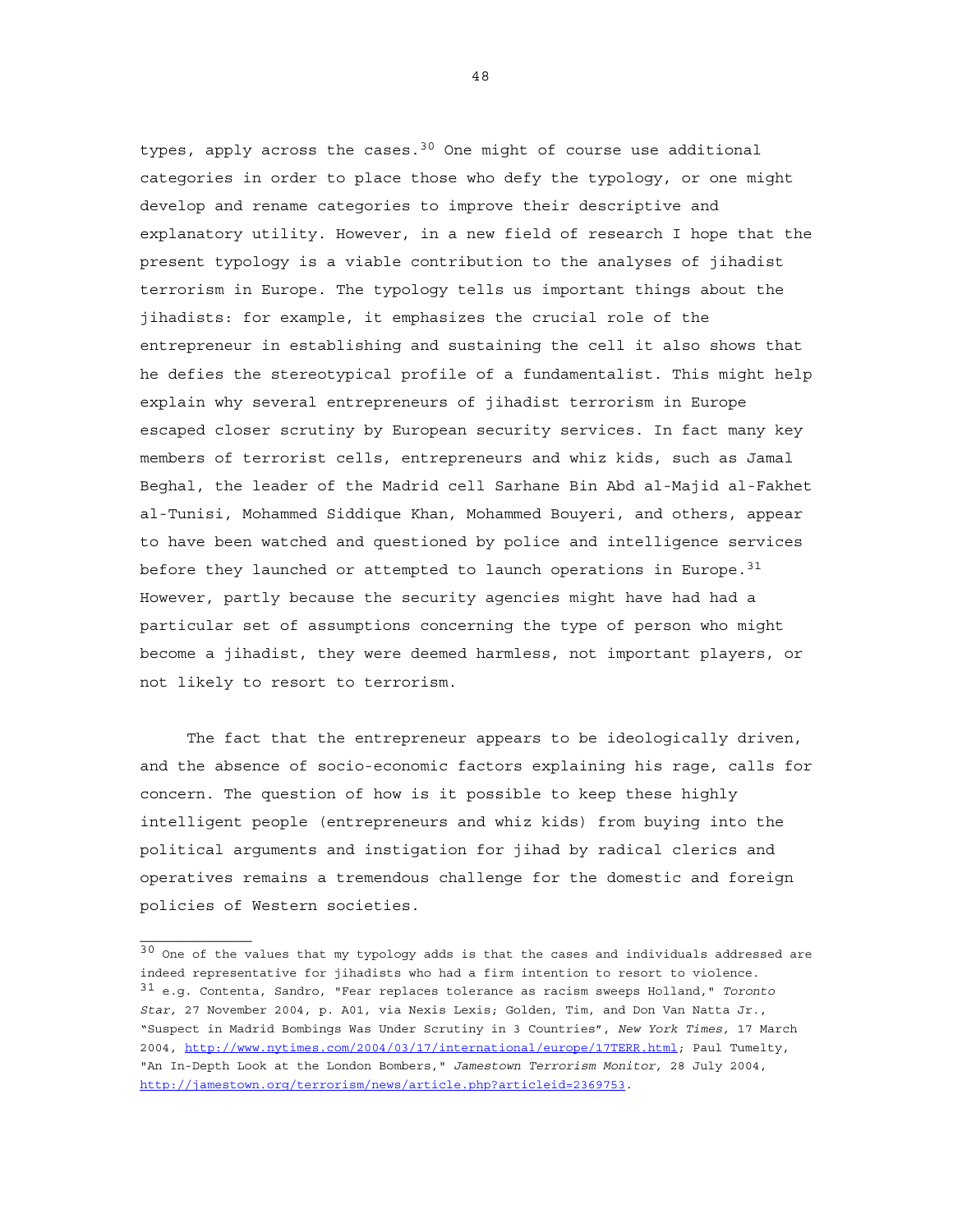types, apply across the cases. $30$  One might of course use additional categories in order to place those who defy the typology, or one might develop and rename categories to improve their descriptive and explanatory utility. However, in a new field of research I hope that the present typology is a viable contribution to the analyses of jihadist terrorism in Europe. The typology tells us important things about the jihadists: for example, it emphasizes the crucial role of the entrepreneur in establishing and sustaining the cell it also shows that he defies the stereotypical profile of a fundamentalist. This might help explain why several entrepreneurs of jihadist terrorism in Europe escaped closer scrutiny by European security services. In fact many key members of terrorist cells, entrepreneurs and whiz kids, such as Jamal Beghal, the leader of the Madrid cell Sarhane Bin Abd al-Majid al-Fakhet al-Tunisi, Mohammed Siddique Khan, Mohammed Bouyeri, and others, appear to have been watched and questioned by police and intelligence services before they launched or attempted to launch operations in Europe.  $31$ However, partly because the security agencies might have had had a particular set of assumptions concerning the type of person who might become a jihadist, they were deemed harmless, not important players, or not likely to resort to terrorism.

The fact that the entrepreneur appears to be ideologically driven, and the absence of socio-economic factors explaining his rage, calls for concern. The question of how is it possible to keep these highly intelligent people (entrepreneurs and whiz kids) from buying into the political arguments and instigation for jihad by radical clerics and operatives remains a tremendous challenge for the domestic and foreign policies of Western societies.

 $30$  One of the values that my typology adds is that the cases and individuals addressed are indeed representative for jihadists who had a firm intention to resort to violence. 31 e.g. Contenta, Sandro, "Fear replaces tolerance as racism sweeps Holland," *Toronto Star,* 27 November 2004, p. A01, via Nexis Lexis; Golden, Tim, and Don Van Natta Jr., "Suspect in Madrid Bombings Was Under Scrutiny in 3 Countries", *New York Times,* 17 March 2004, http://www.nytimes.com/2004/03/17/international/europe/17TERR.html; Paul Tumelty, "An In-Depth Look at the London Bombers," *Jamestown Terrorism Monitor,* 28 July 2004, http://jamestown.org/terrorism/news/article.php?articleid=2369753.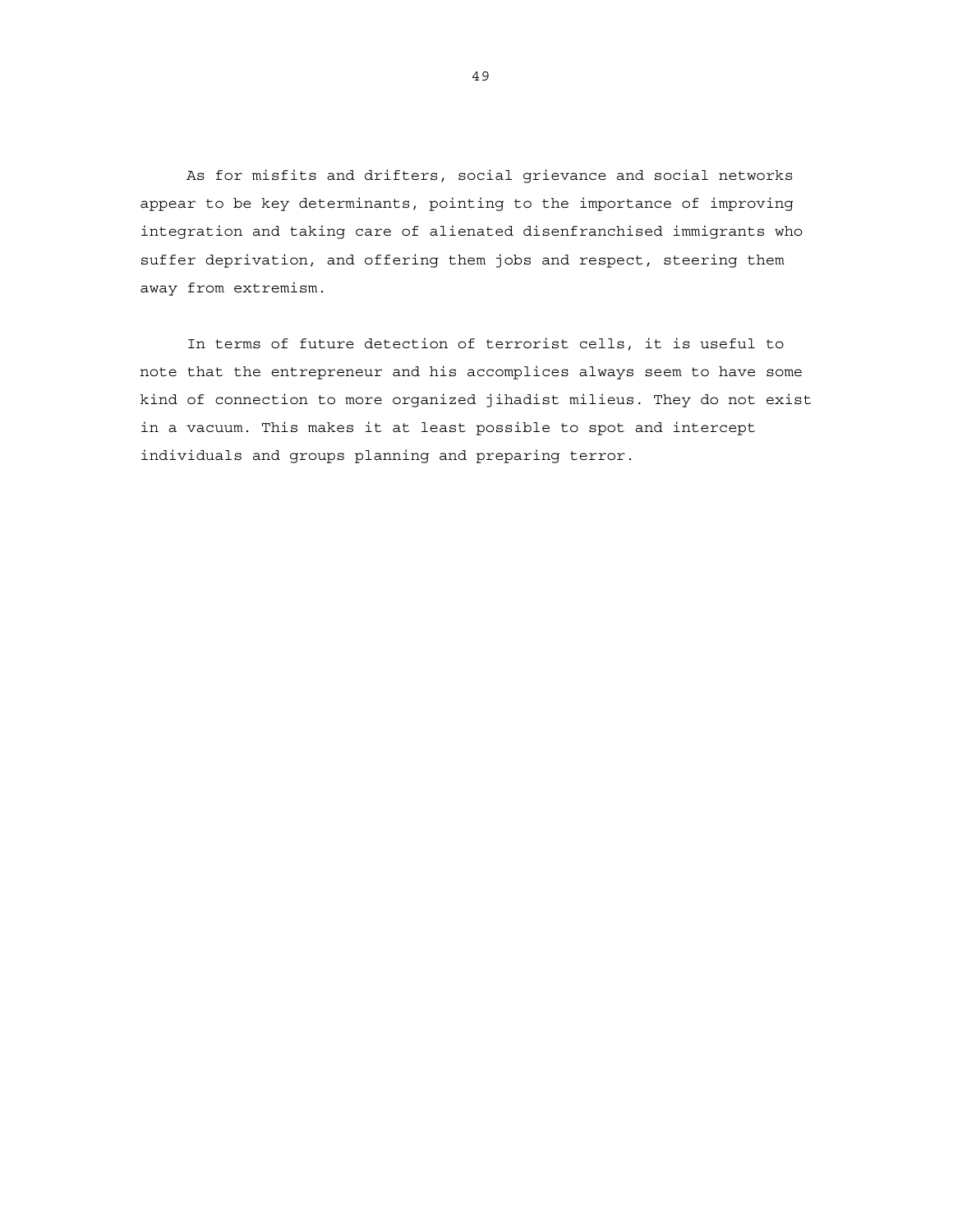As for misfits and drifters, social grievance and social networks appear to be key determinants, pointing to the importance of improving integration and taking care of alienated disenfranchised immigrants who suffer deprivation, and offering them jobs and respect, steering them away from extremism.

In terms of future detection of terrorist cells, it is useful to note that the entrepreneur and his accomplices always seem to have some kind of connection to more organized jihadist milieus. They do not exist in a vacuum. This makes it at least possible to spot and intercept individuals and groups planning and preparing terror.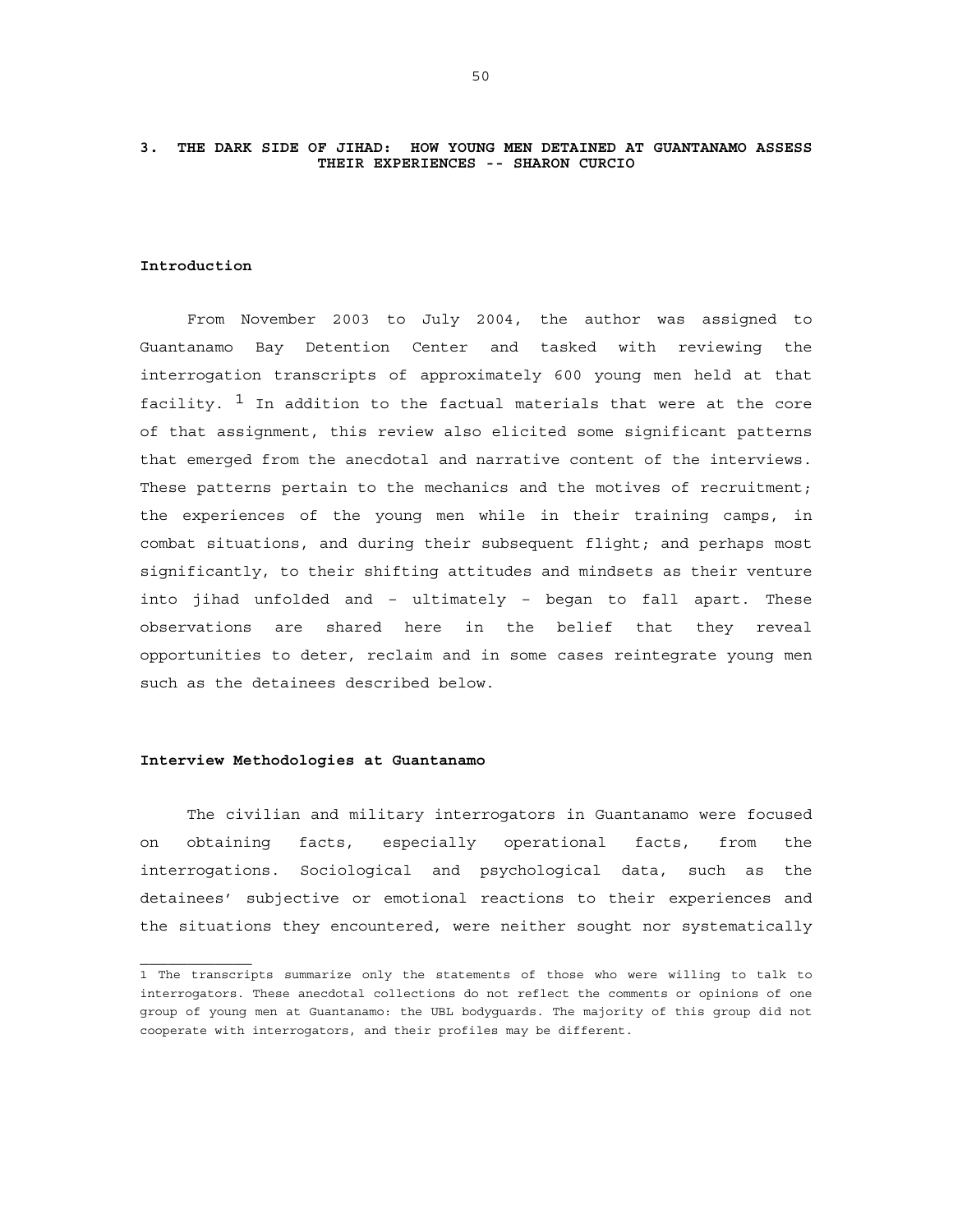#### **3. THE DARK SIDE OF JIHAD: HOW YOUNG MEN DETAINED AT GUANTANAMO ASSESS THEIR EXPERIENCES -- SHARON CURCIO**

#### **Introduction**

 $\mathcal{L}_\text{max}$ 

From November 2003 to July 2004, the author was assigned to Guantanamo Bay Detention Center and tasked with reviewing the interrogation transcripts of approximately 600 young men held at that facility.  $1$  In addition to the factual materials that were at the core of that assignment, this review also elicited some significant patterns that emerged from the anecdotal and narrative content of the interviews. These patterns pertain to the mechanics and the motives of recruitment; the experiences of the young men while in their training camps, in combat situations, and during their subsequent flight; and perhaps most significantly, to their shifting attitudes and mindsets as their venture into jihad unfolded and – ultimately – began to fall apart. These observations are shared here in the belief that they reveal opportunities to deter, reclaim and in some cases reintegrate young men such as the detainees described below.

#### **Interview Methodologies at Guantanamo**

The civilian and military interrogators in Guantanamo were focused on obtaining facts, especially operational facts, from the interrogations. Sociological and psychological data, such as the detainees' subjective or emotional reactions to their experiences and the situations they encountered, were neither sought nor systematically

<sup>1</sup> The transcripts summarize only the statements of those who were willing to talk to interrogators. These anecdotal collections do not reflect the comments or opinions of one group of young men at Guantanamo: the UBL bodyguards. The majority of this group did not cooperate with interrogators, and their profiles may be different.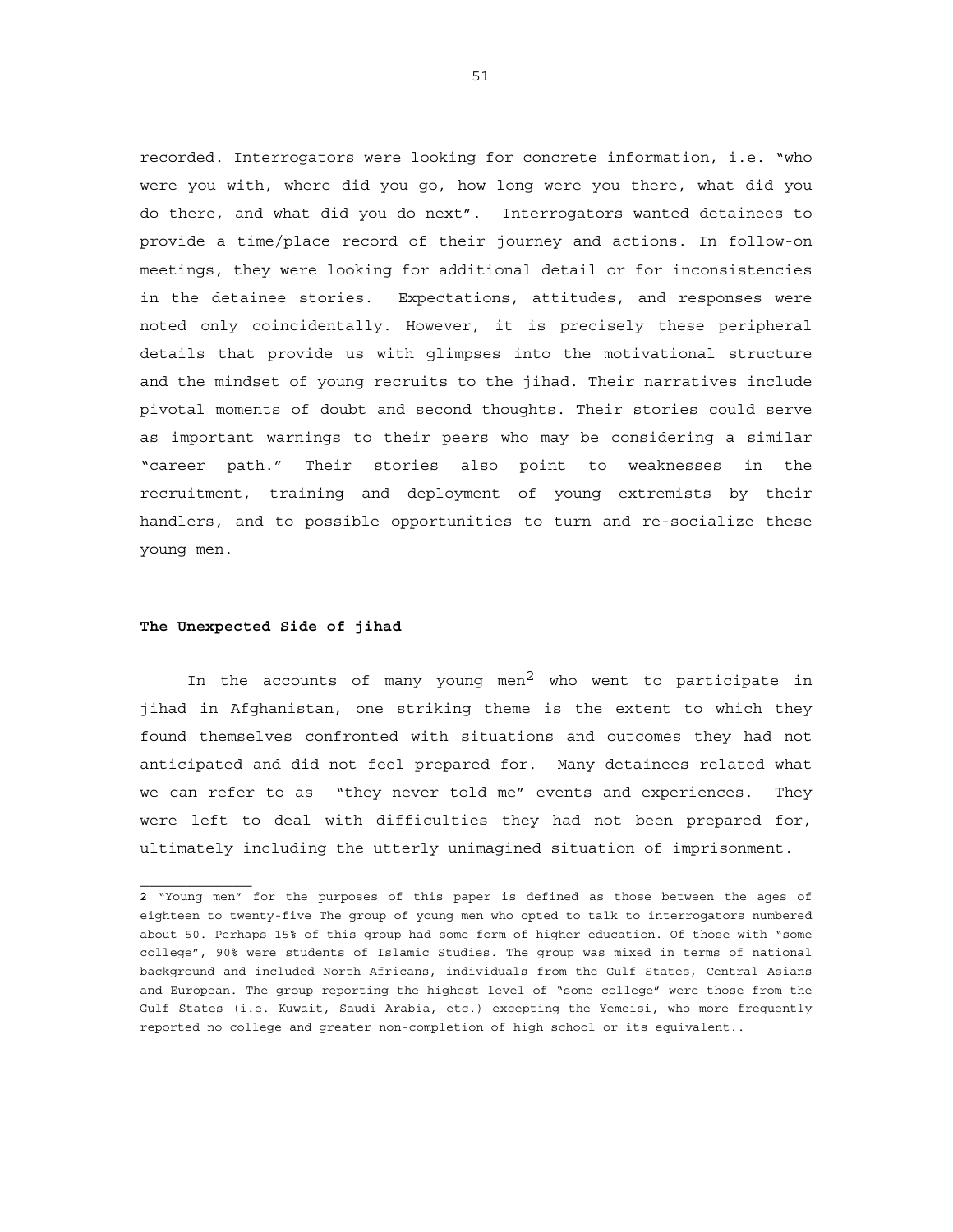recorded. Interrogators were looking for concrete information, i.e. "who were you with, where did you go, how long were you there, what did you do there, and what did you do next". Interrogators wanted detainees to provide a time/place record of their journey and actions. In follow-on meetings, they were looking for additional detail or for inconsistencies in the detainee stories. Expectations, attitudes, and responses were noted only coincidentally. However, it is precisely these peripheral details that provide us with glimpses into the motivational structure and the mindset of young recruits to the jihad. Their narratives include pivotal moments of doubt and second thoughts. Their stories could serve as important warnings to their peers who may be considering a similar "career path." Their stories also point to weaknesses in the recruitment, training and deployment of young extremists by their handlers, and to possible opportunities to turn and re-socialize these young men.

#### **The Unexpected Side of jihad**

 $\mathcal{L}_\text{max}$ 

In the accounts of many young men<sup>2</sup> who went to participate in jihad in Afghanistan, one striking theme is the extent to which they found themselves confronted with situations and outcomes they had not anticipated and did not feel prepared for. Many detainees related what we can refer to as "they never told me" events and experiences. They were left to deal with difficulties they had not been prepared for, ultimately including the utterly unimagined situation of imprisonment.

**<sup>2</sup>** "Young men" for the purposes of this paper is defined as those between the ages of eighteen to twenty-five The group of young men who opted to talk to interrogators numbered about 50. Perhaps 15% of this group had some form of higher education. Of those with "some college", 90% were students of Islamic Studies. The group was mixed in terms of national background and included North Africans, individuals from the Gulf States, Central Asians and European. The group reporting the highest level of "some college" were those from the Gulf States (i.e. Kuwait, Saudi Arabia, etc.) excepting the Yemeisi, who more frequently reported no college and greater non-completion of high school or its equivalent..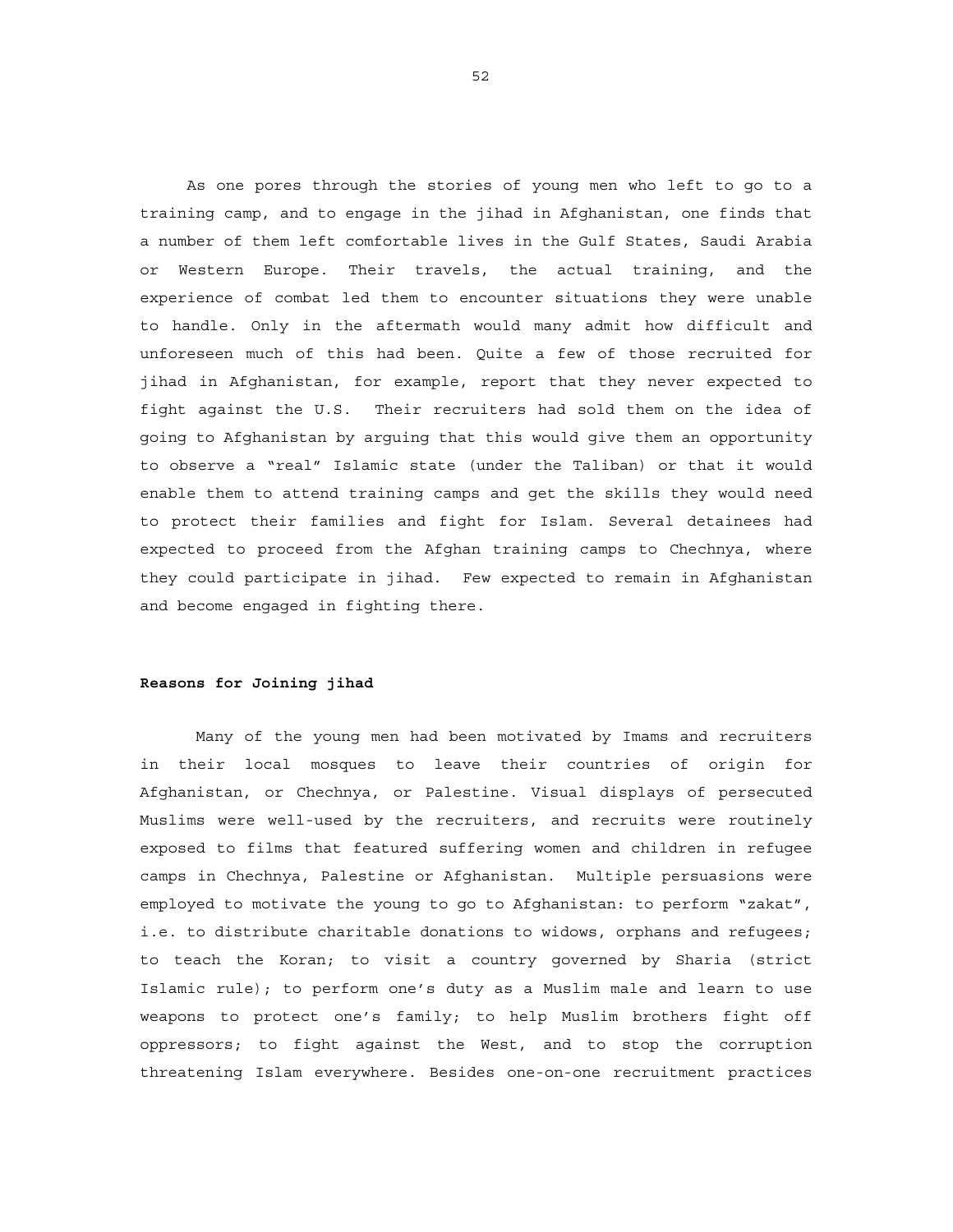As one pores through the stories of young men who left to go to a training camp, and to engage in the jihad in Afghanistan, one finds that a number of them left comfortable lives in the Gulf States, Saudi Arabia or Western Europe. Their travels, the actual training, and the experience of combat led them to encounter situations they were unable to handle. Only in the aftermath would many admit how difficult and unforeseen much of this had been. Quite a few of those recruited for jihad in Afghanistan, for example, report that they never expected to fight against the U.S. Their recruiters had sold them on the idea of going to Afghanistan by arguing that this would give them an opportunity to observe a "real" Islamic state (under the Taliban) or that it would enable them to attend training camps and get the skills they would need to protect their families and fight for Islam. Several detainees had expected to proceed from the Afghan training camps to Chechnya, where they could participate in jihad. Few expected to remain in Afghanistan and become engaged in fighting there.

#### **Reasons for Joining jihad**

 Many of the young men had been motivated by Imams and recruiters in their local mosques to leave their countries of origin for Afghanistan, or Chechnya, or Palestine. Visual displays of persecuted Muslims were well-used by the recruiters, and recruits were routinely exposed to films that featured suffering women and children in refugee camps in Chechnya, Palestine or Afghanistan. Multiple persuasions were employed to motivate the young to go to Afghanistan: to perform "zakat", i.e. to distribute charitable donations to widows, orphans and refugees; to teach the Koran; to visit a country governed by Sharia (strict Islamic rule); to perform one's duty as a Muslim male and learn to use weapons to protect one's family; to help Muslim brothers fight off oppressors; to fight against the West, and to stop the corruption threatening Islam everywhere. Besides one-on-one recruitment practices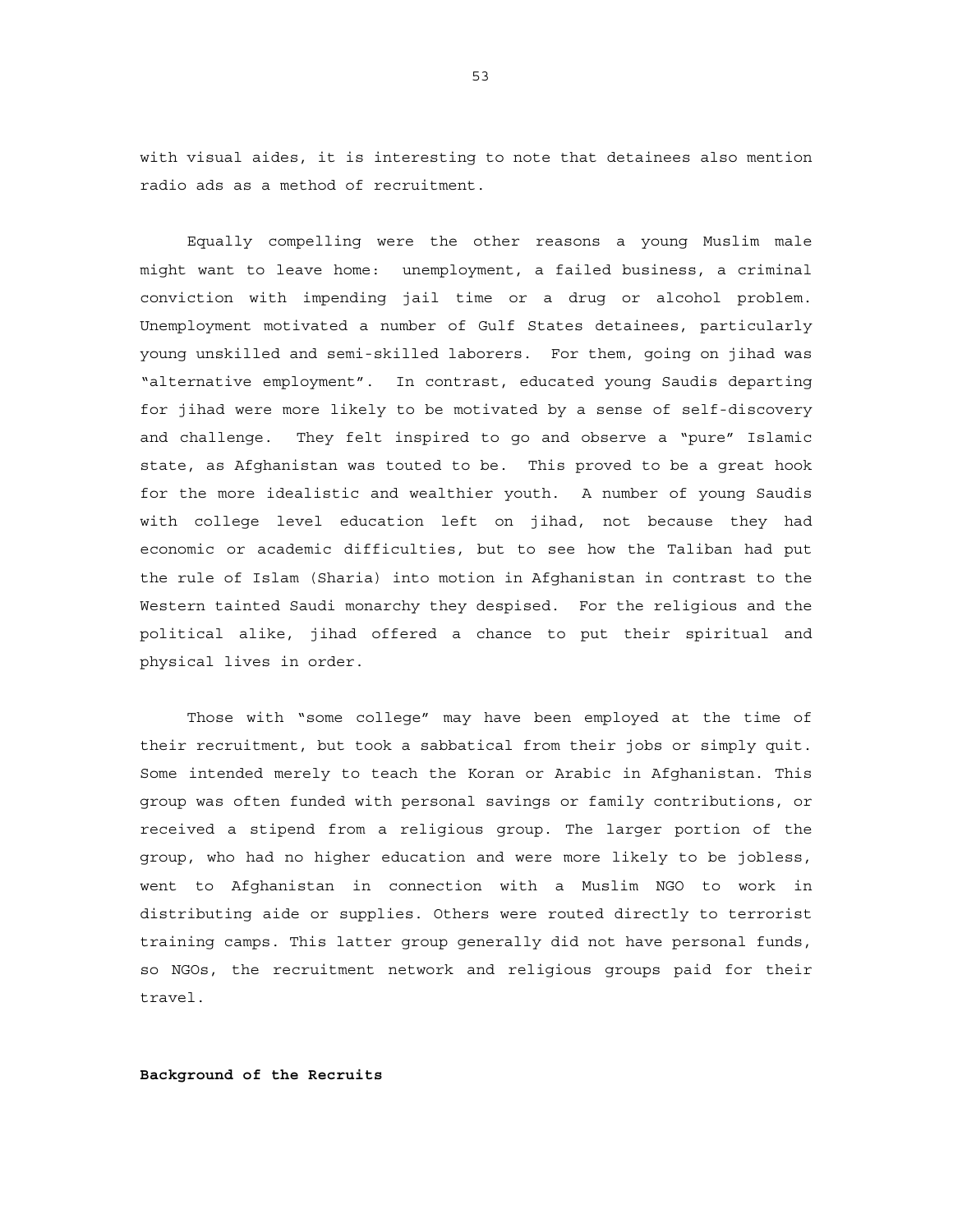with visual aides, it is interesting to note that detainees also mention radio ads as a method of recruitment.

Equally compelling were the other reasons a young Muslim male might want to leave home: unemployment, a failed business, a criminal conviction with impending jail time or a drug or alcohol problem. Unemployment motivated a number of Gulf States detainees, particularly young unskilled and semi-skilled laborers. For them, going on jihad was "alternative employment". In contrast, educated young Saudis departing for jihad were more likely to be motivated by a sense of self-discovery and challenge. They felt inspired to go and observe a "pure" Islamic state, as Afghanistan was touted to be. This proved to be a great hook for the more idealistic and wealthier youth. A number of young Saudis with college level education left on jihad, not because they had economic or academic difficulties, but to see how the Taliban had put the rule of Islam (Sharia) into motion in Afghanistan in contrast to the Western tainted Saudi monarchy they despised. For the religious and the political alike, jihad offered a chance to put their spiritual and physical lives in order.

Those with "some college" may have been employed at the time of their recruitment, but took a sabbatical from their jobs or simply quit. Some intended merely to teach the Koran or Arabic in Afghanistan. This group was often funded with personal savings or family contributions, or received a stipend from a religious group. The larger portion of the group, who had no higher education and were more likely to be jobless, went to Afghanistan in connection with a Muslim NGO to work in distributing aide or supplies. Others were routed directly to terrorist training camps. This latter group generally did not have personal funds, so NGOs, the recruitment network and religious groups paid for their travel.

**Background of the Recruits**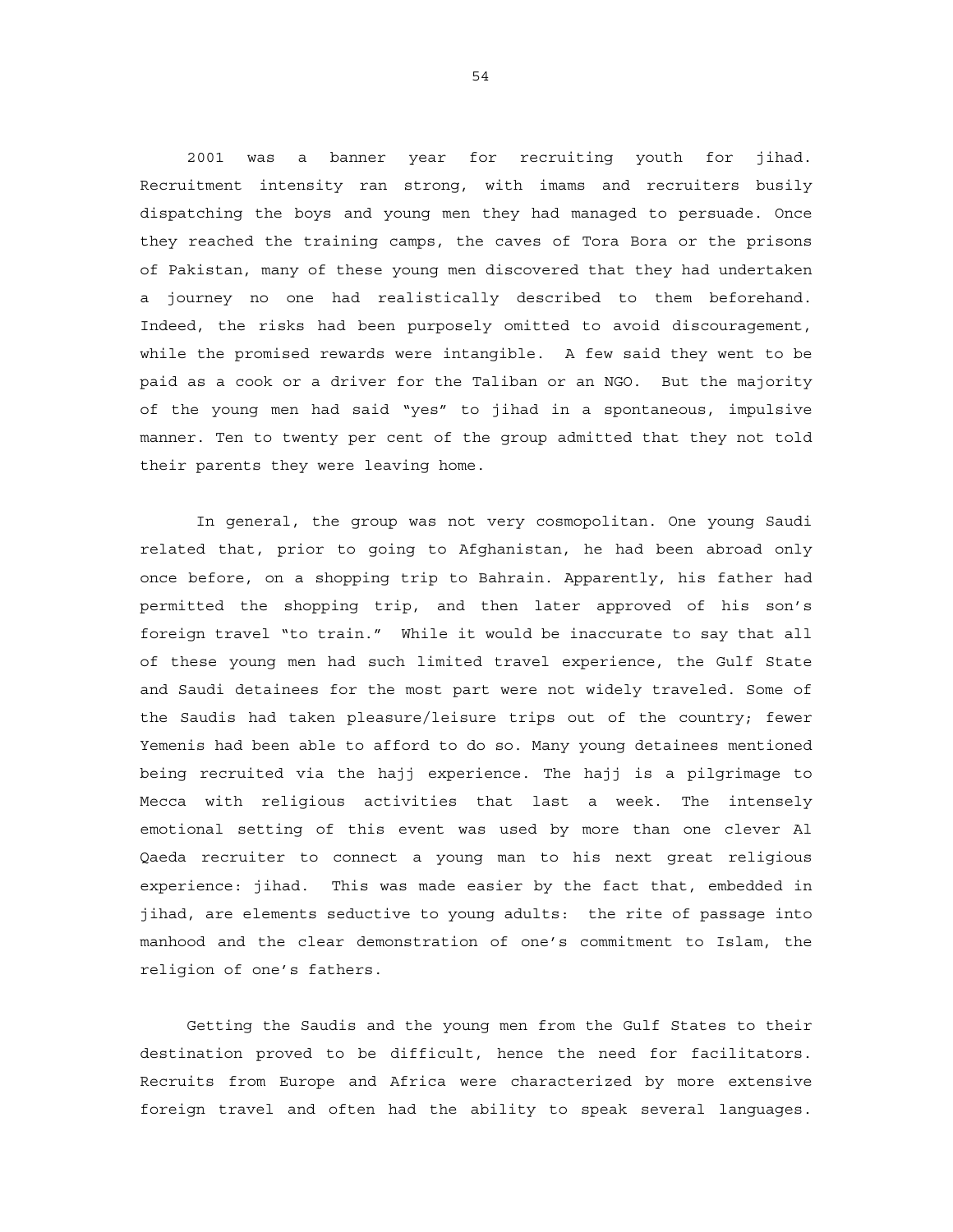2001 was a banner year for recruiting youth for jihad. Recruitment intensity ran strong, with imams and recruiters busily dispatching the boys and young men they had managed to persuade. Once they reached the training camps, the caves of Tora Bora or the prisons of Pakistan, many of these young men discovered that they had undertaken a journey no one had realistically described to them beforehand. Indeed, the risks had been purposely omitted to avoid discouragement, while the promised rewards were intangible. A few said they went to be paid as a cook or a driver for the Taliban or an NGO. But the majority of the young men had said "yes" to jihad in a spontaneous, impulsive manner. Ten to twenty per cent of the group admitted that they not told their parents they were leaving home.

 In general, the group was not very cosmopolitan. One young Saudi related that, prior to going to Afghanistan, he had been abroad only once before, on a shopping trip to Bahrain. Apparently, his father had permitted the shopping trip, and then later approved of his son's foreign travel "to train." While it would be inaccurate to say that all of these young men had such limited travel experience, the Gulf State and Saudi detainees for the most part were not widely traveled. Some of the Saudis had taken pleasure/leisure trips out of the country; fewer Yemenis had been able to afford to do so. Many young detainees mentioned being recruited via the hajj experience. The hajj is a pilgrimage to Mecca with religious activities that last a week. The intensely emotional setting of this event was used by more than one clever Al Qaeda recruiter to connect a young man to his next great religious experience: jihad. This was made easier by the fact that, embedded in jihad, are elements seductive to young adults: the rite of passage into manhood and the clear demonstration of one's commitment to Islam, the religion of one's fathers.

Getting the Saudis and the young men from the Gulf States to their destination proved to be difficult, hence the need for facilitators. Recruits from Europe and Africa were characterized by more extensive foreign travel and often had the ability to speak several languages.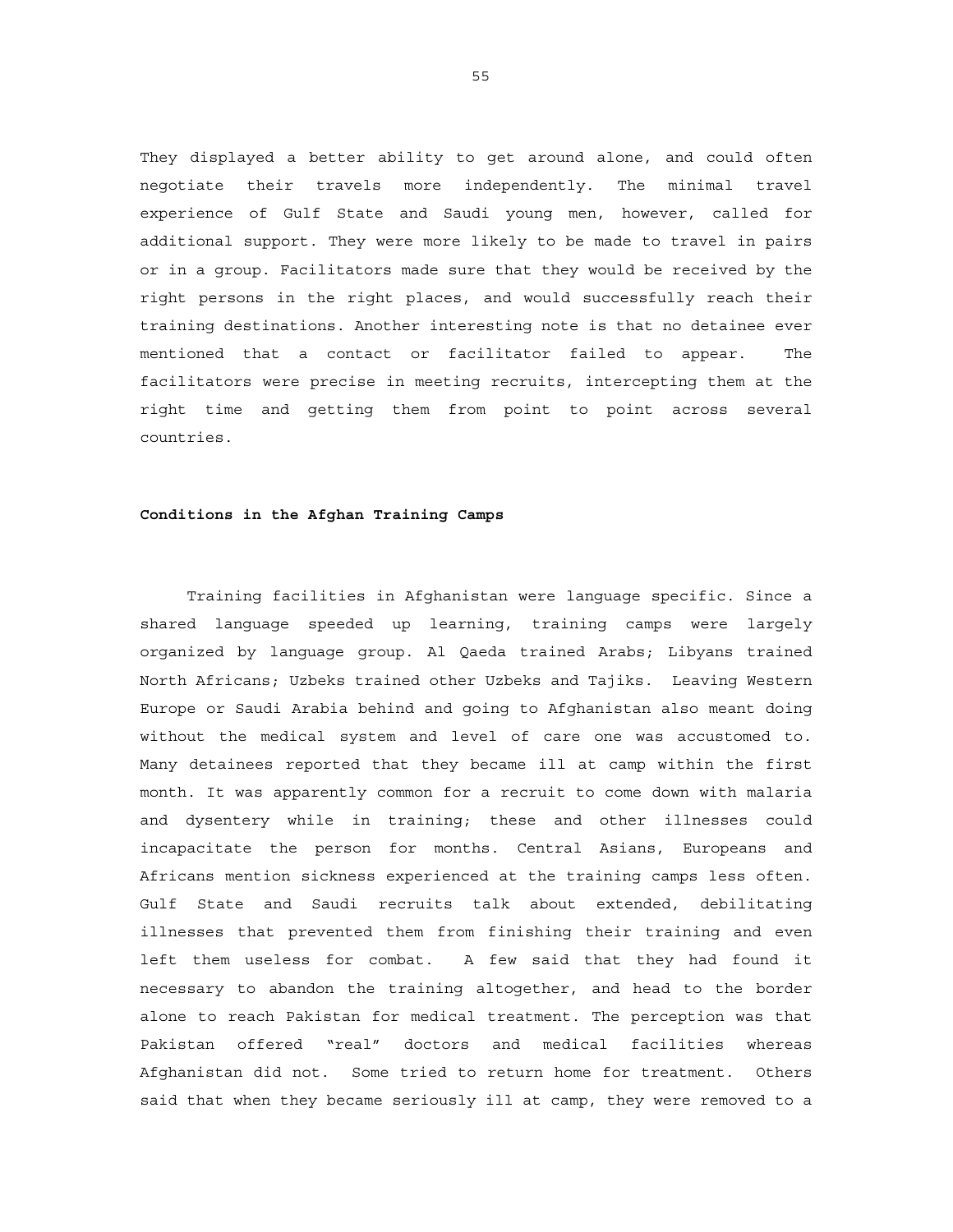They displayed a better ability to get around alone, and could often negotiate their travels more independently. The minimal travel experience of Gulf State and Saudi young men, however, called for additional support. They were more likely to be made to travel in pairs or in a group. Facilitators made sure that they would be received by the right persons in the right places, and would successfully reach their training destinations. Another interesting note is that no detainee ever mentioned that a contact or facilitator failed to appear. The facilitators were precise in meeting recruits, intercepting them at the right time and getting them from point to point across several countries.

## **Conditions in the Afghan Training Camps**

Training facilities in Afghanistan were language specific. Since a shared language speeded up learning, training camps were largely organized by language group. Al Qaeda trained Arabs; Libyans trained North Africans; Uzbeks trained other Uzbeks and Tajiks. Leaving Western Europe or Saudi Arabia behind and going to Afghanistan also meant doing without the medical system and level of care one was accustomed to. Many detainees reported that they became ill at camp within the first month. It was apparently common for a recruit to come down with malaria and dysentery while in training; these and other illnesses could incapacitate the person for months. Central Asians, Europeans and Africans mention sickness experienced at the training camps less often. Gulf State and Saudi recruits talk about extended, debilitating illnesses that prevented them from finishing their training and even left them useless for combat. A few said that they had found it necessary to abandon the training altogether, and head to the border alone to reach Pakistan for medical treatment. The perception was that Pakistan offered "real" doctors and medical facilities whereas Afghanistan did not. Some tried to return home for treatment. Others said that when they became seriously ill at camp, they were removed to a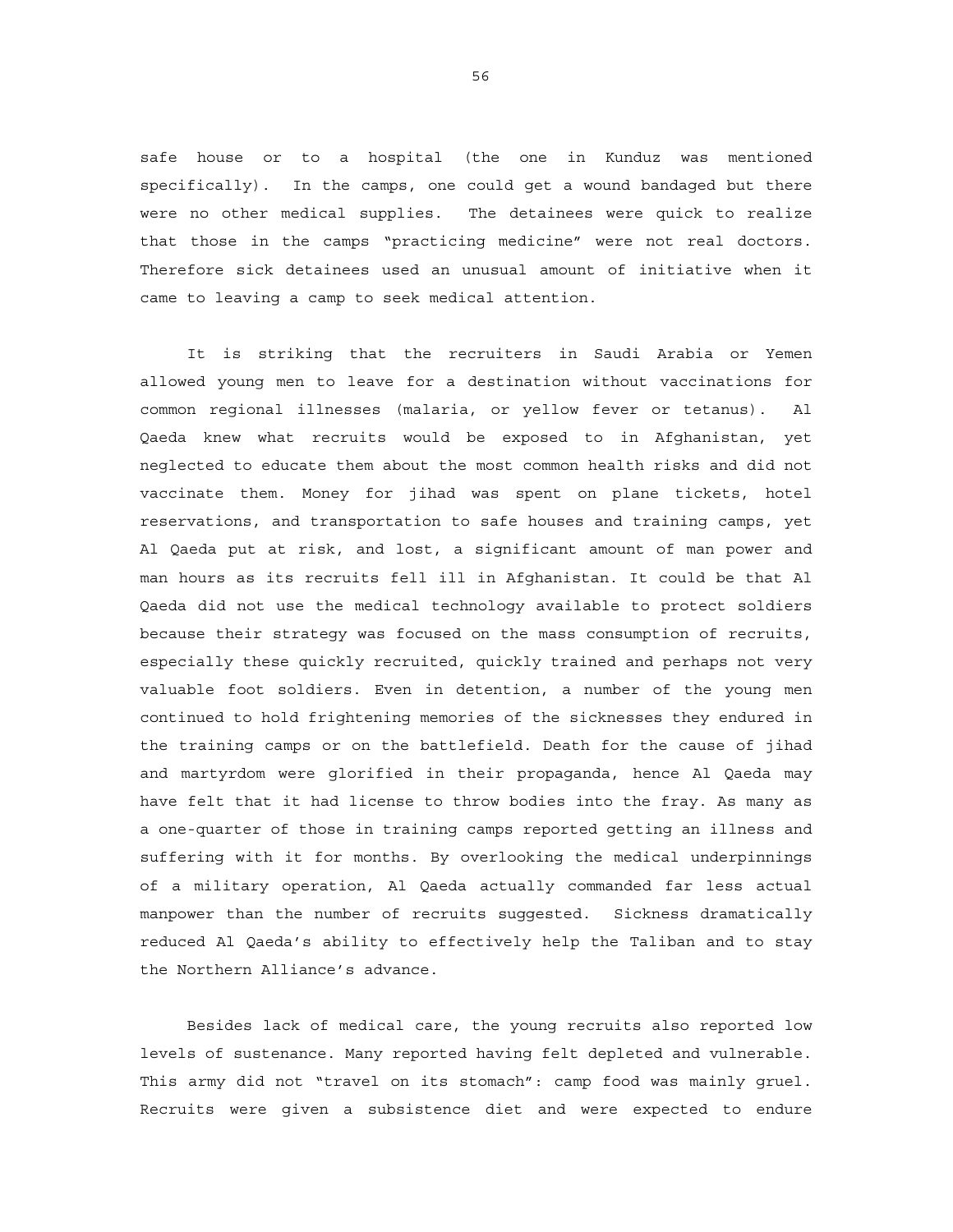safe house or to a hospital (the one in Kunduz was mentioned specifically). In the camps, one could get a wound bandaged but there were no other medical supplies. The detainees were quick to realize that those in the camps "practicing medicine" were not real doctors. Therefore sick detainees used an unusual amount of initiative when it came to leaving a camp to seek medical attention.

It is striking that the recruiters in Saudi Arabia or Yemen allowed young men to leave for a destination without vaccinations for common regional illnesses (malaria, or yellow fever or tetanus). Al Qaeda knew what recruits would be exposed to in Afghanistan, yet neglected to educate them about the most common health risks and did not vaccinate them. Money for jihad was spent on plane tickets, hotel reservations, and transportation to safe houses and training camps, yet Al Qaeda put at risk, and lost, a significant amount of man power and man hours as its recruits fell ill in Afghanistan. It could be that Al Qaeda did not use the medical technology available to protect soldiers because their strategy was focused on the mass consumption of recruits, especially these quickly recruited, quickly trained and perhaps not very valuable foot soldiers. Even in detention, a number of the young men continued to hold frightening memories of the sicknesses they endured in the training camps or on the battlefield. Death for the cause of jihad and martyrdom were glorified in their propaganda, hence Al Qaeda may have felt that it had license to throw bodies into the fray. As many as a one-quarter of those in training camps reported getting an illness and suffering with it for months. By overlooking the medical underpinnings of a military operation, Al Qaeda actually commanded far less actual manpower than the number of recruits suggested. Sickness dramatically reduced Al Qaeda's ability to effectively help the Taliban and to stay the Northern Alliance's advance.

Besides lack of medical care, the young recruits also reported low levels of sustenance. Many reported having felt depleted and vulnerable. This army did not "travel on its stomach": camp food was mainly gruel. Recruits were given a subsistence diet and were expected to endure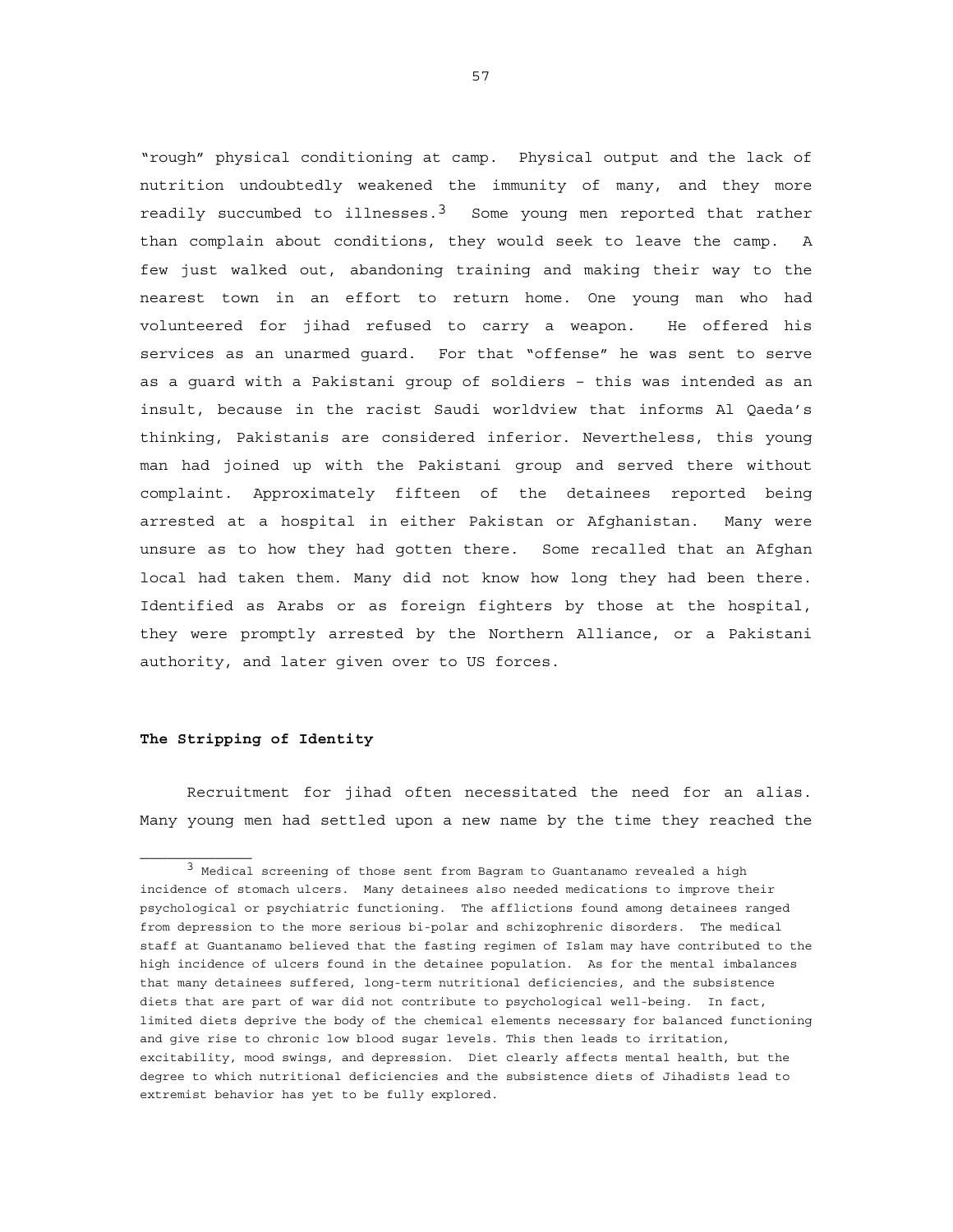"rough" physical conditioning at camp. Physical output and the lack of nutrition undoubtedly weakened the immunity of many, and they more readily succumbed to illnesses. $3$  Some young men reported that rather than complain about conditions, they would seek to leave the camp. A few just walked out, abandoning training and making their way to the nearest town in an effort to return home. One young man who had volunteered for jihad refused to carry a weapon. He offered his services as an unarmed guard. For that "offense" he was sent to serve as a guard with a Pakistani group of soldiers – this was intended as an insult, because in the racist Saudi worldview that informs Al Qaeda's thinking, Pakistanis are considered inferior. Nevertheless, this young man had joined up with the Pakistani group and served there without complaint. Approximately fifteen of the detainees reported being arrested at a hospital in either Pakistan or Afghanistan. Many were unsure as to how they had gotten there. Some recalled that an Afghan local had taken them. Many did not know how long they had been there. Identified as Arabs or as foreign fighters by those at the hospital, they were promptly arrested by the Northern Alliance, or a Pakistani authority, and later given over to US forces.

## **The Stripping of Identity**

 $\mathcal{L}_\text{max}$ 

Recruitment for jihad often necessitated the need for an alias. Many young men had settled upon a new name by the time they reached the

 $3$  Medical screening of those sent from Bagram to Guantanamo revealed a high incidence of stomach ulcers. Many detainees also needed medications to improve their psychological or psychiatric functioning. The afflictions found among detainees ranged from depression to the more serious bi-polar and schizophrenic disorders. The medical staff at Guantanamo believed that the fasting regimen of Islam may have contributed to the high incidence of ulcers found in the detainee population. As for the mental imbalances that many detainees suffered, long-term nutritional deficiencies, and the subsistence diets that are part of war did not contribute to psychological well-being. In fact, limited diets deprive the body of the chemical elements necessary for balanced functioning and give rise to chronic low blood sugar levels. This then leads to irritation, excitability, mood swings, and depression. Diet clearly affects mental health, but the degree to which nutritional deficiencies and the subsistence diets of Jihadists lead to extremist behavior has yet to be fully explored.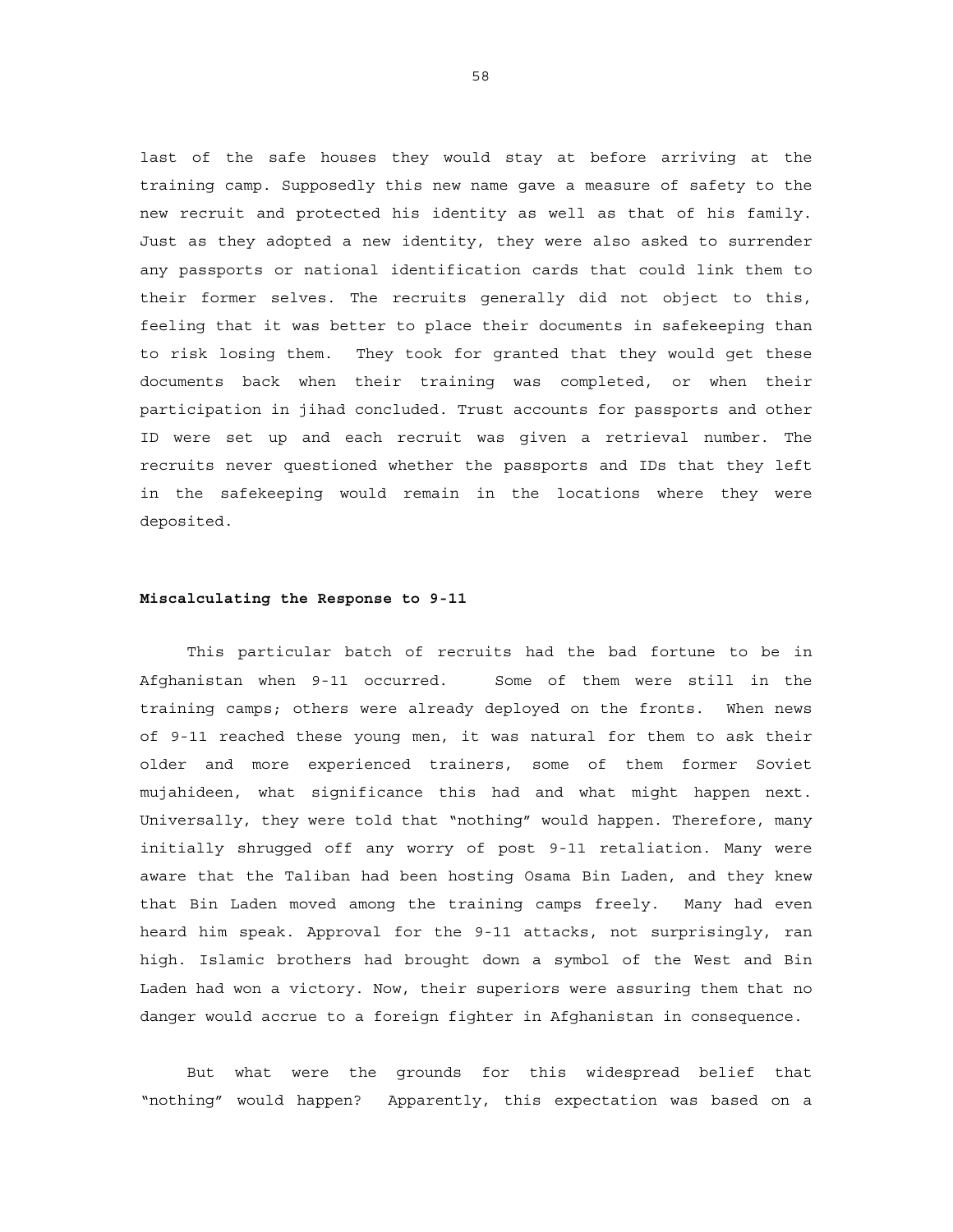last of the safe houses they would stay at before arriving at the training camp. Supposedly this new name gave a measure of safety to the new recruit and protected his identity as well as that of his family. Just as they adopted a new identity, they were also asked to surrender any passports or national identification cards that could link them to their former selves. The recruits generally did not object to this, feeling that it was better to place their documents in safekeeping than to risk losing them. They took for granted that they would get these documents back when their training was completed, or when their participation in jihad concluded. Trust accounts for passports and other ID were set up and each recruit was given a retrieval number. The recruits never questioned whether the passports and IDs that they left in the safekeeping would remain in the locations where they were deposited.

#### **Miscalculating the Response to 9-11**

This particular batch of recruits had the bad fortune to be in Afghanistan when 9-11 occurred. Some of them were still in the training camps; others were already deployed on the fronts. When news of 9-11 reached these young men, it was natural for them to ask their older and more experienced trainers, some of them former Soviet mujahideen, what significance this had and what might happen next. Universally, they were told that "nothing" would happen. Therefore, many initially shrugged off any worry of post 9-11 retaliation. Many were aware that the Taliban had been hosting Osama Bin Laden, and they knew that Bin Laden moved among the training camps freely. Many had even heard him speak. Approval for the 9-11 attacks, not surprisingly, ran high. Islamic brothers had brought down a symbol of the West and Bin Laden had won a victory. Now, their superiors were assuring them that no danger would accrue to a foreign fighter in Afghanistan in consequence.

But what were the grounds for this widespread belief that "nothing" would happen? Apparently, this expectation was based on a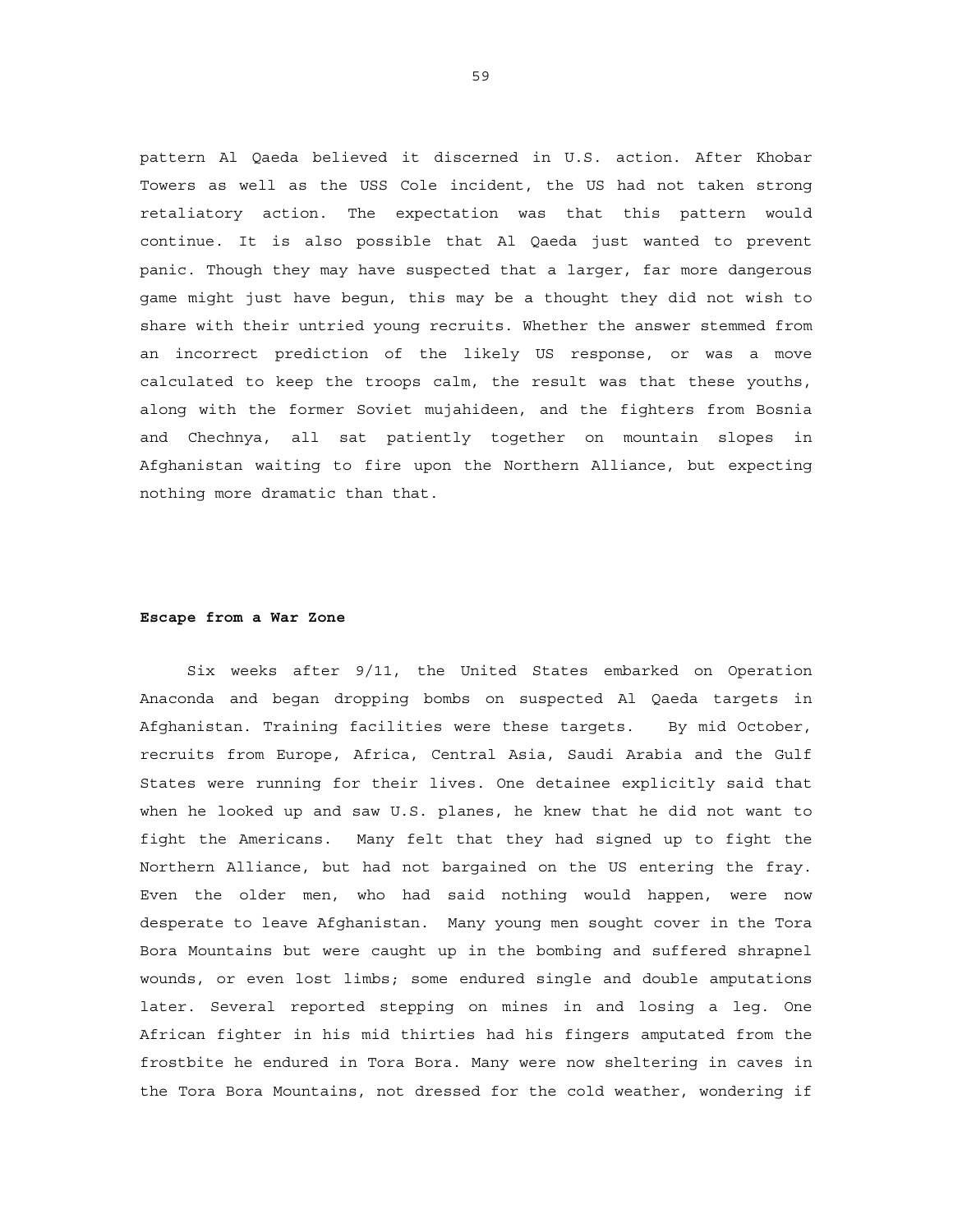pattern Al Qaeda believed it discerned in U.S. action. After Khobar Towers as well as the USS Cole incident, the US had not taken strong retaliatory action. The expectation was that this pattern would continue. It is also possible that Al Qaeda just wanted to prevent panic. Though they may have suspected that a larger, far more dangerous game might just have begun, this may be a thought they did not wish to share with their untried young recruits. Whether the answer stemmed from an incorrect prediction of the likely US response, or was a move calculated to keep the troops calm, the result was that these youths, along with the former Soviet mujahideen, and the fighters from Bosnia and Chechnya, all sat patiently together on mountain slopes in Afghanistan waiting to fire upon the Northern Alliance, but expecting nothing more dramatic than that.

### **Escape from a War Zone**

Six weeks after 9/11, the United States embarked on Operation Anaconda and began dropping bombs on suspected Al Qaeda targets in Afghanistan. Training facilities were these targets. By mid October, recruits from Europe, Africa, Central Asia, Saudi Arabia and the Gulf States were running for their lives. One detainee explicitly said that when he looked up and saw U.S. planes, he knew that he did not want to fight the Americans. Many felt that they had signed up to fight the Northern Alliance, but had not bargained on the US entering the fray. Even the older men, who had said nothing would happen, were now desperate to leave Afghanistan. Many young men sought cover in the Tora Bora Mountains but were caught up in the bombing and suffered shrapnel wounds, or even lost limbs; some endured single and double amputations later. Several reported stepping on mines in and losing a leg. One African fighter in his mid thirties had his fingers amputated from the frostbite he endured in Tora Bora. Many were now sheltering in caves in the Tora Bora Mountains, not dressed for the cold weather, wondering if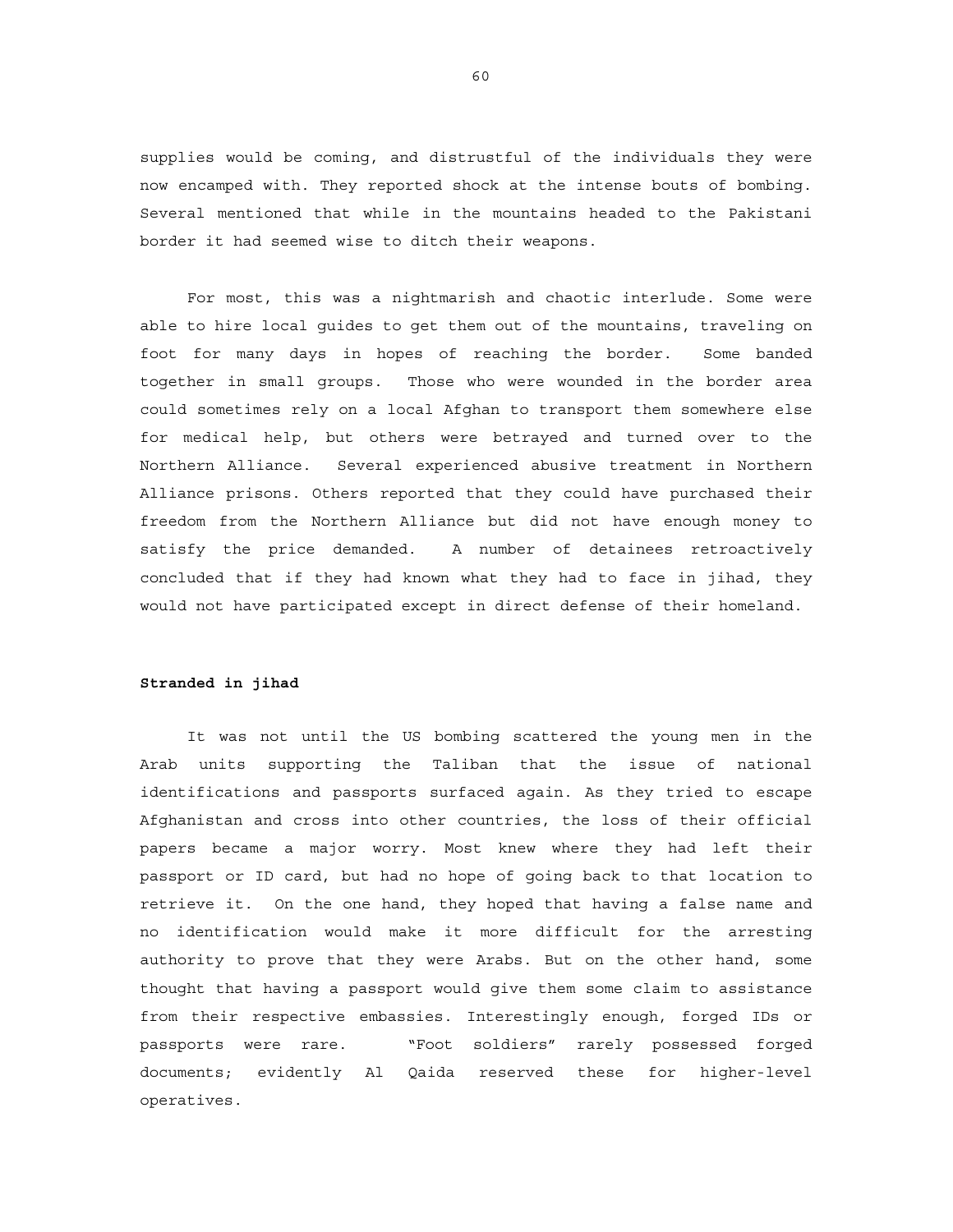supplies would be coming, and distrustful of the individuals they were now encamped with. They reported shock at the intense bouts of bombing. Several mentioned that while in the mountains headed to the Pakistani border it had seemed wise to ditch their weapons.

For most, this was a nightmarish and chaotic interlude. Some were able to hire local guides to get them out of the mountains, traveling on foot for many days in hopes of reaching the border. Some banded together in small groups. Those who were wounded in the border area could sometimes rely on a local Afghan to transport them somewhere else for medical help, but others were betrayed and turned over to the Northern Alliance. Several experienced abusive treatment in Northern Alliance prisons. Others reported that they could have purchased their freedom from the Northern Alliance but did not have enough money to satisfy the price demanded. A number of detainees retroactively concluded that if they had known what they had to face in jihad, they would not have participated except in direct defense of their homeland.

#### **Stranded in jihad**

It was not until the US bombing scattered the young men in the Arab units supporting the Taliban that the issue of national identifications and passports surfaced again. As they tried to escape Afghanistan and cross into other countries, the loss of their official papers became a major worry. Most knew where they had left their passport or ID card, but had no hope of going back to that location to retrieve it. On the one hand, they hoped that having a false name and no identification would make it more difficult for the arresting authority to prove that they were Arabs. But on the other hand, some thought that having a passport would give them some claim to assistance from their respective embassies. Interestingly enough, forged IDs or passports were rare. "Foot soldiers" rarely possessed forged documents; evidently Al Qaida reserved these for higher-level operatives.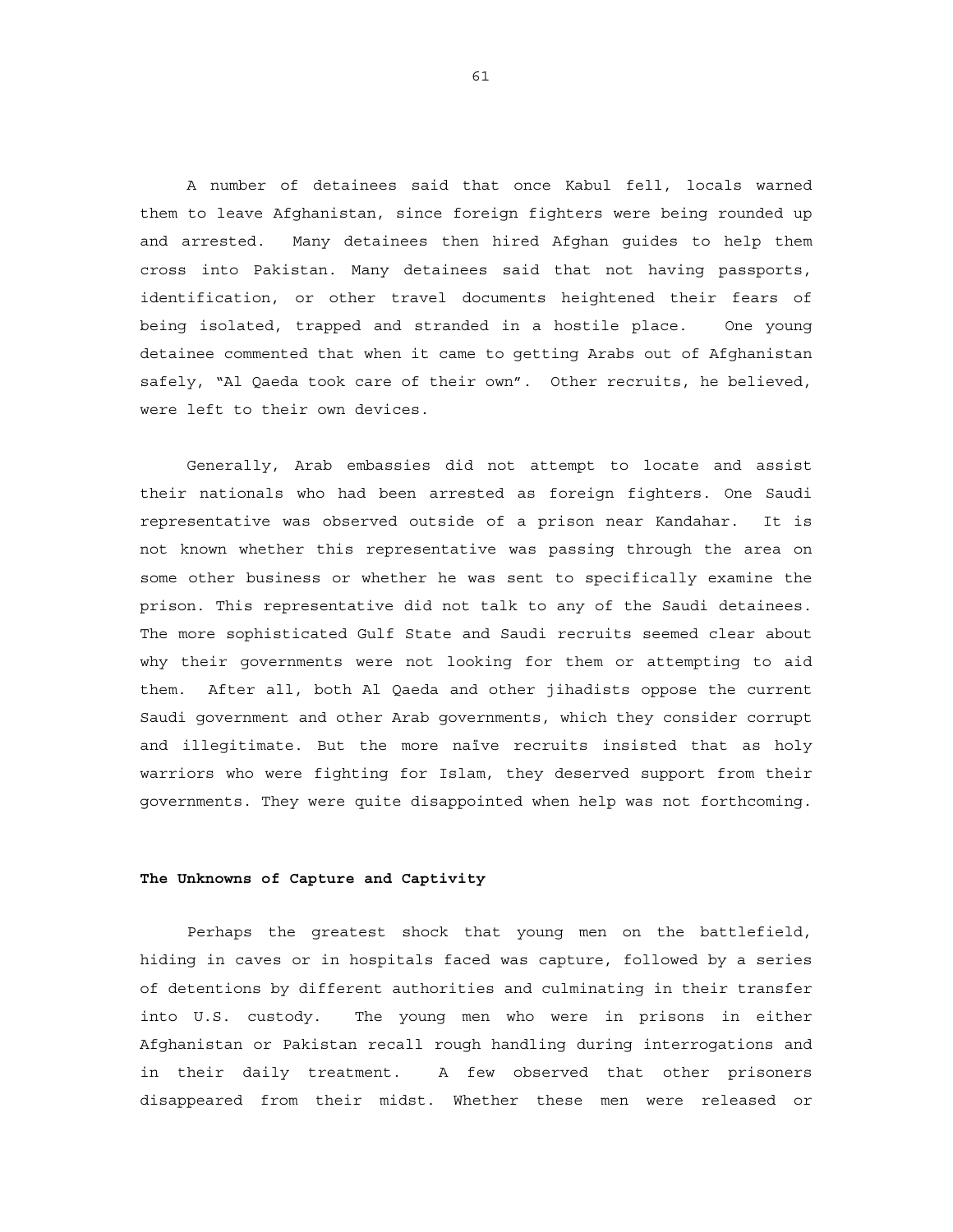A number of detainees said that once Kabul fell, locals warned them to leave Afghanistan, since foreign fighters were being rounded up and arrested. Many detainees then hired Afghan guides to help them cross into Pakistan. Many detainees said that not having passports, identification, or other travel documents heightened their fears of being isolated, trapped and stranded in a hostile place. One young detainee commented that when it came to getting Arabs out of Afghanistan safely, "Al Qaeda took care of their own". Other recruits, he believed, were left to their own devices.

Generally, Arab embassies did not attempt to locate and assist their nationals who had been arrested as foreign fighters. One Saudi representative was observed outside of a prison near Kandahar. It is not known whether this representative was passing through the area on some other business or whether he was sent to specifically examine the prison. This representative did not talk to any of the Saudi detainees. The more sophisticated Gulf State and Saudi recruits seemed clear about why their governments were not looking for them or attempting to aid them. After all, both Al Qaeda and other jihadists oppose the current Saudi government and other Arab governments, which they consider corrupt and illegitimate. But the more naïve recruits insisted that as holy warriors who were fighting for Islam, they deserved support from their governments. They were quite disappointed when help was not forthcoming.

#### **The Unknowns of Capture and Captivity**

Perhaps the greatest shock that young men on the battlefield, hiding in caves or in hospitals faced was capture, followed by a series of detentions by different authorities and culminating in their transfer into U.S. custody. The young men who were in prisons in either Afghanistan or Pakistan recall rough handling during interrogations and in their daily treatment. A few observed that other prisoners disappeared from their midst. Whether these men were released or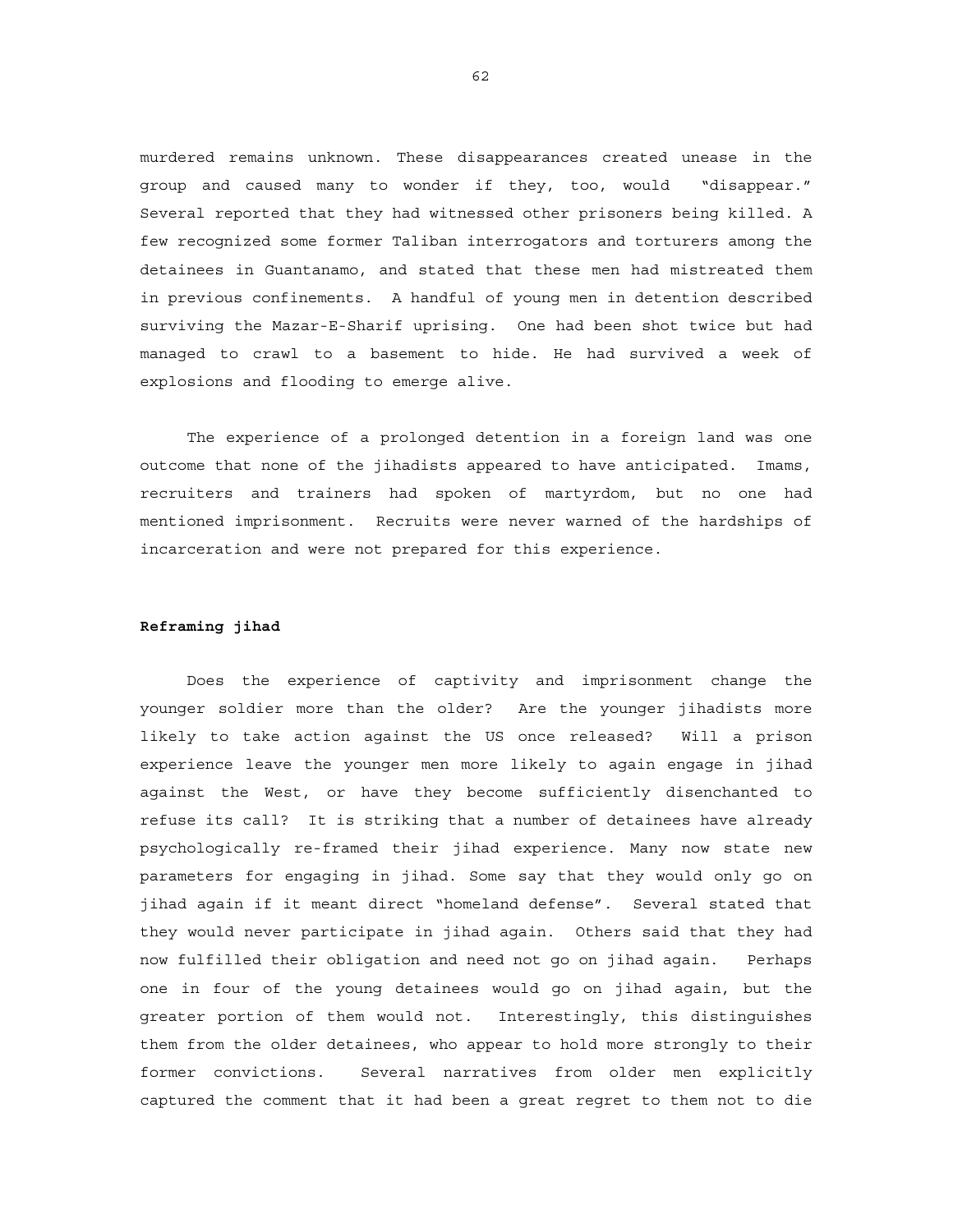murdered remains unknown. These disappearances created unease in the group and caused many to wonder if they, too, would "disappear." Several reported that they had witnessed other prisoners being killed. A few recognized some former Taliban interrogators and torturers among the detainees in Guantanamo, and stated that these men had mistreated them in previous confinements. A handful of young men in detention described surviving the Mazar-E-Sharif uprising. One had been shot twice but had managed to crawl to a basement to hide. He had survived a week of explosions and flooding to emerge alive.

The experience of a prolonged detention in a foreign land was one outcome that none of the jihadists appeared to have anticipated. Imams, recruiters and trainers had spoken of martyrdom, but no one had mentioned imprisonment. Recruits were never warned of the hardships of incarceration and were not prepared for this experience.

### **Reframing jihad**

Does the experience of captivity and imprisonment change the younger soldier more than the older? Are the younger jihadists more likely to take action against the US once released? Will a prison experience leave the younger men more likely to again engage in jihad against the West, or have they become sufficiently disenchanted to refuse its call? It is striking that a number of detainees have already psychologically re-framed their jihad experience. Many now state new parameters for engaging in jihad. Some say that they would only go on jihad again if it meant direct "homeland defense". Several stated that they would never participate in jihad again. Others said that they had now fulfilled their obligation and need not go on jihad again. Perhaps one in four of the young detainees would go on jihad again, but the greater portion of them would not. Interestingly, this distinguishes them from the older detainees, who appear to hold more strongly to their former convictions. Several narratives from older men explicitly captured the comment that it had been a great regret to them not to die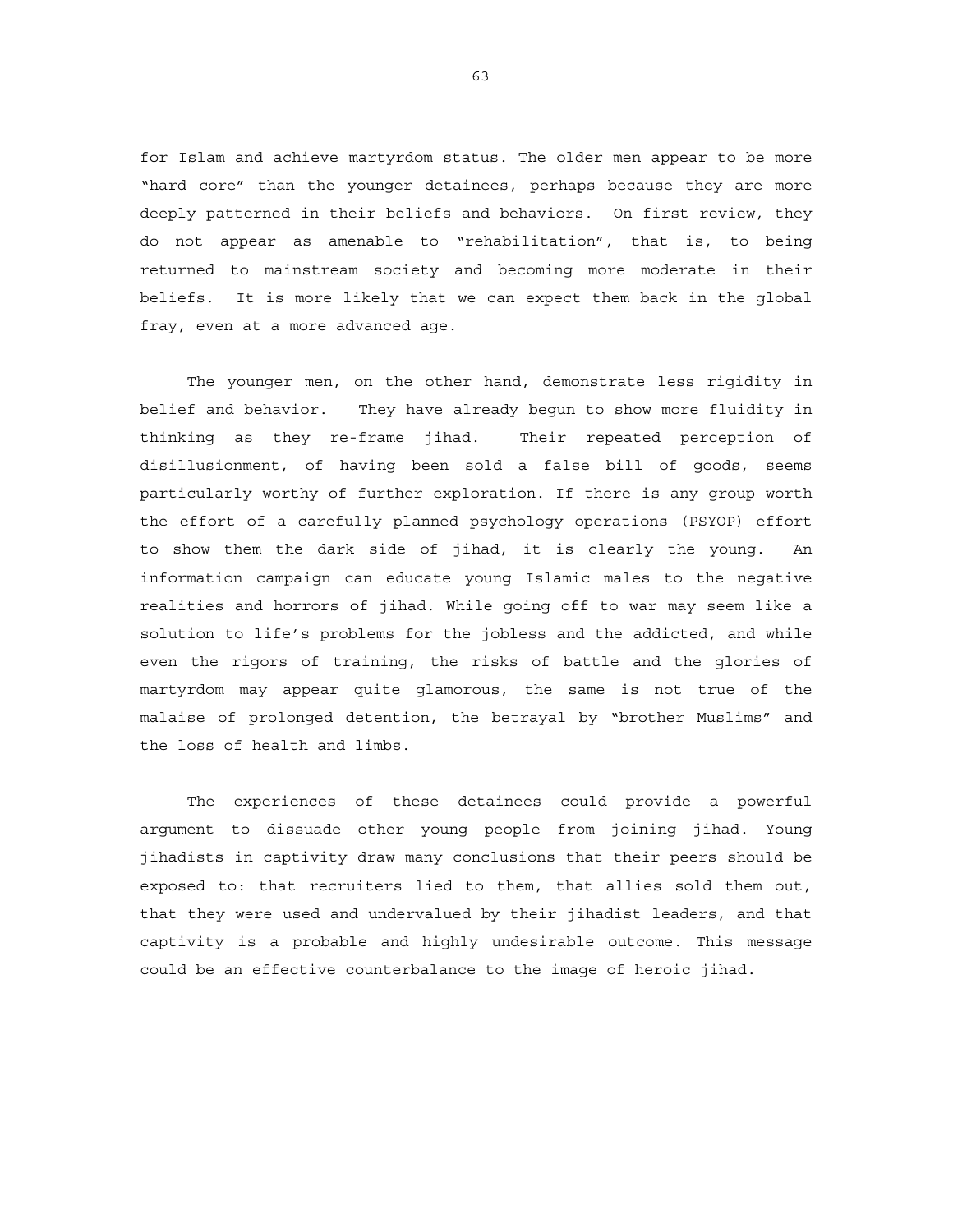for Islam and achieve martyrdom status. The older men appear to be more "hard core" than the younger detainees, perhaps because they are more deeply patterned in their beliefs and behaviors. On first review, they do not appear as amenable to "rehabilitation", that is, to being returned to mainstream society and becoming more moderate in their beliefs. It is more likely that we can expect them back in the global fray, even at a more advanced age.

The younger men, on the other hand, demonstrate less rigidity in belief and behavior. They have already begun to show more fluidity in thinking as they re-frame jihad. Their repeated perception of disillusionment, of having been sold a false bill of goods, seems particularly worthy of further exploration. If there is any group worth the effort of a carefully planned psychology operations (PSYOP) effort to show them the dark side of jihad, it is clearly the young. An information campaign can educate young Islamic males to the negative realities and horrors of jihad. While going off to war may seem like a solution to life's problems for the jobless and the addicted, and while even the rigors of training, the risks of battle and the glories of martyrdom may appear quite glamorous, the same is not true of the malaise of prolonged detention, the betrayal by "brother Muslims" and the loss of health and limbs.

The experiences of these detainees could provide a powerful argument to dissuade other young people from joining jihad. Young jihadists in captivity draw many conclusions that their peers should be exposed to: that recruiters lied to them, that allies sold them out, that they were used and undervalued by their jihadist leaders, and that captivity is a probable and highly undesirable outcome. This message could be an effective counterbalance to the image of heroic jihad.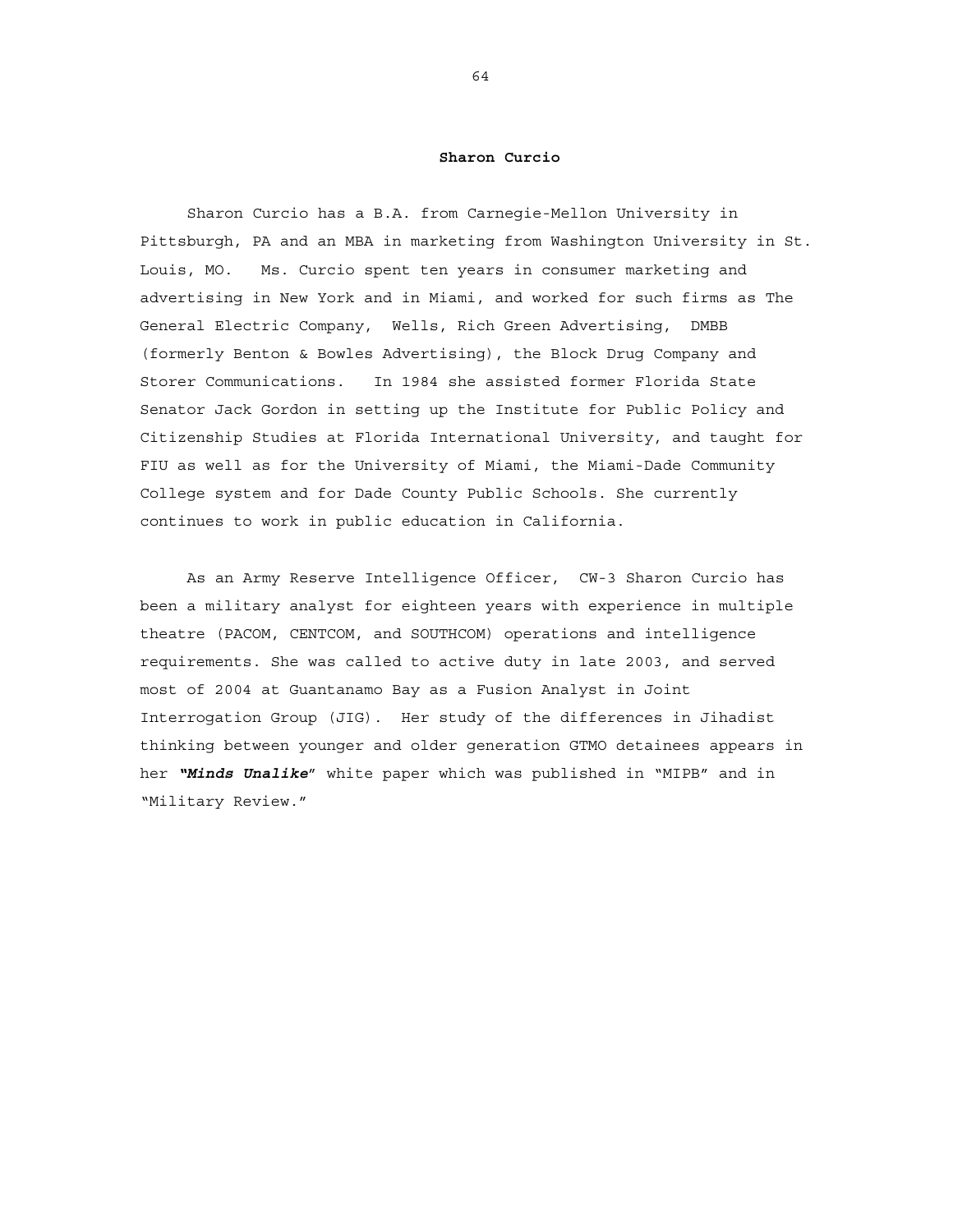#### **Sharon Curcio**

Sharon Curcio has a B.A. from Carnegie-Mellon University in Pittsburgh, PA and an MBA in marketing from Washington University in St. Louis, MO. Ms. Curcio spent ten years in consumer marketing and advertising in New York and in Miami, and worked for such firms as The General Electric Company, Wells, Rich Green Advertising, DMBB (formerly Benton & Bowles Advertising), the Block Drug Company and Storer Communications. In 1984 she assisted former Florida State Senator Jack Gordon in setting up the Institute for Public Policy and Citizenship Studies at Florida International University, and taught for FIU as well as for the University of Miami, the Miami-Dade Community College system and for Dade County Public Schools. She currently continues to work in public education in California.

As an Army Reserve Intelligence Officer, CW-3 Sharon Curcio has been a military analyst for eighteen years with experience in multiple theatre (PACOM, CENTCOM, and SOUTHCOM) operations and intelligence requirements. She was called to active duty in late 2003, and served most of 2004 at Guantanamo Bay as a Fusion Analyst in Joint Interrogation Group (JIG). Her study of the differences in Jihadist thinking between younger and older generation GTMO detainees appears in her *"Minds Unalike*" white paper which was published in "MIPB" and in "Military Review."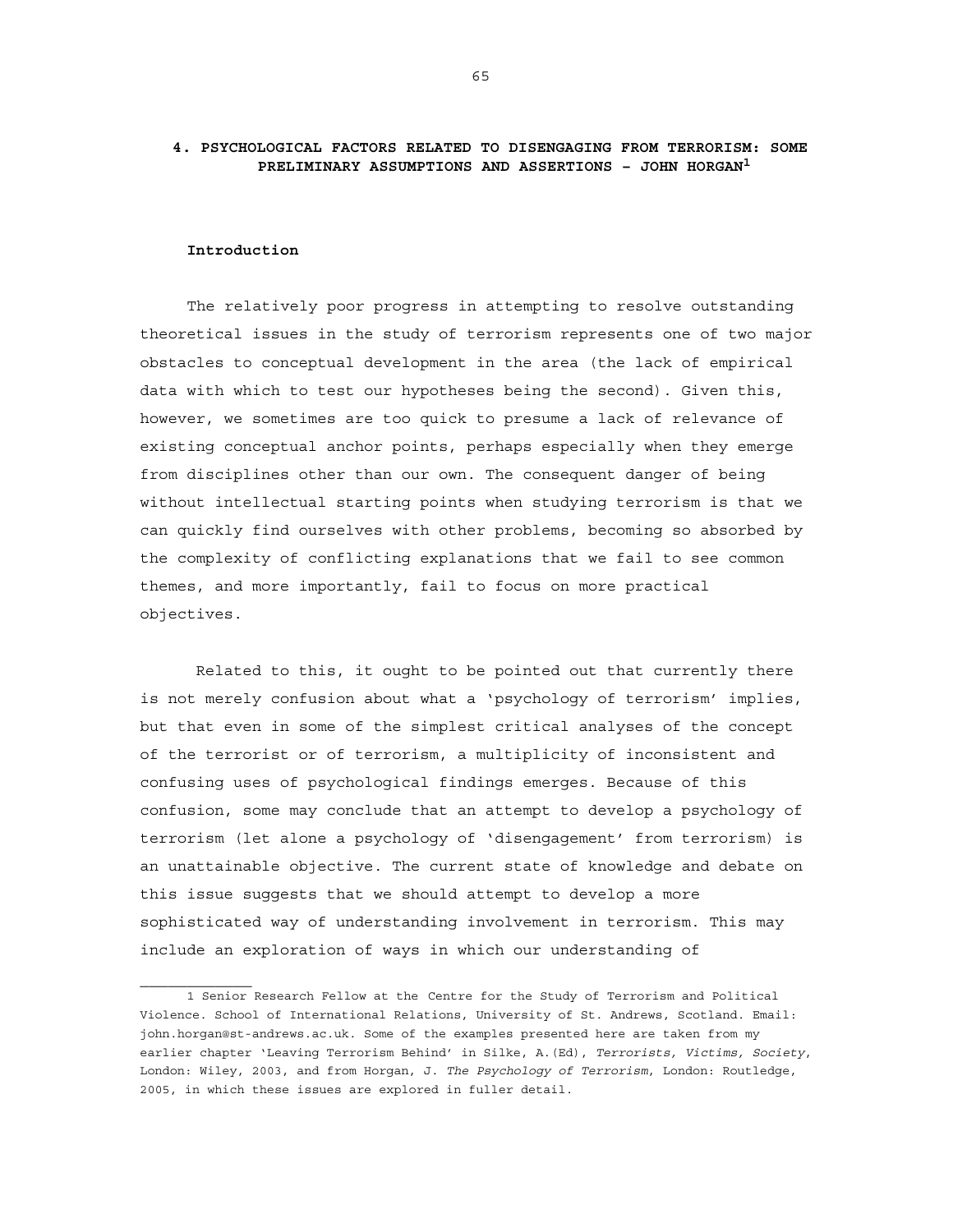## **4. PSYCHOLOGICAL FACTORS RELATED TO DISENGAGING FROM TERRORISM: SOME PRELIMINARY ASSUMPTIONS AND ASSERTIONS – JOHN HORGAN1**

#### **Introduction**

The relatively poor progress in attempting to resolve outstanding theoretical issues in the study of terrorism represents one of two major obstacles to conceptual development in the area (the lack of empirical data with which to test our hypotheses being the second). Given this, however, we sometimes are too quick to presume a lack of relevance of existing conceptual anchor points, perhaps especially when they emerge from disciplines other than our own. The consequent danger of being without intellectual starting points when studying terrorism is that we can quickly find ourselves with other problems, becoming so absorbed by the complexity of conflicting explanations that we fail to see common themes, and more importantly, fail to focus on more practical objectives.

Related to this, it ought to be pointed out that currently there is not merely confusion about what a 'psychology of terrorism' implies, but that even in some of the simplest critical analyses of the concept of the terrorist or of terrorism, a multiplicity of inconsistent and confusing uses of psychological findings emerges. Because of this confusion, some may conclude that an attempt to develop a psychology of terrorism (let alone a psychology of 'disengagement' from terrorism) is an unattainable objective. The current state of knowledge and debate on this issue suggests that we should attempt to develop a more sophisticated way of understanding involvement in terrorism. This may include an exploration of ways in which our understanding of

<sup>1</sup> Senior Research Fellow at the Centre for the Study of Terrorism and Political Violence. School of International Relations, University of St. Andrews, Scotland. Email: john.horgan@st-andrews.ac.uk. Some of the examples presented here are taken from my earlier chapter 'Leaving Terrorism Behind' in Silke, A.(Ed), *Terrorists, Victims, Society*, London: Wiley, 2003, and from Horgan, J. *The Psychology of Terrorism*, London: Routledge, 2005, in which these issues are explored in fuller detail.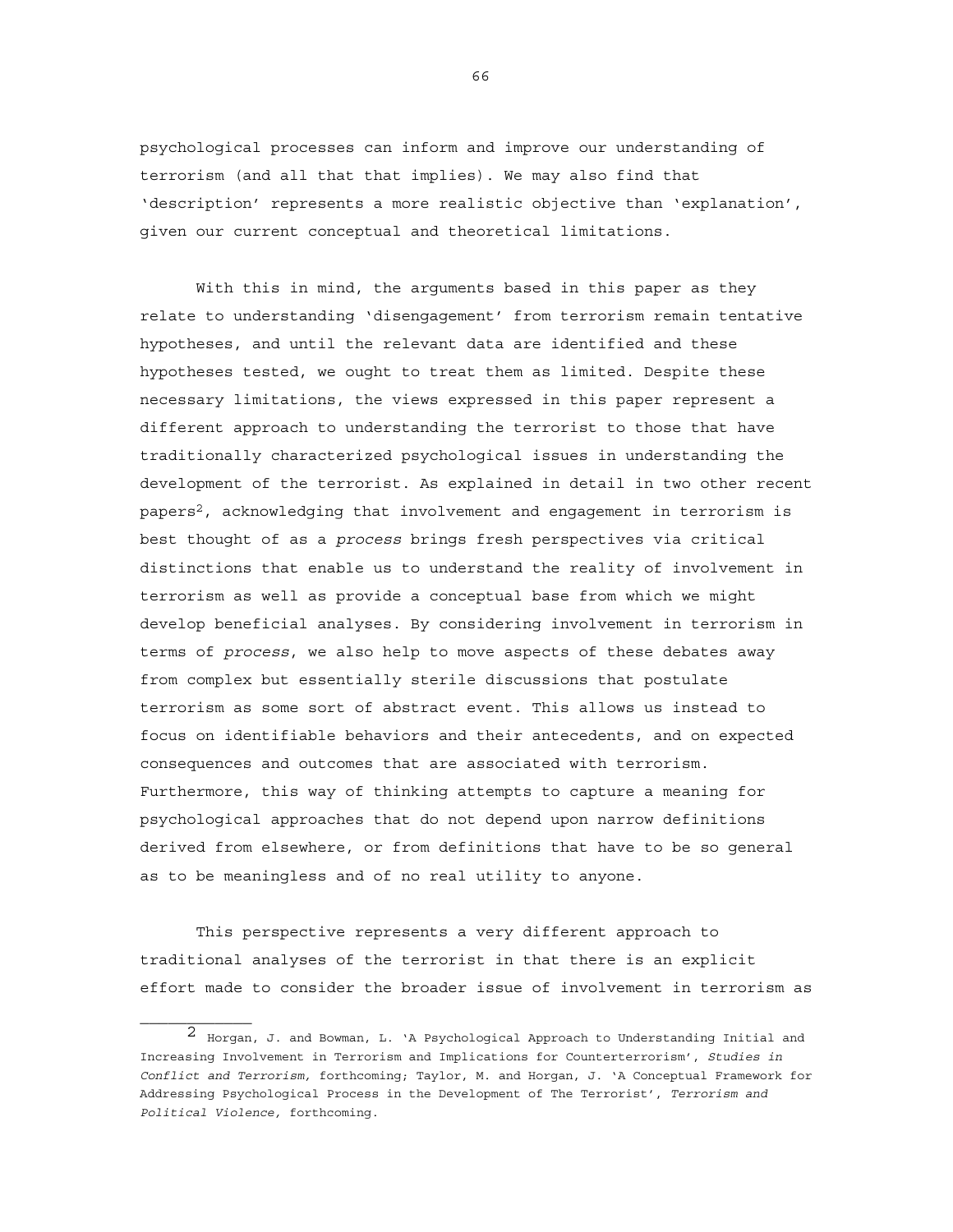psychological processes can inform and improve our understanding of terrorism (and all that that implies). We may also find that 'description' represents a more realistic objective than 'explanation', given our current conceptual and theoretical limitations.

With this in mind, the arguments based in this paper as they relate to understanding 'disengagement' from terrorism remain tentative hypotheses, and until the relevant data are identified and these hypotheses tested, we ought to treat them as limited. Despite these necessary limitations, the views expressed in this paper represent a different approach to understanding the terrorist to those that have traditionally characterized psychological issues in understanding the development of the terrorist. As explained in detail in two other recent papers<sup>2</sup>, acknowledging that involvement and engagement in terrorism is best thought of as a *process* brings fresh perspectives via critical distinctions that enable us to understand the reality of involvement in terrorism as well as provide a conceptual base from which we might develop beneficial analyses. By considering involvement in terrorism in terms of *process*, we also help to move aspects of these debates away from complex but essentially sterile discussions that postulate terrorism as some sort of abstract event. This allows us instead to focus on identifiable behaviors and their antecedents, and on expected consequences and outcomes that are associated with terrorism. Furthermore, this way of thinking attempts to capture a meaning for psychological approaches that do not depend upon narrow definitions derived from elsewhere, or from definitions that have to be so general as to be meaningless and of no real utility to anyone.

This perspective represents a very different approach to traditional analyses of the terrorist in that there is an explicit effort made to consider the broader issue of involvement in terrorism as

<u>66 and 2001 and 2001 and 2001 and 2001 and 2001 and 2001 and 2001 and 2001 and 2001 and 2001 and 2001 and 200</u>

<sup>2</sup> Horgan, J. and Bowman, L. 'A Psychological Approach to Understanding Initial and Increasing Involvement in Terrorism and Implications for Counterterrorism', *Studies in Conflict and Terrorism,* forthcoming; Taylor, M. and Horgan, J. 'A Conceptual Framework for Addressing Psychological Process in the Development of The Terrorist', *Terrorism and Political Violence,* forthcoming.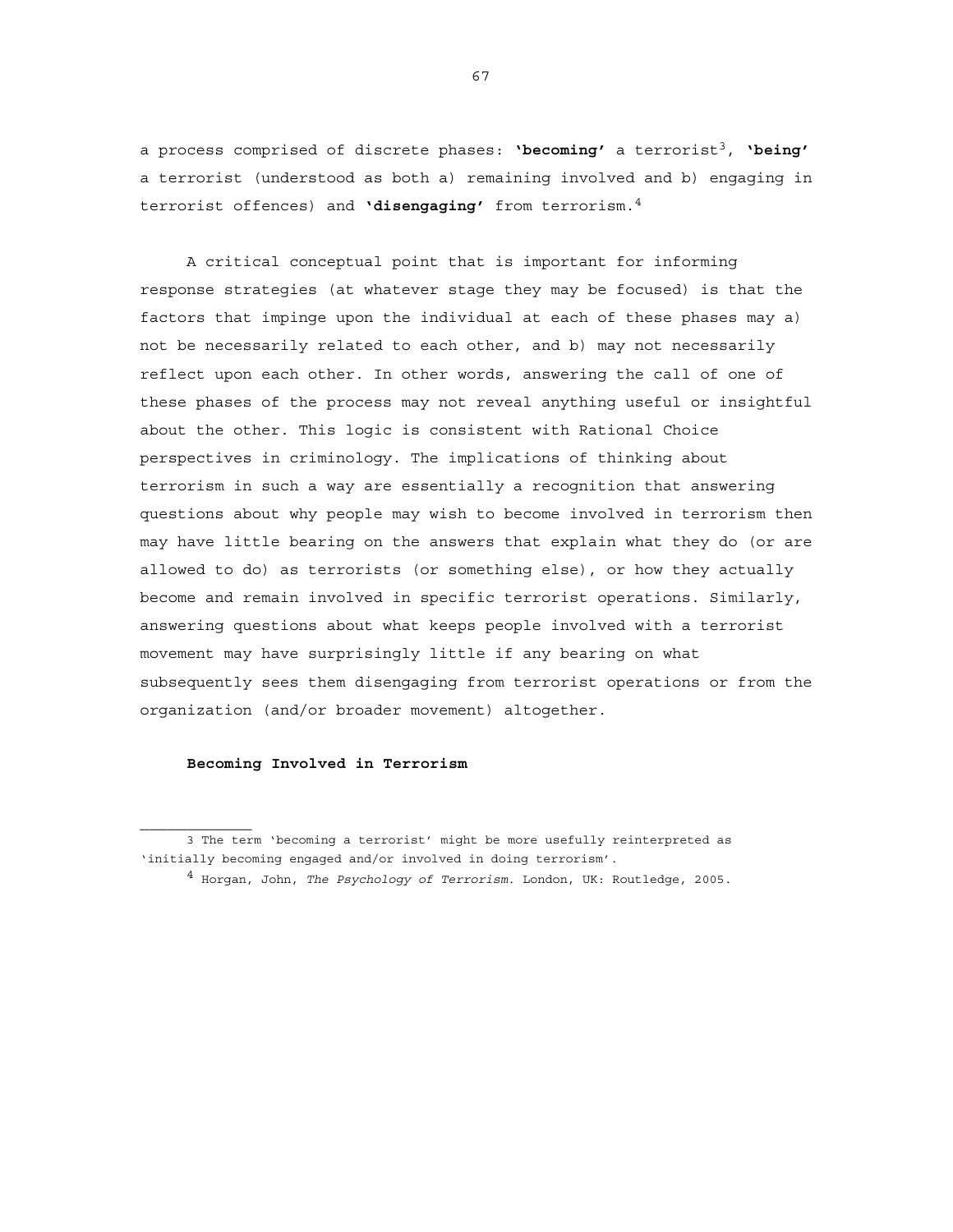a process comprised of discrete phases: **'becoming'** a terrorist<sup>3</sup>, **'being'** a terrorist (understood as both a) remaining involved and b) engaging in terrorist offences) and **'disengaging'** from terrorism.4

A critical conceptual point that is important for informing response strategies (at whatever stage they may be focused) is that the factors that impinge upon the individual at each of these phases may a) not be necessarily related to each other, and b) may not necessarily reflect upon each other. In other words, answering the call of one of these phases of the process may not reveal anything useful or insightful about the other. This logic is consistent with Rational Choice perspectives in criminology. The implications of thinking about terrorism in such a way are essentially a recognition that answering questions about why people may wish to become involved in terrorism then may have little bearing on the answers that explain what they do (or are allowed to do) as terrorists (or something else), or how they actually become and remain involved in specific terrorist operations. Similarly, answering questions about what keeps people involved with a terrorist movement may have surprisingly little if any bearing on what subsequently sees them disengaging from terrorist operations or from the organization (and/or broader movement) altogether.

#### **Becoming Involved in Terrorism**

<sup>3</sup> The term 'becoming a terrorist' might be more usefully reinterpreted as 'initially becoming engaged and/or involved in doing terrorism'.

<sup>4</sup> Horgan, John, *The Psychology of Terrorism*. London, UK: Routledge, 2005.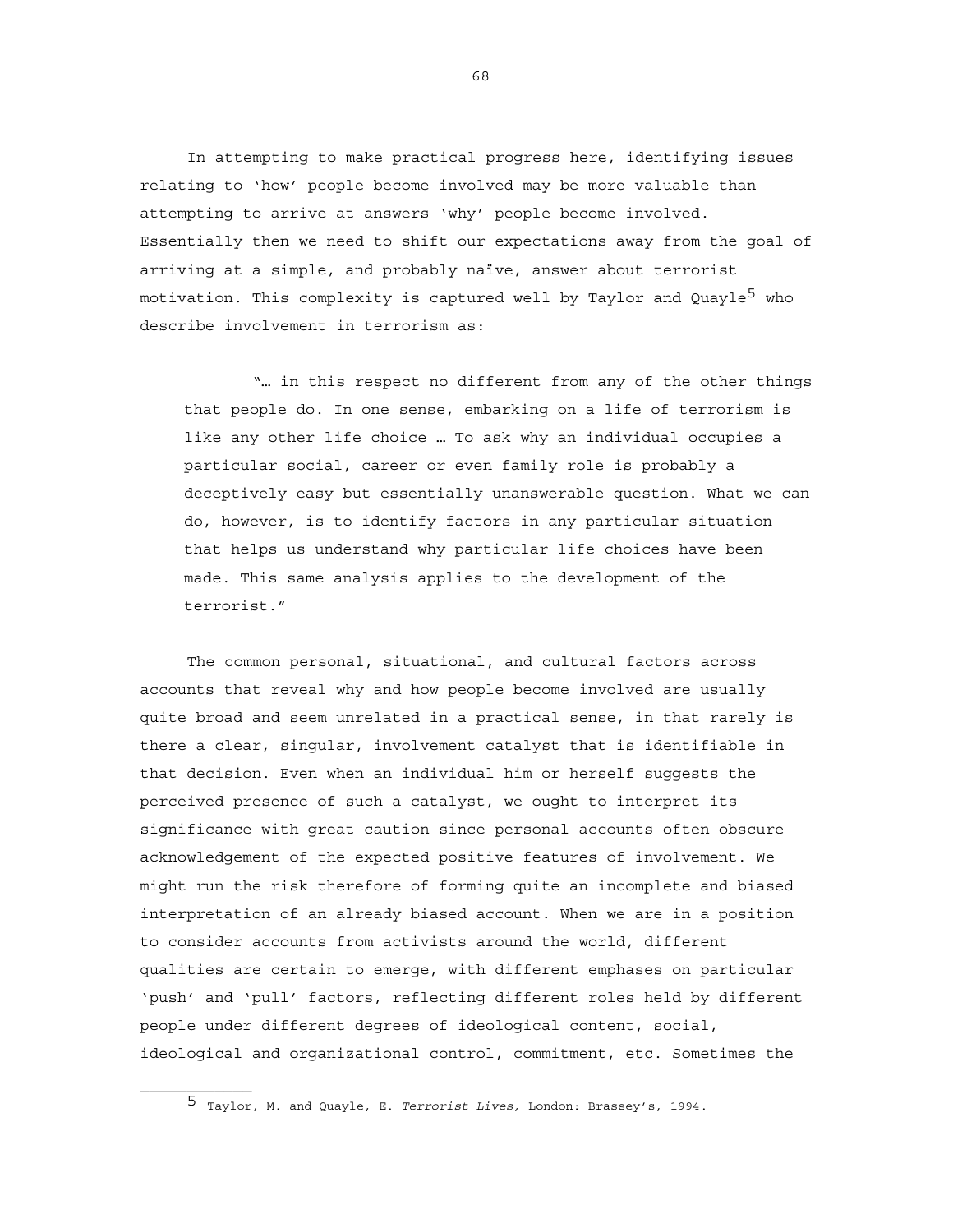In attempting to make practical progress here, identifying issues relating to 'how' people become involved may be more valuable than attempting to arrive at answers 'why' people become involved. Essentially then we need to shift our expectations away from the goal of arriving at a simple, and probably naïve, answer about terrorist motivation. This complexity is captured well by Taylor and Quayle<sup>5</sup> who describe involvement in terrorism as:

"… in this respect no different from any of the other things that people do. In one sense, embarking on a life of terrorism is like any other life choice … To ask why an individual occupies a particular social, career or even family role is probably a deceptively easy but essentially unanswerable question. What we can do, however, is to identify factors in any particular situation that helps us understand why particular life choices have been made. This same analysis applies to the development of the terrorist."

The common personal, situational, and cultural factors across accounts that reveal why and how people become involved are usually quite broad and seem unrelated in a practical sense, in that rarely is there a clear, singular, involvement catalyst that is identifiable in that decision. Even when an individual him or herself suggests the perceived presence of such a catalyst, we ought to interpret its significance with great caution since personal accounts often obscure acknowledgement of the expected positive features of involvement. We might run the risk therefore of forming quite an incomplete and biased interpretation of an already biased account. When we are in a position to consider accounts from activists around the world, different qualities are certain to emerge, with different emphases on particular 'push' and 'pull' factors, reflecting different roles held by different people under different degrees of ideological content, social, ideological and organizational control, commitment, etc. Sometimes the

 $\mathcal{L}_\text{max}$ 

<sup>5</sup> Taylor, M. and Quayle, E. *Terrorist Lives,* London: Brassey's, 1994.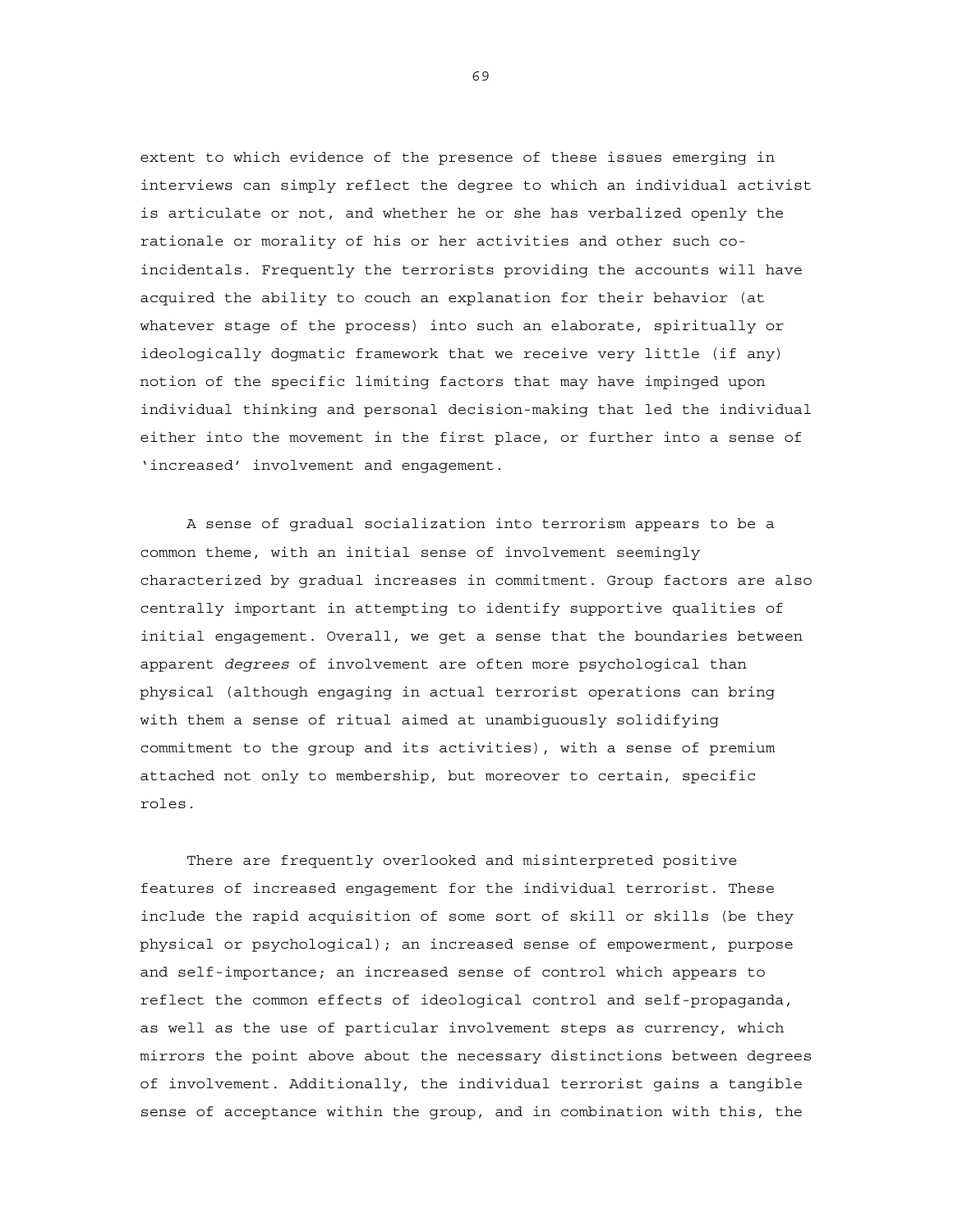extent to which evidence of the presence of these issues emerging in interviews can simply reflect the degree to which an individual activist is articulate or not, and whether he or she has verbalized openly the rationale or morality of his or her activities and other such coincidentals. Frequently the terrorists providing the accounts will have acquired the ability to couch an explanation for their behavior (at whatever stage of the process) into such an elaborate, spiritually or ideologically dogmatic framework that we receive very little (if any) notion of the specific limiting factors that may have impinged upon individual thinking and personal decision-making that led the individual either into the movement in the first place, or further into a sense of 'increased' involvement and engagement.

A sense of gradual socialization into terrorism appears to be a common theme, with an initial sense of involvement seemingly characterized by gradual increases in commitment. Group factors are also centrally important in attempting to identify supportive qualities of initial engagement. Overall, we get a sense that the boundaries between apparent *degrees* of involvement are often more psychological than physical (although engaging in actual terrorist operations can bring with them a sense of ritual aimed at unambiguously solidifying commitment to the group and its activities), with a sense of premium attached not only to membership, but moreover to certain, specific roles.

There are frequently overlooked and misinterpreted positive features of increased engagement for the individual terrorist. These include the rapid acquisition of some sort of skill or skills (be they physical or psychological); an increased sense of empowerment, purpose and self-importance; an increased sense of control which appears to reflect the common effects of ideological control and self-propaganda, as well as the use of particular involvement steps as currency, which mirrors the point above about the necessary distinctions between degrees of involvement. Additionally, the individual terrorist gains a tangible sense of acceptance within the group, and in combination with this, the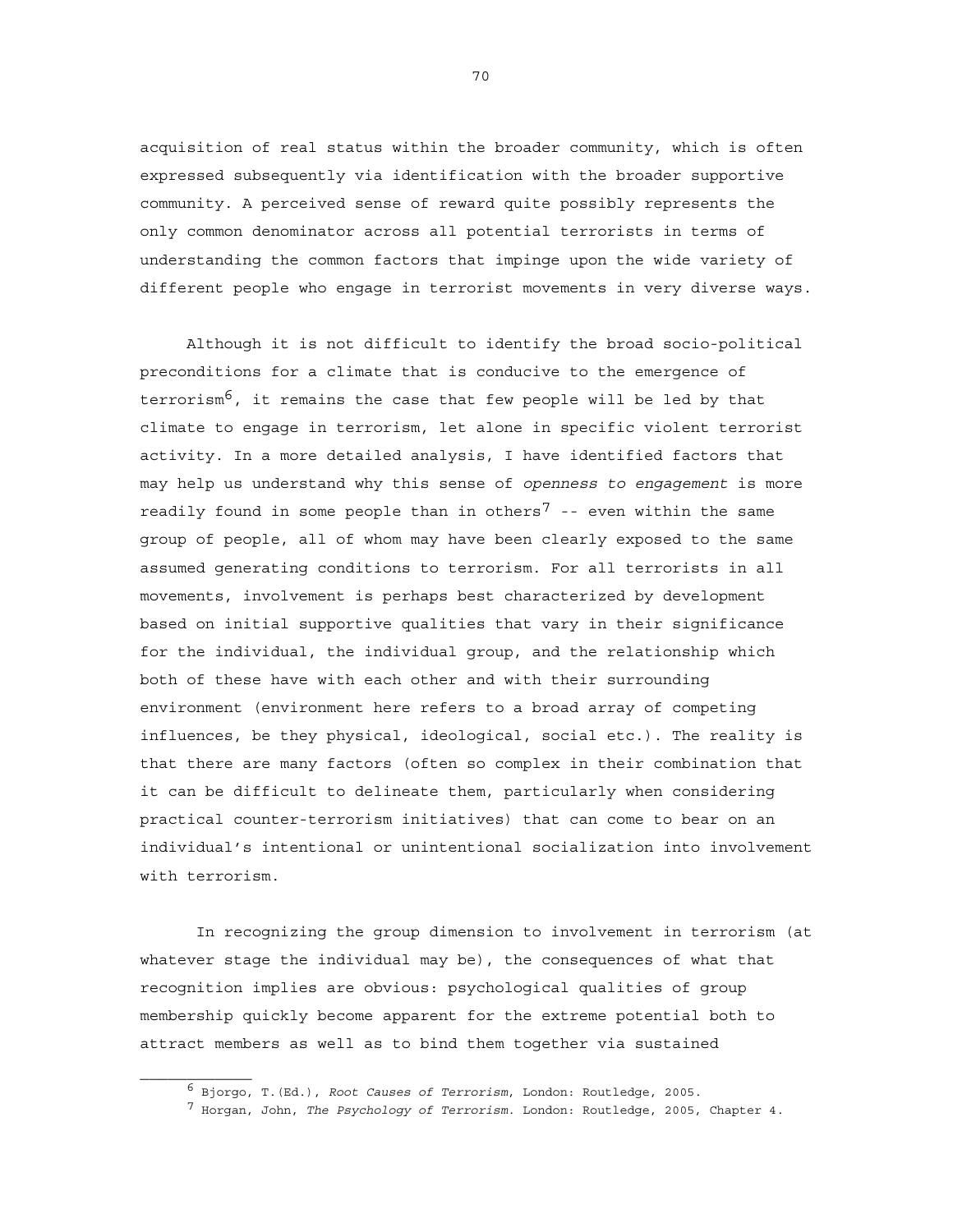acquisition of real status within the broader community, which is often expressed subsequently via identification with the broader supportive community. A perceived sense of reward quite possibly represents the only common denominator across all potential terrorists in terms of understanding the common factors that impinge upon the wide variety of different people who engage in terrorist movements in very diverse ways.

Although it is not difficult to identify the broad socio-political preconditions for a climate that is conducive to the emergence of terrorism6, it remains the case that few people will be led by that climate to engage in terrorism, let alone in specific violent terrorist activity. In a more detailed analysis, I have identified factors that may help us understand why this sense of *openness to engagement* is more readily found in some people than in others<sup>7</sup> -- even within the same group of people, all of whom may have been clearly exposed to the same assumed generating conditions to terrorism. For all terrorists in all movements, involvement is perhaps best characterized by development based on initial supportive qualities that vary in their significance for the individual, the individual group, and the relationship which both of these have with each other and with their surrounding environment (environment here refers to a broad array of competing influences, be they physical, ideological, social etc.). The reality is that there are many factors (often so complex in their combination that it can be difficult to delineate them, particularly when considering practical counter-terrorism initiatives) that can come to bear on an individual's intentional or unintentional socialization into involvement with terrorism.

 In recognizing the group dimension to involvement in terrorism (at whatever stage the individual may be), the consequences of what that recognition implies are obvious: psychological qualities of group membership quickly become apparent for the extreme potential both to attract members as well as to bind them together via sustained

<sup>6</sup> Bjorgo, T.(Ed.), *Root Causes of Terrorism*, London: Routledge, 2005.

<sup>7</sup> Horgan, John, *The Psychology of Terrorism*. London: Routledge, 2005, Chapter 4.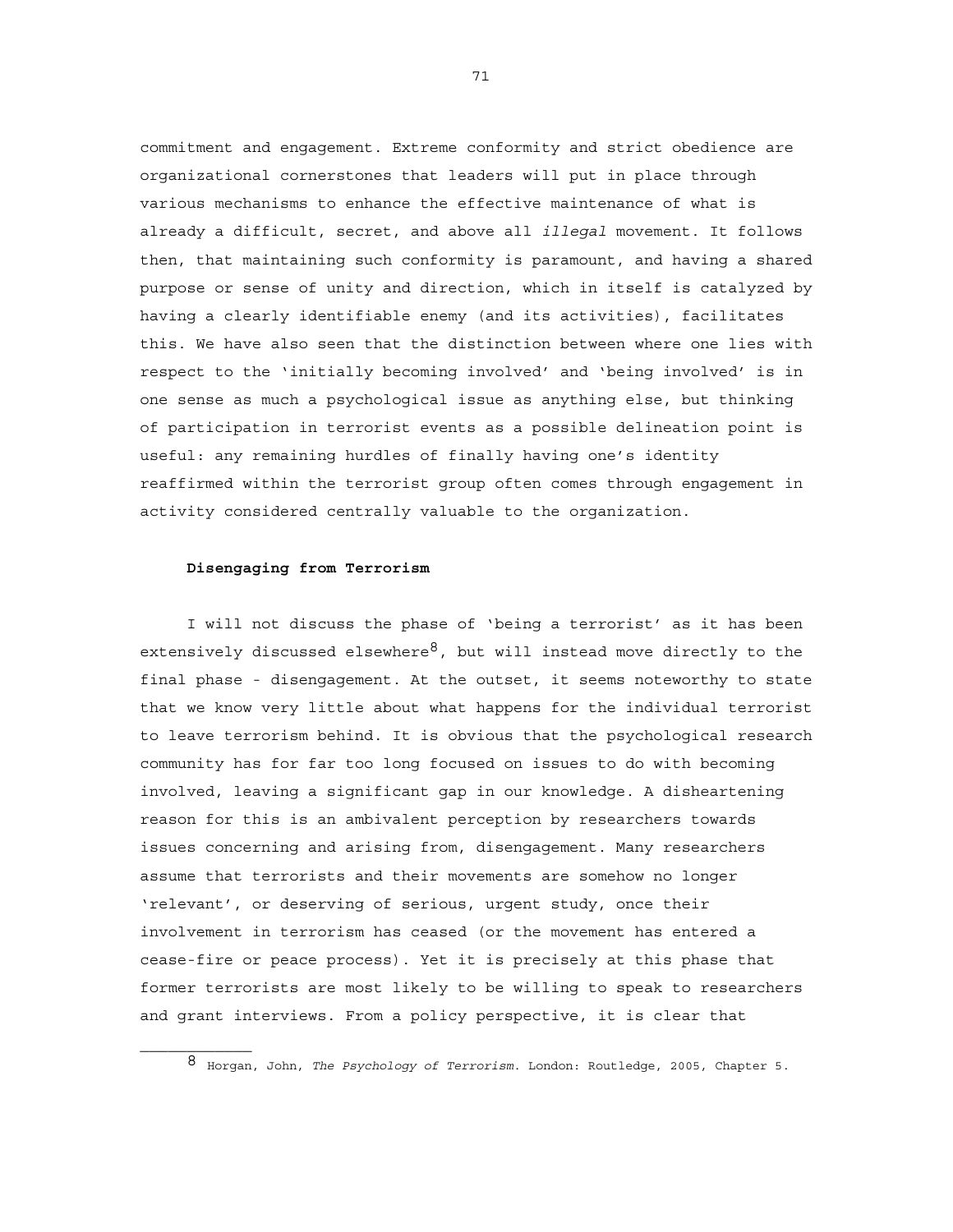commitment and engagement. Extreme conformity and strict obedience are organizational cornerstones that leaders will put in place through various mechanisms to enhance the effective maintenance of what is already a difficult, secret, and above all *illegal* movement. It follows then, that maintaining such conformity is paramount, and having a shared purpose or sense of unity and direction, which in itself is catalyzed by having a clearly identifiable enemy (and its activities), facilitates this. We have also seen that the distinction between where one lies with respect to the 'initially becoming involved' and 'being involved' is in one sense as much a psychological issue as anything else, but thinking of participation in terrorist events as a possible delineation point is useful: any remaining hurdles of finally having one's identity reaffirmed within the terrorist group often comes through engagement in activity considered centrally valuable to the organization.

#### **Disengaging from Terrorism**

I will not discuss the phase of 'being a terrorist' as it has been extensively discussed elsewhere<sup>8</sup>, but will instead move directly to the final phase - disengagement. At the outset, it seems noteworthy to state that we know very little about what happens for the individual terrorist to leave terrorism behind. It is obvious that the psychological research community has for far too long focused on issues to do with becoming involved, leaving a significant gap in our knowledge. A disheartening reason for this is an ambivalent perception by researchers towards issues concerning and arising from, disengagement. Many researchers assume that terrorists and their movements are somehow no longer 'relevant', or deserving of serious, urgent study, once their involvement in terrorism has ceased (or the movement has entered a cease-fire or peace process). Yet it is precisely at this phase that former terrorists are most likely to be willing to speak to researchers and grant interviews. From a policy perspective, it is clear that

<sup>8</sup> Horgan, John, *The Psychology of Terrorism*. London: Routledge, 2005, Chapter 5.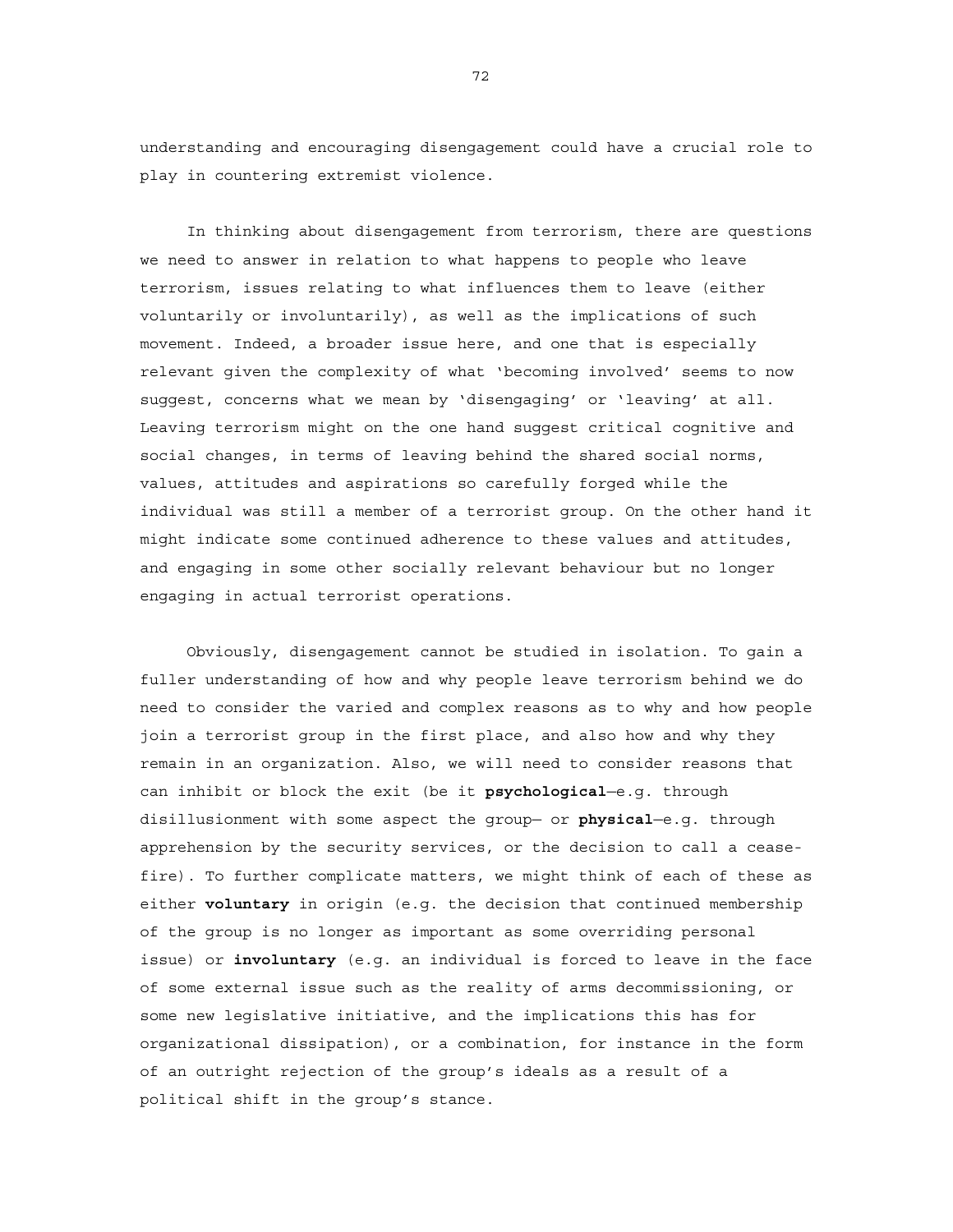understanding and encouraging disengagement could have a crucial role to play in countering extremist violence.

In thinking about disengagement from terrorism, there are questions we need to answer in relation to what happens to people who leave terrorism, issues relating to what influences them to leave (either voluntarily or involuntarily), as well as the implications of such movement. Indeed, a broader issue here, and one that is especially relevant given the complexity of what 'becoming involved' seems to now suggest, concerns what we mean by 'disengaging' or 'leaving' at all. Leaving terrorism might on the one hand suggest critical cognitive and social changes, in terms of leaving behind the shared social norms, values, attitudes and aspirations so carefully forged while the individual was still a member of a terrorist group. On the other hand it might indicate some continued adherence to these values and attitudes, and engaging in some other socially relevant behaviour but no longer engaging in actual terrorist operations.

Obviously, disengagement cannot be studied in isolation. To gain a fuller understanding of how and why people leave terrorism behind we do need to consider the varied and complex reasons as to why and how people join a terrorist group in the first place, and also how and why they remain in an organization. Also, we will need to consider reasons that can inhibit or block the exit (be it **psychological**—e.g. through disillusionment with some aspect the group— or **physical**—e.g. through apprehension by the security services, or the decision to call a ceasefire). To further complicate matters, we might think of each of these as either **voluntary** in origin (e.g. the decision that continued membership of the group is no longer as important as some overriding personal issue) or **involuntary** (e.g. an individual is forced to leave in the face of some external issue such as the reality of arms decommissioning, or some new legislative initiative, and the implications this has for organizational dissipation), or a combination, for instance in the form of an outright rejection of the group's ideals as a result of a political shift in the group's stance.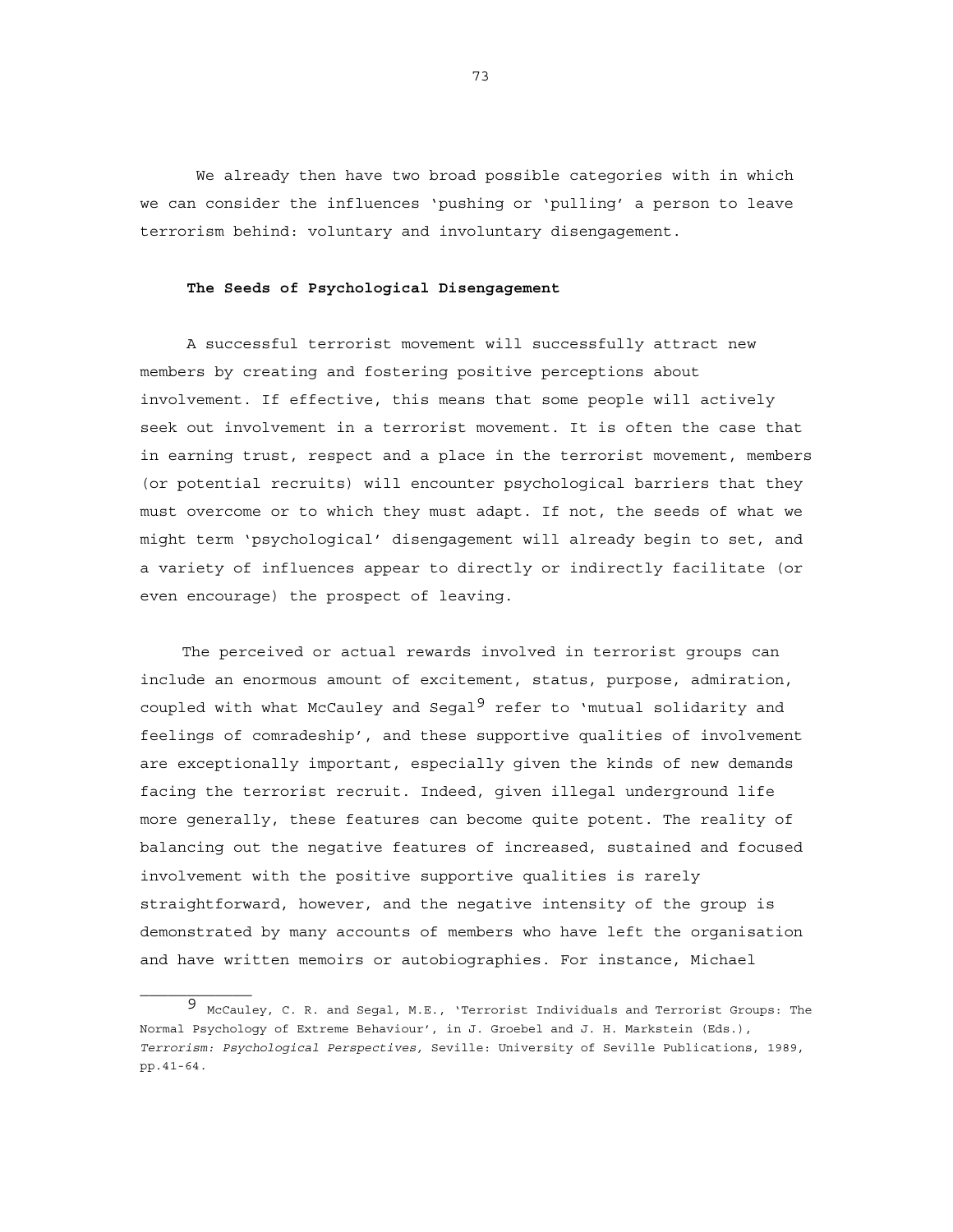We already then have two broad possible categories with in which we can consider the influences 'pushing or 'pulling' a person to leave terrorism behind: voluntary and involuntary disengagement.

#### **The Seeds of Psychological Disengagement**

A successful terrorist movement will successfully attract new members by creating and fostering positive perceptions about involvement. If effective, this means that some people will actively seek out involvement in a terrorist movement. It is often the case that in earning trust, respect and a place in the terrorist movement, members (or potential recruits) will encounter psychological barriers that they must overcome or to which they must adapt. If not, the seeds of what we might term 'psychological' disengagement will already begin to set, and a variety of influences appear to directly or indirectly facilitate (or even encourage) the prospect of leaving.

The perceived or actual rewards involved in terrorist groups can include an enormous amount of excitement, status, purpose, admiration, coupled with what McCauley and Segal<sup>9</sup> refer to 'mutual solidarity and feelings of comradeship', and these supportive qualities of involvement are exceptionally important, especially given the kinds of new demands facing the terrorist recruit. Indeed, given illegal underground life more generally, these features can become quite potent. The reality of balancing out the negative features of increased, sustained and focused involvement with the positive supportive qualities is rarely straightforward, however, and the negative intensity of the group is demonstrated by many accounts of members who have left the organisation and have written memoirs or autobiographies. For instance, Michael

<sup>9</sup> McCauley, C. R. and Segal, M.E., 'Terrorist Individuals and Terrorist Groups: The Normal Psychology of Extreme Behaviour', in J. Groebel and J. H. Markstein (Eds.), *Terrorism: Psychological Perspectives,* Seville: University of Seville Publications, 1989, pp.41-64.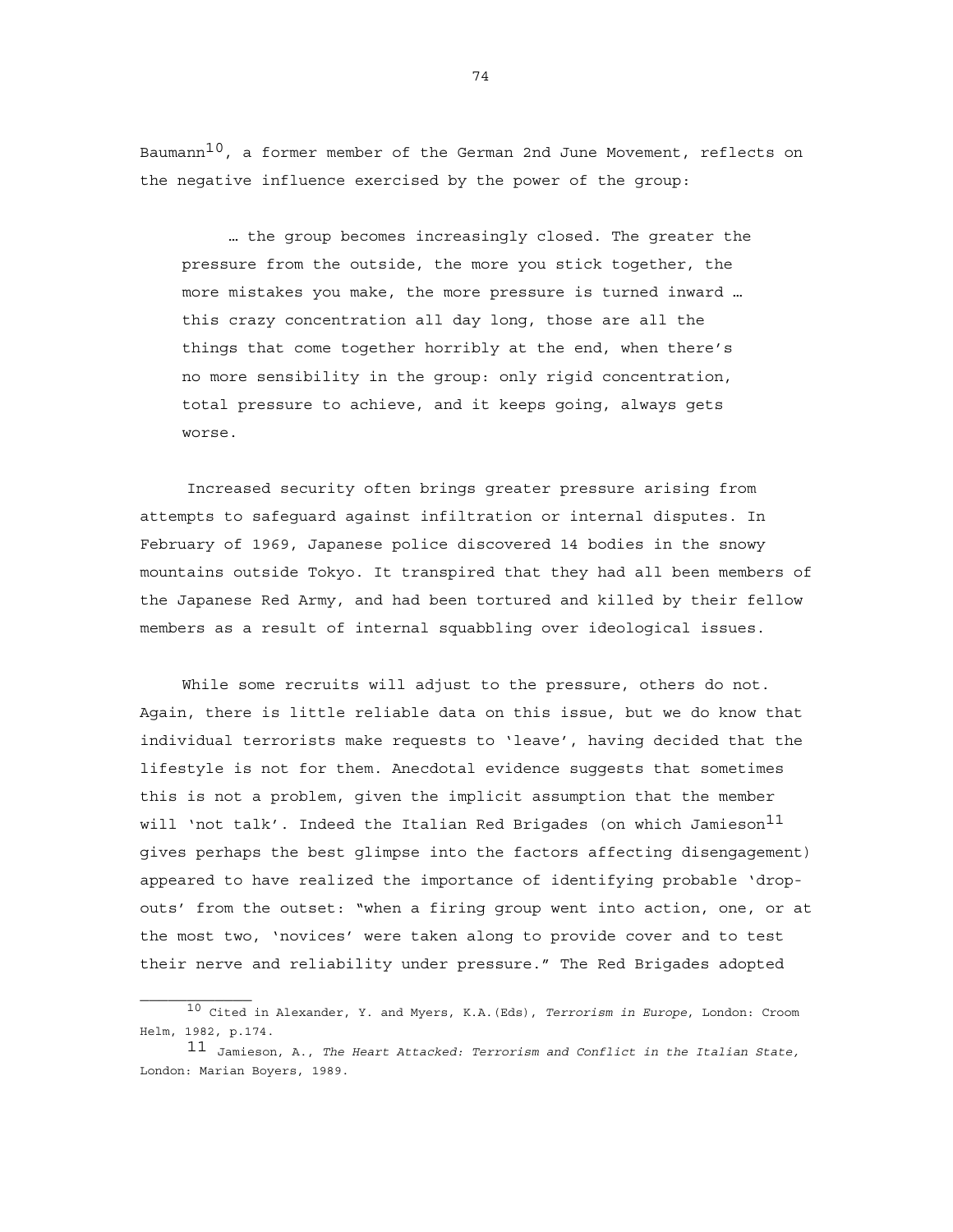Baumann $^{10}$ , a former member of the German 2nd June Movement, reflects on the negative influence exercised by the power of the group:

… the group becomes increasingly closed. The greater the pressure from the outside, the more you stick together, the more mistakes you make, the more pressure is turned inward … this crazy concentration all day long, those are all the things that come together horribly at the end, when there's no more sensibility in the group: only rigid concentration, total pressure to achieve, and it keeps going, always gets worse.

Increased security often brings greater pressure arising from attempts to safeguard against infiltration or internal disputes. In February of 1969, Japanese police discovered 14 bodies in the snowy mountains outside Tokyo. It transpired that they had all been members of the Japanese Red Army, and had been tortured and killed by their fellow members as a result of internal squabbling over ideological issues.

While some recruits will adjust to the pressure, others do not. Again, there is little reliable data on this issue, but we do know that individual terrorists make requests to 'leave', having decided that the lifestyle is not for them. Anecdotal evidence suggests that sometimes this is not a problem, given the implicit assumption that the member will 'not talk'. Indeed the Italian Red Brigades (on which Jamieson $^{11}$ gives perhaps the best glimpse into the factors affecting disengagement) appeared to have realized the importance of identifying probable 'dropouts' from the outset: "when a firing group went into action, one, or at the most two, 'novices' were taken along to provide cover and to test their nerve and reliability under pressure." The Red Brigades adopted

<sup>10</sup> Cited in Alexander, Y. and Myers, K.A.(Eds), *Terrorism in Europe*, London: Croom Helm, 1982, p.174.

<sup>11</sup> Jamieson, A., *The Heart Attacked: Terrorism and Conflict in the Italian State,* London: Marian Boyers, 1989.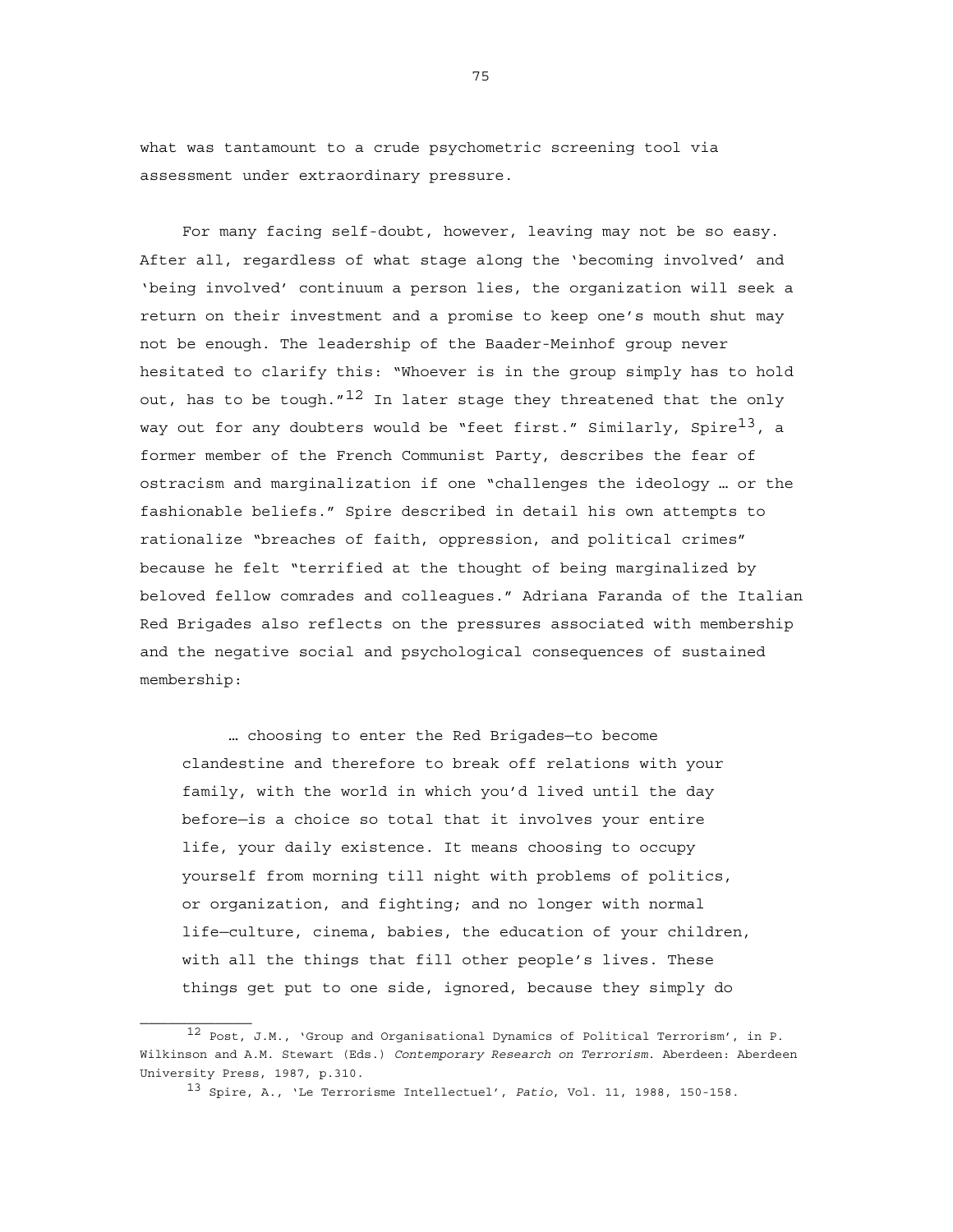what was tantamount to a crude psychometric screening tool via assessment under extraordinary pressure.

For many facing self-doubt, however, leaving may not be so easy. After all, regardless of what stage along the 'becoming involved' and 'being involved' continuum a person lies, the organization will seek a return on their investment and a promise to keep one's mouth shut may not be enough. The leadership of the Baader-Meinhof group never hesitated to clarify this: "Whoever is in the group simply has to hold out, has to be tough." $^{12}$  In later stage they threatened that the only way out for any doubters would be "feet first." Similarly, Spire<sup>13</sup>, a former member of the French Communist Party, describes the fear of ostracism and marginalization if one "challenges the ideology … or the fashionable beliefs." Spire described in detail his own attempts to rationalize "breaches of faith, oppression, and political crimes" because he felt "terrified at the thought of being marginalized by beloved fellow comrades and colleagues." Adriana Faranda of the Italian Red Brigades also reflects on the pressures associated with membership and the negative social and psychological consequences of sustained membership:

… choosing to enter the Red Brigades—to become clandestine and therefore to break off relations with your family, with the world in which you'd lived until the day before—is a choice so total that it involves your entire life, your daily existence. It means choosing to occupy yourself from morning till night with problems of politics, or organization, and fighting; and no longer with normal life—culture, cinema, babies, the education of your children, with all the things that fill other people's lives. These things get put to one side, ignored, because they simply do

<sup>12</sup> Post, J.M., 'Group and Organisational Dynamics of Political Terrorism', in P. Wilkinson and A.M. Stewart (Eds.) *Contemporary Research on Terrorism*. Aberdeen: Aberdeen University Press, 1987, p.310.

<sup>13</sup> Spire, A., 'Le Terrorisme Intellectuel', *Patio*, Vol. 11, 1988, 150-158.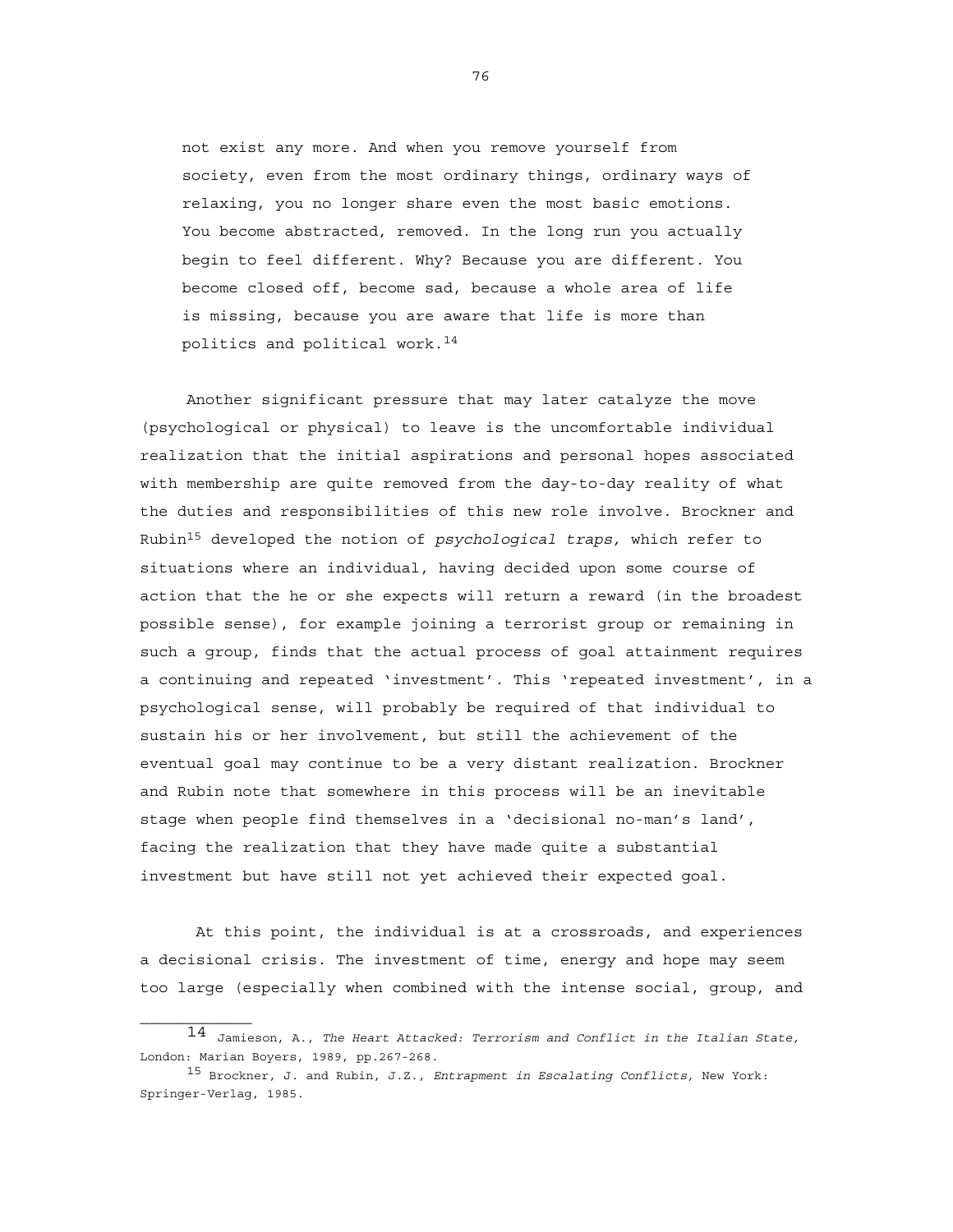not exist any more. And when you remove yourself from society, even from the most ordinary things, ordinary ways of relaxing, you no longer share even the most basic emotions. You become abstracted, removed. In the long run you actually begin to feel different. Why? Because you are different. You become closed off, become sad, because a whole area of life is missing, because you are aware that life is more than politics and political work.14

Another significant pressure that may later catalyze the move (psychological or physical) to leave is the uncomfortable individual realization that the initial aspirations and personal hopes associated with membership are quite removed from the day-to-day reality of what the duties and responsibilities of this new role involve. Brockner and Rubin15 developed the notion of *psychological traps,* which refer to situations where an individual, having decided upon some course of action that the he or she expects will return a reward (in the broadest possible sense), for example joining a terrorist group or remaining in such a group, finds that the actual process of goal attainment requires a continuing and repeated 'investment'. This 'repeated investment', in a psychological sense, will probably be required of that individual to sustain his or her involvement, but still the achievement of the eventual goal may continue to be a very distant realization. Brockner and Rubin note that somewhere in this process will be an inevitable stage when people find themselves in a 'decisional no-man's land', facing the realization that they have made quite a substantial investment but have still not yet achieved their expected goal.

At this point, the individual is at a crossroads, and experiences a decisional crisis. The investment of time, energy and hope may seem too large (especially when combined with the intense social, group, and

<u>76 до едно</u>го производство в селото на 176

<sup>14</sup> Jamieson, A., *The Heart Attacked: Terrorism and Conflict in the Italian State,* London: Marian Boyers, 1989, pp.267-268.

<sup>15</sup> Brockner, J. and Rubin, J.Z., *Entrapment in Escalating Conflicts,* New York: Springer-Verlag, 1985.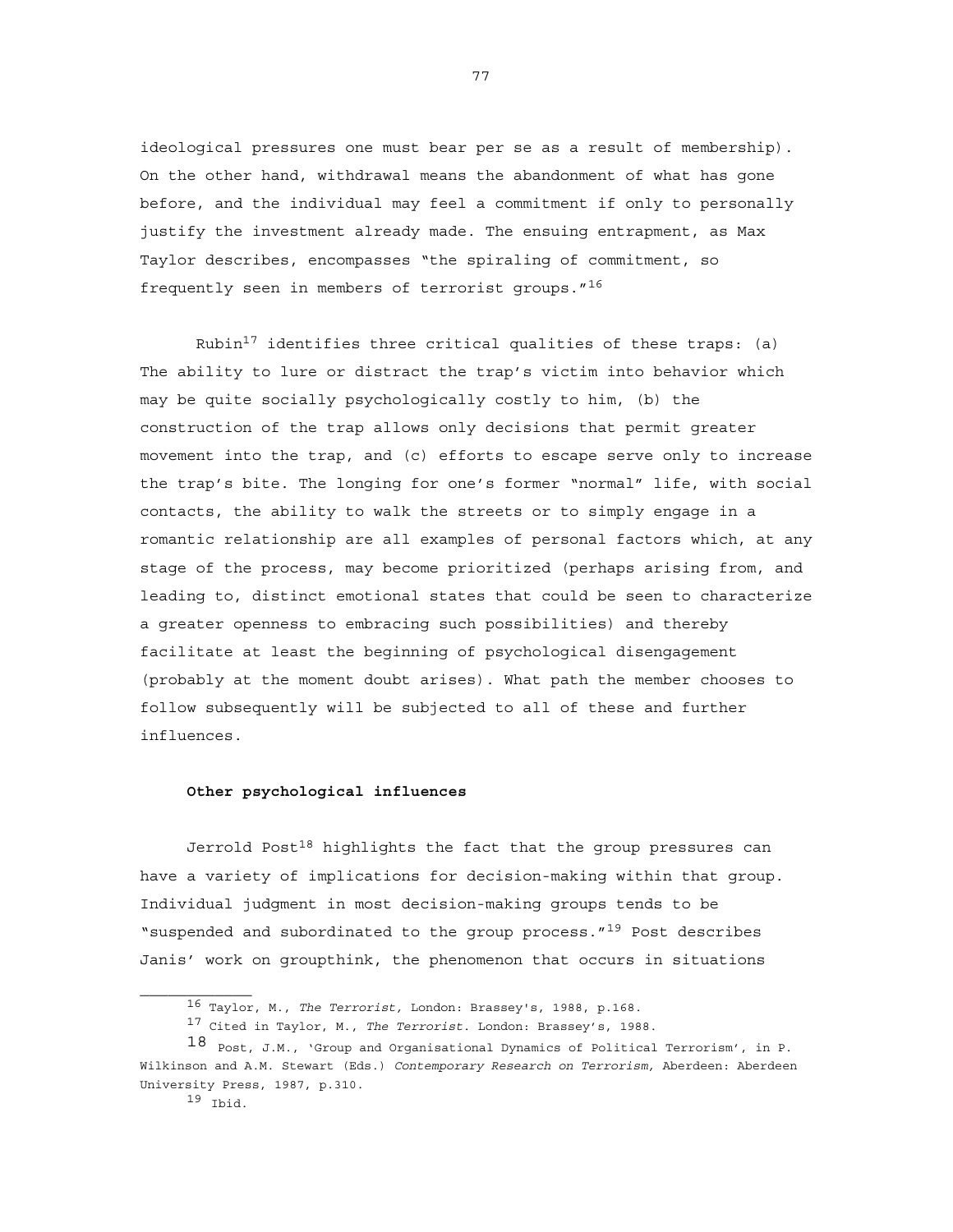ideological pressures one must bear per se as a result of membership). On the other hand, withdrawal means the abandonment of what has gone before, and the individual may feel a commitment if only to personally justify the investment already made. The ensuing entrapment, as Max Taylor describes, encompasses "the spiraling of commitment, so frequently seen in members of terrorist groups."16

Rubin<sup>17</sup> identifies three critical qualities of these traps: (a) The ability to lure or distract the trap's victim into behavior which may be quite socially psychologically costly to him, (b) the construction of the trap allows only decisions that permit greater movement into the trap, and (c) efforts to escape serve only to increase the trap's bite. The longing for one's former "normal" life, with social contacts, the ability to walk the streets or to simply engage in a romantic relationship are all examples of personal factors which, at any stage of the process, may become prioritized (perhaps arising from, and leading to, distinct emotional states that could be seen to characterize a greater openness to embracing such possibilities) and thereby facilitate at least the beginning of psychological disengagement (probably at the moment doubt arises). What path the member chooses to follow subsequently will be subjected to all of these and further influences.

## **Other psychological influences**

Jerrold Post<sup>18</sup> highlights the fact that the group pressures can have a variety of implications for decision-making within that group. Individual judgment in most decision-making groups tends to be "suspended and subordinated to the group process."19 Post describes Janis' work on groupthink, the phenomenon that occurs in situations

 $19$  Ibid.

<sup>16</sup> Taylor, M., *The Terrorist,* London: Brassey's, 1988, p.168.

<sup>17</sup> Cited in Taylor, M., *The Terrorist*. London: Brassey's, 1988.

<sup>18</sup> Post, J.M., 'Group and Organisational Dynamics of Political Terrorism', in P. Wilkinson and A.M. Stewart (Eds.) *Contemporary Research on Terrorism,* Aberdeen: Aberdeen University Press, 1987, p.310.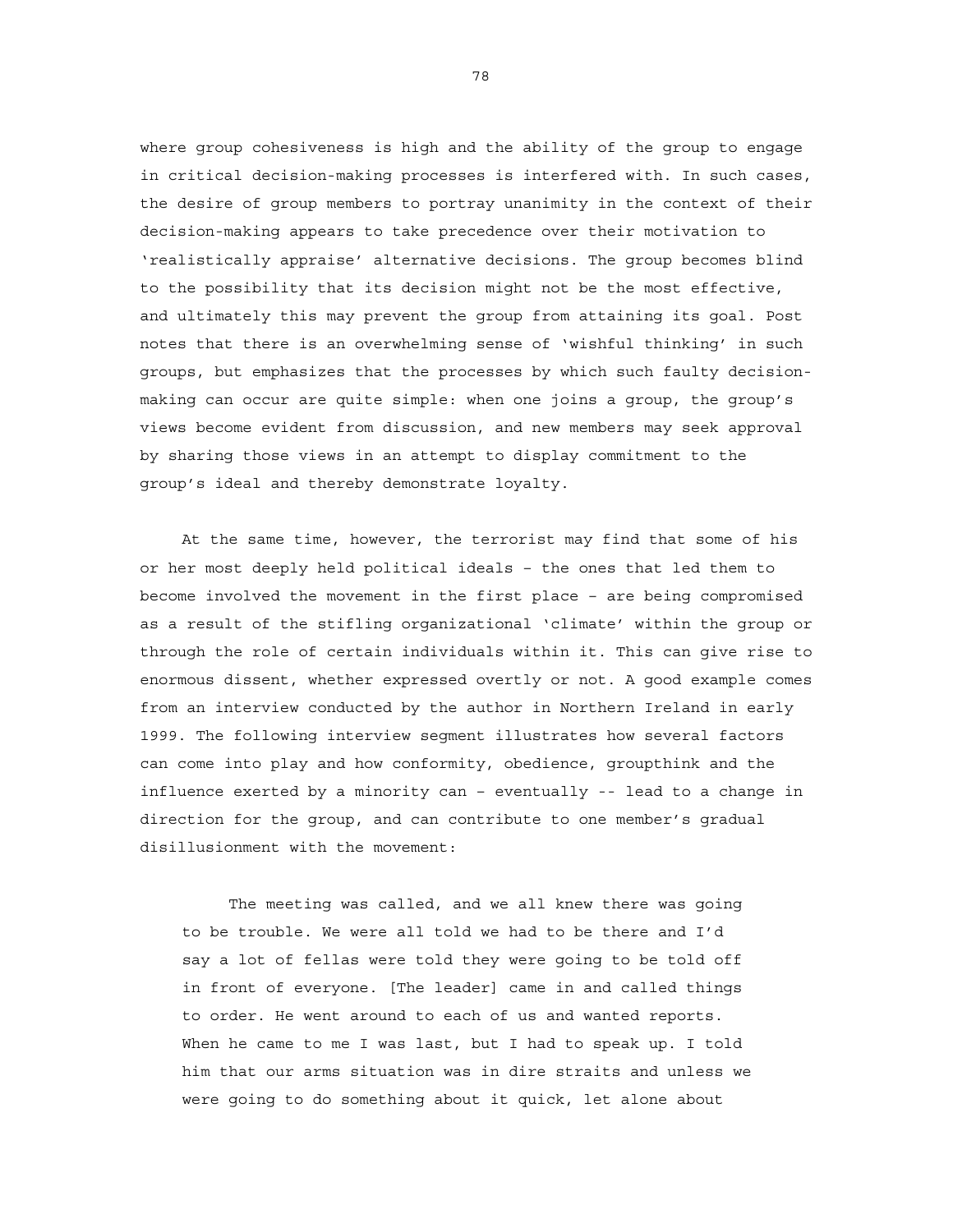where group cohesiveness is high and the ability of the group to engage in critical decision-making processes is interfered with. In such cases, the desire of group members to portray unanimity in the context of their decision-making appears to take precedence over their motivation to 'realistically appraise' alternative decisions. The group becomes blind to the possibility that its decision might not be the most effective, and ultimately this may prevent the group from attaining its goal. Post notes that there is an overwhelming sense of 'wishful thinking' in such groups, but emphasizes that the processes by which such faulty decisionmaking can occur are quite simple: when one joins a group, the group's views become evident from discussion, and new members may seek approval by sharing those views in an attempt to display commitment to the group's ideal and thereby demonstrate loyalty.

At the same time, however, the terrorist may find that some of his or her most deeply held political ideals – the ones that led them to become involved the movement in the first place – are being compromised as a result of the stifling organizational 'climate' within the group or through the role of certain individuals within it. This can give rise to enormous dissent, whether expressed overtly or not. A good example comes from an interview conducted by the author in Northern Ireland in early 1999. The following interview segment illustrates how several factors can come into play and how conformity, obedience, groupthink and the influence exerted by a minority can – eventually -- lead to a change in direction for the group, and can contribute to one member's gradual disillusionment with the movement:

The meeting was called, and we all knew there was going to be trouble. We were all told we had to be there and I'd say a lot of fellas were told they were going to be told off in front of everyone. [The leader] came in and called things to order. He went around to each of us and wanted reports. When he came to me I was last, but I had to speak up. I told him that our arms situation was in dire straits and unless we were going to do something about it quick, let alone about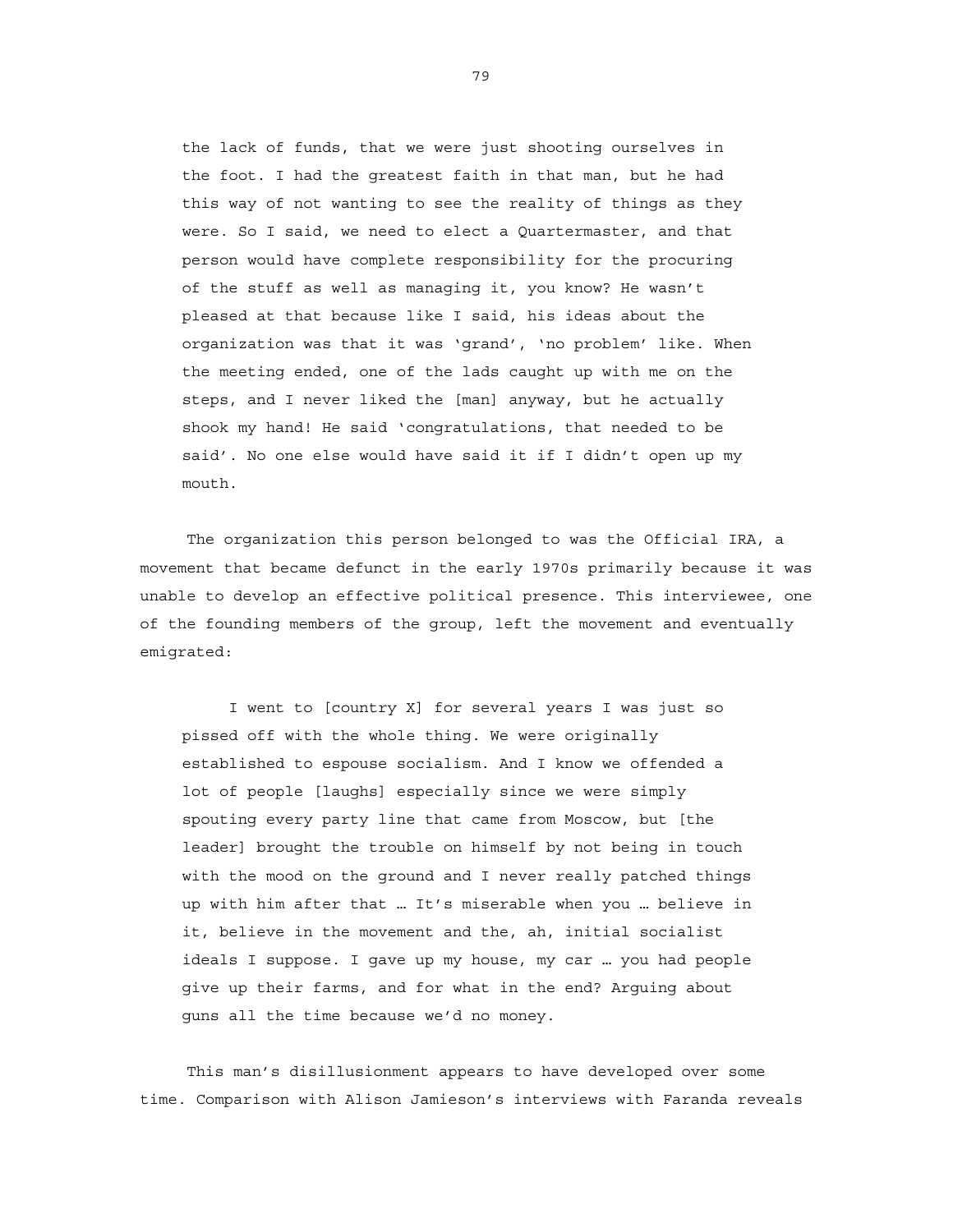the lack of funds, that we were just shooting ourselves in the foot. I had the greatest faith in that man, but he had this way of not wanting to see the reality of things as they were. So I said, we need to elect a Quartermaster, and that person would have complete responsibility for the procuring of the stuff as well as managing it, you know? He wasn't pleased at that because like I said, his ideas about the organization was that it was 'grand', 'no problem' like. When the meeting ended, one of the lads caught up with me on the steps, and I never liked the [man] anyway, but he actually shook my hand! He said 'congratulations, that needed to be said'. No one else would have said it if I didn't open up my mouth.

The organization this person belonged to was the Official IRA, a movement that became defunct in the early 1970s primarily because it was unable to develop an effective political presence. This interviewee, one of the founding members of the group, left the movement and eventually emigrated:

I went to [country X] for several years I was just so pissed off with the whole thing. We were originally established to espouse socialism. And I know we offended a lot of people [laughs] especially since we were simply spouting every party line that came from Moscow, but [the leader] brought the trouble on himself by not being in touch with the mood on the ground and I never really patched things up with him after that … It's miserable when you … believe in it, believe in the movement and the, ah, initial socialist ideals I suppose. I gave up my house, my car … you had people give up their farms, and for what in the end? Arguing about guns all the time because we'd no money.

This man's disillusionment appears to have developed over some time. Comparison with Alison Jamieson's interviews with Faranda reveals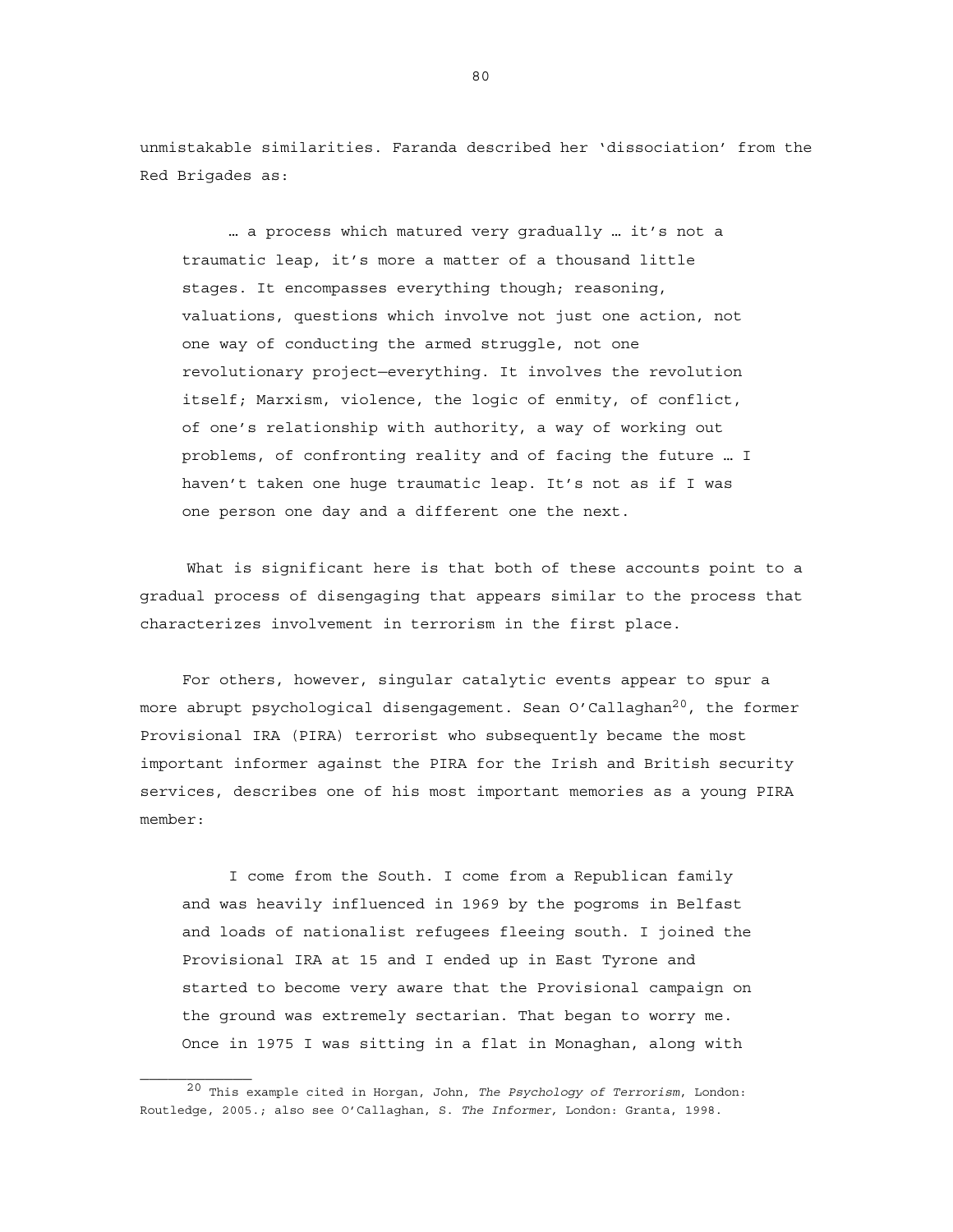unmistakable similarities. Faranda described her 'dissociation' from the Red Brigades as:

… a process which matured very gradually … it's not a traumatic leap, it's more a matter of a thousand little stages. It encompasses everything though; reasoning, valuations, questions which involve not just one action, not one way of conducting the armed struggle, not one revolutionary project—everything. It involves the revolution itself; Marxism, violence, the logic of enmity, of conflict, of one's relationship with authority, a way of working out problems, of confronting reality and of facing the future … I haven't taken one huge traumatic leap. It's not as if I was one person one day and a different one the next.

What is significant here is that both of these accounts point to a gradual process of disengaging that appears similar to the process that characterizes involvement in terrorism in the first place.

For others, however, singular catalytic events appear to spur a more abrupt psychological disengagement. Sean O'Callaghan<sup>20</sup>, the former Provisional IRA (PIRA) terrorist who subsequently became the most important informer against the PIRA for the Irish and British security services, describes one of his most important memories as a young PIRA member:

I come from the South. I come from a Republican family and was heavily influenced in 1969 by the pogroms in Belfast and loads of nationalist refugees fleeing south. I joined the Provisional IRA at 15 and I ended up in East Tyrone and started to become very aware that the Provisional campaign on the ground was extremely sectarian. That began to worry me. Once in 1975 I was sitting in a flat in Monaghan, along with

<sup>20</sup> This example cited in Horgan, John, *The Psychology of Terrorism*, London: Routledge, 2005.; also see O'Callaghan, S. *The Informer,* London: Granta, 1998.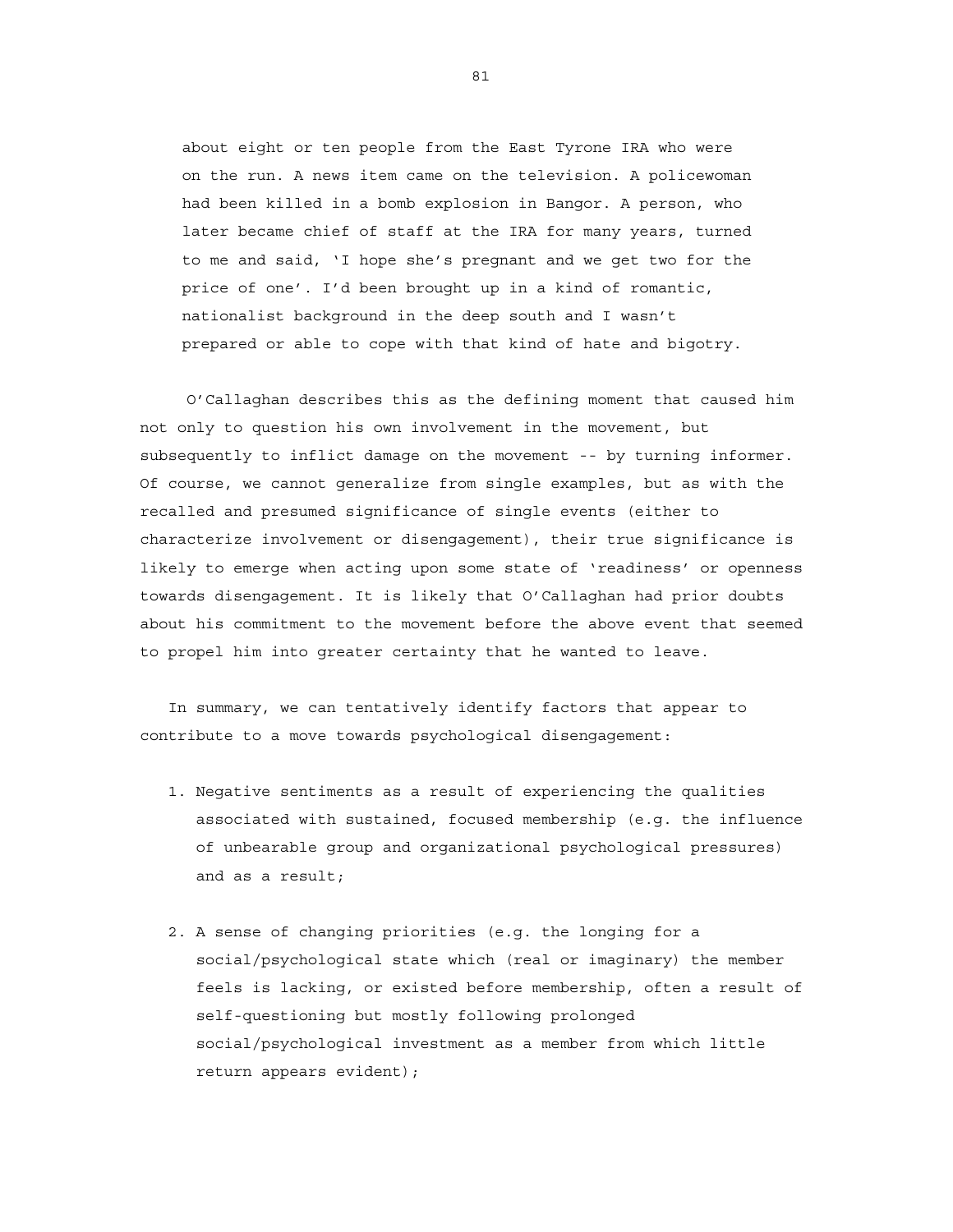about eight or ten people from the East Tyrone IRA who were on the run. A news item came on the television. A policewoman had been killed in a bomb explosion in Bangor. A person, who later became chief of staff at the IRA for many years, turned to me and said, 'I hope she's pregnant and we get two for the price of one'. I'd been brought up in a kind of romantic, nationalist background in the deep south and I wasn't prepared or able to cope with that kind of hate and bigotry.

O'Callaghan describes this as the defining moment that caused him not only to question his own involvement in the movement, but subsequently to inflict damage on the movement -- by turning informer. Of course, we cannot generalize from single examples, but as with the recalled and presumed significance of single events (either to characterize involvement or disengagement), their true significance is likely to emerge when acting upon some state of 'readiness' or openness towards disengagement. It is likely that O'Callaghan had prior doubts about his commitment to the movement before the above event that seemed to propel him into greater certainty that he wanted to leave.

In summary, we can tentatively identify factors that appear to contribute to a move towards psychological disengagement:

- 1. Negative sentiments as a result of experiencing the qualities associated with sustained, focused membership (e.g. the influence of unbearable group and organizational psychological pressures) and as a result;
- 2. A sense of changing priorities (e.g. the longing for a social/psychological state which (real or imaginary) the member feels is lacking, or existed before membership, often a result of self-questioning but mostly following prolonged social/psychological investment as a member from which little return appears evident);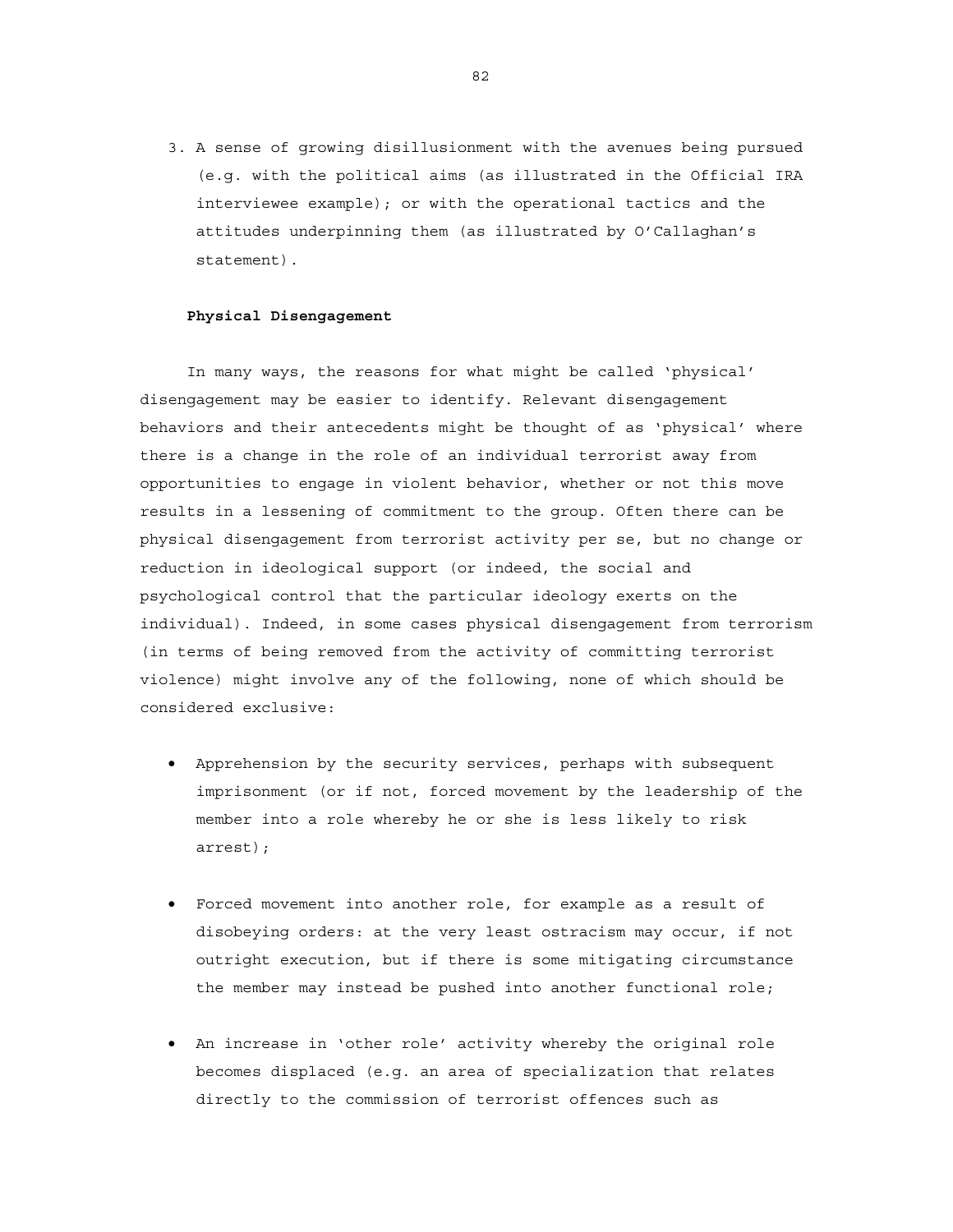3. A sense of growing disillusionment with the avenues being pursued (e.g. with the political aims (as illustrated in the Official IRA interviewee example); or with the operational tactics and the attitudes underpinning them (as illustrated by O'Callaghan's statement).

## **Physical Disengagement**

In many ways, the reasons for what might be called 'physical' disengagement may be easier to identify. Relevant disengagement behaviors and their antecedents might be thought of as 'physical' where there is a change in the role of an individual terrorist away from opportunities to engage in violent behavior, whether or not this move results in a lessening of commitment to the group. Often there can be physical disengagement from terrorist activity per se, but no change or reduction in ideological support (or indeed, the social and psychological control that the particular ideology exerts on the individual). Indeed, in some cases physical disengagement from terrorism (in terms of being removed from the activity of committing terrorist violence) might involve any of the following, none of which should be considered exclusive:

- Apprehension by the security services, perhaps with subsequent imprisonment (or if not, forced movement by the leadership of the member into a role whereby he or she is less likely to risk arrest);
- x Forced movement into another role, for example as a result of disobeying orders: at the very least ostracism may occur, if not outright execution, but if there is some mitigating circumstance the member may instead be pushed into another functional role;
- An increase in 'other role' activity whereby the original role becomes displaced (e.g. an area of specialization that relates directly to the commission of terrorist offences such as

<u>82</u>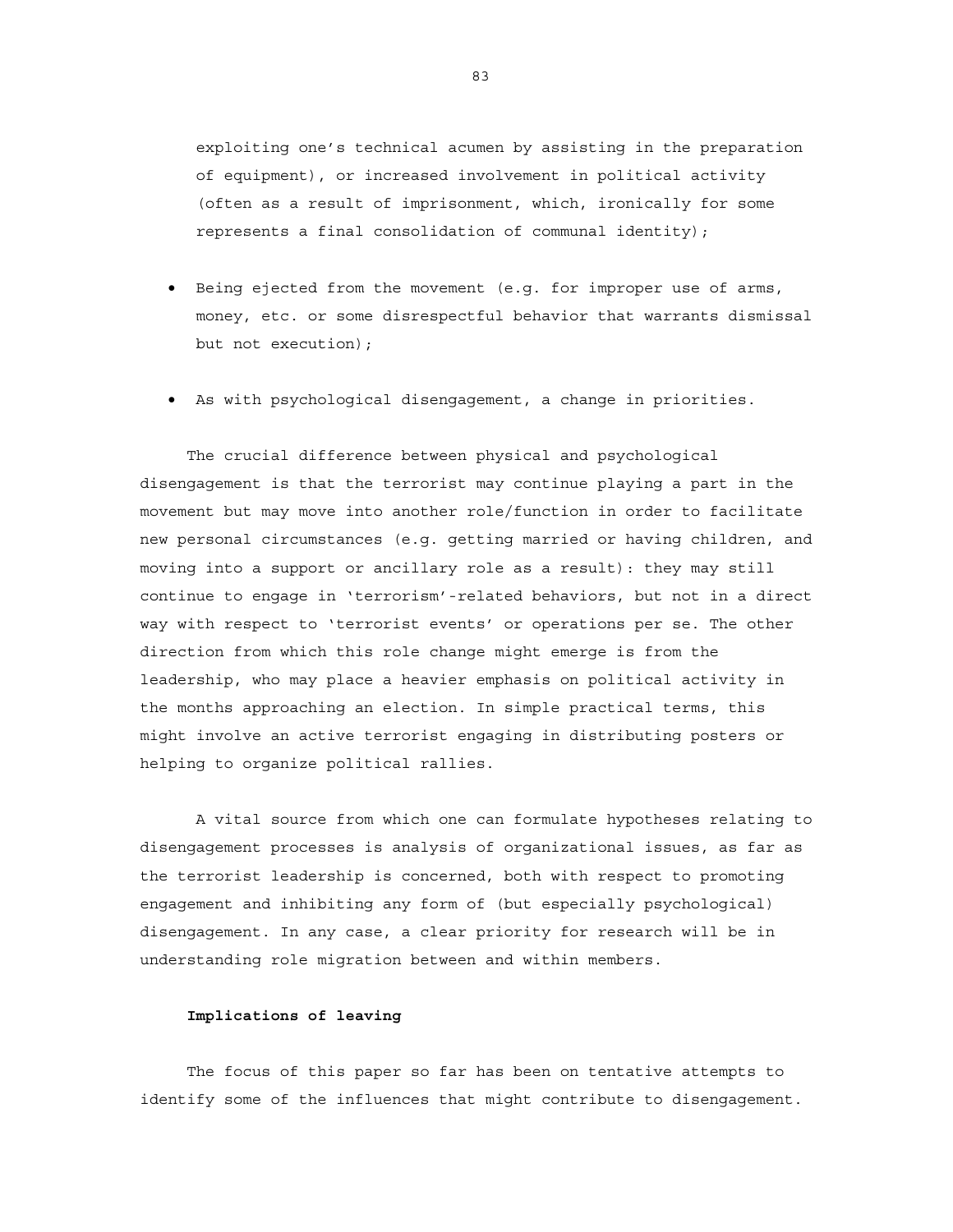exploiting one's technical acumen by assisting in the preparation of equipment), or increased involvement in political activity (often as a result of imprisonment, which, ironically for some represents a final consolidation of communal identity);

- x Being ejected from the movement (e.g. for improper use of arms, money, etc. or some disrespectful behavior that warrants dismissal but not execution);
- x As with psychological disengagement, a change in priorities.

The crucial difference between physical and psychological disengagement is that the terrorist may continue playing a part in the movement but may move into another role/function in order to facilitate new personal circumstances (e.g. getting married or having children, and moving into a support or ancillary role as a result): they may still continue to engage in 'terrorism'-related behaviors, but not in a direct way with respect to 'terrorist events' or operations per se. The other direction from which this role change might emerge is from the leadership, who may place a heavier emphasis on political activity in the months approaching an election. In simple practical terms, this might involve an active terrorist engaging in distributing posters or helping to organize political rallies.

A vital source from which one can formulate hypotheses relating to disengagement processes is analysis of organizational issues, as far as the terrorist leadership is concerned, both with respect to promoting engagement and inhibiting any form of (but especially psychological) disengagement. In any case, a clear priority for research will be in understanding role migration between and within members.

#### **Implications of leaving**

The focus of this paper so far has been on tentative attempts to identify some of the influences that might contribute to disengagement.

<u>83 and 2012</u>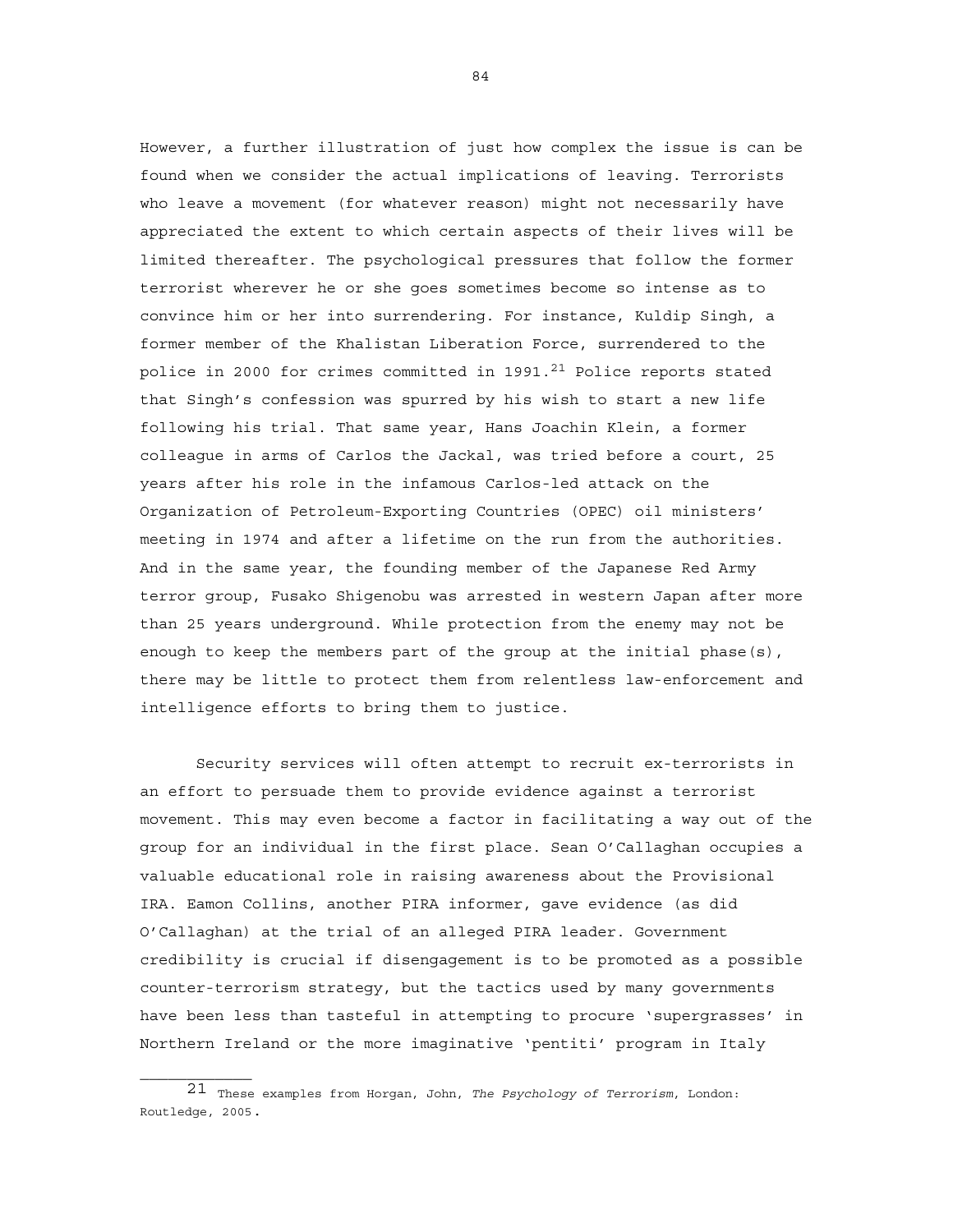However, a further illustration of just how complex the issue is can be found when we consider the actual implications of leaving. Terrorists who leave a movement (for whatever reason) might not necessarily have appreciated the extent to which certain aspects of their lives will be limited thereafter. The psychological pressures that follow the former terrorist wherever he or she goes sometimes become so intense as to convince him or her into surrendering. For instance, Kuldip Singh, a former member of the Khalistan Liberation Force, surrendered to the police in 2000 for crimes committed in 1991.<sup>21</sup> Police reports stated that Singh's confession was spurred by his wish to start a new life following his trial. That same year, Hans Joachin Klein, a former colleague in arms of Carlos the Jackal, was tried before a court, 25 years after his role in the infamous Carlos-led attack on the Organization of Petroleum-Exporting Countries (OPEC) oil ministers' meeting in 1974 and after a lifetime on the run from the authorities. And in the same year, the founding member of the Japanese Red Army terror group, Fusako Shigenobu was arrested in western Japan after more than 25 years underground. While protection from the enemy may not be enough to keep the members part of the group at the initial phase(s), there may be little to protect them from relentless law-enforcement and intelligence efforts to bring them to justice.

 Security services will often attempt to recruit ex-terrorists in an effort to persuade them to provide evidence against a terrorist movement. This may even become a factor in facilitating a way out of the group for an individual in the first place. Sean O'Callaghan occupies a valuable educational role in raising awareness about the Provisional IRA. Eamon Collins, another PIRA informer, gave evidence (as did O'Callaghan) at the trial of an alleged PIRA leader. Government credibility is crucial if disengagement is to be promoted as a possible counter-terrorism strategy, but the tactics used by many governments have been less than tasteful in attempting to procure 'supergrasses' in Northern Ireland or the more imaginative 'pentiti' program in Italy

<sup>21</sup> These examples from Horgan, John, *The Psychology of Terrorism*, London: Routledge, 2005.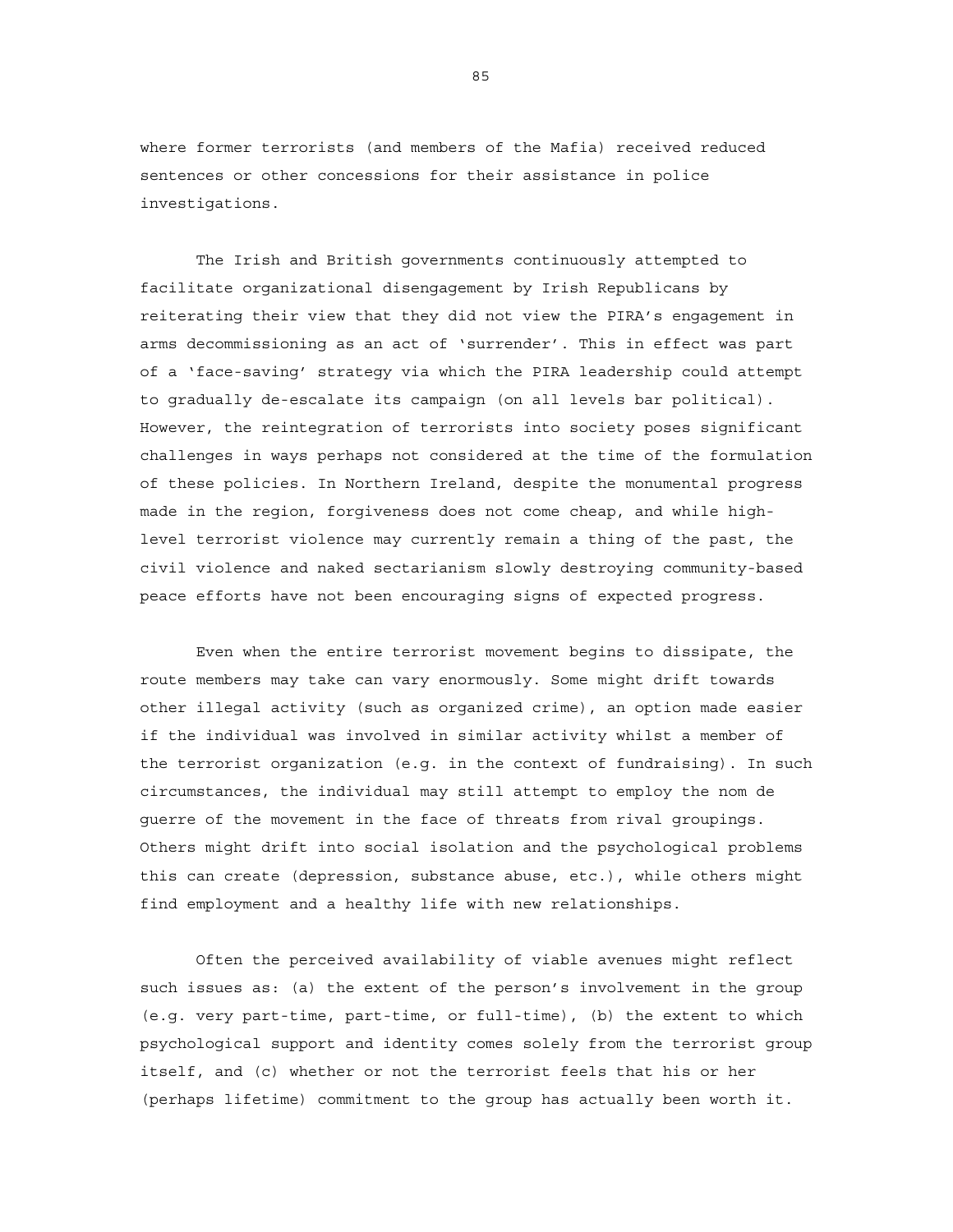where former terrorists (and members of the Mafia) received reduced sentences or other concessions for their assistance in police investigations.

The Irish and British governments continuously attempted to facilitate organizational disengagement by Irish Republicans by reiterating their view that they did not view the PIRA's engagement in arms decommissioning as an act of 'surrender'. This in effect was part of a 'face-saving' strategy via which the PIRA leadership could attempt to gradually de-escalate its campaign (on all levels bar political). However, the reintegration of terrorists into society poses significant challenges in ways perhaps not considered at the time of the formulation of these policies. In Northern Ireland, despite the monumental progress made in the region, forgiveness does not come cheap, and while highlevel terrorist violence may currently remain a thing of the past, the civil violence and naked sectarianism slowly destroying community-based peace efforts have not been encouraging signs of expected progress.

Even when the entire terrorist movement begins to dissipate, the route members may take can vary enormously. Some might drift towards other illegal activity (such as organized crime), an option made easier if the individual was involved in similar activity whilst a member of the terrorist organization (e.g. in the context of fundraising). In such circumstances, the individual may still attempt to employ the nom de guerre of the movement in the face of threats from rival groupings. Others might drift into social isolation and the psychological problems this can create (depression, substance abuse, etc.), while others might find employment and a healthy life with new relationships.

Often the perceived availability of viable avenues might reflect such issues as: (a) the extent of the person's involvement in the group (e.g. very part-time, part-time, or full-time), (b) the extent to which psychological support and identity comes solely from the terrorist group itself, and (c) whether or not the terrorist feels that his or her (perhaps lifetime) commitment to the group has actually been worth it.

<u>85 and 2001 and 2001 and 2001 and 2001 and 2001 and 2001 and 2001 and 2001 and 2001 and 2001 and 2001 and 200</u>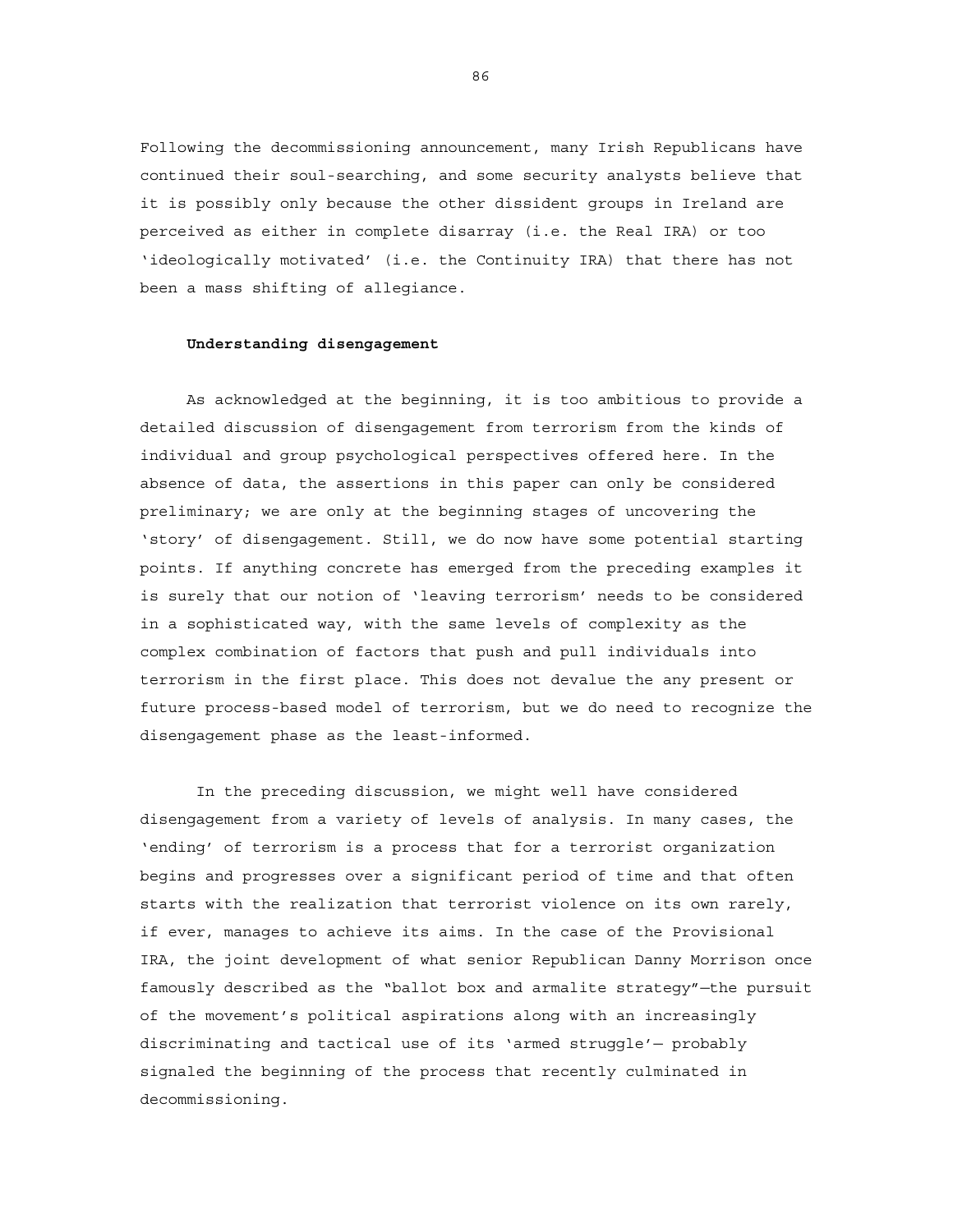Following the decommissioning announcement, many Irish Republicans have continued their soul-searching, and some security analysts believe that it is possibly only because the other dissident groups in Ireland are perceived as either in complete disarray (i.e. the Real IRA) or too 'ideologically motivated' (i.e. the Continuity IRA) that there has not been a mass shifting of allegiance.

#### **Understanding disengagement**

As acknowledged at the beginning, it is too ambitious to provide a detailed discussion of disengagement from terrorism from the kinds of individual and group psychological perspectives offered here. In the absence of data, the assertions in this paper can only be considered preliminary; we are only at the beginning stages of uncovering the 'story' of disengagement. Still, we do now have some potential starting points. If anything concrete has emerged from the preceding examples it is surely that our notion of 'leaving terrorism' needs to be considered in a sophisticated way, with the same levels of complexity as the complex combination of factors that push and pull individuals into terrorism in the first place. This does not devalue the any present or future process-based model of terrorism, but we do need to recognize the disengagement phase as the least-informed.

In the preceding discussion, we might well have considered disengagement from a variety of levels of analysis. In many cases, the 'ending' of terrorism is a process that for a terrorist organization begins and progresses over a significant period of time and that often starts with the realization that terrorist violence on its own rarely, if ever, manages to achieve its aims. In the case of the Provisional IRA, the joint development of what senior Republican Danny Morrison once famously described as the "ballot box and armalite strategy"—the pursuit of the movement's political aspirations along with an increasingly discriminating and tactical use of its 'armed struggle'— probably signaled the beginning of the process that recently culminated in decommissioning.

<u>86 and 2001 and 2002 and 2003 and 2003 and 2003 and 2003 and 2003 and 2003 and 2003 and 2003 and 2003 and 200</u>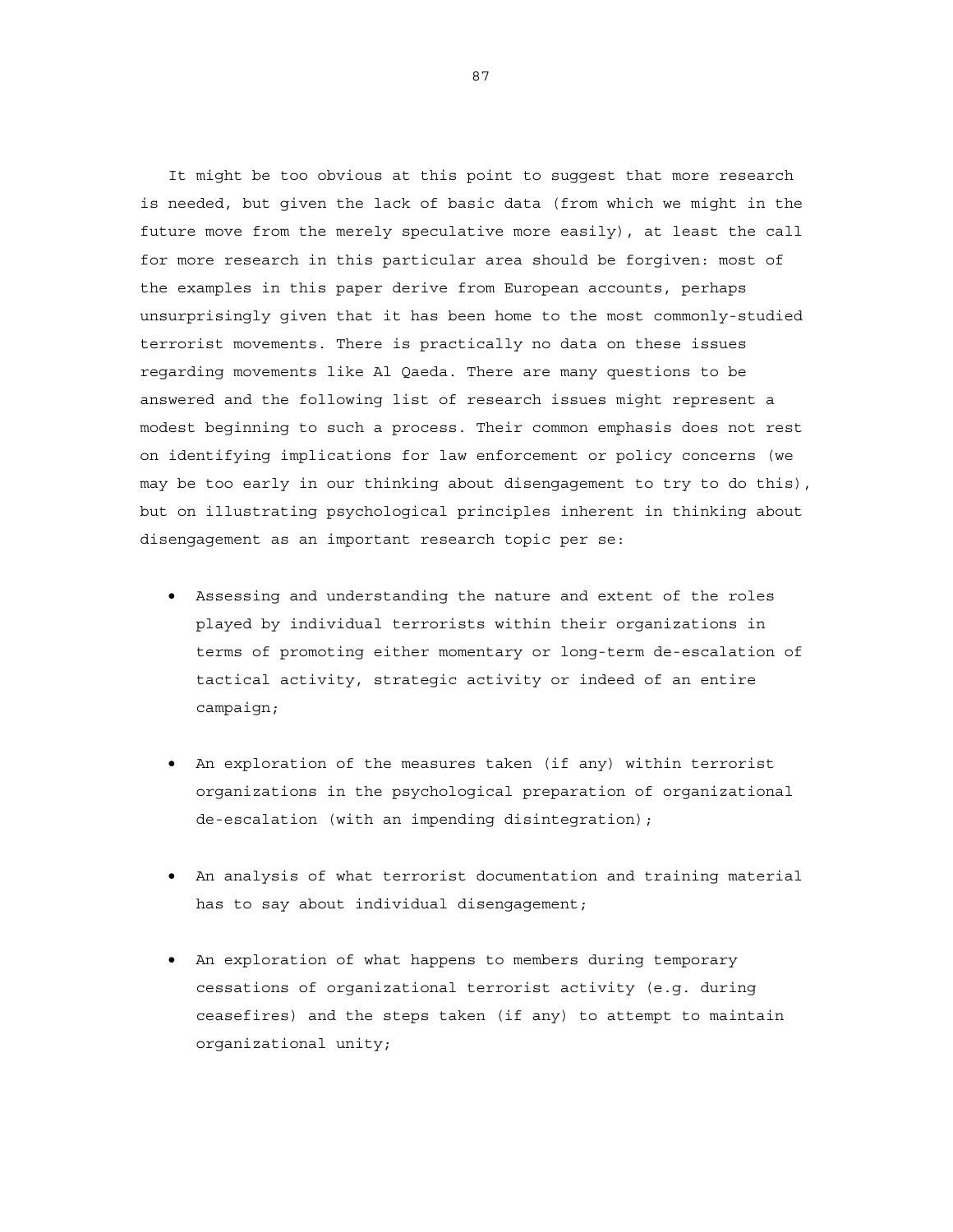It might be too obvious at this point to suggest that more research is needed, but given the lack of basic data (from which we might in the future move from the merely speculative more easily), at least the call for more research in this particular area should be forgiven: most of the examples in this paper derive from European accounts, perhaps unsurprisingly given that it has been home to the most commonly-studied terrorist movements. There is practically no data on these issues regarding movements like Al Qaeda. There are many questions to be answered and the following list of research issues might represent a modest beginning to such a process. Their common emphasis does not rest on identifying implications for law enforcement or policy concerns (we may be too early in our thinking about disengagement to try to do this), but on illustrating psychological principles inherent in thinking about disengagement as an important research topic per se:

- x Assessing and understanding the nature and extent of the roles played by individual terrorists within their organizations in terms of promoting either momentary or long-term de-escalation of tactical activity, strategic activity or indeed of an entire campaign;
- An exploration of the measures taken (if any) within terrorist organizations in the psychological preparation of organizational de-escalation (with an impending disintegration);
- An analysis of what terrorist documentation and training material has to say about individual disengagement;
- An exploration of what happens to members during temporary cessations of organizational terrorist activity (e.g. during ceasefires) and the steps taken (if any) to attempt to maintain organizational unity;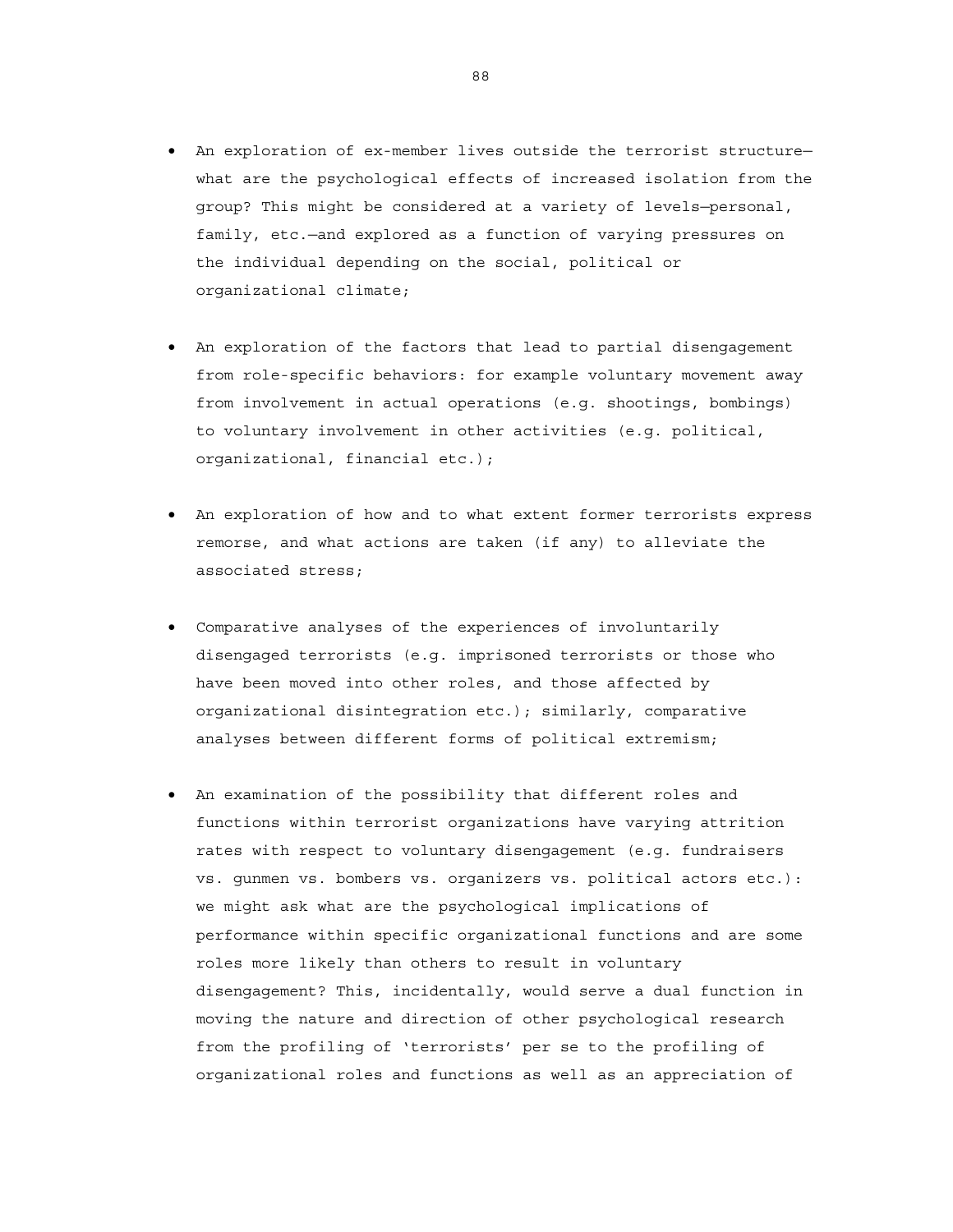- An exploration of ex-member lives outside the terrorist structurewhat are the psychological effects of increased isolation from the group? This might be considered at a variety of levels—personal, family, etc.—and explored as a function of varying pressures on the individual depending on the social, political or organizational climate;
- An exploration of the factors that lead to partial disengagement from role-specific behaviors: for example voluntary movement away from involvement in actual operations (e.g. shootings, bombings) to voluntary involvement in other activities (e.g. political, organizational, financial etc.);
- An exploration of how and to what extent former terrorists express remorse, and what actions are taken (if any) to alleviate the associated stress;
- x Comparative analyses of the experiences of involuntarily disengaged terrorists (e.g. imprisoned terrorists or those who have been moved into other roles, and those affected by organizational disintegration etc.); similarly, comparative analyses between different forms of political extremism;
- An examination of the possibility that different roles and functions within terrorist organizations have varying attrition rates with respect to voluntary disengagement (e.g. fundraisers vs. gunmen vs. bombers vs. organizers vs. political actors etc.): we might ask what are the psychological implications of performance within specific organizational functions and are some roles more likely than others to result in voluntary disengagement? This, incidentally, would serve a dual function in moving the nature and direction of other psychological research from the profiling of 'terrorists' per se to the profiling of organizational roles and functions as well as an appreciation of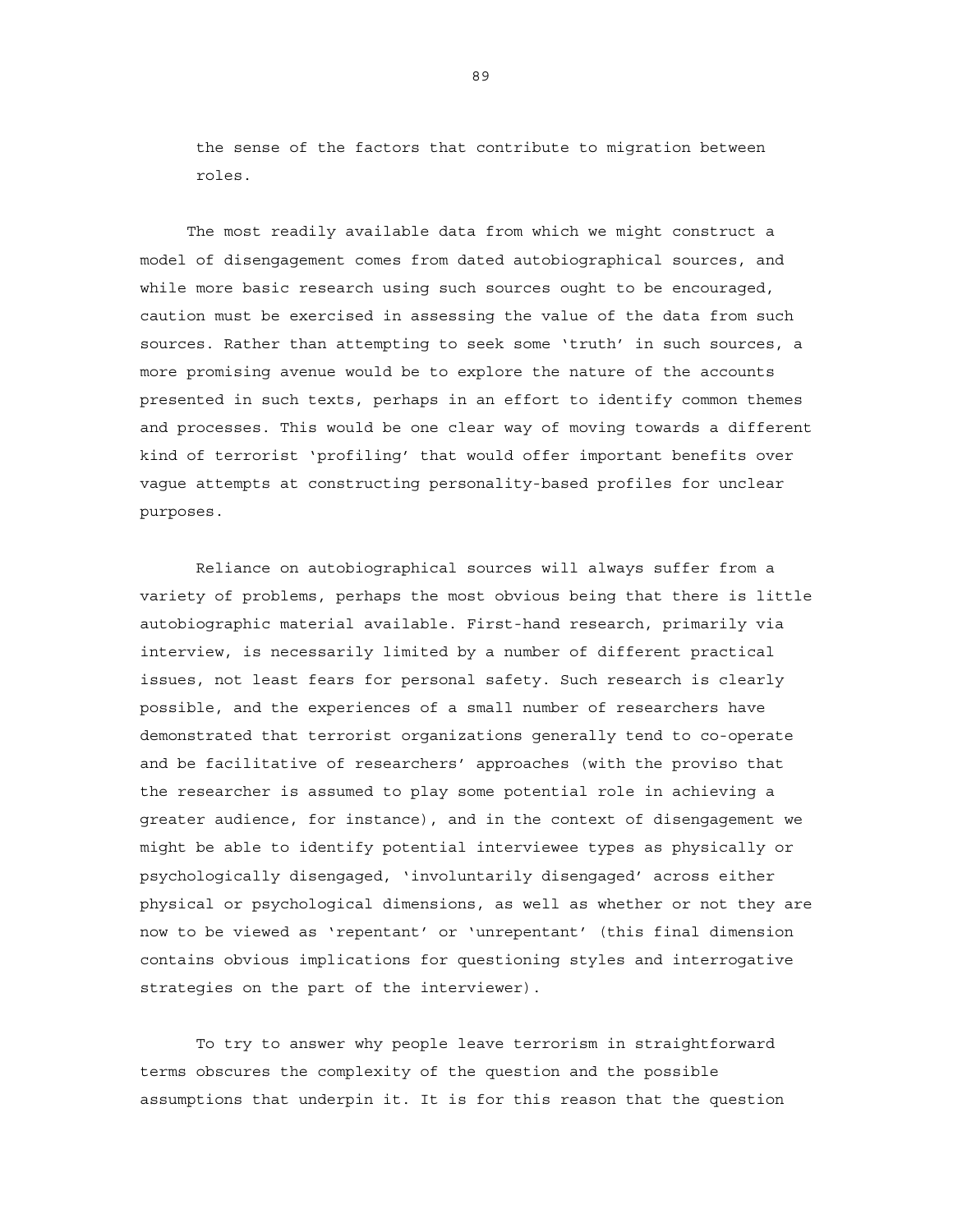the sense of the factors that contribute to migration between roles.

The most readily available data from which we might construct a model of disengagement comes from dated autobiographical sources, and while more basic research using such sources ought to be encouraged, caution must be exercised in assessing the value of the data from such sources. Rather than attempting to seek some 'truth' in such sources, a more promising avenue would be to explore the nature of the accounts presented in such texts, perhaps in an effort to identify common themes and processes. This would be one clear way of moving towards a different kind of terrorist 'profiling' that would offer important benefits over vague attempts at constructing personality-based profiles for unclear purposes.

Reliance on autobiographical sources will always suffer from a variety of problems, perhaps the most obvious being that there is little autobiographic material available. First-hand research, primarily via interview, is necessarily limited by a number of different practical issues, not least fears for personal safety. Such research is clearly possible, and the experiences of a small number of researchers have demonstrated that terrorist organizations generally tend to co-operate and be facilitative of researchers' approaches (with the proviso that the researcher is assumed to play some potential role in achieving a greater audience, for instance), and in the context of disengagement we might be able to identify potential interviewee types as physically or psychologically disengaged, 'involuntarily disengaged' across either physical or psychological dimensions, as well as whether or not they are now to be viewed as 'repentant' or 'unrepentant' (this final dimension contains obvious implications for questioning styles and interrogative strategies on the part of the interviewer).

To try to answer why people leave terrorism in straightforward terms obscures the complexity of the question and the possible assumptions that underpin it. It is for this reason that the question

<u>89 and 2012</u>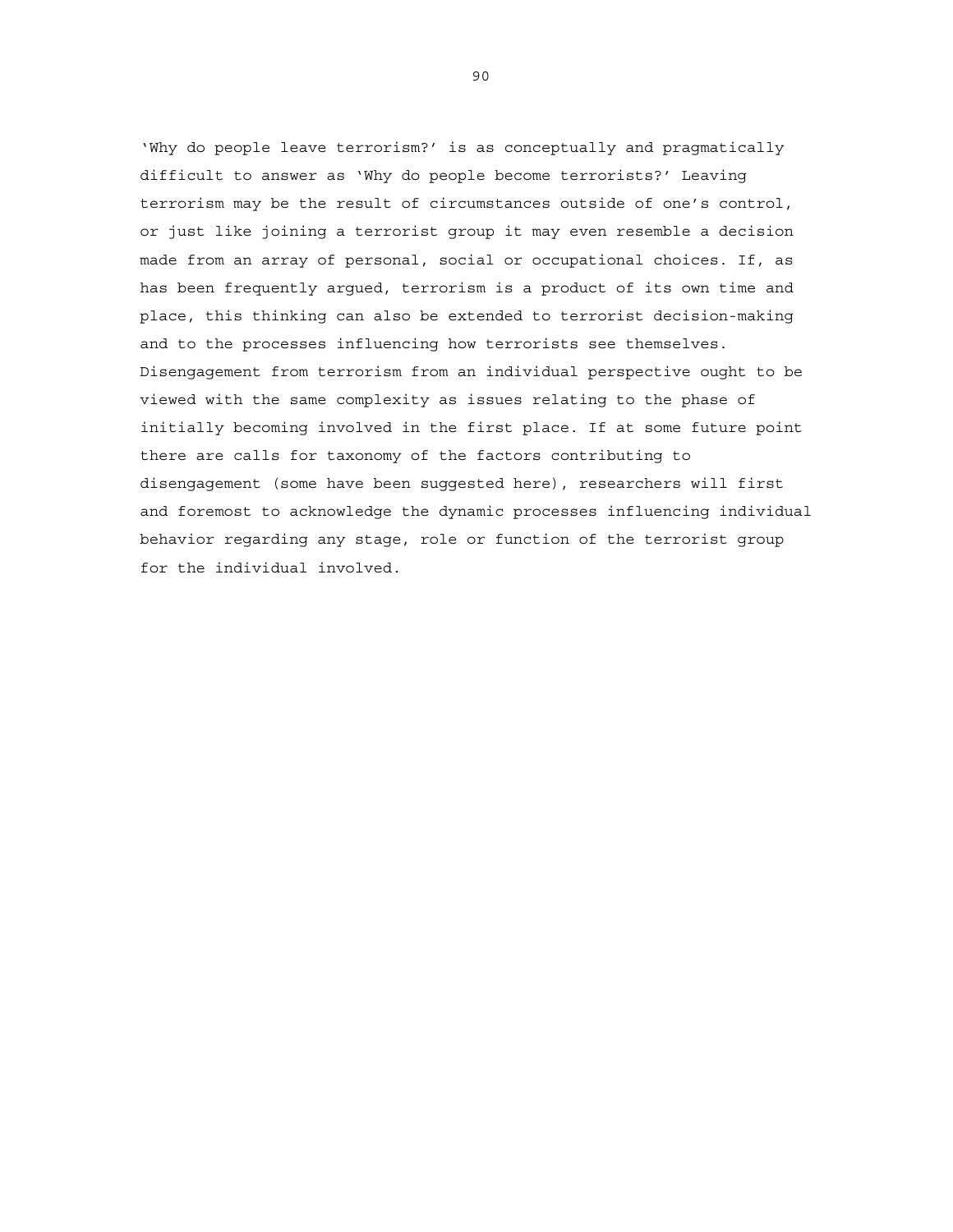'Why do people leave terrorism?' is as conceptually and pragmatically difficult to answer as 'Why do people become terrorists?' Leaving terrorism may be the result of circumstances outside of one's control, or just like joining a terrorist group it may even resemble a decision made from an array of personal, social or occupational choices. If, as has been frequently argued, terrorism is a product of its own time and place, this thinking can also be extended to terrorist decision-making and to the processes influencing how terrorists see themselves. Disengagement from terrorism from an individual perspective ought to be viewed with the same complexity as issues relating to the phase of initially becoming involved in the first place. If at some future point there are calls for taxonomy of the factors contributing to disengagement (some have been suggested here), researchers will first and foremost to acknowledge the dynamic processes influencing individual behavior regarding any stage, role or function of the terrorist group for the individual involved.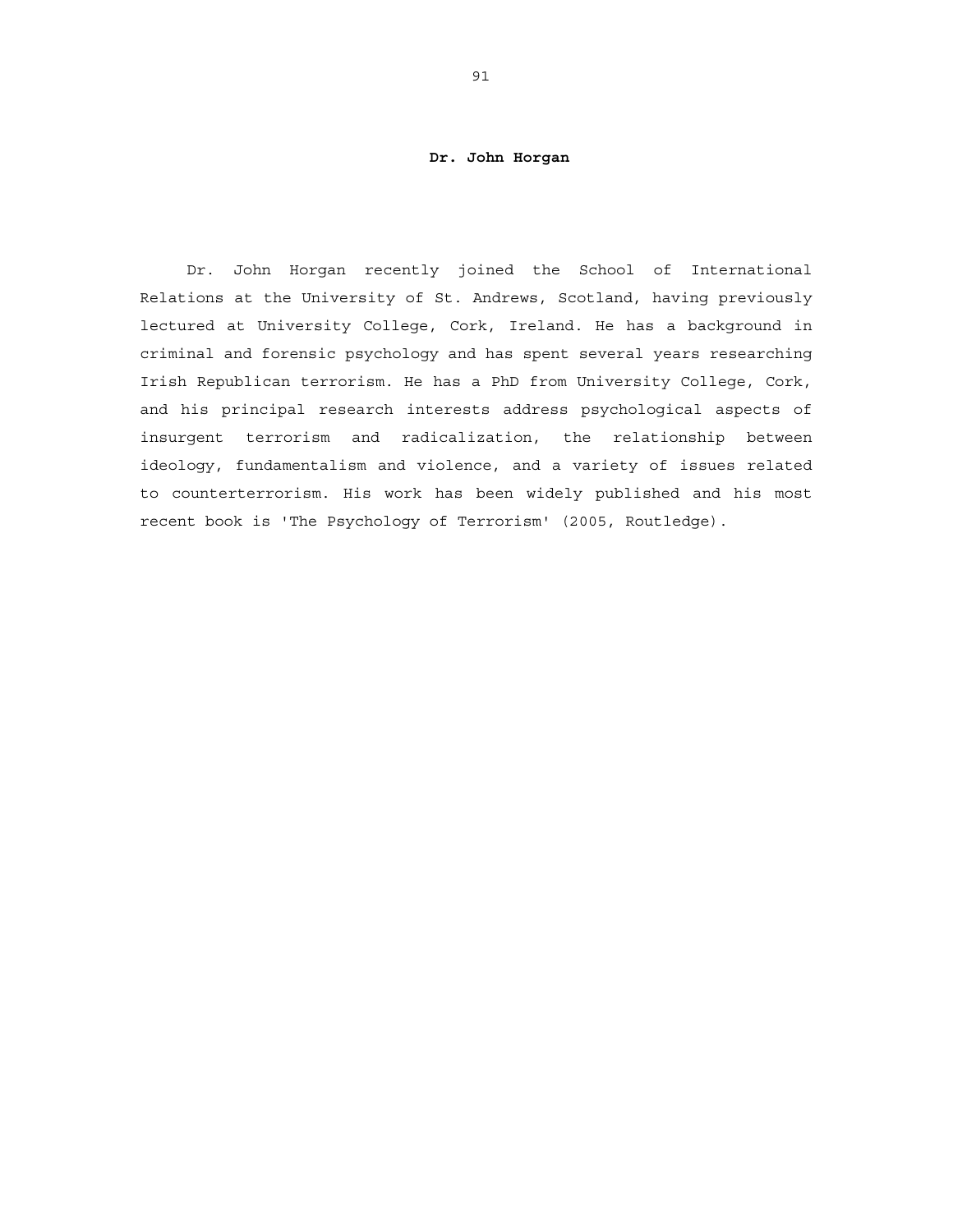## **Dr. John Horgan**

Dr. John Horgan recently joined the School of International Relations at the University of St. Andrews, Scotland, having previously lectured at University College, Cork, Ireland. He has a background in criminal and forensic psychology and has spent several years researching Irish Republican terrorism. He has a PhD from University College, Cork, and his principal research interests address psychological aspects of insurgent terrorism and radicalization, the relationship between ideology, fundamentalism and violence, and a variety of issues related to counterterrorism. His work has been widely published and his most recent book is 'The Psychology of Terrorism' (2005, Routledge).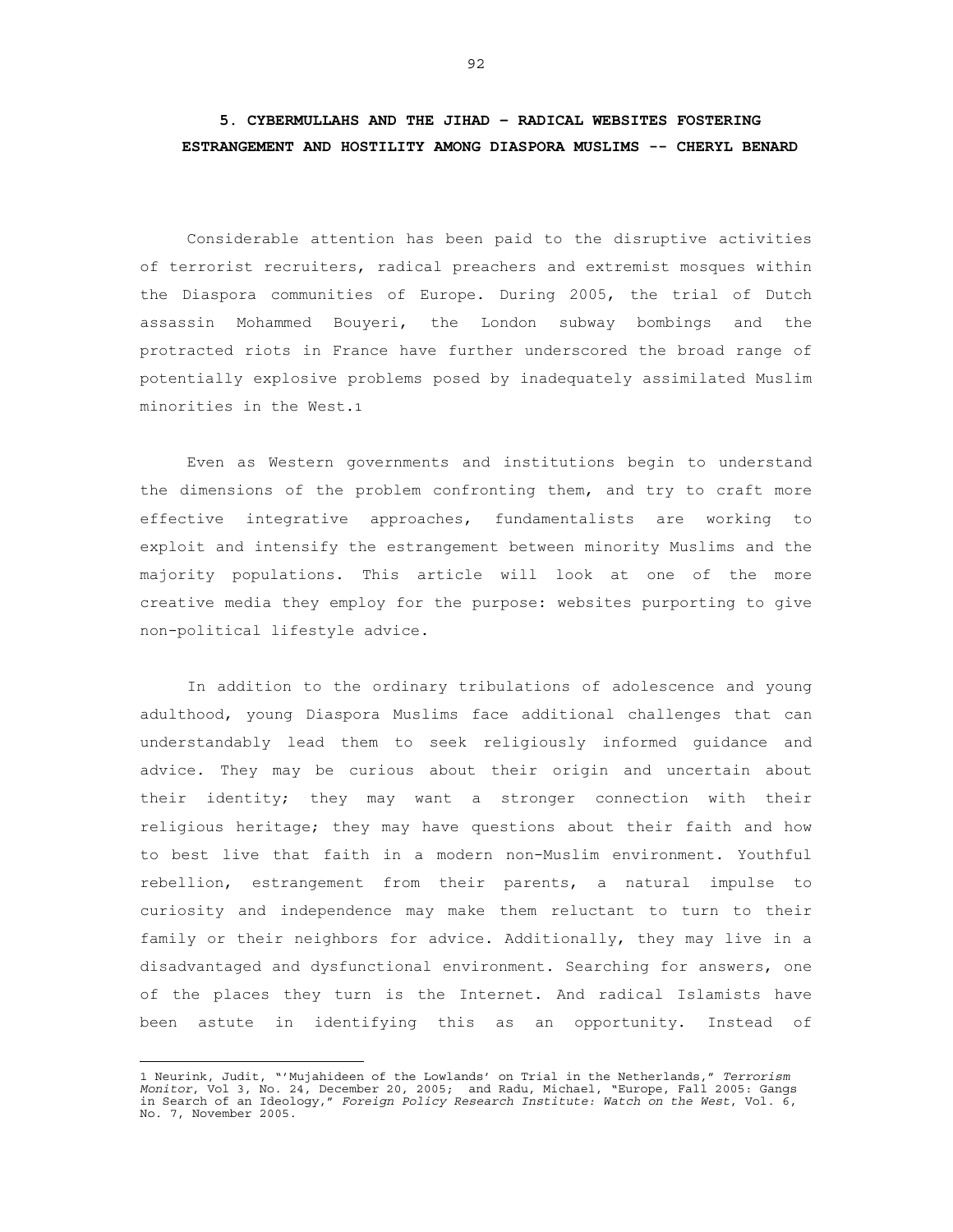# **5. CYBERMULLAHS AND THE JIHAD – RADICAL WEBSITES FOSTERING ESTRANGEMENT AND HOSTILITY AMONG DIASPORA MUSLIMS -- CHERYL BENARD**

Considerable attention has been paid to the disruptive activities of terrorist recruiters, radical preachers and extremist mosques within the Diaspora communities of Europe. During 2005, the trial of Dutch assassin Mohammed Bouyeri, the London subway bombings and the protracted riots in France have further underscored the broad range of potentially explosive problems posed by inadequately assimilated Muslim minorities in the West.1

Even as Western governments and institutions begin to understand the dimensions of the problem confronting them, and try to craft more effective integrative approaches, fundamentalists are working to exploit and intensify the estrangement between minority Muslims and the majority populations. This article will look at one of the more creative media they employ for the purpose: websites purporting to give non-political lifestyle advice.

In addition to the ordinary tribulations of adolescence and young adulthood, young Diaspora Muslims face additional challenges that can understandably lead them to seek religiously informed guidance and advice. They may be curious about their origin and uncertain about their identity; they may want a stronger connection with their religious heritage; they may have questions about their faith and how to best live that faith in a modern non-Muslim environment. Youthful rebellion, estrangement from their parents, a natural impulse to curiosity and independence may make them reluctant to turn to their family or their neighbors for advice. Additionally, they may live in a disadvantaged and dysfunctional environment. Searching for answers, one of the places they turn is the Internet. And radical Islamists have been astute in identifying this as an opportunity. Instead of

<sup>1</sup> Neurink, Judit, "'Mujahideen of the Lowlands' on Trial in the Netherlands," *Terrorism<br>Monitor*, Vol 3, No. 24, December 20, 2005; and Radu, Michael, "Europe, Fall 2005: Gangs<br>in Search of an Ideology," *Foreign Policy* No. 7, November 2005.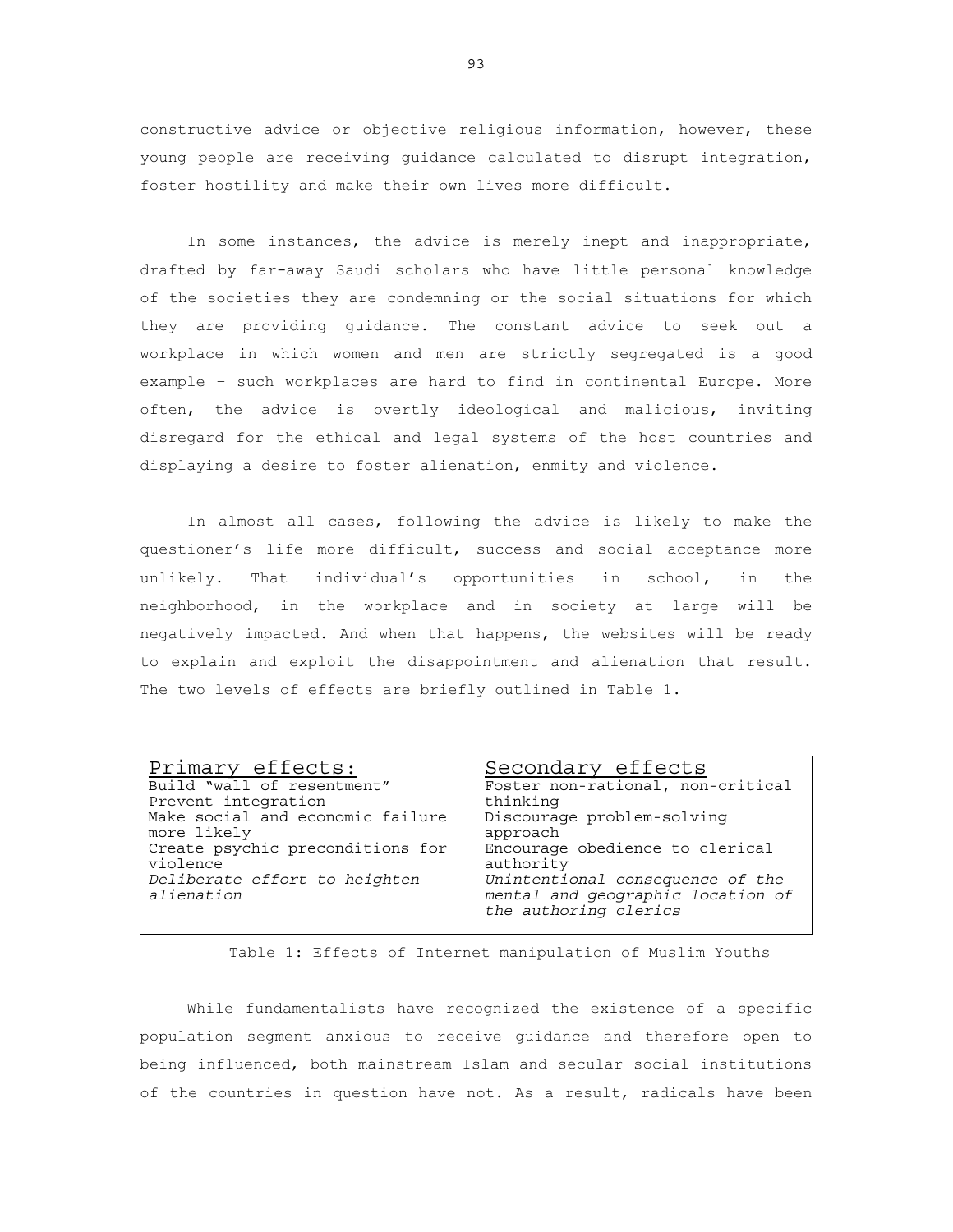constructive advice or objective religious information, however, these young people are receiving guidance calculated to disrupt integration, foster hostility and make their own lives more difficult.

In some instances, the advice is merely inept and inappropriate, drafted by far-away Saudi scholars who have little personal knowledge of the societies they are condemning or the social situations for which they are providing guidance. The constant advice to seek out a workplace in which women and men are strictly segregated is a good example – such workplaces are hard to find in continental Europe. More often, the advice is overtly ideological and malicious, inviting disregard for the ethical and legal systems of the host countries and displaying a desire to foster alienation, enmity and violence.

In almost all cases, following the advice is likely to make the questioner's life more difficult, success and social acceptance more unlikely. That individual's opportunities in school, in the neighborhood, in the workplace and in society at large will be negatively impacted. And when that happens, the websites will be ready to explain and exploit the disappointment and alienation that result. The two levels of effects are briefly outlined in Table 1.

| Primary effects:                 | Secondary effects                 |
|----------------------------------|-----------------------------------|
| Build "wall of resentment"       | Foster non-rational, non-critical |
| Prevent integration              | thinking                          |
| Make social and economic failure | Discourage problem-solving        |
| more likely                      | approach                          |
| Create psychic preconditions for | Encourage obedience to clerical   |
| violence                         | authority                         |
| Deliberate effort to heighten    | Unintentional consequence of the  |
| alienation                       | mental and geographic location of |
|                                  | the authoring clerics             |
|                                  |                                   |

Table 1: Effects of Internet manipulation of Muslim Youths

While fundamentalists have recognized the existence of a specific population segment anxious to receive guidance and therefore open to being influenced, both mainstream Islam and secular social institutions of the countries in question have not. As a result, radicals have been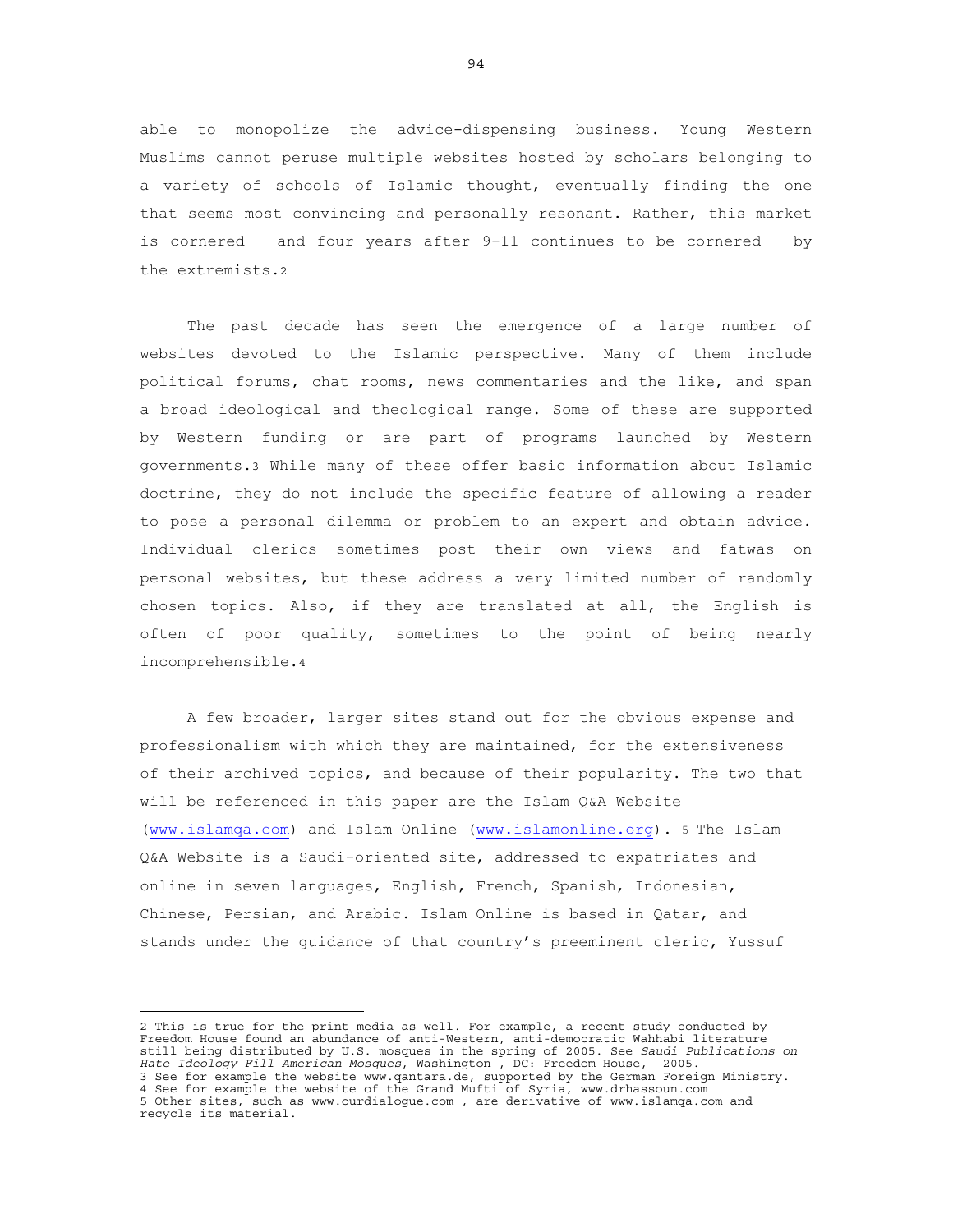able to monopolize the advice-dispensing business. Young Western Muslims cannot peruse multiple websites hosted by scholars belonging to a variety of schools of Islamic thought, eventually finding the one that seems most convincing and personally resonant. Rather, this market is cornered – and four years after 9-11 continues to be cornered – by the extremists.2

The past decade has seen the emergence of a large number of websites devoted to the Islamic perspective. Many of them include political forums, chat rooms, news commentaries and the like, and span a broad ideological and theological range. Some of these are supported by Western funding or are part of programs launched by Western governments.3 While many of these offer basic information about Islamic doctrine, they do not include the specific feature of allowing a reader to pose a personal dilemma or problem to an expert and obtain advice. Individual clerics sometimes post their own views and fatwas on personal websites, but these address a very limited number of randomly chosen topics. Also, if they are translated at all, the English is often of poor quality, sometimes to the point of being nearly incomprehensible.4

A few broader, larger sites stand out for the obvious expense and professionalism with which they are maintained, for the extensiveness of their archived topics, and because of their popularity. The two that will be referenced in this paper are the Islam Q&A Website (www.islamqa.com) and Islam Online (www.islamonline.org). 5 The Islam Q&A Website is a Saudi-oriented site, addressed to expatriates and online in seven languages, English, French, Spanish, Indonesian, Chinese, Persian, and Arabic. Islam Online is based in Qatar, and stands under the guidance of that country's preeminent cleric, Yussuf

<sup>2</sup> This is true for the print media as well. For example, a recent study conducted by Freedom House found an abundance of anti-Western, anti-democratic Wahhabi literature still being distributed by U.S. mosques in the spring of 2005. See *Saudi Publications on Hate Ideology Fill American Mosques*, Washington , DC: Freedom House, 2005. 3 See for example the website www.qantara.de, supported by the German Foreign Ministry. 4 See for example the website of the Grand Mufti of Syria, www.drhassoun.com 5 Other sites, such as www.ourdialogue.com , are derivative of www.islamqa.com and recycle its material.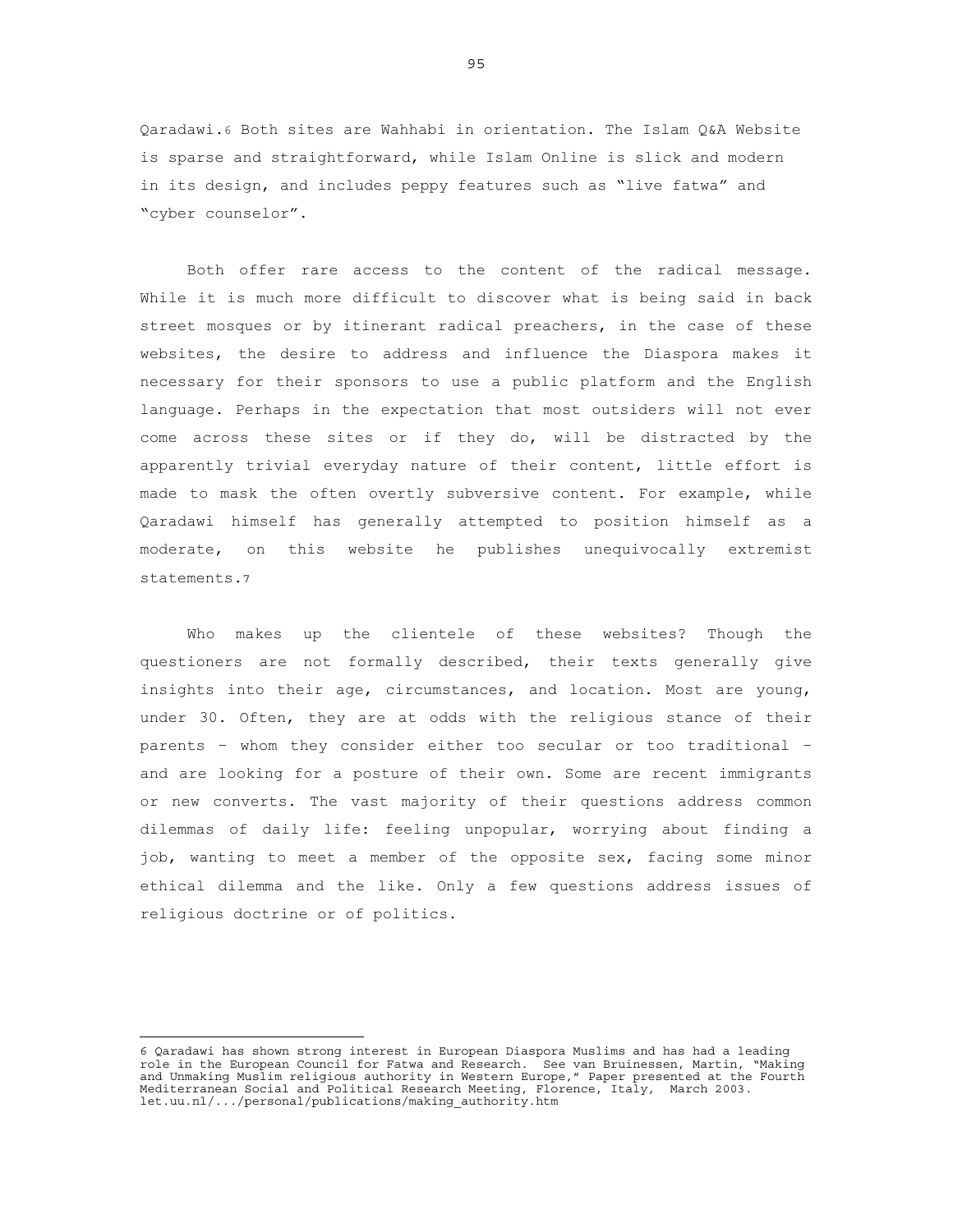Qaradawi.6 Both sites are Wahhabi in orientation. The Islam Q&A Website is sparse and straightforward, while Islam Online is slick and modern in its design, and includes peppy features such as "live fatwa" and "cyber counselor".

Both offer rare access to the content of the radical message. While it is much more difficult to discover what is being said in back street mosques or by itinerant radical preachers, in the case of these websites, the desire to address and influence the Diaspora makes it necessary for their sponsors to use a public platform and the English language. Perhaps in the expectation that most outsiders will not ever come across these sites or if they do, will be distracted by the apparently trivial everyday nature of their content, little effort is made to mask the often overtly subversive content. For example, while Qaradawi himself has generally attempted to position himself as a moderate, on this website he publishes unequivocally extremist statements.7

Who makes up the clientele of these websites? Though the questioners are not formally described, their texts generally give insights into their age, circumstances, and location. Most are young, under 30. Often, they are at odds with the religious stance of their parents – whom they consider either too secular or too traditional – and are looking for a posture of their own. Some are recent immigrants or new converts. The vast majority of their questions address common dilemmas of daily life: feeling unpopular, worrying about finding a job, wanting to meet a member of the opposite sex, facing some minor ethical dilemma and the like. Only a few questions address issues of religious doctrine or of politics.

<sup>6</sup> Qaradawi has shown strong interest in European Diaspora Muslims and has had a leading role in the European Council for Fatwa and Research. See van Bruinessen, Martin, "Making and Unmaking Muslim religious authority in Western Europe," Paper presented at the Fourth Mediterranean Social and Political Research Meeting, Florence, Italy, March 2003. let.uu.nl/.../personal/publications/making\_authority.htm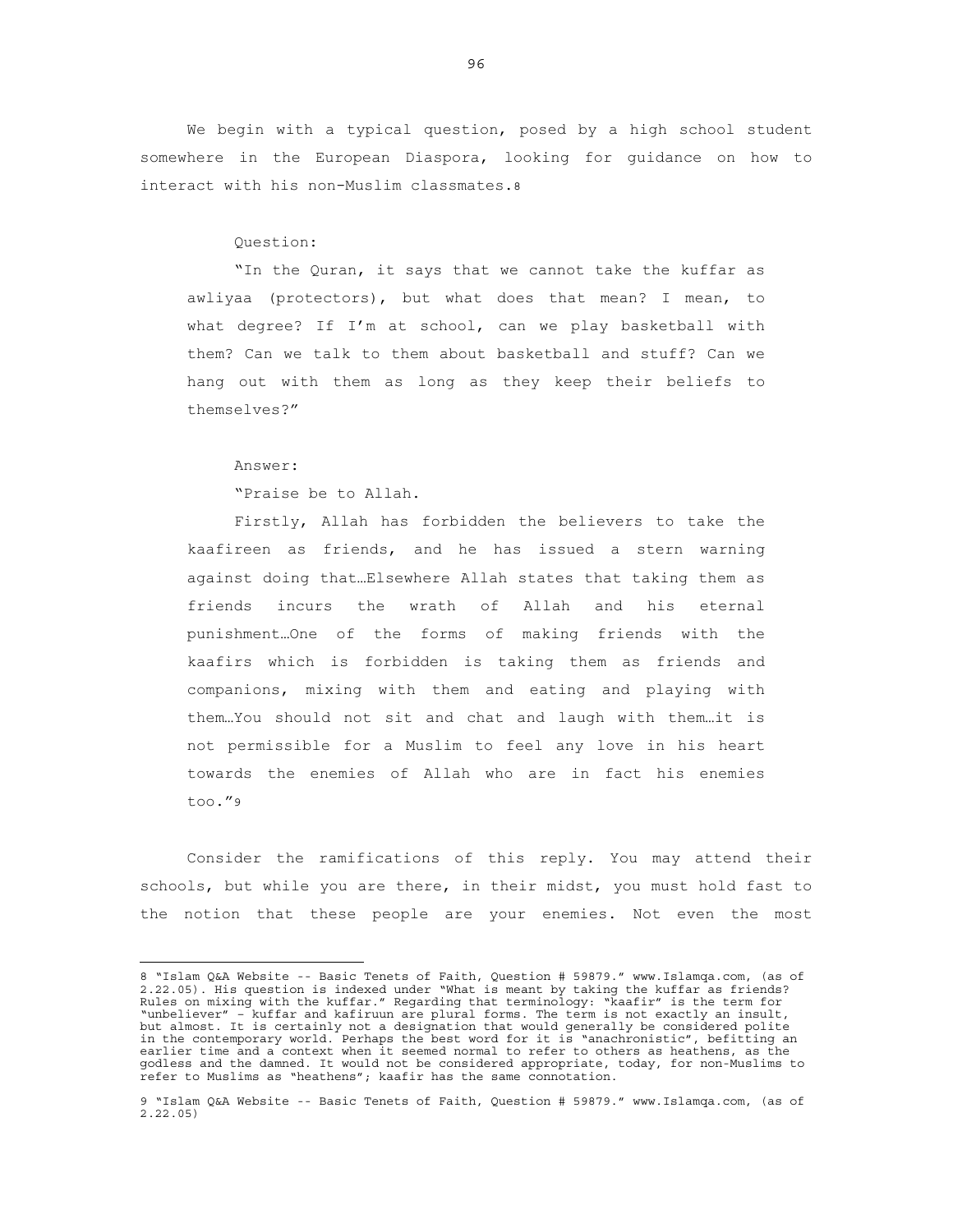We begin with a typical question, posed by a high school student somewhere in the European Diaspora, looking for guidance on how to interact with his non-Muslim classmates.8

## Question:

"In the Quran, it says that we cannot take the kuffar as awliyaa (protectors), but what does that mean? I mean, to what degree? If I'm at school, can we play basketball with them? Can we talk to them about basketball and stuff? Can we hang out with them as long as they keep their beliefs to themselves?"

#### Answer:

"Praise be to Allah.

Firstly, Allah has forbidden the believers to take the kaafireen as friends, and he has issued a stern warning against doing that…Elsewhere Allah states that taking them as friends incurs the wrath of Allah and his eternal punishment…One of the forms of making friends with the kaafirs which is forbidden is taking them as friends and companions, mixing with them and eating and playing with them…You should not sit and chat and laugh with them…it is not permissible for a Muslim to feel any love in his heart towards the enemies of Allah who are in fact his enemies too."9

Consider the ramifications of this reply. You may attend their schools, but while you are there, in their midst, you must hold fast to the notion that these people are your enemies. Not even the most

<sup>8 &</sup>quot;Islam Q&A Website -- Basic Tenets of Faith, Question # 59879." www.Islamqa.com, (as of 2.22.05). His question is indexed under "What is meant by taking the kuffar as friends? Rules on mixing with the kuffar." Regarding that terminology: "kaafir" is the term for "unbeliever" – kuffar and kafiruun are plural forms. The term is not exactly an insult, but almost. It is certainly not a designation that would generally be considered polite in the contemporary world. Perhaps the best word for it is "anachronistic", befitting an earlier time and a context when it seemed normal to refer to others as heathens, as the godless and the damned. It would not be considered appropriate, today, for non-Muslims to refer to Muslims as "heathens"; kaafir has the same connotation.

<sup>9 &</sup>quot;Islam Q&A Website -- Basic Tenets of Faith, Question # 59879." www.Islamqa.com, (as of 2.22.05)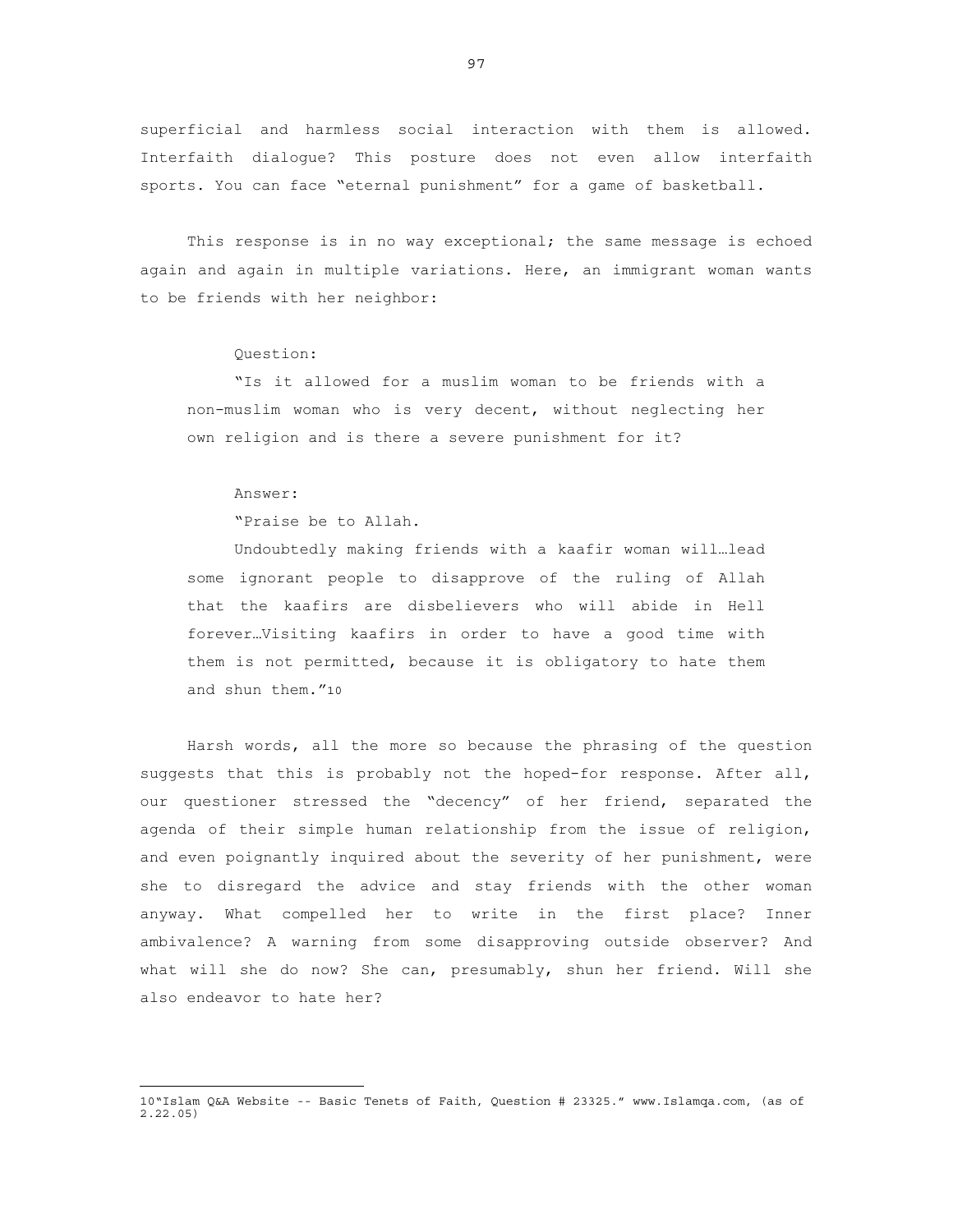superficial and harmless social interaction with them is allowed. Interfaith dialogue? This posture does not even allow interfaith sports. You can face "eternal punishment" for a game of basketball.

This response is in no way exceptional; the same message is echoed again and again in multiple variations. Here, an immigrant woman wants to be friends with her neighbor:

## Question:

"Is it allowed for a muslim woman to be friends with a non-muslim woman who is very decent, without neglecting her own religion and is there a severe punishment for it?

#### Answer:

"Praise be to Allah.

Undoubtedly making friends with a kaafir woman will…lead some ignorant people to disapprove of the ruling of Allah that the kaafirs are disbelievers who will abide in Hell forever…Visiting kaafirs in order to have a good time with them is not permitted, because it is obligatory to hate them and shun them."10

Harsh words, all the more so because the phrasing of the question suggests that this is probably not the hoped-for response. After all, our questioner stressed the "decency" of her friend, separated the agenda of their simple human relationship from the issue of religion, and even poignantly inquired about the severity of her punishment, were she to disregard the advice and stay friends with the other woman anyway. What compelled her to write in the first place? Inner ambivalence? A warning from some disapproving outside observer? And what will she do now? She can, presumably, shun her friend. Will she also endeavor to hate her?

<sup>10&</sup>quot;Islam Q&A Website -- Basic Tenets of Faith, Question # 23325." www.Islamqa.com, (as of 2.22.05)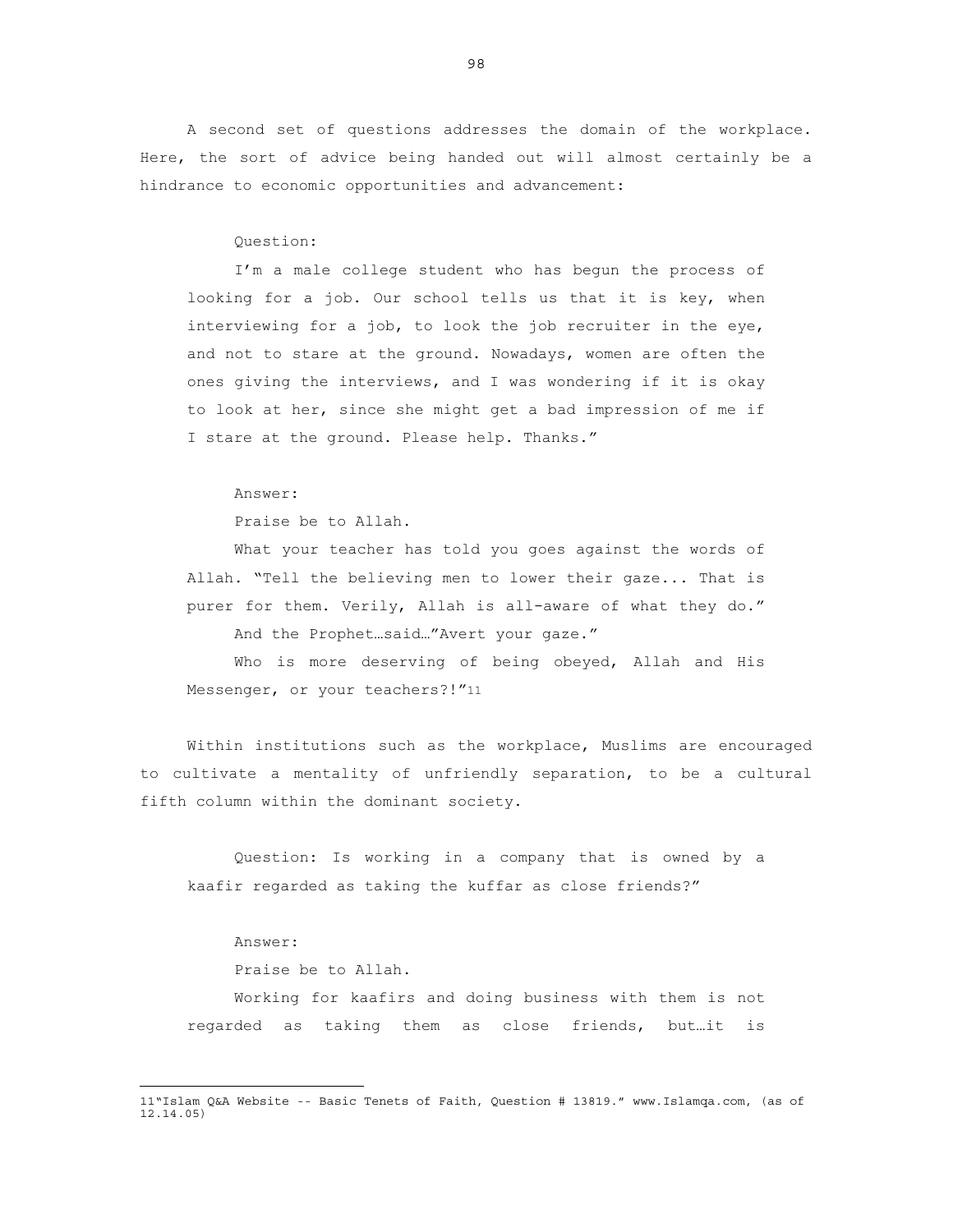A second set of questions addresses the domain of the workplace. Here, the sort of advice being handed out will almost certainly be a hindrance to economic opportunities and advancement:

### Question:

I'm a male college student who has begun the process of looking for a job. Our school tells us that it is key, when interviewing for a job, to look the job recruiter in the eye, and not to stare at the ground. Nowadays, women are often the ones giving the interviews, and I was wondering if it is okay to look at her, since she might get a bad impression of me if I stare at the ground. Please help. Thanks."

## Answer:

Praise be to Allah.

What your teacher has told you goes against the words of Allah. "Tell the believing men to lower their gaze... That is purer for them. Verily, Allah is all-aware of what they do."

And the Prophet…said…"Avert your gaze."

Who is more deserving of being obeyed, Allah and His Messenger, or your teachers?!"11

Within institutions such as the workplace, Muslims are encouraged to cultivate a mentality of unfriendly separation, to be a cultural fifth column within the dominant society.

Question: Is working in a company that is owned by a kaafir regarded as taking the kuffar as close friends?"

## Answer:

Praise be to Allah.

Working for kaafirs and doing business with them is not regarded as taking them as close friends, but…it is

11"Islam Q&A Website -- Basic Tenets of Faith, Question # 13819." www.Islamqa.com, (as of 12.14.05)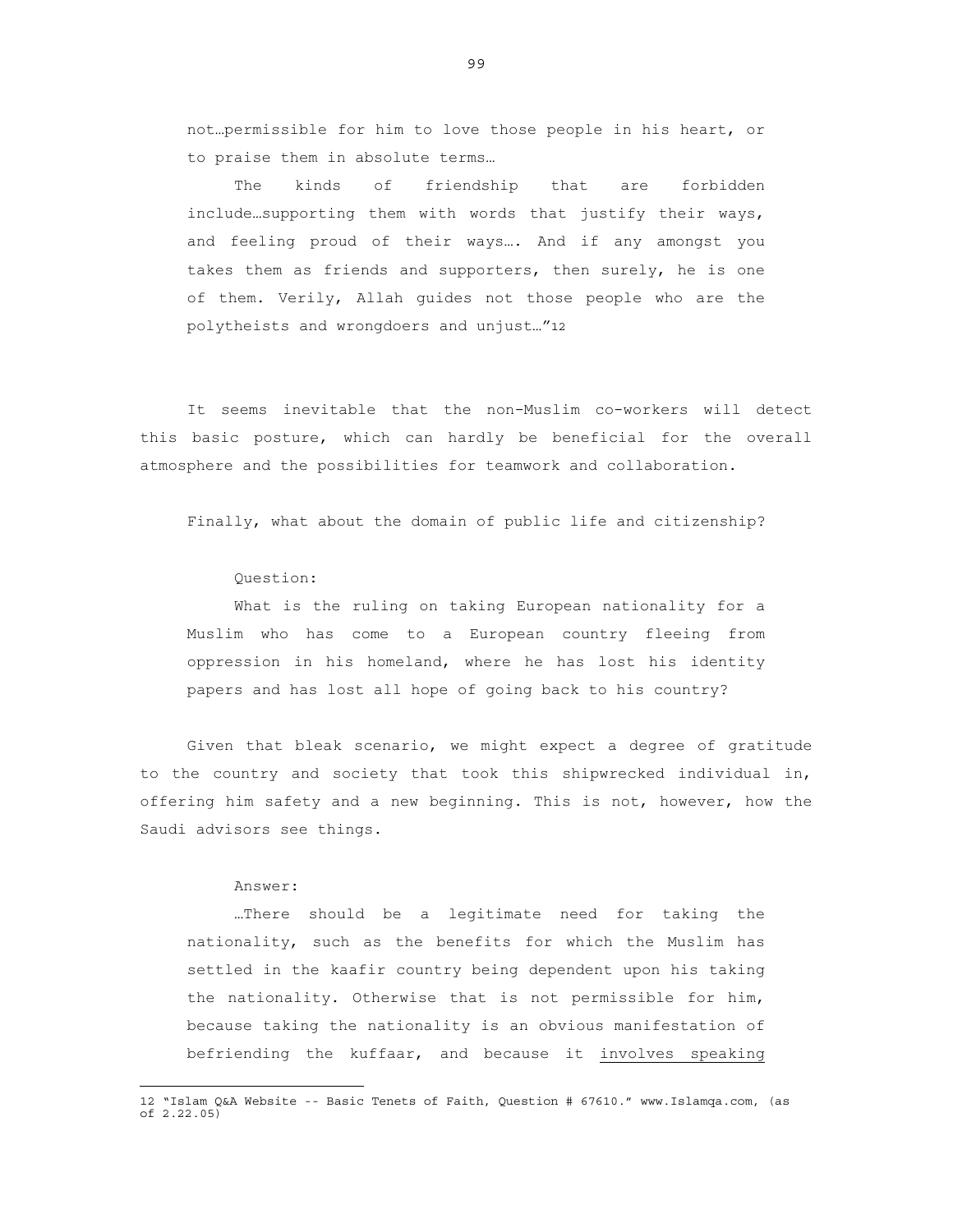not…permissible for him to love those people in his heart, or to praise them in absolute terms…

The kinds of friendship that are forbidden include…supporting them with words that justify their ways, and feeling proud of their ways…. And if any amongst you takes them as friends and supporters, then surely, he is one of them. Verily, Allah guides not those people who are the polytheists and wrongdoers and unjust…"12

It seems inevitable that the non-Muslim co-workers will detect this basic posture, which can hardly be beneficial for the overall atmosphere and the possibilities for teamwork and collaboration.

Finally, what about the domain of public life and citizenship?

## Question:

What is the ruling on taking European nationality for a Muslim who has come to a European country fleeing from oppression in his homeland, where he has lost his identity papers and has lost all hope of going back to his country?

Given that bleak scenario, we might expect a degree of gratitude to the country and society that took this shipwrecked individual in, offering him safety and a new beginning. This is not, however, how the Saudi advisors see things.

#### Answer:

…There should be a legitimate need for taking the nationality, such as the benefits for which the Muslim has settled in the kaafir country being dependent upon his taking the nationality. Otherwise that is not permissible for him, because taking the nationality is an obvious manifestation of befriending the kuffaar, and because it involves speaking

<sup>12 &</sup>quot;Islam Q&A Website -- Basic Tenets of Faith, Question # 67610." www.Islamqa.com, (as  $of 2.22.05)$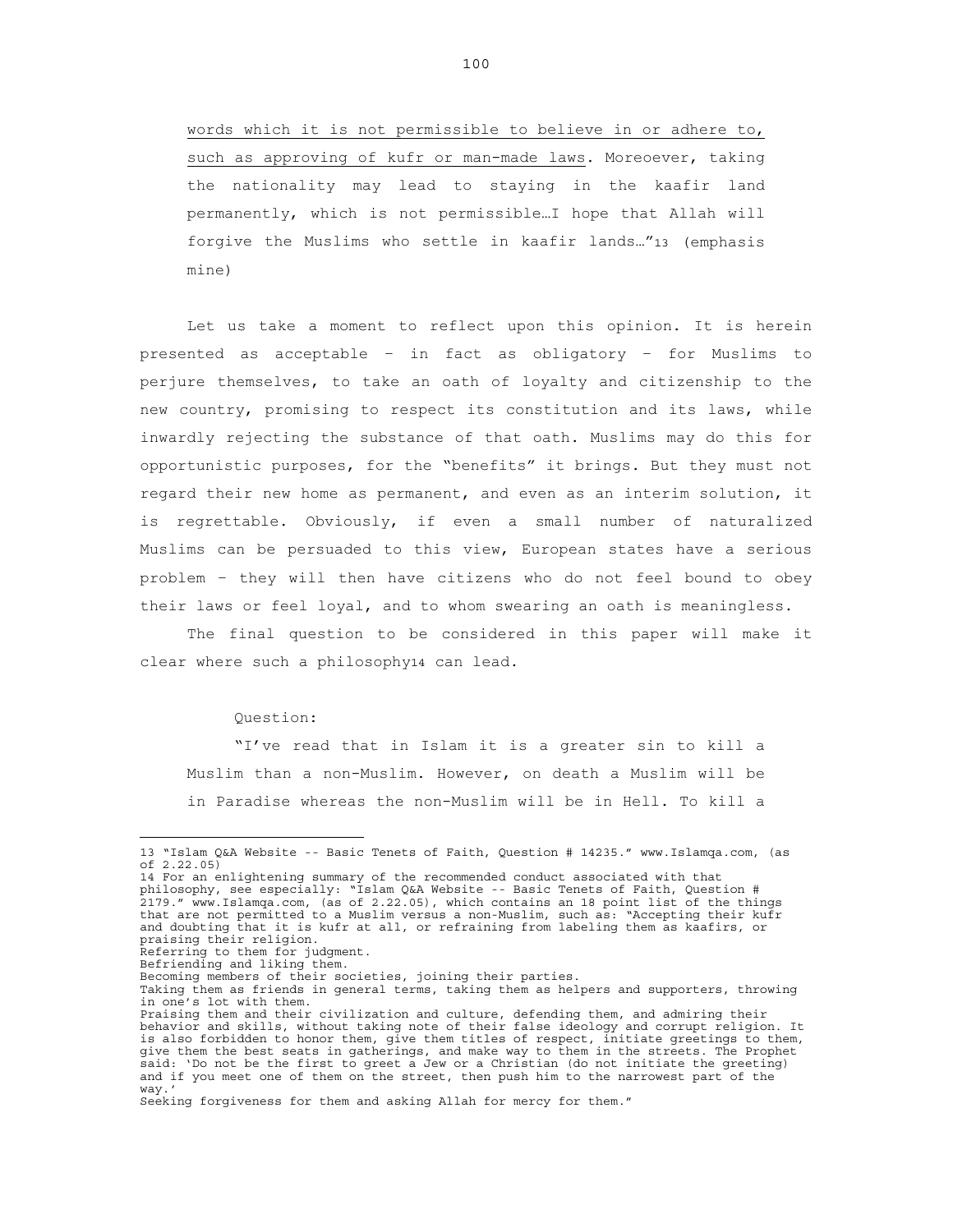words which it is not permissible to believe in or adhere to, such as approving of kufr or man-made laws. Moreoever, taking the nationality may lead to staying in the kaafir land permanently, which is not permissible…I hope that Allah will forgive the Muslims who settle in kaafir lands…"13 (emphasis mine)

Let us take a moment to reflect upon this opinion. It is herein presented as acceptable – in fact as obligatory – for Muslims to perjure themselves, to take an oath of loyalty and citizenship to the new country, promising to respect its constitution and its laws, while inwardly rejecting the substance of that oath. Muslims may do this for opportunistic purposes, for the "benefits" it brings. But they must not regard their new home as permanent, and even as an interim solution, it is regrettable. Obviously, if even a small number of naturalized Muslims can be persuaded to this view, European states have a serious problem – they will then have citizens who do not feel bound to obey their laws or feel loyal, and to whom swearing an oath is meaningless.

The final question to be considered in this paper will make it clear where such a philosophy14 can lead.

#### Question:

"I've read that in Islam it is a greater sin to kill a Muslim than a non-Muslim. However, on death a Muslim will be in Paradise whereas the non-Muslim will be in Hell. To kill a

<sup>13 &</sup>quot;Islam Q&A Website -- Basic Tenets of Faith, Question # 14235." www.Islamqa.com, (as of 2.22.05)

<sup>14</sup> For an enlightening summary of the recommended conduct associated with that philosophy, see especially: "Islam Q&A Website -- Basic Tenets of Faith, Question # 2179." www.Islamqa.com, (as of 2.22.05), which contains an 18 point list of the things that are not permitted to a Muslim versus a non-Muslim, such as: "Accepting their kufr and doubting that it is kufr at all, or refraining from labeling them as kaafirs, or praising their religion.

Referring to them for judgment. Befriending and liking them.

Becoming members of their societies, joining their parties. Taking them as friends in general terms, taking them as helpers and supporters, throwing in one's lot with them.

Praising them and their civilization and culture, defending them, and admiring their behavior and skills, without taking note of their false ideology and corrupt religion. It is also forbidden to honor them, give them titles of respect, initiate greetings to them, give them the best seats in gatherings, and make way to them in the streets. The Prophet said: 'Do not be the first to greet a Jew or a Christian (do not initiate the greeting) and if you meet one of them on the street, then push him to the narrowest part of the way.'

Seeking forgiveness for them and asking Allah for mercy for them."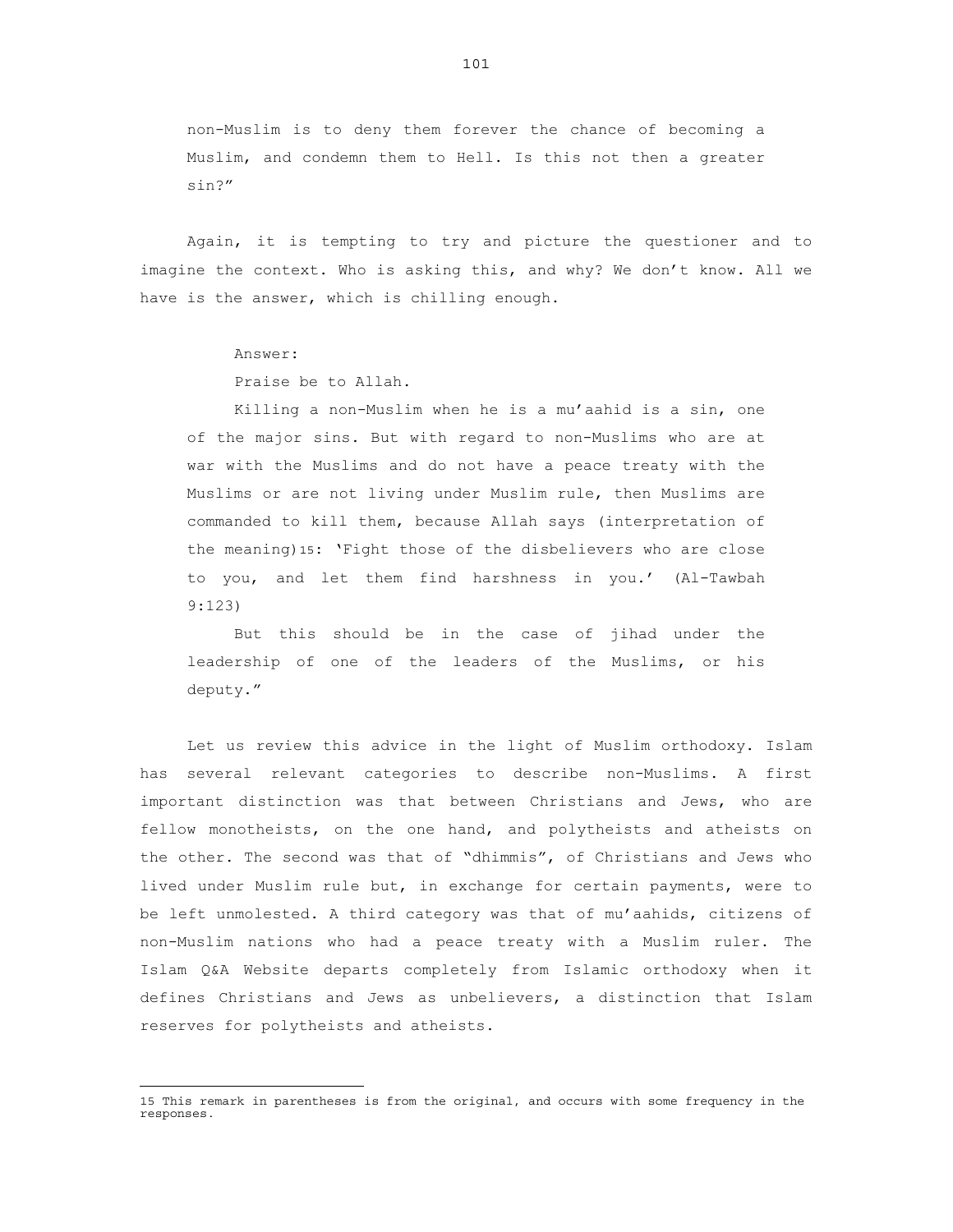non-Muslim is to deny them forever the chance of becoming a Muslim, and condemn them to Hell. Is this not then a greater sin?"

Again, it is tempting to try and picture the questioner and to imagine the context. Who is asking this, and why? We don't know. All we have is the answer, which is chilling enough.

#### Answer:

#### Praise be to Allah.

Killing a non-Muslim when he is a mu'aahid is a sin, one of the major sins. But with regard to non-Muslims who are at war with the Muslims and do not have a peace treaty with the Muslims or are not living under Muslim rule, then Muslims are commanded to kill them, because Allah says (interpretation of the meaning)15: 'Fight those of the disbelievers who are close to you, and let them find harshness in you.' (Al-Tawbah 9:123)

But this should be in the case of jihad under the leadership of one of the leaders of the Muslims, or his deputy."

Let us review this advice in the light of Muslim orthodoxy. Islam has several relevant categories to describe non-Muslims. A first important distinction was that between Christians and Jews, who are fellow monotheists, on the one hand, and polytheists and atheists on the other. The second was that of "dhimmis", of Christians and Jews who lived under Muslim rule but, in exchange for certain payments, were to be left unmolested. A third category was that of mu'aahids, citizens of non-Muslim nations who had a peace treaty with a Muslim ruler. The Islam Q&A Website departs completely from Islamic orthodoxy when it defines Christians and Jews as unbelievers, a distinction that Islam reserves for polytheists and atheists.

<sup>15</sup> This remark in parentheses is from the original, and occurs with some frequency in the responses.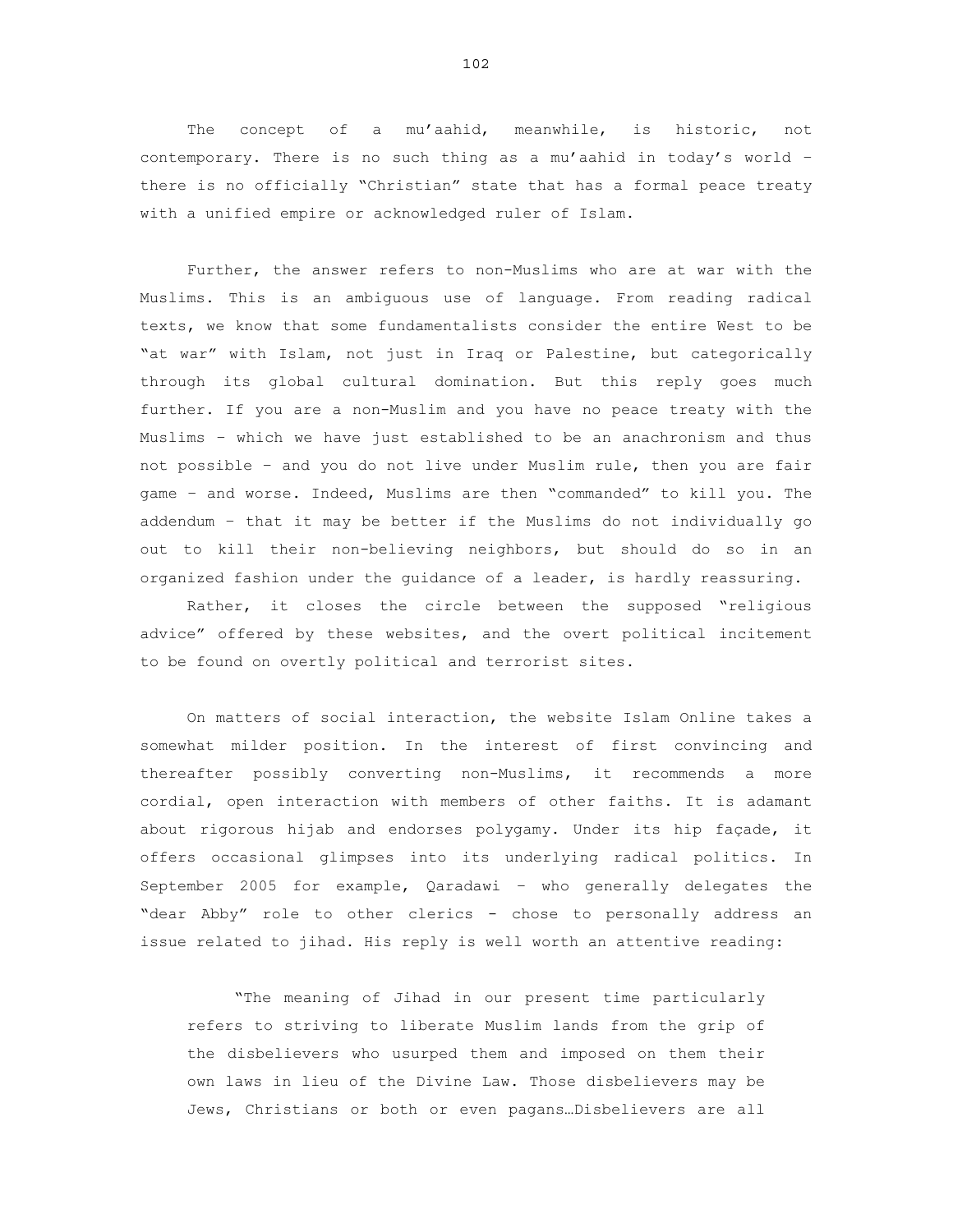The concept of a mu'aahid, meanwhile, is historic, not contemporary. There is no such thing as a mu'aahid in today's world – there is no officially "Christian" state that has a formal peace treaty with a unified empire or acknowledged ruler of Islam.

Further, the answer refers to non-Muslims who are at war with the Muslims. This is an ambiguous use of language. From reading radical texts, we know that some fundamentalists consider the entire West to be "at war" with Islam, not just in Iraq or Palestine, but categorically through its global cultural domination. But this reply goes much further. If you are a non-Muslim and you have no peace treaty with the Muslims – which we have just established to be an anachronism and thus not possible – and you do not live under Muslim rule, then you are fair game – and worse. Indeed, Muslims are then "commanded" to kill you. The addendum – that it may be better if the Muslims do not individually go out to kill their non-believing neighbors, but should do so in an organized fashion under the guidance of a leader, is hardly reassuring.

Rather, it closes the circle between the supposed "religious advice" offered by these websites, and the overt political incitement to be found on overtly political and terrorist sites.

On matters of social interaction, the website Islam Online takes a somewhat milder position. In the interest of first convincing and thereafter possibly converting non-Muslims, it recommends a more cordial, open interaction with members of other faiths. It is adamant about rigorous hijab and endorses polygamy. Under its hip façade, it offers occasional glimpses into its underlying radical politics. In September 2005 for example, Qaradawi – who generally delegates the "dear Abby" role to other clerics - chose to personally address an issue related to jihad. His reply is well worth an attentive reading:

"The meaning of Jihad in our present time particularly refers to striving to liberate Muslim lands from the grip of the disbelievers who usurped them and imposed on them their own laws in lieu of the Divine Law. Those disbelievers may be Jews, Christians or both or even pagans…Disbelievers are all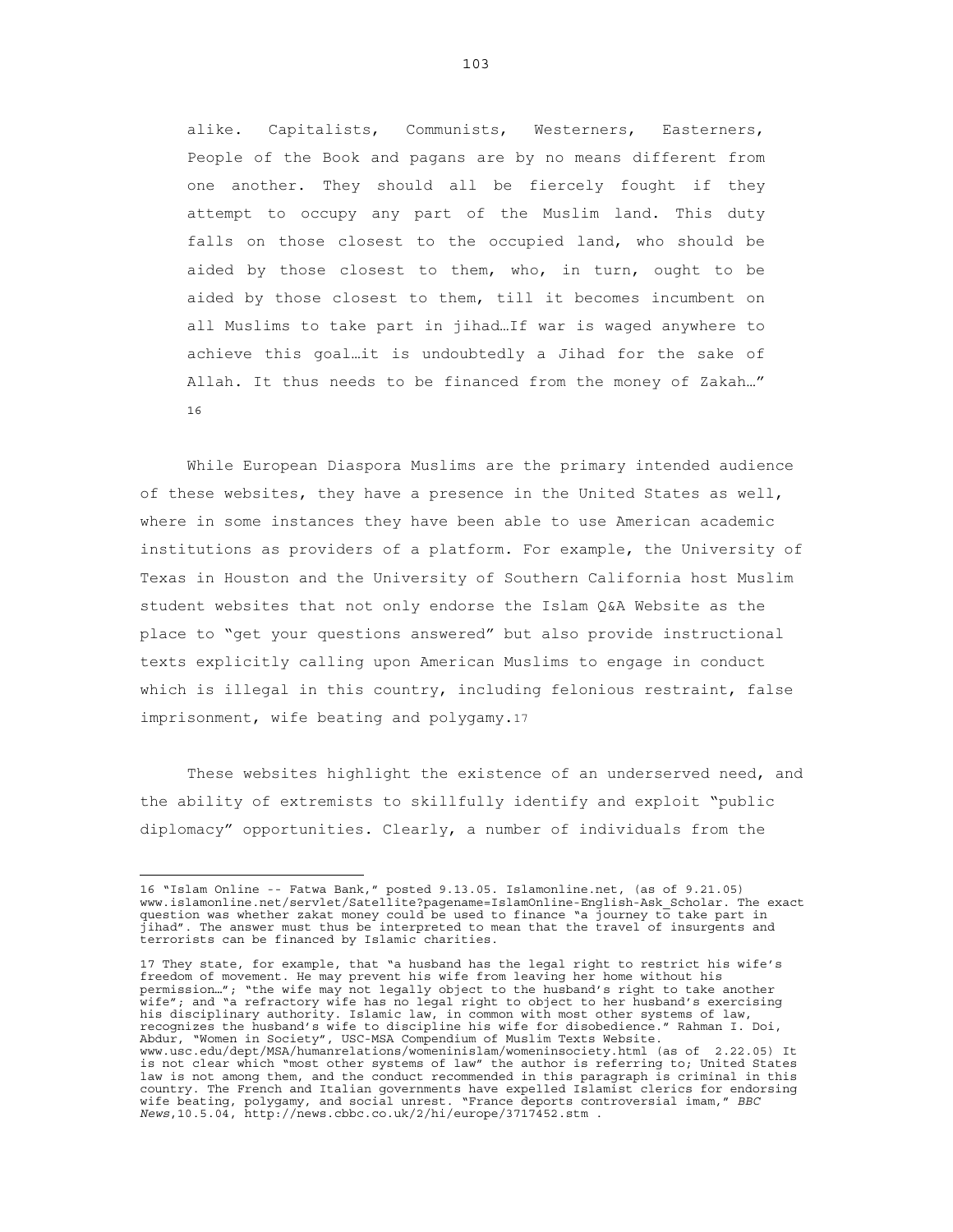alike. Capitalists, Communists, Westerners, Easterners, People of the Book and pagans are by no means different from one another. They should all be fiercely fought if they attempt to occupy any part of the Muslim land. This duty falls on those closest to the occupied land, who should be aided by those closest to them, who, in turn, ought to be aided by those closest to them, till it becomes incumbent on all Muslims to take part in jihad…If war is waged anywhere to achieve this goal…it is undoubtedly a Jihad for the sake of Allah. It thus needs to be financed from the money of Zakah…" 16

While European Diaspora Muslims are the primary intended audience of these websites, they have a presence in the United States as well, where in some instances they have been able to use American academic institutions as providers of a platform. For example, the University of Texas in Houston and the University of Southern California host Muslim student websites that not only endorse the Islam Q&A Website as the place to "get your questions answered" but also provide instructional texts explicitly calling upon American Muslims to engage in conduct which is illegal in this country, including felonious restraint, false imprisonment, wife beating and polygamy.17

These websites highlight the existence of an underserved need, and the ability of extremists to skillfully identify and exploit "public diplomacy" opportunities. Clearly, a number of individuals from the

<sup>16 &</sup>quot;Islam Online -- Fatwa Bank," posted 9.13.05. Islamonline.net, (as of 9.21.05) www.islamonline.net/servlet/Satellite?pagename=IslamOnline-English-Ask\_Scholar. The exact question was whether zakat money could be used to finance "a journey to take part in jihad". The answer must thus be interpreted to mean that the travel of insurgents and terrorists can be financed by Islamic charities.

<sup>17</sup> They state, for example, that "a husband has the legal right to restrict his wife's freedom of movement. He may prevent his wife from leaving her home without his permission…"; "the wife may not legally object to the husband's right to take another wife"; and "a refractory wife has no legal right to object to her husband's exercising his disciplinary authority. Islamic law, in common with most other systems of law, recognizes the husband's wife to discipline his wife for disobedience." Rahman I. Doi, Abdur, "Women in Society", USC-MSA Compendium of Muslim Texts Website. www.usc.edu/dept/MSA/humanrelations/womeninislam/womeninsociety.html (as of 2.22.05) It is not clear which "most other systems of law" the author is referring to; United States law is not among them, and the conduct recommended in this paragraph is criminal in this country. The French and Italian governments have expelled Islamist clerics for endorsing wife beating, polygamy, and social unrest. "France deports controversial imam," *BBC News*,10.5.04, http://news.cbbc.co.uk/2/hi/europe/3717452.stm .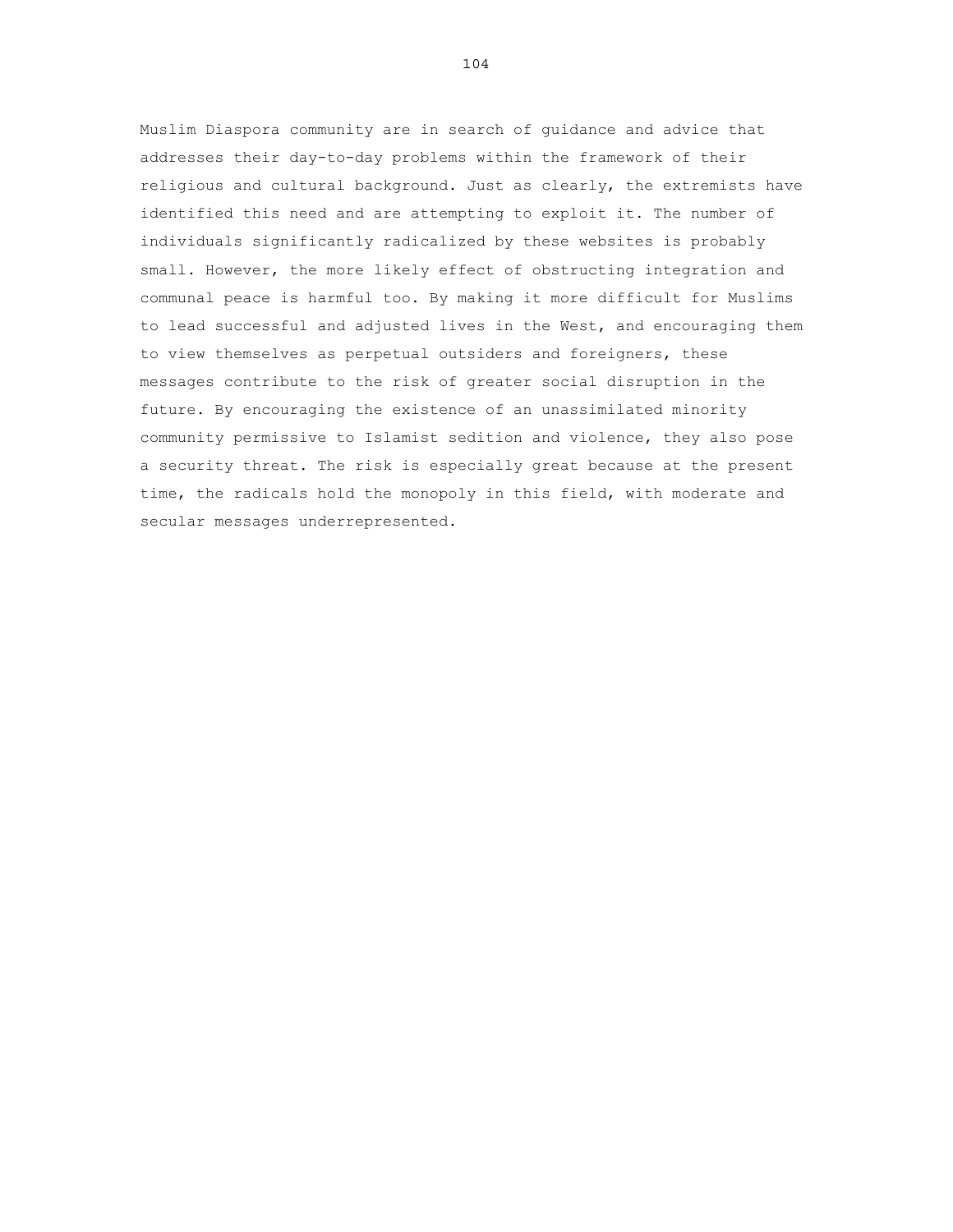Muslim Diaspora community are in search of guidance and advice that addresses their day-to-day problems within the framework of their religious and cultural background. Just as clearly, the extremists have identified this need and are attempting to exploit it. The number of individuals significantly radicalized by these websites is probably small. However, the more likely effect of obstructing integration and communal peace is harmful too. By making it more difficult for Muslims to lead successful and adjusted lives in the West, and encouraging them to view themselves as perpetual outsiders and foreigners, these messages contribute to the risk of greater social disruption in the future. By encouraging the existence of an unassimilated minority community permissive to Islamist sedition and violence, they also pose a security threat. The risk is especially great because at the present time, the radicals hold the monopoly in this field, with moderate and secular messages underrepresented.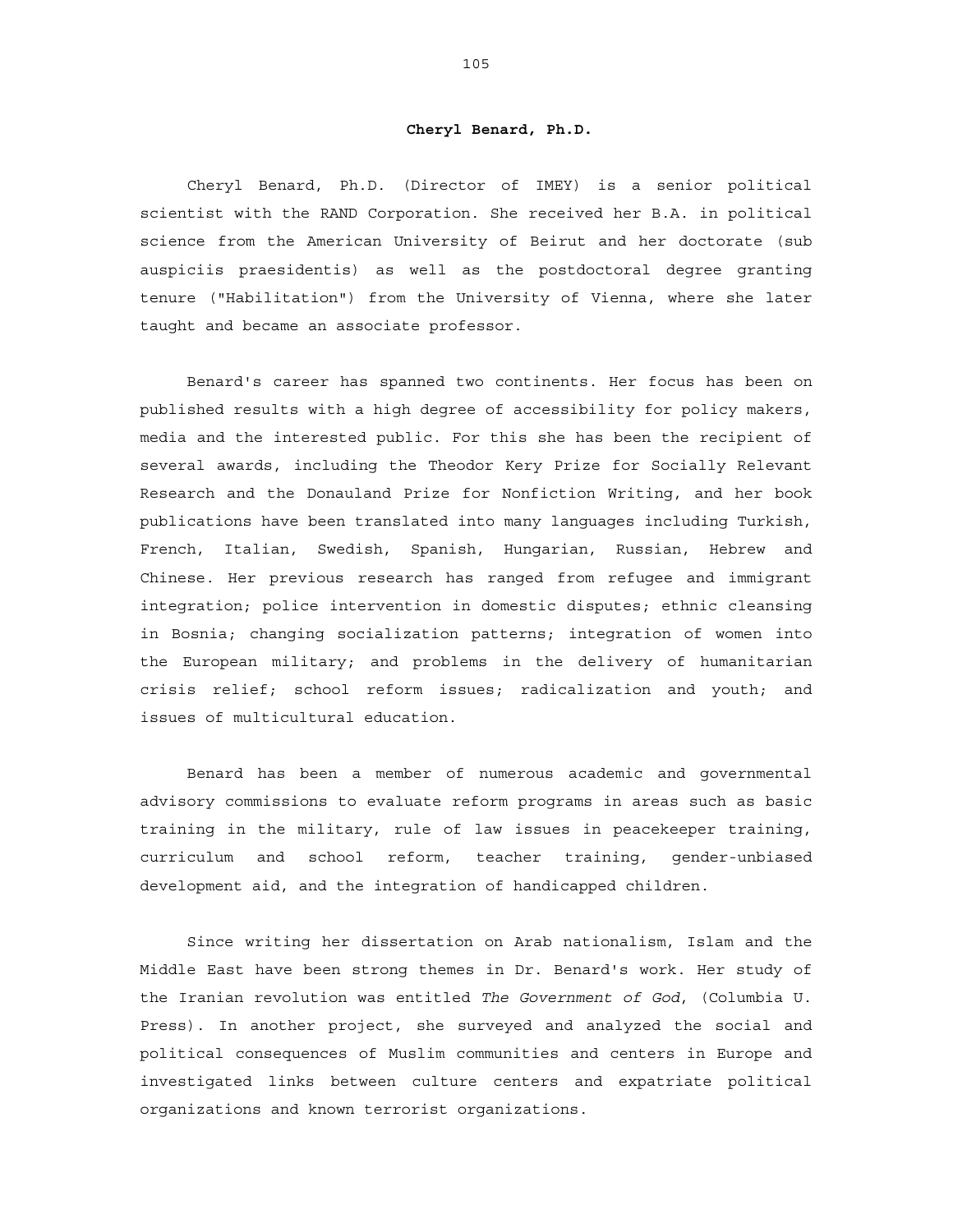# **Cheryl Benard, Ph.D.**

Cheryl Benard, Ph.D. (Director of IMEY) is a senior political scientist with the RAND Corporation. She received her B.A. in political science from the American University of Beirut and her doctorate (sub auspiciis praesidentis) as well as the postdoctoral degree granting tenure ("Habilitation") from the University of Vienna, where she later taught and became an associate professor.

Benard's career has spanned two continents. Her focus has been on published results with a high degree of accessibility for policy makers, media and the interested public. For this she has been the recipient of several awards, including the Theodor Kery Prize for Socially Relevant Research and the Donauland Prize for Nonfiction Writing, and her book publications have been translated into many languages including Turkish, French, Italian, Swedish, Spanish, Hungarian, Russian, Hebrew and Chinese. Her previous research has ranged from refugee and immigrant integration; police intervention in domestic disputes; ethnic cleansing in Bosnia; changing socialization patterns; integration of women into the European military; and problems in the delivery of humanitarian crisis relief; school reform issues; radicalization and youth; and issues of multicultural education.

Benard has been a member of numerous academic and governmental advisory commissions to evaluate reform programs in areas such as basic training in the military, rule of law issues in peacekeeper training, curriculum and school reform, teacher training, gender-unbiased development aid, and the integration of handicapped children.

Since writing her dissertation on Arab nationalism, Islam and the Middle East have been strong themes in Dr. Benard's work. Her study of the Iranian revolution was entitled *The Government of God*, (Columbia U. Press). In another project, she surveyed and analyzed the social and political consequences of Muslim communities and centers in Europe and investigated links between culture centers and expatriate political organizations and known terrorist organizations.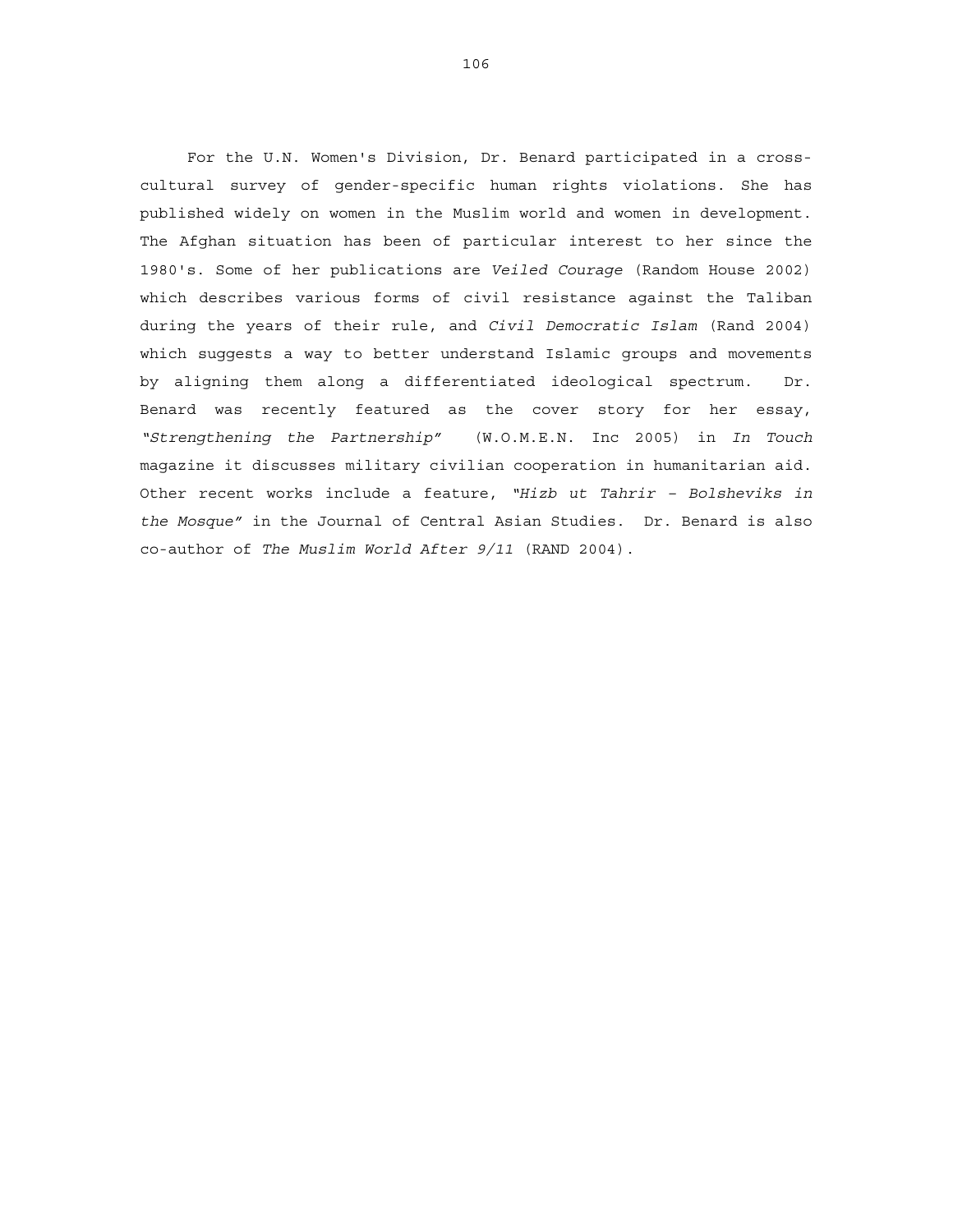For the U.N. Women's Division, Dr. Benard participated in a crosscultural survey of gender-specific human rights violations. She has published widely on women in the Muslim world and women in development. The Afghan situation has been of particular interest to her since the 1980's. Some of her publications are *Veiled Courage* (Random House 2002) which describes various forms of civil resistance against the Taliban during the years of their rule, and *Civil Democratic Islam* (Rand 2004) which suggests a way to better understand Islamic groups and movements by aligning them along a differentiated ideological spectrum. Dr. Benard was recently featured as the cover story for her essay, *"Strengthening the Partnership"* (W.O.M.E.N. Inc 2005) in *In Touch* magazine it discusses military civilian cooperation in humanitarian aid. Other recent works include a feature, *"Hizb ut Tahrir – Bolsheviks in the Mosque"* in the Journal of Central Asian Studies. Dr. Benard is also co-author of *The Muslim World After 9/11* (RAND 2004).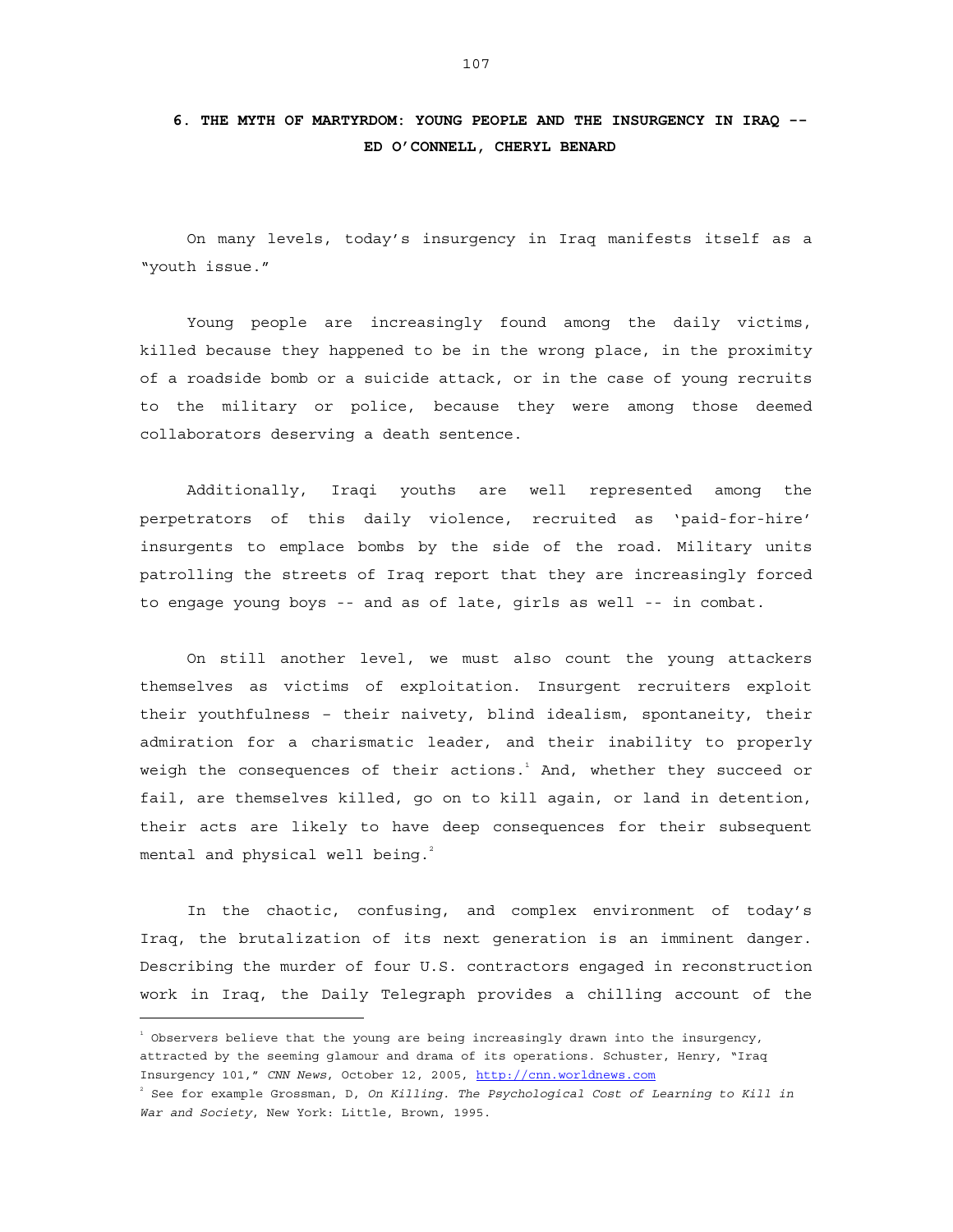# **6. THE MYTH OF MARTYRDOM: YOUNG PEOPLE AND THE INSURGENCY IN IRAQ -- ED O'CONNELL, CHERYL BENARD**

On many levels, today's insurgency in Iraq manifests itself as a "youth issue."

Young people are increasingly found among the daily victims, killed because they happened to be in the wrong place, in the proximity of a roadside bomb or a suicide attack, or in the case of young recruits to the military or police, because they were among those deemed collaborators deserving a death sentence.

Additionally, Iraqi youths are well represented among the perpetrators of this daily violence, recruited as 'paid-for-hire' insurgents to emplace bombs by the side of the road. Military units patrolling the streets of Iraq report that they are increasingly forced to engage young boys -- and as of late, girls as well -- in combat.

On still another level, we must also count the young attackers themselves as victims of exploitation. Insurgent recruiters exploit their youthfulness – their naivety, blind idealism, spontaneity, their admiration for a charismatic leader, and their inability to properly weigh the consequences of their actions. $^1$  And, whether they succeed or fail, are themselves killed, go on to kill again, or land in detention, their acts are likely to have deep consequences for their subsequent mental and physical well being. $2$ 

In the chaotic, confusing, and complex environment of today's Iraq, the brutalization of its next generation is an imminent danger. Describing the murder of four U.S. contractors engaged in reconstruction work in Iraq, the Daily Telegraph provides a chilling account of the

<sup>&</sup>lt;sup>1</sup> Observers believe that the young are being increasingly drawn into the insurgency, attracted by the seeming glamour and drama of its operations. Schuster, Henry, "Iraq Insurgency 101," *CNN News*, October 12, 2005, http://cnn.worldnews.com

<sup>2</sup> See for example Grossman, D, *On Killing. The Psychological Cost of Learning to Kill in War and Society*, New York: Little, Brown, 1995.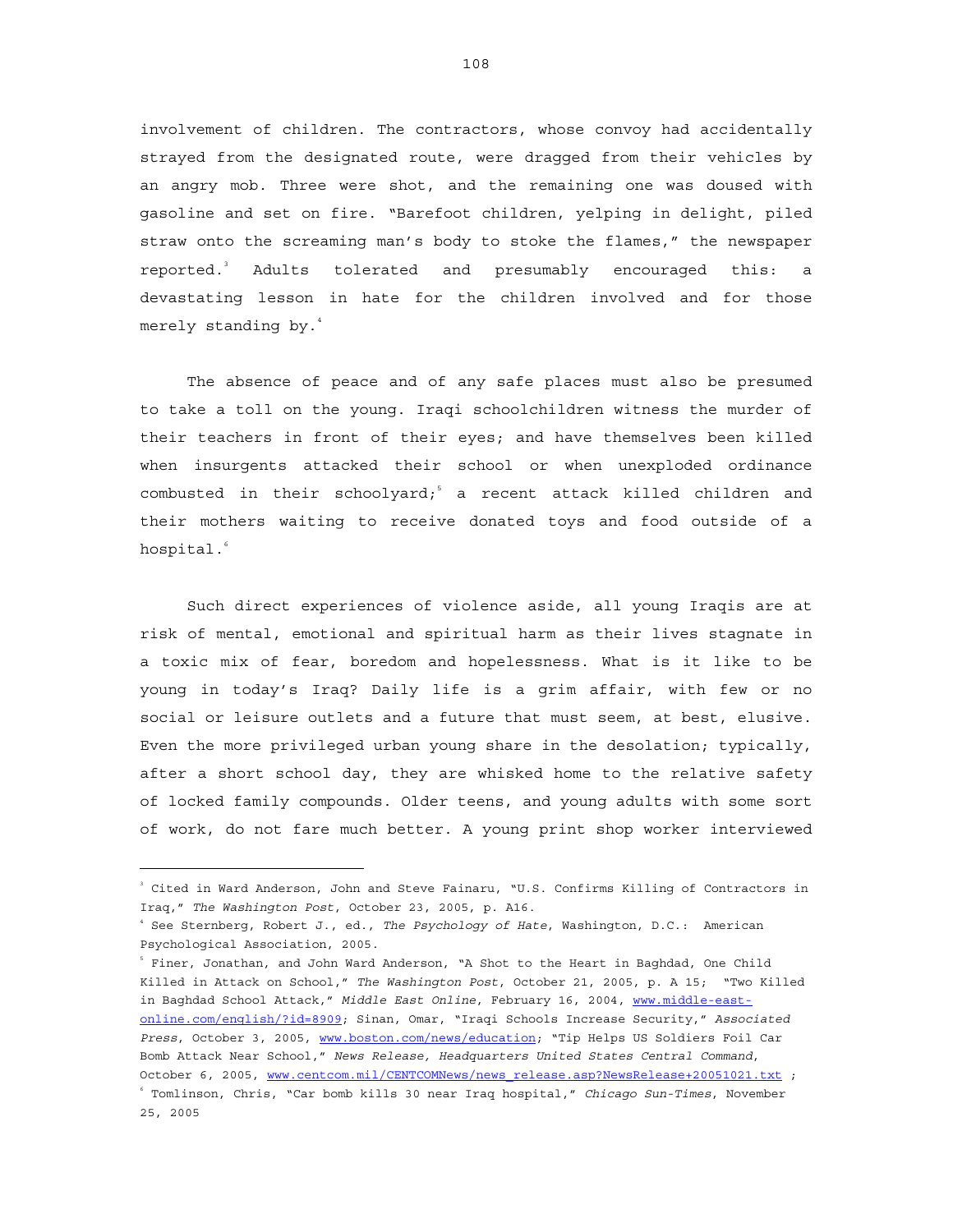involvement of children. The contractors, whose convoy had accidentally strayed from the designated route, were dragged from their vehicles by an angry mob. Three were shot, and the remaining one was doused with gasoline and set on fire. "Barefoot children, yelping in delight, piled straw onto the screaming man's body to stoke the flames," the newspaper reported.<sup>3</sup> Adults tolerated and presumably encouraged this: a devastating lesson in hate for the children involved and for those merely standing by.<sup>4</sup>

The absence of peace and of any safe places must also be presumed to take a toll on the young. Iraqi schoolchildren witness the murder of their teachers in front of their eyes; and have themselves been killed when insurgents attacked their school or when unexploded ordinance combusted in their schoolyard;<sup>5</sup> a recent attack killed children and their mothers waiting to receive donated toys and food outside of a hospital.<sup>6</sup>

Such direct experiences of violence aside, all young Iraqis are at risk of mental, emotional and spiritual harm as their lives stagnate in a toxic mix of fear, boredom and hopelessness. What is it like to be young in today's Iraq? Daily life is a grim affair, with few or no social or leisure outlets and a future that must seem, at best, elusive. Even the more privileged urban young share in the desolation; typically, after a short school day, they are whisked home to the relative safety of locked family compounds. Older teens, and young adults with some sort of work, do not fare much better. A young print shop worker interviewed

<sup>3</sup> Cited in Ward Anderson, John and Steve Fainaru, "U.S. Confirms Killing of Contractors in Iraq," *The Washington Post*, October 23, 2005, p. A16. 4

See Sternberg, Robert J., ed., *The Psychology of Hate*, Washington, D.C.: American Psychological Association, 2005.

<sup>5</sup> Finer, Jonathan, and John Ward Anderson, "A Shot to the Heart in Baghdad, One Child Killed in Attack on School," *The Washington Post*, October 21, 2005, p. A 15; "Two Killed in Baghdad School Attack," *Middle East Online*, February 16, 2004, www.middle-eastonline.com/english/?id=8909; Sinan, Omar, "Iraqi Schools Increase Security," *Associated Press*, October 3, 2005, www.boston.com/news/education; "Tip Helps US Soldiers Foil Car Bomb Attack Near School," *News Release, Headquarters United States Central Command*, October 6, 2005, www.centcom.mil/CENTCOMNews/news\_release.asp?NewsRelease+20051021.txt ; 6 Tomlinson, Chris, "Car bomb kills 30 near Iraq hospital," *Chicago Sun-Times*, November 25, 2005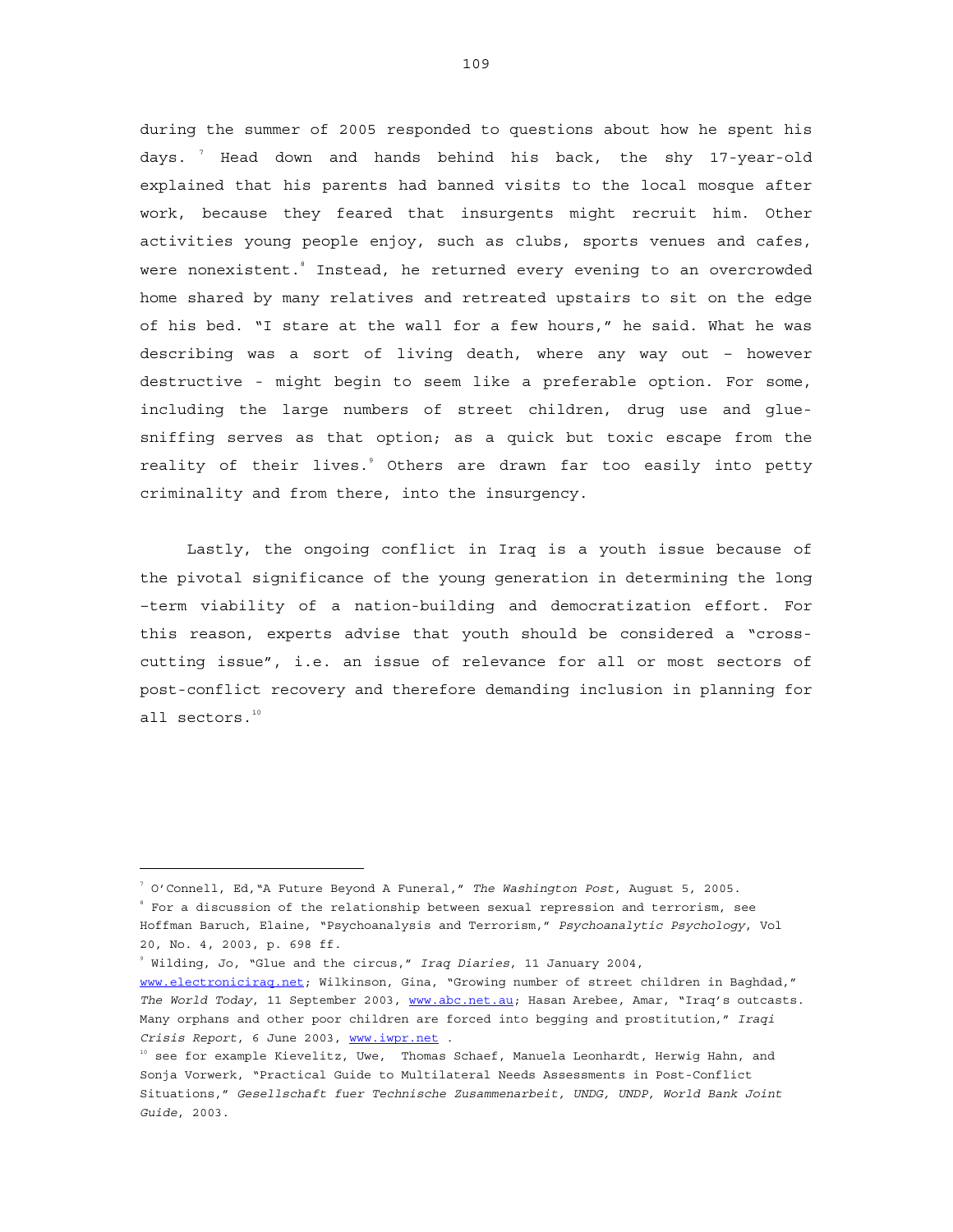during the summer of 2005 responded to questions about how he spent his days. <sup>7</sup> Head down and hands behind his back, the shy 17-year-old explained that his parents had banned visits to the local mosque after work, because they feared that insurgents might recruit him. Other activities young people enjoy, such as clubs, sports venues and cafes, were nonexistent. Instead, he returned every evening to an overcrowded home shared by many relatives and retreated upstairs to sit on the edge of his bed. "I stare at the wall for a few hours," he said. What he was describing was a sort of living death, where any way out – however destructive - might begin to seem like a preferable option. For some, including the large numbers of street children, drug use and gluesniffing serves as that option; as a quick but toxic escape from the reality of their lives. Others are drawn far too easily into petty criminality and from there, into the insurgency.

Lastly, the ongoing conflict in Iraq is a youth issue because of the pivotal significance of the young generation in determining the long –term viability of a nation-building and democratization effort. For this reason, experts advise that youth should be considered a "crosscutting issue", i.e. an issue of relevance for all or most sectors of post-conflict recovery and therefore demanding inclusion in planning for all sectors.<sup>10</sup>

<sup>7</sup> O'Connell, Ed,"A Future Beyond A Funeral," *The Washington Post*, August 5, 2005.

<sup>8</sup> For a discussion of the relationship between sexual repression and terrorism, see Hoffman Baruch, Elaine, "Psychoanalysis and Terrorism," *Psychoanalytic Psychology*, Vol 20, No. 4, 2003, p. 698 ff.

<sup>9</sup> Wilding, Jo, "Glue and the circus," *Iraq Diaries*, 11 January 2004,

www.electroniciraq.net; Wilkinson, Gina, "Growing number of street children in Baghdad," *The World Today*, 11 September 2003, www.abc.net.au; Hasan Arebee, Amar, "Iraq's outcasts. Many orphans and other poor children are forced into begging and prostitution," *Iraqi Crisis Report*, 6 June 2003, www.iwpr.net .

 $10$  see for example Kievelitz, Uwe, Thomas Schaef, Manuela Leonhardt, Herwig Hahn, and Sonja Vorwerk, "Practical Guide to Multilateral Needs Assessments in Post-Conflict Situations," *Gesellschaft fuer Technische Zusammenarbeit, UNDG, UNDP, World Bank Joint Guide*, 2003.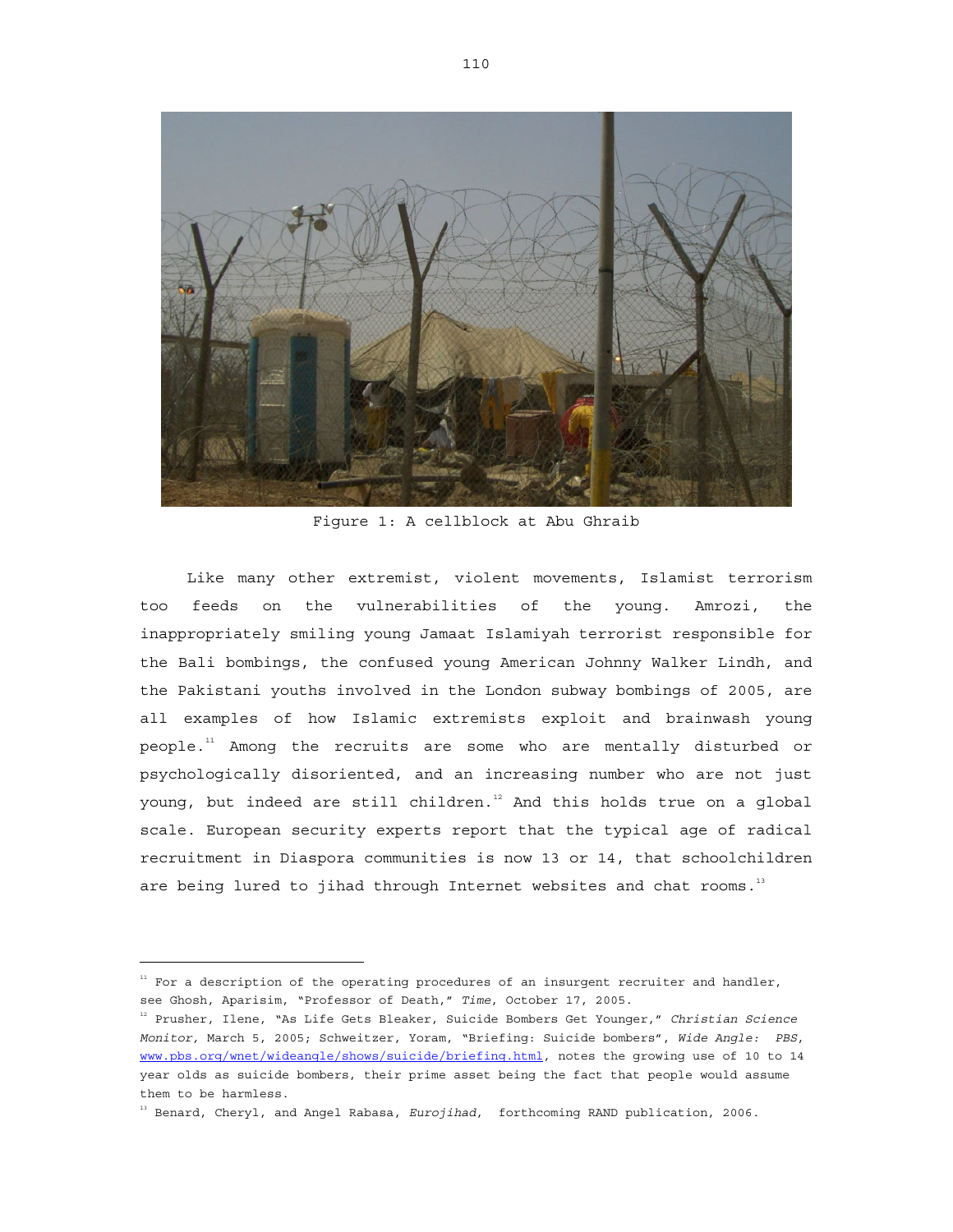

Figure 1: A cellblock at Abu Ghraib

Like many other extremist, violent movements, Islamist terrorism too feeds on the vulnerabilities of the young. Amrozi, the inappropriately smiling young Jamaat Islamiyah terrorist responsible for the Bali bombings, the confused young American Johnny Walker Lindh, and the Pakistani youths involved in the London subway bombings of 2005, are all examples of how Islamic extremists exploit and brainwash young people.11 Among the recruits are some who are mentally disturbed or psychologically disoriented, and an increasing number who are not just young, but indeed are still children.<sup>12</sup> And this holds true on a global scale. European security experts report that the typical age of radical recruitment in Diaspora communities is now 13 or 14, that schoolchildren are being lured to jihad through Internet websites and chat rooms.<sup>13</sup>

 $11$  For a description of the operating procedures of an insurgent recruiter and handler, see Ghosh, Aparisim, "Professor of Death,*" Time*, October 17, 2005.<br><sup>12</sup> Prusher, Ilene, "As Life Gets Bleaker, Suicide Bombers Get Younger,*" Christian Science* 

*Monitor,* March 5, 2005; Schweitzer, Yoram, "Briefing: Suicide bombers", *Wide Angle: PBS*, www.pbs.org/wnet/wideangle/shows/suicide/briefing.html, notes the growing use of 10 to 14 year olds as suicide bombers, their prime asset being the fact that people would assume them to be harmless.

<sup>13</sup> Benard, Cheryl, and Angel Rabasa, *Eurojihad*, forthcoming RAND publication, 2006.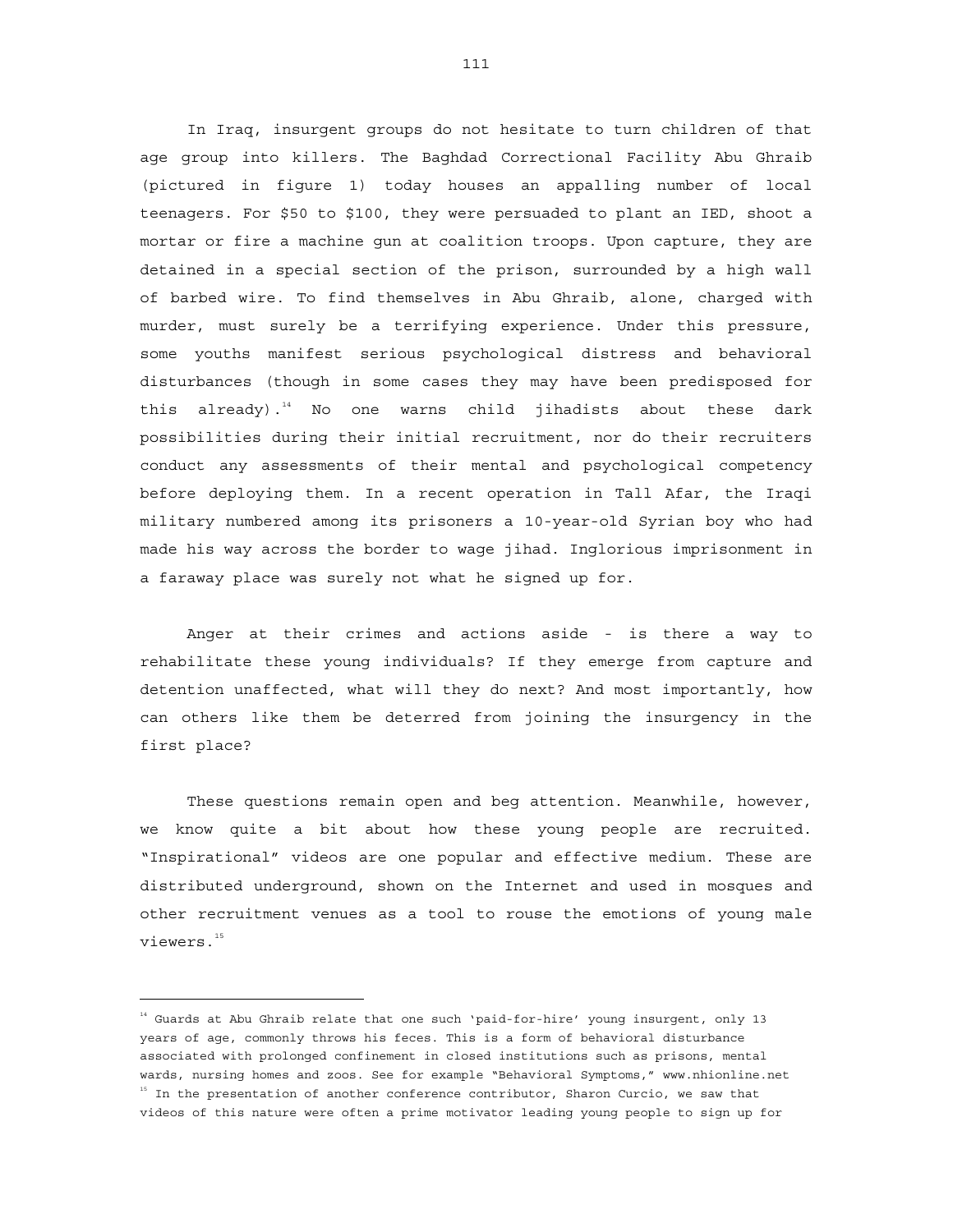In Iraq, insurgent groups do not hesitate to turn children of that age group into killers. The Baghdad Correctional Facility Abu Ghraib (pictured in figure 1) today houses an appalling number of local teenagers. For \$50 to \$100, they were persuaded to plant an IED, shoot a mortar or fire a machine gun at coalition troops. Upon capture, they are detained in a special section of the prison, surrounded by a high wall of barbed wire. To find themselves in Abu Ghraib, alone, charged with murder, must surely be a terrifying experience. Under this pressure, some youths manifest serious psychological distress and behavioral disturbances (though in some cases they may have been predisposed for this already).<sup>14</sup> No one warns child jihadists about these dark possibilities during their initial recruitment, nor do their recruiters conduct any assessments of their mental and psychological competency before deploying them. In a recent operation in Tall Afar, the Iraqi military numbered among its prisoners a 10-year-old Syrian boy who had made his way across the border to wage jihad. Inglorious imprisonment in a faraway place was surely not what he signed up for.

Anger at their crimes and actions aside - is there a way to rehabilitate these young individuals? If they emerge from capture and detention unaffected, what will they do next? And most importantly, how can others like them be deterred from joining the insurgency in the first place?

These questions remain open and beg attention. Meanwhile, however, we know quite a bit about how these young people are recruited. "Inspirational" videos are one popular and effective medium. These are distributed underground, shown on the Internet and used in mosques and other recruitment venues as a tool to rouse the emotions of young male viewers.<sup>15</sup>

<sup>&</sup>lt;sup>14</sup> Guards at Abu Ghraib relate that one such 'paid-for-hire' young insurgent, only 13 years of age, commonly throws his feces. This is a form of behavioral disturbance associated with prolonged confinement in closed institutions such as prisons, mental wards, nursing homes and zoos. See for example "Behavioral Symptoms," www.nhionline.net <sup>15</sup> In the presentation of another conference contributor, Sharon Curcio, we saw that videos of this nature were often a prime motivator leading young people to sign up for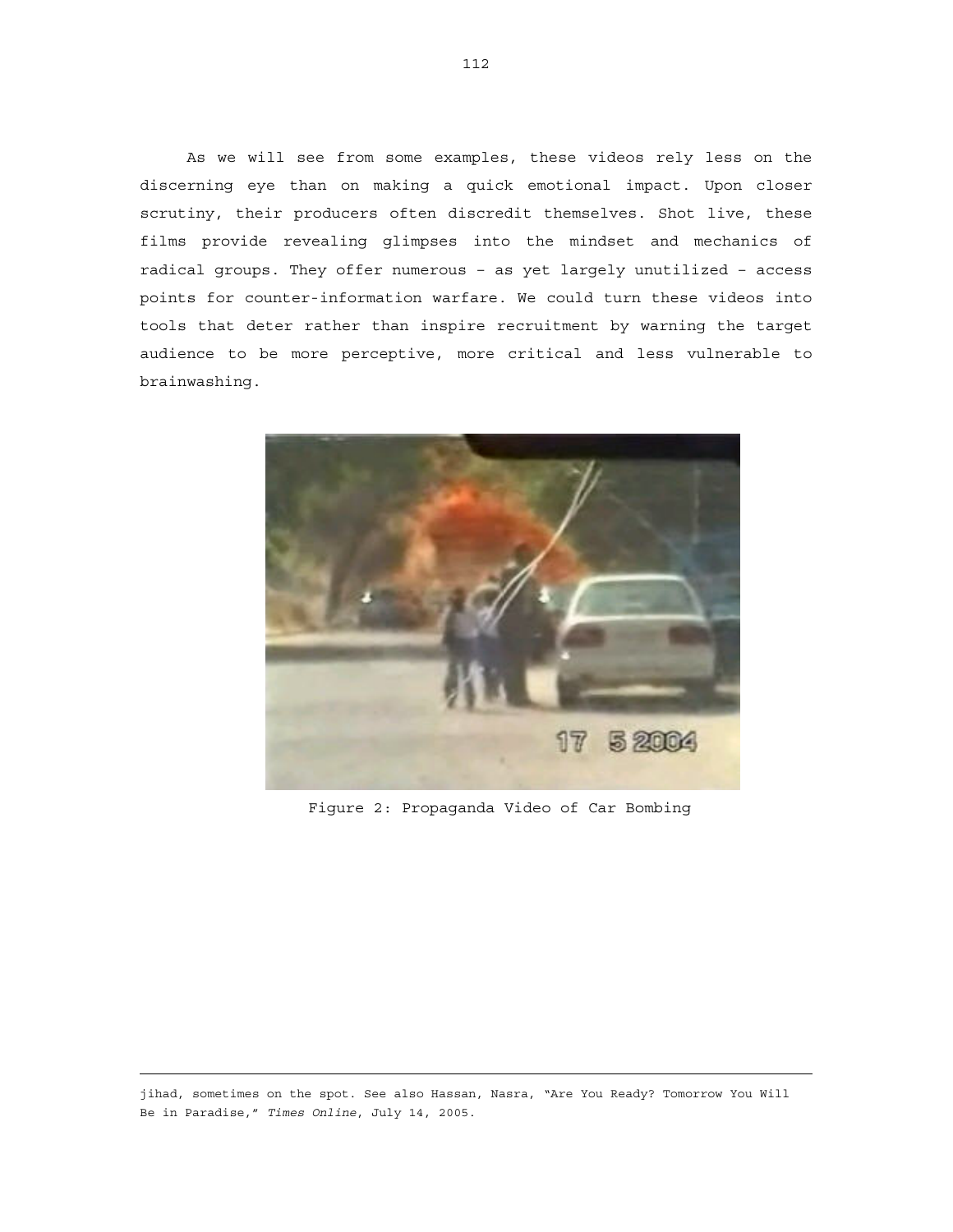As we will see from some examples, these videos rely less on the discerning eye than on making a quick emotional impact. Upon closer scrutiny, their producers often discredit themselves. Shot live, these films provide revealing glimpses into the mindset and mechanics of radical groups. They offer numerous – as yet largely unutilized – access points for counter-information warfare. We could turn these videos into tools that deter rather than inspire recruitment by warning the target audience to be more perceptive, more critical and less vulnerable to brainwashing.



Figure 2: Propaganda Video of Car Bombing

jihad, sometimes on the spot. See also Hassan, Nasra, "Are You Ready? Tomorrow You Will Be in Paradise," *Times Online*, July 14, 2005.

## 112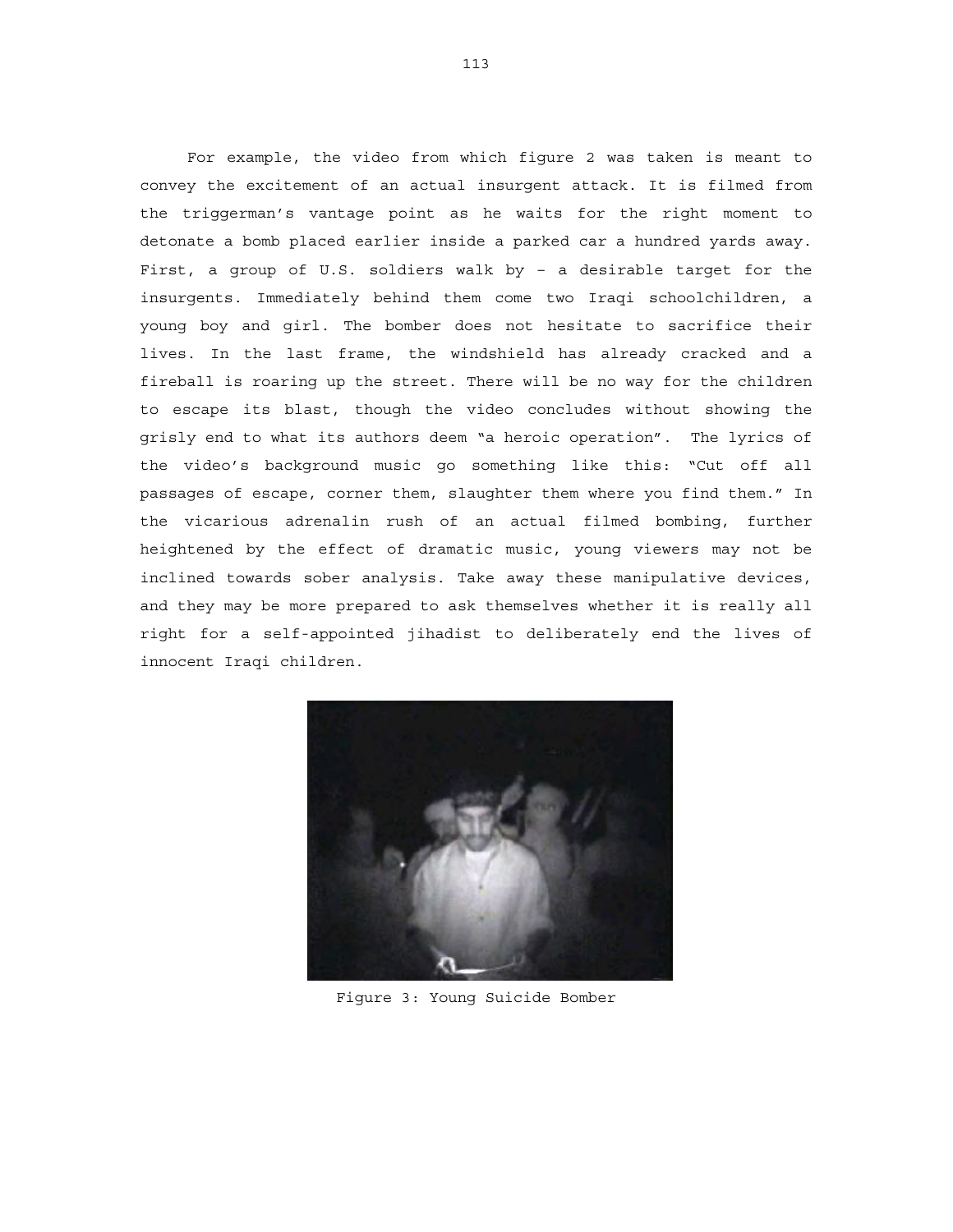For example, the video from which figure 2 was taken is meant to convey the excitement of an actual insurgent attack. It is filmed from the triggerman's vantage point as he waits for the right moment to detonate a bomb placed earlier inside a parked car a hundred yards away. First, a group of U.S. soldiers walk by – a desirable target for the insurgents. Immediately behind them come two Iraqi schoolchildren, a young boy and girl. The bomber does not hesitate to sacrifice their lives. In the last frame, the windshield has already cracked and a fireball is roaring up the street. There will be no way for the children to escape its blast, though the video concludes without showing the grisly end to what its authors deem "a heroic operation". The lyrics of the video's background music go something like this: "Cut off all passages of escape, corner them, slaughter them where you find them." In the vicarious adrenalin rush of an actual filmed bombing, further heightened by the effect of dramatic music, young viewers may not be inclined towards sober analysis. Take away these manipulative devices, and they may be more prepared to ask themselves whether it is really all right for a self-appointed jihadist to deliberately end the lives of innocent Iraqi children.



Figure 3: Young Suicide Bomber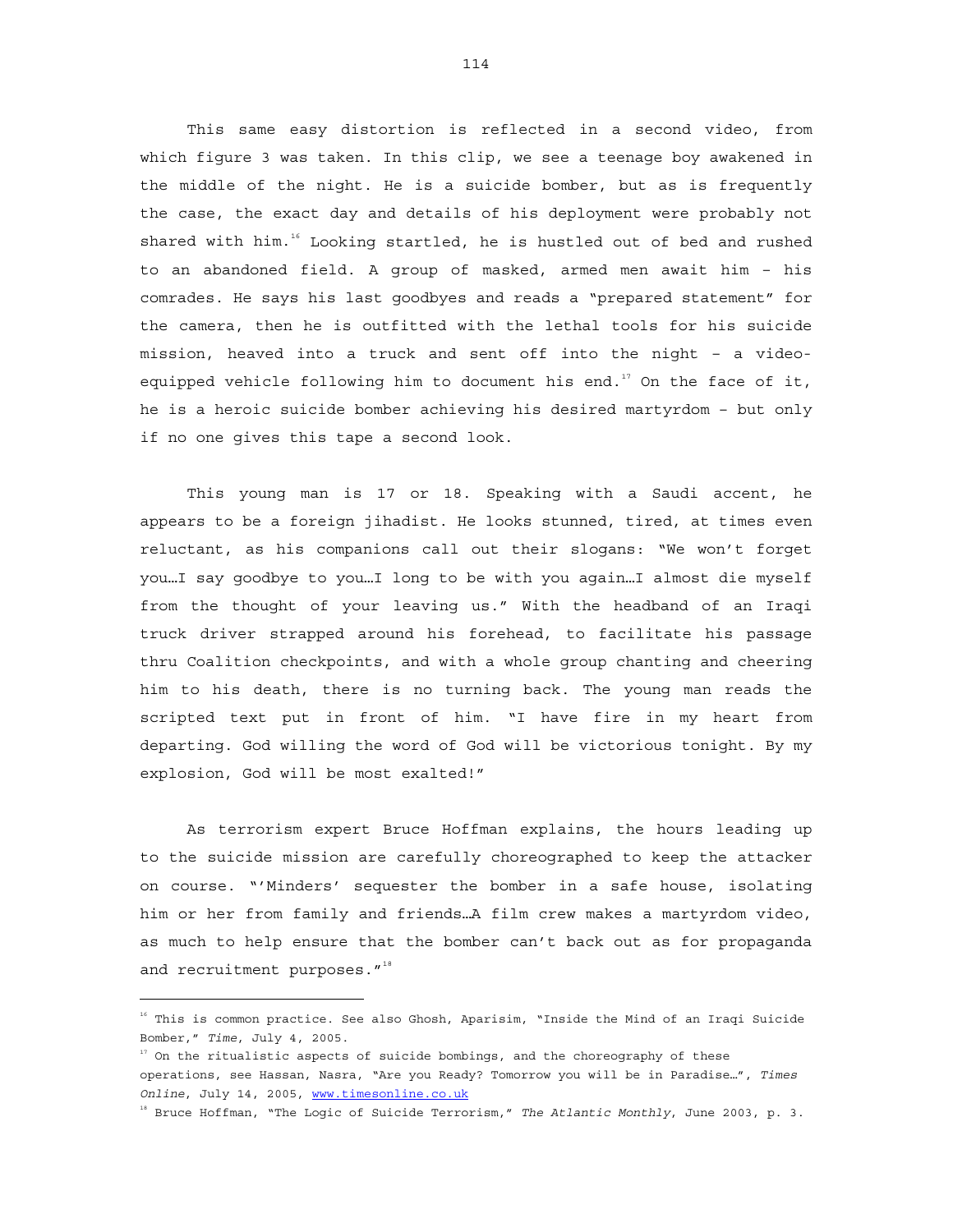This same easy distortion is reflected in a second video, from which figure 3 was taken. In this clip, we see a teenage boy awakened in the middle of the night. He is a suicide bomber, but as is frequently the case, the exact day and details of his deployment were probably not shared with him.<sup>16</sup> Looking startled, he is hustled out of bed and rushed to an abandoned field. A group of masked, armed men await him – his comrades. He says his last goodbyes and reads a "prepared statement" for the camera, then he is outfitted with the lethal tools for his suicide mission, heaved into a truck and sent off into the night – a videoequipped vehicle following him to document his end.<sup>17</sup> On the face of it, he is a heroic suicide bomber achieving his desired martyrdom – but only if no one gives this tape a second look.

This young man is 17 or 18. Speaking with a Saudi accent, he appears to be a foreign jihadist. He looks stunned, tired, at times even reluctant, as his companions call out their slogans: "We won't forget you…I say goodbye to you…I long to be with you again…I almost die myself from the thought of your leaving us." With the headband of an Iraqi truck driver strapped around his forehead, to facilitate his passage thru Coalition checkpoints, and with a whole group chanting and cheering him to his death, there is no turning back. The young man reads the scripted text put in front of him. "I have fire in my heart from departing. God willing the word of God will be victorious tonight. By my explosion, God will be most exalted!"

As terrorism expert Bruce Hoffman explains, the hours leading up to the suicide mission are carefully choreographed to keep the attacker on course. "'Minders' sequester the bomber in a safe house, isolating him or her from family and friends…A film crew makes a martyrdom video, as much to help ensure that the bomber can't back out as for propaganda and recruitment purposes."<sup>18</sup>

<sup>&</sup>lt;sup>16</sup> This is common practice. See also Ghosh, Aparisim, "Inside the Mind of an Iraqi Suicide Bomber," *Time*, July 4, 2005.<br><sup>17</sup> On the ritualistic aspects of suicide bombings, and the choreography of these

operations, see Hassan, Nasra, "Are you Ready? Tomorrow you will be in Paradise…", *Times Online*, July 14, 2005, www.timesonline.co.uk

<sup>18</sup> Bruce Hoffman, "The Logic of Suicide Terrorism," *The Atlantic Monthly*, June 2003, p. 3.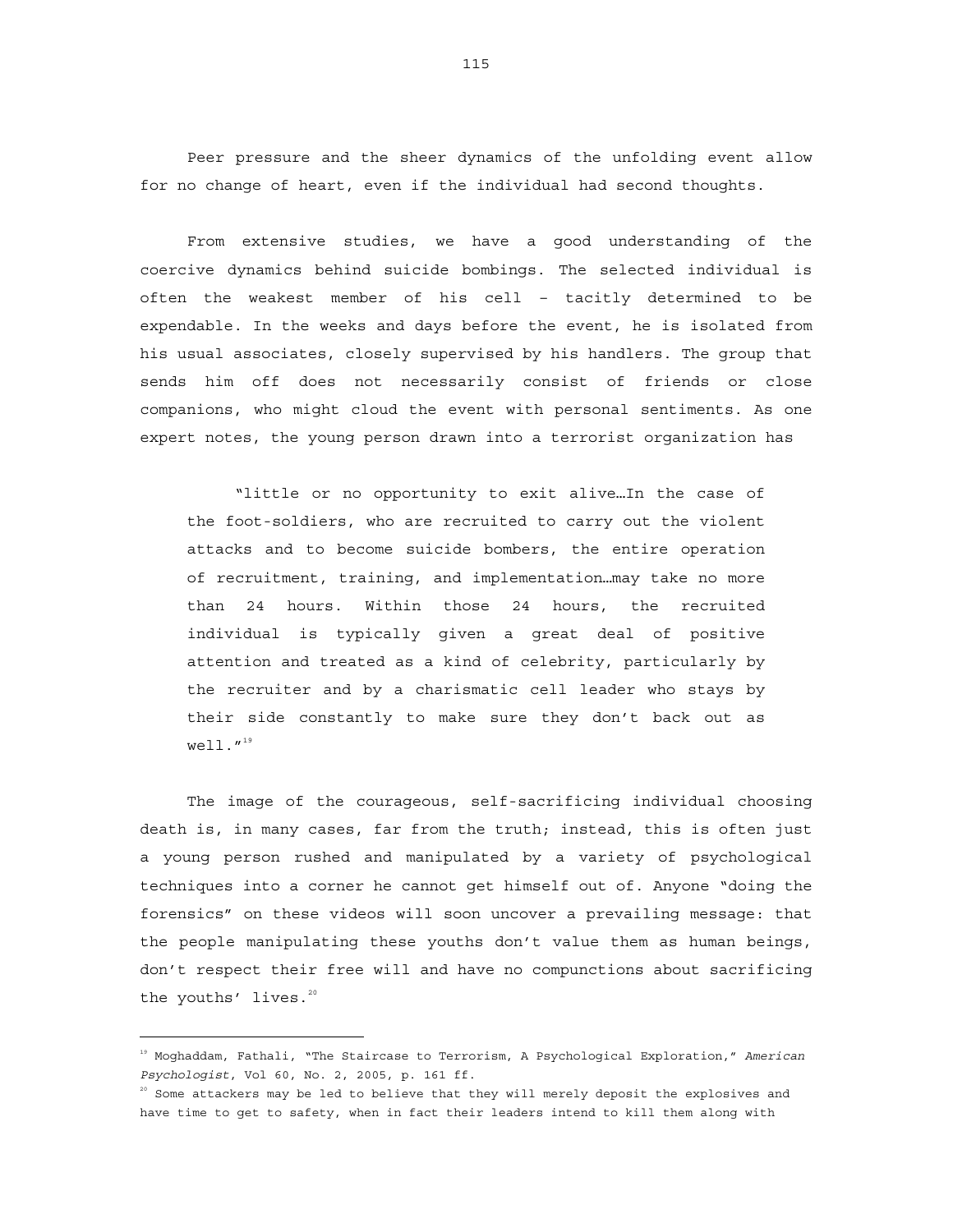Peer pressure and the sheer dynamics of the unfolding event allow for no change of heart, even if the individual had second thoughts.

From extensive studies, we have a good understanding of the coercive dynamics behind suicide bombings. The selected individual is often the weakest member of his cell – tacitly determined to be expendable. In the weeks and days before the event, he is isolated from his usual associates, closely supervised by his handlers. The group that sends him off does not necessarily consist of friends or close companions, who might cloud the event with personal sentiments. As one expert notes, the young person drawn into a terrorist organization has

"little or no opportunity to exit alive…In the case of the foot-soldiers, who are recruited to carry out the violent attacks and to become suicide bombers, the entire operation of recruitment, training, and implementation…may take no more than 24 hours. Within those 24 hours, the recruited individual is typically given a great deal of positive attention and treated as a kind of celebrity, particularly by the recruiter and by a charismatic cell leader who stays by their side constantly to make sure they don't back out as well. $^{\prime\prime}$ <sup>19</sup>

The image of the courageous, self-sacrificing individual choosing death is, in many cases, far from the truth; instead, this is often just a young person rushed and manipulated by a variety of psychological techniques into a corner he cannot get himself out of. Anyone "doing the forensics" on these videos will soon uncover a prevailing message: that the people manipulating these youths don't value them as human beings, don't respect their free will and have no compunctions about sacrificing the youths' lives. $20$ 

<sup>19</sup> Moghaddam, Fathali, "The Staircase to Terrorism, A Psychological Exploration," *American Psychologist*, Vol 60, No. 2, 2005, p. 161 ff.<br><sup>20</sup> Some attackers may be led to believe that they will merely deposit the explosives and

have time to get to safety, when in fact their leaders intend to kill them along with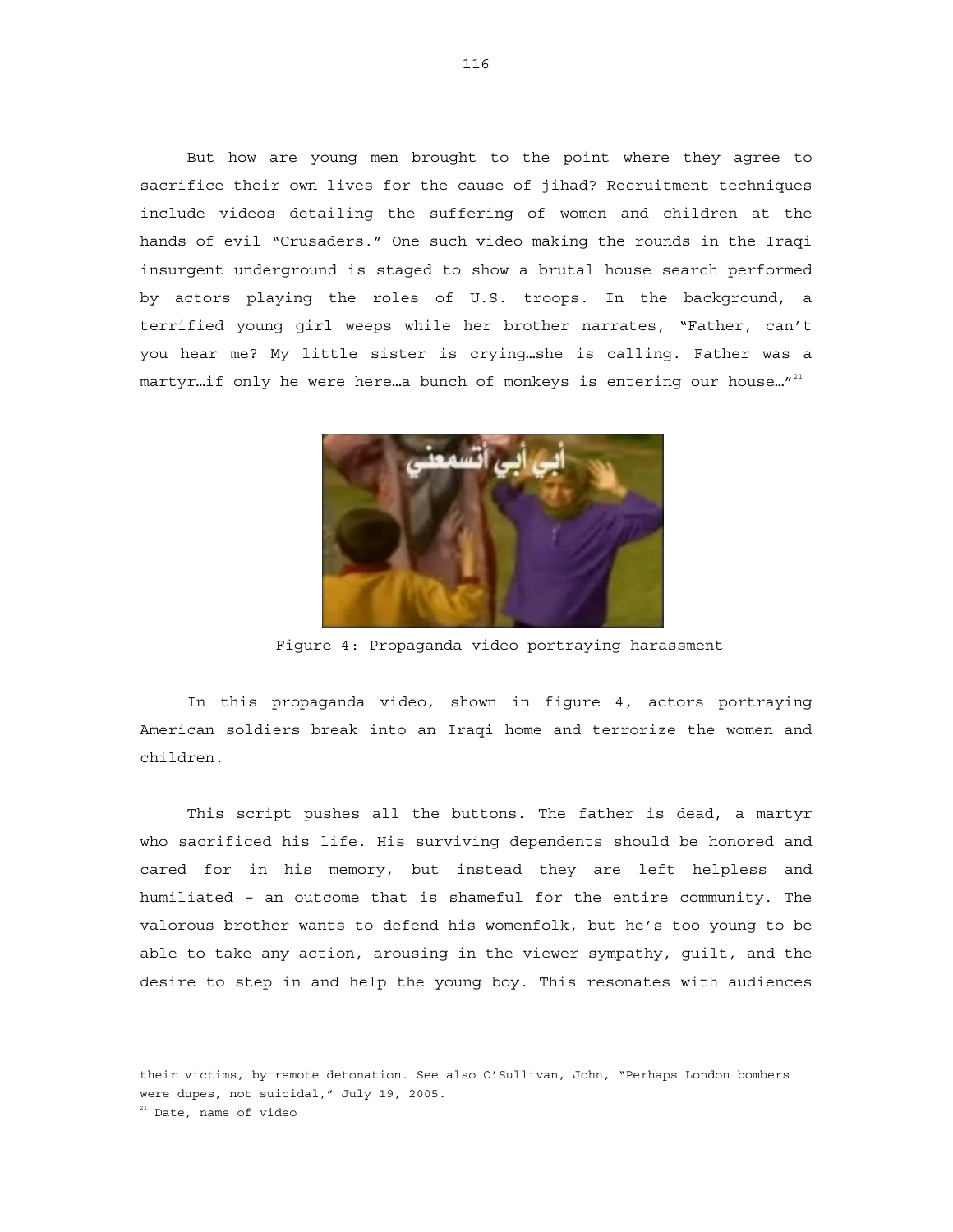But how are young men brought to the point where they agree to sacrifice their own lives for the cause of jihad? Recruitment techniques include videos detailing the suffering of women and children at the hands of evil "Crusaders." One such video making the rounds in the Iraqi insurgent underground is staged to show a brutal house search performed by actors playing the roles of U.S. troops. In the background, a terrified young girl weeps while her brother narrates, "Father, can't you hear me? My little sister is crying…she is calling. Father was a martyr…if only he were here…a bunch of monkeys is entering our house… $''^{21}$ 



Figure 4: Propaganda video portraying harassment

In this propaganda video, shown in figure 4, actors portraying American soldiers break into an Iraqi home and terrorize the women and children.

This script pushes all the buttons. The father is dead, a martyr who sacrificed his life. His surviving dependents should be honored and cared for in his memory, but instead they are left helpless and humiliated – an outcome that is shameful for the entire community. The valorous brother wants to defend his womenfolk, but he's too young to be able to take any action, arousing in the viewer sympathy, guilt, and the desire to step in and help the young boy. This resonates with audiences

their victims, by remote detonation. See also O'Sullivan, John, "Perhaps London bombers were dupes, not suicidal," July 19, 2005.

<sup>21</sup> Date, name of video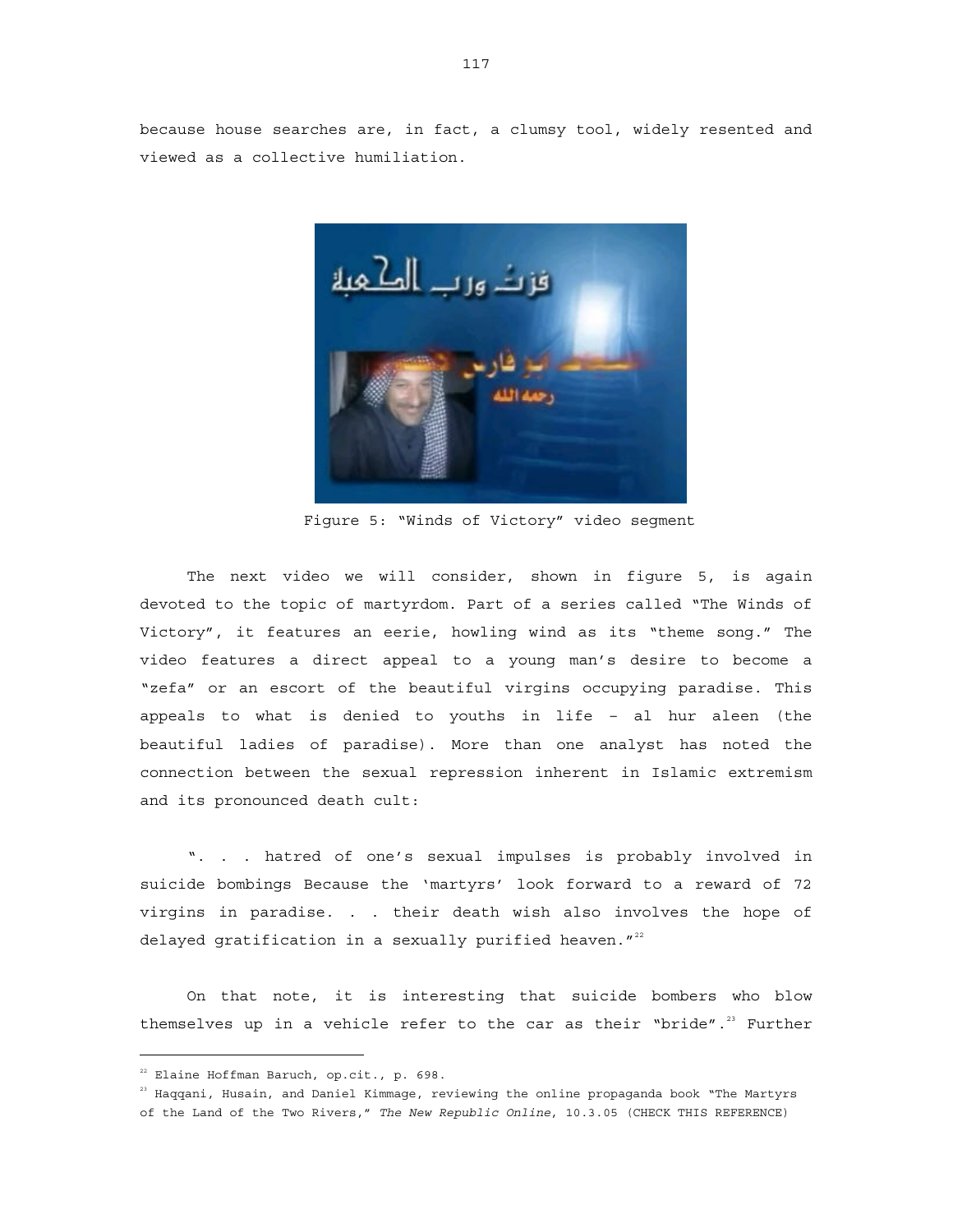because house searches are, in fact, a clumsy tool, widely resented and viewed as a collective humiliation.



Figure 5: "Winds of Victory" video segment

The next video we will consider, shown in figure 5, is again devoted to the topic of martyrdom. Part of a series called "The Winds of Victory", it features an eerie, howling wind as its "theme song." The video features a direct appeal to a young man's desire to become a "zefa" or an escort of the beautiful virgins occupying paradise. This appeals to what is denied to youths in life – al hur aleen (the beautiful ladies of paradise). More than one analyst has noted the connection between the sexual repression inherent in Islamic extremism and its pronounced death cult:

". . . hatred of one's sexual impulses is probably involved in suicide bombings Because the 'martyrs' look forward to a reward of 72 virgins in paradise. . . their death wish also involves the hope of delayed gratification in a sexually purified heaven. $12^{22}$ 

On that note, it is interesting that suicide bombers who blow themselves up in a vehicle refer to the car as their "bride".<sup>23</sup> Further

<sup>22</sup> Elaine Hoffman Baruch, op.cit., p. 698.

<sup>23</sup> Haqqani, Husain, and Daniel Kimmage, reviewing the online propaganda book "The Martyrs of the Land of the Two Rivers," *The New Republic Online*, 10.3.05 (CHECK THIS REFERENCE)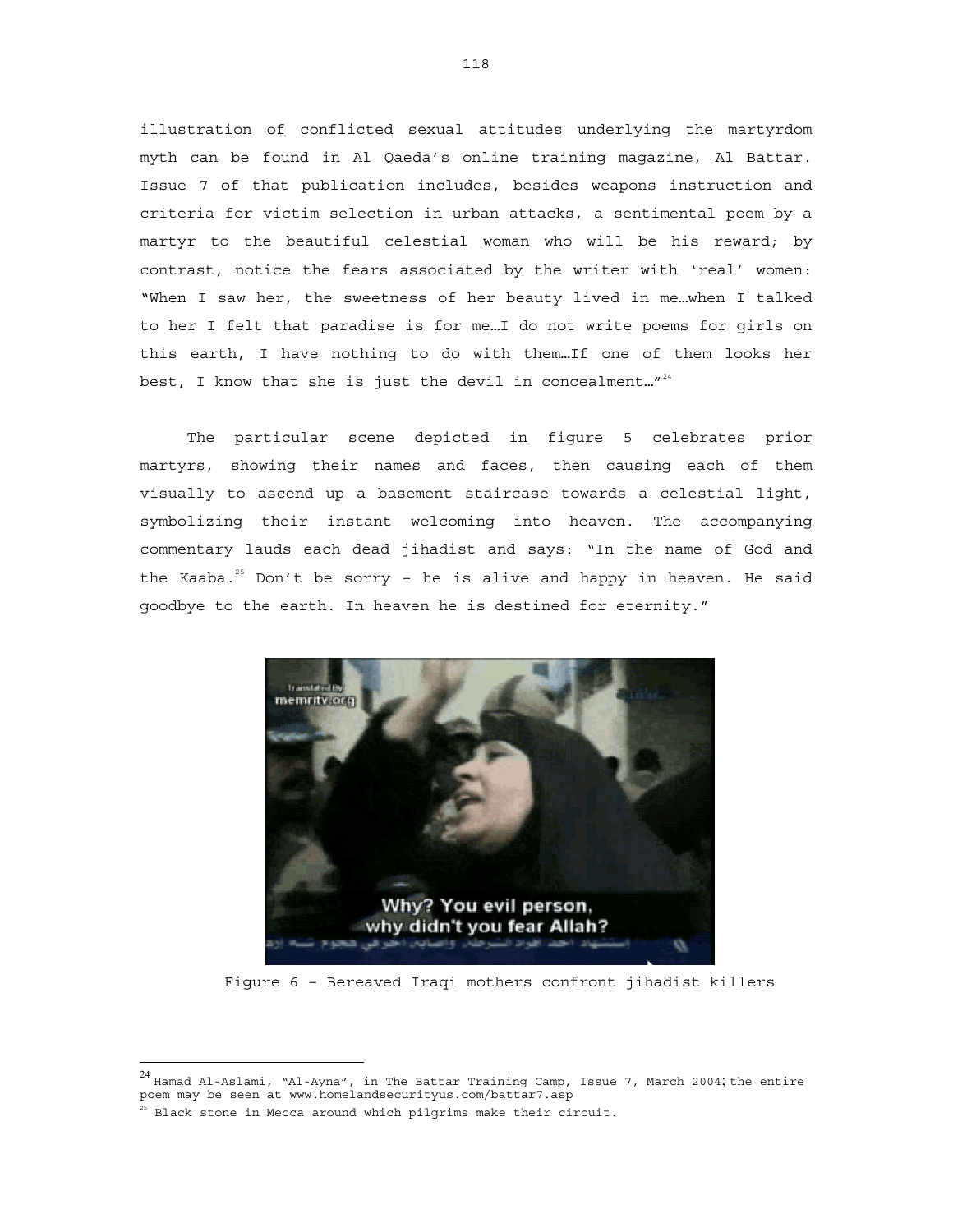illustration of conflicted sexual attitudes underlying the martyrdom myth can be found in Al Qaeda's online training magazine, Al Battar. Issue 7 of that publication includes, besides weapons instruction and criteria for victim selection in urban attacks, a sentimental poem by a martyr to the beautiful celestial woman who will be his reward; by contrast, notice the fears associated by the writer with 'real' women: "When I saw her, the sweetness of her beauty lived in me…when I talked to her I felt that paradise is for me…I do not write poems for girls on this earth, I have nothing to do with them…If one of them looks her best, I know that she is just the devil in concealment..."<sup>24</sup>

The particular scene depicted in figure 5 celebrates prior martyrs, showing their names and faces, then causing each of them visually to ascend up a basement staircase towards a celestial light, symbolizing their instant welcoming into heaven. The accompanying commentary lauds each dead jihadist and says: "In the name of God and the Kaaba.<sup>25</sup> Don't be sorry - he is alive and happy in heaven. He said goodbye to the earth. In heaven he is destined for eternity."



Figure 6 – Bereaved Iraqi mothers confront jihadist killers

 $^{24}$  Hamad Al-Aslami, "Al-Ayna", in The Battar Training Camp, Issue 7, March 2004; the entire poem may be seen at www.homelandsecurityus.com/battar7.asp

<sup>&</sup>lt;sup>5</sup> Black stone in Mecca around which pilgrims make their circuit.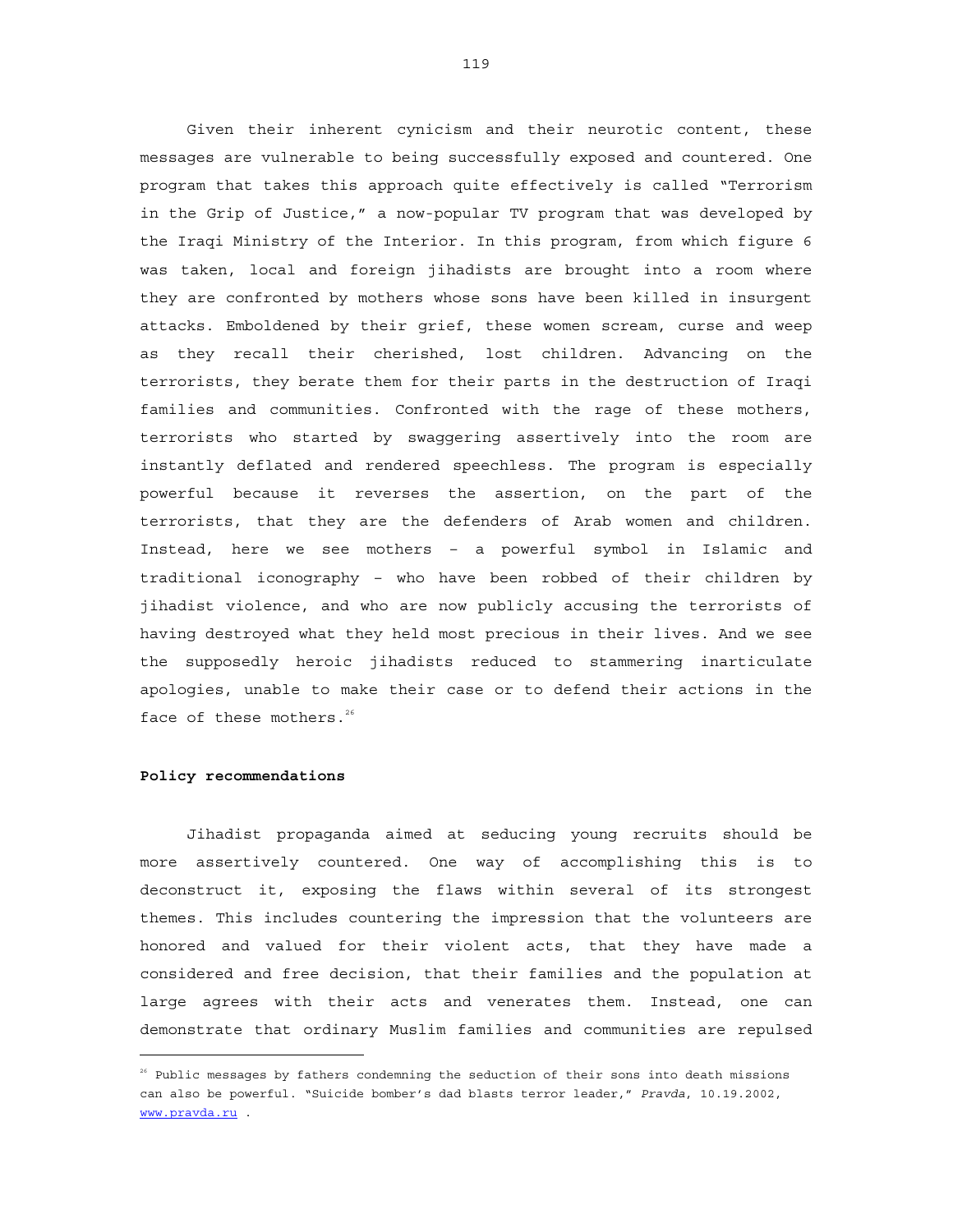Given their inherent cynicism and their neurotic content, these messages are vulnerable to being successfully exposed and countered. One program that takes this approach quite effectively is called "Terrorism in the Grip of Justice," a now-popular TV program that was developed by the Iraqi Ministry of the Interior. In this program, from which figure 6 was taken, local and foreign jihadists are brought into a room where they are confronted by mothers whose sons have been killed in insurgent attacks. Emboldened by their grief, these women scream, curse and weep as they recall their cherished, lost children. Advancing on the terrorists, they berate them for their parts in the destruction of Iraqi families and communities. Confronted with the rage of these mothers, terrorists who started by swaggering assertively into the room are instantly deflated and rendered speechless. The program is especially powerful because it reverses the assertion, on the part of the terrorists, that they are the defenders of Arab women and children. Instead, here we see mothers – a powerful symbol in Islamic and traditional iconography – who have been robbed of their children by jihadist violence, and who are now publicly accusing the terrorists of having destroyed what they held most precious in their lives. And we see the supposedly heroic jihadists reduced to stammering inarticulate apologies, unable to make their case or to defend their actions in the face of these mothers.<sup>26</sup>

## **Policy recommendations**

Jihadist propaganda aimed at seducing young recruits should be more assertively countered. One way of accomplishing this is to deconstruct it, exposing the flaws within several of its strongest themes. This includes countering the impression that the volunteers are honored and valued for their violent acts, that they have made a considered and free decision, that their families and the population at large agrees with their acts and venerates them. Instead, one can demonstrate that ordinary Muslim families and communities are repulsed

<sup>&</sup>lt;sup>26</sup> Public messages by fathers condemning the seduction of their sons into death missions can also be powerful. "Suicide bomber's dad blasts terror leader," *Pravda*, 10.19.2002, www.pravda.ru .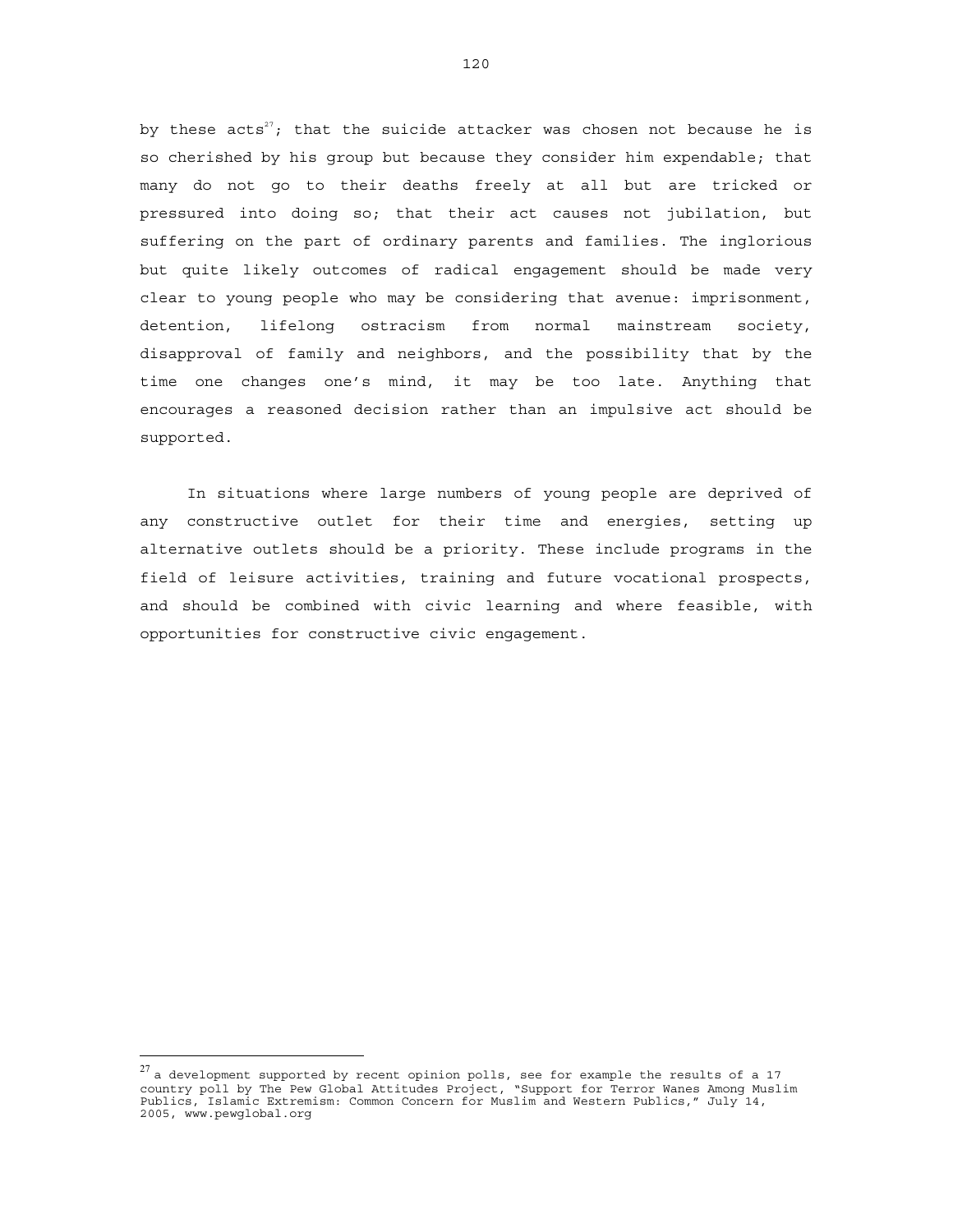by these acts<sup>27</sup>; that the suicide attacker was chosen not because he is so cherished by his group but because they consider him expendable; that many do not go to their deaths freely at all but are tricked or pressured into doing so; that their act causes not jubilation, but suffering on the part of ordinary parents and families. The inglorious but quite likely outcomes of radical engagement should be made very clear to young people who may be considering that avenue: imprisonment, detention, lifelong ostracism from normal mainstream society, disapproval of family and neighbors, and the possibility that by the time one changes one's mind, it may be too late. Anything that encourages a reasoned decision rather than an impulsive act should be supported.

In situations where large numbers of young people are deprived of any constructive outlet for their time and energies, setting up alternative outlets should be a priority. These include programs in the field of leisure activities, training and future vocational prospects, and should be combined with civic learning and where feasible, with opportunities for constructive civic engagement.

 $^{27}$  a development supported by recent opinion polls, see for example the results of a 17 country poll by The Pew Global Attitudes Project, "Support for Terror Wanes Among Muslim Publics, Islamic Extremism: Common Concern for Muslim and Western Publics," July 14, 2005, www.pewglobal.org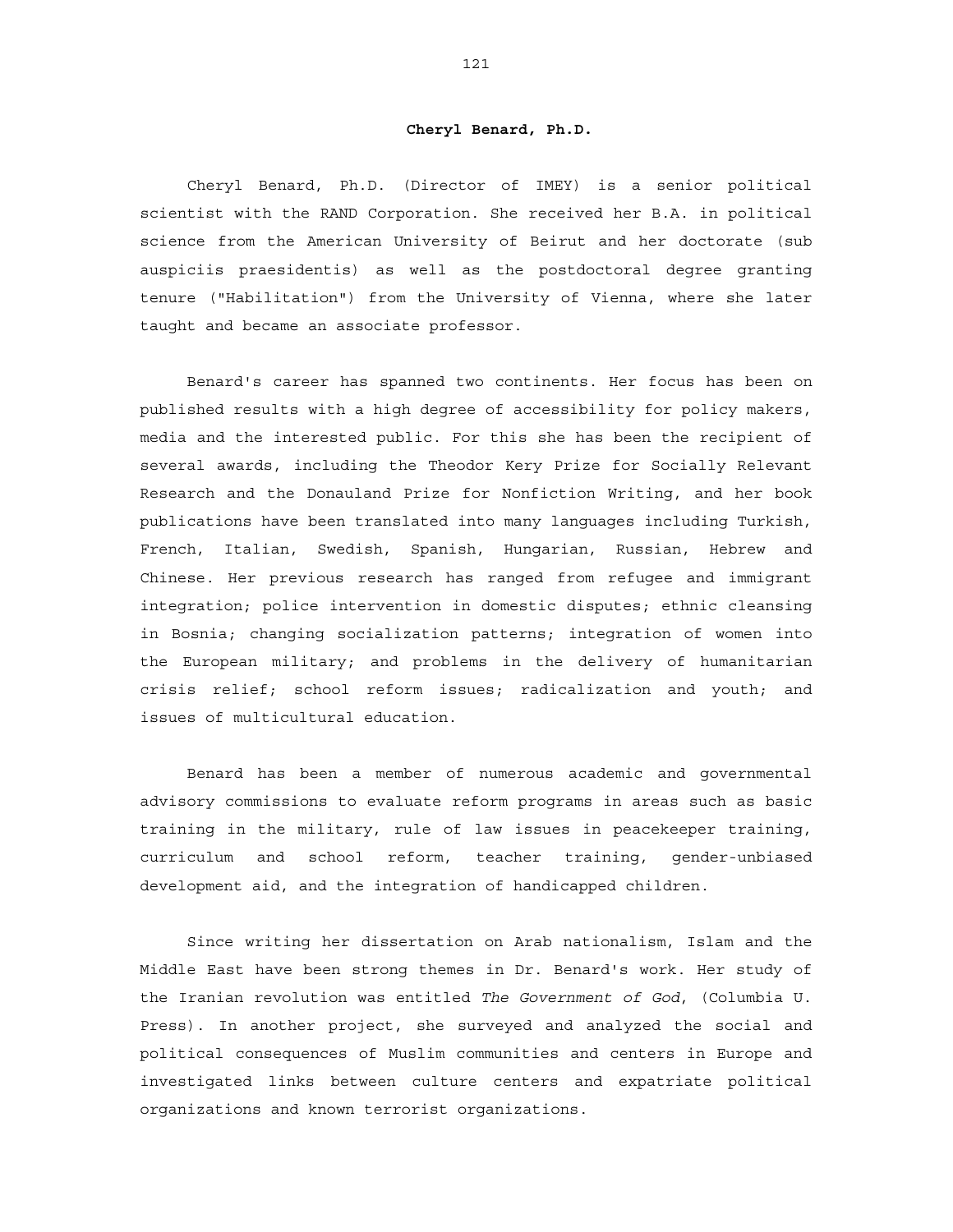# **Cheryl Benard, Ph.D.**

Cheryl Benard, Ph.D. (Director of IMEY) is a senior political scientist with the RAND Corporation. She received her B.A. in political science from the American University of Beirut and her doctorate (sub auspiciis praesidentis) as well as the postdoctoral degree granting tenure ("Habilitation") from the University of Vienna, where she later taught and became an associate professor.

Benard's career has spanned two continents. Her focus has been on published results with a high degree of accessibility for policy makers, media and the interested public. For this she has been the recipient of several awards, including the Theodor Kery Prize for Socially Relevant Research and the Donauland Prize for Nonfiction Writing, and her book publications have been translated into many languages including Turkish, French, Italian, Swedish, Spanish, Hungarian, Russian, Hebrew and Chinese. Her previous research has ranged from refugee and immigrant integration; police intervention in domestic disputes; ethnic cleansing in Bosnia; changing socialization patterns; integration of women into the European military; and problems in the delivery of humanitarian crisis relief; school reform issues; radicalization and youth; and issues of multicultural education.

Benard has been a member of numerous academic and governmental advisory commissions to evaluate reform programs in areas such as basic training in the military, rule of law issues in peacekeeper training, curriculum and school reform, teacher training, gender-unbiased development aid, and the integration of handicapped children.

Since writing her dissertation on Arab nationalism, Islam and the Middle East have been strong themes in Dr. Benard's work. Her study of the Iranian revolution was entitled *The Government of God*, (Columbia U. Press). In another project, she surveyed and analyzed the social and political consequences of Muslim communities and centers in Europe and investigated links between culture centers and expatriate political organizations and known terrorist organizations.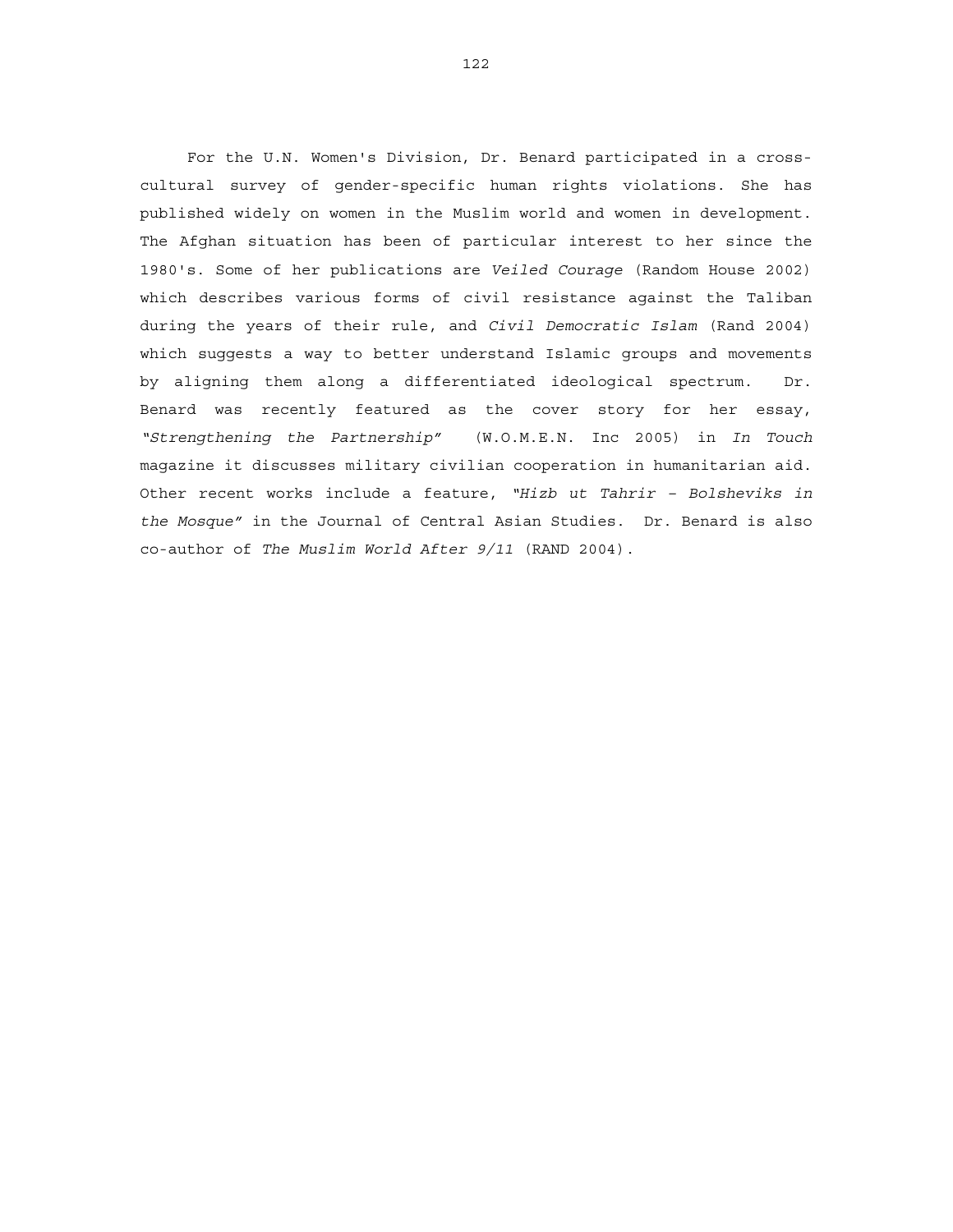For the U.N. Women's Division, Dr. Benard participated in a crosscultural survey of gender-specific human rights violations. She has published widely on women in the Muslim world and women in development. The Afghan situation has been of particular interest to her since the 1980's. Some of her publications are *Veiled Courage* (Random House 2002) which describes various forms of civil resistance against the Taliban during the years of their rule, and *Civil Democratic Islam* (Rand 2004) which suggests a way to better understand Islamic groups and movements by aligning them along a differentiated ideological spectrum. Dr. Benard was recently featured as the cover story for her essay, *"Strengthening the Partnership"* (W.O.M.E.N. Inc 2005) in *In Touch* magazine it discusses military civilian cooperation in humanitarian aid. Other recent works include a feature, *"Hizb ut Tahrir – Bolsheviks in the Mosque"* in the Journal of Central Asian Studies. Dr. Benard is also co-author of *The Muslim World After 9/11* (RAND 2004).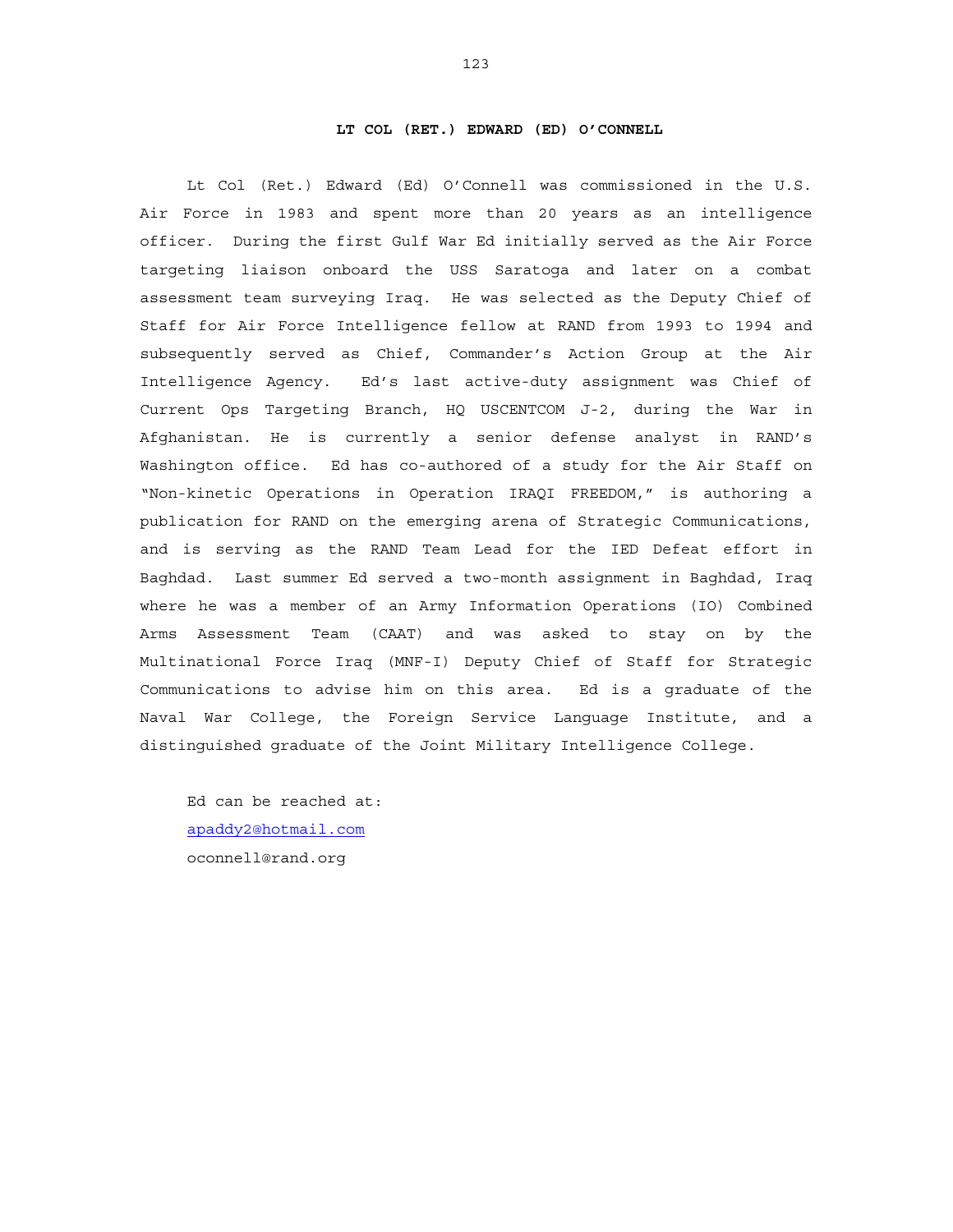# **LT COL (RET.) EDWARD (ED) O'CONNELL**

Lt Col (Ret.) Edward (Ed) O'Connell was commissioned in the U.S. Air Force in 1983 and spent more than 20 years as an intelligence officer. During the first Gulf War Ed initially served as the Air Force targeting liaison onboard the USS Saratoga and later on a combat assessment team surveying Iraq. He was selected as the Deputy Chief of Staff for Air Force Intelligence fellow at RAND from 1993 to 1994 and subsequently served as Chief, Commander's Action Group at the Air Intelligence Agency. Ed's last active-duty assignment was Chief of Current Ops Targeting Branch, HQ USCENTCOM J-2, during the War in Afghanistan. He is currently a senior defense analyst in RAND's Washington office. Ed has co-authored of a study for the Air Staff on "Non-kinetic Operations in Operation IRAQI FREEDOM," is authoring a publication for RAND on the emerging arena of Strategic Communications, and is serving as the RAND Team Lead for the IED Defeat effort in Baghdad. Last summer Ed served a two-month assignment in Baghdad, Iraq where he was a member of an Army Information Operations (IO) Combined Arms Assessment Team (CAAT) and was asked to stay on by the Multinational Force Iraq (MNF-I) Deputy Chief of Staff for Strategic Communications to advise him on this area. Ed is a graduate of the Naval War College, the Foreign Service Language Institute, and a distinguished graduate of the Joint Military Intelligence College.

Ed can be reached at: apaddy2@hotmail.com oconnell@rand.org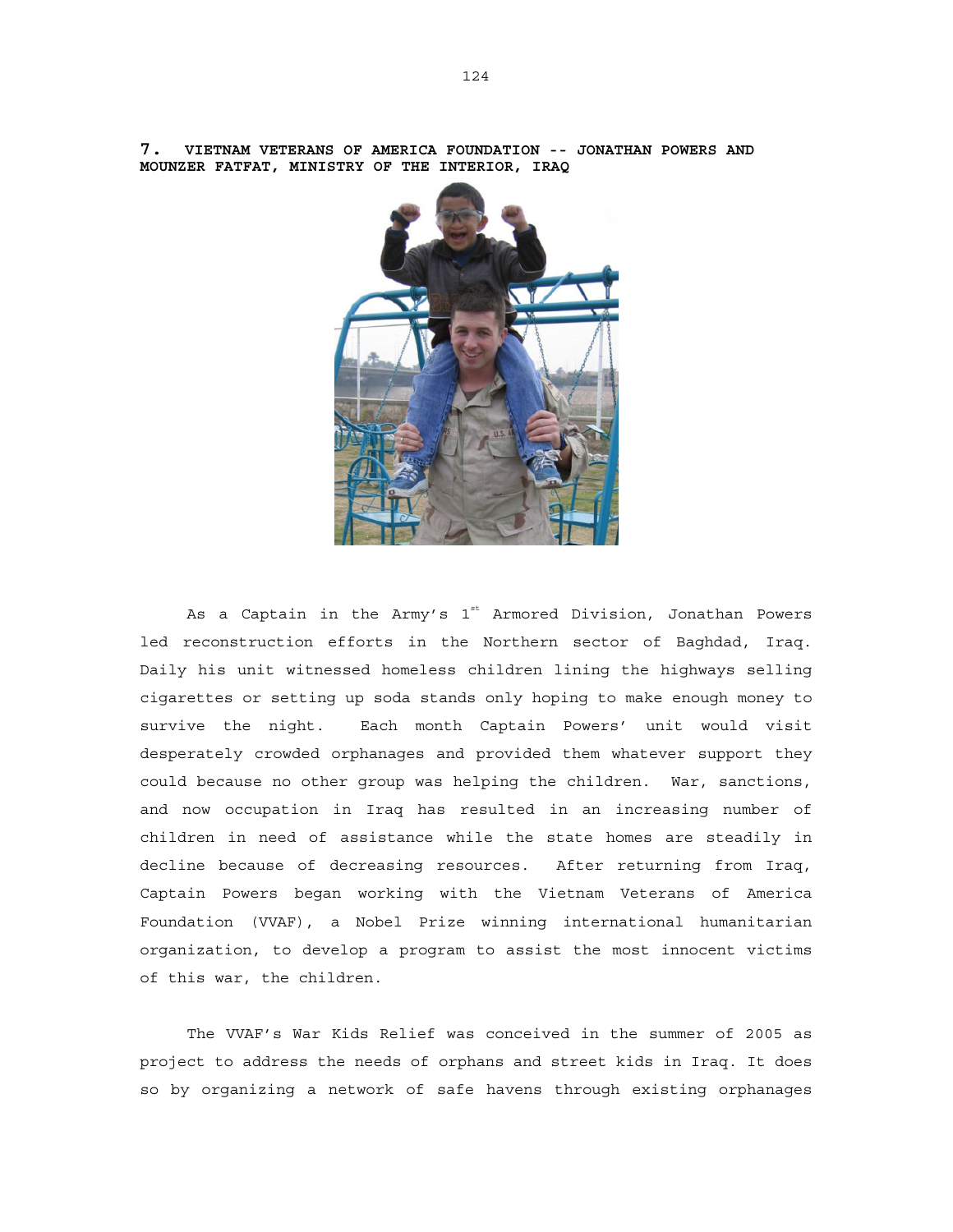

**7. VIETNAM VETERANS OF AMERICA FOUNDATION -- JONATHAN POWERS AND MOUNZER FATFAT, MINISTRY OF THE INTERIOR, IRAQ** 

As a Captain in the Army's  $1<sup>st</sup>$  Armored Division, Jonathan Powers led reconstruction efforts in the Northern sector of Baghdad, Iraq. Daily his unit witnessed homeless children lining the highways selling cigarettes or setting up soda stands only hoping to make enough money to survive the night. Each month Captain Powers' unit would visit desperately crowded orphanages and provided them whatever support they could because no other group was helping the children. War, sanctions, and now occupation in Iraq has resulted in an increasing number of children in need of assistance while the state homes are steadily in decline because of decreasing resources. After returning from Iraq, Captain Powers began working with the Vietnam Veterans of America Foundation (VVAF), a Nobel Prize winning international humanitarian organization, to develop a program to assist the most innocent victims of this war, the children.

The VVAF's War Kids Relief was conceived in the summer of 2005 as project to address the needs of orphans and street kids in Iraq. It does so by organizing a network of safe havens through existing orphanages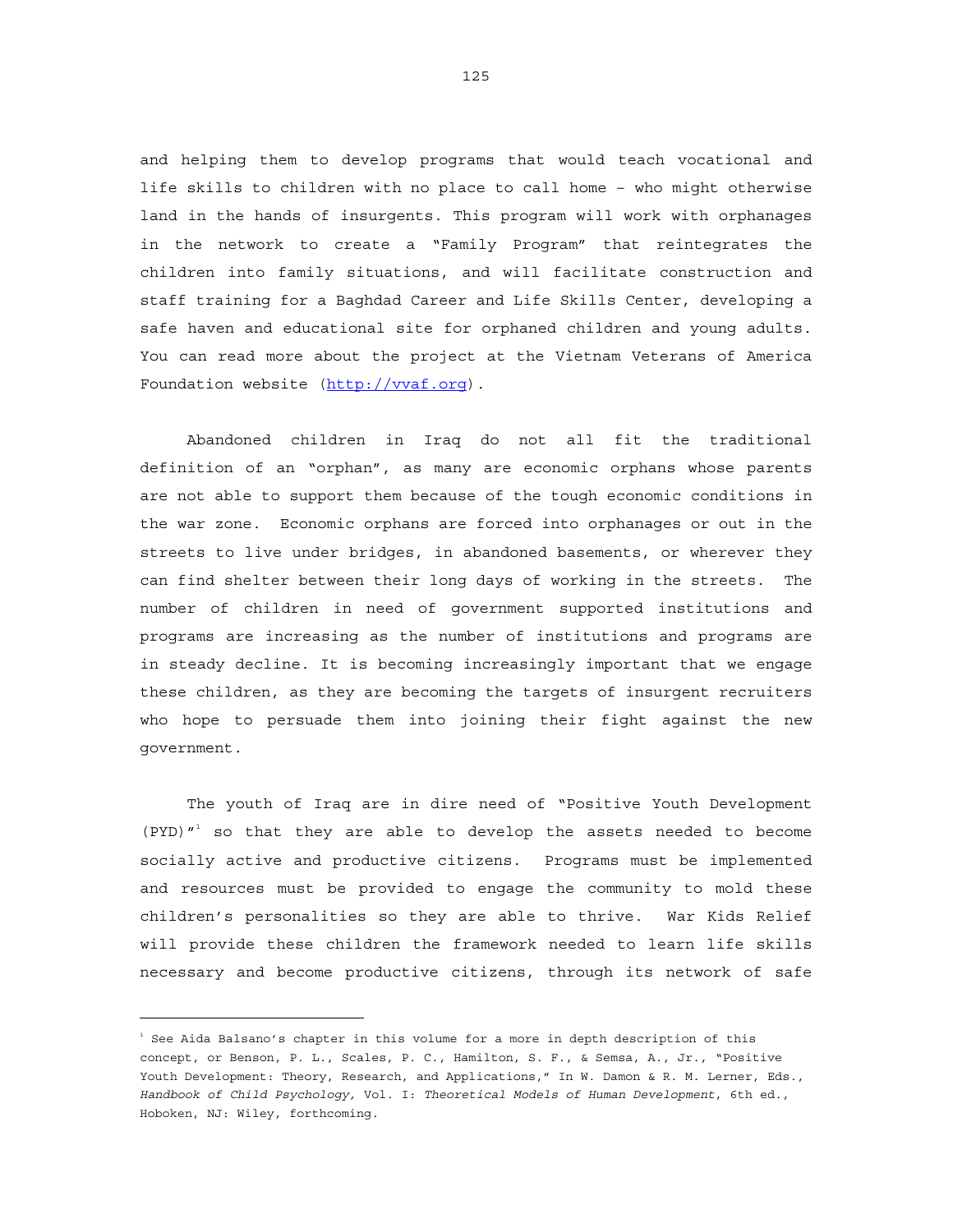and helping them to develop programs that would teach vocational and life skills to children with no place to call home – who might otherwise land in the hands of insurgents. This program will work with orphanages in the network to create a "Family Program" that reintegrates the children into family situations, and will facilitate construction and staff training for a Baghdad Career and Life Skills Center, developing a safe haven and educational site for orphaned children and young adults. You can read more about the project at the Vietnam Veterans of America Foundation website (http://vvaf.org).

Abandoned children in Iraq do not all fit the traditional definition of an "orphan", as many are economic orphans whose parents are not able to support them because of the tough economic conditions in the war zone. Economic orphans are forced into orphanages or out in the streets to live under bridges, in abandoned basements, or wherever they can find shelter between their long days of working in the streets. The number of children in need of government supported institutions and programs are increasing as the number of institutions and programs are in steady decline. It is becoming increasingly important that we engage these children, as they are becoming the targets of insurgent recruiters who hope to persuade them into joining their fight against the new government.

The youth of Iraq are in dire need of "Positive Youth Development  $(PPID)$ " so that they are able to develop the assets needed to become socially active and productive citizens. Programs must be implemented and resources must be provided to engage the community to mold these children's personalities so they are able to thrive. War Kids Relief will provide these children the framework needed to learn life skills necessary and become productive citizens, through its network of safe

 $^1$  See Aida Balsano's chapter in this volume for a more in depth description of this concept, or Benson, P. L., Scales, P. C., Hamilton, S. F., & Semsa, A., Jr., "Positive Youth Development: Theory, Research, and Applications," In W. Damon & R. M. Lerner, Eds., *Handbook of Child Psychology,* Vol. I: *Theoretical Models of Human Development*, 6th ed., Hoboken, NJ: Wiley, forthcoming.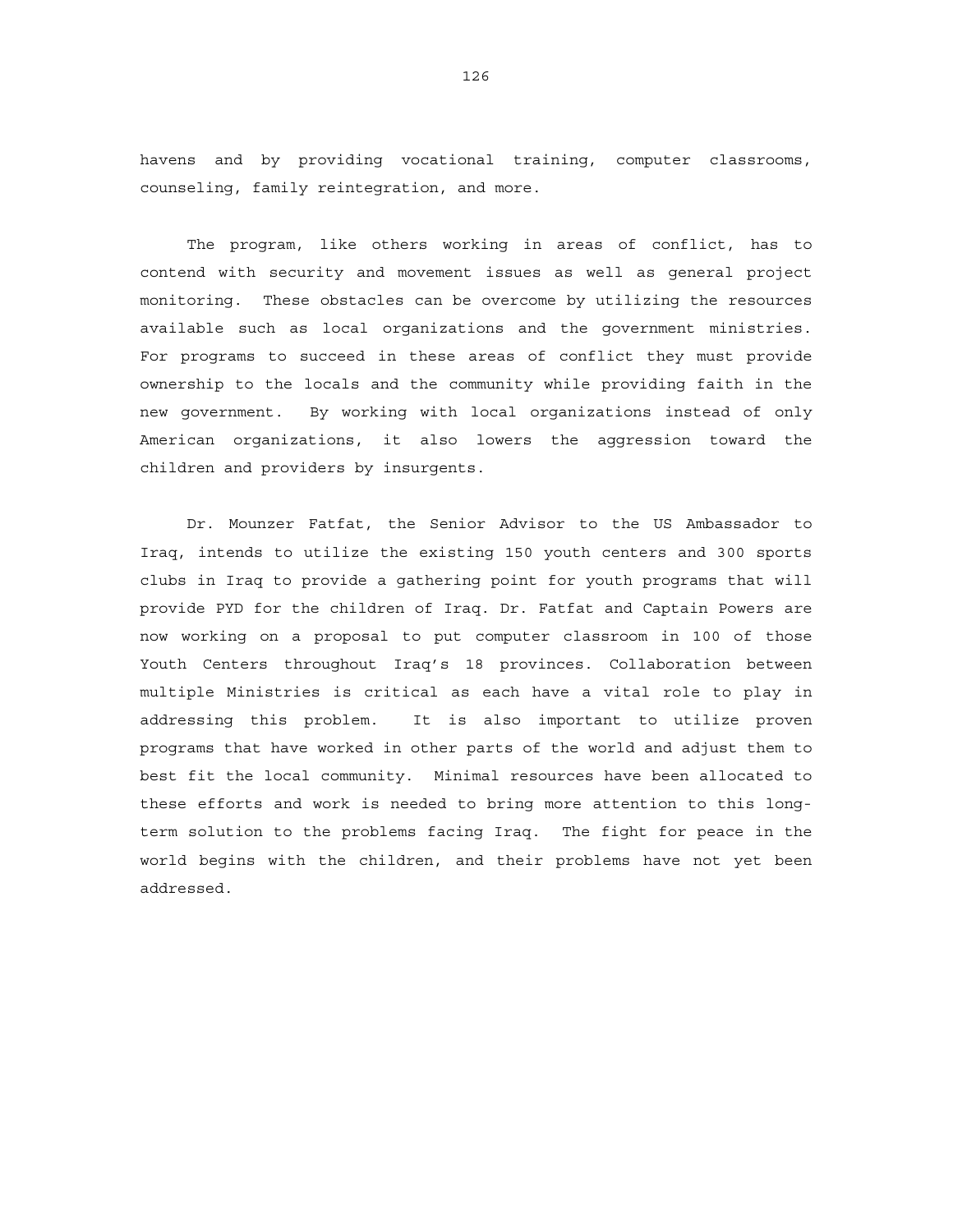havens and by providing vocational training, computer classrooms, counseling, family reintegration, and more.

The program, like others working in areas of conflict, has to contend with security and movement issues as well as general project monitoring. These obstacles can be overcome by utilizing the resources available such as local organizations and the government ministries. For programs to succeed in these areas of conflict they must provide ownership to the locals and the community while providing faith in the new government. By working with local organizations instead of only American organizations, it also lowers the aggression toward the children and providers by insurgents.

Dr. Mounzer Fatfat, the Senior Advisor to the US Ambassador to Iraq, intends to utilize the existing 150 youth centers and 300 sports clubs in Iraq to provide a gathering point for youth programs that will provide PYD for the children of Iraq. Dr. Fatfat and Captain Powers are now working on a proposal to put computer classroom in 100 of those Youth Centers throughout Iraq's 18 provinces. Collaboration between multiple Ministries is critical as each have a vital role to play in addressing this problem. It is also important to utilize proven programs that have worked in other parts of the world and adjust them to best fit the local community. Minimal resources have been allocated to these efforts and work is needed to bring more attention to this longterm solution to the problems facing Iraq. The fight for peace in the world begins with the children, and their problems have not yet been addressed.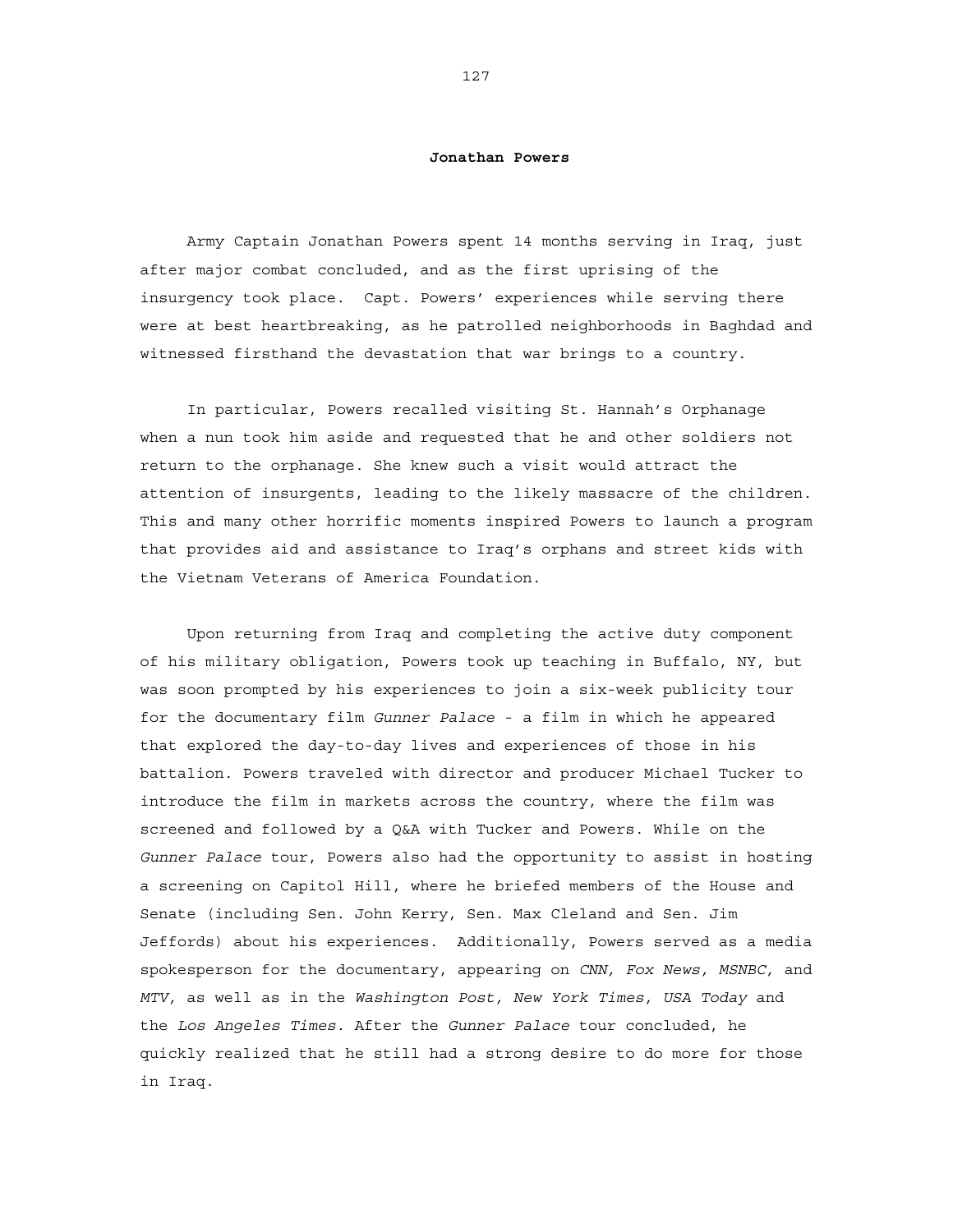### **Jonathan Powers**

Army Captain Jonathan Powers spent 14 months serving in Iraq, just after major combat concluded, and as the first uprising of the insurgency took place. Capt. Powers' experiences while serving there were at best heartbreaking, as he patrolled neighborhoods in Baghdad and witnessed firsthand the devastation that war brings to a country.

In particular, Powers recalled visiting St. Hannah's Orphanage when a nun took him aside and requested that he and other soldiers not return to the orphanage. She knew such a visit would attract the attention of insurgents, leading to the likely massacre of the children. This and many other horrific moments inspired Powers to launch a program that provides aid and assistance to Iraq's orphans and street kids with the Vietnam Veterans of America Foundation.

Upon returning from Iraq and completing the active duty component of his military obligation, Powers took up teaching in Buffalo, NY, but was soon prompted by his experiences to join a six-week publicity tour for the documentary film *Gunner Palace* - a film in which he appeared that explored the day-to-day lives and experiences of those in his battalion. Powers traveled with director and producer Michael Tucker to introduce the film in markets across the country, where the film was screened and followed by a Q&A with Tucker and Powers. While on the *Gunner Palace* tour, Powers also had the opportunity to assist in hosting a screening on Capitol Hill, where he briefed members of the House and Senate (including Sen. John Kerry, Sen. Max Cleland and Sen. Jim Jeffords) about his experiences. Additionally, Powers served as a media spokesperson for the documentary, appearing on *CNN, Fox News, MSNBC,* and *MTV,* as well as in the *Washington Post, New York Times, USA Today* and the *Los Angeles Times.* After the *Gunner Palace* tour concluded, he quickly realized that he still had a strong desire to do more for those in Iraq.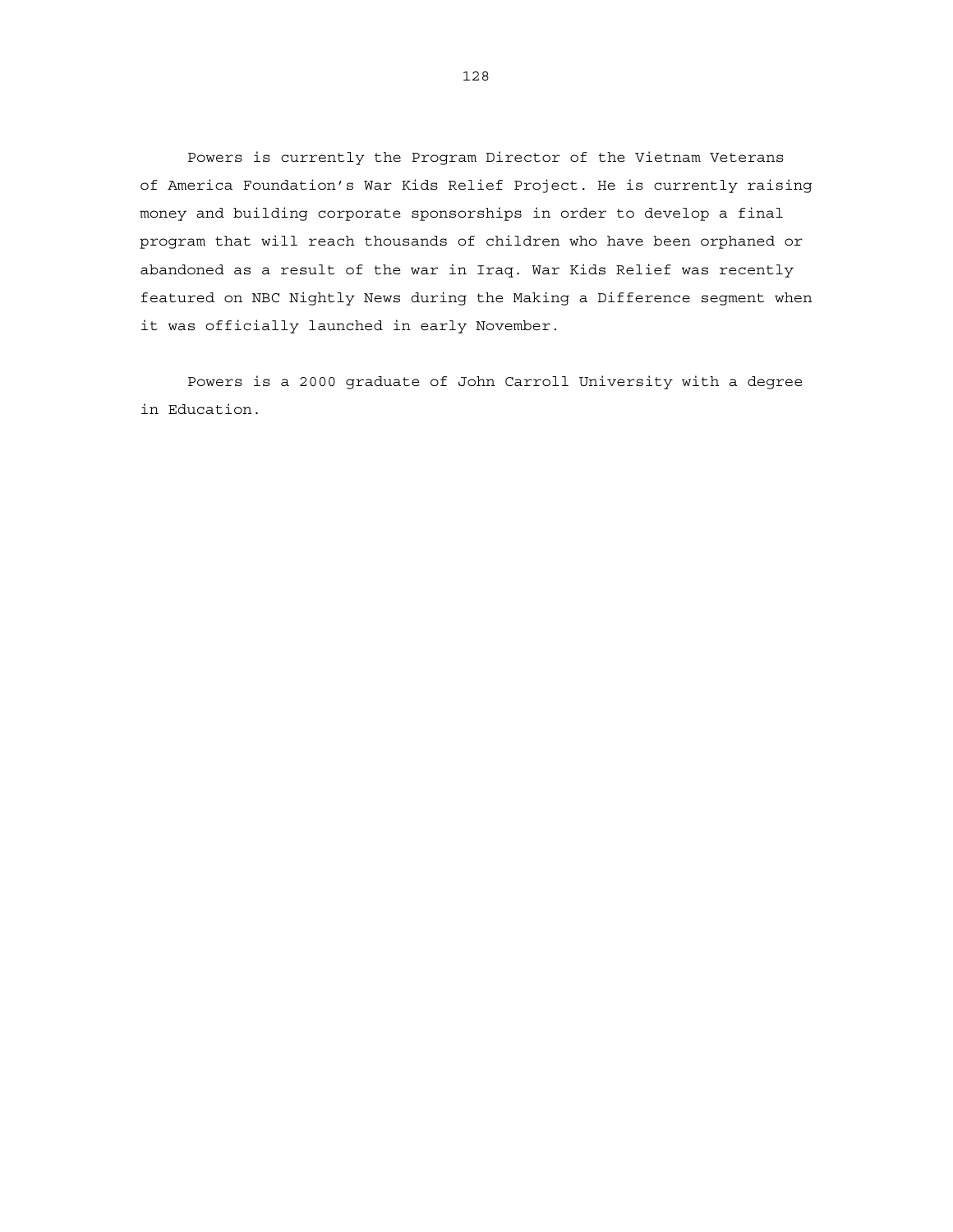Powers is currently the Program Director of the Vietnam Veterans of America Foundation's War Kids Relief Project. He is currently raising money and building corporate sponsorships in order to develop a final program that will reach thousands of children who have been orphaned or abandoned as a result of the war in Iraq. War Kids Relief was recently featured on NBC Nightly News during the Making a Difference segment when it was officially launched in early November.

Powers is a 2000 graduate of John Carroll University with a degree in Education.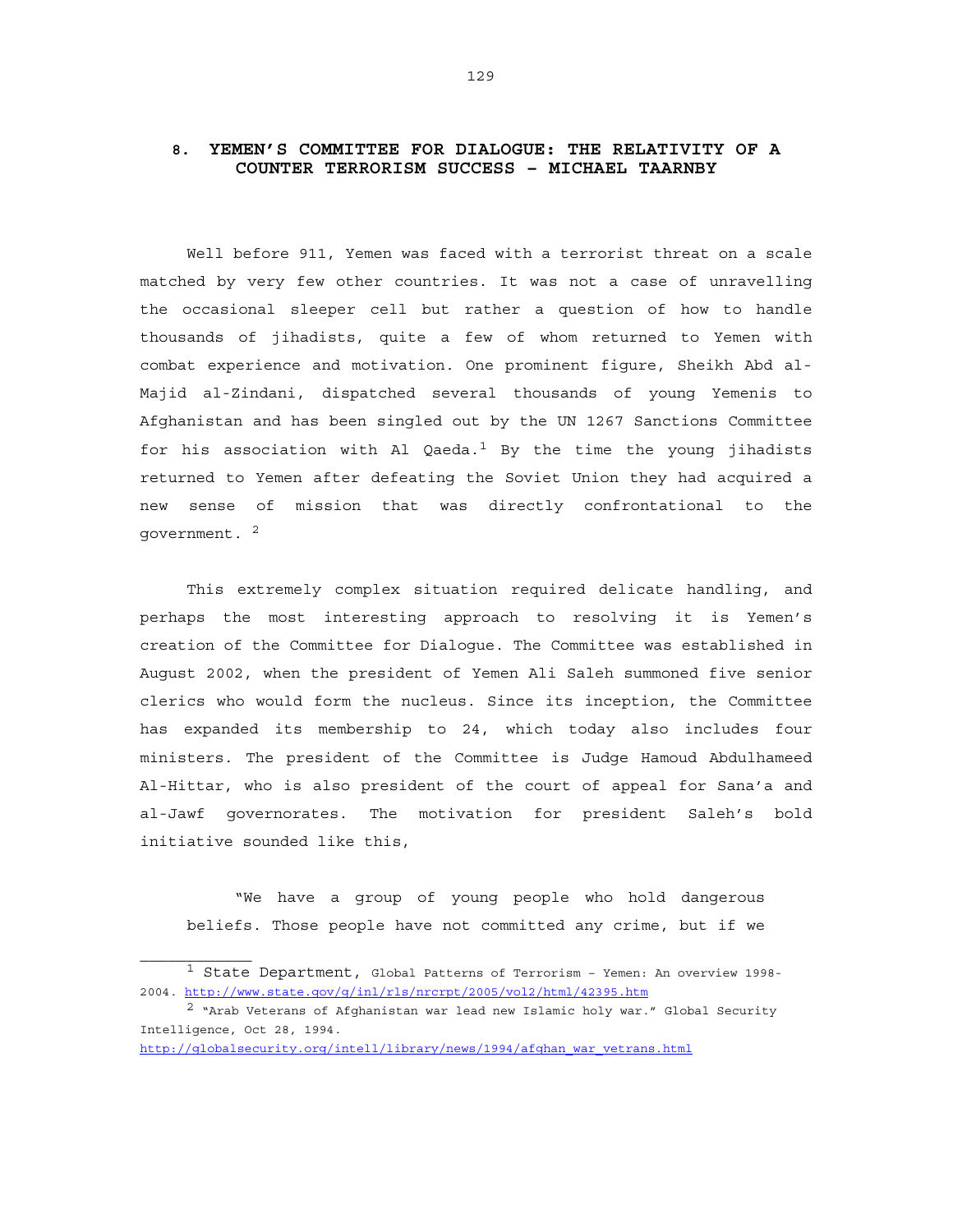# **8. YEMEN'S COMMITTEE FOR DIALOGUE: THE RELATIVITY OF A COUNTER TERRORISM SUCCESS – MICHAEL TAARNBY**

Well before 911, Yemen was faced with a terrorist threat on a scale matched by very few other countries. It was not a case of unravelling the occasional sleeper cell but rather a question of how to handle thousands of jihadists, quite a few of whom returned to Yemen with combat experience and motivation. One prominent figure, Sheikh Abd al-Majid al-Zindani, dispatched several thousands of young Yemenis to Afghanistan and has been singled out by the UN 1267 Sanctions Committee for his association with Al Qaeda.<sup>1</sup> By the time the young jihadists returned to Yemen after defeating the Soviet Union they had acquired a new sense of mission that was directly confrontational to the government. 2

This extremely complex situation required delicate handling, and perhaps the most interesting approach to resolving it is Yemen's creation of the Committee for Dialogue. The Committee was established in August 2002, when the president of Yemen Ali Saleh summoned five senior clerics who would form the nucleus. Since its inception, the Committee has expanded its membership to 24, which today also includes four ministers. The president of the Committee is Judge Hamoud Abdulhameed Al-Hittar, who is also president of the court of appeal for Sana'a and al-Jawf governorates. The motivation for president Saleh's bold initiative sounded like this,

"We have a group of young people who hold dangerous beliefs. Those people have not committed any crime, but if we

http://globalsecurity.org/intell/library/news/1994/afghan\_war\_vetrans.html

 $\mathcal{L}_\text{max}$ 

<sup>1</sup> State Department, Global Patterns of Terrorism – Yemen: An overview 1998- 2004. http://www.state.gov/g/inl/rls/nrcrpt/2005/vol2/html/42395.htm

 $2$  "Arab Veterans of Afghanistan war lead new Islamic holy war." Global Security Intelligence, Oct 28, 1994.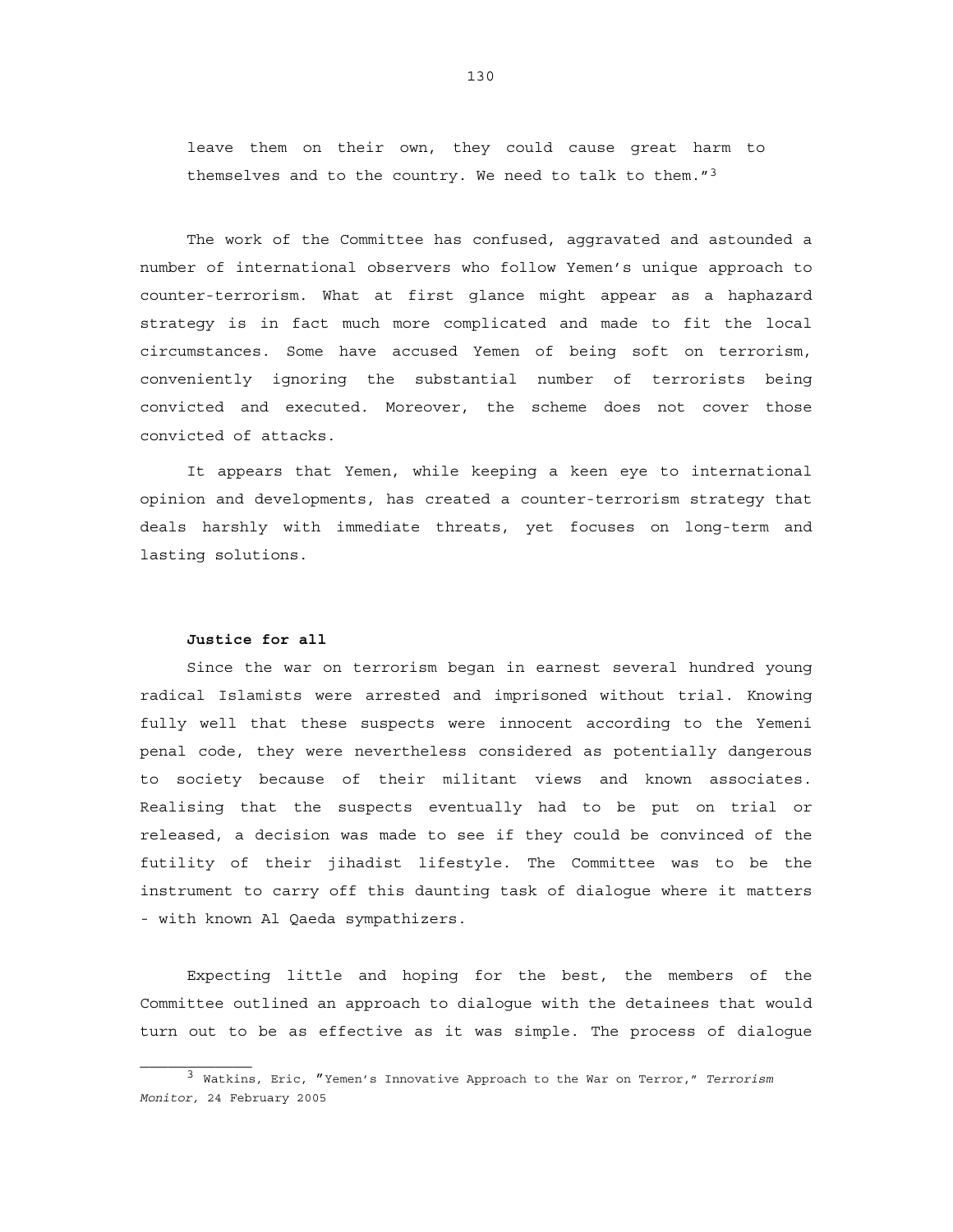leave them on their own, they could cause great harm to themselves and to the country. We need to talk to them."3

The work of the Committee has confused, aggravated and astounded a number of international observers who follow Yemen's unique approach to counter-terrorism. What at first glance might appear as a haphazard strategy is in fact much more complicated and made to fit the local circumstances. Some have accused Yemen of being soft on terrorism, conveniently ignoring the substantial number of terrorists being convicted and executed. Moreover, the scheme does not cover those convicted of attacks.

It appears that Yemen, while keeping a keen eye to international opinion and developments, has created a counter-terrorism strategy that deals harshly with immediate threats, yet focuses on long-term and lasting solutions.

### **Justice for all**

 $\mathcal{L}_\text{max}$ 

Since the war on terrorism began in earnest several hundred young radical Islamists were arrested and imprisoned without trial. Knowing fully well that these suspects were innocent according to the Yemeni penal code, they were nevertheless considered as potentially dangerous to society because of their militant views and known associates. Realising that the suspects eventually had to be put on trial or released, a decision was made to see if they could be convinced of the futility of their jihadist lifestyle. The Committee was to be the instrument to carry off this daunting task of dialogue where it matters - with known Al Qaeda sympathizers.

Expecting little and hoping for the best, the members of the Committee outlined an approach to dialogue with the detainees that would turn out to be as effective as it was simple. The process of dialogue

<sup>3</sup> Watkins, Eric, "Yemen's Innovative Approach to the War on Terror," *Terrorism Monitor,* 24 February 2005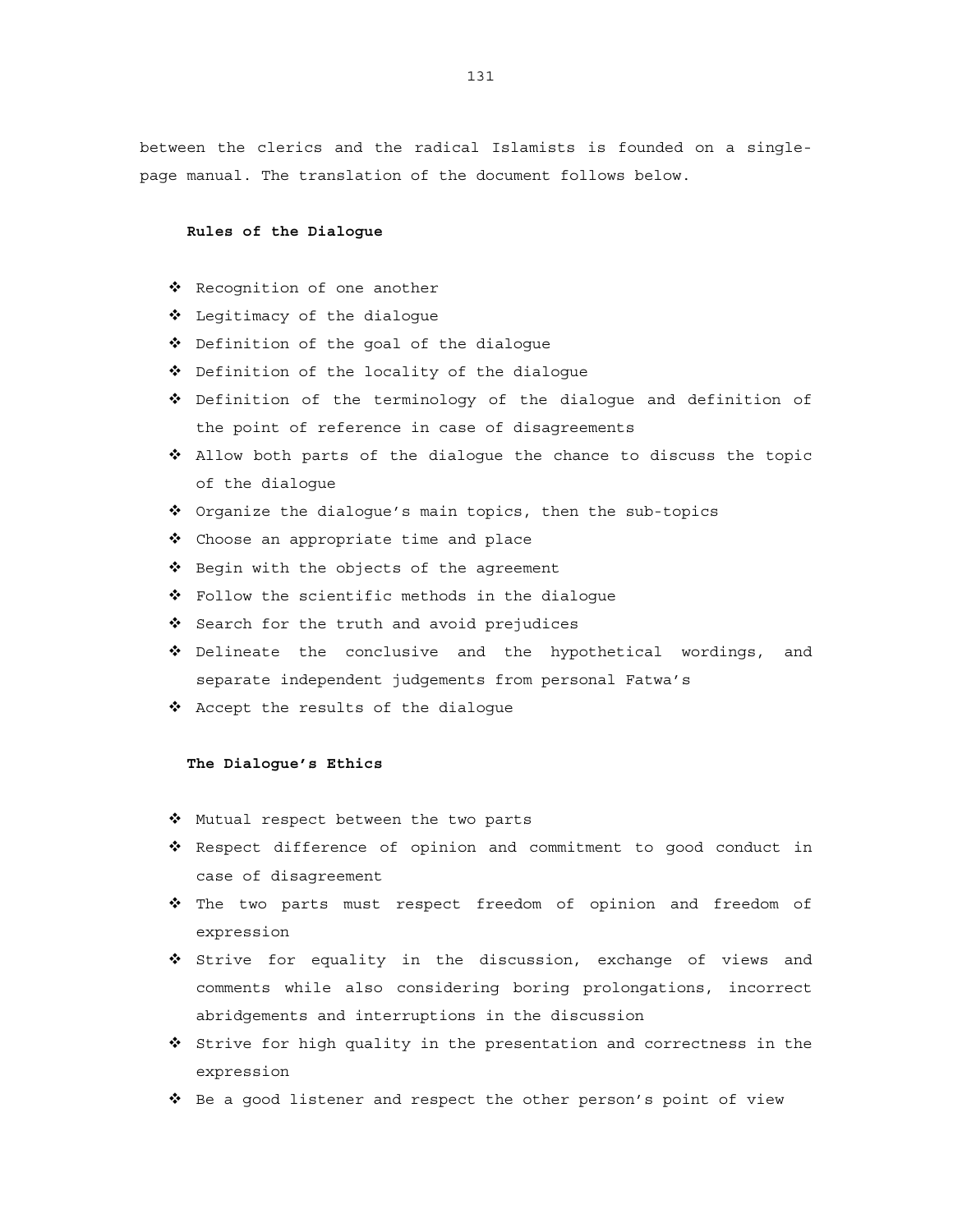between the clerics and the radical Islamists is founded on a singlepage manual. The translation of the document follows below.

### **Rules of the Dialogue**

- \* Recognition of one another
- Legitimacy of the dialogue
- Definition of the goal of the dialogue
- \* Definition of the locality of the dialogue
- Definition of the terminology of the dialogue and definition of the point of reference in case of disagreements
- Allow both parts of the dialogue the chance to discuss the topic of the dialogue
- Organize the dialogue's main topics, then the sub-topics
- \* Choose an appropriate time and place
- \* Begin with the objects of the agreement
- Follow the scientific methods in the dialogue
- \* Search for the truth and avoid prejudices
- Delineate the conclusive and the hypothetical wordings, and separate independent judgements from personal Fatwa's
- \* Accept the results of the dialogue

#### **The Dialogue's Ethics**

- \* Mutual respect between the two parts
- Respect difference of opinion and commitment to good conduct in case of disagreement
- The two parts must respect freedom of opinion and freedom of expression
- \* Strive for equality in the discussion, exchange of views and comments while also considering boring prolongations, incorrect abridgements and interruptions in the discussion
- Strive for high quality in the presentation and correctness in the expression
- $\hat{\mathbf{v}}$  Be a good listener and respect the other person's point of view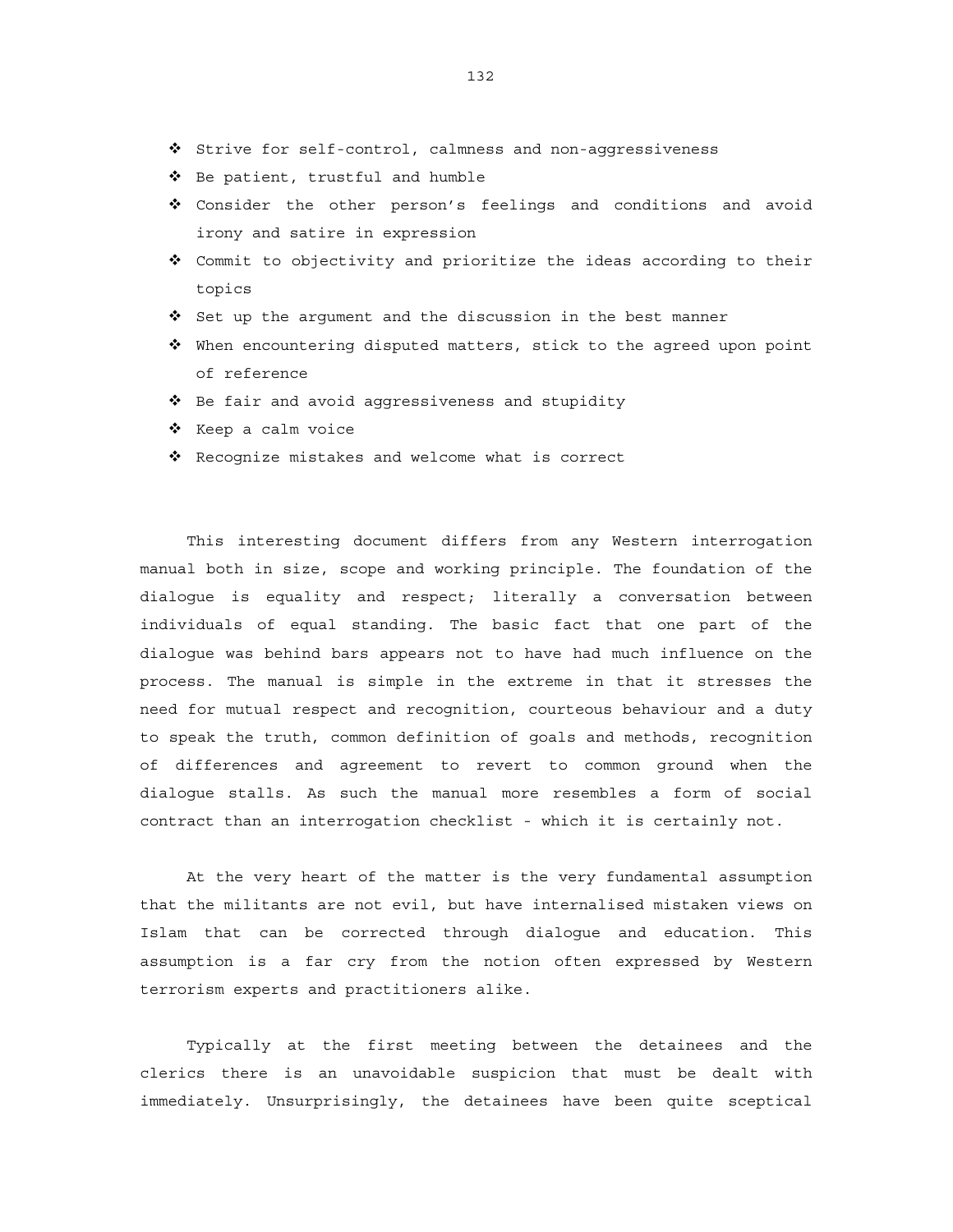- Strive for self-control, calmness and non-aggressiveness
- \* Be patient, trustful and humble
- Consider the other person's feelings and conditions and avoid irony and satire in expression
- Commit to objectivity and prioritize the ideas according to their topics
- \* Set up the argument and the discussion in the best manner
- When encountering disputed matters, stick to the agreed upon point of reference
- $\mathbf{\hat{P}}$  Be fair and avoid aggressiveness and stupidity
- $\bullet$  Keep a calm voice
- \* Recognize mistakes and welcome what is correct

This interesting document differs from any Western interrogation manual both in size, scope and working principle. The foundation of the dialogue is equality and respect; literally a conversation between individuals of equal standing. The basic fact that one part of the dialogue was behind bars appears not to have had much influence on the process. The manual is simple in the extreme in that it stresses the need for mutual respect and recognition, courteous behaviour and a duty to speak the truth, common definition of goals and methods, recognition of differences and agreement to revert to common ground when the dialogue stalls. As such the manual more resembles a form of social contract than an interrogation checklist - which it is certainly not.

At the very heart of the matter is the very fundamental assumption that the militants are not evil, but have internalised mistaken views on Islam that can be corrected through dialogue and education. This assumption is a far cry from the notion often expressed by Western terrorism experts and practitioners alike.

Typically at the first meeting between the detainees and the clerics there is an unavoidable suspicion that must be dealt with immediately. Unsurprisingly, the detainees have been quite sceptical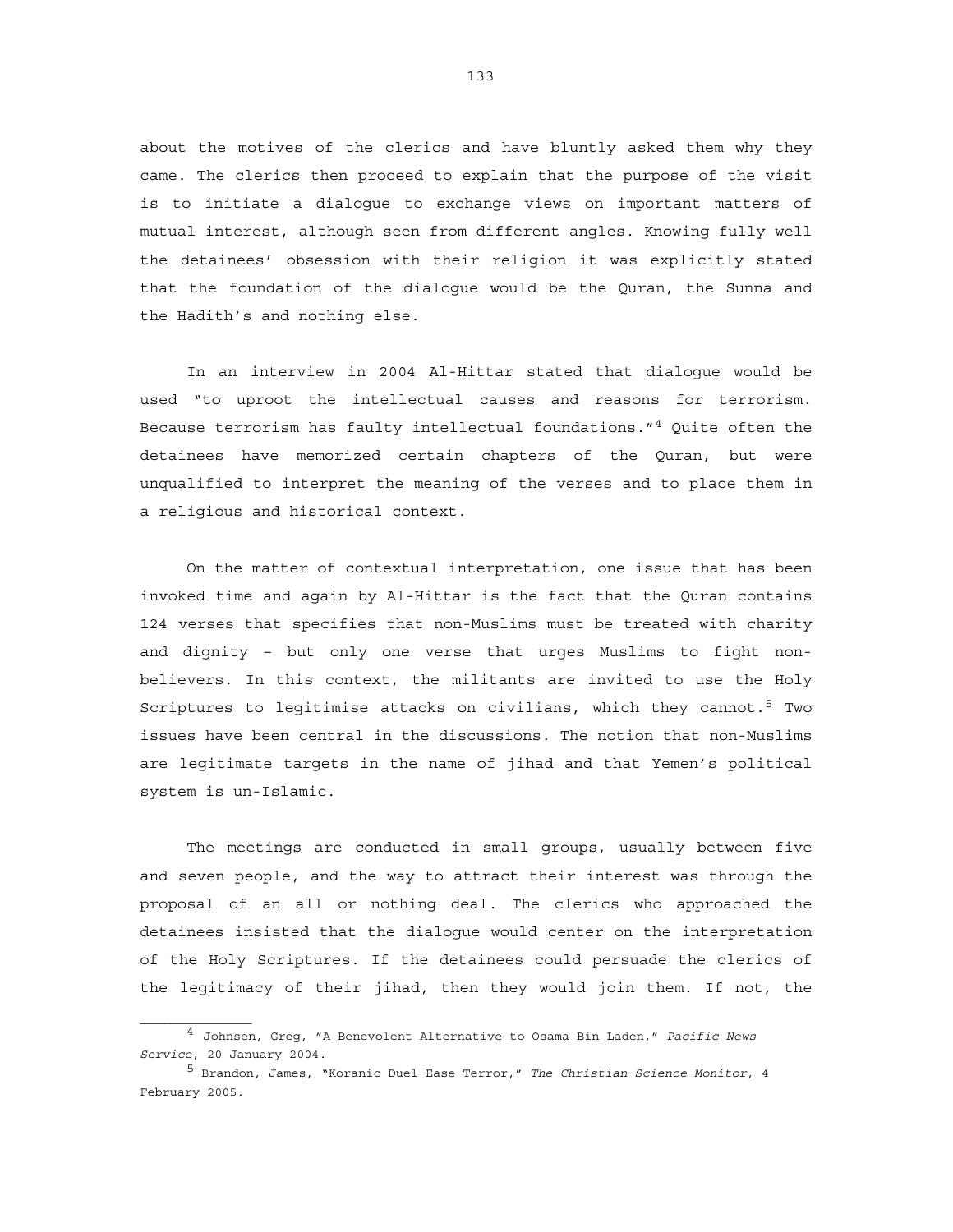about the motives of the clerics and have bluntly asked them why they came. The clerics then proceed to explain that the purpose of the visit is to initiate a dialogue to exchange views on important matters of mutual interest, although seen from different angles. Knowing fully well the detainees' obsession with their religion it was explicitly stated that the foundation of the dialogue would be the Quran, the Sunna and the Hadith's and nothing else.

In an interview in 2004 Al-Hittar stated that dialogue would be used "to uproot the intellectual causes and reasons for terrorism. Because terrorism has faulty intellectual foundations."4 Quite often the detainees have memorized certain chapters of the Quran, but were unqualified to interpret the meaning of the verses and to place them in a religious and historical context.

On the matter of contextual interpretation, one issue that has been invoked time and again by Al-Hittar is the fact that the Quran contains 124 verses that specifies that non-Muslims must be treated with charity and dignity – but only one verse that urges Muslims to fight nonbelievers. In this context, the militants are invited to use the Holy Scriptures to legitimise attacks on civilians, which they cannot.<sup>5</sup> Two issues have been central in the discussions. The notion that non-Muslims are legitimate targets in the name of jihad and that Yemen's political system is un-Islamic.

The meetings are conducted in small groups, usually between five and seven people, and the way to attract their interest was through the proposal of an all or nothing deal. The clerics who approached the detainees insisted that the dialogue would center on the interpretation of the Holy Scriptures. If the detainees could persuade the clerics of the legitimacy of their jihad, then they would join them. If not, the

133

<sup>4</sup> Johnsen, Greg, "A Benevolent Alternative to Osama Bin Laden," *Pacific News Service*, 20 January 2004.

<sup>5</sup> Brandon, James, "Koranic Duel Ease Terror," *The Christian Science Monitor*, 4 February 2005.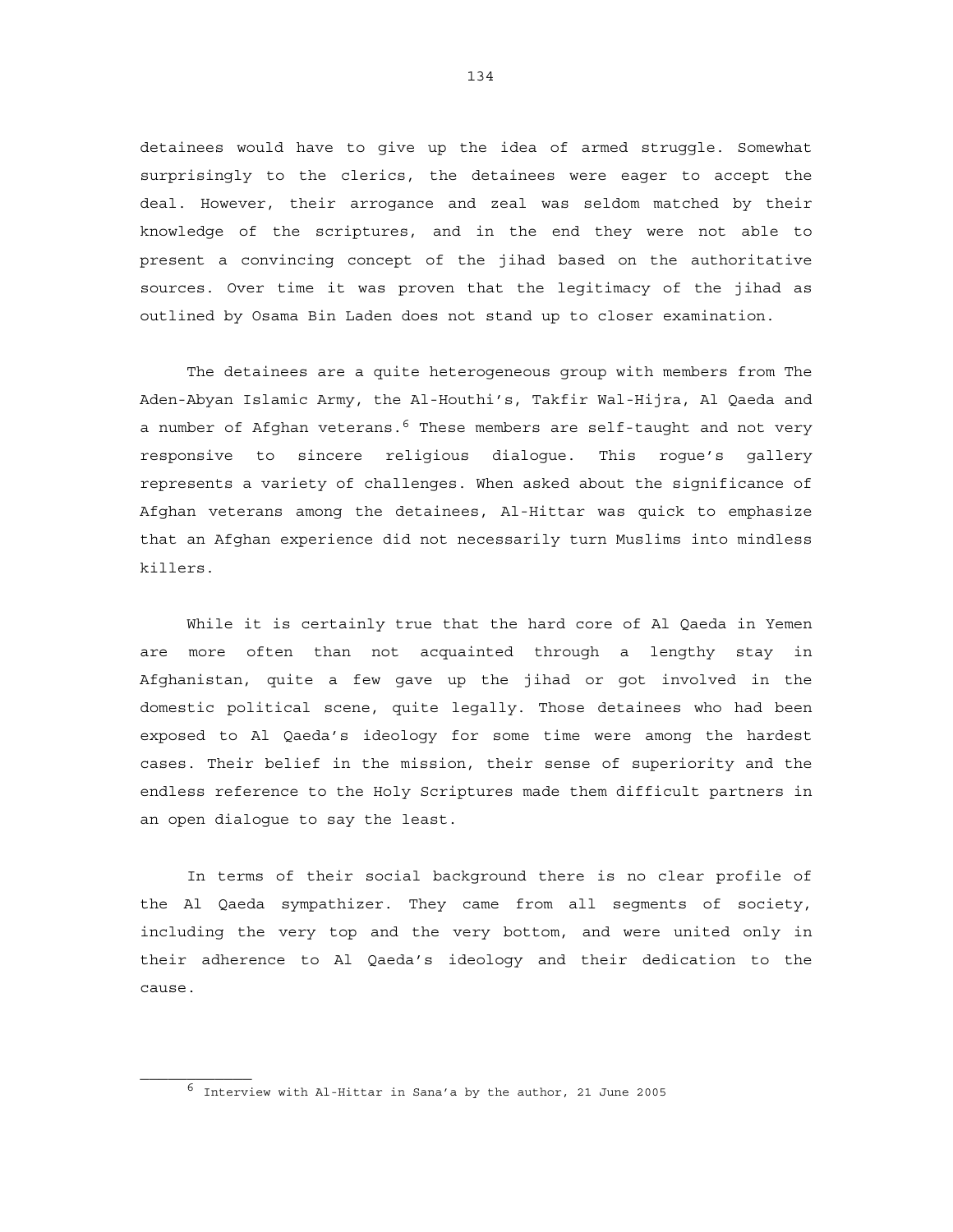detainees would have to give up the idea of armed struggle. Somewhat surprisingly to the clerics, the detainees were eager to accept the deal. However, their arrogance and zeal was seldom matched by their knowledge of the scriptures, and in the end they were not able to present a convincing concept of the jihad based on the authoritative sources. Over time it was proven that the legitimacy of the jihad as outlined by Osama Bin Laden does not stand up to closer examination.

The detainees are a quite heterogeneous group with members from The Aden-Abyan Islamic Army, the Al-Houthi's, Takfir Wal-Hijra, Al Qaeda and a number of Afghan veterans.<sup>6</sup> These members are self-taught and not very responsive to sincere religious dialogue. This rogue's gallery represents a variety of challenges. When asked about the significance of Afghan veterans among the detainees, Al-Hittar was quick to emphasize that an Afghan experience did not necessarily turn Muslims into mindless killers.

While it is certainly true that the hard core of Al Qaeda in Yemen are more often than not acquainted through a lengthy stay in Afghanistan, quite a few gave up the jihad or got involved in the domestic political scene, quite legally. Those detainees who had been exposed to Al Qaeda's ideology for some time were among the hardest cases. Their belief in the mission, their sense of superiority and the endless reference to the Holy Scriptures made them difficult partners in an open dialogue to say the least.

In terms of their social background there is no clear profile of the Al Qaeda sympathizer. They came from all segments of society, including the very top and the very bottom, and were united only in their adherence to Al Qaeda's ideology and their dedication to the cause.

<sup>6</sup> Interview with Al-Hittar in Sana'a by the author, 21 June 2005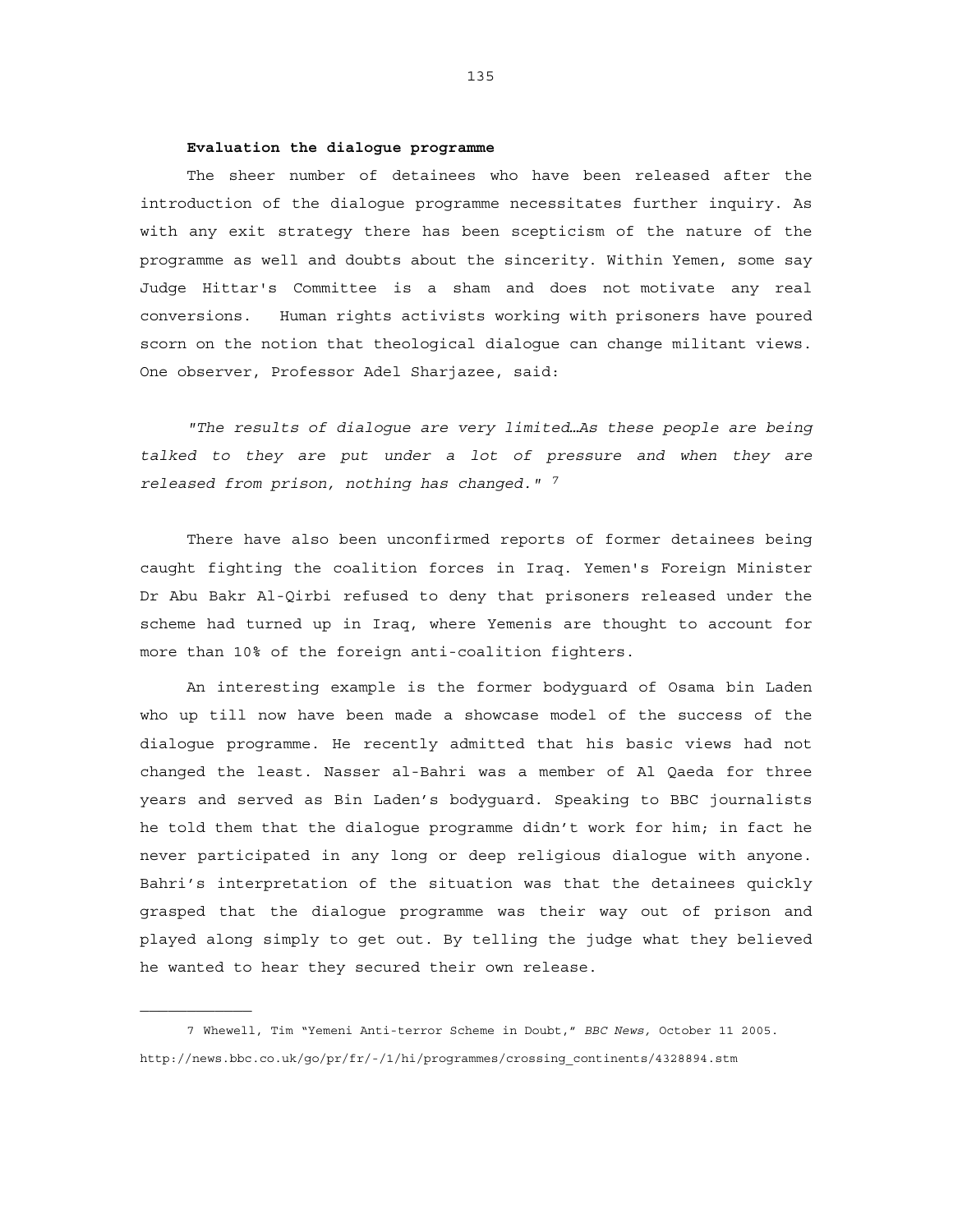# **Evaluation the dialogue programme**

The sheer number of detainees who have been released after the introduction of the dialogue programme necessitates further inquiry. As with any exit strategy there has been scepticism of the nature of the programme as well and doubts about the sincerity. Within Yemen, some say Judge Hittar's Committee is a sham and does not motivate any real conversions. Human rights activists working with prisoners have poured scorn on the notion that theological dialogue can change militant views. One observer, Professor Adel Sharjazee, said:

*"The results of dialogue are very limited…As these people are being talked to they are put under a lot of pressure and when they are released from prison, nothing has changed." 7*

There have also been unconfirmed reports of former detainees being caught fighting the coalition forces in Iraq. Yemen's Foreign Minister Dr Abu Bakr Al-Qirbi refused to deny that prisoners released under the scheme had turned up in Iraq, where Yemenis are thought to account for more than 10% of the foreign anti-coalition fighters.

An interesting example is the former bodyguard of Osama bin Laden who up till now have been made a showcase model of the success of the dialogue programme. He recently admitted that his basic views had not changed the least. Nasser al-Bahri was a member of Al Qaeda for three years and served as Bin Laden's bodyguard. Speaking to BBC journalists he told them that the dialogue programme didn't work for him; in fact he never participated in any long or deep religious dialogue with anyone. Bahri's interpretation of the situation was that the detainees quickly grasped that the dialogue programme was their way out of prison and played along simply to get out. By telling the judge what they believed he wanted to hear they secured their own release.

 $\mathcal{L}_\text{max}$ 

135

<sup>7</sup> Whewell, Tim "Yemeni Anti-terror Scheme in Doubt," *BBC News,* October 11 2005. http://news.bbc.co.uk/go/pr/fr/-/1/hi/programmes/crossing\_continents/4328894.stm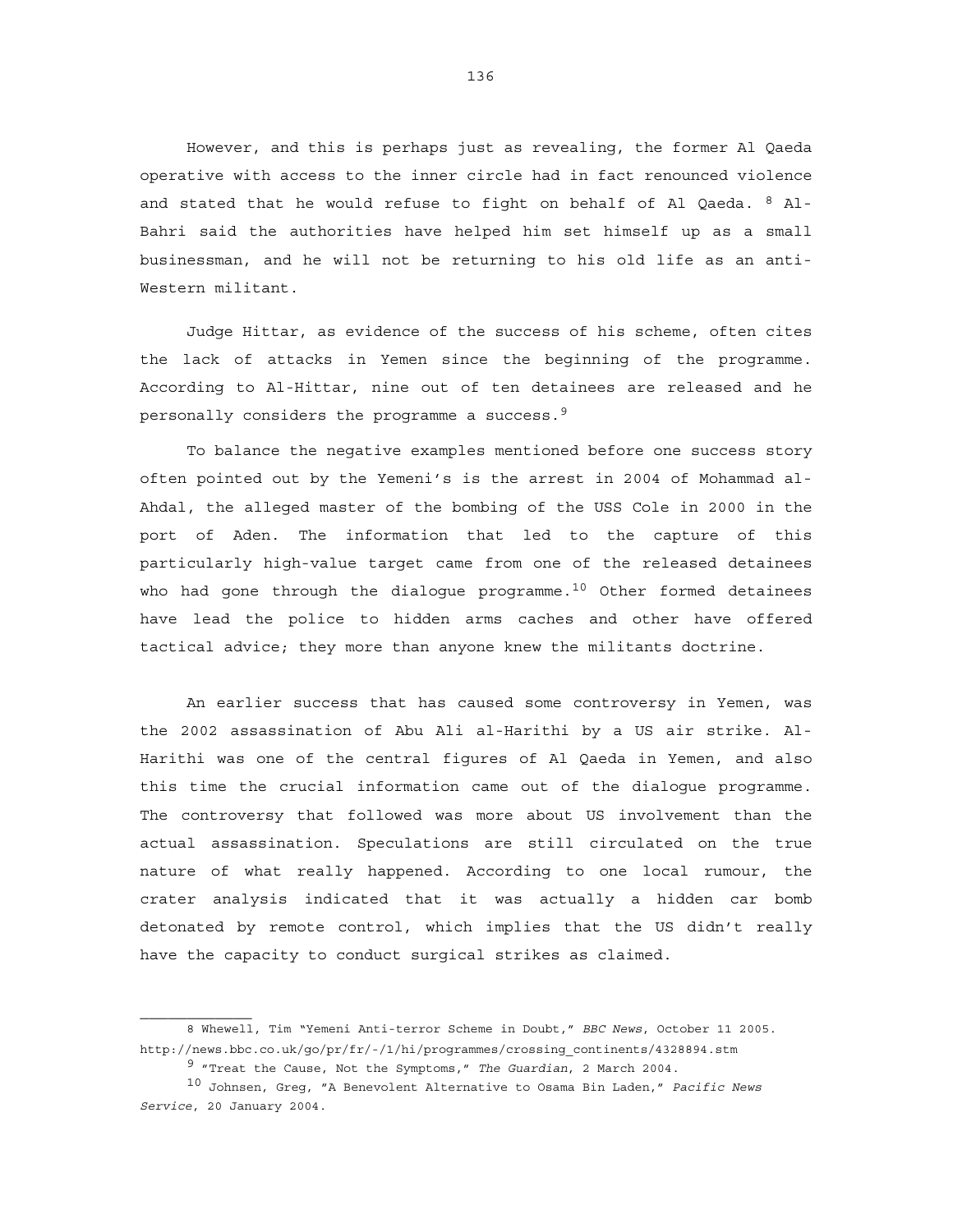However, and this is perhaps just as revealing, the former Al Qaeda operative with access to the inner circle had in fact renounced violence and stated that he would refuse to fight on behalf of Al Qaeda. 8 Al-Bahri said the authorities have helped him set himself up as a small businessman, and he will not be returning to his old life as an anti-Western militant.

Judge Hittar, as evidence of the success of his scheme, often cites the lack of attacks in Yemen since the beginning of the programme. According to Al-Hittar, nine out of ten detainees are released and he personally considers the programme a success.<sup>9</sup>

To balance the negative examples mentioned before one success story often pointed out by the Yemeni's is the arrest in 2004 of Mohammad al-Ahdal, the alleged master of the bombing of the USS Cole in 2000 in the port of Aden. The information that led to the capture of this particularly high-value target came from one of the released detainees who had gone through the dialogue programme.<sup>10</sup> Other formed detainees have lead the police to hidden arms caches and other have offered tactical advice; they more than anyone knew the militants doctrine.

An earlier success that has caused some controversy in Yemen, was the 2002 assassination of Abu Ali al-Harithi by a US air strike. Al-Harithi was one of the central figures of Al Qaeda in Yemen, and also this time the crucial information came out of the dialogue programme. The controversy that followed was more about US involvement than the actual assassination. Speculations are still circulated on the true nature of what really happened. According to one local rumour, the crater analysis indicated that it was actually a hidden car bomb detonated by remote control, which implies that the US didn't really have the capacity to conduct surgical strikes as claimed.

<sup>8</sup> Whewell, Tim "Yemeni Anti-terror Scheme in Doubt," *BBC News*, October 11 2005. http://news.bbc.co.uk/go/pr/fr/-/1/hi/programmes/crossing\_continents/4328894.stm

<sup>9 &</sup>quot;Treat the Cause, Not the Symptoms," *The Guardian*, 2 March 2004.

<sup>10</sup> Johnsen, Greg, "A Benevolent Alternative to Osama Bin Laden," *Pacific News Service*, 20 January 2004.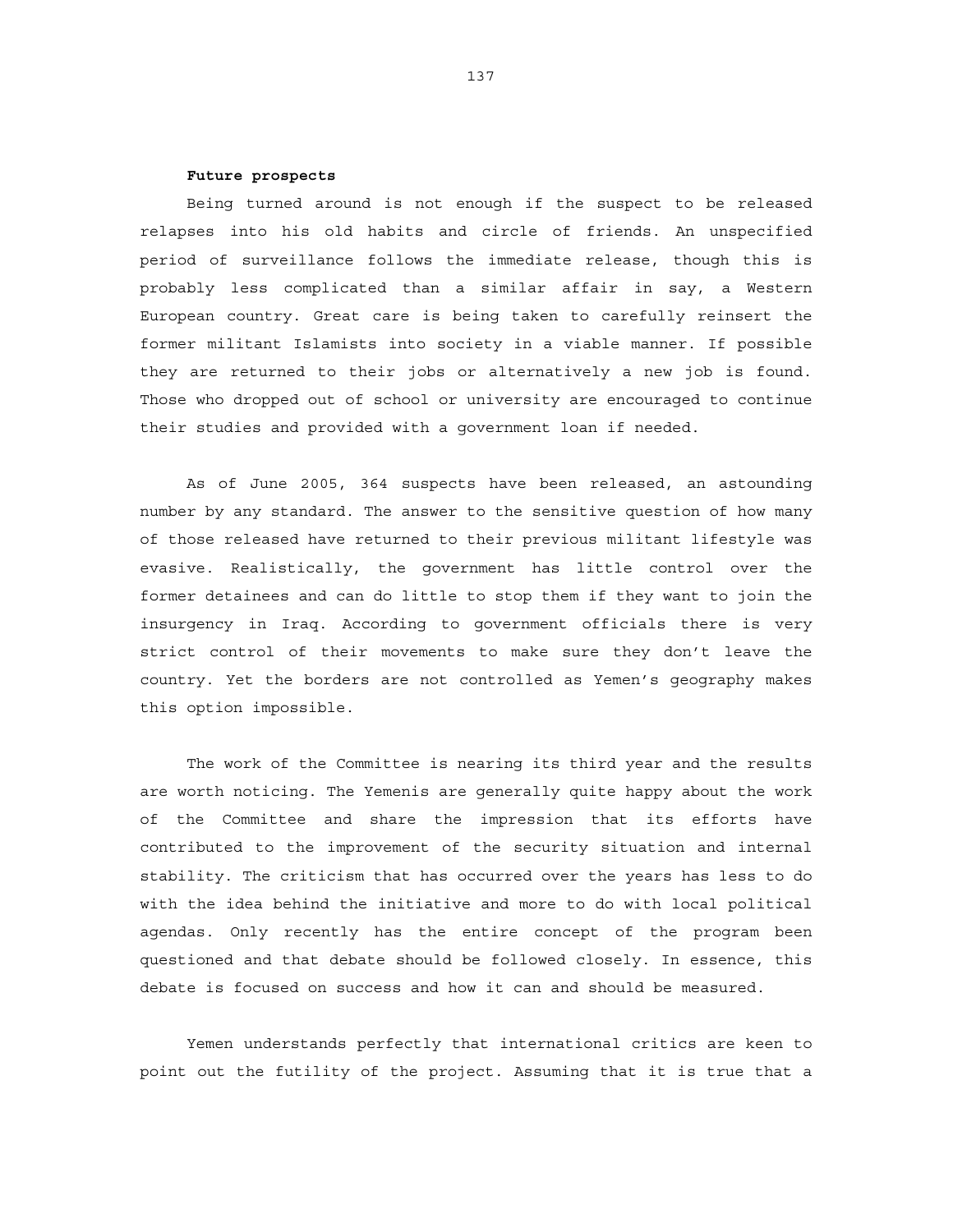#### **Future prospects**

Being turned around is not enough if the suspect to be released relapses into his old habits and circle of friends. An unspecified period of surveillance follows the immediate release, though this is probably less complicated than a similar affair in say, a Western European country. Great care is being taken to carefully reinsert the former militant Islamists into society in a viable manner. If possible they are returned to their jobs or alternatively a new job is found. Those who dropped out of school or university are encouraged to continue their studies and provided with a government loan if needed.

As of June 2005, 364 suspects have been released, an astounding number by any standard. The answer to the sensitive question of how many of those released have returned to their previous militant lifestyle was evasive. Realistically, the government has little control over the former detainees and can do little to stop them if they want to join the insurgency in Iraq. According to government officials there is very strict control of their movements to make sure they don't leave the country. Yet the borders are not controlled as Yemen's geography makes this option impossible.

The work of the Committee is nearing its third year and the results are worth noticing. The Yemenis are generally quite happy about the work of the Committee and share the impression that its efforts have contributed to the improvement of the security situation and internal stability. The criticism that has occurred over the years has less to do with the idea behind the initiative and more to do with local political agendas. Only recently has the entire concept of the program been questioned and that debate should be followed closely. In essence, this debate is focused on success and how it can and should be measured.

Yemen understands perfectly that international critics are keen to point out the futility of the project. Assuming that it is true that a

137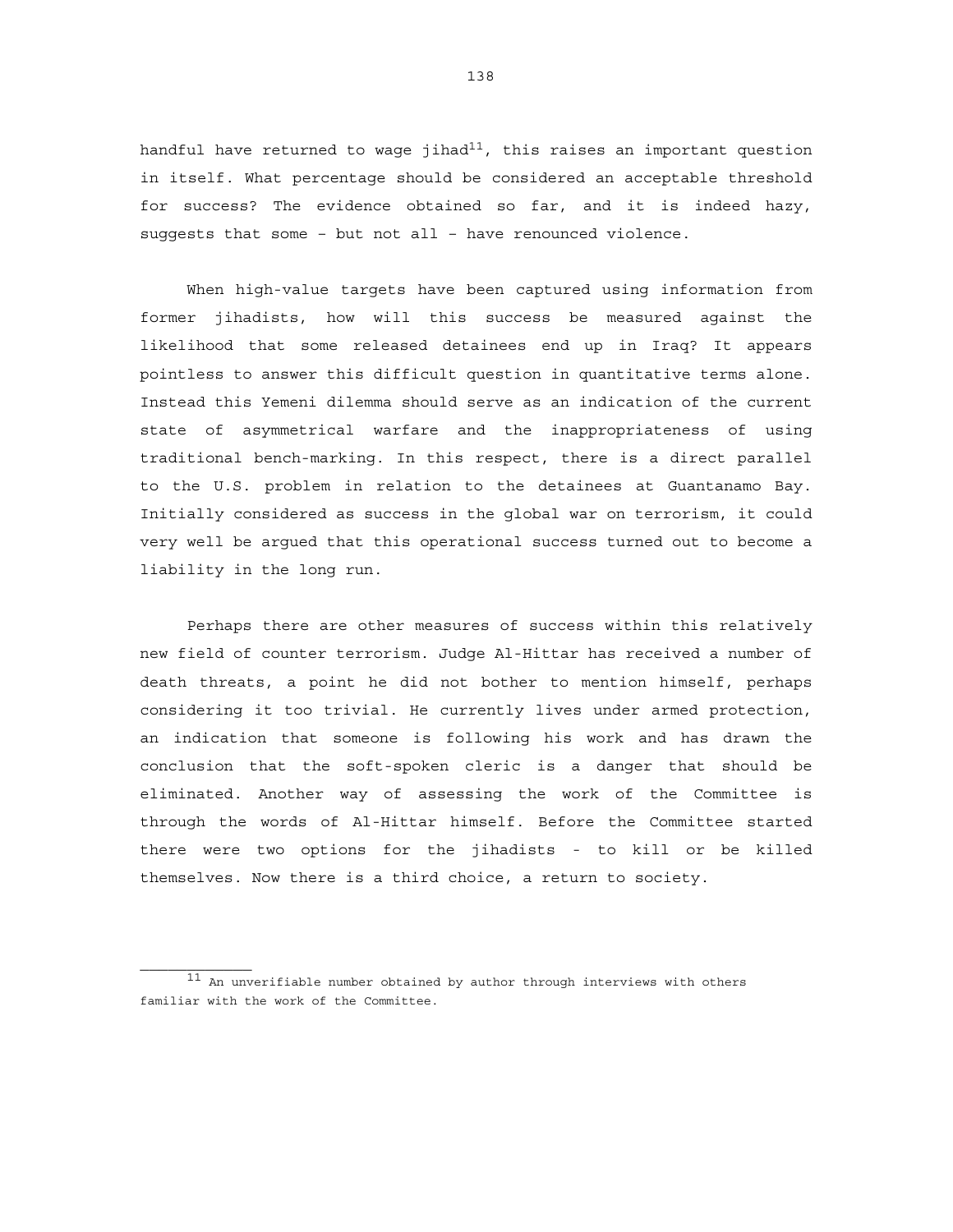handful have returned to wage jihad $11$ , this raises an important question in itself. What percentage should be considered an acceptable threshold for success? The evidence obtained so far, and it is indeed hazy, suggests that some – but not all – have renounced violence.

When high-value targets have been captured using information from former jihadists, how will this success be measured against the likelihood that some released detainees end up in Iraq? It appears pointless to answer this difficult question in quantitative terms alone. Instead this Yemeni dilemma should serve as an indication of the current state of asymmetrical warfare and the inappropriateness of using traditional bench-marking. In this respect, there is a direct parallel to the U.S. problem in relation to the detainees at Guantanamo Bay. Initially considered as success in the global war on terrorism, it could very well be argued that this operational success turned out to become a liability in the long run.

Perhaps there are other measures of success within this relatively new field of counter terrorism. Judge Al-Hittar has received a number of death threats, a point he did not bother to mention himself, perhaps considering it too trivial. He currently lives under armed protection, an indication that someone is following his work and has drawn the conclusion that the soft-spoken cleric is a danger that should be eliminated. Another way of assessing the work of the Committee is through the words of Al-Hittar himself. Before the Committee started there were two options for the jihadists - to kill or be killed themselves. Now there is a third choice, a return to society.

 $11$  An unverifiable number obtained by author through interviews with others familiar with the work of the Committee.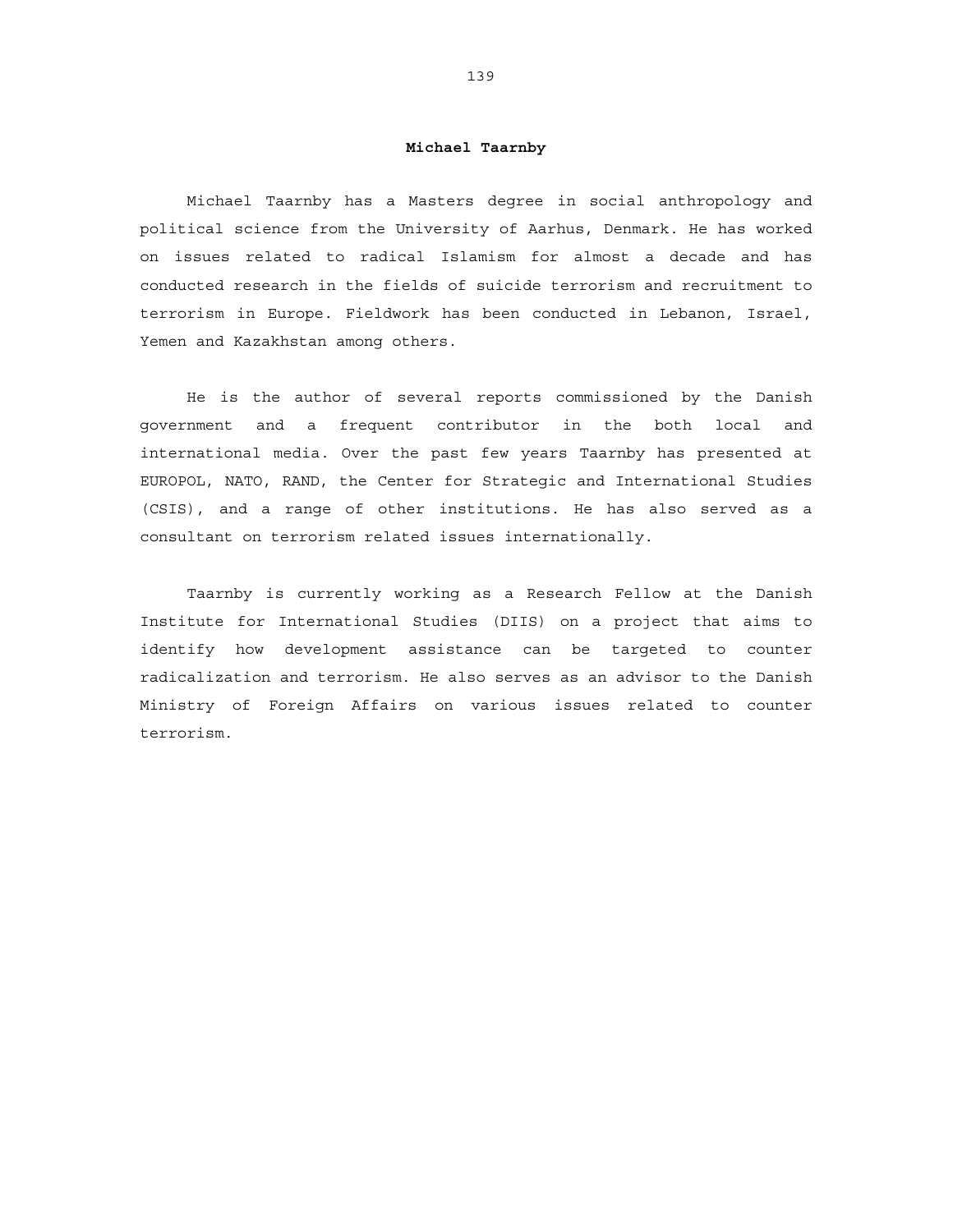# **Michael Taarnby**

Michael Taarnby has a Masters degree in social anthropology and political science from the University of Aarhus, Denmark. He has worked on issues related to radical Islamism for almost a decade and has conducted research in the fields of suicide terrorism and recruitment to terrorism in Europe. Fieldwork has been conducted in Lebanon, Israel, Yemen and Kazakhstan among others.

He is the author of several reports commissioned by the Danish government and a frequent contributor in the both local and international media. Over the past few years Taarnby has presented at EUROPOL, NATO, RAND, the Center for Strategic and International Studies (CSIS), and a range of other institutions. He has also served as a consultant on terrorism related issues internationally.

Taarnby is currently working as a Research Fellow at the Danish Institute for International Studies (DIIS) on a project that aims to identify how development assistance can be targeted to counter radicalization and terrorism. He also serves as an advisor to the Danish Ministry of Foreign Affairs on various issues related to counter terrorism.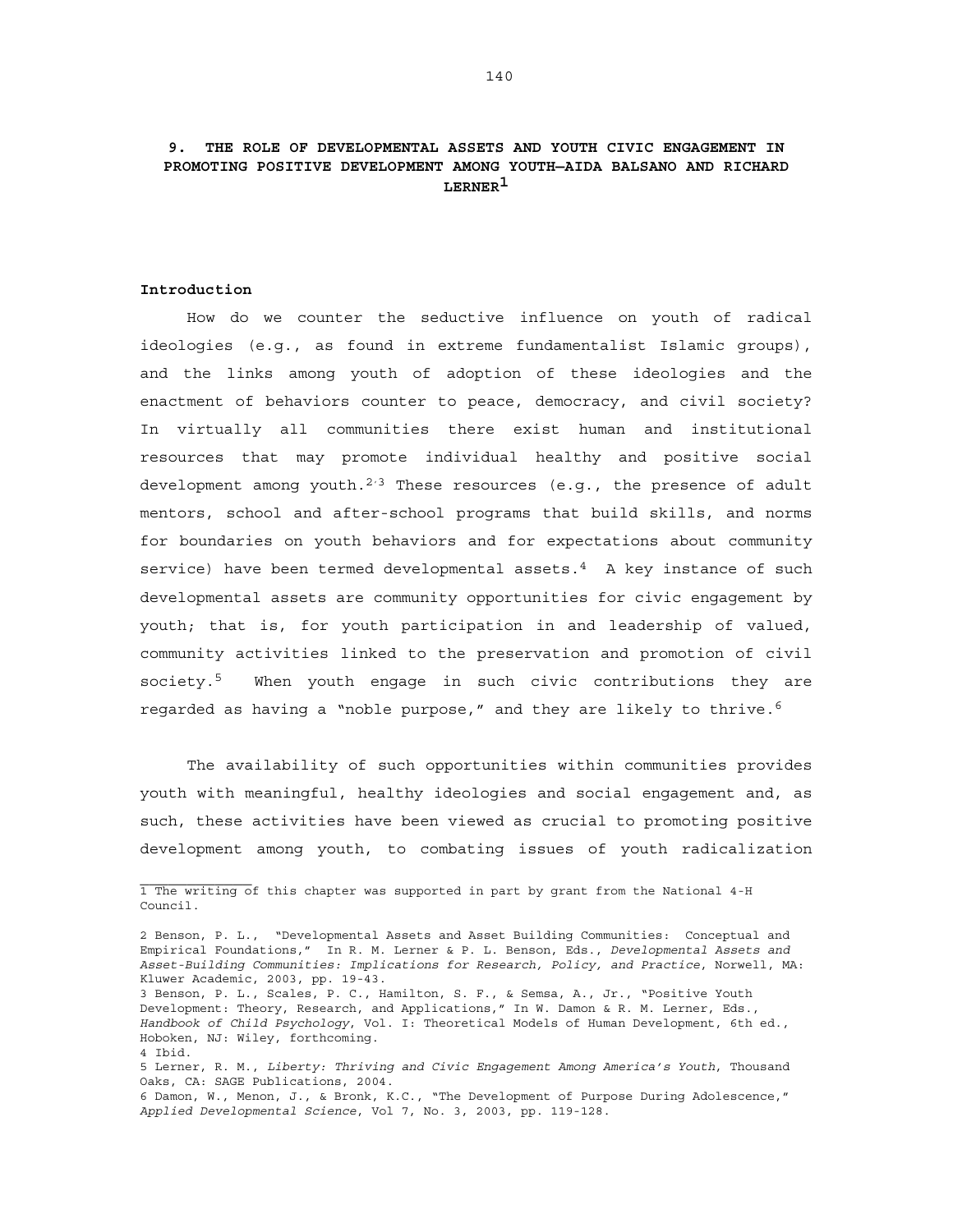**9. THE ROLE OF DEVELOPMENTAL ASSETS AND YOUTH CIVIC ENGAGEMENT IN PROMOTING POSITIVE DEVELOPMENT AMONG YOUTH—AIDA BALSANO AND RICHARD LERNER1**

# **Introduction**

How do we counter the seductive influence on youth of radical ideologies (e.g., as found in extreme fundamentalist Islamic groups), and the links among youth of adoption of these ideologies and the enactment of behaviors counter to peace, democracy, and civil society? In virtually all communities there exist human and institutional resources that may promote individual healthy and positive social development among youth.<sup>2,3</sup> These resources (e.g., the presence of adult mentors, school and after-school programs that build skills, and norms for boundaries on youth behaviors and for expectations about community service) have been termed developmental assets.<sup>4</sup> A key instance of such developmental assets are community opportunities for civic engagement by youth; that is, for youth participation in and leadership of valued, community activities linked to the preservation and promotion of civil society.<sup>5</sup> When youth engage in such civic contributions they are regarded as having a "noble purpose," and they are likely to thrive.<sup>6</sup>

The availability of such opportunities within communities provides youth with meaningful, healthy ideologies and social engagement and, as such, these activities have been viewed as crucial to promoting positive development among youth, to combating issues of youth radicalization

<sup>1</sup> The writing of this chapter was supported in part by grant from the National 4-H Council.

<sup>2</sup> Benson, P. L., "Developmental Assets and Asset Building Communities: Conceptual and Empirical Foundations," In R. M. Lerner & P. L. Benson, Eds., *Developmental Assets and Asset-Building Communities: Implications for Research, Policy, and Practice*, Norwell, MA: Kluwer Academic, 2003, pp. 19-43.

<sup>3</sup> Benson, P. L., Scales, P. C., Hamilton, S. F., & Semsa, A., Jr., "Positive Youth Development: Theory, Research, and Applications," In W. Damon & R. M. Lerner, Eds., *Handbook of Child Psychology*, Vol. I: Theoretical Models of Human Development, 6th ed., Hoboken, NJ: Wiley, forthcoming. 4 Ibid.

<sup>5</sup> Lerner, R. M., *Liberty: Thriving and Civic Engagement Among America's Youth*, Thousand Oaks, CA: SAGE Publications, 2004.

<sup>6</sup> Damon, W., Menon, J., & Bronk, K.C., "The Development of Purpose During Adolescence," *Applied Developmental Science*, Vol 7, No. 3, 2003, pp. 119-128.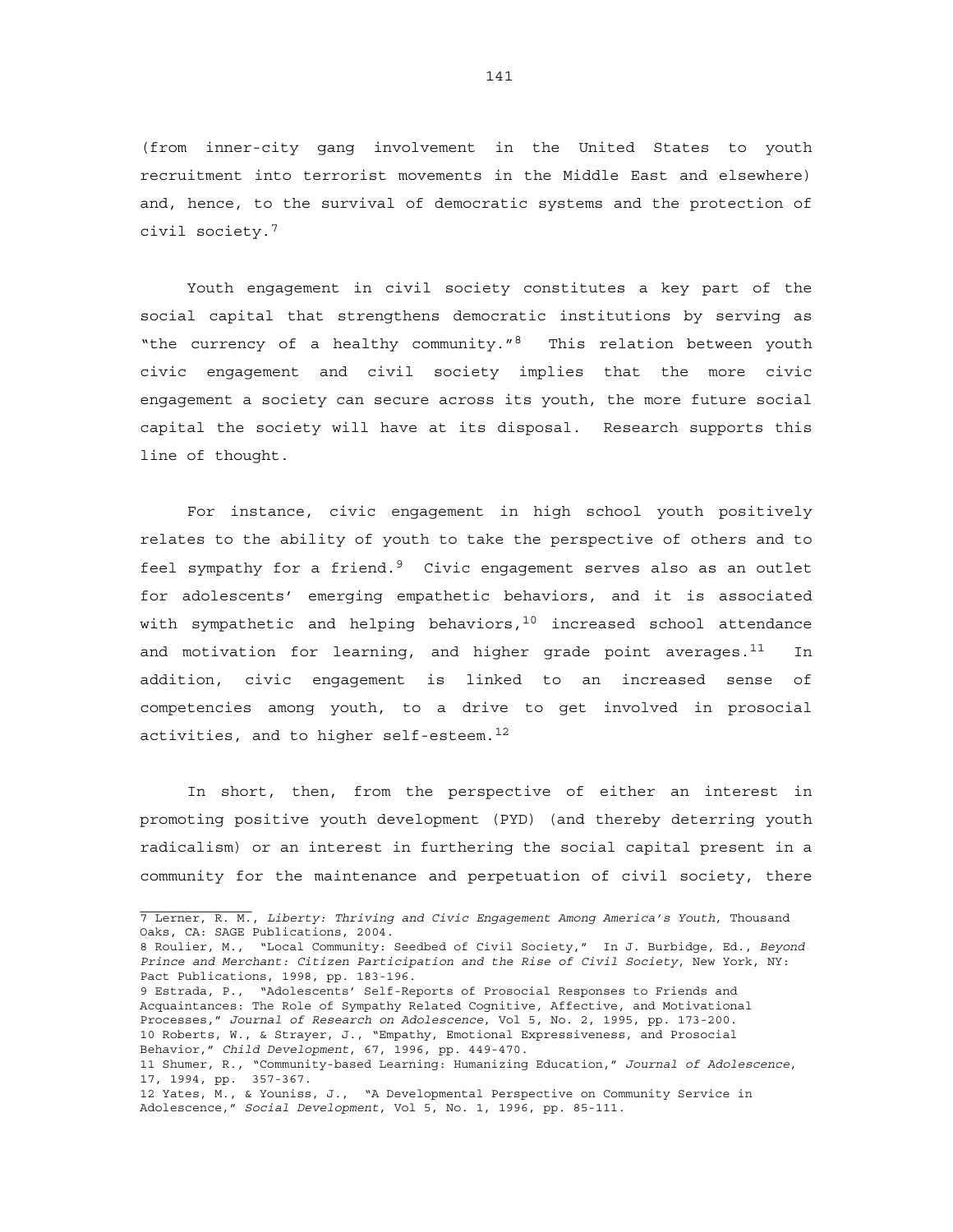(from inner-city gang involvement in the United States to youth recruitment into terrorist movements in the Middle East and elsewhere) and, hence, to the survival of democratic systems and the protection of civil society.7

Youth engagement in civil society constitutes a key part of the social capital that strengthens democratic institutions by serving as "the currency of a healthy community." $8$  This relation between youth civic engagement and civil society implies that the more civic engagement a society can secure across its youth, the more future social capital the society will have at its disposal. Research supports this line of thought.

For instance, civic engagement in high school youth positively relates to the ability of youth to take the perspective of others and to feel sympathy for a friend.<sup>9</sup> Civic engagement serves also as an outlet for adolescents' emerging empathetic behaviors, and it is associated with sympathetic and helping behaviors,  $10$  increased school attendance and motivation for learning, and higher grade point averages. $^{11}$  In addition, civic engagement is linked to an increased sense of competencies among youth, to a drive to get involved in prosocial activities, and to higher self-esteem.  $^{12}$ 

In short, then, from the perspective of either an interest in promoting positive youth development (PYD) (and thereby deterring youth radicalism) or an interest in furthering the social capital present in a community for the maintenance and perpetuation of civil society, there

\_\_\_\_\_\_\_\_\_\_\_\_ 7 Lerner, R. M., *Liberty: Thriving and Civic Engagement Among America's Youth*, Thousand Oaks, CA: SAGE Publications, 2004.

<sup>8</sup> Roulier, M., "Local Community: Seedbed of Civil Society," In J. Burbidge, Ed., *Beyond Prince and Merchant: Citizen Participation and the Rise of Civil Society*, New York, NY: Pact Publications, 1998, pp. 183-196.

<sup>9</sup> Estrada, P., "Adolescents' Self-Reports of Prosocial Responses to Friends and Acquaintances: The Role of Sympathy Related Cognitive, Affective, and Motivational Processes," *Journal of Research on Adolescence*, Vol 5, No. 2, 1995, pp. 173-200. 10 Roberts, W., & Strayer, J., "Empathy, Emotional Expressiveness, and Prosocial Behavior," *Child Development*, 67, 1996, pp. 449-470.

<sup>11</sup> Shumer, R., "Community-based Learning: Humanizing Education," *Journal of Adolescence*, 17, 1994, pp. 357-367.

<sup>12</sup> Yates, M., & Youniss, J., "A Developmental Perspective on Community Service in Adolescence," *Social Development*, Vol 5, No. 1, 1996, pp. 85-111.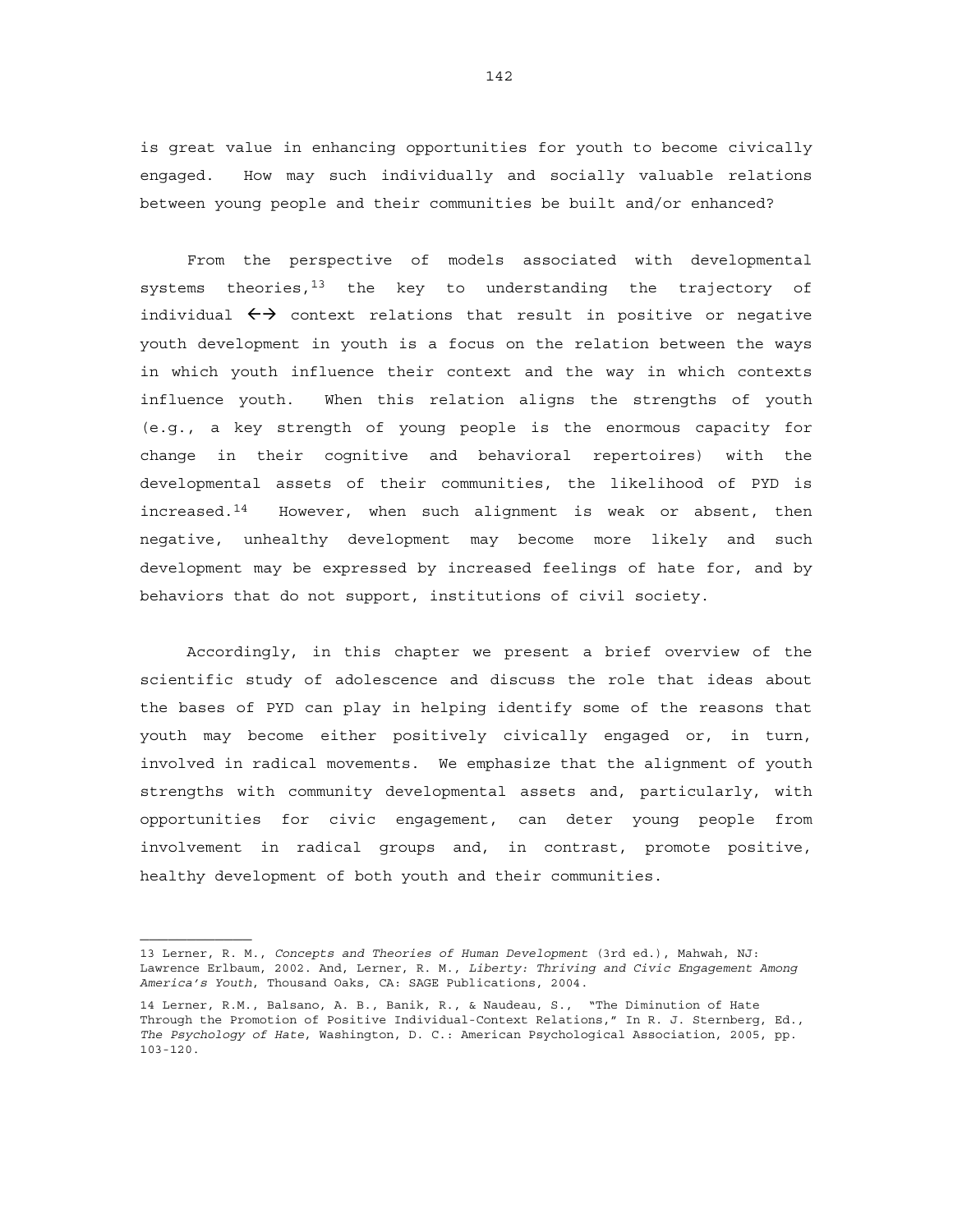is great value in enhancing opportunities for youth to become civically engaged. How may such individually and socially valuable relations between young people and their communities be built and/or enhanced?

From the perspective of models associated with developmental systems theories, $13$  the key to understanding the trajectory of individual  $\leftrightarrow$  context relations that result in positive or negative youth development in youth is a focus on the relation between the ways in which youth influence their context and the way in which contexts influence youth. When this relation aligns the strengths of youth (e.g., a key strength of young people is the enormous capacity for change in their cognitive and behavioral repertoires) with the developmental assets of their communities, the likelihood of PYD is increased.<sup>14</sup> However, when such alignment is weak or absent, then negative, unhealthy development may become more likely and such development may be expressed by increased feelings of hate for, and by behaviors that do not support, institutions of civil society.

Accordingly, in this chapter we present a brief overview of the scientific study of adolescence and discuss the role that ideas about the bases of PYD can play in helping identify some of the reasons that youth may become either positively civically engaged or, in turn, involved in radical movements. We emphasize that the alignment of youth strengths with community developmental assets and, particularly, with opportunities for civic engagement, can deter young people from involvement in radical groups and, in contrast, promote positive, healthy development of both youth and their communities.

<sup>13</sup> Lerner, R. M., *Concepts and Theories of Human Development* (3rd ed.), Mahwah, NJ: Lawrence Erlbaum, 2002. And, Lerner, R. M., *Liberty: Thriving and Civic Engagement Among America's Youth*, Thousand Oaks, CA: SAGE Publications, 2004.

<sup>14</sup> Lerner, R.M., Balsano, A. B., Banik, R., & Naudeau, S., "The Diminution of Hate Through the Promotion of Positive Individual-Context Relations," In R. J. Sternberg, Ed., *The Psychology of Hate*, Washington, D. C.: American Psychological Association, 2005, pp. 103-120.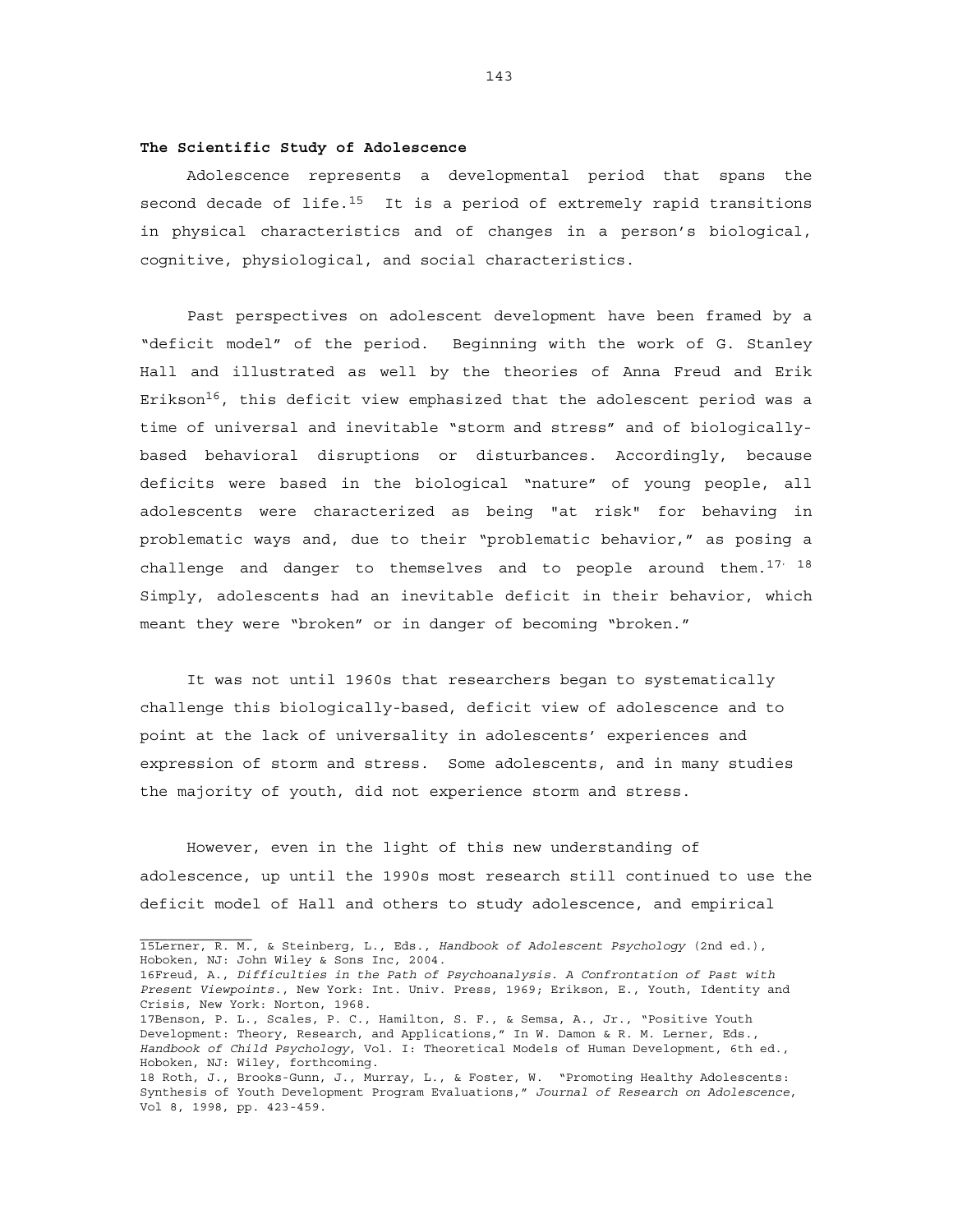## **The Scientific Study of Adolescence**

Adolescence represents a developmental period that spans the second decade of  $life.$ <sup>15</sup> It is a period of extremely rapid transitions in physical characteristics and of changes in a person's biological, cognitive, physiological, and social characteristics.

Past perspectives on adolescent development have been framed by a "deficit model" of the period. Beginning with the work of G. Stanley Hall and illustrated as well by the theories of Anna Freud and Erik Erikson<sup>16</sup>, this deficit view emphasized that the adolescent period was a time of universal and inevitable "storm and stress" and of biologicallybased behavioral disruptions or disturbances. Accordingly, because deficits were based in the biological "nature" of young people, all adolescents were characterized as being "at risk" for behaving in problematic ways and, due to their "problematic behavior," as posing a challenge and danger to themselves and to people around them.  $177 \cdot 18$ Simply, adolescents had an inevitable deficit in their behavior, which meant they were "broken" or in danger of becoming "broken."

It was not until 1960s that researchers began to systematically challenge this biologically-based, deficit view of adolescence and to point at the lack of universality in adolescents' experiences and expression of storm and stress. Some adolescents, and in many studies the majority of youth, did not experience storm and stress.

However, even in the light of this new understanding of adolescence, up until the 1990s most research still continued to use the deficit model of Hall and others to study adolescence, and empirical

\_\_\_\_\_\_\_\_\_\_\_\_ 15Lerner, R. M., & Steinberg, L., Eds., *Handbook of Adolescent Psychology* (2nd ed.), Hoboken, NJ: John Wiley & Sons Inc, 2004.

<sup>16</sup>Freud, A., *Difficulties in the Path of Psychoanalysis. A Confrontation of Past with Present Viewpoints*., New York: Int. Univ. Press, 1969; Erikson, E., Youth, Identity and Crisis, New York: Norton, 1968.

<sup>17</sup>Benson, P. L., Scales, P. C., Hamilton, S. F., & Semsa, A., Jr., "Positive Youth Development: Theory, Research, and Applications," In W. Damon & R. M. Lerner, Eds., *Handbook of Child Psychology*, Vol. I: Theoretical Models of Human Development, 6th ed., Hoboken, NJ: Wiley, forthcoming.

<sup>18</sup> Roth, J., Brooks-Gunn, J., Murray, L., & Foster, W. "Promoting Healthy Adolescents: Synthesis of Youth Development Program Evaluations," *Journal of Research on Adolescence*, Vol 8, 1998, pp. 423-459.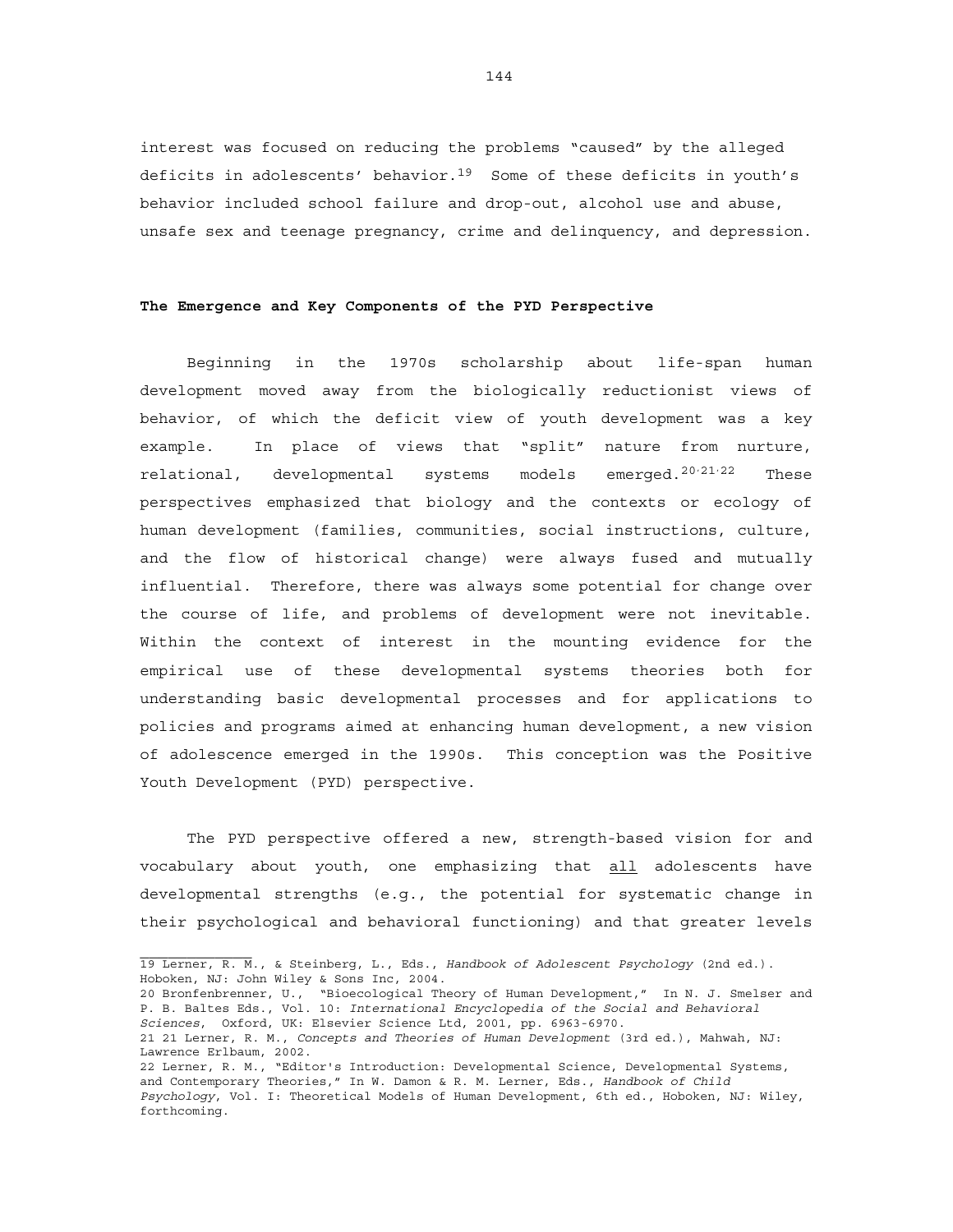interest was focused on reducing the problems "caused" by the alleged deficits in adolescents' behavior.<sup>19</sup> Some of these deficits in youth's behavior included school failure and drop-out, alcohol use and abuse, unsafe sex and teenage pregnancy, crime and delinquency, and depression.

### **The Emergence and Key Components of the PYD Perspective**

Beginning in the 1970s scholarship about life-span human development moved away from the biologically reductionist views of behavior, of which the deficit view of youth development was a key example. In place of views that "split" nature from nurture, relational, developmental systems models emerged.<sup>20,21,22</sup> These perspectives emphasized that biology and the contexts or ecology of human development (families, communities, social instructions, culture, and the flow of historical change) were always fused and mutually influential. Therefore, there was always some potential for change over the course of life, and problems of development were not inevitable. Within the context of interest in the mounting evidence for the empirical use of these developmental systems theories both for understanding basic developmental processes and for applications to policies and programs aimed at enhancing human development, a new vision of adolescence emerged in the 1990s. This conception was the Positive Youth Development (PYD) perspective.

The PYD perspective offered a new, strength-based vision for and vocabulary about youth, one emphasizing that all adolescents have developmental strengths (e.g., the potential for systematic change in their psychological and behavioral functioning) and that greater levels

\_\_\_\_\_\_\_\_\_\_\_\_ 19 Lerner, R. M., & Steinberg, L., Eds., *Handbook of Adolescent Psychology* (2nd ed.). Hoboken, NJ: John Wiley & Sons Inc, 2004.

<sup>20</sup> Bronfenbrenner, U., "Bioecological Theory of Human Development," In N. J. Smelser and P. B. Baltes Eds., Vol. 10: *International Encyclopedia of the Social and Behavioral Sciences*, Oxford, UK: Elsevier Science Ltd, 2001, pp. 6963-6970.

<sup>21 21</sup> Lerner, R. M., *Concepts and Theories of Human Development* (3rd ed.), Mahwah, NJ: Lawrence Erlbaum, 2002.

<sup>22</sup> Lerner, R. M., "Editor's Introduction: Developmental Science, Developmental Systems, and Contemporary Theories," In W. Damon & R. M. Lerner, Eds., *Handbook of Child Psychology*, Vol. I: Theoretical Models of Human Development, 6th ed., Hoboken, NJ: Wiley, forthcoming.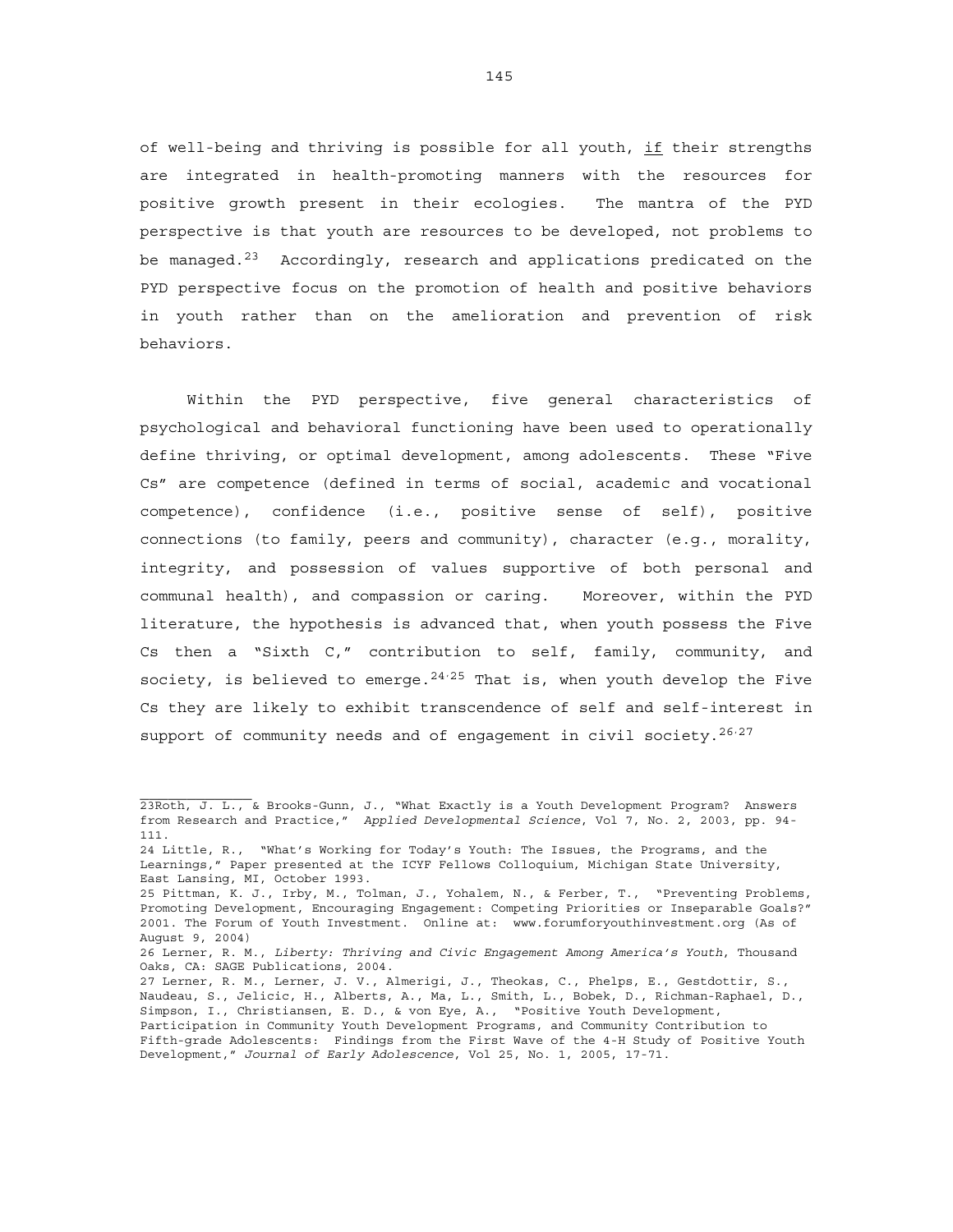of well-being and thriving is possible for all youth, if their strengths are integrated in health-promoting manners with the resources for positive growth present in their ecologies. The mantra of the PYD perspective is that youth are resources to be developed, not problems to be managed.<sup>23</sup> Accordingly, research and applications predicated on the PYD perspective focus on the promotion of health and positive behaviors in youth rather than on the amelioration and prevention of risk behaviors.

Within the PYD perspective, five general characteristics of psychological and behavioral functioning have been used to operationally define thriving, or optimal development, among adolescents. These "Five Cs" are competence (defined in terms of social, academic and vocational competence), confidence (i.e., positive sense of self), positive connections (to family, peers and community), character (e.g., morality, integrity, and possession of values supportive of both personal and communal health), and compassion or caring. Moreover, within the PYD literature, the hypothesis is advanced that, when youth possess the Five Cs then a "Sixth C," contribution to self, family, community, and society, is believed to emerge. $24/25$  That is, when youth develop the Five Cs they are likely to exhibit transcendence of self and self-interest in support of community needs and of engagement in civil society.  $26/27$ 

\_\_\_\_\_\_\_\_\_\_\_\_ 23Roth, J. L., & Brooks-Gunn, J., "What Exactly is a Youth Development Program? Answers from Research and Practice," *Applied Developmental Science*, Vol 7, No. 2, 2003, pp. 94- 111.

<sup>24</sup> Little, R., "What's Working for Today's Youth: The Issues, the Programs, and the Learnings," Paper presented at the ICYF Fellows Colloquium, Michigan State University, East Lansing, MI, October 1993.

<sup>25</sup> Pittman, K. J., Irby, M., Tolman, J., Yohalem, N., & Ferber, T., "Preventing Problems, Promoting Development, Encouraging Engagement: Competing Priorities or Inseparable Goals?" 2001. The Forum of Youth Investment. Online at: www.forumforyouthinvestment.org (As of August 9, 2004)

<sup>26</sup> Lerner, R. M., *Liberty: Thriving and Civic Engagement Among America's Youth*, Thousand Oaks, CA: SAGE Publications, 2004.

<sup>27</sup> Lerner, R. M., Lerner, J. V., Almerigi, J., Theokas, C., Phelps, E., Gestdottir, S., Naudeau, S., Jelicic, H., Alberts, A., Ma, L., Smith, L., Bobek, D., Richman-Raphael, D., Simpson, I., Christiansen, E. D., & von Eye, A., "Positive Youth Development, Participation in Community Youth Development Programs, and Community Contribution to Fifth-grade Adolescents: Findings from the First Wave of the 4-H Study of Positive Youth Development," *Journal of Early Adolescence*, Vol 25, No. 1, 2005, 17-71.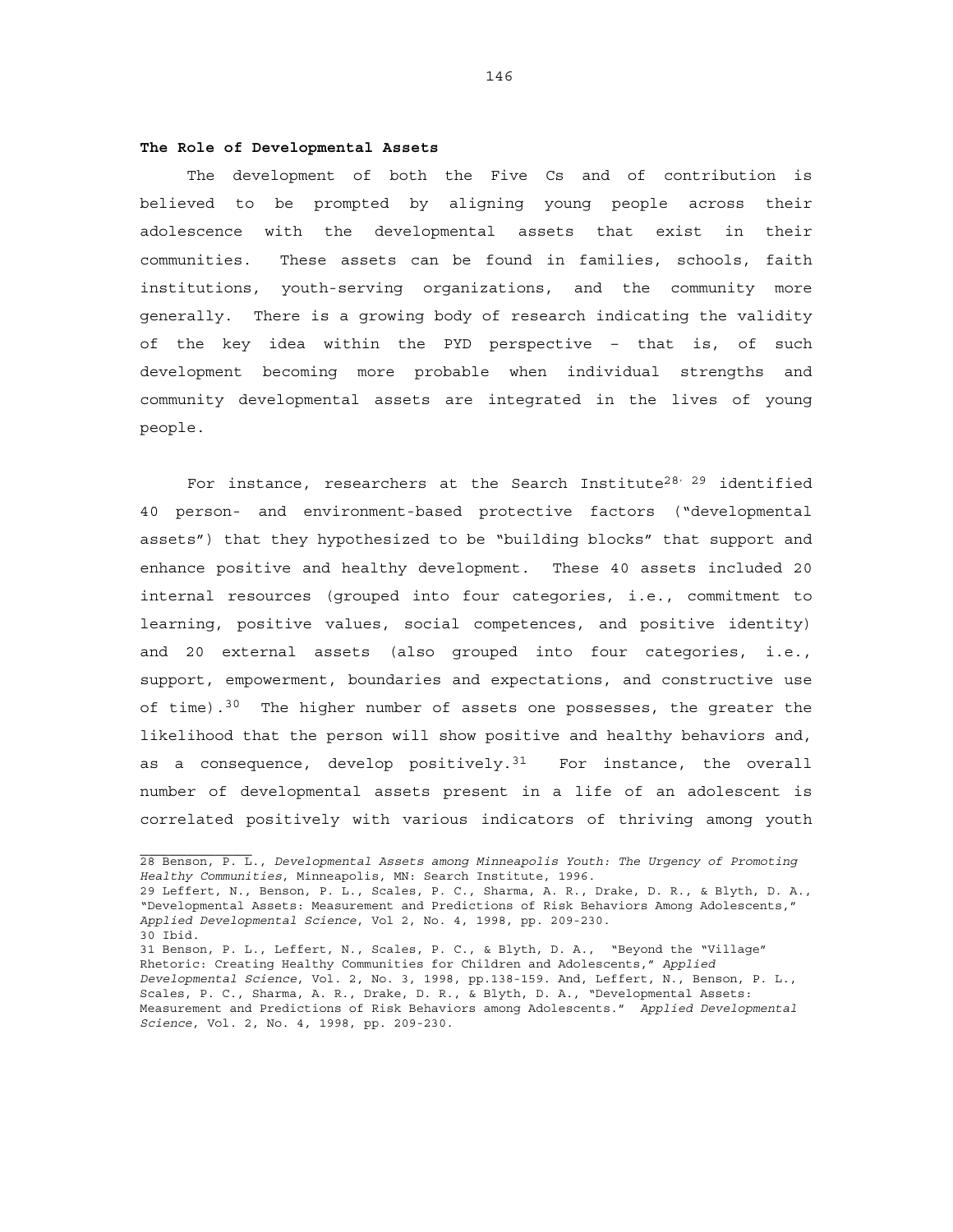# **The Role of Developmental Assets**

The development of both the Five Cs and of contribution is believed to be prompted by aligning young people across their adolescence with the developmental assets that exist in their communities. These assets can be found in families, schools, faith institutions, youth-serving organizations, and the community more generally. There is a growing body of research indicating the validity of the key idea within the PYD perspective – that is, of such development becoming more probable when individual strengths and community developmental assets are integrated in the lives of young people.

For instance, researchers at the Search Institute<sup>28</sup><sup>29</sup> identified 40 person- and environment-based protective factors ("developmental assets") that they hypothesized to be "building blocks" that support and enhance positive and healthy development. These 40 assets included 20 internal resources (grouped into four categories, i.e., commitment to learning, positive values, social competences, and positive identity) and 20 external assets (also grouped into four categories, i.e., support, empowerment, boundaries and expectations, and constructive use of time).<sup>30</sup> The higher number of assets one possesses, the greater the likelihood that the person will show positive and healthy behaviors and, as a consequence, develop positively.<sup>31</sup> For instance, the overall number of developmental assets present in a life of an adolescent is correlated positively with various indicators of thriving among youth

\_\_\_\_\_\_\_\_\_\_\_\_ 28 Benson, P. L., *Developmental Assets among Minneapolis Youth: The Urgency of Promoting Healthy Communities*, Minneapolis, MN: Search Institute, 1996.

<sup>29</sup> Leffert, N., Benson, P. L., Scales, P. C., Sharma, A. R., Drake, D. R., & Blyth, D. A., "Developmental Assets: Measurement and Predictions of Risk Behaviors Among Adolescents," *Applied Developmental Science*, Vol 2, No. 4, 1998, pp. 209-230. 30 Ibid.

<sup>31</sup> Benson, P. L., Leffert, N., Scales, P. C., & Blyth, D. A., "Beyond the "Village" Rhetoric: Creating Healthy Communities for Children and Adolescents," *Applied Developmental Science*, Vol. 2, No. 3, 1998, pp.138-159. And, Leffert, N., Benson, P. L., Scales, P. C., Sharma, A. R., Drake, D. R., & Blyth, D. A., "Developmental Assets: Measurement and Predictions of Risk Behaviors among Adolescents." *Applied Developmental Science*, Vol. 2, No. 4, 1998, pp. 209-230.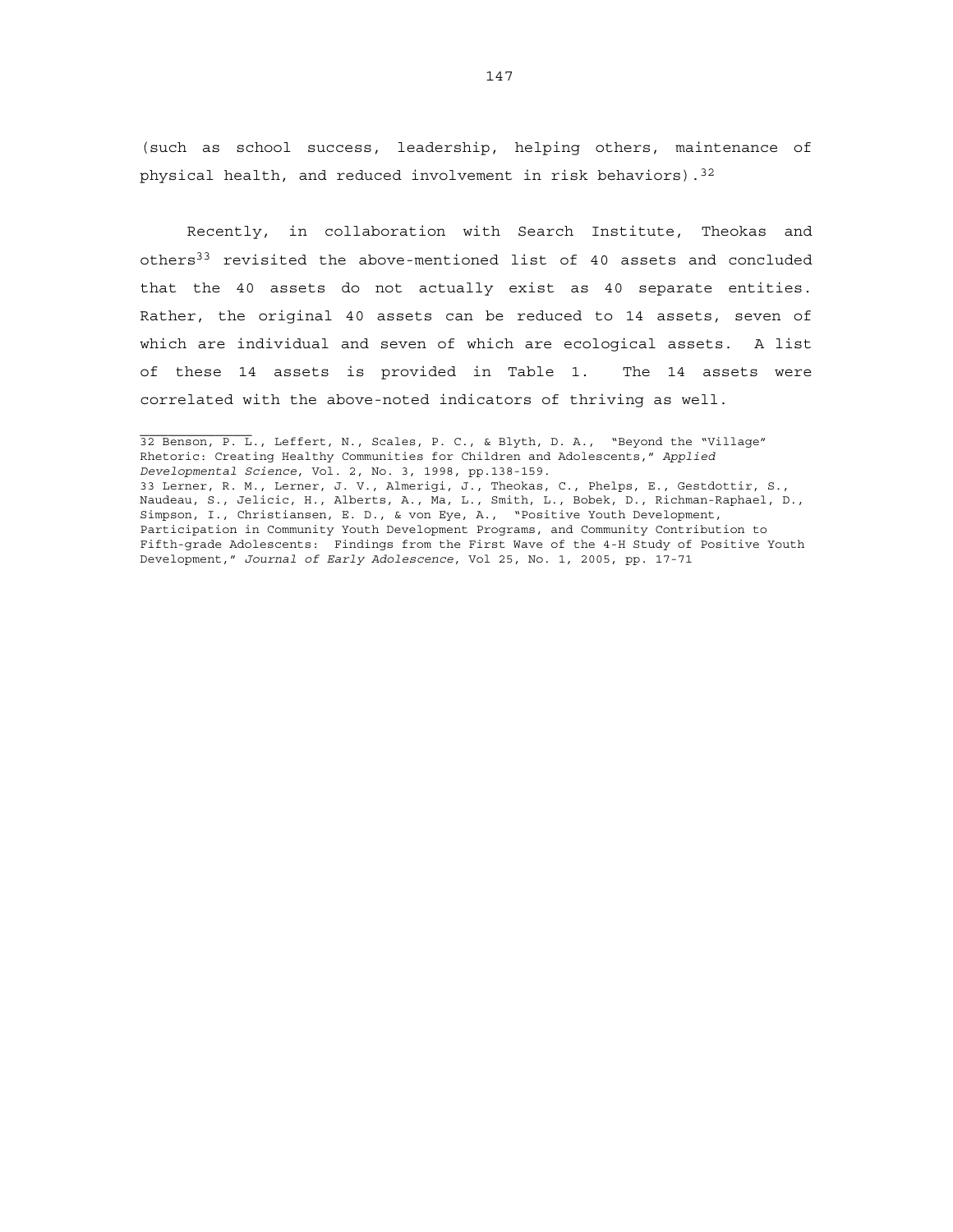(such as school success, leadership, helping others, maintenance of physical health, and reduced involvement in risk behaviors).32

Recently, in collaboration with Search Institute, Theokas and others33 revisited the above-mentioned list of 40 assets and concluded that the 40 assets do not actually exist as 40 separate entities. Rather, the original 40 assets can be reduced to 14 assets, seven of which are individual and seven of which are ecological assets. A list of these 14 assets is provided in Table 1. The 14 assets were correlated with the above-noted indicators of thriving as well.

<sup>)&</sup>lt;br>32 Benson, P. L., Leffert, N., Scales, P. C., & Blyth, D. A., "Beyond the "Village" Rhetoric: Creating Healthy Communities for Children and Adolescents," *Applied Developmental Science*, Vol. 2, No. 3, 1998, pp.138-159.

<sup>33</sup> Lerner, R. M., Lerner, J. V., Almerigi, J., Theokas, C., Phelps, E., Gestdottir, S., Naudeau, S., Jelicic, H., Alberts, A., Ma, L., Smith, L., Bobek, D., Richman-Raphael, D., Simpson, I., Christiansen, E. D., & von Eye, A., "Positive Youth Development, Participation in Community Youth Development Programs, and Community Contribution to Fifth-grade Adolescents: Findings from the First Wave of the 4-H Study of Positive Youth Development," *Journal of Early Adolescence*, Vol 25, No. 1, 2005, pp. 17-71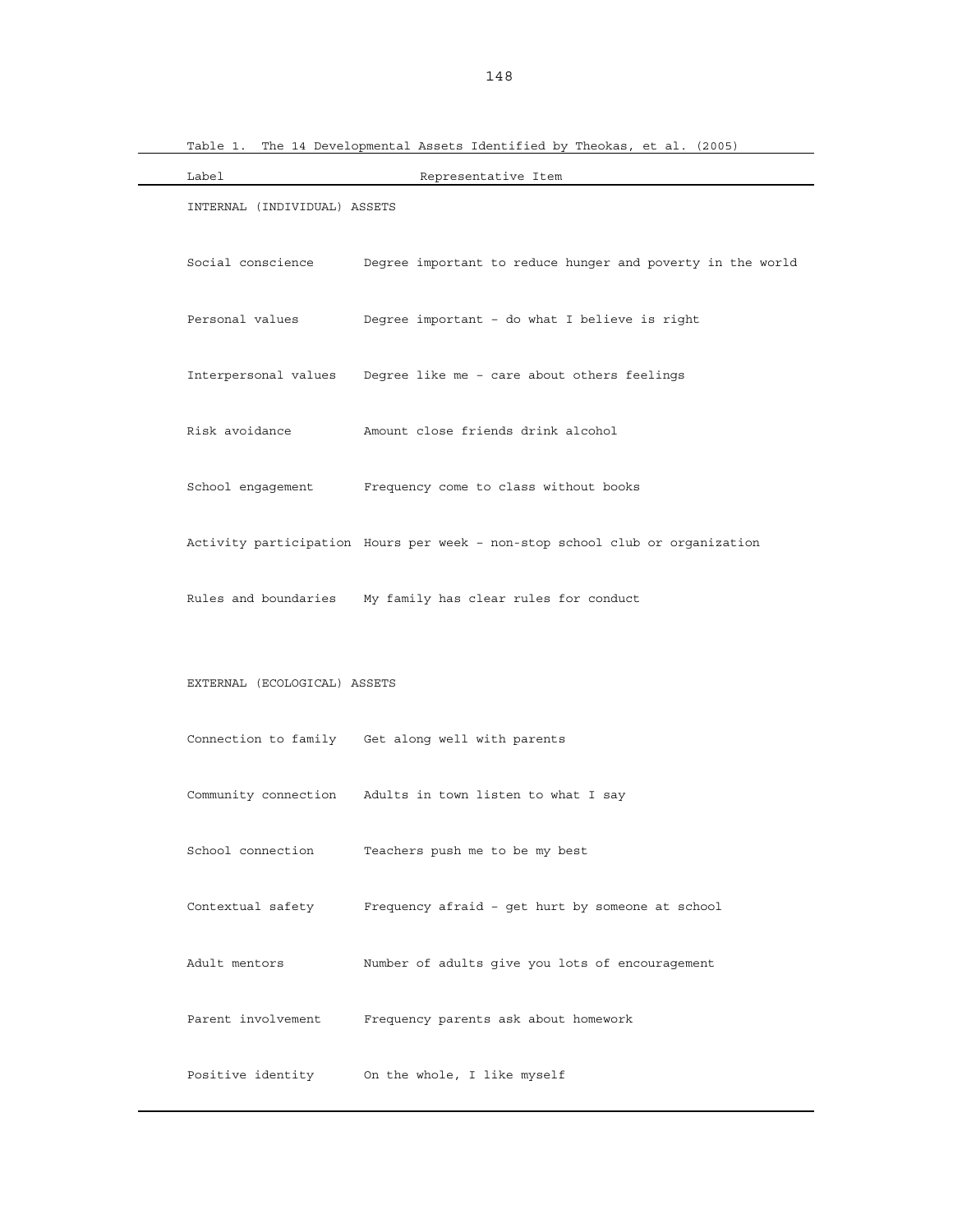| Label                        | Table 1.  The 14 Developmental Assets Identified by Theokas, et al. (2005)<br>Representative Item |
|------------------------------|---------------------------------------------------------------------------------------------------|
| INTERNAL (INDIVIDUAL) ASSETS |                                                                                                   |
| Social conscience            | Degree important to reduce hunger and poverty in the world                                        |
| Personal values              | Degree important - do what I believe is right                                                     |
|                              | Interpersonal values Degree like me - care about others feelings                                  |
| Risk avoidance               | Amount close friends drink alcohol                                                                |
|                              | School engagement Frequency come to class without books                                           |
|                              | Activity participation Hours per week - non-stop school club or organization                      |
|                              | Rules and boundaries My family has clear rules for conduct                                        |
| EXTERNAL (ECOLOGICAL) ASSETS |                                                                                                   |
|                              | Connection to family Get along well with parents                                                  |
|                              | Community connection Adults in town listen to what I say                                          |
| School connection            | Teachers push me to be my best                                                                    |
|                              | Contextual safety Frequency afraid - get hurt by someone at school                                |
| Adult mentors                | Number of adults give you lots of encouragement                                                   |
| Parent involvement           | Frequency parents ask about homework                                                              |
| Positive identity            | On the whole, I like myself                                                                       |

Table 1. The 14 Developmental Assets Identified by Theokas, et al. (2005)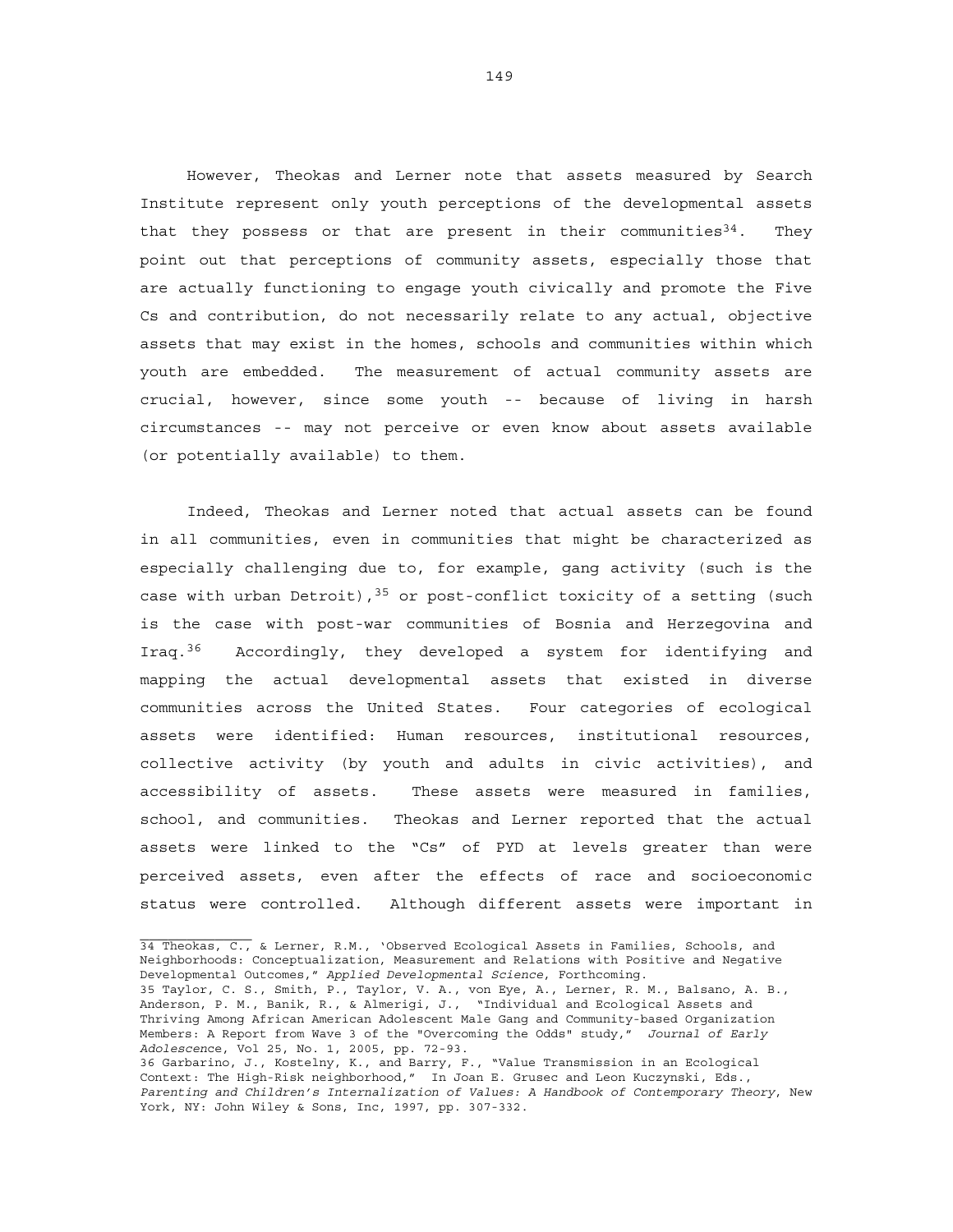However, Theokas and Lerner note that assets measured by Search Institute represent only youth perceptions of the developmental assets that they possess or that are present in their communities<sup>34</sup>. They point out that perceptions of community assets, especially those that are actually functioning to engage youth civically and promote the Five Cs and contribution, do not necessarily relate to any actual, objective assets that may exist in the homes, schools and communities within which youth are embedded. The measurement of actual community assets are crucial, however, since some youth -- because of living in harsh circumstances -- may not perceive or even know about assets available (or potentially available) to them.

Indeed, Theokas and Lerner noted that actual assets can be found in all communities, even in communities that might be characterized as especially challenging due to, for example, gang activity (such is the case with urban Detroit),  $35$  or post-conflict toxicity of a setting (such is the case with post-war communities of Bosnia and Herzegovina and Iraq.<sup>36</sup> Accordingly, they developed a system for identifying and mapping the actual developmental assets that existed in diverse communities across the United States. Four categories of ecological assets were identified: Human resources, institutional resources, collective activity (by youth and adults in civic activities), and accessibility of assets. These assets were measured in families, school, and communities. Theokas and Lerner reported that the actual assets were linked to the "Cs" of PYD at levels greater than were perceived assets, even after the effects of race and socioeconomic status were controlled. Although different assets were important in

\_\_\_\_\_\_\_\_\_\_\_\_ 34 Theokas, C., & Lerner, R.M., 'Observed Ecological Assets in Families, Schools, and Neighborhoods: Conceptualization, Measurement and Relations with Positive and Negative Developmental Outcomes," *Applied Developmental Science*, Forthcoming. 35 Taylor, C. S., Smith, P., Taylor, V. A., von Eye, A., Lerner, R. M., Balsano, A. B., Anderson, P. M., Banik, R., & Almerigi, J., "Individual and Ecological Assets and Thriving Among African American Adolescent Male Gang and Community-based Organization Members: A Report from Wave 3 of the "Overcoming the Odds" study," *Journal of Early Adolescen*ce, Vol 25, No. 1, 2005, pp. 72-93. 36 Garbarino, J., Kostelny, K., and Barry, F., "Value Transmission in an Ecological

Context: The High-Risk neighborhood," In Joan E. Grusec and Leon Kuczynski, Eds., *Parenting and Children's Internalization of Values: A Handbook of Contemporary Theory*, New York, NY: John Wiley & Sons, Inc, 1997, pp. 307-332.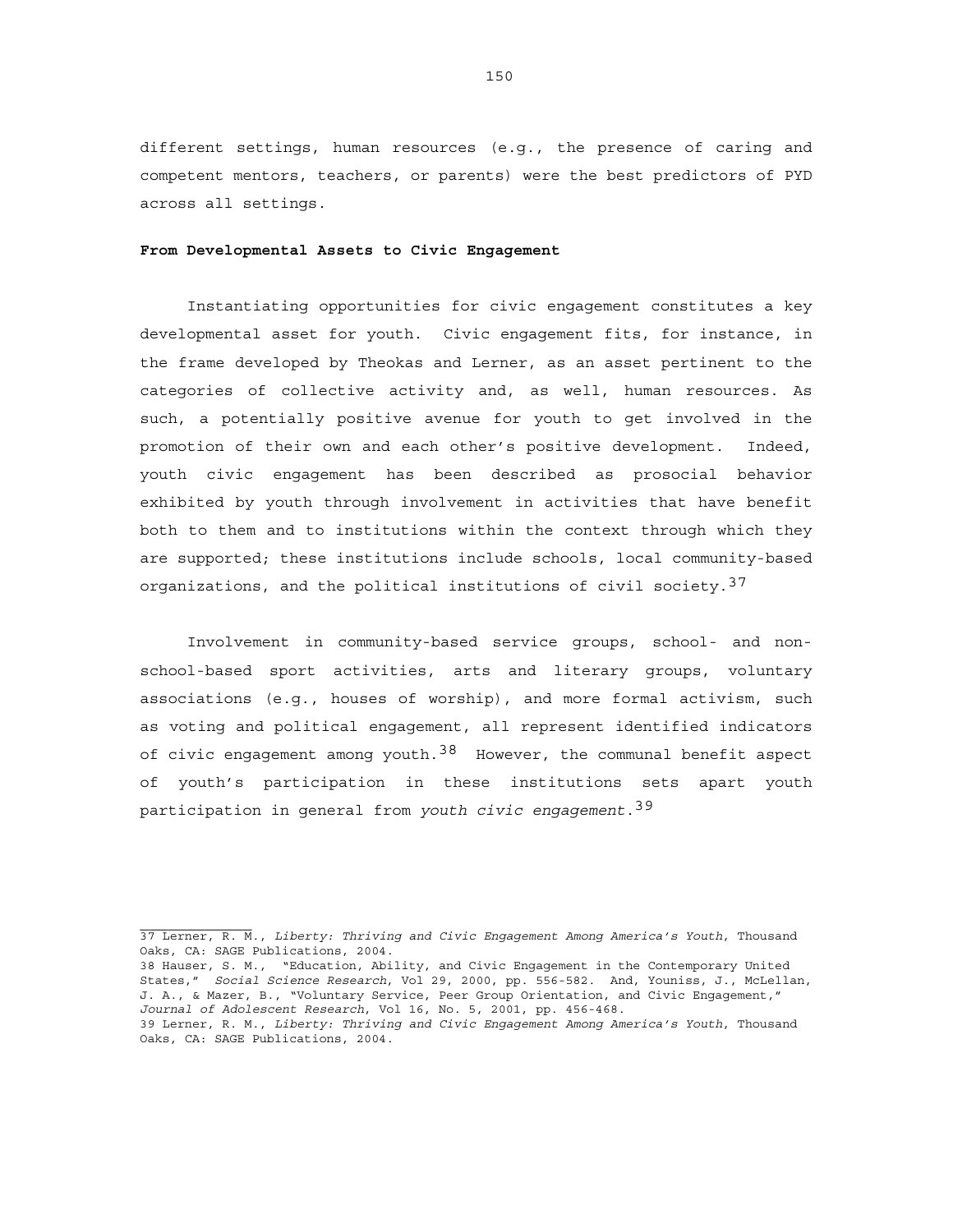different settings, human resources (e.g., the presence of caring and competent mentors, teachers, or parents) were the best predictors of PYD across all settings.

### **From Developmental Assets to Civic Engagement**

Instantiating opportunities for civic engagement constitutes a key developmental asset for youth. Civic engagement fits, for instance, in the frame developed by Theokas and Lerner, as an asset pertinent to the categories of collective activity and, as well, human resources. As such, a potentially positive avenue for youth to get involved in the promotion of their own and each other's positive development. Indeed, youth civic engagement has been described as prosocial behavior exhibited by youth through involvement in activities that have benefit both to them and to institutions within the context through which they are supported; these institutions include schools, local community-based organizations, and the political institutions of civil society.<sup>37</sup>

Involvement in community-based service groups, school- and nonschool-based sport activities, arts and literary groups, voluntary associations (e.g., houses of worship), and more formal activism, such as voting and political engagement, all represent identified indicators of civic engagement among youth. $38$  However, the communal benefit aspect of youth's participation in these institutions sets apart youth participation in general from *youth civic engagement*.39

38 Hauser, S. M., "Education, Ability, and Civic Engagement in the Contemporary United States," *Social Science Research*, Vol 29, 2000, pp. 556-582. And, Youniss, J., McLellan, J. A., & Mazer, B., "Voluntary Service, Peer Group Orientation, and Civic Engagement," *Journal of Adolescent Research*, Vol 16, No. 5, 2001, pp. 456-468.

\_\_\_\_\_\_\_\_\_\_\_\_ 37 Lerner, R. M., *Liberty: Thriving and Civic Engagement Among America's Youth*, Thousand Oaks, CA: SAGE Publications, 2004.

<sup>39</sup> Lerner, R. M., *Liberty: Thriving and Civic Engagement Among America's Youth*, Thousand Oaks, CA: SAGE Publications, 2004.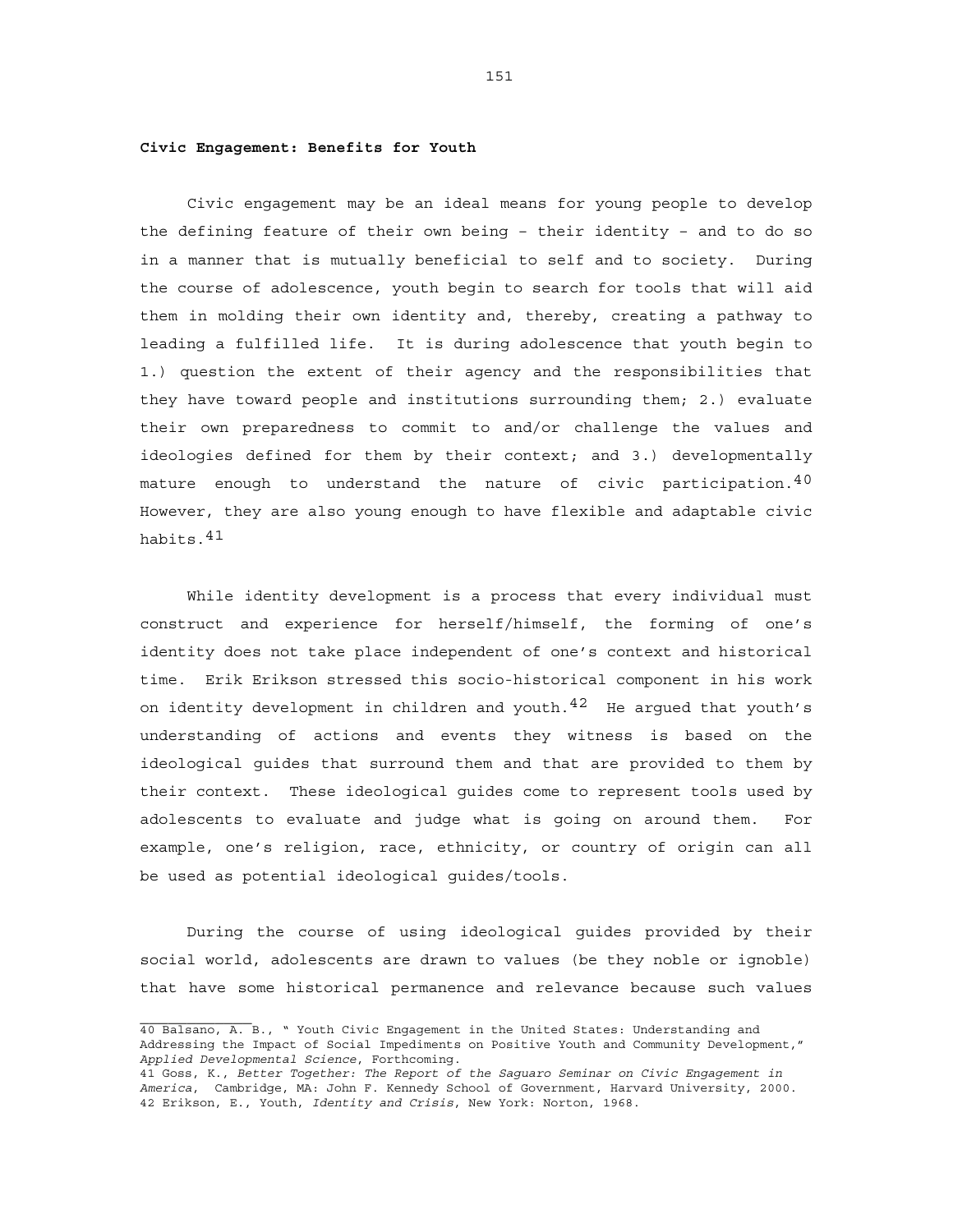# **Civic Engagement: Benefits for Youth**

Civic engagement may be an ideal means for young people to develop the defining feature of their own being – their identity – and to do so in a manner that is mutually beneficial to self and to society. During the course of adolescence, youth begin to search for tools that will aid them in molding their own identity and, thereby, creating a pathway to leading a fulfilled life. It is during adolescence that youth begin to 1.) question the extent of their agency and the responsibilities that they have toward people and institutions surrounding them; 2.) evaluate their own preparedness to commit to and/or challenge the values and ideologies defined for them by their context; and 3.) developmentally mature enough to understand the nature of civic participation.<sup>40</sup> However, they are also young enough to have flexible and adaptable civic habits.41

While identity development is a process that every individual must construct and experience for herself/himself, the forming of one's identity does not take place independent of one's context and historical time. Erik Erikson stressed this socio-historical component in his work on identity development in children and youth. $^{42}$  He argued that youth's understanding of actions and events they witness is based on the ideological guides that surround them and that are provided to them by their context. These ideological guides come to represent tools used by adolescents to evaluate and judge what is going on around them. For example, one's religion, race, ethnicity, or country of origin can all be used as potential ideological guides/tools.

During the course of using ideological guides provided by their social world, adolescents are drawn to values (be they noble or ignoble) that have some historical permanence and relevance because such values

<sup>40</sup> Balsano, A. B., " Youth Civic Engagement in the United States: Understanding and Addressing the Impact of Social Impediments on Positive Youth and Community Development," *Applied Developmental Science*, Forthcoming.

<sup>41</sup> Goss, K., *Better Together: The Report of the Saguaro Seminar on Civic Engagement in America*, Cambridge, MA: John F. Kennedy School of Government, Harvard University, 2000. 42 Erikson, E., Youth, *Identity and Crisis*, New York: Norton, 1968.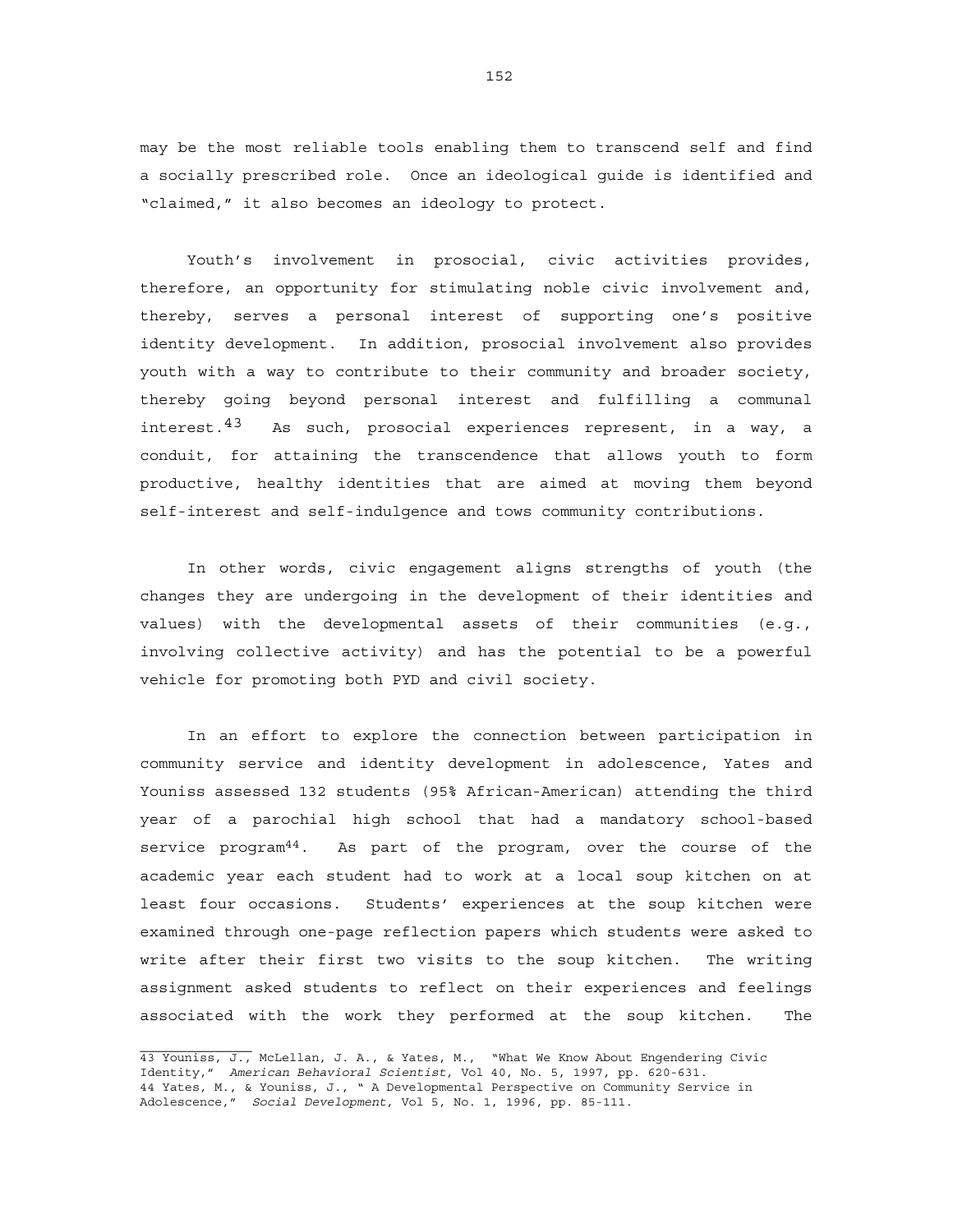may be the most reliable tools enabling them to transcend self and find a socially prescribed role. Once an ideological guide is identified and "claimed," it also becomes an ideology to protect.

Youth's involvement in prosocial, civic activities provides, therefore, an opportunity for stimulating noble civic involvement and, thereby, serves a personal interest of supporting one's positive identity development. In addition, prosocial involvement also provides youth with a way to contribute to their community and broader society, thereby going beyond personal interest and fulfilling a communal interest.43 As such, prosocial experiences represent, in a way, a conduit, for attaining the transcendence that allows youth to form productive, healthy identities that are aimed at moving them beyond self-interest and self-indulgence and tows community contributions.

In other words, civic engagement aligns strengths of youth (the changes they are undergoing in the development of their identities and values) with the developmental assets of their communities (e.g., involving collective activity) and has the potential to be a powerful vehicle for promoting both PYD and civil society.

In an effort to explore the connection between participation in community service and identity development in adolescence, Yates and Youniss assessed 132 students (95% African-American) attending the third year of a parochial high school that had a mandatory school-based service program<sup>44</sup>. As part of the program, over the course of the academic year each student had to work at a local soup kitchen on at least four occasions. Students' experiences at the soup kitchen were examined through one-page reflection papers which students were asked to write after their first two visits to the soup kitchen. The writing assignment asked students to reflect on their experiences and feelings associated with the work they performed at the soup kitchen. The

<sup>43</sup> Youniss, J., McLellan, J. A., & Yates, M., "What We Know About Engendering Civic Identity," *American Behavioral Scientist*, Vol 40, No. 5, 1997, pp. 620-631. 44 Yates, M., & Youniss, J., " A Developmental Perspective on Community Service in Adolescence," *Social Development*, Vol 5, No. 1, 1996, pp. 85-111.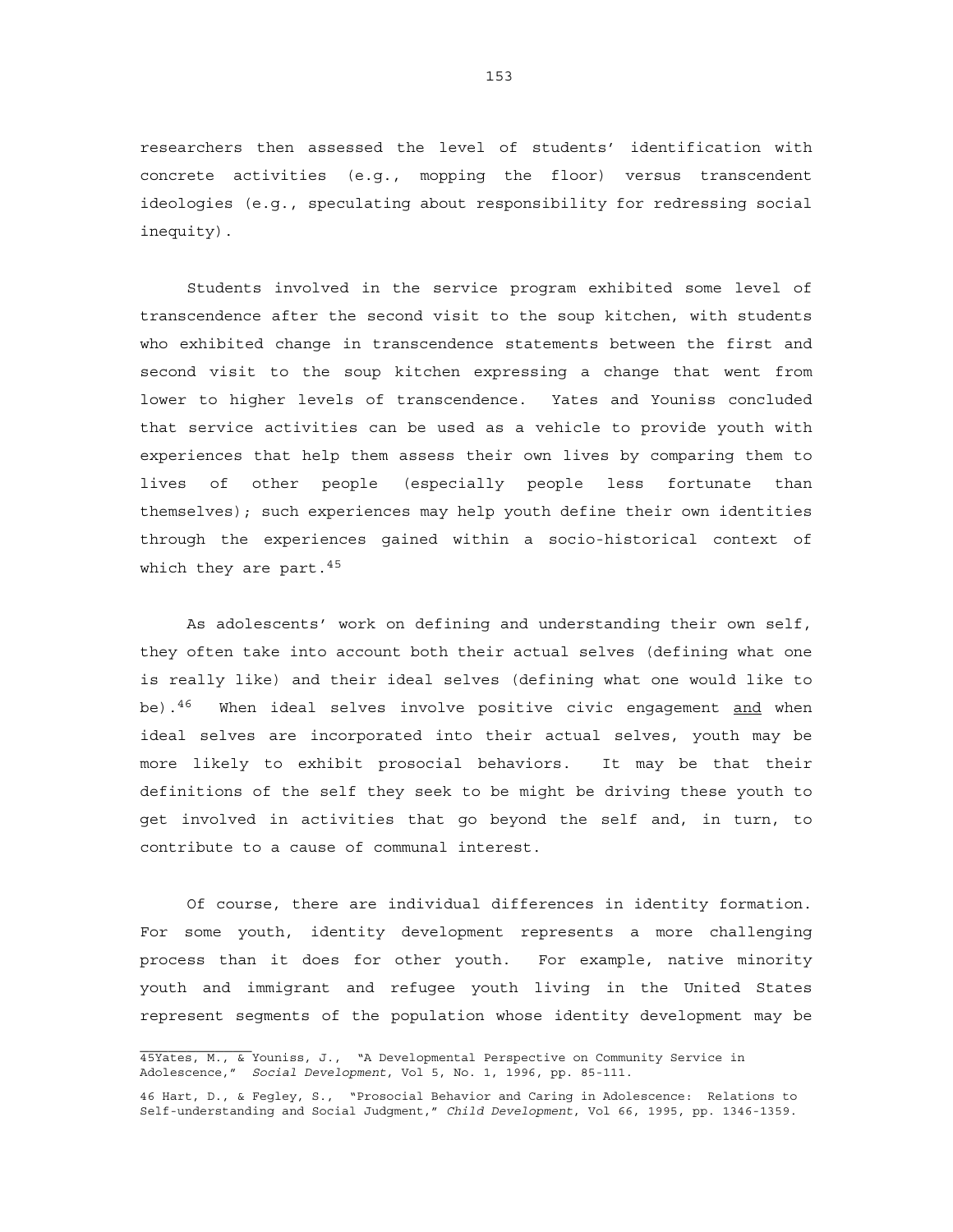researchers then assessed the level of students' identification with concrete activities (e.g., mopping the floor) versus transcendent ideologies (e.g., speculating about responsibility for redressing social inequity).

Students involved in the service program exhibited some level of transcendence after the second visit to the soup kitchen, with students who exhibited change in transcendence statements between the first and second visit to the soup kitchen expressing a change that went from lower to higher levels of transcendence. Yates and Youniss concluded that service activities can be used as a vehicle to provide youth with experiences that help them assess their own lives by comparing them to lives of other people (especially people less fortunate than themselves); such experiences may help youth define their own identities through the experiences gained within a socio-historical context of which they are part.<sup>45</sup>

As adolescents' work on defining and understanding their own self, they often take into account both their actual selves (defining what one is really like) and their ideal selves (defining what one would like to be).46 When ideal selves involve positive civic engagement and when ideal selves are incorporated into their actual selves, youth may be more likely to exhibit prosocial behaviors. It may be that their definitions of the self they seek to be might be driving these youth to get involved in activities that go beyond the self and, in turn, to contribute to a cause of communal interest.

Of course, there are individual differences in identity formation. For some youth, identity development represents a more challenging process than it does for other youth. For example, native minority youth and immigrant and refugee youth living in the United States represent segments of the population whose identity development may be

<sup>45</sup>Yates, M., & Youniss, J., "A Developmental Perspective on Community Service in Adolescence," *Social Development*, Vol 5, No. 1, 1996, pp. 85-111.

<sup>46</sup> Hart, D., & Fegley, S., "Prosocial Behavior and Caring in Adolescence: Relations to Self-understanding and Social Judgment," *Child Development*, Vol 66, 1995, pp. 1346-1359.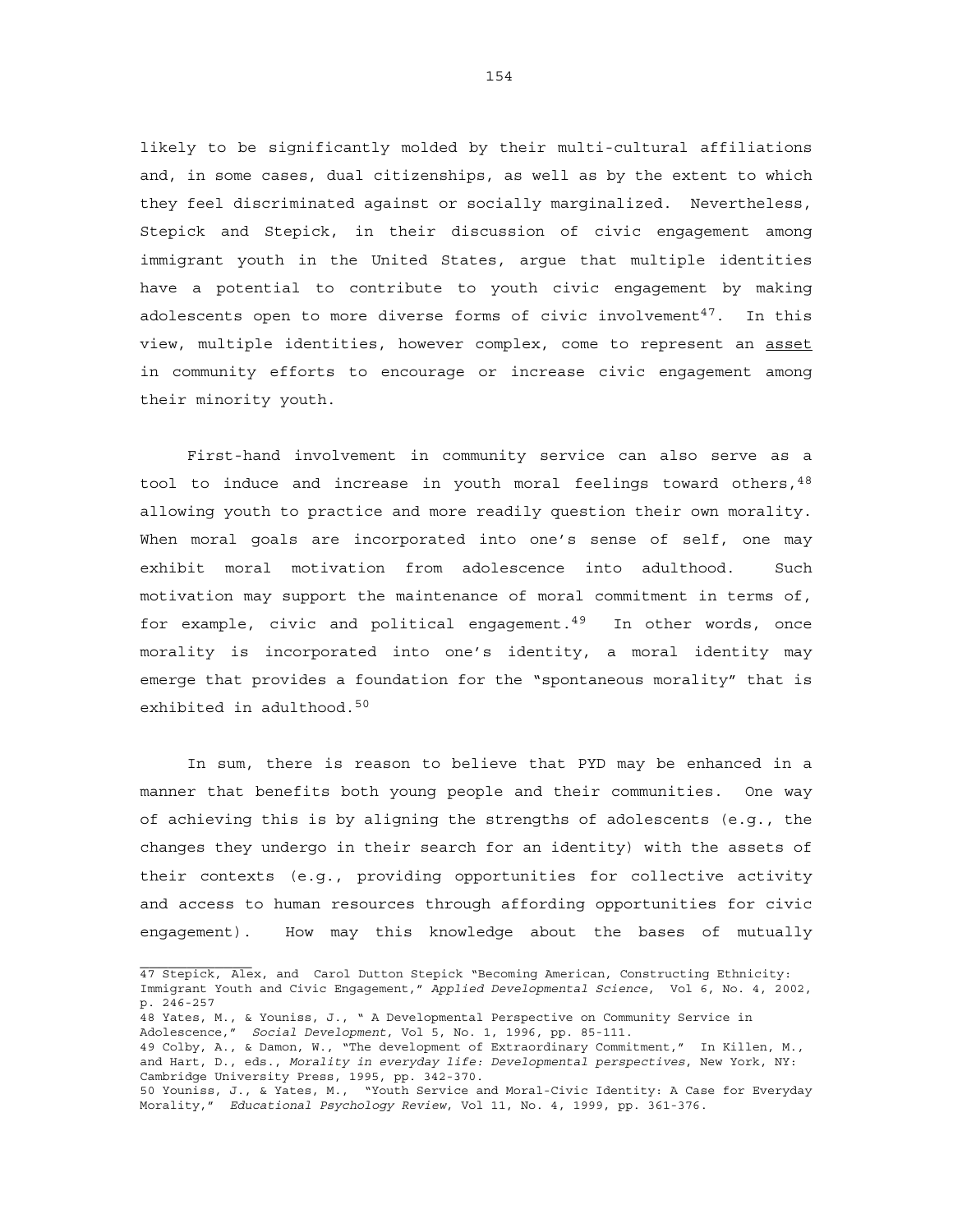likely to be significantly molded by their multi-cultural affiliations and, in some cases, dual citizenships, as well as by the extent to which they feel discriminated against or socially marginalized. Nevertheless, Stepick and Stepick, in their discussion of civic engagement among immigrant youth in the United States, argue that multiple identities have a potential to contribute to youth civic engagement by making adolescents open to more diverse forms of civic involvement<sup>47</sup>. In this view, multiple identities, however complex, come to represent an asset in community efforts to encourage or increase civic engagement among their minority youth.

First-hand involvement in community service can also serve as a tool to induce and increase in youth moral feelings toward others,  $48$ allowing youth to practice and more readily question their own morality. When moral goals are incorporated into one's sense of self, one may exhibit moral motivation from adolescence into adulthood. Such motivation may support the maintenance of moral commitment in terms of, for example, civic and political engagement.<sup>49</sup> In other words, once morality is incorporated into one's identity, a moral identity may emerge that provides a foundation for the "spontaneous morality" that is exhibited in adulthood.<sup>50</sup>

In sum, there is reason to believe that PYD may be enhanced in a manner that benefits both young people and their communities. One way of achieving this is by aligning the strengths of adolescents (e.g., the changes they undergo in their search for an identity) with the assets of their contexts (e.g., providing opportunities for collective activity and access to human resources through affording opportunities for civic engagement). How may this knowledge about the bases of mutually

<sup>47</sup> Stepick, Alex, and Carol Dutton Stepick "Becoming American, Constructing Ethnicity: Immigrant Youth and Civic Engagement," *Applied Developmental Science*, Vol 6, No. 4, 2002, p. 246-257

<sup>48</sup> Yates, M., & Youniss, J., " A Developmental Perspective on Community Service in Adolescence," *Social Development*, Vol 5, No. 1, 1996, pp. 85-111.

<sup>49</sup> Colby, A., & Damon, W., "The development of Extraordinary Commitment," In Killen, M., and Hart, D., eds., *Morality in everyday life: Developmental perspectives*, New York, NY: Cambridge University Press, 1995, pp. 342-370.

<sup>50</sup> Youniss, J., & Yates, M., "Youth Service and Moral-Civic Identity: A Case for Everyday Morality," *Educational Psychology Review*, Vol 11, No. 4, 1999, pp. 361-376.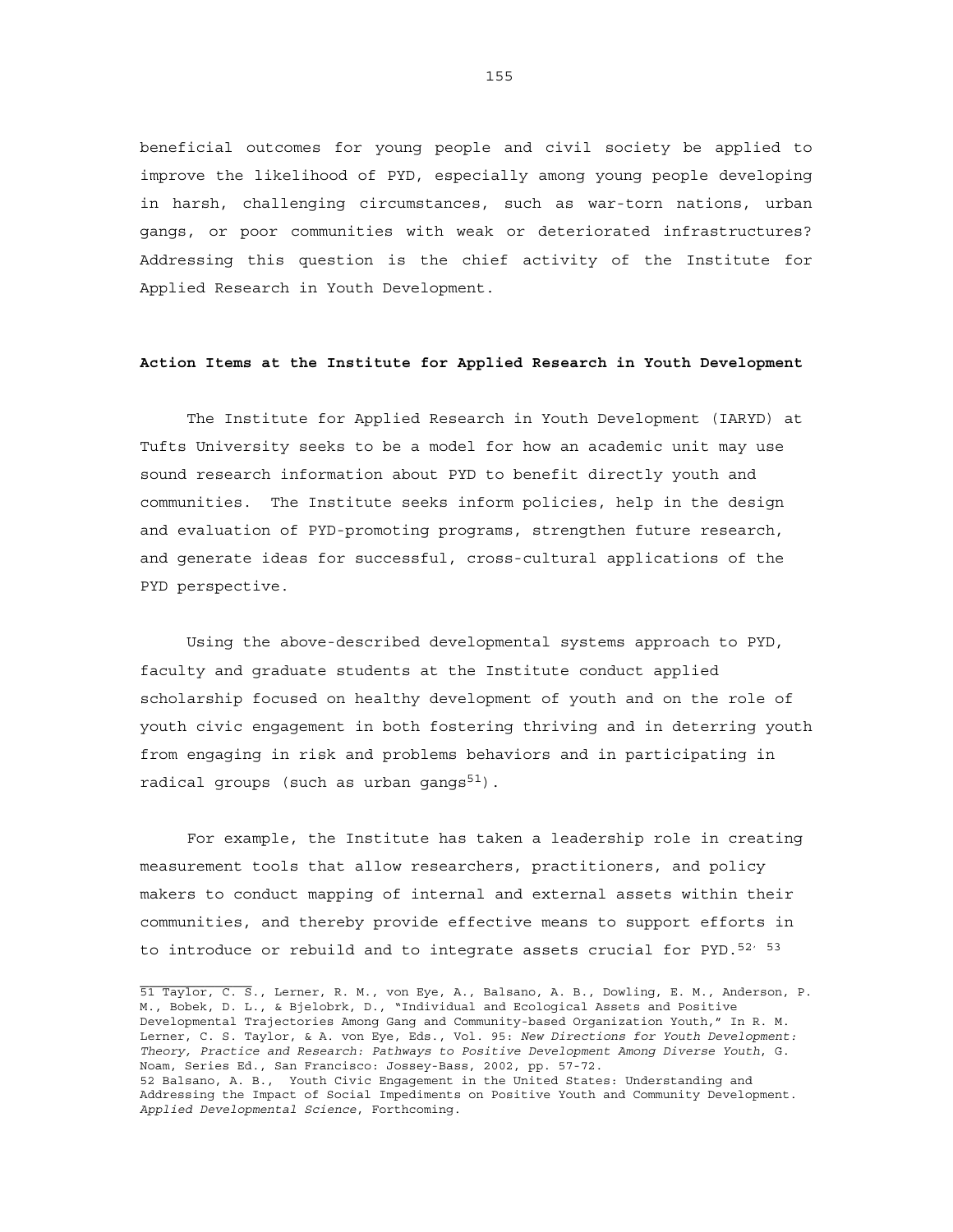beneficial outcomes for young people and civil society be applied to improve the likelihood of PYD, especially among young people developing in harsh, challenging circumstances, such as war-torn nations, urban gangs, or poor communities with weak or deteriorated infrastructures? Addressing this question is the chief activity of the Institute for Applied Research in Youth Development.

### **Action Items at the Institute for Applied Research in Youth Development**

The Institute for Applied Research in Youth Development (IARYD) at Tufts University seeks to be a model for how an academic unit may use sound research information about PYD to benefit directly youth and communities. The Institute seeks inform policies, help in the design and evaluation of PYD-promoting programs, strengthen future research, and generate ideas for successful, cross-cultural applications of the PYD perspective.

Using the above-described developmental systems approach to PYD, faculty and graduate students at the Institute conduct applied scholarship focused on healthy development of youth and on the role of youth civic engagement in both fostering thriving and in deterring youth from engaging in risk and problems behaviors and in participating in radical groups (such as urban gangs<sup>51</sup>).

For example, the Institute has taken a leadership role in creating measurement tools that allow researchers, practitioners, and policy makers to conduct mapping of internal and external assets within their communities, and thereby provide effective means to support efforts in to introduce or rebuild and to integrate assets crucial for PYD.  $52<sup>7</sup>$  53

<sup>.&</sup>lt;br>51 Taylor, C. S., Lerner, R. M., von Eye, A., Balsano, A. B., Dowling, E. M., Anderson, P. M., Bobek, D. L., & Bjelobrk, D., "Individual and Ecological Assets and Positive Developmental Trajectories Among Gang and Community-based Organization Youth," In R. M. Lerner, C. S. Taylor, & A. von Eye, Eds., Vol. 95: *New Directions for Youth Development: Theory, Practice and Research: Pathways to Positive Development Among Diverse Youth*, G. Noam, Series Ed., San Francisco: Jossey-Bass, 2002, pp. 57-72. 52 Balsano, A. B., Youth Civic Engagement in the United States: Understanding and Addressing the Impact of Social Impediments on Positive Youth and Community Development. *Applied Developmental Science*, Forthcoming.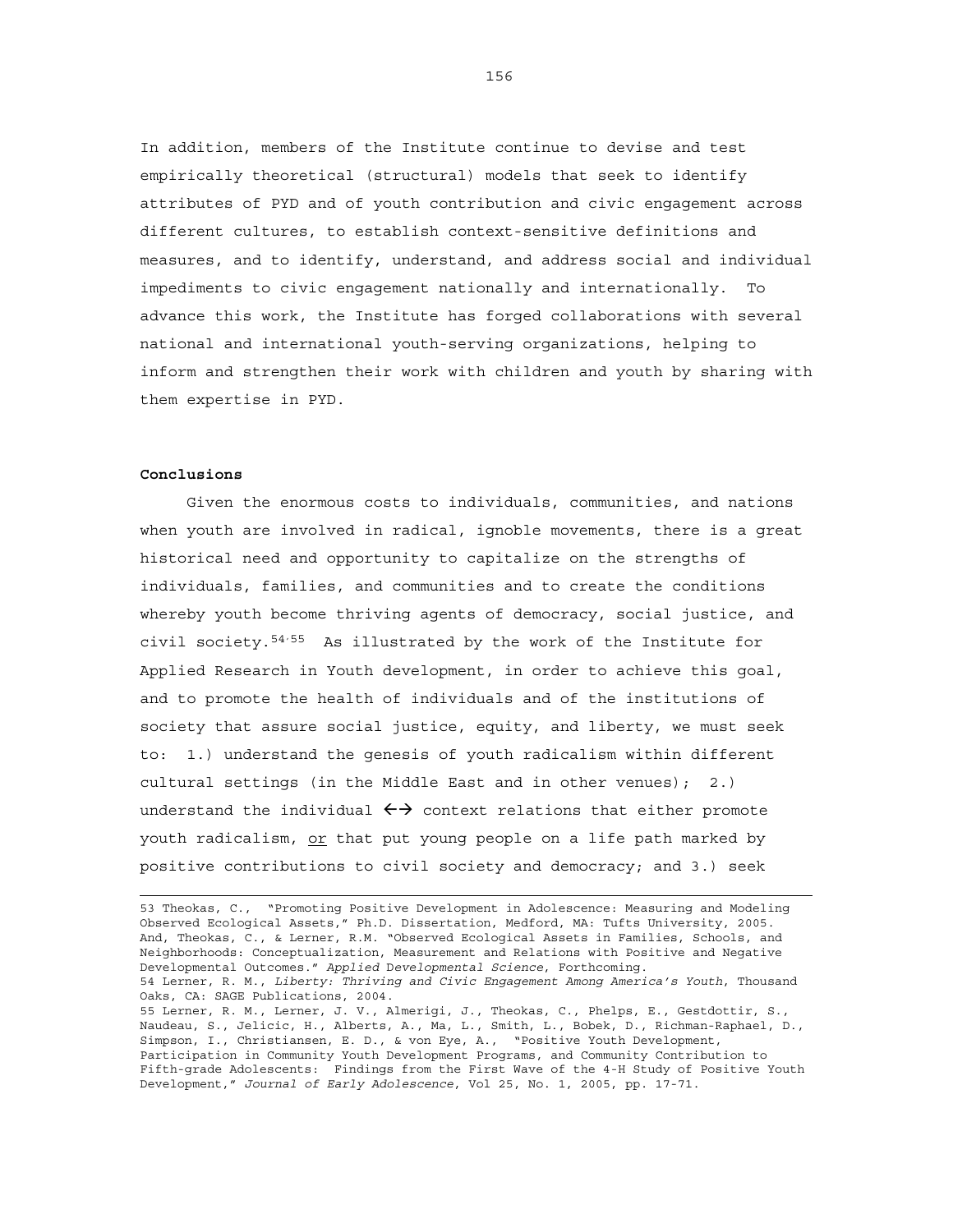In addition, members of the Institute continue to devise and test empirically theoretical (structural) models that seek to identify attributes of PYD and of youth contribution and civic engagement across different cultures, to establish context-sensitive definitions and measures, and to identify, understand, and address social and individual impediments to civic engagement nationally and internationally. To advance this work, the Institute has forged collaborations with several national and international youth-serving organizations, helping to inform and strengthen their work with children and youth by sharing with them expertise in PYD.

### **Conclusions**

Given the enormous costs to individuals, communities, and nations when youth are involved in radical, ignoble movements, there is a great historical need and opportunity to capitalize on the strengths of individuals, families, and communities and to create the conditions whereby youth become thriving agents of democracy, social justice, and civil society.<sup>54,55</sup> As illustrated by the work of the Institute for Applied Research in Youth development, in order to achieve this goal, and to promote the health of individuals and of the institutions of society that assure social justice, equity, and liberty, we must seek to: 1.) understand the genesis of youth radicalism within different cultural settings (in the Middle East and in other venues); 2.) understand the individual  $\leftrightarrow$  context relations that either promote youth radicalism, or that put young people on a life path marked by positive contributions to civil society and democracy; and 3.) seek

 53 Theokas, C., "Promoting Positive Development in Adolescence: Measuring and Modeling Observed Ecological Assets," Ph.D. Dissertation, Medford, MA: Tufts University, 2005. And, Theokas, C., & Lerner, R.M. "Observed Ecological Assets in Families, Schools, and Neighborhoods: Conceptualization, Measurement and Relations with Positive and Negative Developmental Outcomes." *Applied* D*evelopmental Science*, Forthcoming. 54 Lerner, R. M., *Liberty: Thriving and Civic Engagement Among America's Youth*, Thousand Oaks, CA: SAGE Publications, 2004. 55 Lerner, R. M., Lerner, J. V., Almerigi, J., Theokas, C., Phelps, E., Gestdottir, S., Naudeau, S., Jelicic, H., Alberts, A., Ma, L., Smith, L., Bobek, D., Richman-Raphael, D., Simpson, I., Christiansen, E. D., & von Eye, A., "Positive Youth Development, Participation in Community Youth Development Programs, and Community Contribution to Fifth-grade Adolescents: Findings from the First Wave of the 4-H Study of Positive Youth Development," *Journal of Early Adolescence*, Vol 25, No. 1, 2005, pp. 17-71.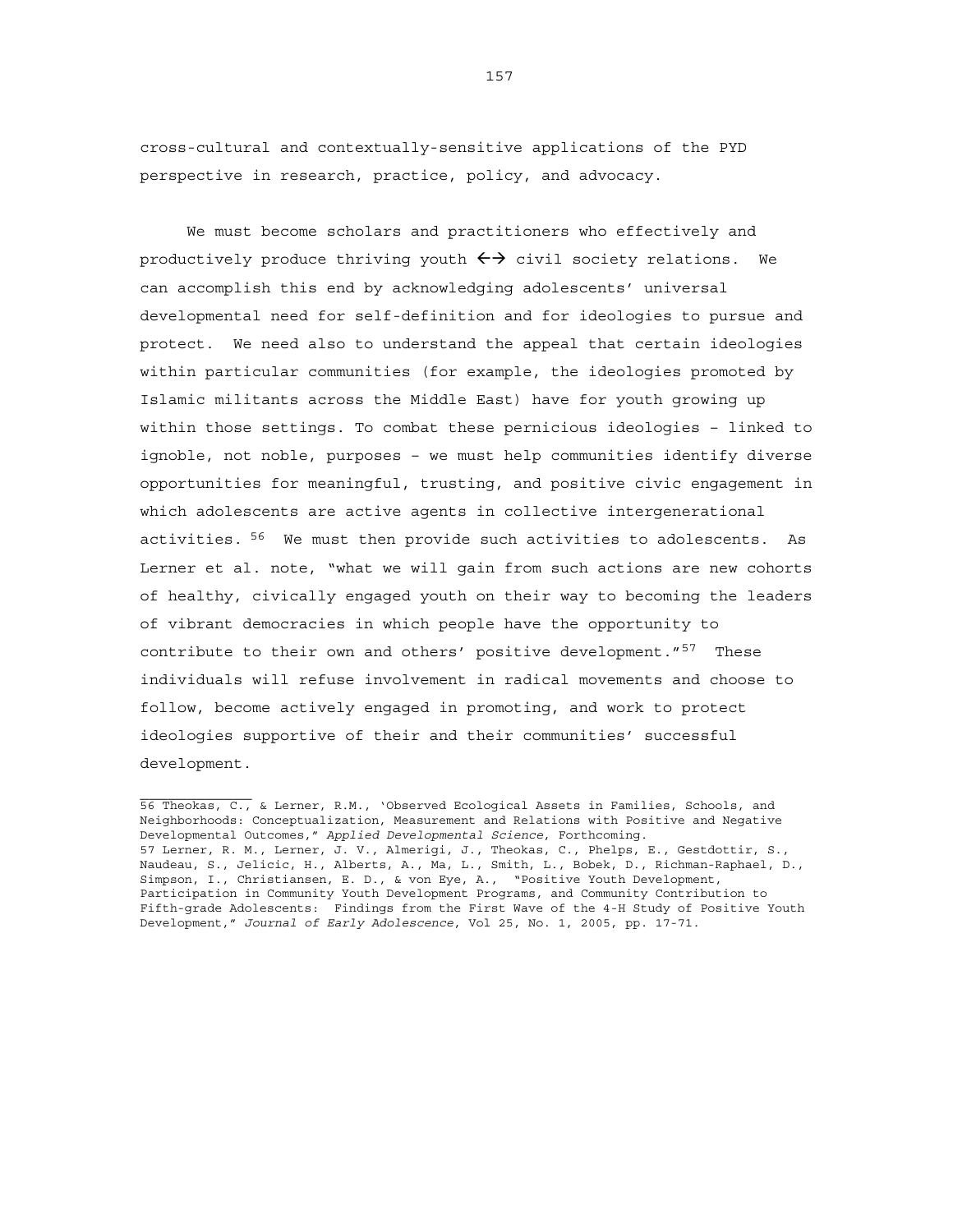cross-cultural and contextually-sensitive applications of the PYD perspective in research, practice, policy, and advocacy.

We must become scholars and practitioners who effectively and productively produce thriving youth  $\leftrightarrow$  civil society relations. We can accomplish this end by acknowledging adolescents' universal developmental need for self-definition and for ideologies to pursue and protect. We need also to understand the appeal that certain ideologies within particular communities (for example, the ideologies promoted by Islamic militants across the Middle East) have for youth growing up within those settings. To combat these pernicious ideologies – linked to ignoble, not noble, purposes – we must help communities identify diverse opportunities for meaningful, trusting, and positive civic engagement in which adolescents are active agents in collective intergenerational activities. <sup>56</sup> We must then provide such activities to adolescents. As Lerner et al. note, "what we will gain from such actions are new cohorts of healthy, civically engaged youth on their way to becoming the leaders of vibrant democracies in which people have the opportunity to contribute to their own and others' positive development."57 These individuals will refuse involvement in radical movements and choose to follow, become actively engaged in promoting, and work to protect ideologies supportive of their and their communities' successful development.

<sup>56</sup> Theokas, C., & Lerner, R.M., 'Observed Ecological Assets in Families, Schools, and Neighborhoods: Conceptualization, Measurement and Relations with Positive and Negative Developmental Outcomes," *Applied Developmental Science*, Forthcoming. 57 Lerner, R. M., Lerner, J. V., Almerigi, J., Theokas, C., Phelps, E., Gestdottir, S., Naudeau, S., Jelicic, H., Alberts, A., Ma, L., Smith, L., Bobek, D., Richman-Raphael, D., Simpson, I., Christiansen, E. D., & von Eye, A., "Positive Youth Development, Participation in Community Youth Development Programs, and Community Contribution to Fifth-grade Adolescents: Findings from the First Wave of the 4-H Study of Positive Youth Development," *Journal of Early Adolescence*, Vol 25, No. 1, 2005, pp. 17-71.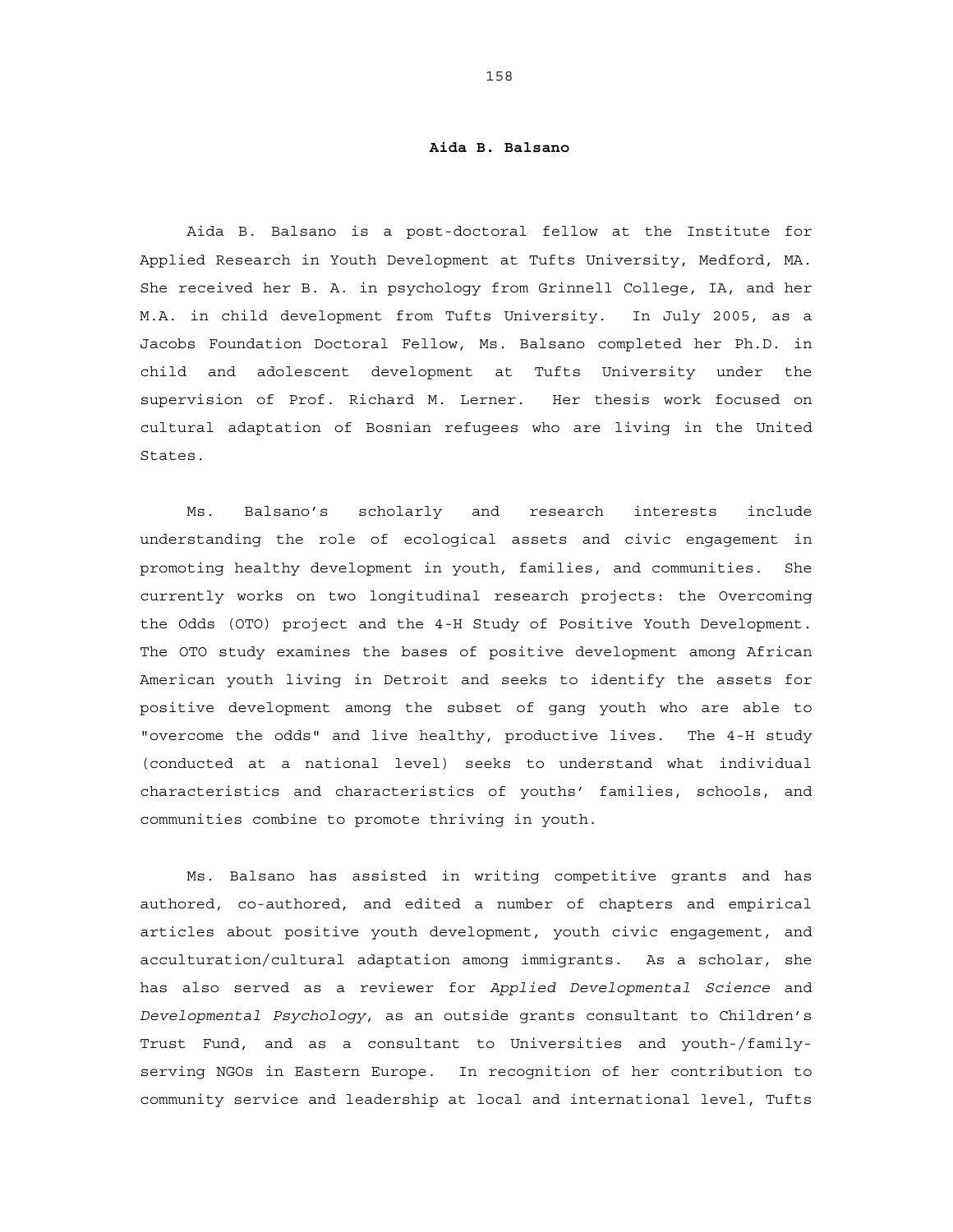### **Aida B. Balsano**

Aida B. Balsano is a post-doctoral fellow at the Institute for Applied Research in Youth Development at Tufts University, Medford, MA. She received her B. A. in psychology from Grinnell College, IA, and her M.A. in child development from Tufts University. In July 2005, as a Jacobs Foundation Doctoral Fellow, Ms. Balsano completed her Ph.D. in child and adolescent development at Tufts University under the supervision of Prof. Richard M. Lerner. Her thesis work focused on cultural adaptation of Bosnian refugees who are living in the United States.

Ms. Balsano's scholarly and research interests include understanding the role of ecological assets and civic engagement in promoting healthy development in youth, families, and communities. She currently works on two longitudinal research projects: the Overcoming the Odds (OTO) project and the 4-H Study of Positive Youth Development. The OTO study examines the bases of positive development among African American youth living in Detroit and seeks to identify the assets for positive development among the subset of gang youth who are able to "overcome the odds" and live healthy, productive lives. The 4-H study (conducted at a national level) seeks to understand what individual characteristics and characteristics of youths' families, schools, and communities combine to promote thriving in youth.

Ms. Balsano has assisted in writing competitive grants and has authored, co-authored, and edited a number of chapters and empirical articles about positive youth development, youth civic engagement, and acculturation/cultural adaptation among immigrants. As a scholar, she has also served as a reviewer for *Applied Developmental Science* and *Developmental Psychology*, as an outside grants consultant to Children's Trust Fund, and as a consultant to Universities and youth-/familyserving NGOs in Eastern Europe. In recognition of her contribution to community service and leadership at local and international level, Tufts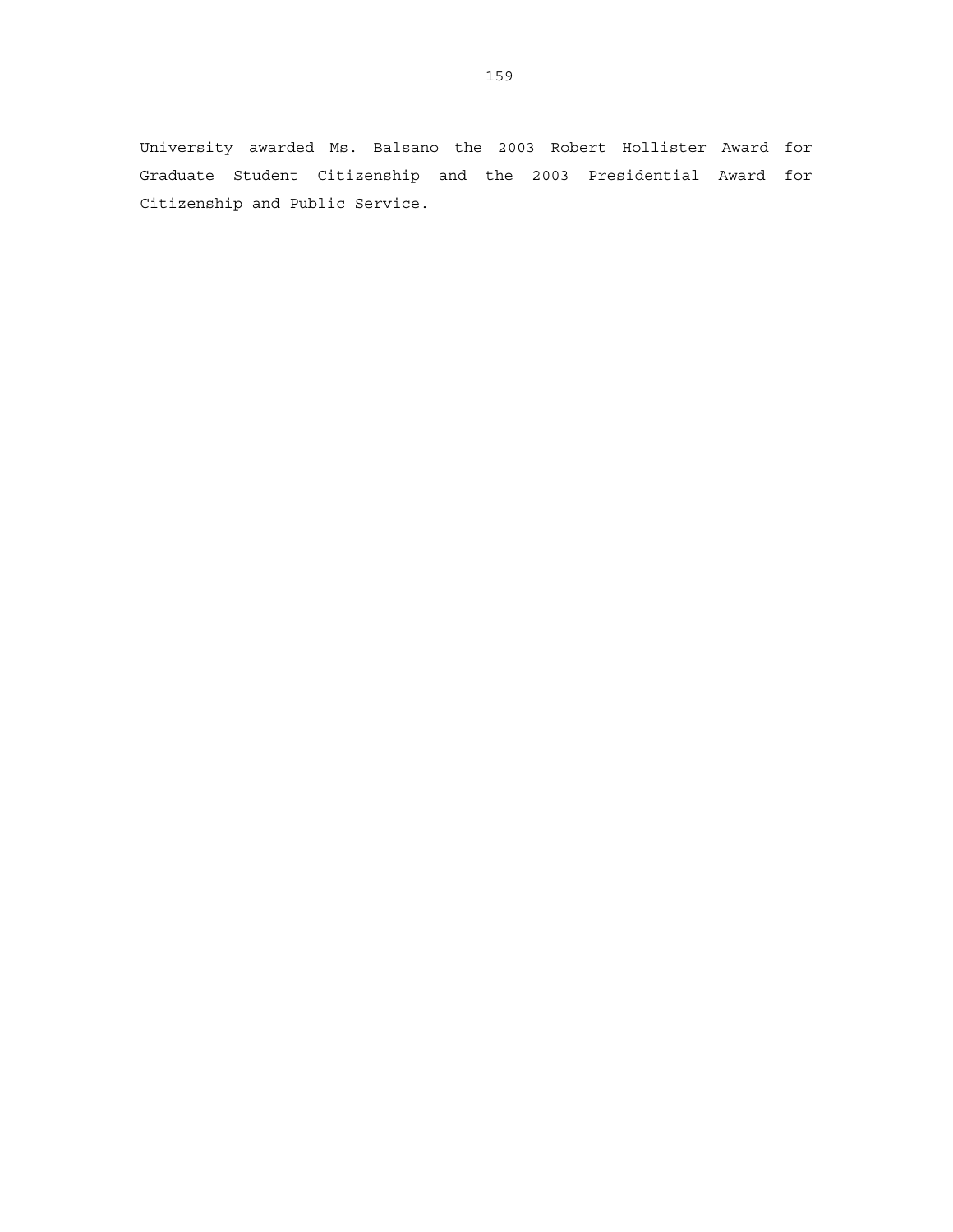University awarded Ms. Balsano the 2003 Robert Hollister Award for Graduate Student Citizenship and the 2003 Presidential Award for Citizenship and Public Service.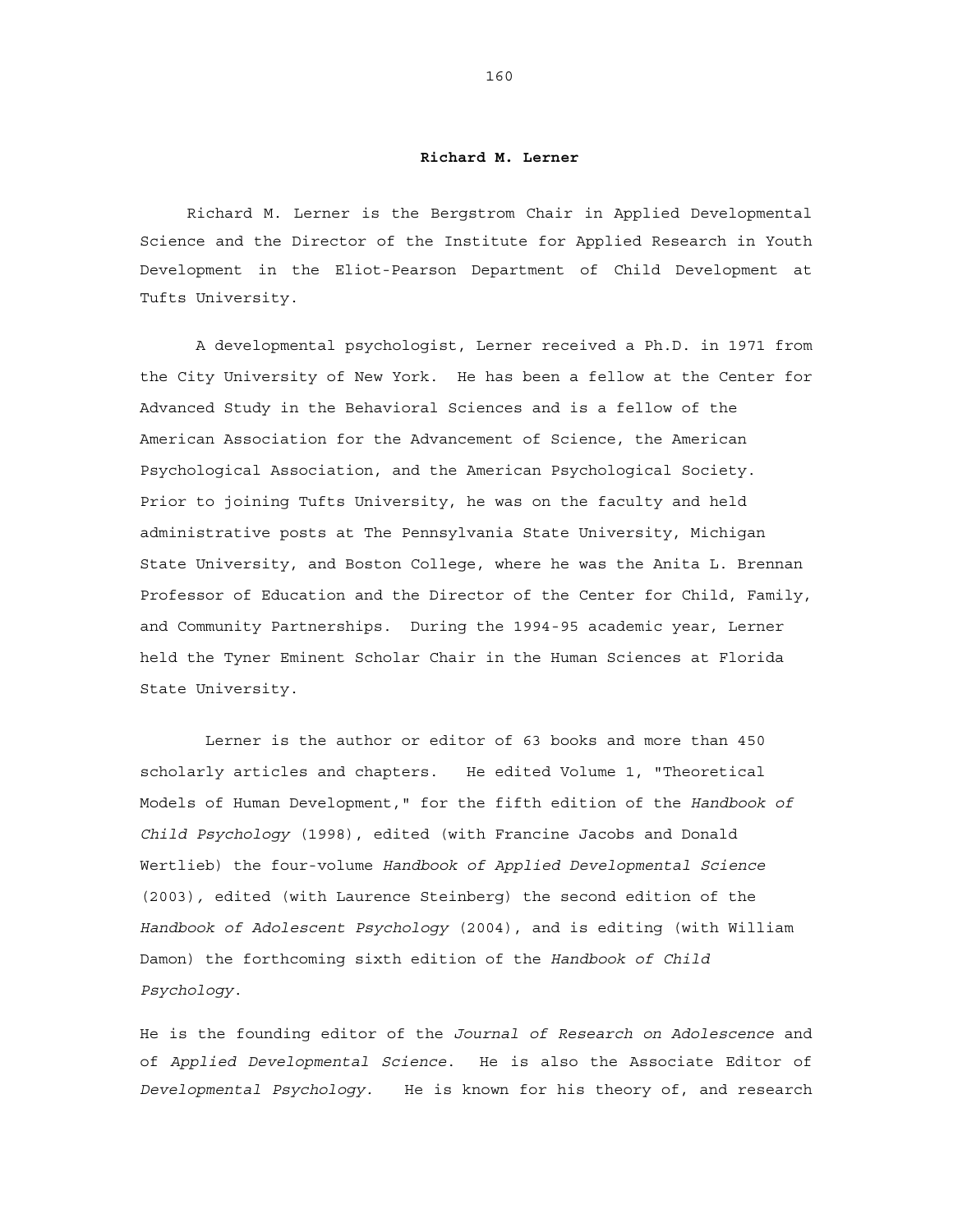#### **Richard M. Lerner**

Richard M. Lerner is the Bergstrom Chair in Applied Developmental Science and the Director of the Institute for Applied Research in Youth Development in the Eliot-Pearson Department of Child Development at Tufts University.

A developmental psychologist, Lerner received a Ph.D. in 1971 from the City University of New York. He has been a fellow at the Center for Advanced Study in the Behavioral Sciences and is a fellow of the American Association for the Advancement of Science, the American Psychological Association, and the American Psychological Society. Prior to joining Tufts University, he was on the faculty and held administrative posts at The Pennsylvania State University, Michigan State University, and Boston College, where he was the Anita L. Brennan Professor of Education and the Director of the Center for Child, Family, and Community Partnerships. During the 1994-95 academic year, Lerner held the Tyner Eminent Scholar Chair in the Human Sciences at Florida State University.

 Lerner is the author or editor of 63 books and more than 450 scholarly articles and chapters. He edited Volume 1, "Theoretical Models of Human Development," for the fifth edition of the *Handbook of Child Psychology* (1998), edited (with Francine Jacobs and Donald Wertlieb) the four-volume *Handbook of Applied Developmental Science* (2003)*,* edited (with Laurence Steinberg) the second edition of the *Handbook of Adolescent Psychology* (2004), and is editing (with William Damon) the forthcoming sixth edition of the *Handbook of Child Psychology*.

He is the founding editor of the *Journal of Research on Adolescence* and of *Applied Developmental Science*. He is also the Associate Editor of *Developmental Psychology.* He is known for his theory of, and research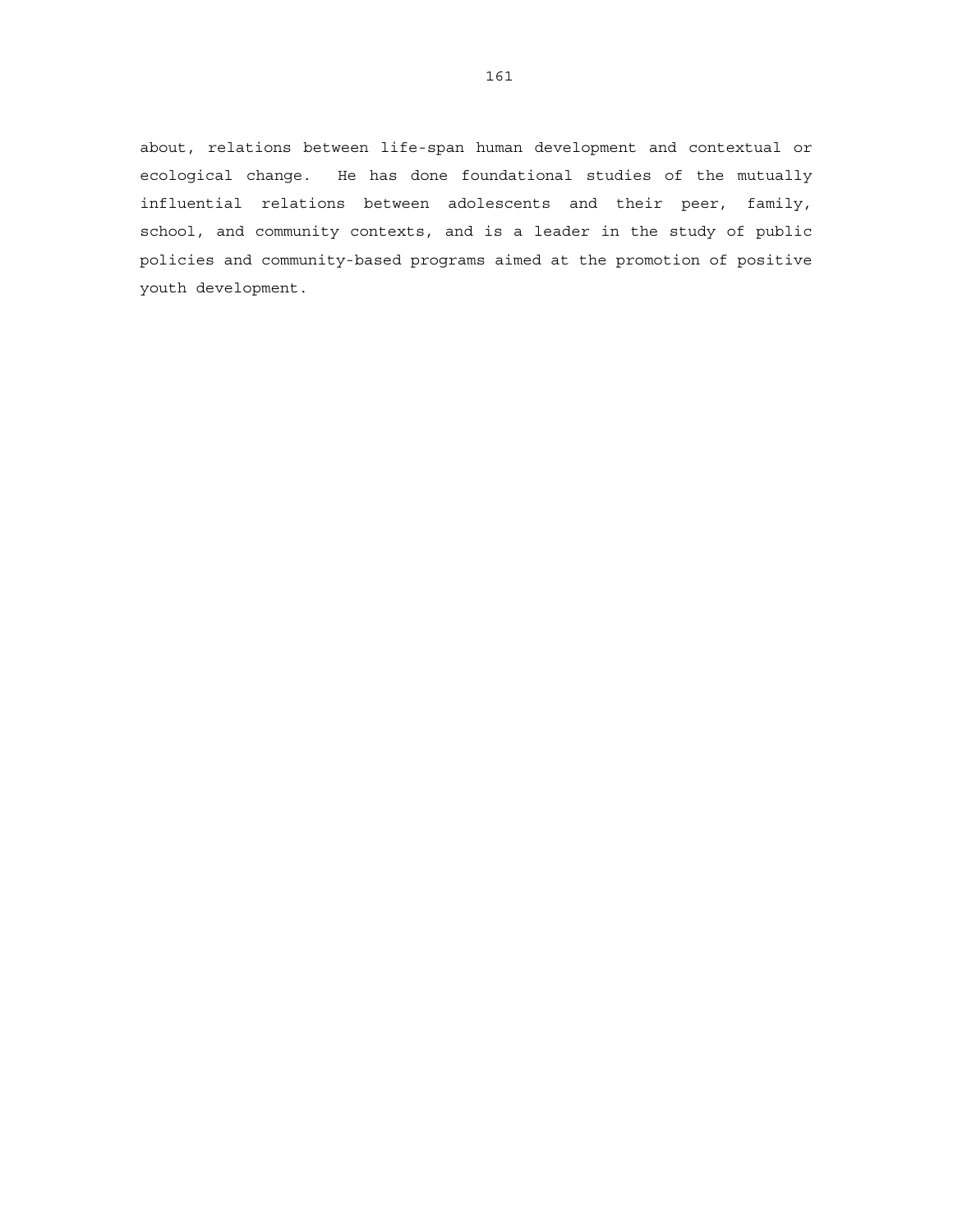about, relations between life-span human development and contextual or ecological change. He has done foundational studies of the mutually influential relations between adolescents and their peer, family, school, and community contexts, and is a leader in the study of public policies and community-based programs aimed at the promotion of positive youth development.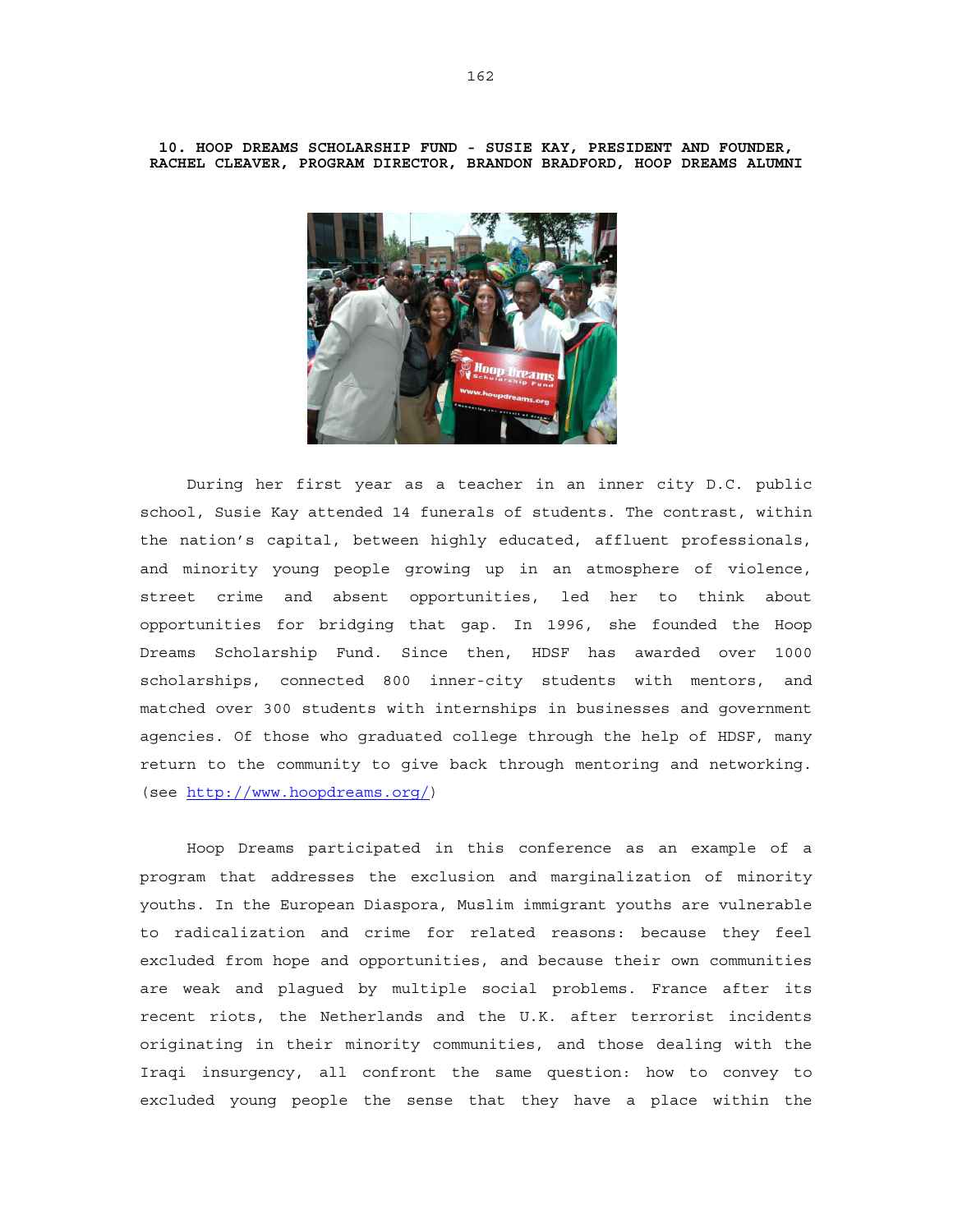**10. HOOP DREAMS SCHOLARSHIP FUND - SUSIE KAY, PRESIDENT AND FOUNDER, RACHEL CLEAVER, PROGRAM DIRECTOR, BRANDON BRADFORD, HOOP DREAMS ALUMNI** 



During her first year as a teacher in an inner city D.C. public school, Susie Kay attended 14 funerals of students. The contrast, within the nation's capital, between highly educated, affluent professionals, and minority young people growing up in an atmosphere of violence, street crime and absent opportunities, led her to think about opportunities for bridging that gap. In 1996, she founded the Hoop Dreams Scholarship Fund. Since then, HDSF has awarded over 1000 scholarships, connected 800 inner-city students with mentors, and matched over 300 students with internships in businesses and government agencies. Of those who graduated college through the help of HDSF, many return to the community to give back through mentoring and networking. (see http://www.hoopdreams.org/)

Hoop Dreams participated in this conference as an example of a program that addresses the exclusion and marginalization of minority youths. In the European Diaspora, Muslim immigrant youths are vulnerable to radicalization and crime for related reasons: because they feel excluded from hope and opportunities, and because their own communities are weak and plagued by multiple social problems. France after its recent riots, the Netherlands and the U.K. after terrorist incidents originating in their minority communities, and those dealing with the Iraqi insurgency, all confront the same question: how to convey to excluded young people the sense that they have a place within the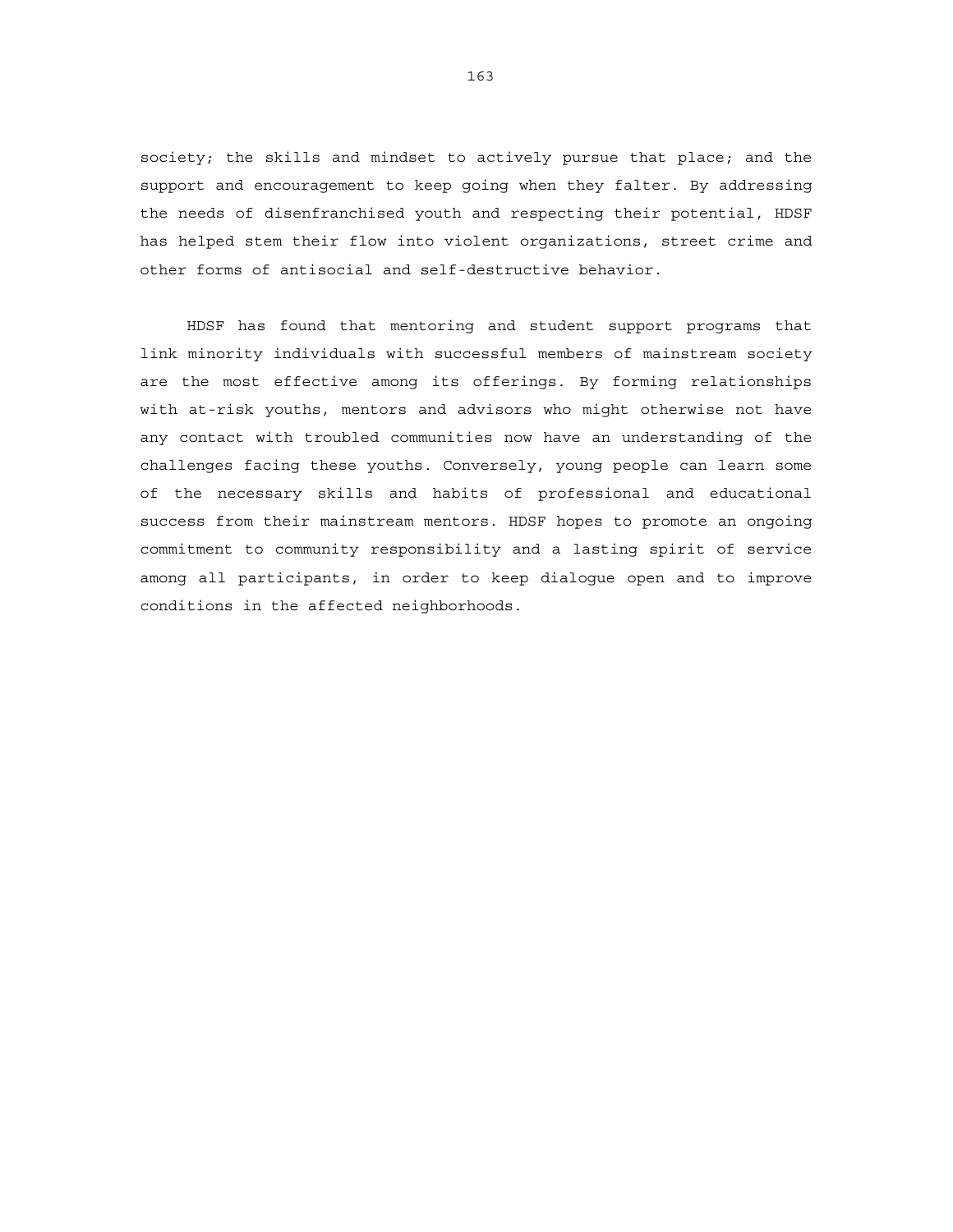society; the skills and mindset to actively pursue that place; and the support and encouragement to keep going when they falter. By addressing the needs of disenfranchised youth and respecting their potential, HDSF has helped stem their flow into violent organizations, street crime and other forms of antisocial and self-destructive behavior.

HDSF has found that mentoring and student support programs that link minority individuals with successful members of mainstream society are the most effective among its offerings. By forming relationships with at-risk youths, mentors and advisors who might otherwise not have any contact with troubled communities now have an understanding of the challenges facing these youths. Conversely, young people can learn some of the necessary skills and habits of professional and educational success from their mainstream mentors. HDSF hopes to promote an ongoing commitment to community responsibility and a lasting spirit of service among all participants, in order to keep dialogue open and to improve conditions in the affected neighborhoods.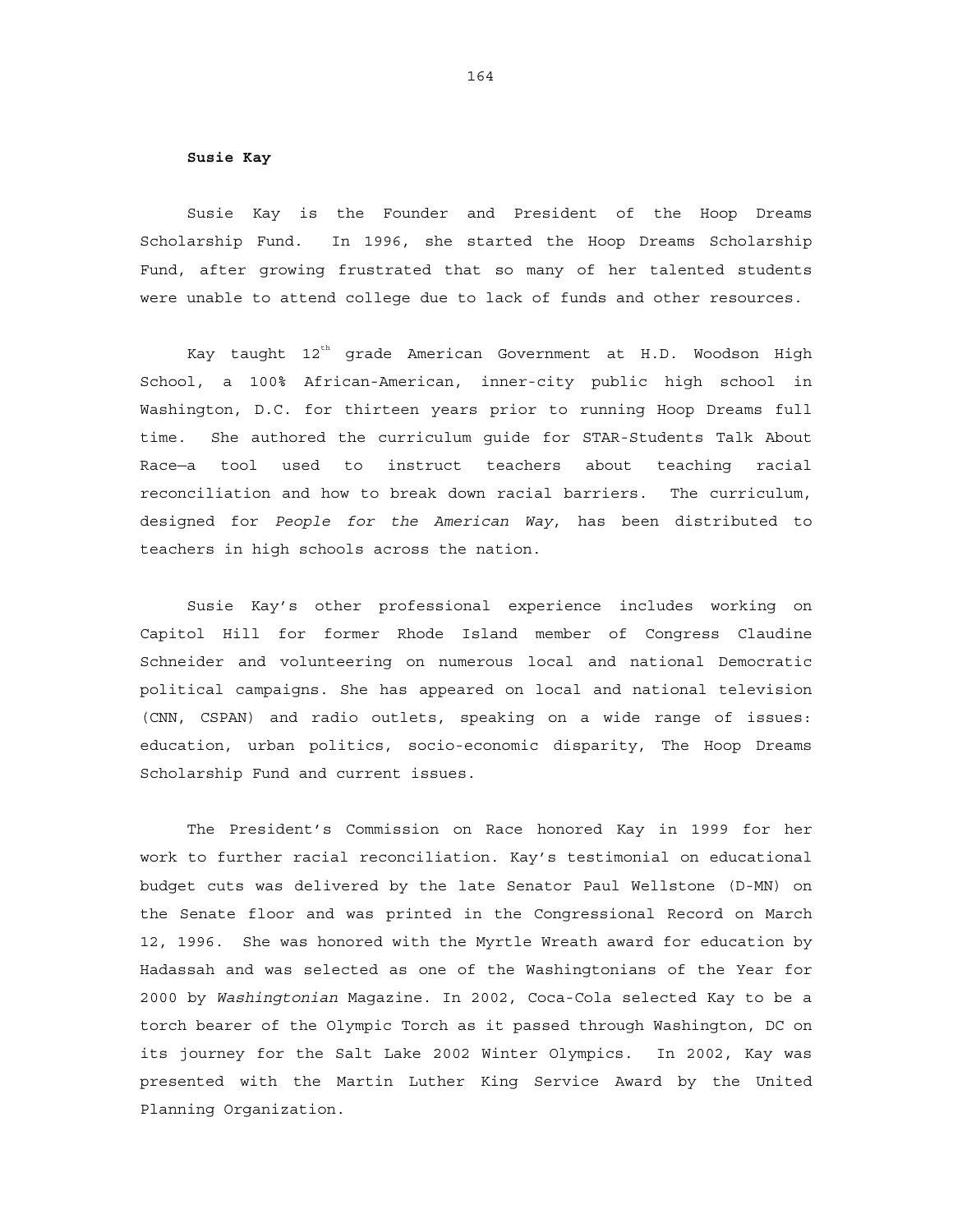#### **Susie Kay**

Susie Kay is the Founder and President of the Hoop Dreams Scholarship Fund. In 1996, she started the Hoop Dreams Scholarship Fund, after growing frustrated that so many of her talented students were unable to attend college due to lack of funds and other resources.

Kay taught 12<sup>th</sup> grade American Government at H.D. Woodson High School, a 100% African-American, inner-city public high school in Washington, D.C. for thirteen years prior to running Hoop Dreams full time. She authored the curriculum guide for STAR-Students Talk About Race—a tool used to instruct teachers about teaching racial reconciliation and how to break down racial barriers. The curriculum, designed for *People for the American Way*, has been distributed to teachers in high schools across the nation.

Susie Kay's other professional experience includes working on Capitol Hill for former Rhode Island member of Congress Claudine Schneider and volunteering on numerous local and national Democratic political campaigns. She has appeared on local and national television (CNN, CSPAN) and radio outlets, speaking on a wide range of issues: education, urban politics, socio-economic disparity, The Hoop Dreams Scholarship Fund and current issues.

The President's Commission on Race honored Kay in 1999 for her work to further racial reconciliation. Kay's testimonial on educational budget cuts was delivered by the late Senator Paul Wellstone (D-MN) on the Senate floor and was printed in the Congressional Record on March 12, 1996. She was honored with the Myrtle Wreath award for education by Hadassah and was selected as one of the Washingtonians of the Year for 2000 by *Washingtonian* Magazine. In 2002, Coca-Cola selected Kay to be a torch bearer of the Olympic Torch as it passed through Washington, DC on its journey for the Salt Lake 2002 Winter Olympics. In 2002, Kay was presented with the Martin Luther King Service Award by the United Planning Organization.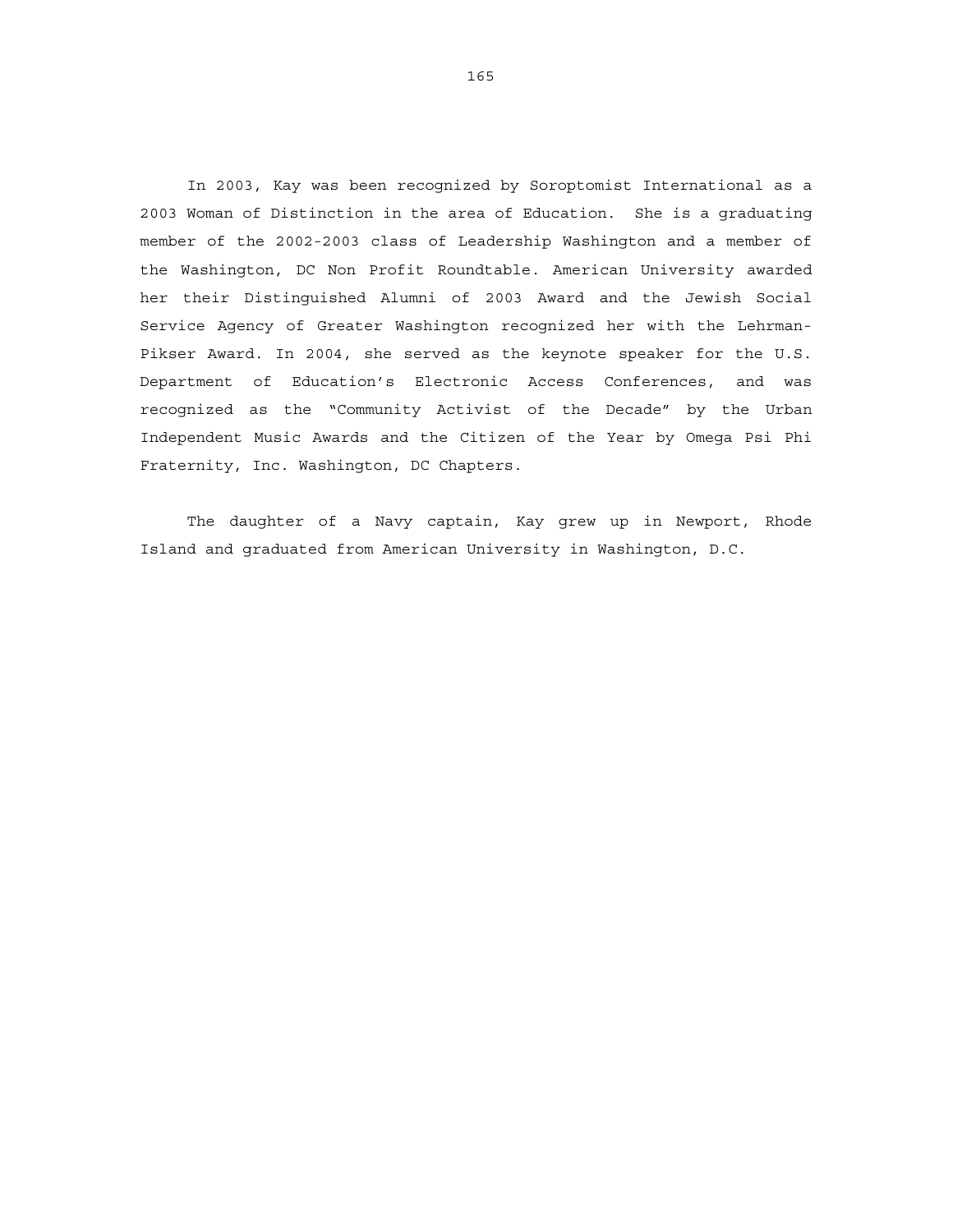In 2003, Kay was been recognized by Soroptomist International as a 2003 Woman of Distinction in the area of Education. She is a graduating member of the 2002-2003 class of Leadership Washington and a member of the Washington, DC Non Profit Roundtable. American University awarded her their Distinguished Alumni of 2003 Award and the Jewish Social Service Agency of Greater Washington recognized her with the Lehrman-Pikser Award. In 2004, she served as the keynote speaker for the U.S. Department of Education's Electronic Access Conferences, and was recognized as the "Community Activist of the Decade" by the Urban Independent Music Awards and the Citizen of the Year by Omega Psi Phi Fraternity, Inc. Washington, DC Chapters.

The daughter of a Navy captain, Kay grew up in Newport, Rhode Island and graduated from American University in Washington, D.C.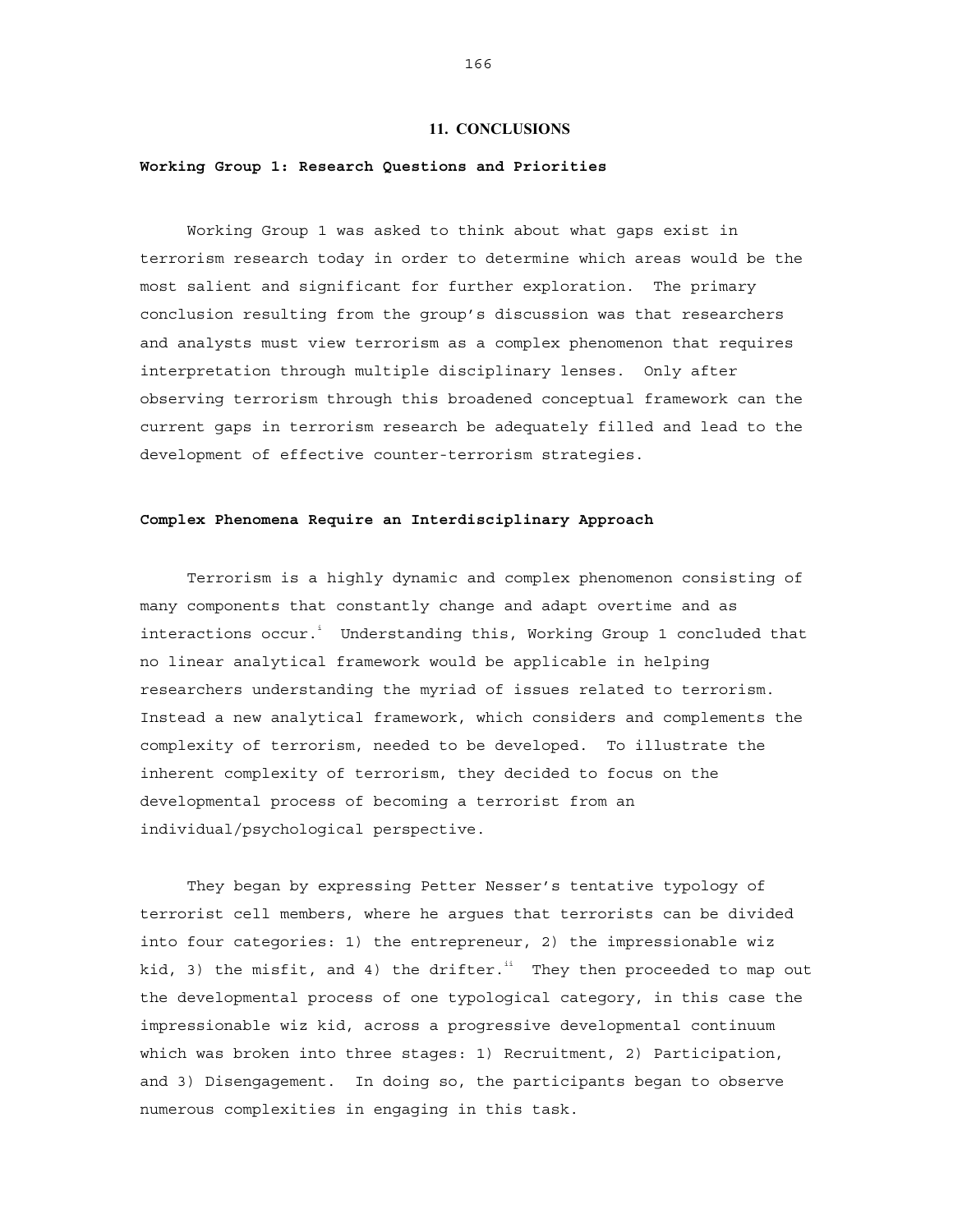# **11. CONCLUSIONS**

#### **Working Group 1: Research Questions and Priorities**

Working Group 1 was asked to think about what gaps exist in terrorism research today in order to determine which areas would be the most salient and significant for further exploration. The primary conclusion resulting from the group's discussion was that researchers and analysts must view terrorism as a complex phenomenon that requires interpretation through multiple disciplinary lenses. Only after observing terrorism through this broadened conceptual framework can the current gaps in terrorism research be adequately filled and lead to the development of effective counter-terrorism strategies.

# **Complex Phenomena Require an Interdisciplinary Approach**

Terrorism is a highly dynamic and complex phenomenon consisting of many components that constantly change and adapt overtime and as interactions occur.<sup>1</sup> Understanding this, Working Group 1 concluded that no linear analytical framework would be applicable in helping researchers understanding the myriad of issues related to terrorism. Instead a new analytical framework, which considers and complements the complexity of terrorism, needed to be developed. To illustrate the inherent complexity of terrorism, they decided to focus on the developmental process of becoming a terrorist from an individual/psychological perspective.

They began by expressing Petter Nesser's tentative typology of terrorist cell members, where he argues that terrorists can be divided into four categories: 1) the entrepreneur, 2) the impressionable wiz kid, 3) the misfit, and 4) the drifter.<sup>ii</sup> They then proceeded to map out the developmental process of one typological category, in this case the impressionable wiz kid, across a progressive developmental continuum which was broken into three stages: 1) Recruitment, 2) Participation, and 3) Disengagement. In doing so, the participants began to observe numerous complexities in engaging in this task.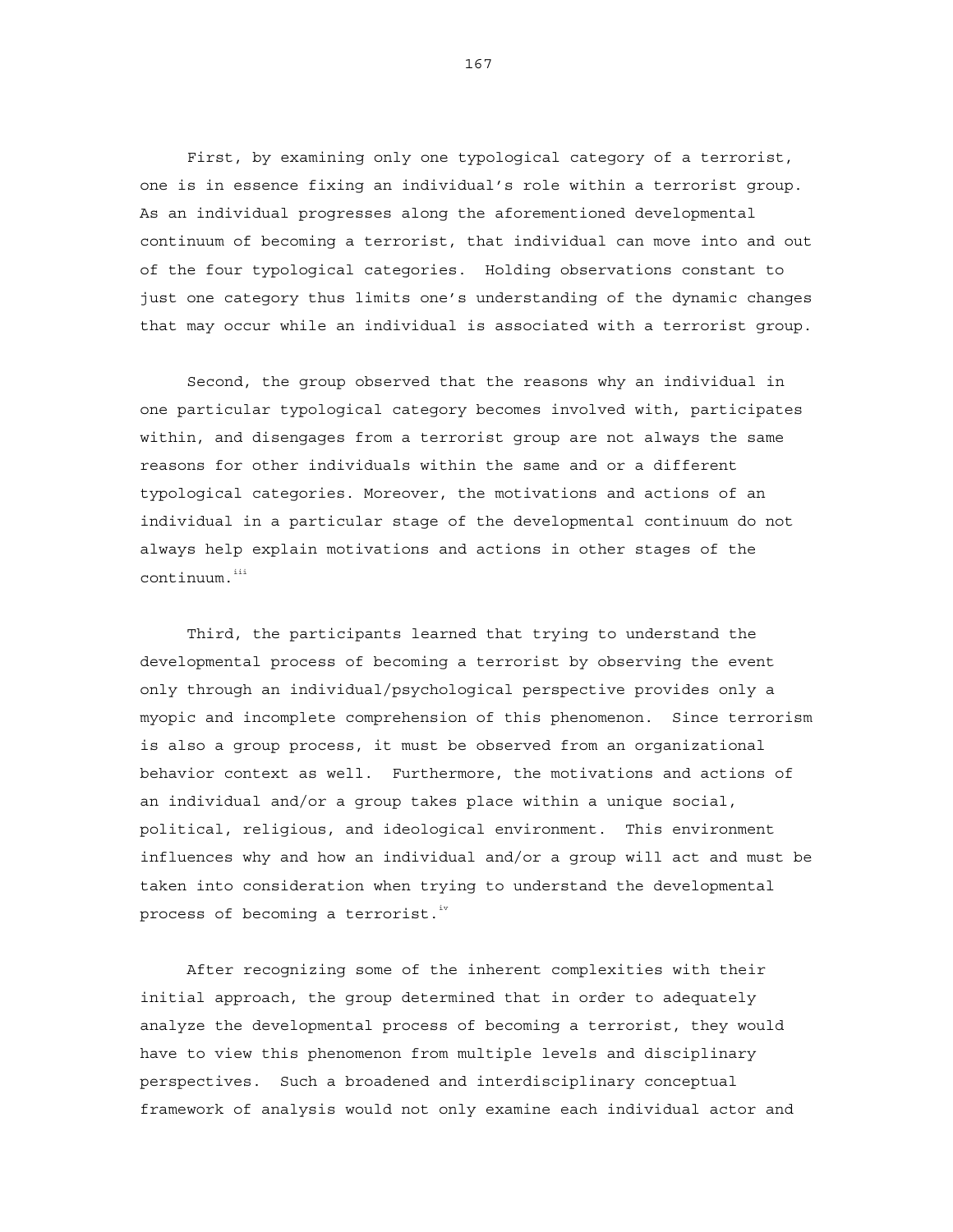First, by examining only one typological category of a terrorist, one is in essence fixing an individual's role within a terrorist group. As an individual progresses along the aforementioned developmental continuum of becoming a terrorist, that individual can move into and out of the four typological categories. Holding observations constant to just one category thus limits one's understanding of the dynamic changes that may occur while an individual is associated with a terrorist group.

Second, the group observed that the reasons why an individual in one particular typological category becomes involved with, participates within, and disengages from a terrorist group are not always the same reasons for other individuals within the same and or a different typological categories. Moreover, the motivations and actions of an individual in a particular stage of the developmental continuum do not always help explain motivations and actions in other stages of the continuum.iii

Third, the participants learned that trying to understand the developmental process of becoming a terrorist by observing the event only through an individual/psychological perspective provides only a myopic and incomplete comprehension of this phenomenon. Since terrorism is also a group process, it must be observed from an organizational behavior context as well. Furthermore, the motivations and actions of an individual and/or a group takes place within a unique social, political, religious, and ideological environment. This environment influences why and how an individual and/or a group will act and must be taken into consideration when trying to understand the developmental process of becoming a terrorist.<sup>iv</sup>

After recognizing some of the inherent complexities with their initial approach, the group determined that in order to adequately analyze the developmental process of becoming a terrorist, they would have to view this phenomenon from multiple levels and disciplinary perspectives. Such a broadened and interdisciplinary conceptual framework of analysis would not only examine each individual actor and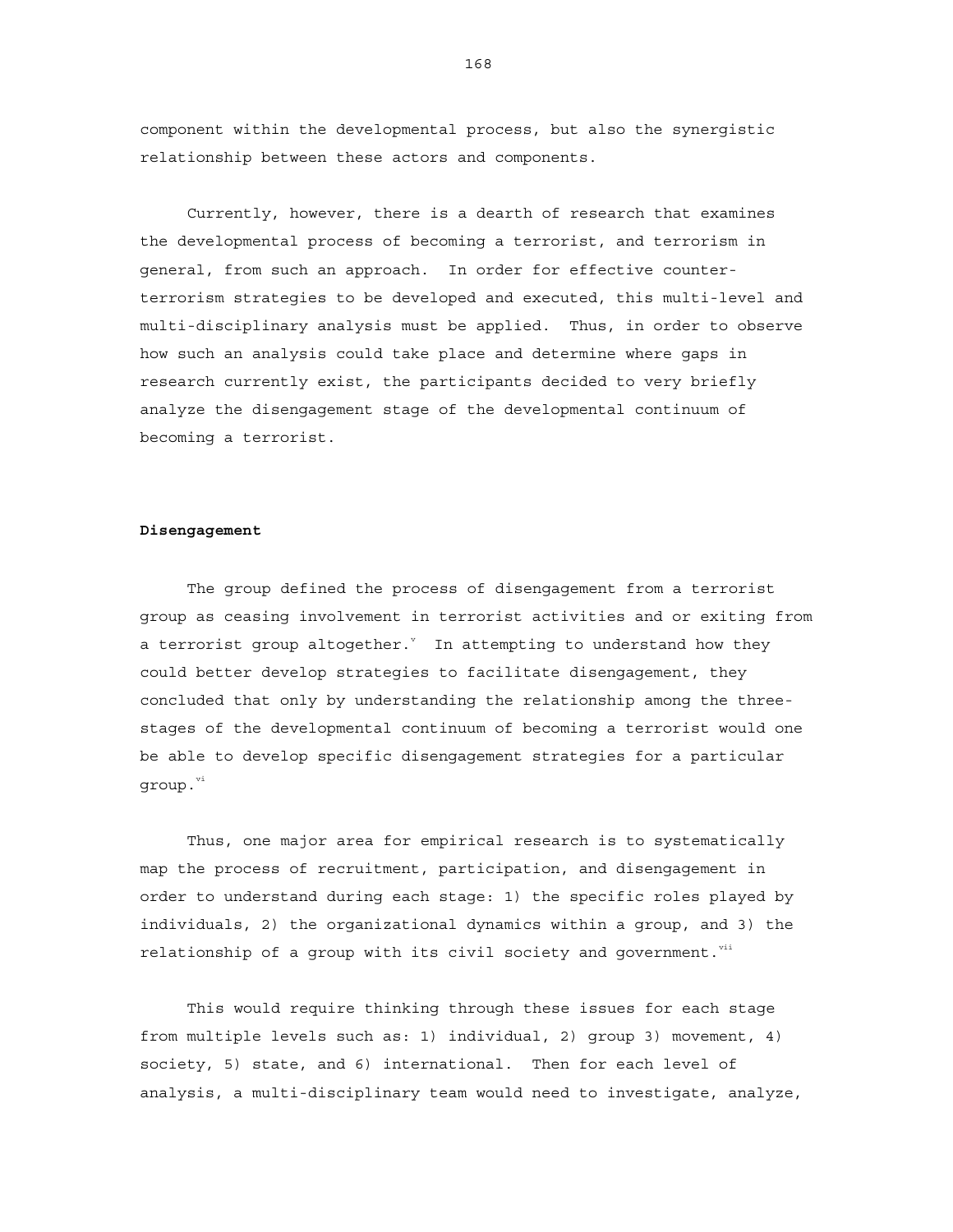component within the developmental process, but also the synergistic relationship between these actors and components.

Currently, however, there is a dearth of research that examines the developmental process of becoming a terrorist, and terrorism in general, from such an approach. In order for effective counterterrorism strategies to be developed and executed, this multi-level and multi-disciplinary analysis must be applied. Thus, in order to observe how such an analysis could take place and determine where gaps in research currently exist, the participants decided to very briefly analyze the disengagement stage of the developmental continuum of becoming a terrorist.

# **Disengagement**

The group defined the process of disengagement from a terrorist group as ceasing involvement in terrorist activities and or exiting from a terrorist group altogether. In attempting to understand how they could better develop strategies to facilitate disengagement, they concluded that only by understanding the relationship among the threestages of the developmental continuum of becoming a terrorist would one be able to develop specific disengagement strategies for a particular group."

Thus, one major area for empirical research is to systematically map the process of recruitment, participation, and disengagement in order to understand during each stage: 1) the specific roles played by individuals, 2) the organizational dynamics within a group, and 3) the relationship of a group with its civil society and government."

This would require thinking through these issues for each stage from multiple levels such as: 1) individual, 2) group 3) movement, 4) society, 5) state, and 6) international. Then for each level of analysis, a multi-disciplinary team would need to investigate, analyze,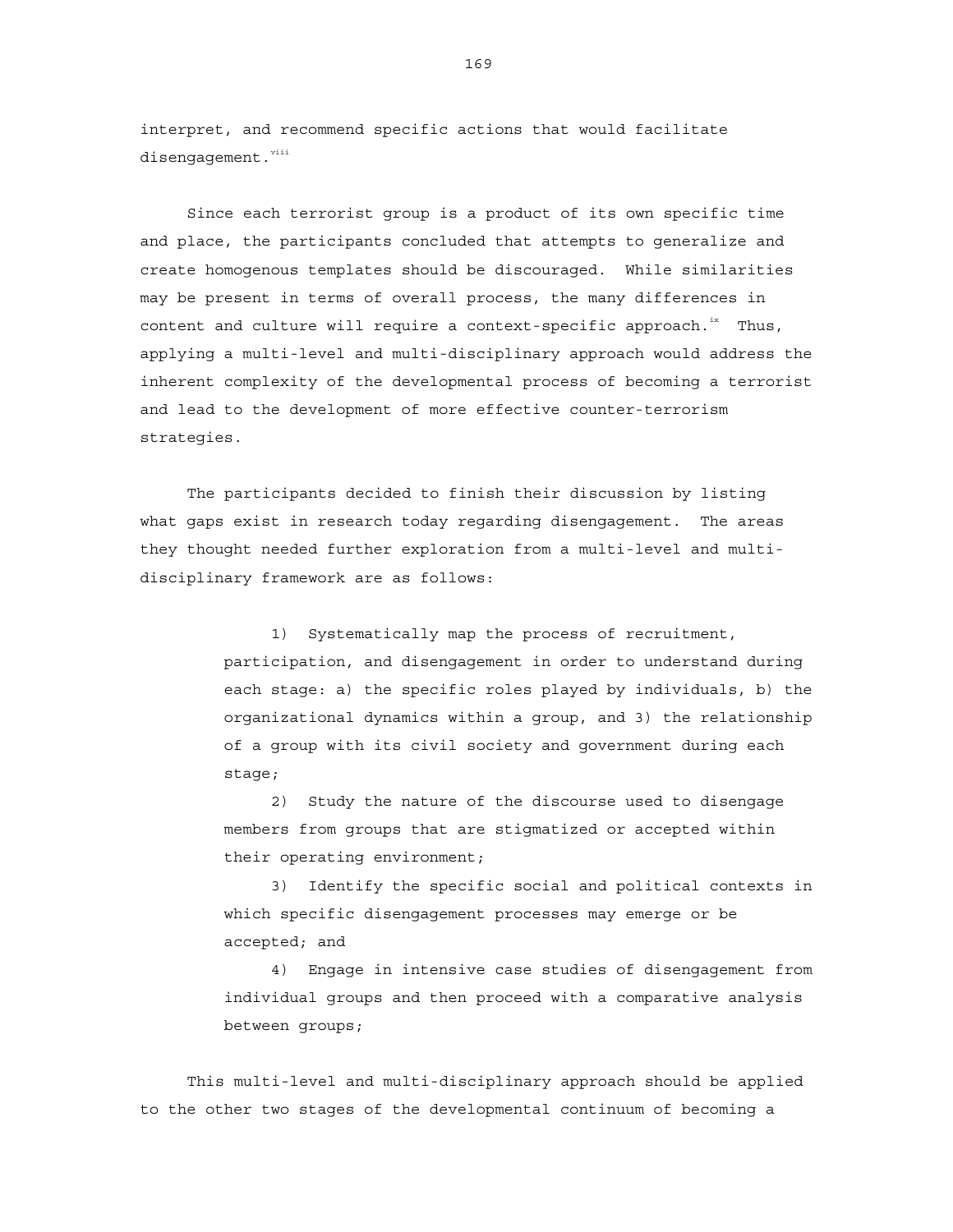interpret, and recommend specific actions that would facilitate disengagement.<sup>viii</sup>

Since each terrorist group is a product of its own specific time and place, the participants concluded that attempts to generalize and create homogenous templates should be discouraged. While similarities may be present in terms of overall process, the many differences in content and culture will require a context-specific approach.<sup>ix</sup> Thus, applying a multi-level and multi-disciplinary approach would address the inherent complexity of the developmental process of becoming a terrorist and lead to the development of more effective counter-terrorism strategies.

The participants decided to finish their discussion by listing what gaps exist in research today regarding disengagement. The areas they thought needed further exploration from a multi-level and multidisciplinary framework are as follows:

> 1) Systematically map the process of recruitment, participation, and disengagement in order to understand during each stage: a) the specific roles played by individuals, b) the organizational dynamics within a group, and 3) the relationship of a group with its civil society and government during each stage;

2) Study the nature of the discourse used to disengage members from groups that are stigmatized or accepted within their operating environment;

3) Identify the specific social and political contexts in which specific disengagement processes may emerge or be accepted; and

4) Engage in intensive case studies of disengagement from individual groups and then proceed with a comparative analysis between groups;

This multi-level and multi-disciplinary approach should be applied to the other two stages of the developmental continuum of becoming a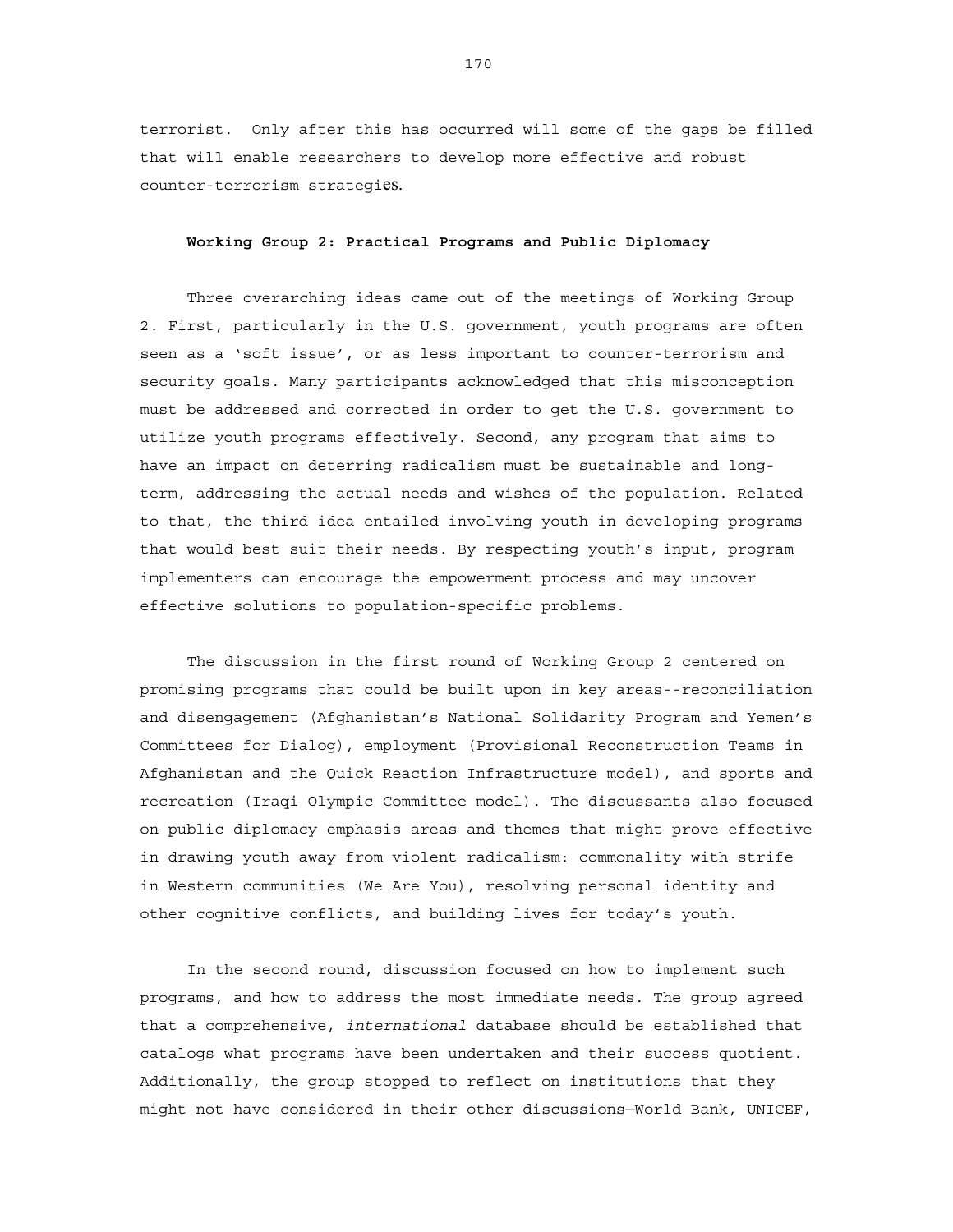terrorist. Only after this has occurred will some of the gaps be filled that will enable researchers to develop more effective and robust counter-terrorism strategies.

## **Working Group 2: Practical Programs and Public Diplomacy**

Three overarching ideas came out of the meetings of Working Group 2. First, particularly in the U.S. government, youth programs are often seen as a 'soft issue', or as less important to counter-terrorism and security goals. Many participants acknowledged that this misconception must be addressed and corrected in order to get the U.S. government to utilize youth programs effectively. Second, any program that aims to have an impact on deterring radicalism must be sustainable and longterm, addressing the actual needs and wishes of the population. Related to that, the third idea entailed involving youth in developing programs that would best suit their needs. By respecting youth's input, program implementers can encourage the empowerment process and may uncover effective solutions to population-specific problems.

The discussion in the first round of Working Group 2 centered on promising programs that could be built upon in key areas--reconciliation and disengagement (Afghanistan's National Solidarity Program and Yemen's Committees for Dialog), employment (Provisional Reconstruction Teams in Afghanistan and the Quick Reaction Infrastructure model), and sports and recreation (Iraqi Olympic Committee model). The discussants also focused on public diplomacy emphasis areas and themes that might prove effective in drawing youth away from violent radicalism: commonality with strife in Western communities (We Are You), resolving personal identity and other cognitive conflicts, and building lives for today's youth.

In the second round, discussion focused on how to implement such programs, and how to address the most immediate needs. The group agreed that a comprehensive, *international* database should be established that catalogs what programs have been undertaken and their success quotient. Additionally, the group stopped to reflect on institutions that they might not have considered in their other discussions—World Bank, UNICEF,